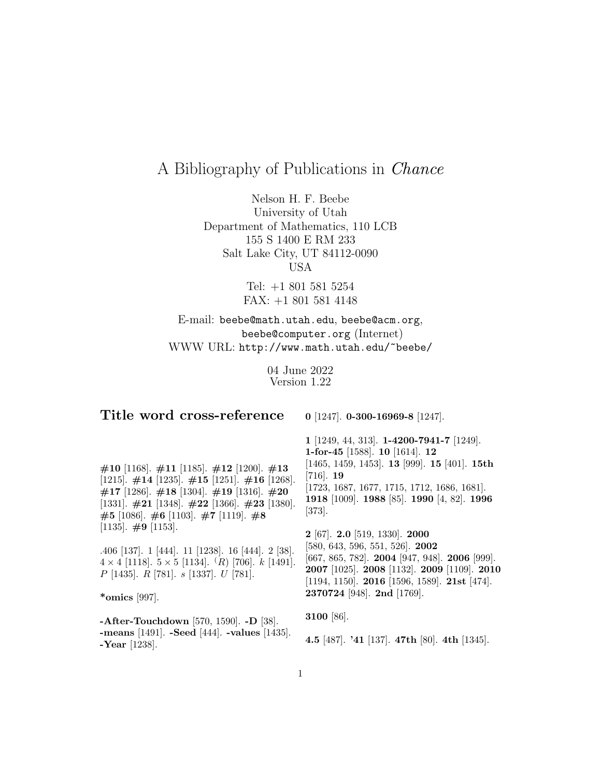# A Bibliography of Publications in Chance

Nelson H. F. Beebe University of Utah Department of Mathematics, 110 LCB 155 S 1400 E RM 233 Salt Lake City, UT 84112-0090 USA

> Tel: +1 801 581 5254 FAX: +1 801 581 4148

## E-mail: beebe@math.utah.edu, beebe@acm.org, beebe@computer.org (Internet) WWW URL: http://www.math.utah.edu/~beebe/

04 June 2022 Version 1.22

| Title word cross-reference                                                                                                                                                                                                                                                                                                                                                                                                                                                                          | 0 [1247]. 0-300-16969-8 [1247].                                                                                                                                                                                                                                                                                                                                                                                                                                                                                                                                                                             |
|-----------------------------------------------------------------------------------------------------------------------------------------------------------------------------------------------------------------------------------------------------------------------------------------------------------------------------------------------------------------------------------------------------------------------------------------------------------------------------------------------------|-------------------------------------------------------------------------------------------------------------------------------------------------------------------------------------------------------------------------------------------------------------------------------------------------------------------------------------------------------------------------------------------------------------------------------------------------------------------------------------------------------------------------------------------------------------------------------------------------------------|
| $\#10$ [1168]. $\#11$ [1185]. $\#12$ [1200]. $\#13$<br>[1215]. $\#14$ [1235]. $\#15$ [1251]. $\#16$ [1268].<br>$\#17$ [1286]. $\#18$ [1304]. $\#19$ [1316]. $\#20$<br>[1331]. $\#21$ [1348]. $\#22$ [1366]. $\#23$ [1380].<br>$\#5$ [1086]. $\#6$ [1103]. $\#7$ [1119]. $\#8$<br>[1135]. $\#9$ [1153].<br>.406 [137]. 1 [444]. 11 [1238]. 16 [444]. 2 [38].<br>$4 \times 4$ [1118]. $5 \times 5$ [1134]. $(R)$ [706]. $k$ [1491].<br>$P$ [1435]. $R$ [781]. $s$ [1337]. $U$ [781].<br>*omics [997]. | $1$ [1249, 44, 313]. <b>1-4200-7941-7</b> [1249].<br>1-for-45 [1588]. 10 [1614]. 12<br>$[1465, 1459, 1453]$ . <b>13</b> [999]. <b>15</b> [401]. <b>15th</b><br>$\left[716\right]$ . 19<br>$[1723, 1687, 1677, 1715, 1712, 1686, 1681].$<br>1918 [1009]. 1988 [85]. 1990 [4, 82]. 1996<br>$\left[373\right]$ .<br>$2$ [67]. $2.0$ [519, 1330]. $2000$<br>$[580, 643, 596, 551, 526]$ . <b>2002</b><br>[667, 865, 782]. <b>2004</b> [947, 948]. <b>2006</b> [999].<br>2007 [1025]. 2008 [1132]. 2009 [1109]. 2010<br>[1194, 1150]. <b>2016</b> [1596, 1589]. <b>21st</b> [474].<br>2370724 [948]. 2nd [1769]. |
|                                                                                                                                                                                                                                                                                                                                                                                                                                                                                                     | 3100 [86].                                                                                                                                                                                                                                                                                                                                                                                                                                                                                                                                                                                                  |
| -After-Touchdown [570, 1590]. -D [38].<br>-means $[1491]$ . -Seed $[444]$ . -values $[1435]$ .<br>$-$ Year [1238].                                                                                                                                                                                                                                                                                                                                                                                  | 4.5 [487]. '41 [137]. 47th [80]. 4th [1345].                                                                                                                                                                                                                                                                                                                                                                                                                                                                                                                                                                |
|                                                                                                                                                                                                                                                                                                                                                                                                                                                                                                     |                                                                                                                                                                                                                                                                                                                                                                                                                                                                                                                                                                                                             |

1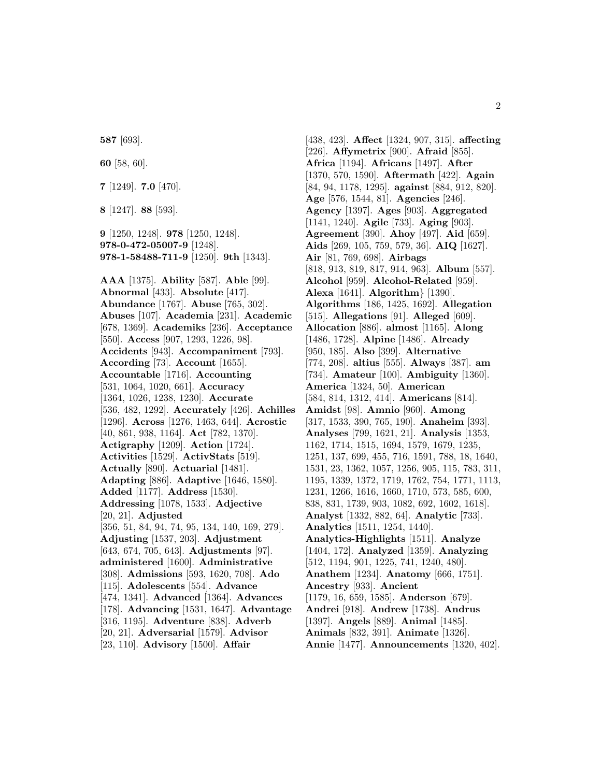**587** [693].

**60** [58, 60].

**7** [1249]. **7.0** [470].

**8** [1247]. **88** [593].

**9** [1250, 1248]. **978** [1250, 1248]. **978-0-472-05007-9** [1248]. **978-1-58488-711-9** [1250]. **9th** [1343].

**AAA** [1375]. **Ability** [587]. **Able** [99]. **Abnormal** [433]. **Absolute** [417]. **Abundance** [1767]. **Abuse** [765, 302]. **Abuses** [107]. **Academia** [231]. **Academic** [678, 1369]. **Academiks** [236]. **Acceptance** [550]. **Access** [907, 1293, 1226, 98]. **Accidents** [943]. **Accompaniment** [793]. **According** [73]. **Account** [1655]. **Accountable** [1716]. **Accounting** [531, 1064, 1020, 661]. **Accuracy** [1364, 1026, 1238, 1230]. **Accurate** [536, 482, 1292]. **Accurately** [426]. **Achilles** [1296]. **Across** [1276, 1463, 644]. **Acrostic** [40, 861, 938, 1164]. **Act** [782, 1370]. **Actigraphy** [1209]. **Action** [1724]. **Activities** [1529]. **ActivStats** [519]. **Actually** [890]. **Actuarial** [1481]. **Adapting** [886]. **Adaptive** [1646, 1580]. **Added** [1177]. **Address** [1530]. **Addressing** [1078, 1533]. **Adjective** [20, 21]. **Adjusted** [356, 51, 84, 94, 74, 95, 134, 140, 169, 279]. **Adjusting** [1537, 203]. **Adjustment** [643, 674, 705, 643]. **Adjustments** [97]. **administered** [1600]. **Administrative** [308]. **Admissions** [593, 1620, 708]. **Ado** [115]. **Adolescents** [554]. **Advance** [474, 1341]. **Advanced** [1364]. **Advances** [178]. **Advancing** [1531, 1647]. **Advantage** [316, 1195]. **Adventure** [838]. **Adverb** [20, 21]. **Adversarial** [1579]. **Advisor** [23, 110]. **Advisory** [1500]. **Affair**

[438, 423]. **Affect** [1324, 907, 315]. **affecting** [226]. **Affymetrix** [900]. **Afraid** [855]. **Africa** [1194]. **Africans** [1497]. **After** [1370, 570, 1590]. **Aftermath** [422]. **Again** [84, 94, 1178, 1295]. **against** [884, 912, 820]. **Age** [576, 1544, 81]. **Agencies** [246]. **Agency** [1397]. **Ages** [903]. **Aggregated** [1141, 1240]. **Agile** [733]. **Aging** [903]. **Agreement** [390]. **Ahoy** [497]. **Aid** [659]. **Aids** [269, 105, 759, 579, 36]. **AIQ** [1627]. **Air** [81, 769, 698]. **Airbags** [818, 913, 819, 817, 914, 963]. **Album** [557]. **Alcohol** [959]. **Alcohol-Related** [959]. **Alexa** [1641]. **Algorithm**} [1390]. **Algorithms** [186, 1425, 1692]. **Allegation** [515]. **Allegations** [91]. **Alleged** [609]. **Allocation** [886]. **almost** [1165]. **Along** [1486, 1728]. **Alpine** [1486]. **Already** [950, 185]. **Also** [399]. **Alternative** [774, 208]. **altius** [555]. **Always** [387]. **am** [734]. **Amateur** [100]. **Ambiguity** [1360]. **America** [1324, 50]. **American** [584, 814, 1312, 414]. **Americans** [814]. **Amidst** [98]. **Amnio** [960]. **Among** [317, 1533, 390, 765, 190]. **Anaheim** [393]. **Analyses** [799, 1621, 21]. **Analysis** [1353, 1162, 1714, 1515, 1694, 1579, 1679, 1235, 1251, 137, 699, 455, 716, 1591, 788, 18, 1640, 1531, 23, 1362, 1057, 1256, 905, 115, 783, 311, 1195, 1339, 1372, 1719, 1762, 754, 1771, 1113, 1231, 1266, 1616, 1660, 1710, 573, 585, 600, 838, 831, 1739, 903, 1082, 692, 1602, 1618]. **Analyst** [1332, 882, 64]. **Analytic** [733]. **Analytics** [1511, 1254, 1440]. **Analytics-Highlights** [1511]. **Analyze** [1404, 172]. **Analyzed** [1359]. **Analyzing** [512, 1194, 901, 1225, 741, 1240, 480]. **Anathem** [1234]. **Anatomy** [666, 1751]. **Ancestry** [933]. **Ancient** [1179, 16, 659, 1585]. **Anderson** [679]. **Andrei** [918]. **Andrew** [1738]. **Andrus** [1397]. **Angels** [889]. **Animal** [1485]. **Animals** [832, 391]. **Animate** [1326]. **Annie** [1477]. **Announcements** [1320, 402].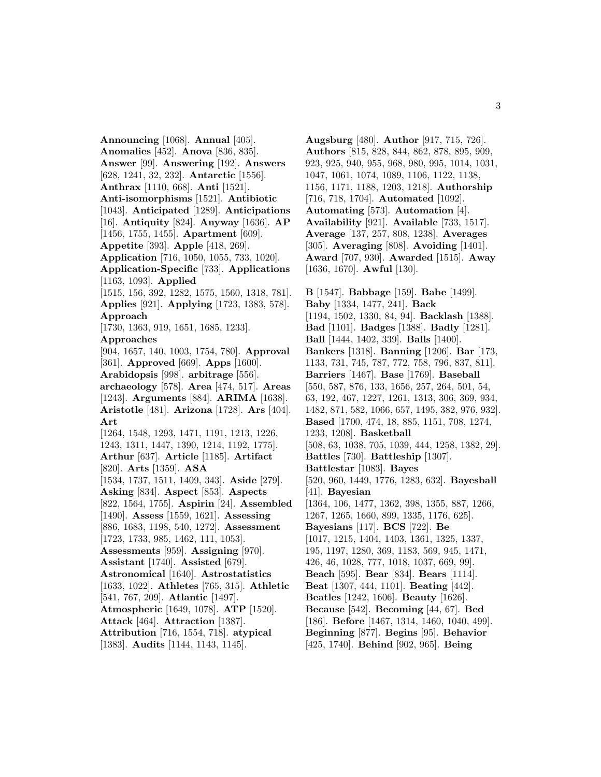**Announcing** [1068]. **Annual** [405]. **Anomalies** [452]. **Anova** [836, 835]. **Answer** [99]. **Answering** [192]. **Answers** [628, 1241, 32, 232]. **Antarctic** [1556]. **Anthrax** [1110, 668]. **Anti** [1521]. **Anti-isomorphisms** [1521]. **Antibiotic** [1043]. **Anticipated** [1289]. **Anticipations** [16]. **Antiquity** [824]. **Anyway** [1636]. **AP** [1456, 1755, 1455]. **Apartment** [609]. **Appetite** [393]. **Apple** [418, 269]. **Application** [716, 1050, 1055, 733, 1020]. **Application-Specific** [733]. **Applications** [1163, 1093]. **Applied** [1515, 156, 392, 1282, 1575, 1560, 1318, 781]. **Applies** [921]. **Applying** [1723, 1383, 578]. **Approach** [1730, 1363, 919, 1651, 1685, 1233]. **Approaches** [904, 1657, 140, 1003, 1754, 780]. **Approval** [361]. **Approved** [669]. **Apps** [1600]. **Arabidopsis** [998]. **arbitrage** [556]. **archaeology** [578]. **Area** [474, 517]. **Areas** [1243]. **Arguments** [884]. **ARIMA** [1638]. **Aristotle** [481]. **Arizona** [1728]. **Ars** [404]. **Art** [1264, 1548, 1293, 1471, 1191, 1213, 1226, 1243, 1311, 1447, 1390, 1214, 1192, 1775]. **Arthur** [637]. **Article** [1185]. **Artifact** [820]. **Arts** [1359]. **ASA** [1534, 1737, 1511, 1409, 343]. **Aside** [279]. **Asking** [834]. **Aspect** [853]. **Aspects** [822, 1564, 1755]. **Aspirin** [24]. **Assembled** [1490]. **Assess** [1559, 1621]. **Assessing** [886, 1683, 1198, 540, 1272]. **Assessment** [1723, 1733, 985, 1462, 111, 1053]. **Assessments** [959]. **Assigning** [970]. **Assistant** [1740]. **Assisted** [679]. **Astronomical** [1640]. **Astrostatistics** [1633, 1022]. **Athletes** [765, 315]. **Athletic** [541, 767, 209]. **Atlantic** [1497]. **Atmospheric** [1649, 1078]. **ATP** [1520]. **Attack** [464]. **Attraction** [1387]. **Attribution** [716, 1554, 718]. **atypical** [1383]. **Audits** [1144, 1143, 1145].

**Augsburg** [480]. **Author** [917, 715, 726]. **Authors** [815, 828, 844, 862, 878, 895, 909, 923, 925, 940, 955, 968, 980, 995, 1014, 1031, 1047, 1061, 1074, 1089, 1106, 1122, 1138, 1156, 1171, 1188, 1203, 1218]. **Authorship** [716, 718, 1704]. **Automated** [1092]. **Automating** [573]. **Automation** [4]. **Availability** [921]. **Available** [733, 1517]. **Average** [137, 257, 808, 1238]. **Averages** [305]. **Averaging** [808]. **Avoiding** [1401]. **Award** [707, 930]. **Awarded** [1515]. **Away** [1636, 1670]. **Awful** [130]. **B** [1547]. **Babbage** [159]. **Babe** [1499].

**Baby** [1334, 1477, 241]. **Back** [1194, 1502, 1330, 84, 94]. **Backlash** [1388]. **Bad** [1101]. **Badges** [1388]. **Badly** [1281]. **Ball** [1444, 1402, 339]. **Balls** [1400]. **Bankers** [1318]. **Banning** [1206]. **Bar** [173, 1133, 731, 745, 787, 772, 758, 796, 837, 811]. **Barriers** [1467]. **Base** [1769]. **Baseball** [550, 587, 876, 133, 1656, 257, 264, 501, 54, 63, 192, 467, 1227, 1261, 1313, 306, 369, 934, 1482, 871, 582, 1066, 657, 1495, 382, 976, 932]. **Based** [1700, 474, 18, 885, 1151, 708, 1274, 1233, 1208]. **Basketball** [508, 63, 1038, 705, 1039, 444, 1258, 1382, 29]. **Battles** [730]. **Battleship** [1307]. **Battlestar** [1083]. **Bayes** [520, 960, 1449, 1776, 1283, 632]. **Bayesball** [41]. **Bayesian** [1364, 106, 1477, 1362, 398, 1355, 887, 1266, 1267, 1265, 1660, 899, 1335, 1176, 625]. **Bayesians** [117]. **BCS** [722]. **Be** [1017, 1215, 1404, 1403, 1361, 1325, 1337, 195, 1197, 1280, 369, 1183, 569, 945, 1471, 426, 46, 1028, 777, 1018, 1037, 669, 99]. **Beach** [595]. **Bear** [834]. **Bears** [1114]. **Beat** [1307, 444, 1101]. **Beating** [442]. **Beatles** [1242, 1606]. **Beauty** [1626]. **Because** [542]. **Becoming** [44, 67]. **Bed** [186]. **Before** [1467, 1314, 1460, 1040, 499]. **Beginning** [877]. **Begins** [95]. **Behavior** [425, 1740]. **Behind** [902, 965]. **Being**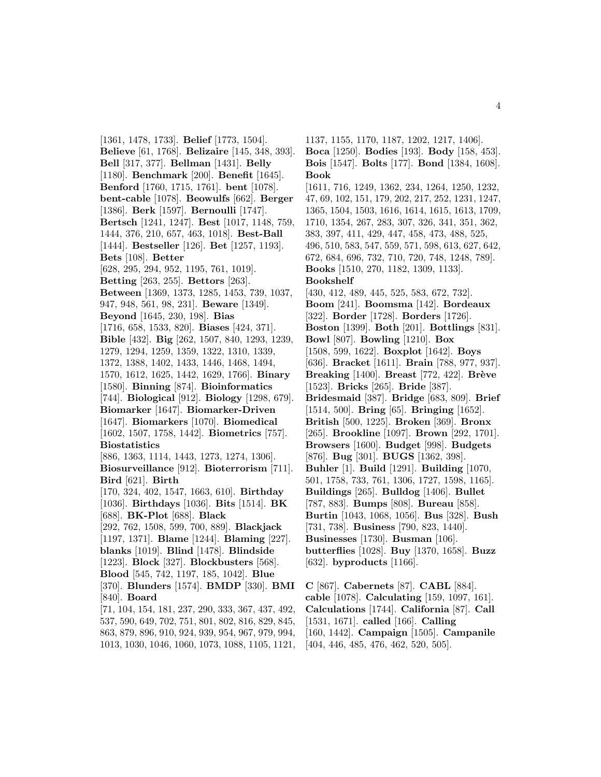[1361, 1478, 1733]. **Belief** [1773, 1504]. **Believe** [61, 1768]. **Belizaire** [145, 348, 393]. **Bell** [317, 377]. **Bellman** [1431]. **Belly** [1180]. **Benchmark** [200]. **Benefit** [1645]. **Benford** [1760, 1715, 1761]. **bent** [1078]. **bent-cable** [1078]. **Beowulfs** [662]. **Berger** [1386]. **Berk** [1597]. **Bernoulli** [1747]. **Bertsch** [1241, 1247]. **Best** [1017, 1148, 759, 1444, 376, 210, 657, 463, 1018]. **Best-Ball** [1444]. **Bestseller** [126]. **Bet** [1257, 1193]. **Bets** [108]. **Better** [628, 295, 294, 952, 1195, 761, 1019]. **Betting** [263, 255]. **Bettors** [263]. **Between** [1369, 1373, 1285, 1453, 739, 1037, 947, 948, 561, 98, 231]. **Beware** [1349]. **Beyond** [1645, 230, 198]. **Bias** [1716, 658, 1533, 820]. **Biases** [424, 371]. **Bible** [432]. **Big** [262, 1507, 840, 1293, 1239, 1279, 1294, 1259, 1359, 1322, 1310, 1339, 1372, 1388, 1402, 1433, 1446, 1468, 1494, 1570, 1612, 1625, 1442, 1629, 1766]. **Binary** [1580]. **Binning** [874]. **Bioinformatics** [744]. **Biological** [912]. **Biology** [1298, 679]. **Biomarker** [1647]. **Biomarker-Driven** [1647]. **Biomarkers** [1070]. **Biomedical** [1602, 1507, 1758, 1442]. **Biometrics** [757]. **Biostatistics** [886, 1363, 1114, 1443, 1273, 1274, 1306]. **Biosurveillance** [912]. **Bioterrorism** [711]. **Bird** [621]. **Birth** [170, 324, 402, 1547, 1663, 610]. **Birthday** [1036]. **Birthdays** [1036]. **Bits** [1514]. **BK** [688]. **BK-Plot** [688]. **Black** [292, 762, 1508, 599, 700, 889]. **Blackjack** [1197, 1371]. **Blame** [1244]. **Blaming** [227]. **blanks** [1019]. **Blind** [1478]. **Blindside** [1223]. **Block** [327]. **Blockbusters** [568]. **Blood** [545, 742, 1197, 185, 1042]. **Blue** [370]. **Blunders** [1574]. **BMDP** [330]. **BMI** [840]. **Board**

[71, 104, 154, 181, 237, 290, 333, 367, 437, 492, 537, 590, 649, 702, 751, 801, 802, 816, 829, 845, 863, 879, 896, 910, 924, 939, 954, 967, 979, 994, 1013, 1030, 1046, 1060, 1073, 1088, 1105, 1121,

1137, 1155, 1170, 1187, 1202, 1217, 1406]. **Boca** [1250]. **Bodies** [193]. **Body** [158, 453].

**Bois** [1547]. **Bolts** [177]. **Bond** [1384, 1608]. **Book**

[1611, 716, 1249, 1362, 234, 1264, 1250, 1232, 47, 69, 102, 151, 179, 202, 217, 252, 1231, 1247, 1365, 1504, 1503, 1616, 1614, 1615, 1613, 1709, 1710, 1354, 267, 283, 307, 326, 341, 351, 362, 383, 397, 411, 429, 447, 458, 473, 488, 525, 496, 510, 583, 547, 559, 571, 598, 613, 627, 642, 672, 684, 696, 732, 710, 720, 748, 1248, 789].

**Books** [1510, 270, 1182, 1309, 1133]. **Bookshelf**

[430, 412, 489, 445, 525, 583, 672, 732]. **Boom** [241]. **Boomsma** [142]. **Bordeaux** [322]. **Border** [1728]. **Borders** [1726]. **Boston** [1399]. **Both** [201]. **Bottlings** [831]. **Bowl** [807]. **Bowling** [1210]. **Box** [1508, 599, 1622]. **Boxplot** [1642]. **Boys** [636]. **Bracket** [1611]. **Brain** [788, 977, 937]. **Breaking** [1400]. **Breast** [772, 422]. **Brève** [1523]. **Bricks** [265]. **Bride** [387]. **Bridesmaid** [387]. **Bridge** [683, 809]. **Brief** [1514, 500]. **Bring** [65]. **Bringing** [1652]. **British** [500, 1225]. **Broken** [369]. **Bronx** [265]. **Brookline** [1097]. **Brown** [292, 1701]. **Browsers** [1600]. **Budget** [998]. **Budgets** [876]. **Bug** [301]. **BUGS** [1362, 398]. **Buhler** [1]. **Build** [1291]. **Building** [1070, 501, 1758, 733, 761, 1306, 1727, 1598, 1165]. **Buildings** [265]. **Bulldog** [1406]. **Bullet** [787, 883]. **Bumps** [808]. **Bureau** [858]. **Burtin** [1043, 1068, 1056]. **Bus** [328]. **Bush** [731, 738]. **Business** [790, 823, 1440]. **Businesses** [1730]. **Busman** [106]. **butterflies** [1028]. **Buy** [1370, 1658]. **Buzz** [632]. **byproducts** [1166].

**C** [867]. **Cabernets** [87]. **CABL** [884]. **cable** [1078]. **Calculating** [159, 1097, 161]. **Calculations** [1744]. **California** [87]. **Call** [1531, 1671]. **called** [166]. **Calling** [160, 1442]. **Campaign** [1505]. **Campanile** [404, 446, 485, 476, 462, 520, 505].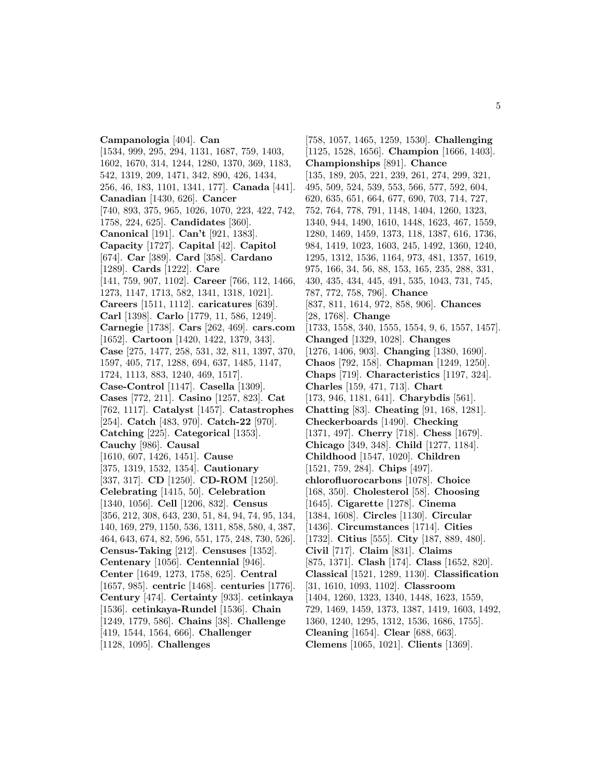**Campanologia** [404]. **Can** [1534, 999, 295, 294, 1131, 1687, 759, 1403, 1602, 1670, 314, 1244, 1280, 1370, 369, 1183, 542, 1319, 209, 1471, 342, 890, 426, 1434, 256, 46, 183, 1101, 1341, 177]. **Canada** [441]. **Canadian** [1430, 626]. **Cancer** [740, 893, 375, 965, 1026, 1070, 223, 422, 742, 1758, 224, 625]. **Candidates** [360]. **Canonical** [191]. **Can't** [921, 1383]. **Capacity** [1727]. **Capital** [42]. **Capitol** [674]. **Car** [389]. **Card** [358]. **Cardano** [1289]. **Cards** [1222]. **Care** [141, 759, 907, 1102]. **Career** [766, 112, 1466, 1273, 1147, 1713, 582, 1341, 1318, 1021]. **Careers** [1511, 1112]. **caricatures** [639]. **Carl** [1398]. **Carlo** [1779, 11, 586, 1249]. **Carnegie** [1738]. **Cars** [262, 469]. **cars.com** [1652]. **Cartoon** [1420, 1422, 1379, 343]. **Case** [275, 1477, 258, 531, 32, 811, 1397, 370, 1597, 405, 717, 1288, 694, 637, 1485, 1147, 1724, 1113, 883, 1240, 469, 1517]. **Case-Control** [1147]. **Casella** [1309]. **Cases** [772, 211]. **Casino** [1257, 823]. **Cat** [762, 1117]. **Catalyst** [1457]. **Catastrophes** [254]. **Catch** [483, 970]. **Catch-22** [970]. **Catching** [225]. **Categorical** [1353]. **Cauchy** [986]. **Causal** [1610, 607, 1426, 1451]. **Cause** [375, 1319, 1532, 1354]. **Cautionary** [337, 317]. **CD** [1250]. **CD-ROM** [1250]. **Celebrating** [1415, 50]. **Celebration** [1340, 1056]. **Cell** [1206, 832]. **Census** [356, 212, 308, 643, 230, 51, 84, 94, 74, 95, 134, 140, 169, 279, 1150, 536, 1311, 858, 580, 4, 387, 464, 643, 674, 82, 596, 551, 175, 248, 730, 526]. **Census-Taking** [212]. **Censuses** [1352]. **Centenary** [1056]. **Centennial** [946]. **Center** [1649, 1273, 1758, 625]. **Central** [1657, 985]. **centric** [1468]. **centuries** [1776]. **Century** [474]. **Certainty** [933]. **cetinkaya** [1536]. **cetinkaya-Rundel** [1536]. **Chain** [1249, 1779, 586]. **Chains** [38]. **Challenge** [419, 1544, 1564, 666]. **Challenger** [1128, 1095]. **Challenges**

[758, 1057, 1465, 1259, 1530]. **Challenging** [1125, 1528, 1656]. **Champion** [1666, 1403]. **Championships** [891]. **Chance** [135, 189, 205, 221, 239, 261, 274, 299, 321, 495, 509, 524, 539, 553, 566, 577, 592, 604, 620, 635, 651, 664, 677, 690, 703, 714, 727, 752, 764, 778, 791, 1148, 1404, 1260, 1323, 1340, 944, 1490, 1610, 1448, 1623, 467, 1559, 1280, 1469, 1459, 1373, 118, 1387, 616, 1736, 984, 1419, 1023, 1603, 245, 1492, 1360, 1240, 1295, 1312, 1536, 1164, 973, 481, 1357, 1619, 975, 166, 34, 56, 88, 153, 165, 235, 288, 331, 430, 435, 434, 445, 491, 535, 1043, 731, 745, 787, 772, 758, 796]. **Chance** [837, 811, 1614, 972, 858, 906]. **Chances** [28, 1768]. **Change** [1733, 1558, 340, 1555, 1554, 9, 6, 1557, 1457]. **Changed** [1329, 1028]. **Changes** [1276, 1406, 903]. **Changing** [1380, 1690]. **Chaos** [792, 158]. **Chapman** [1249, 1250]. **Chaps** [719]. **Characteristics** [1197, 324]. **Charles** [159, 471, 713]. **Chart** [173, 946, 1181, 641]. **Charybdis** [561]. **Chatting** [83]. **Cheating** [91, 168, 1281]. **Checkerboards** [1490]. **Checking** [1371, 497]. **Cherry** [718]. **Chess** [1679]. **Chicago** [349, 348]. **Child** [1277, 1184]. **Childhood** [1547, 1020]. **Children** [1521, 759, 284]. **Chips** [497]. **chlorofluorocarbons** [1078]. **Choice** [168, 350]. **Cholesterol** [58]. **Choosing** [1645]. **Cigarette** [1278]. **Cinema** [1384, 1608]. **Circles** [1130]. **Circular** [1436]. **Circumstances** [1714]. **Cities** [1732]. **Citius** [555]. **City** [187, 889, 480]. **Civil** [717]. **Claim** [831]. **Claims** [875, 1371]. **Clash** [174]. **Class** [1652, 820]. **Classical** [1521, 1289, 1130]. **Classification** [31, 1610, 1093, 1102]. **Classroom** [1404, 1260, 1323, 1340, 1448, 1623, 1559, 729, 1469, 1459, 1373, 1387, 1419, 1603, 1492, 1360, 1240, 1295, 1312, 1536, 1686, 1755]. **Cleaning** [1654]. **Clear** [688, 663]. **Clemens** [1065, 1021]. **Clients** [1369].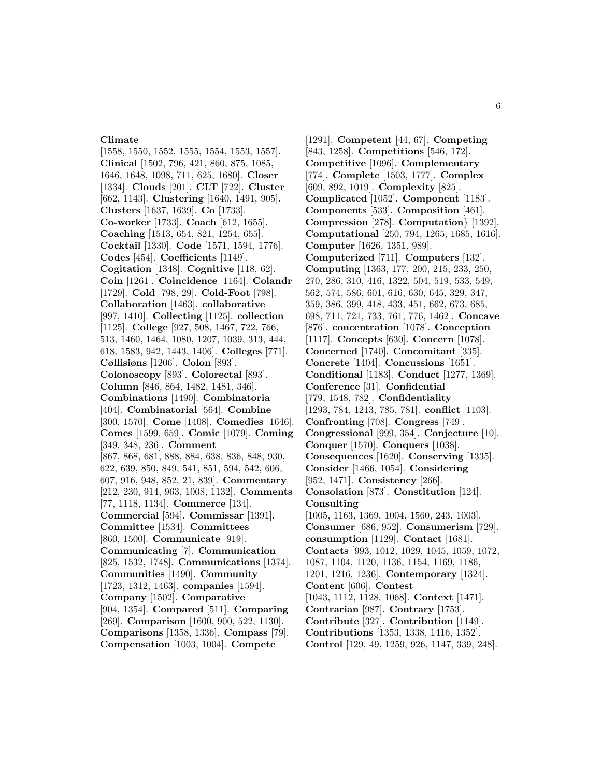#### **Climate**

[1558, 1550, 1552, 1555, 1554, 1553, 1557]. **Clinical** [1502, 796, 421, 860, 875, 1085, 1646, 1648, 1098, 711, 625, 1680]. **Closer** [1334]. **Clouds** [201]. **CLT** [722]. **Cluster** [662, 1143]. **Clustering** [1640, 1491, 905]. **Clusters** [1637, 1639]. **Co** [1733]. **Co-worker** [1733]. **Coach** [612, 1655]. **Coaching** [1513, 654, 821, 1254, 655]. **Cocktail** [1330]. **Code** [1571, 1594, 1776]. **Codes** [454]. **Coefficients** [1149]. **Cogitation** [1348]. **Cognitive** [118, 62]. **Coin** [1261]. **Coincidence** [1164]. **Colandr** [1729]. **Cold** [798, 29]. **Cold-Foot** [798]. **Collaboration** [1463]. **collaborative** [997, 1410]. **Collecting** [1125]. **collection** [1125]. **College** [927, 508, 1467, 722, 766, 513, 1460, 1464, 1080, 1207, 1039, 313, 444, 618, 1583, 942, 1443, 1406]. **Colleges** [771]. **Cøllisiøns** [1206]. **Colon** [893]. **Colonoscopy** [893]. **Colorectal** [893]. **Column** [846, 864, 1482, 1481, 346]. **Combinations** [1490]. **Combinatoria** [404]. **Combinatorial** [564]. **Combine** [300, 1570]. **Come** [1408]. **Comedies** [1646]. **Comes** [1599, 659]. **Comic** [1079]. **Coming** [349, 348, 236]. **Comment** [867, 868, 681, 888, 884, 638, 836, 848, 930, 622, 639, 850, 849, 541, 851, 594, 542, 606, 607, 916, 948, 852, 21, 839]. **Commentary** [212, 230, 914, 963, 1008, 1132]. **Comments** [77, 1118, 1134]. **Commerce** [134]. **Commercial** [594]. **Commissar** [1391]. **Committee** [1534]. **Committees** [860, 1500]. **Communicate** [919]. **Communicating** [7]. **Communication** [825, 1532, 1748]. **Communications** [1374]. **Communities** [1490]. **Community** [1723, 1312, 1463]. **companies** [1594]. **Company** [1502]. **Comparative** [904, 1354]. **Compared** [511]. **Comparing** [269]. **Comparison** [1600, 900, 522, 1130]. **Comparisons** [1358, 1336]. **Compass** [79]. **Compensation** [1003, 1004]. **Compete**

[1291]. **Competent** [44, 67]. **Competing** [843, 1258]. **Competitions** [546, 172]. **Competitive** [1096]. **Complementary** [774]. **Complete** [1503, 1777]. **Complex** [609, 892, 1019]. **Complexity** [825]. **Complicated** [1052]. **Component** [1183]. **Components** [533]. **Composition** [461]. **Compression** [278]. **Computation**} [1392]. **Computational** [250, 794, 1265, 1685, 1616]. **Computer** [1626, 1351, 989]. **Computerized** [711]. **Computers** [132]. **Computing** [1363, 177, 200, 215, 233, 250, 270, 286, 310, 416, 1322, 504, 519, 533, 549, 562, 574, 586, 601, 616, 630, 645, 329, 347, 359, 386, 399, 418, 433, 451, 662, 673, 685, 698, 711, 721, 733, 761, 776, 1462]. **Concave** [876]. **concentration** [1078]. **Conception** [1117]. **Concepts** [630]. **Concern** [1078]. **Concerned** [1740]. **Concomitant** [335]. **Concrete** [1404]. **Concussions** [1651]. **Conditional** [1183]. **Conduct** [1277, 1369]. **Conference** [31]. **Confidential** [779, 1548, 782]. **Confidentiality** [1293, 784, 1213, 785, 781]. **conflict** [1103]. **Confronting** [708]. **Congress** [749]. **Congressional** [999, 354]. **Conjecture** [10]. **Conquer** [1570]. **Conquers** [1038]. **Consequences** [1620]. **Conserving** [1335]. **Consider** [1466, 1054]. **Considering** [952, 1471]. **Consistency** [266]. **Consolation** [873]. **Constitution** [124]. **Consulting** [1005, 1163, 1369, 1004, 1560, 243, 1003]. **Consumer** [686, 952]. **Consumerism** [729]. **consumption** [1129]. **Contact** [1681]. **Contacts** [993, 1012, 1029, 1045, 1059, 1072, 1087, 1104, 1120, 1136, 1154, 1169, 1186, 1201, 1216, 1236]. **Contemporary** [1324]. **Content** [606]. **Contest** [1043, 1112, 1128, 1068]. **Context** [1471]. **Contrarian** [987]. **Contrary** [1753]. **Contribute** [327]. **Contribution** [1149]. **Contributions** [1353, 1338, 1416, 1352]. **Control** [129, 49, 1259, 926, 1147, 339, 248].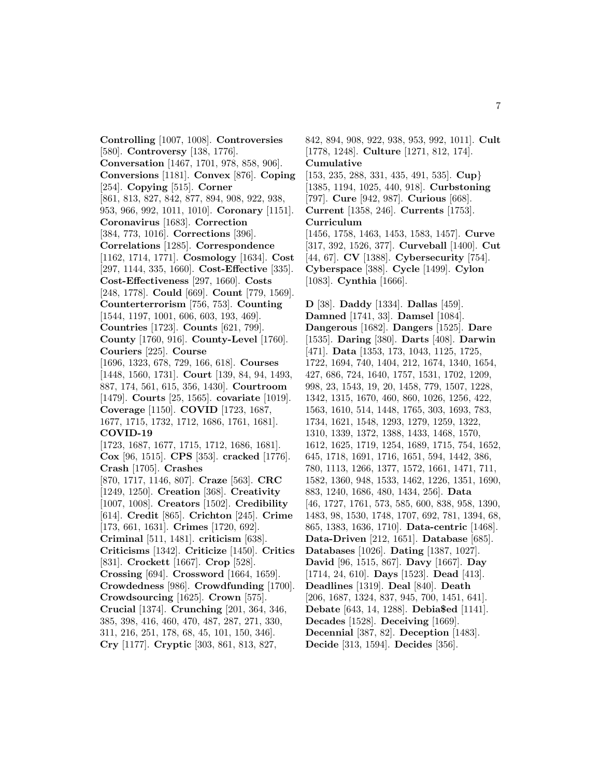**Controlling** [1007, 1008]. **Controversies** [580]. **Controversy** [138, 1776]. **Conversation** [1467, 1701, 978, 858, 906]. **Conversions** [1181]. **Convex** [876]. **Coping** [254]. **Copying** [515]. **Corner** [861, 813, 827, 842, 877, 894, 908, 922, 938, 953, 966, 992, 1011, 1010]. **Coronary** [1151]. **Coronavirus** [1683]. **Correction** [384, 773, 1016]. **Corrections** [396]. **Correlations** [1285]. **Correspondence** [1162, 1714, 1771]. **Cosmology** [1634]. **Cost** [297, 1144, 335, 1660]. **Cost-Effective** [335]. **Cost-Effectiveness** [297, 1660]. **Costs** [248, 1778]. **Could** [669]. **Count** [779, 1569]. **Counterterrorism** [756, 753]. **Counting** [1544, 1197, 1001, 606, 603, 193, 469]. **Countries** [1723]. **Counts** [621, 799]. **County** [1760, 916]. **County-Level** [1760]. **Couriers** [225]. **Course** [1696, 1323, 678, 729, 166, 618]. **Courses** [1448, 1560, 1731]. **Court** [139, 84, 94, 1493, 887, 174, 561, 615, 356, 1430]. **Courtroom** [1479]. **Courts** [25, 1565]. **covariate** [1019]. **Coverage** [1150]. **COVID** [1723, 1687, 1677, 1715, 1732, 1712, 1686, 1761, 1681]. **COVID-19** [1723, 1687, 1677, 1715, 1712, 1686, 1681]. **Cox** [96, 1515]. **CPS** [353]. **cracked** [1776]. **Crash** [1705]. **Crashes** [870, 1717, 1146, 807]. **Craze** [563]. **CRC** [1249, 1250]. **Creation** [368]. **Creativity** [1007, 1008]. **Creators** [1502]. **Credibility** [614]. **Credit** [865]. **Crichton** [245]. **Crime** [173, 661, 1631]. **Crimes** [1720, 692]. **Criminal** [511, 1481]. **criticism** [638]. **Criticisms** [1342]. **Criticize** [1450]. **Critics** [831]. **Crockett** [1667]. **Crop** [528]. **Crossing** [694]. **Crossword** [1664, 1659]. **Crowdedness** [986]. **Crowdfunding** [1700]. **Crowdsourcing** [1625]. **Crown** [575]. **Crucial** [1374]. **Crunching** [201, 364, 346, 385, 398, 416, 460, 470, 487, 287, 271, 330, 311, 216, 251, 178, 68, 45, 101, 150, 346]. **Cry** [1177]. **Cryptic** [303, 861, 813, 827,

842, 894, 908, 922, 938, 953, 992, 1011]. **Cult** [1778, 1248]. **Culture** [1271, 812, 174]. **Cumulative**

[153, 235, 288, 331, 435, 491, 535]. **Cup**} [1385, 1194, 1025, 440, 918]. **Curbstoning** [797]. **Cure** [942, 987]. **Curious** [668]. **Current** [1358, 246]. **Currents** [1753]. **Curriculum**

[1456, 1758, 1463, 1453, 1583, 1457]. **Curve** [317, 392, 1526, 377]. **Curveball** [1400]. **Cut** [44, 67]. **CV** [1388]. **Cybersecurity** [754]. **Cyberspace** [388]. **Cycle** [1499]. **Cylon** [1083]. **Cynthia** [1666].

**D** [38]. **Daddy** [1334]. **Dallas** [459]. **Damned** [1741, 33]. **Damsel** [1084]. **Dangerous** [1682]. **Dangers** [1525]. **Dare** [1535]. **Daring** [380]. **Darts** [408]. **Darwin** [471]. **Data** [1353, 173, 1043, 1125, 1725, 1722, 1694, 740, 1404, 212, 1674, 1340, 1654, 427, 686, 724, 1640, 1757, 1531, 1702, 1209, 998, 23, 1543, 19, 20, 1458, 779, 1507, 1228, 1342, 1315, 1670, 460, 860, 1026, 1256, 422, 1563, 1610, 514, 1448, 1765, 303, 1693, 783, 1734, 1621, 1548, 1293, 1279, 1259, 1322, 1310, 1339, 1372, 1388, 1433, 1468, 1570, 1612, 1625, 1719, 1254, 1689, 1715, 754, 1652, 645, 1718, 1691, 1716, 1651, 594, 1442, 386, 780, 1113, 1266, 1377, 1572, 1661, 1471, 711, 1582, 1360, 948, 1533, 1462, 1226, 1351, 1690, 883, 1240, 1686, 480, 1434, 256]. **Data** [46, 1727, 1761, 573, 585, 600, 838, 958, 1390, 1483, 98, 1530, 1748, 1707, 692, 781, 1394, 68, 865, 1383, 1636, 1710]. **Data-centric** [1468]. **Data-Driven** [212, 1651]. **Database** [685]. **Databases** [1026]. **Dating** [1387, 1027]. **David** [96, 1515, 867]. **Davy** [1667]. **Day** [1714, 24, 610]. **Days** [1523]. **Dead** [413]. **Deadlines** [1319]. **Deal** [840]. **Death** [206, 1687, 1324, 837, 945, 700, 1451, 641]. **Debate** [643, 14, 1288]. **Debia\$ed** [1141]. **Decades** [1528]. **Deceiving** [1669]. **Decennial** [387, 82]. **Deception** [1483]. **Decide** [313, 1594]. **Decides** [356].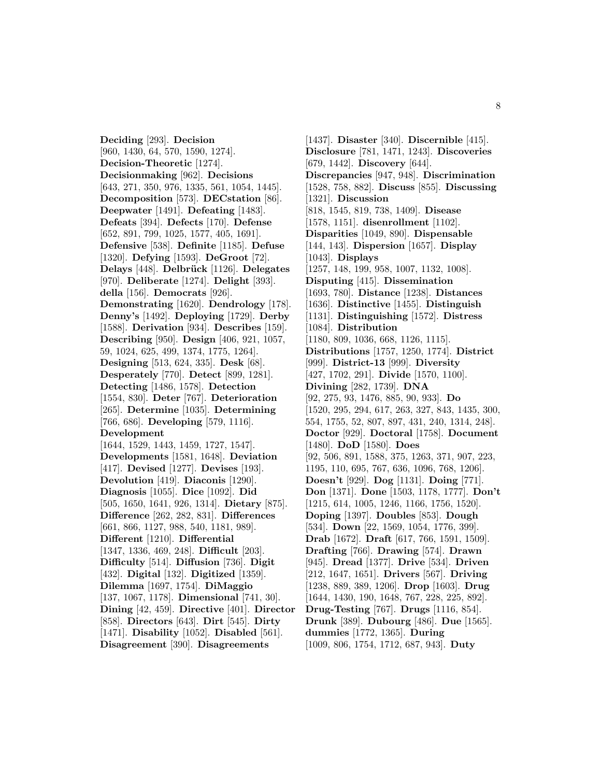**Deciding** [293]. **Decision** [960, 1430, 64, 570, 1590, 1274]. **Decision-Theoretic** [1274]. **Decisionmaking** [962]. **Decisions** [643, 271, 350, 976, 1335, 561, 1054, 1445]. **Decomposition** [573]. **DECstation** [86]. **Deepwater** [1491]. **Defeating** [1483]. **Defeats** [394]. **Defects** [170]. **Defense** [652, 891, 799, 1025, 1577, 405, 1691]. **Defensive** [538]. **Definite** [1185]. **Defuse** [1320]. **Defying** [1593]. **DeGroot** [72]. **Delays** [448]. **Delbrück** [1126]. **Delegates** [970]. **Deliberate** [1274]. **Delight** [393]. **della** [156]. **Democrats** [926]. **Demonstrating** [1620]. **Dendrology** [178]. **Denny's** [1492]. **Deploying** [1729]. **Derby** [1588]. **Derivation** [934]. **Describes** [159]. **Describing** [950]. **Design** [406, 921, 1057, 59, 1024, 625, 499, 1374, 1775, 1264]. **Designing** [513, 624, 335]. **Desk** [68]. **Desperately** [770]. **Detect** [899, 1281]. **Detecting** [1486, 1578]. **Detection** [1554, 830]. **Deter** [767]. **Deterioration** [265]. **Determine** [1035]. **Determining** [766, 686]. **Developing** [579, 1116]. **Development** [1644, 1529, 1443, 1459, 1727, 1547]. **Developments** [1581, 1648]. **Deviation** [417]. **Devised** [1277]. **Devises** [193]. **Devolution** [419]. **Diaconis** [1290]. **Diagnosis** [1055]. **Dice** [1092]. **Did** [505, 1650, 1641, 926, 1314]. **Dietary** [875]. **Difference** [262, 282, 831]. **Differences** [661, 866, 1127, 988, 540, 1181, 989]. **Different** [1210]. **Differential** [1347, 1336, 469, 248]. **Difficult** [203]. **Difficulty** [514]. **Diffusion** [736]. **Digit** [432]. **Digital** [132]. **Digitized** [1359]. **Dilemma** [1697, 1754]. **DiMaggio** [137, 1067, 1178]. **Dimensional** [741, 30]. **Dining** [42, 459]. **Directive** [401]. **Director** [858]. **Directors** [643]. **Dirt** [545]. **Dirty** [1471]. **Disability** [1052]. **Disabled** [561]. **Disagreement** [390]. **Disagreements**

[1437]. **Disaster** [340]. **Discernible** [415]. **Disclosure** [781, 1471, 1243]. **Discoveries** [679, 1442]. **Discovery** [644]. **Discrepancies** [947, 948]. **Discrimination** [1528, 758, 882]. **Discuss** [855]. **Discussing** [1321]. **Discussion** [818, 1545, 819, 738, 1409]. **Disease** [1578, 1151]. **disenrollment** [1102]. **Disparities** [1049, 890]. **Dispensable** [144, 143]. **Dispersion** [1657]. **Display** [1043]. **Displays** [1257, 148, 199, 958, 1007, 1132, 1008]. **Disputing** [415]. **Dissemination** [1693, 780]. **Distance** [1238]. **Distances** [1636]. **Distinctive** [1455]. **Distinguish** [1131]. **Distinguishing** [1572]. **Distress** [1084]. **Distribution** [1180, 809, 1036, 668, 1126, 1115]. **Distributions** [1757, 1250, 1774]. **District** [999]. **District-13** [999]. **Diversity** [427, 1702, 291]. **Divide** [1570, 1100]. **Divining** [282, 1739]. **DNA** [92, 275, 93, 1476, 885, 90, 933]. **Do** [1520, 295, 294, 617, 263, 327, 843, 1435, 300, 554, 1755, 52, 807, 897, 431, 240, 1314, 248]. **Doctor** [929]. **Doctoral** [1758]. **Document** [1480]. **DoD** [1580]. **Does** [92, 506, 891, 1588, 375, 1263, 371, 907, 223, 1195, 110, 695, 767, 636, 1096, 768, 1206]. **Doesn't** [929]. **Dog** [1131]. **Doing** [771]. **Don** [1371]. **Done** [1503, 1178, 1777]. **Don't** [1215, 614, 1005, 1246, 1166, 1756, 1520]. **Doping** [1397]. **Doubles** [853]. **Dough** [534]. **Down** [22, 1569, 1054, 1776, 399]. **Drab** [1672]. **Draft** [617, 766, 1591, 1509]. **Drafting** [766]. **Drawing** [574]. **Drawn** [945]. **Dread** [1377]. **Drive** [534]. **Driven** [212, 1647, 1651]. **Drivers** [567]. **Driving** [1238, 889, 389, 1206]. **Drop** [1603]. **Drug** [1644, 1430, 190, 1648, 767, 228, 225, 892]. **Drug-Testing** [767]. **Drugs** [1116, 854]. **Drunk** [389]. **Dubourg** [486]. **Due** [1565]. **dummies** [1772, 1365]. **During** [1009, 806, 1754, 1712, 687, 943]. **Duty**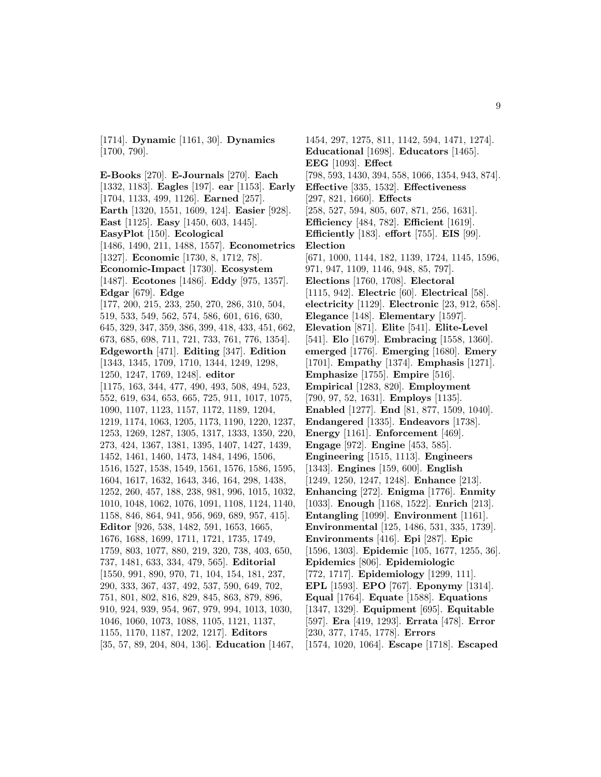[1714]. **Dynamic** [1161, 30]. **Dynamics** [1700, 790].

**E-Books** [270]. **E-Journals** [270]. **Each** [1332, 1183]. **Eagles** [197]. **ear** [1153]. **Early** [1704, 1133, 499, 1126]. **Earned** [257]. **Earth** [1320, 1551, 1609, 124]. **Easier** [928]. **East** [1125]. **Easy** [1450, 603, 1445]. **EasyPlot** [150]. **Ecological** [1486, 1490, 211, 1488, 1557]. **Econometrics** [1327]. **Economic** [1730, 8, 1712, 78]. **Economic-Impact** [1730]. **Ecosystem** [1487]. **Ecotones** [1486]. **Eddy** [975, 1357]. **Edgar** [679]. **Edge** [177, 200, 215, 233, 250, 270, 286, 310, 504, 519, 533, 549, 562, 574, 586, 601, 616, 630, 645, 329, 347, 359, 386, 399, 418, 433, 451, 662, 673, 685, 698, 711, 721, 733, 761, 776, 1354]. **Edgeworth** [471]. **Editing** [347]. **Edition** [1343, 1345, 1709, 1710, 1344, 1249, 1298, 1250, 1247, 1769, 1248]. **editor** [1175, 163, 344, 477, 490, 493, 508, 494, 523, 552, 619, 634, 653, 665, 725, 911, 1017, 1075, 1090, 1107, 1123, 1157, 1172, 1189, 1204, 1219, 1174, 1063, 1205, 1173, 1190, 1220, 1237, 1253, 1269, 1287, 1305, 1317, 1333, 1350, 220, 273, 424, 1367, 1381, 1395, 1407, 1427, 1439, 1452, 1461, 1460, 1473, 1484, 1496, 1506, 1516, 1527, 1538, 1549, 1561, 1576, 1586, 1595, 1604, 1617, 1632, 1643, 346, 164, 298, 1438, 1252, 260, 457, 188, 238, 981, 996, 1015, 1032, 1010, 1048, 1062, 1076, 1091, 1108, 1124, 1140, 1158, 846, 864, 941, 956, 969, 689, 957, 415]. **Editor** [926, 538, 1482, 591, 1653, 1665, 1676, 1688, 1699, 1711, 1721, 1735, 1749, 1759, 803, 1077, 880, 219, 320, 738, 403, 650, 737, 1481, 633, 334, 479, 565]. **Editorial** [1550, 991, 890, 970, 71, 104, 154, 181, 237, 290, 333, 367, 437, 492, 537, 590, 649, 702, 751, 801, 802, 816, 829, 845, 863, 879, 896, 910, 924, 939, 954, 967, 979, 994, 1013, 1030, 1046, 1060, 1073, 1088, 1105, 1121, 1137, 1155, 1170, 1187, 1202, 1217]. **Editors** [35, 57, 89, 204, 804, 136]. **Education** [1467,

1454, 297, 1275, 811, 1142, 594, 1471, 1274]. **Educational** [1698]. **Educators** [1465]. **EEG** [1093]. **Effect** [798, 593, 1430, 394, 558, 1066, 1354, 943, 874]. **Effective** [335, 1532]. **Effectiveness** [297, 821, 1660]. **Effects** [258, 527, 594, 805, 607, 871, 256, 1631]. **Efficiency** [484, 782]. **Efficient** [1619]. **Efficiently** [183]. **effort** [755]. **EIS** [99]. **Election** [671, 1000, 1144, 182, 1139, 1724, 1145, 1596, 971, 947, 1109, 1146, 948, 85, 797]. **Elections** [1760, 1708]. **Electoral** [1115, 942]. **Electric** [60]. **Electrical** [58]. **electricity** [1129]. **Electronic** [23, 912, 658]. **Elegance** [148]. **Elementary** [1597]. **Elevation** [871]. **Elite** [541]. **Elite-Level** [541]. **Elo** [1679]. **Embracing** [1558, 1360]. **emerged** [1776]. **Emerging** [1680]. **Emery** [1701]. **Empathy** [1374]. **Emphasis** [1271]. **Emphasize** [1755]. **Empire** [516]. **Empirical** [1283, 820]. **Employment** [790, 97, 52, 1631]. **Employs** [1135]. **Enabled** [1277]. **End** [81, 877, 1509, 1040]. **Endangered** [1335]. **Endeavors** [1738]. **Energy** [1161]. **Enforcement** [469]. **Engage** [972]. **Engine** [453, 585]. **Engineering** [1515, 1113]. **Engineers** [1343]. **Engines** [159, 600]. **English** [1249, 1250, 1247, 1248]. **Enhance** [213]. **Enhancing** [272]. **Enigma** [1776]. **Enmity** [1033]. **Enough** [1168, 1522]. **Enrich** [213]. **Entangling** [1099]. **Environment** [1161]. **Environmental** [125, 1486, 531, 335, 1739]. **Environments** [416]. **Epi** [287]. **Epic** [1596, 1303]. **Epidemic** [105, 1677, 1255, 36]. **Epidemics** [806]. **Epidemiologic** [772, 1717]. **Epidemiology** [1299, 111]. **EPL** [1593]. **EPO** [767]. **Eponymy** [1314]. **Equal** [1764]. **Equate** [1588]. **Equations** [1347, 1329]. **Equipment** [695]. **Equitable** [597]. **Era** [419, 1293]. **Errata** [478]. **Error** [230, 377, 1745, 1778]. **Errors** [1574, 1020, 1064]. **Escape** [1718]. **Escaped**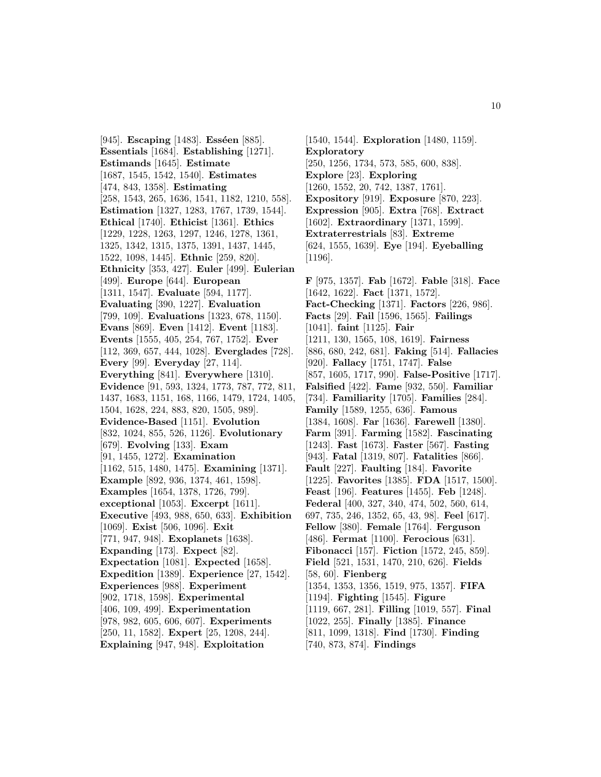[945]. **Escaping** [1483]. **Esséen** [885]. **Essentials** [1684]. **Establishing** [1271]. **Estimands** [1645]. **Estimate** [1687, 1545, 1542, 1540]. **Estimates** [474, 843, 1358]. **Estimating** [258, 1543, 265, 1636, 1541, 1182, 1210, 558]. **Estimation** [1327, 1283, 1767, 1739, 1544]. **Ethical** [1740]. **Ethicist** [1361]. **Ethics** [1229, 1228, 1263, 1297, 1246, 1278, 1361, 1325, 1342, 1315, 1375, 1391, 1437, 1445, 1522, 1098, 1445]. **Ethnic** [259, 820]. **Ethnicity** [353, 427]. **Euler** [499]. **Eulerian** [499]. **Europe** [644]. **European** [1311, 1547]. **Evaluate** [594, 1177]. **Evaluating** [390, 1227]. **Evaluation** [799, 109]. **Evaluations** [1323, 678, 1150]. **Evans** [869]. **Even** [1412]. **Event** [1183]. **Events** [1555, 405, 254, 767, 1752]. **Ever** [112, 369, 657, 444, 1028]. **Everglades** [728]. **Every** [99]. **Everyday** [27, 114]. **Everything** [841]. **Everywhere** [1310]. **Evidence** [91, 593, 1324, 1773, 787, 772, 811, 1437, 1683, 1151, 168, 1166, 1479, 1724, 1405, 1504, 1628, 224, 883, 820, 1505, 989]. **Evidence-Based** [1151]. **Evolution** [832, 1024, 855, 526, 1126]. **Evolutionary** [679]. **Evolving** [133]. **Exam** [91, 1455, 1272]. **Examination** [1162, 515, 1480, 1475]. **Examining** [1371]. **Example** [892, 936, 1374, 461, 1598]. **Examples** [1654, 1378, 1726, 799]. **exceptional** [1053]. **Excerpt** [1611]. **Executive** [493, 988, 650, 633]. **Exhibition** [1069]. **Exist** [506, 1096]. **Exit** [771, 947, 948]. **Exoplanets** [1638]. **Expanding** [173]. **Expect** [82]. **Expectation** [1081]. **Expected** [1658]. **Expedition** [1389]. **Experience** [27, 1542]. **Experiences** [988]. **Experiment** [902, 1718, 1598]. **Experimental** [406, 109, 499]. **Experimentation** [978, 982, 605, 606, 607]. **Experiments** [250, 11, 1582]. **Expert** [25, 1208, 244]. **Explaining** [947, 948]. **Exploitation**

[1540, 1544]. **Exploration** [1480, 1159]. **Exploratory** [250, 1256, 1734, 573, 585, 600, 838]. **Explore** [23]. **Exploring** [1260, 1552, 20, 742, 1387, 1761]. **Expository** [919]. **Exposure** [870, 223]. **Expression** [905]. **Extra** [768]. **Extract** [1602]. **Extraordinary** [1371, 1599]. **Extraterrestrials** [83]. **Extreme** [624, 1555, 1639]. **Eye** [194]. **Eyeballing** [1196]. **F** [975, 1357]. **Fab** [1672]. **Fable** [318]. **Face** [1642, 1622]. **Fact** [1371, 1572]. **Fact-Checking** [1371]. **Factors** [226, 986]. **Facts** [29]. **Fail** [1596, 1565]. **Failings** [1041]. **faint** [1125]. **Fair** [1211, 130, 1565, 108, 1619]. **Fairness**

[886, 680, 242, 681]. **Faking** [514]. **Fallacies** [920]. **Fallacy** [1751, 1747]. **False** [857, 1605, 1717, 990]. **False-Positive** [1717]. **Falsified** [422]. **Fame** [932, 550]. **Familiar** [734]. **Familiarity** [1705]. **Families** [284]. **Family** [1589, 1255, 636]. **Famous** [1384, 1608]. **Far** [1636]. **Farewell** [1380]. **Farm** [391]. **Farming** [1582]. **Fascinating** [1243]. **Fast** [1673]. **Faster** [567]. **Fasting** [943]. **Fatal** [1319, 807]. **Fatalities** [866]. **Fault** [227]. **Faulting** [184]. **Favorite** [1225]. **Favorites** [1385]. **FDA** [1517, 1500]. **Feast** [196]. **Features** [1455]. **Feb** [1248]. **Federal** [400, 327, 340, 474, 502, 560, 614, 697, 735, 246, 1352, 65, 43, 98]. **Feel** [617]. **Fellow** [380]. **Female** [1764]. **Ferguson** [486]. **Fermat** [1100]. **Ferocious** [631]. **Fibonacci** [157]. **Fiction** [1572, 245, 859]. **Field** [521, 1531, 1470, 210, 626]. **Fields** [58, 60]. **Fienberg** [1354, 1353, 1356, 1519, 975, 1357]. **FIFA** [1194]. **Fighting** [1545]. **Figure** [1119, 667, 281]. **Filling** [1019, 557]. **Final** [1022, 255]. **Finally** [1385]. **Finance** [811, 1099, 1318]. **Find** [1730]. **Finding** [740, 873, 874]. **Findings**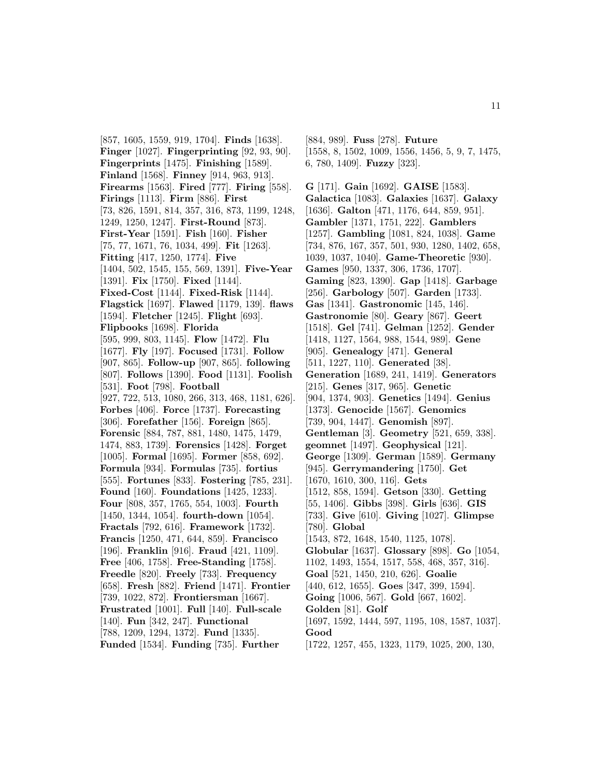[857, 1605, 1559, 919, 1704]. **Finds** [1638]. **Finger** [1027]. **Fingerprinting** [92, 93, 90]. **Fingerprints** [1475]. **Finishing** [1589]. **Finland** [1568]. **Finney** [914, 963, 913]. **Firearms** [1563]. **Fired** [777]. **Firing** [558]. **Firings** [1113]. **Firm** [886]. **First** [73, 826, 1591, 814, 357, 316, 873, 1199, 1248, 1249, 1250, 1247]. **First-Round** [873]. **First-Year** [1591]. **Fish** [160]. **Fisher** [75, 77, 1671, 76, 1034, 499]. **Fit** [1263]. **Fitting** [417, 1250, 1774]. **Five** [1404, 502, 1545, 155, 569, 1391]. **Five-Year** [1391]. **Fix** [1750]. **Fixed** [1144]. **Fixed-Cost** [1144]. **Fixed-Risk** [1144]. **Flagstick** [1697]. **Flawed** [1179, 139]. **flaws** [1594]. **Fletcher** [1245]. **Flight** [693]. **Flipbooks** [1698]. **Florida** [595, 999, 803, 1145]. **Flow** [1472]. **Flu** [1677]. **Fly** [197]. **Focused** [1731]. **Follow** [907, 865]. **Follow-up** [907, 865]. **following** [807]. **Follows** [1390]. **Food** [1131]. **Foolish** [531]. **Foot** [798]. **Football** [927, 722, 513, 1080, 266, 313, 468, 1181, 626]. **Forbes** [406]. **Force** [1737]. **Forecasting** [306]. **Forefather** [156]. **Foreign** [865]. **Forensic** [884, 787, 881, 1480, 1475, 1479, 1474, 883, 1739]. **Forensics** [1428]. **Forget** [1005]. **Formal** [1695]. **Former** [858, 692]. **Formula** [934]. **Formulas** [735]. **fortius** [555]. **Fortunes** [833]. **Fostering** [785, 231]. **Found** [160]. **Foundations** [1425, 1233]. **Four** [808, 357, 1765, 554, 1003]. **Fourth** [1450, 1344, 1054]. **fourth-down** [1054]. **Fractals** [792, 616]. **Framework** [1732]. **Francis** [1250, 471, 644, 859]. **Francisco** [196]. **Franklin** [916]. **Fraud** [421, 1109]. **Free** [406, 1758]. **Free-Standing** [1758]. **Freedle** [820]. **Freely** [733]. **Frequency** [658]. **Fresh** [882]. **Friend** [1471]. **Frontier** [739, 1022, 872]. **Frontiersman** [1667]. **Frustrated** [1001]. **Full** [140]. **Full-scale** [140]. **Fun** [342, 247]. **Functional** [788, 1209, 1294, 1372]. **Fund** [1335]. **Funded** [1534]. **Funding** [735]. **Further**

[884, 989]. **Fuss** [278]. **Future** [1558, 8, 1502, 1009, 1556, 1456, 5, 9, 7, 1475, 6, 780, 1409]. **Fuzzy** [323].

**G** [171]. **Gain** [1692]. **GAISE** [1583]. **Galactica** [1083]. **Galaxies** [1637]. **Galaxy** [1636]. **Galton** [471, 1176, 644, 859, 951]. **Gambler** [1371, 1751, 222]. **Gamblers** [1257]. **Gambling** [1081, 824, 1038]. **Game** [734, 876, 167, 357, 501, 930, 1280, 1402, 658, 1039, 1037, 1040]. **Game-Theoretic** [930]. **Games** [950, 1337, 306, 1736, 1707]. **Gaming** [823, 1390]. **Gap** [1418]. **Garbage** [256]. **Garbology** [507]. **Garden** [1733]. **Gas** [1341]. **Gastronomic** [145, 146]. **Gastronomie** [80]. **Geary** [867]. **Geert** [1518]. **Gel** [741]. **Gelman** [1252]. **Gender** [1418, 1127, 1564, 988, 1544, 989]. **Gene** [905]. **Genealogy** [471]. **General** [511, 1227, 110]. **Generated** [38]. **Generation** [1689, 241, 1419]. **Generators** [215]. **Genes** [317, 965]. **Genetic** [904, 1374, 903]. **Genetics** [1494]. **Genius** [1373]. **Genocide** [1567]. **Genomics** [739, 904, 1447]. **Genomish** [897]. **Gentleman** [3]. **Geometry** [521, 659, 338]. **geomnet** [1497]. **Geophysical** [121]. **George** [1309]. **German** [1589]. **Germany** [945]. **Gerrymandering** [1750]. **Get** [1670, 1610, 300, 116]. **Gets** [1512, 858, 1594]. **Getson** [330]. **Getting** [55, 1406]. **Gibbs** [398]. **Girls** [636]. **GIS** [733]. **Give** [610]. **Giving** [1027]. **Glimpse** [780]. **Global** [1543, 872, 1648, 1540, 1125, 1078]. **Globular** [1637]. **Glossary** [898]. **Go** [1054, 1102, 1493, 1554, 1517, 558, 468, 357, 316]. **Goal** [521, 1450, 210, 626]. **Goalie** [440, 612, 1655]. **Goes** [347, 399, 1594]. **Going** [1006, 567]. **Gold** [667, 1602]. **Golden** [81]. **Golf** [1697, 1592, 1444, 597, 1195, 108, 1587, 1037]. **Good** [1722, 1257, 455, 1323, 1179, 1025, 200, 130,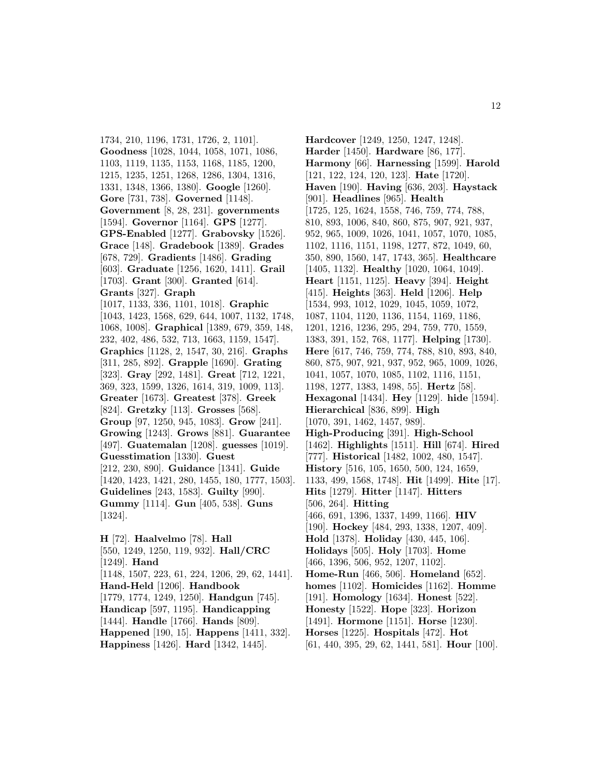1734, 210, 1196, 1731, 1726, 2, 1101]. **Goodness** [1028, 1044, 1058, 1071, 1086, 1103, 1119, 1135, 1153, 1168, 1185, 1200, 1215, 1235, 1251, 1268, 1286, 1304, 1316, 1331, 1348, 1366, 1380]. **Google** [1260]. **Gore** [731, 738]. **Governed** [1148]. **Government** [8, 28, 231]. **governments** [1594]. **Governor** [1164]. **GPS** [1277]. **GPS-Enabled** [1277]. **Grabovsky** [1526]. **Grace** [148]. **Gradebook** [1389]. **Grades** [678, 729]. **Gradients** [1486]. **Grading** [603]. **Graduate** [1256, 1620, 1411]. **Grail** [1703]. **Grant** [300]. **Granted** [614]. **Grants** [327]. **Graph** [1017, 1133, 336, 1101, 1018]. **Graphic** [1043, 1423, 1568, 629, 644, 1007, 1132, 1748, 1068, 1008]. **Graphical** [1389, 679, 359, 148, 232, 402, 486, 532, 713, 1663, 1159, 1547]. **Graphics** [1128, 2, 1547, 30, 216]. **Graphs** [311, 285, 892]. **Grapple** [1690]. **Grating** [323]. **Gray** [292, 1481]. **Great** [712, 1221, 369, 323, 1599, 1326, 1614, 319, 1009, 113]. **Greater** [1673]. **Greatest** [378]. **Greek** [824]. **Gretzky** [113]. **Grosses** [568]. **Group** [97, 1250, 945, 1083]. **Grow** [241]. **Growing** [1243]. **Grows** [881]. **Guarantee** [497]. **Guatemalan** [1208]. **guesses** [1019]. **Guesstimation** [1330]. **Guest** [212, 230, 890]. **Guidance** [1341]. **Guide** [1420, 1423, 1421, 280, 1455, 180, 1777, 1503]. **Guidelines** [243, 1583]. **Guilty** [990]. **Gummy** [1114]. **Gun** [405, 538]. **Guns** [1324].

**H** [72]. **Haalvelmo** [78]. **Hall** [550, 1249, 1250, 119, 932]. **Hall/CRC** [1249]. **Hand** [1148, 1507, 223, 61, 224, 1206, 29, 62, 1441]. **Hand-Held** [1206]. **Handbook** [1779, 1774, 1249, 1250]. **Handgun** [745]. **Handicap** [597, 1195]. **Handicapping** [1444]. **Handle** [1766]. **Hands** [809]. **Happened** [190, 15]. **Happens** [1411, 332]. **Happiness** [1426]. **Hard** [1342, 1445].

**Hardcover** [1249, 1250, 1247, 1248]. **Harder** [1450]. **Hardware** [86, 177]. **Harmony** [66]. **Harnessing** [1599]. **Harold** [121, 122, 124, 120, 123]. **Hate** [1720]. **Haven** [190]. **Having** [636, 203]. **Haystack** [901]. **Headlines** [965]. **Health** [1725, 125, 1624, 1558, 746, 759, 774, 788, 810, 893, 1006, 840, 860, 875, 907, 921, 937, 952, 965, 1009, 1026, 1041, 1057, 1070, 1085, 1102, 1116, 1151, 1198, 1277, 872, 1049, 60, 350, 890, 1560, 147, 1743, 365]. **Healthcare** [1405, 1132]. **Healthy** [1020, 1064, 1049]. **Heart** [1151, 1125]. **Heavy** [394]. **Height** [415]. **Heights** [363]. **Held** [1206]. **Help** [1534, 993, 1012, 1029, 1045, 1059, 1072, 1087, 1104, 1120, 1136, 1154, 1169, 1186, 1201, 1216, 1236, 295, 294, 759, 770, 1559, 1383, 391, 152, 768, 1177]. **Helping** [1730]. **Here** [617, 746, 759, 774, 788, 810, 893, 840, 860, 875, 907, 921, 937, 952, 965, 1009, 1026, 1041, 1057, 1070, 1085, 1102, 1116, 1151, 1198, 1277, 1383, 1498, 55]. **Hertz** [58]. **Hexagonal** [1434]. **Hey** [1129]. **hide** [1594]. **Hierarchical** [836, 899]. **High** [1070, 391, 1462, 1457, 989]. **High-Producing** [391]. **High-School** [1462]. **Highlights** [1511]. **Hill** [674]. **Hired** [777]. **Historical** [1482, 1002, 480, 1547]. **History** [516, 105, 1650, 500, 124, 1659, 1133, 499, 1568, 1748]. **Hit** [1499]. **Hite** [17]. **Hits** [1279]. **Hitter** [1147]. **Hitters** [506, 264]. **Hitting** [466, 691, 1396, 1337, 1499, 1166]. **HIV** [190]. **Hockey** [484, 293, 1338, 1207, 409]. **Hold** [1378]. **Holiday** [430, 445, 106]. **Holidays** [505]. **Holy** [1703]. **Home** [466, 1396, 506, 952, 1207, 1102]. **Home-Run** [466, 506]. **Homeland** [652]. **homes** [1102]. **Homicides** [1162]. **Homme** [191]. **Homology** [1634]. **Honest** [522]. **Honesty** [1522]. **Hope** [323]. **Horizon** [1491]. **Hormone** [1151]. **Horse** [1230]. **Horses** [1225]. **Hospitals** [472]. **Hot** [61, 440, 395, 29, 62, 1441, 581]. **Hour** [100].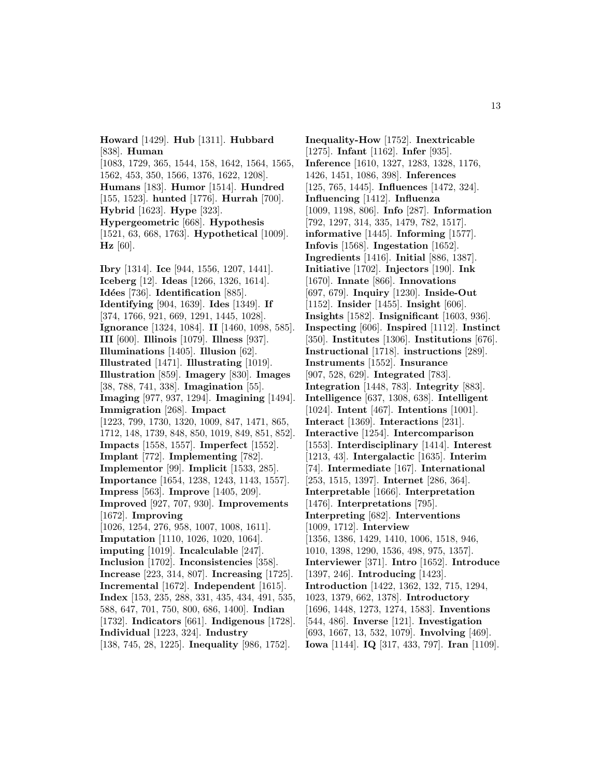**Howard** [1429]. **Hub** [1311]. **Hubbard** [838]. **Human** [1083, 1729, 365, 1544, 158, 1642, 1564, 1565, 1562, 453, 350, 1566, 1376, 1622, 1208]. **Humans** [183]. **Humor** [1514]. **Hundred** [155, 1523]. **hunted** [1776]. **Hurrah** [700]. **Hybrid** [1623]. **Hype** [323]. **Hypergeometric** [668]. **Hypothesis** [1521, 63, 668, 1763]. **Hypothetical** [1009]. **Hz** [60].

**Ibry** [1314]. **Ice** [944, 1556, 1207, 1441]. **Iceberg** [12]. **Ideas** [1266, 1326, 1614]. **Id´ees** [736]. **Identification** [885]. **Identifying** [904, 1639]. **Ides** [1349]. **If** [374, 1766, 921, 669, 1291, 1445, 1028]. **Ignorance** [1324, 1084]. **II** [1460, 1098, 585]. **III** [600]. **Illinois** [1079]. **Illness** [937]. **Illuminations** [1405]. **Illusion** [62]. **Illustrated** [1471]. **Illustrating** [1019]. **Illustration** [859]. **Imagery** [830]. **Images** [38, 788, 741, 338]. **Imagination** [55]. **Imaging** [977, 937, 1294]. **Imagining** [1494]. **Immigration** [268]. **Impact** [1223, 799, 1730, 1320, 1009, 847, 1471, 865, 1712, 148, 1739, 848, 850, 1019, 849, 851, 852]. **Impacts** [1558, 1557]. **Imperfect** [1552]. **Implant** [772]. **Implementing** [782]. **Implementor** [99]. **Implicit** [1533, 285]. **Importance** [1654, 1238, 1243, 1143, 1557]. **Impress** [563]. **Improve** [1405, 209]. **Improved** [927, 707, 930]. **Improvements** [1672]. **Improving** [1026, 1254, 276, 958, 1007, 1008, 1611]. **Imputation** [1110, 1026, 1020, 1064]. **imputing** [1019]. **Incalculable** [247]. **Inclusion** [1702]. **Inconsistencies** [358]. **Increase** [223, 314, 807]. **Increasing** [1725]. **Incremental** [1672]. **Independent** [1615]. **Index** [153, 235, 288, 331, 435, 434, 491, 535, 588, 647, 701, 750, 800, 686, 1400]. **Indian** [1732]. **Indicators** [661]. **Indigenous** [1728]. **Individual** [1223, 324]. **Industry** [138, 745, 28, 1225]. **Inequality** [986, 1752].

**Inequality-How** [1752]. **Inextricable** [1275]. **Infant** [1162]. **Infer** [935]. **Inference** [1610, 1327, 1283, 1328, 1176, 1426, 1451, 1086, 398]. **Inferences** [125, 765, 1445]. **Influences** [1472, 324]. **Influencing** [1412]. **Influenza** [1009, 1198, 806]. **Info** [287]. **Information** [792, 1297, 314, 335, 1479, 782, 1517]. **informative** [1445]. **Informing** [1577]. **Infovis** [1568]. **Ingestation** [1652]. **Ingredients** [1416]. **Initial** [886, 1387]. **Initiative** [1702]. **Injectors** [190]. **Ink** [1670]. **Innate** [866]. **Innovations** [697, 679]. **Inquiry** [1230]. **Inside-Out** [1152]. **Insider** [1455]. **Insight** [606]. **Insights** [1582]. **Insignificant** [1603, 936]. **Inspecting** [606]. **Inspired** [1112]. **Instinct** [350]. **Institutes** [1306]. **Institutions** [676]. **Instructional** [1718]. **instructions** [289]. **Instruments** [1552]. **Insurance** [907, 528, 629]. **Integrated** [783]. **Integration** [1448, 783]. **Integrity** [883]. **Intelligence** [637, 1308, 638]. **Intelligent** [1024]. **Intent** [467]. **Intentions** [1001]. **Interact** [1369]. **Interactions** [231]. **Interactive** [1254]. **Intercomparison** [1553]. **Interdisciplinary** [1414]. **Interest** [1213, 43]. **Intergalactic** [1635]. **Interim** [74]. **Intermediate** [167]. **International** [253, 1515, 1397]. **Internet** [286, 364]. **Interpretable** [1666]. **Interpretation** [1476]. **Interpretations** [795]. **Interpreting** [682]. **Interventions** [1009, 1712]. **Interview** [1356, 1386, 1429, 1410, 1006, 1518, 946, 1010, 1398, 1290, 1536, 498, 975, 1357]. **Interviewer** [371]. **Intro** [1652]. **Introduce** [1397, 246]. **Introducing** [1423]. **Introduction** [1422, 1362, 132, 715, 1294, 1023, 1379, 662, 1378]. **Introductory** [1696, 1448, 1273, 1274, 1583]. **Inventions** [544, 486]. **Inverse** [121]. **Investigation** [693, 1667, 13, 532, 1079]. **Involving** [469]. **Iowa** [1144]. **IQ** [317, 433, 797]. **Iran** [1109].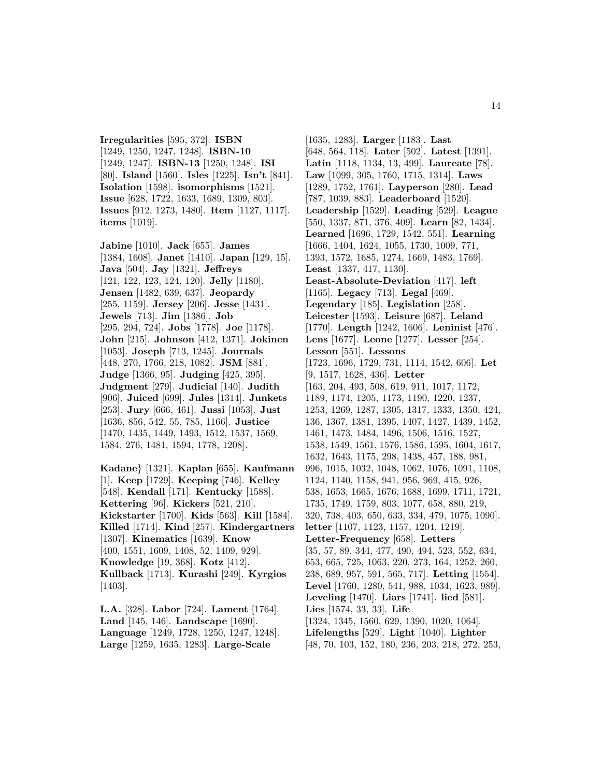**Irregularities** [595, 372]. **ISBN** [1249, 1250, 1247, 1248]. **ISBN-10** [1249, 1247]. **ISBN-13** [1250, 1248]. **ISI** [80]. **Island** [1560]. **Isles** [1225]. **Isn't** [841]. **Isolation** [1598]. **isomorphisms** [1521]. **Issue** [628, 1722, 1633, 1689, 1309, 803]. **Issues** [912, 1273, 1480]. **Item** [1127, 1117]. **items** [1019].

**Jabine** [1010]. **Jack** [655]. **James** [1384, 1608]. **Janet** [1410]. **Japan** [129, 15]. **Java** [504]. **Jay** [1321]. **Jeffreys** [121, 122, 123, 124, 120]. **Jelly** [1180]. **Jensen** [1482, 639, 637]. **Jeopardy** [255, 1159]. **Jersey** [206]. **Jesse** [1431]. **Jewels** [713]. **Jim** [1386]. **Job** [295, 294, 724]. **Jobs** [1778]. **Joe** [1178]. **John** [215]. **Johnson** [412, 1371]. **Jokinen** [1053]. **Joseph** [713, 1245]. **Journals** [448, 270, 1766, 218, 1082]. **JSM** [881]. **Judge** [1366, 95]. **Judging** [425, 395]. **Judgment** [279]. **Judicial** [140]. **Judith** [906]. **Juiced** [699]. **Jules** [1314]. **Junkets** [253]. **Jury** [666, 461]. **Jussi** [1053]. **Just** [1636, 856, 542, 55, 785, 1166]. **Justice** [1470, 1435, 1449, 1493, 1512, 1537, 1569, 1584, 276, 1481, 1594, 1778, 1208].

**Kadane**} [1321]. **Kaplan** [655]. **Kaufmann** [1]. **Keep** [1729]. **Keeping** [746]. **Kelley** [548]. **Kendall** [171]. **Kentucky** [1588]. **Kettering** [96]. **Kickers** [521, 210]. **Kickstarter** [1700]. **Kids** [563]. **Kill** [1584]. **Killed** [1714]. **Kind** [257]. **Kindergartners** [1307]. **Kinematics** [1639]. **Know** [400, 1551, 1609, 1408, 52, 1409, 929]. **Knowledge** [19, 368]. **Kotz** [412]. **Kullback** [1713]. **Kurashi** [249]. **Kyrgios** [1403].

**L.A.** [328]. **Labor** [724]. **Lament** [1764]. **Land** [145, 146]. **Landscape** [1690]. **Language** [1249, 1728, 1250, 1247, 1248]. **Large** [1259, 1635, 1283]. **Large-Scale**

[1635, 1283]. **Larger** [1183]. **Last** [648, 564, 118]. **Later** [502]. **Latest** [1391]. **Latin** [1118, 1134, 13, 499]. **Laureate** [78]. **Law** [1099, 305, 1760, 1715, 1314]. **Laws** [1289, 1752, 1761]. **Layperson** [280]. **Lead** [787, 1039, 883]. **Leaderboard** [1520]. **Leadership** [1529]. **Leading** [529]. **League** [550, 1337, 871, 376, 409]. **Learn** [82, 1434]. **Learned** [1696, 1729, 1542, 551]. **Learning** [1666, 1404, 1624, 1055, 1730, 1009, 771, 1393, 1572, 1685, 1274, 1669, 1483, 1769]. **Least** [1337, 417, 1130]. **Least-Absolute-Deviation** [417]. **left** [1165]. **Legacy** [713]. **Legal** [469]. **Legendary** [185]. **Legislation** [258]. **Leicester** [1593]. **Leisure** [687]. **Leland** [1770]. **Length** [1242, 1606]. **Leninist** [476]. **Lens** [1677]. **Leone** [1277]. **Lesser** [254]. **Lesson** [551]. **Lessons** [1723, 1696, 1729, 731, 1114, 1542, 606]. **Let** [9, 1517, 1628, 436]. **Letter** [163, 204, 493, 508, 619, 911, 1017, 1172, 1189, 1174, 1205, 1173, 1190, 1220, 1237, 1253, 1269, 1287, 1305, 1317, 1333, 1350, 424, 136, 1367, 1381, 1395, 1407, 1427, 1439, 1452, 1461, 1473, 1484, 1496, 1506, 1516, 1527, 1538, 1549, 1561, 1576, 1586, 1595, 1604, 1617, 1632, 1643, 1175, 298, 1438, 457, 188, 981, 996, 1015, 1032, 1048, 1062, 1076, 1091, 1108, 1124, 1140, 1158, 941, 956, 969, 415, 926, 538, 1653, 1665, 1676, 1688, 1699, 1711, 1721, 1735, 1749, 1759, 803, 1077, 658, 880, 219, 320, 738, 403, 650, 633, 334, 479, 1075, 1090]. **letter** [1107, 1123, 1157, 1204, 1219]. **Letter-Frequency** [658]. **Letters** [35, 57, 89, 344, 477, 490, 494, 523, 552, 634, 653, 665, 725, 1063, 220, 273, 164, 1252, 260, 238, 689, 957, 591, 565, 717]. **Letting** [1554]. **Level** [1760, 1280, 541, 988, 1034, 1623, 989]. **Leveling** [1470]. **Liars** [1741]. **lied** [581]. **Lies** [1574, 33, 33]. **Life** [1324, 1345, 1560, 629, 1390, 1020, 1064]. **Lifelengths** [529]. **Light** [1040]. **Lighter** [48, 70, 103, 152, 180, 236, 203, 218, 272, 253,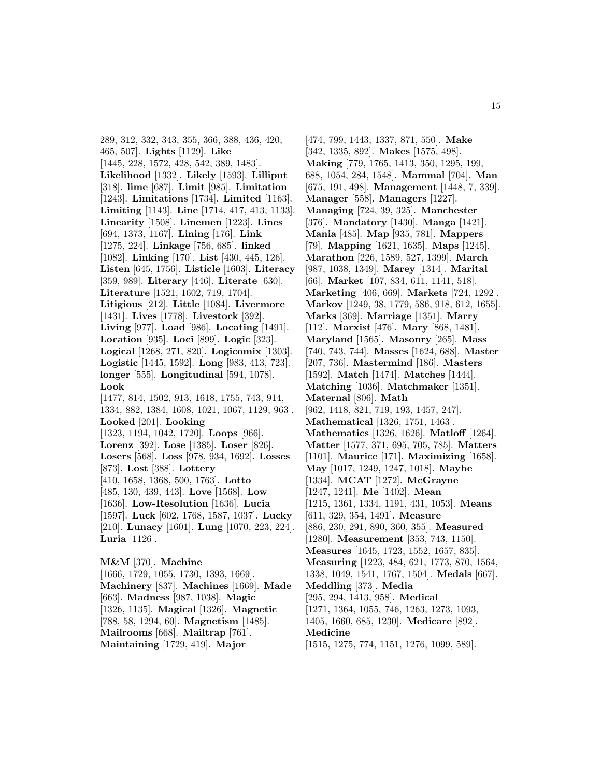289, 312, 332, 343, 355, 366, 388, 436, 420, 465, 507]. **Lights** [1129]. **Like** [1445, 228, 1572, 428, 542, 389, 1483]. **Likelihood** [1332]. **Likely** [1593]. **Lilliput** [318]. **lime** [687]. **Limit** [985]. **Limitation** [1243]. **Limitations** [1734]. **Limited** [1163]. **Limiting** [1143]. **Line** [1714, 417, 413, 1133]. **Linearity** [1508]. **Linemen** [1223]. **Lines** [694, 1373, 1167]. **Lining** [176]. **Link** [1275, 224]. **Linkage** [756, 685]. **linked** [1082]. **Linking** [170]. **List** [430, 445, 126]. **Listen** [645, 1756]. **Listicle** [1603]. **Literacy** [359, 989]. **Literary** [446]. **Literate** [630]. **Literature** [1521, 1602, 719, 1704]. **Litigious** [212]. **Little** [1084]. **Livermore** [1431]. **Lives** [1778]. **Livestock** [392]. **Living** [977]. **Load** [986]. **Locating** [1491]. **Location** [935]. **Loci** [899]. **Logic** [323]. **Logical** [1268, 271, 820]. **Logicomix** [1303]. **Logistic** [1445, 1592]. **Long** [983, 413, 723]. **longer** [555]. **Longitudinal** [594, 1078]. **Look** [1477, 814, 1502, 913, 1618, 1755, 743, 914, 1334, 882, 1384, 1608, 1021, 1067, 1129, 963]. **Looked** [201]. **Looking** [1323, 1194, 1042, 1720]. **Loops** [966]. **Lorenz** [392]. **Lose** [1385]. **Loser** [826]. **Losers** [568]. **Loss** [978, 934, 1692]. **Losses** [873]. **Lost** [388]. **Lottery** [410, 1658, 1368, 500, 1763]. **Lotto** [485, 130, 439, 443]. **Love** [1568]. **Low** [1636]. **Low-Resolution** [1636]. **Lucia** [1597]. **Luck** [602, 1768, 1587, 1037]. **Lucky** [210]. **Lunacy** [1601]. **Lung** [1070, 223, 224]. **Luria** [1126]. **M&M** [370]. **Machine**

[1666, 1729, 1055, 1730, 1393, 1669]. **Machinery** [837]. **Machines** [1669]. **Made** [663]. **Madness** [987, 1038]. **Magic** [1326, 1135]. **Magical** [1326]. **Magnetic** [788, 58, 1294, 60]. **Magnetism** [1485]. **Mailrooms** [668]. **Mailtrap** [761]. **Maintaining** [1729, 419]. **Major**

[474, 799, 1443, 1337, 871, 550]. **Make** [342, 1335, 892]. **Makes** [1575, 498]. **Making** [779, 1765, 1413, 350, 1295, 199, 688, 1054, 284, 1548]. **Mammal** [704]. **Man** [675, 191, 498]. **Management** [1448, 7, 339]. **Manager** [558]. **Managers** [1227]. **Managing** [724, 39, 325]. **Manchester** [376]. **Mandatory** [1430]. **Manga** [1421]. **Mania** [485]. **Map** [935, 781]. **Mappers** [79]. **Mapping** [1621, 1635]. **Maps** [1245]. **Marathon** [226, 1589, 527, 1399]. **March** [987, 1038, 1349]. **Marey** [1314]. **Marital** [66]. **Market** [107, 834, 611, 1141, 518]. **Marketing** [406, 669]. **Markets** [724, 1292]. **Markov** [1249, 38, 1779, 586, 918, 612, 1655]. **Marks** [369]. **Marriage** [1351]. **Marry** [112]. **Marxist** [476]. **Mary** [868, 1481]. **Maryland** [1565]. **Masonry** [265]. **Mass** [740, 743, 744]. **Masses** [1624, 688]. **Master** [207, 736]. **Mastermind** [186]. **Masters** [1592]. **Match** [1474]. **Matches** [1444]. **Matching** [1036]. **Matchmaker** [1351]. **Maternal** [806]. **Math** [962, 1418, 821, 719, 193, 1457, 247]. **Mathematical** [1326, 1751, 1463]. **Mathematics** [1326, 1626]. **Matloff** [1264]. **Matter** [1577, 371, 695, 705, 785]. **Matters** [1101]. **Maurice** [171]. **Maximizing** [1658]. **May** [1017, 1249, 1247, 1018]. **Maybe** [1334]. **MCAT** [1272]. **McGrayne** [1247, 1241]. **Me** [1402]. **Mean** [1215, 1361, 1334, 1191, 431, 1053]. **Means** [611, 329, 354, 1491]. **Measure** [886, 230, 291, 890, 360, 355]. **Measured** [1280]. **Measurement** [353, 743, 1150]. **Measures** [1645, 1723, 1552, 1657, 835]. **Measuring** [1223, 484, 621, 1773, 870, 1564, 1338, 1049, 1541, 1767, 1504]. **Medals** [667]. **Meddling** [373]. **Media** [295, 294, 1413, 958]. **Medical** [1271, 1364, 1055, 746, 1263, 1273, 1093, 1405, 1660, 685, 1230]. **Medicare** [892]. **Medicine** [1515, 1275, 774, 1151, 1276, 1099, 589].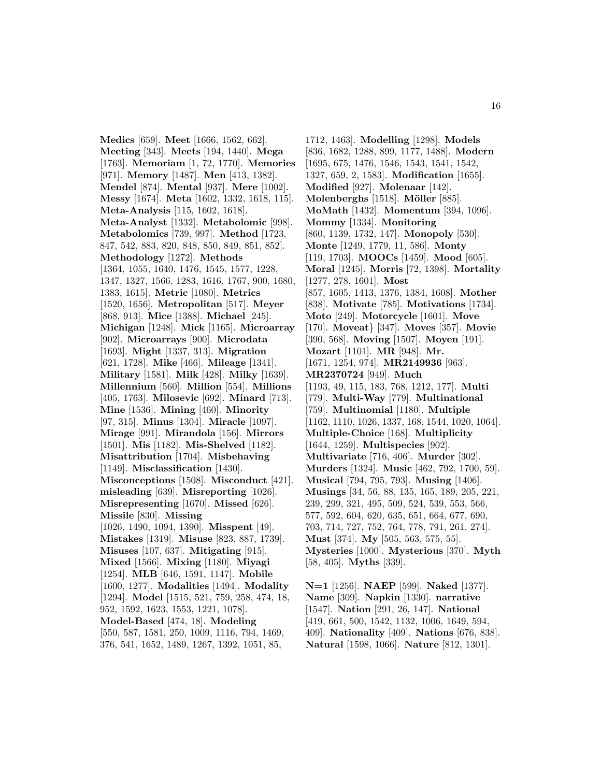**Medics** [659]. **Meet** [1666, 1562, 662]. **Meeting** [343]. **Meets** [194, 1440]. **Mega** [1763]. **Memoriam** [1, 72, 1770]. **Memories** [971]. **Memory** [1487]. **Men** [413, 1382]. **Mendel** [874]. **Mental** [937]. **Mere** [1002]. **Messy** [1674]. **Meta** [1602, 1332, 1618, 115]. **Meta-Analysis** [115, 1602, 1618]. **Meta-Analyst** [1332]. **Metabolomic** [998]. **Metabolomics** [739, 997]. **Method** [1723, 847, 542, 883, 820, 848, 850, 849, 851, 852]. **Methodology** [1272]. **Methods** [1364, 1055, 1640, 1476, 1545, 1577, 1228, 1347, 1327, 1566, 1283, 1616, 1767, 900, 1680, 1383, 1615]. **Metric** [1080]. **Metrics** [1520, 1656]. **Metropolitan** [517]. **Meyer** [868, 913]. **Mice** [1388]. **Michael** [245]. **Michigan** [1248]. **Mick** [1165]. **Microarray** [902]. **Microarrays** [900]. **Microdata** [1693]. **Might** [1337, 313]. **Migration** [621, 1728]. **Mike** [466]. **Mileage** [1341]. **Military** [1581]. **Milk** [428]. **Milky** [1639]. **Millennium** [560]. **Million** [554]. **Millions** [405, 1763]. **Milosevic** [692]. **Minard** [713]. **Mine** [1536]. **Mining** [460]. **Minority** [97, 315]. **Minus** [1304]. **Miracle** [1097]. **Mirage** [991]. **Mirandola** [156]. **Mirrors** [1501]. **Mis** [1182]. **Mis-Shelved** [1182]. **Misattribution** [1704]. **Misbehaving** [1149]. **Misclassification** [1430]. **Misconceptions** [1508]. **Misconduct** [421]. **misleading** [639]. **Misreporting** [1026]. **Misrepresenting** [1670]. **Missed** [626]. **Missile** [830]. **Missing** [1026, 1490, 1094, 1390]. **Misspent** [49]. **Mistakes** [1319]. **Misuse** [823, 887, 1739]. **Misuses** [107, 637]. **Mitigating** [915]. **Mixed** [1566]. **Mixing** [1180]. **Miyagi** [1254]. **MLB** [646, 1591, 1147]. **Mobile** [1600, 1277]. **Modalities** [1494]. **Modality** [1294]. **Model** [1515, 521, 759, 258, 474, 18, 952, 1592, 1623, 1553, 1221, 1078]. **Model-Based** [474, 18]. **Modeling** [550, 587, 1581, 250, 1009, 1116, 794, 1469, 376, 541, 1652, 1489, 1267, 1392, 1051, 85,

1712, 1463]. **Modelling** [1298]. **Models** [836, 1682, 1288, 899, 1177, 1488]. **Modern** [1695, 675, 1476, 1546, 1543, 1541, 1542, 1327, 659, 2, 1583]. **Modification** [1655]. **Modified** [927]. **Molenaar** [142]. **Molenberghs** [1518]. **Möller** [885]. **MoMath** [1432]. **Momentum** [394, 1096]. **Mommy** [1334]. **Monitoring** [860, 1139, 1732, 147]. **Monopoly** [530]. **Monte** [1249, 1779, 11, 586]. **Monty** [119, 1703]. **MOOCs** [1459]. **Mood** [605]. **Moral** [1245]. **Morris** [72, 1398]. **Mortality** [1277, 278, 1601]. **Most** [857, 1605, 1413, 1376, 1384, 1608]. **Mother** [838]. **Motivate** [785]. **Motivations** [1734]. **Moto** [249]. **Motorcycle** [1601]. **Move** [170]. **Moveat**} [347]. **Moves** [357]. **Movie** [390, 568]. **Moving** [1507]. **Moyen** [191]. **Mozart** [1101]. **MR** [948]. **Mr.** [1671, 1254, 974]. **MR2149936** [963]. **MR2370724** [949]. **Much** [1193, 49, 115, 183, 768, 1212, 177]. **Multi** [779]. **Multi-Way** [779]. **Multinational** [759]. **Multinomial** [1180]. **Multiple** [1162, 1110, 1026, 1337, 168, 1544, 1020, 1064]. **Multiple-Choice** [168]. **Multiplicity** [1644, 1259]. **Multispecies** [902]. **Multivariate** [716, 406]. **Murder** [302]. **Murders** [1324]. **Music** [462, 792, 1700, 59]. **Musical** [794, 795, 793]. **Musing** [1406]. **Musings** [34, 56, 88, 135, 165, 189, 205, 221, 239, 299, 321, 495, 509, 524, 539, 553, 566, 577, 592, 604, 620, 635, 651, 664, 677, 690, 703, 714, 727, 752, 764, 778, 791, 261, 274]. **Must** [374]. **My** [505, 563, 575, 55]. **Mysteries** [1000]. **Mysterious** [370]. **Myth** [58, 405]. **Myths** [339].

**N=1** [1256]. **NAEP** [599]. **Naked** [1377]. **Name** [309]. **Napkin** [1330]. **narrative** [1547]. **Nation** [291, 26, 147]. **National** [419, 661, 500, 1542, 1132, 1006, 1649, 594, 409]. **Nationality** [409]. **Nations** [676, 838]. **Natural** [1598, 1066]. **Nature** [812, 1301].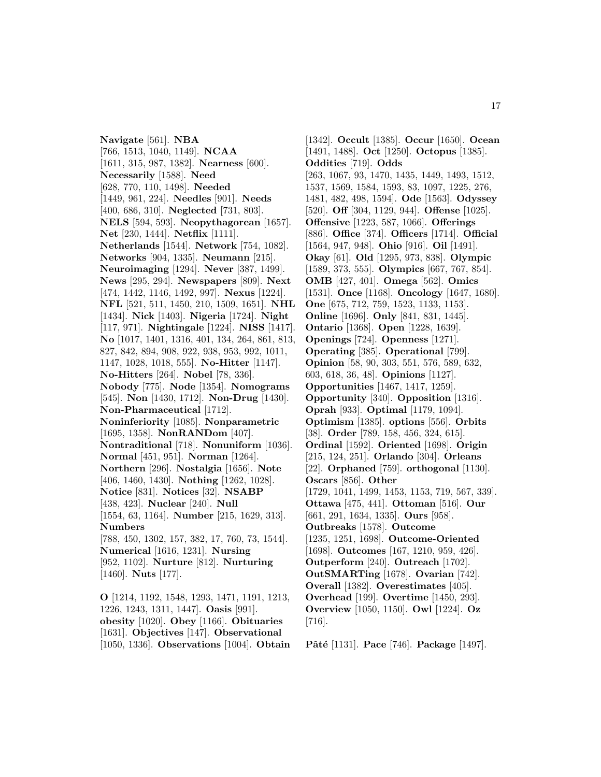**Navigate** [561]. **NBA** [766, 1513, 1040, 1149]. **NCAA** [1611, 315, 987, 1382]. **Nearness** [600]. **Necessarily** [1588]. **Need** [628, 770, 110, 1498]. **Needed** [1449, 961, 224]. **Needles** [901]. **Needs** [400, 686, 310]. **Neglected** [731, 803]. **NELS** [594, 593]. **Neopythagorean** [1657]. **Net** [230, 1444]. **Netflix** [1111]. **Netherlands** [1544]. **Network** [754, 1082]. **Networks** [904, 1335]. **Neumann** [215]. **Neuroimaging** [1294]. **Never** [387, 1499]. **News** [295, 294]. **Newspapers** [809]. **Next** [474, 1442, 1146, 1492, 997]. **Nexus** [1224]. **NFL** [521, 511, 1450, 210, 1509, 1651]. **NHL** [1434]. **Nick** [1403]. **Nigeria** [1724]. **Night** [117, 971]. **Nightingale** [1224]. **NISS** [1417]. **No** [1017, 1401, 1316, 401, 134, 264, 861, 813, 827, 842, 894, 908, 922, 938, 953, 992, 1011, 1147, 1028, 1018, 555]. **No-Hitter** [1147]. **No-Hitters** [264]. **Nobel** [78, 336]. **Nobody** [775]. **Node** [1354]. **Nomograms** [545]. **Non** [1430, 1712]. **Non-Drug** [1430]. **Non-Pharmaceutical** [1712]. **Noninferiority** [1085]. **Nonparametric** [1695, 1358]. **NonRANDom** [407]. **Nontraditional** [718]. **Nonuniform** [1036]. **Normal** [451, 951]. **Norman** [1264]. **Northern** [296]. **Nostalgia** [1656]. **Note** [406, 1460, 1430]. **Nothing** [1262, 1028]. **Notice** [831]. **Notices** [32]. **NSABP** [438, 423]. **Nuclear** [240]. **Null** [1554, 63, 1164]. **Number** [215, 1629, 313]. **Numbers** [788, 450, 1302, 157, 382, 17, 760, 73, 1544]. **Numerical** [1616, 1231]. **Nursing** [952, 1102]. **Nurture** [812]. **Nurturing** [1460]. **Nuts** [177].

**O** [1214, 1192, 1548, 1293, 1471, 1191, 1213, 1226, 1243, 1311, 1447]. **Oasis** [991]. **obesity** [1020]. **Obey** [1166]. **Obituaries** [1631]. **Objectives** [147]. **Observational** [1050, 1336]. **Observations** [1004]. **Obtain**

[1342]. **Occult** [1385]. **Occur** [1650]. **Ocean** [1491, 1488]. **Oct** [1250]. **Octopus** [1385]. **Oddities** [719]. **Odds** [263, 1067, 93, 1470, 1435, 1449, 1493, 1512, 1537, 1569, 1584, 1593, 83, 1097, 1225, 276, 1481, 482, 498, 1594]. **Ode** [1563]. **Odyssey** [520]. **Off** [304, 1129, 944]. **Offense** [1025]. **Offensive** [1223, 587, 1066]. **Offerings** [886]. **Office** [374]. **Officers** [1714]. **Official** [1564, 947, 948]. **Ohio** [916]. **Oil** [1491]. **Okay** [61]. **Old** [1295, 973, 838]. **Olympic** [1589, 373, 555]. **Olympics** [667, 767, 854]. **OMB** [427, 401]. **Omega** [562]. **Omics** [1531]. **Once** [1168]. **Oncology** [1647, 1680]. **One** [675, 712, 759, 1523, 1133, 1153]. **Online** [1696]. **Only** [841, 831, 1445]. **Ontario** [1368]. **Open** [1228, 1639]. **Openings** [724]. **Openness** [1271]. **Operating** [385]. **Operational** [799]. **Opinion** [58, 90, 303, 551, 576, 589, 632, 603, 618, 36, 48]. **Opinions** [1127]. **Opportunities** [1467, 1417, 1259]. **Opportunity** [340]. **Opposition** [1316]. **Oprah** [933]. **Optimal** [1179, 1094]. **Optimism** [1385]. **options** [556]. **Orbits** [38]. **Order** [789, 158, 456, 324, 615]. **Ordinal** [1592]. **Oriented** [1698]. **Origin** [215, 124, 251]. **Orlando** [304]. **Orleans** [22]. **Orphaned** [759]. **orthogonal** [1130]. **Oscars** [856]. **Other** [1729, 1041, 1499, 1453, 1153, 719, 567, 339]. **Ottawa** [475, 441]. **Ottoman** [516]. **Our** [661, 291, 1634, 1335]. **Ours** [958]. **Outbreaks** [1578]. **Outcome** [1235, 1251, 1698]. **Outcome-Oriented** [1698]. **Outcomes** [167, 1210, 959, 426]. **Outperform** [240]. **Outreach** [1702]. **OutSMARTing** [1678]. **Ovarian** [742]. **Overall** [1382]. **Overestimates** [405]. **Overhead** [199]. **Overtime** [1450, 293]. **Overview** [1050, 1150]. **Owl** [1224]. **Oz** [716].

**Pˆat´e** [1131]. **Pace** [746]. **Package** [1497].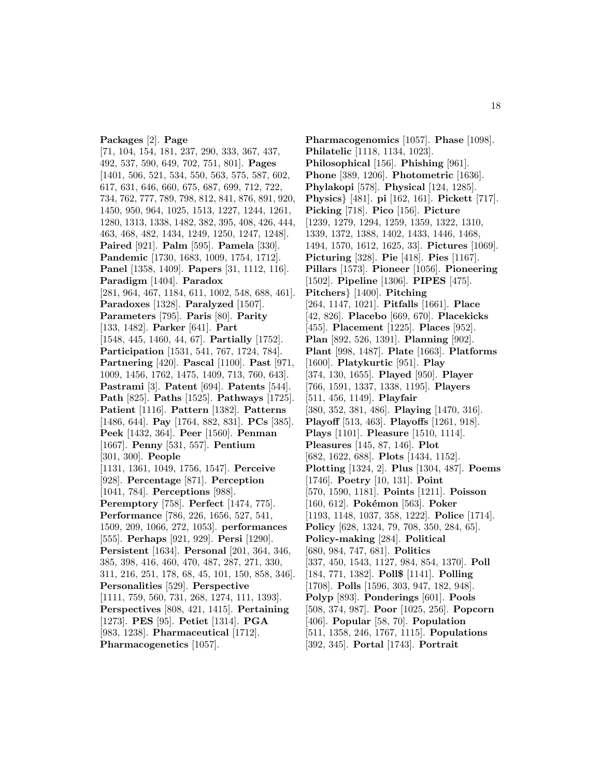#### **Packages** [2]. **Page**

[71, 104, 154, 181, 237, 290, 333, 367, 437, 492, 537, 590, 649, 702, 751, 801]. **Pages** [1401, 506, 521, 534, 550, 563, 575, 587, 602, 617, 631, 646, 660, 675, 687, 699, 712, 722, 734, 762, 777, 789, 798, 812, 841, 876, 891, 920, 1450, 950, 964, 1025, 1513, 1227, 1244, 1261, 1280, 1313, 1338, 1482, 382, 395, 408, 426, 444, 463, 468, 482, 1434, 1249, 1250, 1247, 1248]. **Paired** [921]. **Palm** [595]. **Pamela** [330]. **Pandemic** [1730, 1683, 1009, 1754, 1712]. **Panel** [1358, 1409]. **Papers** [31, 1112, 116]. **Paradigm** [1404]. **Paradox** [281, 964, 467, 1184, 611, 1002, 548, 688, 461]. **Paradoxes** [1328]. **Paralyzed** [1507]. **Parameters** [795]. **Paris** [80]. **Parity** [133, 1482]. **Parker** [641]. **Part** [1548, 445, 1460, 44, 67]. **Partially** [1752]. **Participation** [1531, 541, 767, 1724, 784]. **Partnering** [420]. **Pascal** [1100]. **Past** [971, 1009, 1456, 1762, 1475, 1409, 713, 760, 643]. **Pastrami** [3]. **Patent** [694]. **Patents** [544]. **Path** [825]. **Paths** [1525]. **Pathways** [1725]. **Patient** [1116]. **Pattern** [1382]. **Patterns** [1486, 644]. **Pay** [1764, 882, 831]. **PCs** [385]. **Peek** [1432, 364]. **Peer** [1560]. **Penman** [1667]. **Penny** [531, 557]. **Pentium** [301, 300]. **People** [1131, 1361, 1049, 1756, 1547]. **Perceive** [928]. **Percentage** [871]. **Perception** [1041, 784]. **Perceptions** [988]. **Peremptory** [758]. **Perfect** [1474, 775]. **Performance** [786, 226, 1656, 527, 541, 1509, 209, 1066, 272, 1053]. **performances** [555]. **Perhaps** [921, 929]. **Persi** [1290]. **Persistent** [1634]. **Personal** [201, 364, 346, 385, 398, 416, 460, 470, 487, 287, 271, 330, 311, 216, 251, 178, 68, 45, 101, 150, 858, 346]. **Personalities** [529]. **Perspective** [1111, 759, 560, 731, 268, 1274, 111, 1393]. **Perspectives** [808, 421, 1415]. **Pertaining** [1273]. **PES** [95]. **Petiet** [1314]. **PGA** [983, 1238]. **Pharmaceutical** [1712].

**Pharmacogenetics** [1057].

**Pharmacogenomics** [1057]. **Phase** [1098]. **Philatelic** [1118, 1134, 1023]. **Philosophical** [156]. **Phishing** [961]. **Phone** [389, 1206]. **Photometric** [1636]. **Phylakopi** [578]. **Physical** [124, 1285]. **Physics**} [481]. **pi** [162, 161]. **Pickett** [717]. **Picking** [718]. **Pico** [156]. **Picture** [1239, 1279, 1294, 1259, 1359, 1322, 1310, 1339, 1372, 1388, 1402, 1433, 1446, 1468, 1494, 1570, 1612, 1625, 33]. **Pictures** [1069]. **Picturing** [328]. **Pie** [418]. **Pies** [1167]. **Pillars** [1573]. **Pioneer** [1056]. **Pioneering** [1502]. **Pipeline** [1306]. **PIPES** [475]. **Pitchers**} [1400]. **Pitching** [264, 1147, 1021]. **Pitfalls** [1661]. **Place** [42, 826]. **Placebo** [669, 670]. **Placekicks** [455]. **Placement** [1225]. **Places** [952]. **Plan** [892, 526, 1391]. **Planning** [902]. **Plant** [998, 1487]. **Plate** [1663]. **Platforms** [1600]. **Platykurtic** [951]. **Play** [374, 130, 1655]. **Played** [950]. **Player** [766, 1591, 1337, 1338, 1195]. **Players** [511, 456, 1149]. **Playfair** [380, 352, 381, 486]. **Playing** [1470, 316]. **Playoff** [513, 463]. **Playoffs** [1261, 918]. **Plays** [1101]. **Pleasure** [1510, 1114]. **Pleasures** [145, 87, 146]. **Plot** [682, 1622, 688]. **Plots** [1434, 1152]. **Plotting** [1324, 2]. **Plus** [1304, 487]. **Poems** [1746]. **Poetry** [10, 131]. **Point** [570, 1590, 1181]. **Points** [1211]. **Poisson** [160, 612]. **Pokémon** [563]. **Poker** [1193, 1148, 1037, 358, 1222]. **Police** [1714]. **Policy** [628, 1324, 79, 708, 350, 284, 65]. **Policy-making** [284]. **Political** [680, 984, 747, 681]. **Politics** [337, 450, 1543, 1127, 984, 854, 1370]. **Poll** [184, 771, 1382]. **Poll\$** [1141]. **Polling** [1708]. **Polls** [1596, 303, 947, 182, 948]. **Polyp** [893]. **Ponderings** [601]. **Pools** [508, 374, 987]. **Poor** [1025, 256]. **Popcorn** [406]. **Popular** [58, 70]. **Population** [511, 1358, 246, 1767, 1115]. **Populations** [392, 345]. **Portal** [1743]. **Portrait**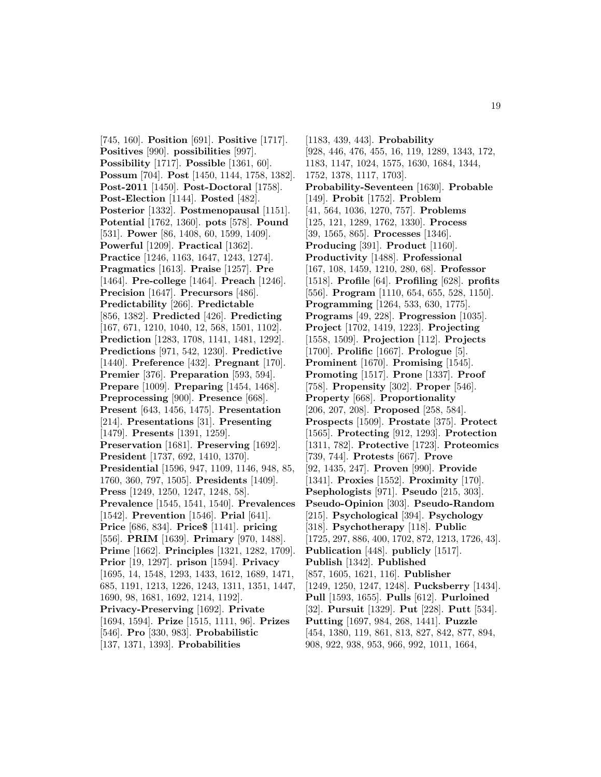[745, 160]. **Position** [691]. **Positive** [1717]. **Positives** [990]. **possibilities** [997]. **Possibility** [1717]. **Possible** [1361, 60]. **Possum** [704]. **Post** [1450, 1144, 1758, 1382]. **Post-2011** [1450]. **Post-Doctoral** [1758]. **Post-Election** [1144]. **Posted** [482]. **Posterior** [1332]. **Postmenopausal** [1151]. **Potential** [1762, 1360]. **pots** [578]. **Pound** [531]. **Power** [86, 1408, 60, 1599, 1409]. **Powerful** [1209]. **Practical** [1362]. **Practice** [1246, 1163, 1647, 1243, 1274]. **Pragmatics** [1613]. **Praise** [1257]. **Pre** [1464]. **Pre-college** [1464]. **Preach** [1246]. **Precision** [1647]. **Precursors** [486]. **Predictability** [266]. **Predictable** [856, 1382]. **Predicted** [426]. **Predicting** [167, 671, 1210, 1040, 12, 568, 1501, 1102]. **Prediction** [1283, 1708, 1141, 1481, 1292]. **Predictions** [971, 542, 1230]. **Predictive** [1440]. **Preference** [432]. **Pregnant** [170]. **Premier** [376]. **Preparation** [593, 594]. **Prepare** [1009]. **Preparing** [1454, 1468]. **Preprocessing** [900]. **Presence** [668]. **Present** [643, 1456, 1475]. **Presentation** [214]. **Presentations** [31]. **Presenting** [1479]. **Presents** [1391, 1259]. **Preservation** [1681]. **Preserving** [1692]. **President** [1737, 692, 1410, 1370]. **Presidential** [1596, 947, 1109, 1146, 948, 85, 1760, 360, 797, 1505]. **Presidents** [1409]. **Press** [1249, 1250, 1247, 1248, 58]. **Prevalence** [1545, 1541, 1540]. **Prevalences** [1542]. **Prevention** [1546]. **Prial** [641]. **Price** [686, 834]. **Price\$** [1141]. **pricing** [556]. **PRIM** [1639]. **Primary** [970, 1488]. **Prime** [1662]. **Principles** [1321, 1282, 1709]. **Prior** [19, 1297]. **prison** [1594]. **Privacy** [1695, 14, 1548, 1293, 1433, 1612, 1689, 1471, 685, 1191, 1213, 1226, 1243, 1311, 1351, 1447, 1690, 98, 1681, 1692, 1214, 1192]. **Privacy-Preserving** [1692]. **Private** [1694, 1594]. **Prize** [1515, 1111, 96]. **Prizes** [546]. **Pro** [330, 983]. **Probabilistic** [137, 1371, 1393]. **Probabilities**

[1183, 439, 443]. **Probability** [928, 446, 476, 455, 16, 119, 1289, 1343, 172, 1183, 1147, 1024, 1575, 1630, 1684, 1344, 1752, 1378, 1117, 1703]. **Probability-Seventeen** [1630]. **Probable** [149]. **Probit** [1752]. **Problem** [41, 564, 1036, 1270, 757]. **Problems** [125, 121, 1289, 1762, 1330]. **Process** [39, 1565, 865]. **Processes** [1346]. **Producing** [391]. **Product** [1160]. **Productivity** [1488]. **Professional** [167, 108, 1459, 1210, 280, 68]. **Professor** [1518]. **Profile** [64]. **Profiling** [628]. **profits** [556]. **Program** [1110, 654, 655, 528, 1150]. **Programming** [1264, 533, 630, 1775]. **Programs** [49, 228]. **Progression** [1035]. **Project** [1702, 1419, 1223]. **Projecting** [1558, 1509]. **Projection** [112]. **Projects** [1700]. **Prolific** [1667]. **Prologue** [5]. **Prominent** [1670]. **Promising** [1545]. **Promoting** [1517]. **Prone** [1337]. **Proof** [758]. **Propensity** [302]. **Proper** [546]. **Property** [668]. **Proportionality** [206, 207, 208]. **Proposed** [258, 584]. **Prospects** [1509]. **Prostate** [375]. **Protect** [1565]. **Protecting** [912, 1293]. **Protection** [1311, 782]. **Protective** [1723]. **Proteomics** [739, 744]. **Protests** [667]. **Prove** [92, 1435, 247]. **Proven** [990]. **Provide** [1341]. **Proxies** [1552]. **Proximity** [170]. **Psephologists** [971]. **Pseudo** [215, 303]. **Pseudo-Opinion** [303]. **Pseudo-Random** [215]. **Psychological** [394]. **Psychology** [318]. **Psychotherapy** [118]. **Public** [1725, 297, 886, 400, 1702, 872, 1213, 1726, 43]. **Publication** [448]. **publicly** [1517]. **Publish** [1342]. **Published** [857, 1605, 1621, 116]. **Publisher** [1249, 1250, 1247, 1248]. **Pucksberry** [1434]. **Pull** [1593, 1655]. **Pulls** [612]. **Purloined** [32]. **Pursuit** [1329]. **Put** [228]. **Putt** [534]. **Putting** [1697, 984, 268, 1441]. **Puzzle** [454, 1380, 119, 861, 813, 827, 842, 877, 894, 908, 922, 938, 953, 966, 992, 1011, 1664,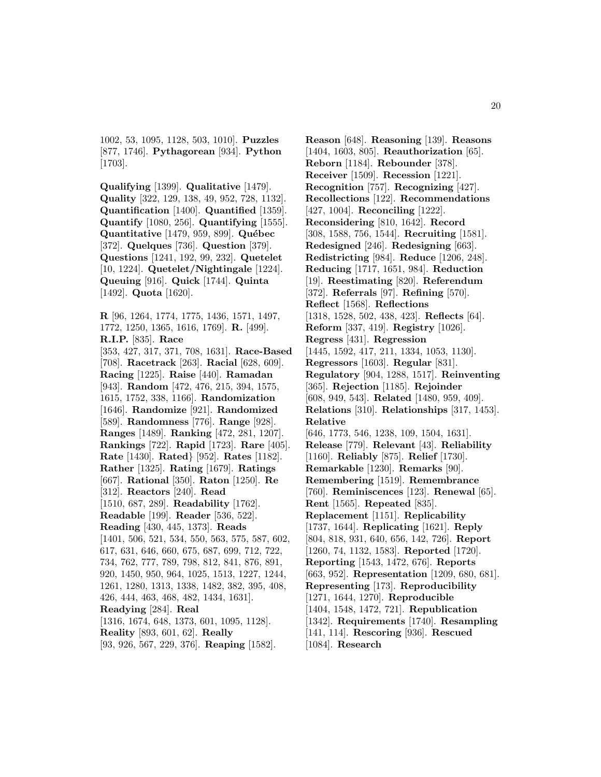1002, 53, 1095, 1128, 503, 1010]. **Puzzles** [877, 1746]. **Pythagorean** [934]. **Python** [1703].

**Qualifying** [1399]. **Qualitative** [1479]. **Quality** [322, 129, 138, 49, 952, 728, 1132]. **Quantification** [1400]. **Quantified** [1359]. **Quantify** [1080, 256]. **Quantifying** [1555]. **Quantitative** [1479, 959, 899]. **Québec** [372]. **Quelques** [736]. **Question** [379]. **Questions** [1241, 192, 99, 232]. **Quetelet** [10, 1224]. **Quetelet/Nightingale** [1224]. **Queuing** [916]. **Quick** [1744]. **Quinta** [1492]. **Quota** [1620].

**R** [96, 1264, 1774, 1775, 1436, 1571, 1497, 1772, 1250, 1365, 1616, 1769]. **R.** [499]. **R.I.P.** [835]. **Race** [353, 427, 317, 371, 708, 1631]. **Race-Based** [708]. **Racetrack** [263]. **Racial** [628, 609]. **Racing** [1225]. **Raise** [440]. **Ramadan** [943]. **Random** [472, 476, 215, 394, 1575, 1615, 1752, 338, 1166]. **Randomization** [1646]. **Randomize** [921]. **Randomized** [589]. **Randomness** [776]. **Range** [928]. **Ranges** [1489]. **Ranking** [472, 281, 1207]. **Rankings** [722]. **Rapid** [1723]. **Rare** [405]. **Rate** [1430]. **Rated**} [952]. **Rates** [1182]. **Rather** [1325]. **Rating** [1679]. **Ratings** [667]. **Rational** [350]. **Raton** [1250]. **Re** [312]. **Reactors** [240]. **Read** [1510, 687, 289]. **Readability** [1762]. **Readable** [199]. **Reader** [536, 522]. **Reading** [430, 445, 1373]. **Reads** [1401, 506, 521, 534, 550, 563, 575, 587, 602, 617, 631, 646, 660, 675, 687, 699, 712, 722, 734, 762, 777, 789, 798, 812, 841, 876, 891, 920, 1450, 950, 964, 1025, 1513, 1227, 1244, 1261, 1280, 1313, 1338, 1482, 382, 395, 408, 426, 444, 463, 468, 482, 1434, 1631]. **Readying** [284]. **Real** [1316, 1674, 648, 1373, 601, 1095, 1128]. **Reality** [893, 601, 62]. **Really** [93, 926, 567, 229, 376]. **Reaping** [1582].

**Reason** [648]. **Reasoning** [139]. **Reasons** [1404, 1603, 805]. **Reauthorization** [65]. **Reborn** [1184]. **Rebounder** [378]. **Receiver** [1509]. **Recession** [1221]. **Recognition** [757]. **Recognizing** [427]. **Recollections** [122]. **Recommendations** [427, 1004]. **Reconciling** [1222]. **Reconsidering** [810, 1642]. **Record** [308, 1588, 756, 1544]. **Recruiting** [1581]. **Redesigned** [246]. **Redesigning** [663]. **Redistricting** [984]. **Reduce** [1206, 248]. **Reducing** [1717, 1651, 984]. **Reduction** [19]. **Reestimating** [820]. **Referendum** [372]. **Referrals** [97]. **Refining** [570]. **Reflect** [1568]. **Reflections** [1318, 1528, 502, 438, 423]. **Reflects** [64]. **Reform** [337, 419]. **Registry** [1026]. **Regress** [431]. **Regression** [1445, 1592, 417, 211, 1334, 1053, 1130]. **Regressors** [1603]. **Regular** [831]. **Regulatory** [904, 1288, 1517]. **Reinventing** [365]. **Rejection** [1185]. **Rejoinder** [608, 949, 543]. **Related** [1480, 959, 409]. **Relations** [310]. **Relationships** [317, 1453]. **Relative** [646, 1773, 546, 1238, 109, 1504, 1631]. **Release** [779]. **Relevant** [43]. **Reliability** [1160]. **Reliably** [875]. **Relief** [1730]. **Remarkable** [1230]. **Remarks** [90]. **Remembering** [1519]. **Remembrance** [760]. **Reminiscences** [123]. **Renewal** [65]. **Rent** [1565]. **Repeated** [835]. **Replacement** [1151]. **Replicability** [1737, 1644]. **Replicating** [1621]. **Reply** [804, 818, 931, 640, 656, 142, 726]. **Report** [1260, 74, 1132, 1583]. **Reported** [1720]. **Reporting** [1543, 1472, 676]. **Reports** [663, 952]. **Representation** [1209, 680, 681]. **Representing** [173]. **Reproducibility** [1271, 1644, 1270]. **Reproducible** [1404, 1548, 1472, 721]. **Republication** [1342]. **Requirements** [1740]. **Resampling** [141, 114]. **Rescoring** [936]. **Rescued** [1084]. **Research**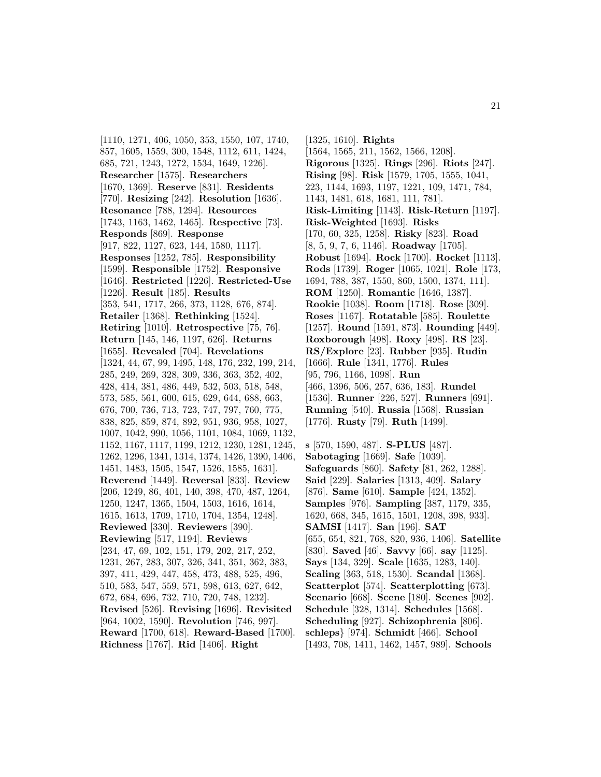[1110, 1271, 406, 1050, 353, 1550, 107, 1740, 857, 1605, 1559, 300, 1548, 1112, 611, 1424, 685, 721, 1243, 1272, 1534, 1649, 1226]. **Researcher** [1575]. **Researchers** [1670, 1369]. **Reserve** [831]. **Residents** [770]. **Resizing** [242]. **Resolution** [1636]. **Resonance** [788, 1294]. **Resources** [1743, 1163, 1462, 1465]. **Respective** [73]. **Responds** [869]. **Response** [917, 822, 1127, 623, 144, 1580, 1117]. **Responses** [1252, 785]. **Responsibility** [1599]. **Responsible** [1752]. **Responsive** [1646]. **Restricted** [1226]. **Restricted-Use** [1226]. **Result** [185]. **Results** [353, 541, 1717, 266, 373, 1128, 676, 874]. **Retailer** [1368]. **Rethinking** [1524]. **Retiring** [1010]. **Retrospective** [75, 76]. **Return** [145, 146, 1197, 626]. **Returns** [1655]. **Revealed** [704]. **Revelations** [1324, 44, 67, 99, 1495, 148, 176, 232, 199, 214, 285, 249, 269, 328, 309, 336, 363, 352, 402, 428, 414, 381, 486, 449, 532, 503, 518, 548, 573, 585, 561, 600, 615, 629, 644, 688, 663, 676, 700, 736, 713, 723, 747, 797, 760, 775, 838, 825, 859, 874, 892, 951, 936, 958, 1027, 1007, 1042, 990, 1056, 1101, 1084, 1069, 1132, 1152, 1167, 1117, 1199, 1212, 1230, 1281, 1245, 1262, 1296, 1341, 1314, 1374, 1426, 1390, 1406, 1451, 1483, 1505, 1547, 1526, 1585, 1631]. **Reverend** [1449]. **Reversal** [833]. **Review** [206, 1249, 86, 401, 140, 398, 470, 487, 1264, 1250, 1247, 1365, 1504, 1503, 1616, 1614, 1615, 1613, 1709, 1710, 1704, 1354, 1248]. **Reviewed** [330]. **Reviewers** [390]. **Reviewing** [517, 1194]. **Reviews** [234, 47, 69, 102, 151, 179, 202, 217, 252, 1231, 267, 283, 307, 326, 341, 351, 362, 383, 397, 411, 429, 447, 458, 473, 488, 525, 496, 510, 583, 547, 559, 571, 598, 613, 627, 642, 672, 684, 696, 732, 710, 720, 748, 1232]. **Revised** [526]. **Revising** [1696]. **Revisited** [964, 1002, 1590]. **Revolution** [746, 997]. **Reward** [1700, 618]. **Reward-Based** [1700]. **Richness** [1767]. **Rid** [1406]. **Right**

[1325, 1610]. **Rights** [1564, 1565, 211, 1562, 1566, 1208]. **Rigorous** [1325]. **Rings** [296]. **Riots** [247]. **Rising** [98]. **Risk** [1579, 1705, 1555, 1041, 223, 1144, 1693, 1197, 1221, 109, 1471, 784, 1143, 1481, 618, 1681, 111, 781]. **Risk-Limiting** [1143]. **Risk-Return** [1197]. **Risk-Weighted** [1693]. **Risks** [170, 60, 325, 1258]. **Risky** [823]. **Road** [8, 5, 9, 7, 6, 1146]. **Roadway** [1705]. **Robust** [1694]. **Rock** [1700]. **Rocket** [1113]. **Rods** [1739]. **Roger** [1065, 1021]. **Role** [173, 1694, 788, 387, 1550, 860, 1500, 1374, 111]. **ROM** [1250]. **Romantic** [1646, 1387]. **Rookie** [1038]. **Room** [1718]. **Rose** [309]. **Roses** [1167]. **Rotatable** [585]. **Roulette** [1257]. **Round** [1591, 873]. **Rounding** [449]. **Roxborough** [498]. **Roxy** [498]. **RS** [23]. **RS/Explore** [23]. **Rubber** [935]. **Rudin** [1666]. **Rule** [1341, 1776]. **Rules** [95, 796, 1166, 1098]. **Run** [466, 1396, 506, 257, 636, 183]. **Rundel** [1536]. **Runner** [226, 527]. **Runners** [691]. **Running** [540]. **Russia** [1568]. **Russian** [1776]. **Rusty** [79]. **Ruth** [1499].

**s** [570, 1590, 487]. **S-PLUS** [487]. **Sabotaging** [1669]. **Safe** [1039]. **Safeguards** [860]. **Safety** [81, 262, 1288]. **Said** [229]. **Salaries** [1313, 409]. **Salary** [876]. **Same** [610]. **Sample** [424, 1352]. **Samples** [976]. **Sampling** [387, 1179, 335, 1620, 668, 345, 1615, 1501, 1208, 398, 933]. **SAMSI** [1417]. **San** [196]. **SAT** [655, 654, 821, 768, 820, 936, 1406]. **Satellite** [830]. **Saved** [46]. **Savvy** [66]. **say** [1125]. **Says** [134, 329]. **Scale** [1635, 1283, 140]. **Scaling** [363, 518, 1530]. **Scandal** [1368]. **Scatterplot** [574]. **Scatterplotting** [673]. **Scenario** [668]. **Scene** [180]. **Scenes** [902]. **Schedule** [328, 1314]. **Schedules** [1568]. **Scheduling** [927]. **Schizophrenia** [806]. **schleps**} [974]. **Schmidt** [466]. **School** [1493, 708, 1411, 1462, 1457, 989]. **Schools**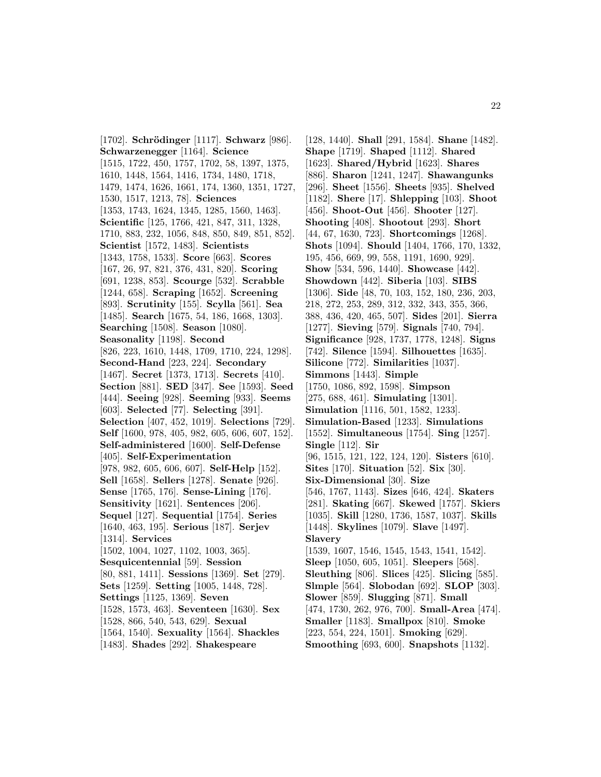[1702]. **Schr¨odinger** [1117]. **Schwarz** [986]. **Schwarzenegger** [1164]. **Science** [1515, 1722, 450, 1757, 1702, 58, 1397, 1375, 1610, 1448, 1564, 1416, 1734, 1480, 1718, 1479, 1474, 1626, 1661, 174, 1360, 1351, 1727, 1530, 1517, 1213, 78]. **Sciences** [1353, 1743, 1624, 1345, 1285, 1560, 1463]. **Scientific** [125, 1766, 421, 847, 311, 1328, 1710, 883, 232, 1056, 848, 850, 849, 851, 852]. **Scientist** [1572, 1483]. **Scientists** [1343, 1758, 1533]. **Score** [663]. **Scores** [167, 26, 97, 821, 376, 431, 820]. **Scoring** [691, 1238, 853]. **Scourge** [532]. **Scrabble** [1244, 658]. **Scraping** [1652]. **Screening** [893]. **Scrutinity** [155]. **Scylla** [561]. **Sea** [1485]. **Search** [1675, 54, 186, 1668, 1303]. **Searching** [1508]. **Season** [1080]. **Seasonality** [1198]. **Second** [826, 223, 1610, 1448, 1709, 1710, 224, 1298]. **Second-Hand** [223, 224]. **Secondary** [1467]. **Secret** [1373, 1713]. **Secrets** [410]. **Section** [881]. **SED** [347]. **See** [1593]. **Seed** [444]. **Seeing** [928]. **Seeming** [933]. **Seems** [603]. **Selected** [77]. **Selecting** [391]. **Selection** [407, 452, 1019]. **Selections** [729]. **Self** [1600, 978, 405, 982, 605, 606, 607, 152]. **Self-administered** [1600]. **Self-Defense** [405]. **Self-Experimentation** [978, 982, 605, 606, 607]. **Self-Help** [152]. **Sell** [1658]. **Sellers** [1278]. **Senate** [926]. **Sense** [1765, 176]. **Sense-Lining** [176]. **Sensitivity** [1621]. **Sentences** [206]. **Sequel** [127]. **Sequential** [1754]. **Series** [1640, 463, 195]. **Serious** [187]. **Serjev** [1314]. **Services** [1502, 1004, 1027, 1102, 1003, 365]. **Sesquicentennial** [59]. **Session** [80, 881, 1411]. **Sessions** [1369]. **Set** [279]. **Sets** [1259]. **Setting** [1005, 1448, 728]. **Settings** [1125, 1369]. **Seven** [1528, 1573, 463]. **Seventeen** [1630]. **Sex** [1528, 866, 540, 543, 629]. **Sexual** [1564, 1540]. **Sexuality** [1564]. **Shackles** [1483]. **Shades** [292]. **Shakespeare**

[128, 1440]. **Shall** [291, 1584]. **Shane** [1482]. **Shape** [1719]. **Shaped** [1112]. **Shared** [1623]. **Shared/Hybrid** [1623]. **Shares** [886]. **Sharon** [1241, 1247]. **Shawangunks** [296]. **Sheet** [1556]. **Sheets** [935]. **Shelved** [1182]. **Shere** [17]. **Shlepping** [103]. **Shoot** [456]. **Shoot-Out** [456]. **Shooter** [127]. **Shooting** [408]. **Shootout** [293]. **Short** [44, 67, 1630, 723]. **Shortcomings** [1268]. **Shots** [1094]. **Should** [1404, 1766, 170, 1332, 195, 456, 669, 99, 558, 1191, 1690, 929]. **Show** [534, 596, 1440]. **Showcase** [442]. **Showdown** [442]. **Siberia** [103]. **SIBS** [1306]. **Side** [48, 70, 103, 152, 180, 236, 203, 218, 272, 253, 289, 312, 332, 343, 355, 366, 388, 436, 420, 465, 507]. **Sides** [201]. **Sierra** [1277]. **Sieving** [579]. **Signals** [740, 794]. **Significance** [928, 1737, 1778, 1248]. **Signs** [742]. **Silence** [1594]. **Silhouettes** [1635]. **Silicone** [772]. **Similarities** [1037]. **Simmons** [1443]. **Simple** [1750, 1086, 892, 1598]. **Simpson** [275, 688, 461]. **Simulating** [1301]. **Simulation** [1116, 501, 1582, 1233]. **Simulation-Based** [1233]. **Simulations** [1552]. **Simultaneous** [1754]. **Sing** [1257]. **Single** [112]. **Sir** [96, 1515, 121, 122, 124, 120]. **Sisters** [610]. **Sites** [170]. **Situation** [52]. **Six** [30]. **Six-Dimensional** [30]. **Size** [546, 1767, 1143]. **Sizes** [646, 424]. **Skaters** [281]. **Skating** [667]. **Skewed** [1757]. **Skiers** [1035]. **Skill** [1280, 1736, 1587, 1037]. **Skills** [1448]. **Skylines** [1079]. **Slave** [1497]. **Slavery** [1539, 1607, 1546, 1545, 1543, 1541, 1542]. **Sleep** [1050, 605, 1051]. **Sleepers** [568]. **Sleuthing** [806]. **Slices** [425]. **Slicing** [585]. **Slmple** [564]. **Slobodan** [692]. **SLOP** [303]. **Slower** [859]. **Slugging** [871]. **Small** [474, 1730, 262, 976, 700]. **Small-Area** [474]. **Smaller** [1183]. **Smallpox** [810]. **Smoke** [223, 554, 224, 1501]. **Smoking** [629]. **Smoothing** [693, 600]. **Snapshots** [1132].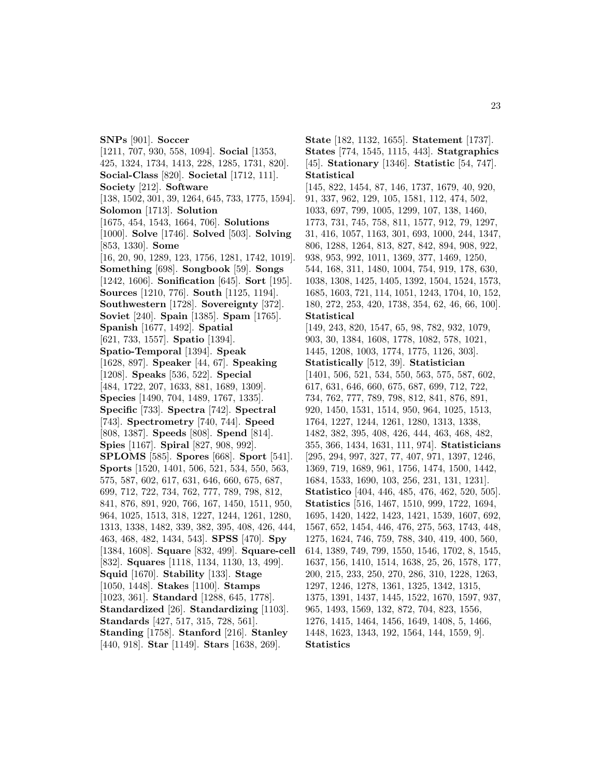**SNPs** [901]. **Soccer** [1211, 707, 930, 558, 1094]. **Social** [1353, 425, 1324, 1734, 1413, 228, 1285, 1731, 820]. **Social-Class** [820]. **Societal** [1712, 111]. **Society** [212]. **Software** [138, 1502, 301, 39, 1264, 645, 733, 1775, 1594]. **Solomon** [1713]. **Solution** [1675, 454, 1543, 1664, 706]. **Solutions** [1000]. **Solve** [1746]. **Solved** [503]. **Solving** [853, 1330]. **Some** [16, 20, 90, 1289, 123, 1756, 1281, 1742, 1019]. **Something** [698]. **Songbook** [59]. **Songs** [1242, 1606]. **Sonification** [645]. **Sort** [195]. **Sources** [1210, 776]. **South** [1125, 1194]. **Southwestern** [1728]. **Sovereignty** [372]. **Soviet** [240]. **Spain** [1385]. **Spam** [1765]. **Spanish** [1677, 1492]. **Spatial** [621, 733, 1557]. **Spatio** [1394]. **Spatio-Temporal** [1394]. **Speak** [1628, 897]. **Speaker** [44, 67]. **Speaking** [1208]. **Speaks** [536, 522]. **Special** [484, 1722, 207, 1633, 881, 1689, 1309]. **Species** [1490, 704, 1489, 1767, 1335]. **Specific** [733]. **Spectra** [742]. **Spectral** [743]. **Spectrometry** [740, 744]. **Speed** [808, 1387]. **Speeds** [808]. **Spend** [814]. **Spies** [1167]. **Spiral** [827, 908, 992]. **SPLOMS** [585]. **Spores** [668]. **Sport** [541]. **Sports** [1520, 1401, 506, 521, 534, 550, 563, 575, 587, 602, 617, 631, 646, 660, 675, 687, 699, 712, 722, 734, 762, 777, 789, 798, 812, 841, 876, 891, 920, 766, 167, 1450, 1511, 950, 964, 1025, 1513, 318, 1227, 1244, 1261, 1280, 1313, 1338, 1482, 339, 382, 395, 408, 426, 444, 463, 468, 482, 1434, 543]. **SPSS** [470]. **Spy** [1384, 1608]. **Square** [832, 499]. **Square-cell** [832]. **Squares** [1118, 1134, 1130, 13, 499]. **Squid** [1670]. **Stability** [133]. **Stage** [1050, 1448]. **Stakes** [1100]. **Stamps** [1023, 361]. **Standard** [1288, 645, 1778]. **Standardized** [26]. **Standardizing** [1103]. **Standards** [427, 517, 315, 728, 561]. **Standing** [1758]. **Stanford** [216]. **Stanley** [440, 918]. **Star** [1149]. **Stars** [1638, 269].

**State** [182, 1132, 1655]. **Statement** [1737]. **States** [774, 1545, 1115, 443]. **Statgraphics** [45]. **Stationary** [1346]. **Statistic** [54, 747]. **Statistical** [145, 822, 1454, 87, 146, 1737, 1679, 40, 920, 91, 337, 962, 129, 105, 1581, 112, 474, 502, 1033, 697, 799, 1005, 1299, 107, 138, 1460, 1773, 731, 745, 758, 811, 1577, 912, 79, 1297, 31, 416, 1057, 1163, 301, 693, 1000, 244, 1347, 806, 1288, 1264, 813, 827, 842, 894, 908, 922, 938, 953, 992, 1011, 1369, 377, 1469, 1250, 544, 168, 311, 1480, 1004, 754, 919, 178, 630, 1038, 1308, 1425, 1405, 1392, 1504, 1524, 1573, 1685, 1603, 721, 114, 1051, 1243, 1704, 10, 152, 180, 272, 253, 420, 1738, 354, 62, 46, 66, 100]. **Statistical** [149, 243, 820, 1547, 65, 98, 782, 932, 1079, 903, 30, 1384, 1608, 1778, 1082, 578, 1021, 1445, 1208, 1003, 1774, 1775, 1126, 303]. **Statistically** [512, 39]. **Statistician** [1401, 506, 521, 534, 550, 563, 575, 587, 602, 617, 631, 646, 660, 675, 687, 699, 712, 722, 734, 762, 777, 789, 798, 812, 841, 876, 891, 920, 1450, 1531, 1514, 950, 964, 1025, 1513, 1764, 1227, 1244, 1261, 1280, 1313, 1338, 1482, 382, 395, 408, 426, 444, 463, 468, 482, 355, 366, 1434, 1631, 111, 974]. **Statisticians** [295, 294, 997, 327, 77, 407, 971, 1397, 1246, 1369, 719, 1689, 961, 1756, 1474, 1500, 1442, 1684, 1533, 1690, 103, 256, 231, 131, 1231]. **Statistico** [404, 446, 485, 476, 462, 520, 505]. **Statistics** [516, 1467, 1510, 999, 1722, 1694, 1695, 1420, 1422, 1423, 1421, 1539, 1607, 692, 1567, 652, 1454, 446, 476, 275, 563, 1743, 448, 1275, 1624, 746, 759, 788, 340, 419, 400, 560, 614, 1389, 749, 799, 1550, 1546, 1702, 8, 1545, 1637, 156, 1410, 1514, 1638, 25, 26, 1578, 177, 200, 215, 233, 250, 270, 286, 310, 1228, 1263, 1297, 1246, 1278, 1361, 1325, 1342, 1315, 1375, 1391, 1437, 1445, 1522, 1670, 1597, 937, 965, 1493, 1569, 132, 872, 704, 823, 1556, 1276, 1415, 1464, 1456, 1649, 1408, 5, 1466, 1448, 1623, 1343, 192, 1564, 144, 1559, 9]. **Statistics**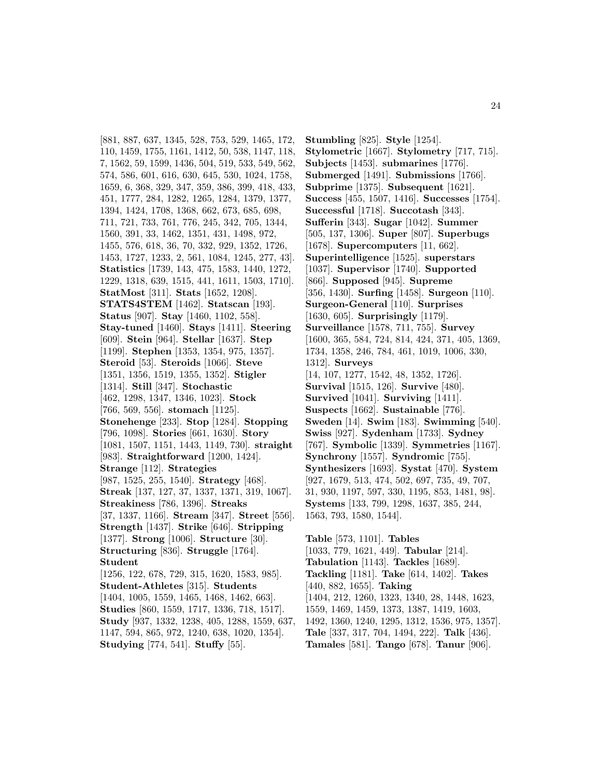[881, 887, 637, 1345, 528, 753, 529, 1465, 172, 110, 1459, 1755, 1161, 1412, 50, 538, 1147, 118, 7, 1562, 59, 1599, 1436, 504, 519, 533, 549, 562, 574, 586, 601, 616, 630, 645, 530, 1024, 1758, 1659, 6, 368, 329, 347, 359, 386, 399, 418, 433, 451, 1777, 284, 1282, 1265, 1284, 1379, 1377, 1394, 1424, 1708, 1368, 662, 673, 685, 698, 711, 721, 733, 761, 776, 245, 342, 705, 1344, 1560, 391, 33, 1462, 1351, 431, 1498, 972, 1455, 576, 618, 36, 70, 332, 929, 1352, 1726, 1453, 1727, 1233, 2, 561, 1084, 1245, 277, 43]. **Statistics** [1739, 143, 475, 1583, 1440, 1272, 1229, 1318, 639, 1515, 441, 1611, 1503, 1710]. **StatMost** [311]. **Stats** [1652, 1208]. **STATS4STEM** [1462]. **Statscan** [193]. **Status** [907]. **Stay** [1460, 1102, 558]. **Stay-tuned** [1460]. **Stays** [1411]. **Steering** [609]. **Stein** [964]. **Stellar** [1637]. **Step** [1199]. **Stephen** [1353, 1354, 975, 1357]. **Steroid** [53]. **Steroids** [1066]. **Steve** [1351, 1356, 1519, 1355, 1352]. **Stigler** [1314]. **Still** [347]. **Stochastic** [462, 1298, 1347, 1346, 1023]. **Stock** [766, 569, 556]. **stomach** [1125]. **Stonehenge** [233]. **Stop** [1284]. **Stopping** [796, 1098]. **Stories** [661, 1630]. **Story** [1081, 1507, 1151, 1443, 1149, 730]. **straight** [983]. **Straightforward** [1200, 1424]. **Strange** [112]. **Strategies** [987, 1525, 255, 1540]. **Strategy** [468]. **Streak** [137, 127, 37, 1337, 1371, 319, 1067]. **Streakiness** [786, 1396]. **Streaks** [37, 1337, 1166]. **Stream** [347]. **Street** [556]. **Strength** [1437]. **Strike** [646]. **Stripping** [1377]. **Strong** [1006]. **Structure** [30]. **Structuring** [836]. **Struggle** [1764]. **Student** [1256, 122, 678, 729, 315, 1620, 1583, 985]. **Student-Athletes** [315]. **Students** [1404, 1005, 1559, 1465, 1468, 1462, 663]. **Studies** [860, 1559, 1717, 1336, 718, 1517]. **Study** [937, 1332, 1238, 405, 1288, 1559, 637, 1147, 594, 865, 972, 1240, 638, 1020, 1354]. **Studying** [774, 541]. **Stuffy** [55].

**Stumbling** [825]. **Style** [1254]. **Stylometric** [1667]. **Stylometry** [717, 715]. **Subjects** [1453]. **submarines** [1776]. **Submerged** [1491]. **Submissions** [1766]. **Subprime** [1375]. **Subsequent** [1621]. **Success** [455, 1507, 1416]. **Successes** [1754]. **Successful** [1718]. **Succotash** [343]. **Sufferin** [343]. **Sugar** [1042]. **Summer** [505, 137, 1306]. **Super** [807]. **Superbugs** [1678]. **Supercomputers** [11, 662]. **Superintelligence** [1525]. **superstars** [1037]. **Supervisor** [1740]. **Supported** [866]. **Supposed** [945]. **Supreme** [356, 1430]. **Surfing** [1458]. **Surgeon** [110]. **Surgeon-General** [110]. **Surprises** [1630, 605]. **Surprisingly** [1179]. **Surveillance** [1578, 711, 755]. **Survey** [1600, 365, 584, 724, 814, 424, 371, 405, 1369, 1734, 1358, 246, 784, 461, 1019, 1006, 330, 1312]. **Surveys** [14, 107, 1277, 1542, 48, 1352, 1726]. **Survival** [1515, 126]. **Survive** [480]. **Survived** [1041]. **Surviving** [1411]. **Suspects** [1662]. **Sustainable** [776]. **Sweden** [14]. **Swim** [183]. **Swimming** [540]. **Swiss** [927]. **Sydenham** [1733]. **Sydney** [767]. **Symbolic** [1339]. **Symmetries** [1167]. **Synchrony** [1557]. **Syndromic** [755]. **Synthesizers** [1693]. **Systat** [470]. **System** [927, 1679, 513, 474, 502, 697, 735, 49, 707, 31, 930, 1197, 597, 330, 1195, 853, 1481, 98]. **Systems** [133, 799, 1298, 1637, 385, 244, 1563, 793, 1580, 1544].

**Table** [573, 1101]. **Tables** [1033, 779, 1621, 449]. **Tabular** [214]. **Tabulation** [1143]. **Tackles** [1689]. **Tackling** [1181]. **Take** [614, 1402]. **Takes** [440, 882, 1655]. **Taking** [1404, 212, 1260, 1323, 1340, 28, 1448, 1623, 1559, 1469, 1459, 1373, 1387, 1419, 1603, 1492, 1360, 1240, 1295, 1312, 1536, 975, 1357]. **Tale** [337, 317, 704, 1494, 222]. **Talk** [436]. **Tamales** [581]. **Tango** [678]. **Tanur** [906].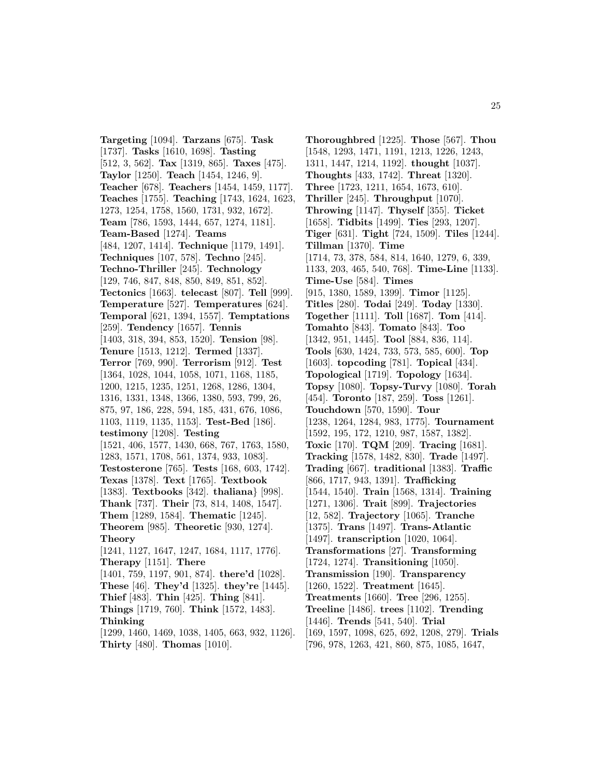**Targeting** [1094]. **Tarzans** [675]. **Task** [1737]. **Tasks** [1610, 1698]. **Tasting** [512, 3, 562]. **Tax** [1319, 865]. **Taxes** [475]. **Taylor** [1250]. **Teach** [1454, 1246, 9]. **Teacher** [678]. **Teachers** [1454, 1459, 1177]. **Teaches** [1755]. **Teaching** [1743, 1624, 1623, 1273, 1254, 1758, 1560, 1731, 932, 1672]. **Team** [786, 1593, 1444, 657, 1274, 1181]. **Team-Based** [1274]. **Teams** [484, 1207, 1414]. **Technique** [1179, 1491]. **Techniques** [107, 578]. **Techno** [245]. **Techno-Thriller** [245]. **Technology** [129, 746, 847, 848, 850, 849, 851, 852]. **Tectonics** [1663]. **telecast** [807]. **Tell** [999]. **Temperature** [527]. **Temperatures** [624]. **Temporal** [621, 1394, 1557]. **Temptations** [259]. **Tendency** [1657]. **Tennis** [1403, 318, 394, 853, 1520]. **Tension** [98]. **Tenure** [1513, 1212]. **Termed** [1337]. **Terror** [769, 990]. **Terrorism** [912]. **Test** [1364, 1028, 1044, 1058, 1071, 1168, 1185, 1200, 1215, 1235, 1251, 1268, 1286, 1304, 1316, 1331, 1348, 1366, 1380, 593, 799, 26, 875, 97, 186, 228, 594, 185, 431, 676, 1086, 1103, 1119, 1135, 1153]. **Test-Bed** [186]. **testimony** [1208]. **Testing** [1521, 406, 1577, 1430, 668, 767, 1763, 1580, 1283, 1571, 1708, 561, 1374, 933, 1083]. **Testosterone** [765]. **Tests** [168, 603, 1742]. **Texas** [1378]. **Text** [1765]. **Textbook** [1383]. **Textbooks** [342]. **thaliana**} [998]. **Thank** [737]. **Their** [73, 814, 1408, 1547]. **Them** [1289, 1584]. **Thematic** [1245]. **Theorem** [985]. **Theoretic** [930, 1274]. **Theory** [1241, 1127, 1647, 1247, 1684, 1117, 1776]. **Therapy** [1151]. **There** [1401, 759, 1197, 901, 874]. **there'd** [1028]. **These** [46]. **They'd** [1325]. **they're** [1445]. **Thief** [483]. **Thin** [425]. **Thing** [841]. **Things** [1719, 760]. **Think** [1572, 1483]. **Thinking** [1299, 1460, 1469, 1038, 1405, 663, 932, 1126]. **Thirty** [480]. **Thomas** [1010].

[1548, 1293, 1471, 1191, 1213, 1226, 1243, 1311, 1447, 1214, 1192]. **thought** [1037]. **Thoughts** [433, 1742]. **Threat** [1320]. **Three** [1723, 1211, 1654, 1673, 610]. **Thriller** [245]. **Throughput** [1070]. **Throwing** [1147]. **Thyself** [355]. **Ticket** [1658]. **Tidbits** [1499]. **Ties** [293, 1207]. **Tiger** [631]. **Tight** [724, 1509]. **Tiles** [1244]. **Tillman** [1370]. **Time** [1714, 73, 378, 584, 814, 1640, 1279, 6, 339, 1133, 203, 465, 540, 768]. **Time-Line** [1133]. **Time-Use** [584]. **Times** [915, 1380, 1589, 1399]. **Timor** [1125]. **Titles** [280]. **Todai** [249]. **Today** [1330]. **Together** [1111]. **Toll** [1687]. **Tom** [414]. **Tomahto** [843]. **Tomato** [843]. **Too** [1342, 951, 1445]. **Tool** [884, 836, 114]. **Tools** [630, 1424, 733, 573, 585, 600]. **Top** [1603]. **topcoding** [781]. **Topical** [434]. **Topological** [1719]. **Topology** [1634]. **Topsy** [1080]. **Topsy-Turvy** [1080]. **Torah** [454]. **Toronto** [187, 259]. **Toss** [1261]. **Touchdown** [570, 1590]. **Tour** [1238, 1264, 1284, 983, 1775]. **Tournament** [1592, 195, 172, 1210, 987, 1587, 1382]. **Toxic** [170]. **TQM** [209]. **Tracing** [1681]. **Tracking** [1578, 1482, 830]. **Trade** [1497]. **Trading** [667]. **traditional** [1383]. **Traffic** [866, 1717, 943, 1391]. **Trafficking** [1544, 1540]. **Train** [1568, 1314]. **Training** [1271, 1306]. **Trait** [899]. **Trajectories** [12, 582]. **Trajectory** [1065]. **Tranche** [1375]. **Trans** [1497]. **Trans-Atlantic** [1497]. **transcription** [1020, 1064]. **Transformations** [27]. **Transforming** [1724, 1274]. **Transitioning** [1050]. **Transmission** [190]. **Transparency** [1260, 1522]. **Treatment** [1645]. **Treatments** [1660]. **Tree** [296, 1255].

**Thoroughbred** [1225]. **Those** [567]. **Thou**

- **Treeline** [1486]. **trees** [1102]. **Trending** [1446]. **Trends** [541, 540]. **Trial**
- [169, 1597, 1098, 625, 692, 1208, 279]. **Trials**
- [796, 978, 1263, 421, 860, 875, 1085, 1647,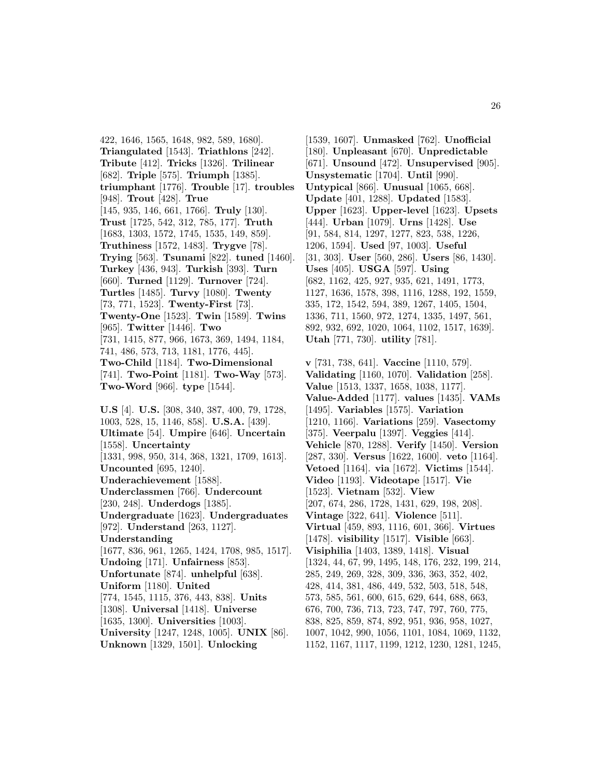422, 1646, 1565, 1648, 982, 589, 1680]. **Triangulated** [1543]. **Triathlons** [242]. **Tribute** [412]. **Tricks** [1326]. **Trilinear** [682]. **Triple** [575]. **Triumph** [1385]. **triumphant** [1776]. **Trouble** [17]. **troubles** [948]. **Trout** [428]. **True** [145, 935, 146, 661, 1766]. **Truly** [130]. **Trust** [1725, 542, 312, 785, 177]. **Truth** [1683, 1303, 1572, 1745, 1535, 149, 859]. **Truthiness** [1572, 1483]. **Trygve** [78]. **Trying** [563]. **Tsunami** [822]. **tuned** [1460]. **Turkey** [436, 943]. **Turkish** [393]. **Turn** [660]. **Turned** [1129]. **Turnover** [724]. **Turtles** [1485]. **Turvy** [1080]. **Twenty** [73, 771, 1523]. **Twenty-First** [73]. **Twenty-One** [1523]. **Twin** [1589]. **Twins** [965]. **Twitter** [1446]. **Two** [731, 1415, 877, 966, 1673, 369, 1494, 1184, 741, 486, 573, 713, 1181, 1776, 445]. **Two-Child** [1184]. **Two-Dimensional** [741]. **Two-Point** [1181]. **Two-Way** [573]. **Two-Word** [966]. **type** [1544].

**U.S** [4]. **U.S.** [308, 340, 387, 400, 79, 1728, 1003, 528, 15, 1146, 858]. **U.S.A.** [439]. **Ultimate** [54]. **Umpire** [646]. **Uncertain** [1558]. **Uncertainty** [1331, 998, 950, 314, 368, 1321, 1709, 1613]. **Uncounted** [695, 1240]. **Underachievement** [1588]. **Underclassmen** [766]. **Undercount** [230, 248]. **Underdogs** [1385]. **Undergraduate** [1623]. **Undergraduates** [972]. **Understand** [263, 1127]. **Understanding** [1677, 836, 961, 1265, 1424, 1708, 985, 1517]. **Undoing** [171]. **Unfairness** [853]. **Unfortunate** [874]. **unhelpful** [638]. **Uniform** [1180]. **United** [774, 1545, 1115, 376, 443, 838]. **Units** [1308]. **Universal** [1418]. **Universe** [1635, 1300]. **Universities** [1003]. **University** [1247, 1248, 1005]. **UNIX** [86]. **Unknown** [1329, 1501]. **Unlocking**

[1539, 1607]. **Unmasked** [762]. **Unofficial** [180]. **Unpleasant** [670]. **Unpredictable** [671]. **Unsound** [472]. **Unsupervised** [905]. **Unsystematic** [1704]. **Until** [990]. **Untypical** [866]. **Unusual** [1065, 668]. **Update** [401, 1288]. **Updated** [1583]. **Upper** [1623]. **Upper-level** [1623]. **Upsets** [444]. **Urban** [1079]. **Urns** [1428]. **Use** [91, 584, 814, 1297, 1277, 823, 538, 1226, 1206, 1594]. **Used** [97, 1003]. **Useful** [31, 303]. **User** [560, 286]. **Users** [86, 1430]. **Uses** [405]. **USGA** [597]. **Using** [682, 1162, 425, 927, 935, 621, 1491, 1773, 1127, 1636, 1578, 398, 1116, 1288, 192, 1559, 335, 172, 1542, 594, 389, 1267, 1405, 1504, 1336, 711, 1560, 972, 1274, 1335, 1497, 561, 892, 932, 692, 1020, 1064, 1102, 1517, 1639]. **Utah** [771, 730]. **utility** [781].

**v** [731, 738, 641]. **Vaccine** [1110, 579]. **Validating** [1160, 1070]. **Validation** [258]. **Value** [1513, 1337, 1658, 1038, 1177]. **Value-Added** [1177]. **values** [1435]. **VAMs** [1495]. **Variables** [1575]. **Variation** [1210, 1166]. **Variations** [259]. **Vasectomy** [375]. **Veerpalu** [1397]. **Veggies** [414]. **Vehicle** [870, 1288]. **Verify** [1450]. **Version** [287, 330]. **Versus** [1622, 1600]. **veto** [1164]. **Vetoed** [1164]. **via** [1672]. **Victims** [1544]. **Video** [1193]. **Videotape** [1517]. **Vie** [1523]. **Vietnam** [532]. **View** [207, 674, 286, 1728, 1431, 629, 198, 208]. **Vintage** [322, 641]. **Violence** [511]. **Virtual** [459, 893, 1116, 601, 366]. **Virtues** [1478]. **visibility** [1517]. **Visible** [663]. **Visiphilia** [1403, 1389, 1418]. **Visual** [1324, 44, 67, 99, 1495, 148, 176, 232, 199, 214, 285, 249, 269, 328, 309, 336, 363, 352, 402, 428, 414, 381, 486, 449, 532, 503, 518, 548, 573, 585, 561, 600, 615, 629, 644, 688, 663, 676, 700, 736, 713, 723, 747, 797, 760, 775, 838, 825, 859, 874, 892, 951, 936, 958, 1027, 1007, 1042, 990, 1056, 1101, 1084, 1069, 1132, 1152, 1167, 1117, 1199, 1212, 1230, 1281, 1245,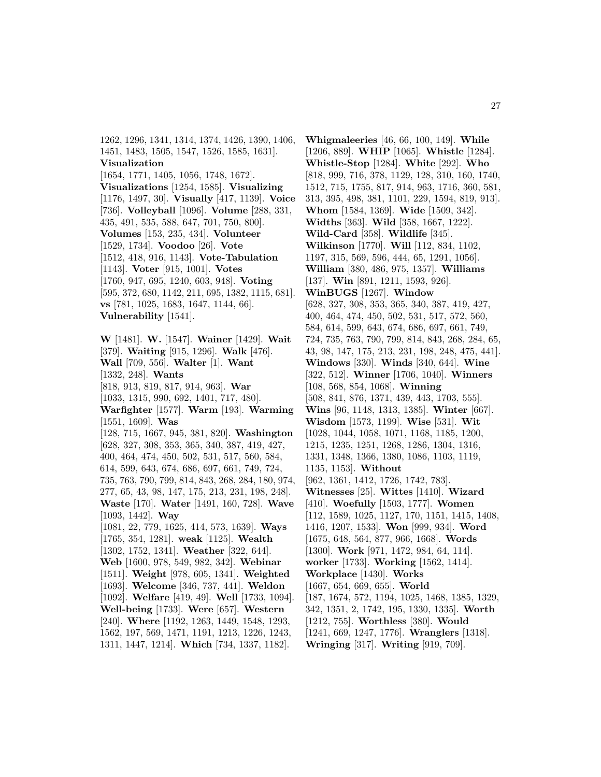1262, 1296, 1341, 1314, 1374, 1426, 1390, 1406, 1451, 1483, 1505, 1547, 1526, 1585, 1631]. **Visualization** [1654, 1771, 1405, 1056, 1748, 1672]. **Visualizations** [1254, 1585]. **Visualizing** [1176, 1497, 30]. **Visually** [417, 1139]. **Voice** [736]. **Volleyball** [1096]. **Volume** [288, 331, 435, 491, 535, 588, 647, 701, 750, 800]. **Volumes** [153, 235, 434]. **Volunteer** [1529, 1734]. **Voodoo** [26]. **Vote** [1512, 418, 916, 1143]. **Vote-Tabulation** [1143]. **Voter** [915, 1001]. **Votes** [1760, 947, 695, 1240, 603, 948]. **Voting** [595, 372, 680, 1142, 211, 695, 1382, 1115, 681]. **vs** [781, 1025, 1683, 1647, 1144, 66]. **Vulnerability** [1541]. **W** [1481]. **W.** [1547]. **Wainer** [1429]. **Wait** [379]. **Waiting** [915, 1296]. **Walk** [476]. **Wall** [709, 556]. **Walter** [1]. **Want** [1332, 248]. **Wants** [818, 913, 819, 817, 914, 963]. **War** [1033, 1315, 990, 692, 1401, 717, 480]. **Warfighter** [1577]. **Warm** [193]. **Warming** [1551, 1609]. **Was** [128, 715, 1667, 945, 381, 820]. **Washington** [628, 327, 308, 353, 365, 340, 387, 419, 427, 400, 464, 474, 450, 502, 531, 517, 560, 584, 614, 599, 643, 674, 686, 697, 661, 749, 724, 735, 763, 790, 799, 814, 843, 268, 284, 180, 974, 277, 65, 43, 98, 147, 175, 213, 231, 198, 248]. **Waste** [170]. **Water** [1491, 160, 728]. **Wave** [1093, 1442]. **Way** [1081, 22, 779, 1625, 414, 573, 1639]. **Ways** [1765, 354, 1281]. **weak** [1125]. **Wealth** [1302, 1752, 1341]. **Weather** [322, 644]. **Web** [1600, 978, 549, 982, 342]. **Webinar**

[1511]. **Weight** [978, 605, 1341]. **Weighted** [1693]. **Welcome** [346, 737, 441]. **Weldon** [1092]. **Welfare** [419, 49]. **Well** [1733, 1094]. **Well-being** [1733]. **Were** [657]. **Western** [240]. **Where** [1192, 1263, 1449, 1548, 1293, 1562, 197, 569, 1471, 1191, 1213, 1226, 1243, 1311, 1447, 1214]. **Which** [734, 1337, 1182].

**Whigmaleeries** [46, 66, 100, 149]. **While** [1206, 889]. **WHIP** [1065]. **Whistle** [1284]. **Whistle-Stop** [1284]. **White** [292]. **Who** [818, 999, 716, 378, 1129, 128, 310, 160, 1740, 1512, 715, 1755, 817, 914, 963, 1716, 360, 581, 313, 395, 498, 381, 1101, 229, 1594, 819, 913]. **Whom** [1584, 1369]. **Wide** [1509, 342]. **Widths** [363]. **Wild** [358, 1667, 1222]. **Wild-Card** [358]. **Wildlife** [345]. **Wilkinson** [1770]. **Will** [112, 834, 1102, 1197, 315, 569, 596, 444, 65, 1291, 1056]. **William** [380, 486, 975, 1357]. **Williams** [137]. **Win** [891, 1211, 1593, 926]. **WinBUGS** [1267]. **Window** [628, 327, 308, 353, 365, 340, 387, 419, 427, 400, 464, 474, 450, 502, 531, 517, 572, 560, 584, 614, 599, 643, 674, 686, 697, 661, 749, 724, 735, 763, 790, 799, 814, 843, 268, 284, 65, 43, 98, 147, 175, 213, 231, 198, 248, 475, 441]. **Windows** [330]. **Winds** [340, 644]. **Wine** [322, 512]. **Winner** [1706, 1040]. **Winners** [108, 568, 854, 1068]. **Winning** [508, 841, 876, 1371, 439, 443, 1703, 555]. **Wins** [96, 1148, 1313, 1385]. **Winter** [667]. **Wisdom** [1573, 1199]. **Wise** [531]. **Wit** [1028, 1044, 1058, 1071, 1168, 1185, 1200, 1215, 1235, 1251, 1268, 1286, 1304, 1316, 1331, 1348, 1366, 1380, 1086, 1103, 1119, 1135, 1153]. **Without** [962, 1361, 1412, 1726, 1742, 783]. **Witnesses** [25]. **Wittes** [1410]. **Wizard** [410]. **Woefully** [1503, 1777]. **Women** [112, 1589, 1025, 1127, 170, 1151, 1415, 1408, 1416, 1207, 1533]. **Won** [999, 934]. **Word** [1675, 648, 564, 877, 966, 1668]. **Words** [1300]. **Work** [971, 1472, 984, 64, 114]. **worker** [1733]. **Working** [1562, 1414]. **Workplace** [1430]. **Works** [1667, 654, 669, 655]. **World** [187, 1674, 572, 1194, 1025, 1468, 1385, 1329, 342, 1351, 2, 1742, 195, 1330, 1335]. **Worth** [1212, 755]. **Worthless** [380]. **Would** [1241, 669, 1247, 1776]. **Wranglers** [1318]. **Wringing** [317]. **Writing** [919, 709].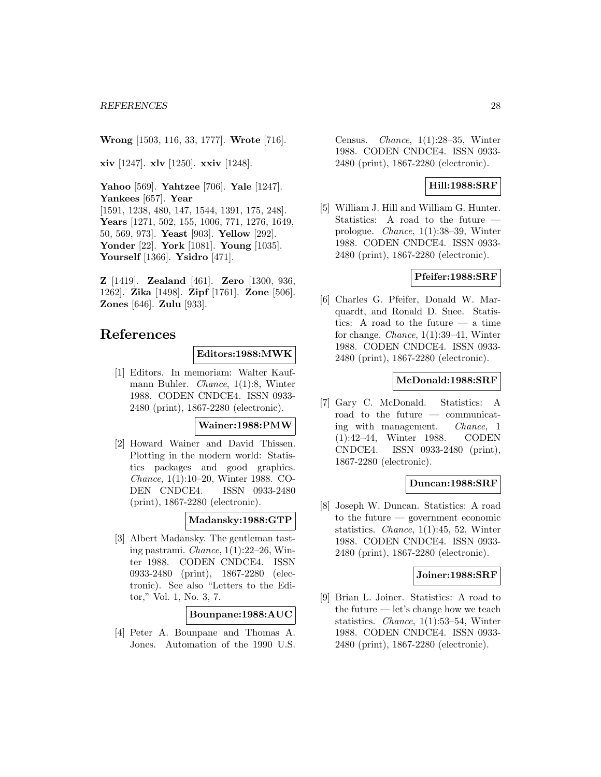**Wrong** [1503, 116, 33, 1777]. **Wrote** [716].

**xiv** [1247]. **xlv** [1250]. **xxiv** [1248].

**Yahoo** [569]. **Yahtzee** [706]. **Yale** [1247]. **Yankees** [657]. **Year** [1591, 1238, 480, 147, 1544, 1391, 175, 248]. **Years** [1271, 502, 155, 1006, 771, 1276, 1649, 50, 569, 973]. **Yeast** [903]. **Yellow** [292]. **Yonder** [22]. **York** [1081]. **Young** [1035]. **Yourself** [1366]. **Ysidro** [471].

**Z** [1419]. **Zealand** [461]. **Zero** [1300, 936, 1262]. **Zika** [1498]. **Zipf** [1761]. **Zone** [506]. **Zones** [646]. **Zulu** [933].

## **References**

#### **Editors:1988:MWK**

[1] Editors. In memoriam: Walter Kaufmann Buhler. Chance, 1(1):8, Winter 1988. CODEN CNDCE4. ISSN 0933- 2480 (print), 1867-2280 (electronic).

### **Wainer:1988:PMW**

[2] Howard Wainer and David Thissen. Plotting in the modern world: Statistics packages and good graphics. Chance, 1(1):10–20, Winter 1988. CO-DEN CNDCE4. ISSN 0933-2480 (print), 1867-2280 (electronic).

#### **Madansky:1988:GTP**

[3] Albert Madansky. The gentleman tasting pastrami. Chance, 1(1):22–26, Winter 1988. CODEN CNDCE4. ISSN 0933-2480 (print), 1867-2280 (electronic). See also "Letters to the Editor," Vol. 1, No. 3, 7.

## **Bounpane:1988:AUC**

[4] Peter A. Bounpane and Thomas A. Jones. Automation of the 1990 U.S.

Census. Chance, 1(1):28–35, Winter 1988. CODEN CNDCE4. ISSN 0933- 2480 (print), 1867-2280 (electronic).

## **Hill:1988:SRF**

[5] William J. Hill and William G. Hunter. Statistics: A road to the future prologue. Chance, 1(1):38–39, Winter 1988. CODEN CNDCE4. ISSN 0933- 2480 (print), 1867-2280 (electronic).

## **Pfeifer:1988:SRF**

[6] Charles G. Pfeifer, Donald W. Marquardt, and Ronald D. Snee. Statistics: A road to the future — a time for change. Chance, 1(1):39–41, Winter 1988. CODEN CNDCE4. ISSN 0933- 2480 (print), 1867-2280 (electronic).

#### **McDonald:1988:SRF**

[7] Gary C. McDonald. Statistics: A road to the future — communicating with management. Chance, 1 (1):42–44, Winter 1988. CODEN CNDCE4. ISSN 0933-2480 (print), 1867-2280 (electronic).

#### **Duncan:1988:SRF**

[8] Joseph W. Duncan. Statistics: A road to the future — government economic statistics. Chance, 1(1):45, 52, Winter 1988. CODEN CNDCE4. ISSN 0933- 2480 (print), 1867-2280 (electronic).

#### **Joiner:1988:SRF**

[9] Brian L. Joiner. Statistics: A road to the future — let's change how we teach statistics. Chance, 1(1):53–54, Winter 1988. CODEN CNDCE4. ISSN 0933- 2480 (print), 1867-2280 (electronic).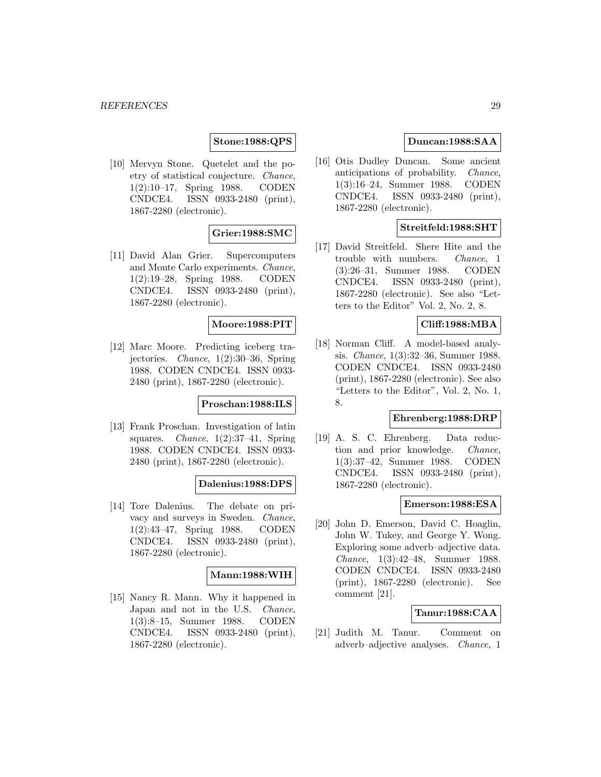## **Stone:1988:QPS**

[10] Mervyn Stone. Quetelet and the poetry of statistical conjecture. Chance, 1(2):10–17, Spring 1988. CODEN CNDCE4. ISSN 0933-2480 (print), 1867-2280 (electronic).

## **Grier:1988:SMC**

[11] David Alan Grier. Supercomputers and Monte Carlo experiments. Chance, 1(2):19–28, Spring 1988. CODEN CNDCE4. ISSN 0933-2480 (print), 1867-2280 (electronic).

## **Moore:1988:PIT**

[12] Marc Moore. Predicting iceberg trajectories. Chance, 1(2):30–36, Spring 1988. CODEN CNDCE4. ISSN 0933- 2480 (print), 1867-2280 (electronic).

## **Proschan:1988:ILS**

[13] Frank Proschan. Investigation of latin squares. *Chance*,  $1(2):37-41$ , Spring 1988. CODEN CNDCE4. ISSN 0933- 2480 (print), 1867-2280 (electronic).

## **Dalenius:1988:DPS**

[14] Tore Dalenius. The debate on privacy and surveys in Sweden. Chance, 1(2):43–47, Spring 1988. CODEN CNDCE4. ISSN 0933-2480 (print), 1867-2280 (electronic).

#### **Mann:1988:WIH**

[15] Nancy R. Mann. Why it happened in Japan and not in the U.S. Chance, 1(3):8–15, Summer 1988. CODEN CNDCE4. ISSN 0933-2480 (print), 1867-2280 (electronic).

## **Duncan:1988:SAA**

[16] Otis Dudley Duncan. Some ancient anticipations of probability. Chance, 1(3):16–24, Summer 1988. CODEN CNDCE4. ISSN 0933-2480 (print), 1867-2280 (electronic).

## **Streitfeld:1988:SHT**

[17] David Streitfeld. Shere Hite and the trouble with numbers. Chance, 1 (3):26–31, Summer 1988. CODEN CNDCE4. ISSN 0933-2480 (print), 1867-2280 (electronic). See also "Letters to the Editor" Vol. 2, No. 2, 8.

## **Cliff:1988:MBA**

[18] Norman Cliff. A model-based analysis. Chance, 1(3):32–36, Summer 1988. CODEN CNDCE4. ISSN 0933-2480 (print), 1867-2280 (electronic). See also "Letters to the Editor", Vol. 2, No. 1, 8.

## **Ehrenberg:1988:DRP**

[19] A. S. C. Ehrenberg. Data reduction and prior knowledge. Chance, 1(3):37–42, Summer 1988. CODEN CNDCE4. ISSN 0933-2480 (print), 1867-2280 (electronic).

#### **Emerson:1988:ESA**

[20] John D. Emerson, David C. Hoaglin, John W. Tukey, and George Y. Wong. Exploring some adverb–adjective data. Chance, 1(3):42–48, Summer 1988. CODEN CNDCE4. ISSN 0933-2480 (print), 1867-2280 (electronic). See comment [21].

#### **Tanur:1988:CAA**

[21] Judith M. Tanur. Comment on adverb–adjective analyses. Chance, 1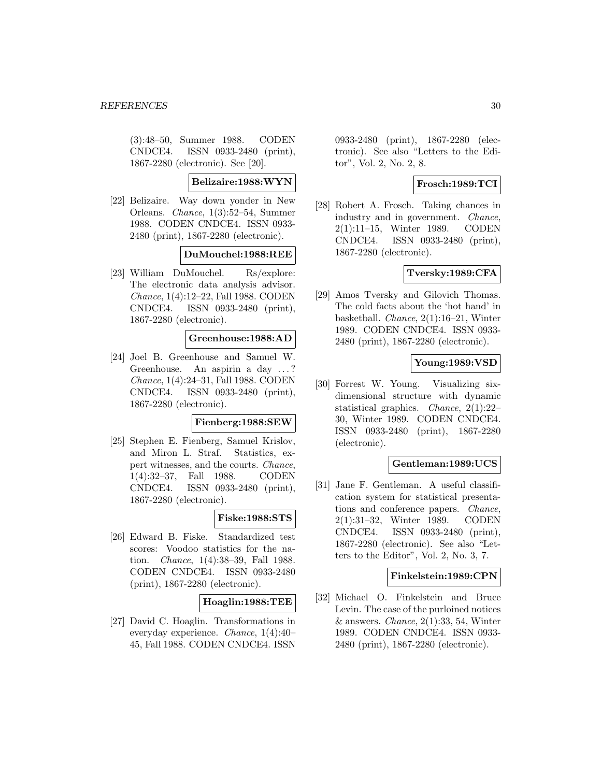(3):48–50, Summer 1988. CODEN CNDCE4. ISSN 0933-2480 (print), 1867-2280 (electronic). See [20].

## **Belizaire:1988:WYN**

[22] Belizaire. Way down yonder in New Orleans. Chance, 1(3):52–54, Summer 1988. CODEN CNDCE4. ISSN 0933- 2480 (print), 1867-2280 (electronic).

## **DuMouchel:1988:REE**

[23] William DuMouchel. Rs/explore: The electronic data analysis advisor. Chance, 1(4):12–22, Fall 1988. CODEN CNDCE4. ISSN 0933-2480 (print), 1867-2280 (electronic).

## **Greenhouse:1988:AD**

[24] Joel B. Greenhouse and Samuel W. Greenhouse. An aspirin a day ... ? Chance, 1(4):24–31, Fall 1988. CODEN CNDCE4. ISSN 0933-2480 (print), 1867-2280 (electronic).

#### **Fienberg:1988:SEW**

[25] Stephen E. Fienberg, Samuel Krislov, and Miron L. Straf. Statistics, expert witnesses, and the courts. Chance, 1(4):32–37, Fall 1988. CODEN CNDCE4. ISSN 0933-2480 (print), 1867-2280 (electronic).

#### **Fiske:1988:STS**

[26] Edward B. Fiske. Standardized test scores: Voodoo statistics for the nation. Chance, 1(4):38–39, Fall 1988. CODEN CNDCE4. ISSN 0933-2480 (print), 1867-2280 (electronic).

## **Hoaglin:1988:TEE**

[27] David C. Hoaglin. Transformations in everyday experience. Chance, 1(4):40– 45, Fall 1988. CODEN CNDCE4. ISSN

0933-2480 (print), 1867-2280 (electronic). See also "Letters to the Editor", Vol. 2, No. 2, 8.

## **Frosch:1989:TCI**

[28] Robert A. Frosch. Taking chances in industry and in government. Chance, 2(1):11–15, Winter 1989. CODEN CNDCE4. ISSN 0933-2480 (print), 1867-2280 (electronic).

## **Tversky:1989:CFA**

[29] Amos Tversky and Gilovich Thomas. The cold facts about the 'hot hand' in basketball. Chance, 2(1):16–21, Winter 1989. CODEN CNDCE4. ISSN 0933- 2480 (print), 1867-2280 (electronic).

## **Young:1989:VSD**

[30] Forrest W. Young. Visualizing sixdimensional structure with dynamic statistical graphics. Chance, 2(1):22– 30, Winter 1989. CODEN CNDCE4. ISSN 0933-2480 (print), 1867-2280 (electronic).

#### **Gentleman:1989:UCS**

[31] Jane F. Gentleman. A useful classification system for statistical presentations and conference papers. Chance, 2(1):31–32, Winter 1989. CODEN CNDCE4. ISSN 0933-2480 (print), 1867-2280 (electronic). See also "Letters to the Editor", Vol. 2, No. 3, 7.

#### **Finkelstein:1989:CPN**

[32] Michael O. Finkelstein and Bruce Levin. The case of the purloined notices  $&$  answers. *Chance*, 2(1):33, 54, Winter 1989. CODEN CNDCE4. ISSN 0933- 2480 (print), 1867-2280 (electronic).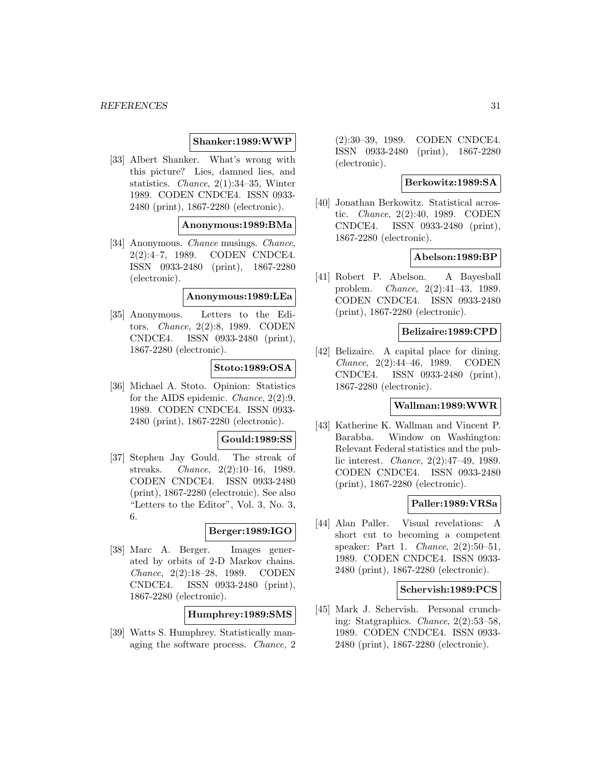### **Shanker:1989:WWP**

[33] Albert Shanker. What's wrong with this picture? Lies, damned lies, and statistics. Chance, 2(1):34–35, Winter 1989. CODEN CNDCE4. ISSN 0933- 2480 (print), 1867-2280 (electronic).

**Anonymous:1989:BMa**

[34] Anonymous. Chance musings. Chance, 2(2):4–7, 1989. CODEN CNDCE4. ISSN 0933-2480 (print), 1867-2280 (electronic).

#### **Anonymous:1989:LEa**

[35] Anonymous. Letters to the Editors. Chance, 2(2):8, 1989. CODEN CNDCE4. ISSN 0933-2480 (print), 1867-2280 (electronic).

#### **Stoto:1989:OSA**

[36] Michael A. Stoto. Opinion: Statistics for the AIDS epidemic. Chance, 2(2):9, 1989. CODEN CNDCE4. ISSN 0933- 2480 (print), 1867-2280 (electronic).

#### **Gould:1989:SS**

[37] Stephen Jay Gould. The streak of streaks. Chance, 2(2):10–16, 1989. CODEN CNDCE4. ISSN 0933-2480 (print), 1867-2280 (electronic). See also "Letters to the Editor", Vol. 3, No. 3, 6.

#### **Berger:1989:IGO**

[38] Marc A. Berger. Images generated by orbits of 2-D Markov chains. Chance, 2(2):18–28, 1989. CODEN CNDCE4. ISSN 0933-2480 (print), 1867-2280 (electronic).

## **Humphrey:1989:SMS**

[39] Watts S. Humphrey. Statistically managing the software process. Chance, 2

(2):30–39, 1989. CODEN CNDCE4. ISSN 0933-2480 (print), 1867-2280 (electronic).

## **Berkowitz:1989:SA**

[40] Jonathan Berkowitz. Statistical acrostic. Chance, 2(2):40, 1989. CODEN CNDCE4. ISSN 0933-2480 (print), 1867-2280 (electronic).

#### **Abelson:1989:BP**

[41] Robert P. Abelson. A Bayesball problem. Chance, 2(2):41–43, 1989. CODEN CNDCE4. ISSN 0933-2480 (print), 1867-2280 (electronic).

#### **Belizaire:1989:CPD**

[42] Belizaire. A capital place for dining. Chance, 2(2):44–46, 1989. CODEN CNDCE4. ISSN 0933-2480 (print), 1867-2280 (electronic).

## **Wallman:1989:WWR**

[43] Katherine K. Wallman and Vincent P. Barabba. Window on Washington: Relevant Federal statistics and the public interest. Chance, 2(2):47–49, 1989. CODEN CNDCE4. ISSN 0933-2480 (print), 1867-2280 (electronic).

## **Paller:1989:VRSa**

[44] Alan Paller. Visual revelations: A short cut to becoming a competent speaker: Part 1. Chance, 2(2):50–51, 1989. CODEN CNDCE4. ISSN 0933- 2480 (print), 1867-2280 (electronic).

#### **Schervish:1989:PCS**

[45] Mark J. Schervish. Personal crunching: Statgraphics. Chance, 2(2):53–58, 1989. CODEN CNDCE4. ISSN 0933- 2480 (print), 1867-2280 (electronic).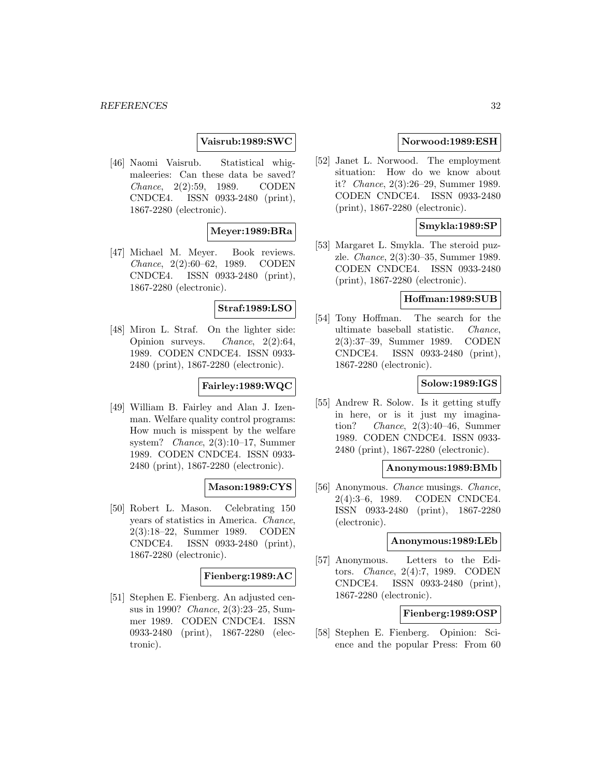## **Vaisrub:1989:SWC**

[46] Naomi Vaisrub. Statistical whigmaleeries: Can these data be saved? Chance, 2(2):59, 1989. CODEN CNDCE4. ISSN 0933-2480 (print), 1867-2280 (electronic).

## **Meyer:1989:BRa**

[47] Michael M. Meyer. Book reviews. Chance, 2(2):60–62, 1989. CODEN CNDCE4. ISSN 0933-2480 (print), 1867-2280 (electronic).

## **Straf:1989:LSO**

[48] Miron L. Straf. On the lighter side: Opinion surveys. Chance, 2(2):64, 1989. CODEN CNDCE4. ISSN 0933- 2480 (print), 1867-2280 (electronic).

## **Fairley:1989:WQC**

[49] William B. Fairley and Alan J. Izenman. Welfare quality control programs: How much is misspent by the welfare system? Chance, 2(3):10–17, Summer 1989. CODEN CNDCE4. ISSN 0933- 2480 (print), 1867-2280 (electronic).

#### **Mason:1989:CYS**

[50] Robert L. Mason. Celebrating 150 years of statistics in America. Chance, 2(3):18–22, Summer 1989. CODEN CNDCE4. ISSN 0933-2480 (print), 1867-2280 (electronic).

#### **Fienberg:1989:AC**

[51] Stephen E. Fienberg. An adjusted census in 1990? Chance, 2(3):23–25, Summer 1989. CODEN CNDCE4. ISSN 0933-2480 (print), 1867-2280 (electronic).

### **Norwood:1989:ESH**

[52] Janet L. Norwood. The employment situation: How do we know about it? Chance, 2(3):26–29, Summer 1989. CODEN CNDCE4. ISSN 0933-2480 (print), 1867-2280 (electronic).

## **Smykla:1989:SP**

[53] Margaret L. Smykla. The steroid puzzle. Chance, 2(3):30–35, Summer 1989. CODEN CNDCE4. ISSN 0933-2480 (print), 1867-2280 (electronic).

#### **Hoffman:1989:SUB**

[54] Tony Hoffman. The search for the ultimate baseball statistic. Chance, 2(3):37–39, Summer 1989. CODEN CNDCE4. ISSN 0933-2480 (print), 1867-2280 (electronic).

#### **Solow:1989:IGS**

[55] Andrew R. Solow. Is it getting stuffy in here, or is it just my imagination? Chance, 2(3):40–46, Summer 1989. CODEN CNDCE4. ISSN 0933- 2480 (print), 1867-2280 (electronic).

#### **Anonymous:1989:BMb**

[56] Anonymous. *Chance* musings. *Chance*, 2(4):3–6, 1989. CODEN CNDCE4. ISSN 0933-2480 (print), 1867-2280 (electronic).

#### **Anonymous:1989:LEb**

[57] Anonymous. Letters to the Editors. Chance, 2(4):7, 1989. CODEN CNDCE4. ISSN 0933-2480 (print), 1867-2280 (electronic).

## **Fienberg:1989:OSP**

[58] Stephen E. Fienberg. Opinion: Science and the popular Press: From 60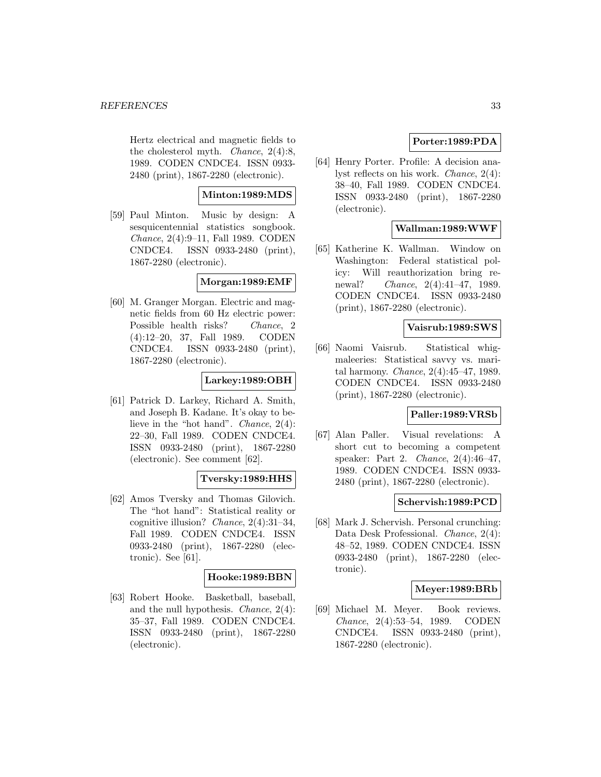Hertz electrical and magnetic fields to the cholesterol myth. *Chance*,  $2(4):8$ , 1989. CODEN CNDCE4. ISSN 0933- 2480 (print), 1867-2280 (electronic).

## **Minton:1989:MDS**

[59] Paul Minton. Music by design: A sesquicentennial statistics songbook. Chance, 2(4):9–11, Fall 1989. CODEN CNDCE4. ISSN 0933-2480 (print), 1867-2280 (electronic).

## **Morgan:1989:EMF**

[60] M. Granger Morgan. Electric and magnetic fields from 60 Hz electric power: Possible health risks? Chance, 2 (4):12–20, 37, Fall 1989. CODEN CNDCE4. ISSN 0933-2480 (print), 1867-2280 (electronic).

## **Larkey:1989:OBH**

[61] Patrick D. Larkey, Richard A. Smith, and Joseph B. Kadane. It's okay to believe in the "hot hand". Chance, 2(4): 22–30, Fall 1989. CODEN CNDCE4. ISSN 0933-2480 (print), 1867-2280 (electronic). See comment [62].

## **Tversky:1989:HHS**

[62] Amos Tversky and Thomas Gilovich. The "hot hand": Statistical reality or cognitive illusion? Chance,  $2(4):31-34$ , Fall 1989. CODEN CNDCE4. ISSN 0933-2480 (print), 1867-2280 (electronic). See [61].

## **Hooke:1989:BBN**

[63] Robert Hooke. Basketball, baseball, and the null hypothesis. Chance, 2(4): 35–37, Fall 1989. CODEN CNDCE4. ISSN 0933-2480 (print), 1867-2280 (electronic).

## **Porter:1989:PDA**

[64] Henry Porter. Profile: A decision analyst reflects on his work. Chance, 2(4): 38–40, Fall 1989. CODEN CNDCE4. ISSN 0933-2480 (print), 1867-2280 (electronic).

## **Wallman:1989:WWF**

[65] Katherine K. Wallman. Window on Washington: Federal statistical policy: Will reauthorization bring renewal? Chance, 2(4):41–47, 1989. CODEN CNDCE4. ISSN 0933-2480 (print), 1867-2280 (electronic).

## **Vaisrub:1989:SWS**

[66] Naomi Vaisrub. Statistical whigmaleeries: Statistical savvy vs. marital harmony. Chance, 2(4):45–47, 1989. CODEN CNDCE4. ISSN 0933-2480 (print), 1867-2280 (electronic).

## **Paller:1989:VRSb**

[67] Alan Paller. Visual revelations: A short cut to becoming a competent speaker: Part 2. Chance, 2(4):46–47, 1989. CODEN CNDCE4. ISSN 0933- 2480 (print), 1867-2280 (electronic).

## **Schervish:1989:PCD**

[68] Mark J. Schervish. Personal crunching: Data Desk Professional. Chance, 2(4): 48–52, 1989. CODEN CNDCE4. ISSN 0933-2480 (print), 1867-2280 (electronic).

## **Meyer:1989:BRb**

[69] Michael M. Meyer. Book reviews. Chance, 2(4):53–54, 1989. CODEN CNDCE4. ISSN 0933-2480 (print), 1867-2280 (electronic).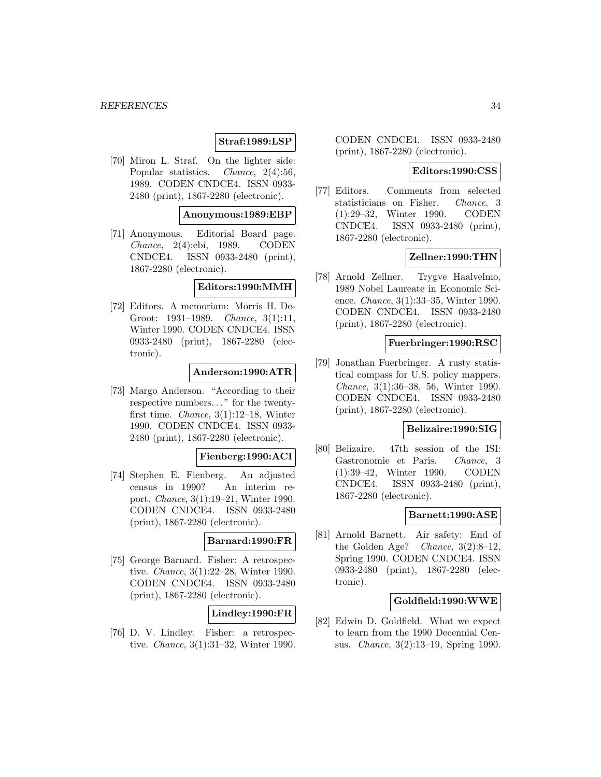## **Straf:1989:LSP**

[70] Miron L. Straf. On the lighter side: Popular statistics. *Chance*, 2(4):56, 1989. CODEN CNDCE4. ISSN 0933- 2480 (print), 1867-2280 (electronic).

#### **Anonymous:1989:EBP**

[71] Anonymous. Editorial Board page. Chance, 2(4):ebi, 1989. CODEN CNDCE4. ISSN 0933-2480 (print), 1867-2280 (electronic).

#### **Editors:1990:MMH**

[72] Editors. A memoriam: Morris H. De-Groot: 1931–1989. Chance, 3(1):11, Winter 1990. CODEN CNDCE4. ISSN 0933-2480 (print), 1867-2280 (electronic).

## **Anderson:1990:ATR**

[73] Margo Anderson. "According to their respective numbers... " for the twentyfirst time. Chance, 3(1):12–18, Winter 1990. CODEN CNDCE4. ISSN 0933- 2480 (print), 1867-2280 (electronic).

#### **Fienberg:1990:ACI**

[74] Stephen E. Fienberg. An adjusted census in 1990? An interim report. Chance, 3(1):19–21, Winter 1990. CODEN CNDCE4. ISSN 0933-2480 (print), 1867-2280 (electronic).

#### **Barnard:1990:FR**

[75] George Barnard. Fisher: A retrospective. Chance, 3(1):22–28, Winter 1990. CODEN CNDCE4. ISSN 0933-2480 (print), 1867-2280 (electronic).

## **Lindley:1990:FR**

[76] D. V. Lindley. Fisher: a retrospective. Chance, 3(1):31–32, Winter 1990. CODEN CNDCE4. ISSN 0933-2480 (print), 1867-2280 (electronic).

#### **Editors:1990:CSS**

[77] Editors. Comments from selected statisticians on Fisher. Chance, 3 (1):29–32, Winter 1990. CODEN CNDCE4. ISSN 0933-2480 (print), 1867-2280 (electronic).

#### **Zellner:1990:THN**

[78] Arnold Zellner. Trygve Haalvelmo, 1989 Nobel Laureate in Economic Science. Chance, 3(1):33–35, Winter 1990. CODEN CNDCE4. ISSN 0933-2480 (print), 1867-2280 (electronic).

#### **Fuerbringer:1990:RSC**

[79] Jonathan Fuerbringer. A rusty statistical compass for U.S. policy mappers. Chance, 3(1):36–38, 56, Winter 1990. CODEN CNDCE4. ISSN 0933-2480 (print), 1867-2280 (electronic).

#### **Belizaire:1990:SIG**

[80] Belizaire. 47th session of the ISI: Gastronomie et Paris. Chance, 3 (1):39–42, Winter 1990. CODEN CNDCE4. ISSN 0933-2480 (print), 1867-2280 (electronic).

## **Barnett:1990:ASE**

[81] Arnold Barnett. Air safety: End of the Golden Age? Chance, 3(2):8–12, Spring 1990. CODEN CNDCE4. ISSN 0933-2480 (print), 1867-2280 (electronic).

## **Goldfield:1990:WWE**

[82] Edwin D. Goldfield. What we expect to learn from the 1990 Decennial Census. Chance, 3(2):13–19, Spring 1990.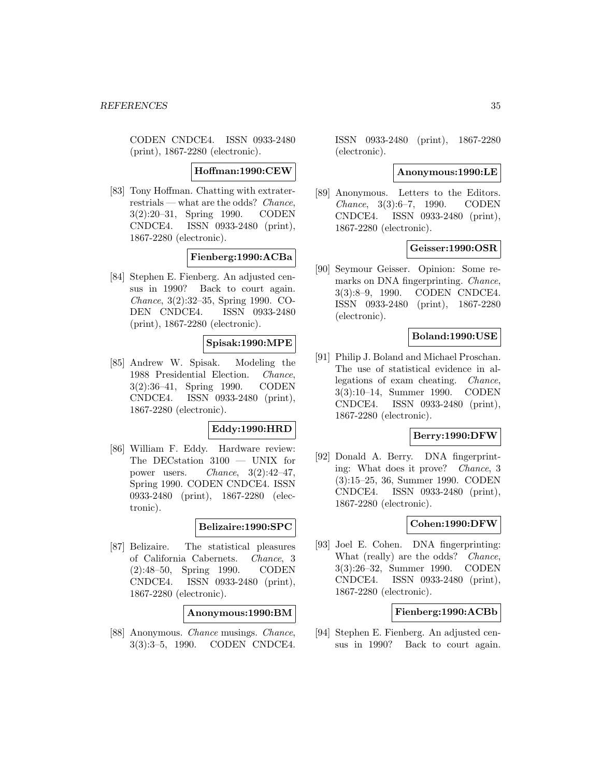CODEN CNDCE4. ISSN 0933-2480 (print), 1867-2280 (electronic).

#### **Hoffman:1990:CEW**

[83] Tony Hoffman. Chatting with extraterrestrials — what are the odds? Chance, 3(2):20–31, Spring 1990. CODEN CNDCE4. ISSN 0933-2480 (print), 1867-2280 (electronic).

#### **Fienberg:1990:ACBa**

[84] Stephen E. Fienberg. An adjusted census in 1990? Back to court again. Chance, 3(2):32–35, Spring 1990. CO-DEN CNDCE4. ISSN 0933-2480 (print), 1867-2280 (electronic).

## **Spisak:1990:MPE**

[85] Andrew W. Spisak. Modeling the 1988 Presidential Election. Chance, 3(2):36–41, Spring 1990. CODEN CNDCE4. ISSN 0933-2480 (print), 1867-2280 (electronic).

#### **Eddy:1990:HRD**

[86] William F. Eddy. Hardware review: The DECstation 3100 — UNIX for power users. Chance,  $3(2):42-47$ , Spring 1990. CODEN CNDCE4. ISSN 0933-2480 (print), 1867-2280 (electronic).

#### **Belizaire:1990:SPC**

[87] Belizaire. The statistical pleasures of California Cabernets. Chance, 3 (2):48–50, Spring 1990. CODEN CNDCE4. ISSN 0933-2480 (print), 1867-2280 (electronic).

#### **Anonymous:1990:BM**

[88] Anonymous. Chance musings. Chance, 3(3):3–5, 1990. CODEN CNDCE4.

ISSN 0933-2480 (print), 1867-2280 (electronic).

#### **Anonymous:1990:LE**

[89] Anonymous. Letters to the Editors. Chance, 3(3):6–7, 1990. CODEN CNDCE4. ISSN 0933-2480 (print), 1867-2280 (electronic).

## **Geisser:1990:OSR**

[90] Seymour Geisser. Opinion: Some remarks on DNA fingerprinting. Chance, 3(3):8–9, 1990. CODEN CNDCE4. ISSN 0933-2480 (print), 1867-2280 (electronic).

#### **Boland:1990:USE**

[91] Philip J. Boland and Michael Proschan. The use of statistical evidence in allegations of exam cheating. Chance, 3(3):10–14, Summer 1990. CODEN CNDCE4. ISSN 0933-2480 (print), 1867-2280 (electronic).

## **Berry:1990:DFW**

[92] Donald A. Berry. DNA fingerprinting: What does it prove? Chance, 3 (3):15–25, 36, Summer 1990. CODEN CNDCE4. ISSN 0933-2480 (print), 1867-2280 (electronic).

## **Cohen:1990:DFW**

[93] Joel E. Cohen. DNA fingerprinting: What (really) are the odds? *Chance*, 3(3):26–32, Summer 1990. CODEN CNDCE4. ISSN 0933-2480 (print), 1867-2280 (electronic).

#### **Fienberg:1990:ACBb**

[94] Stephen E. Fienberg. An adjusted census in 1990? Back to court again.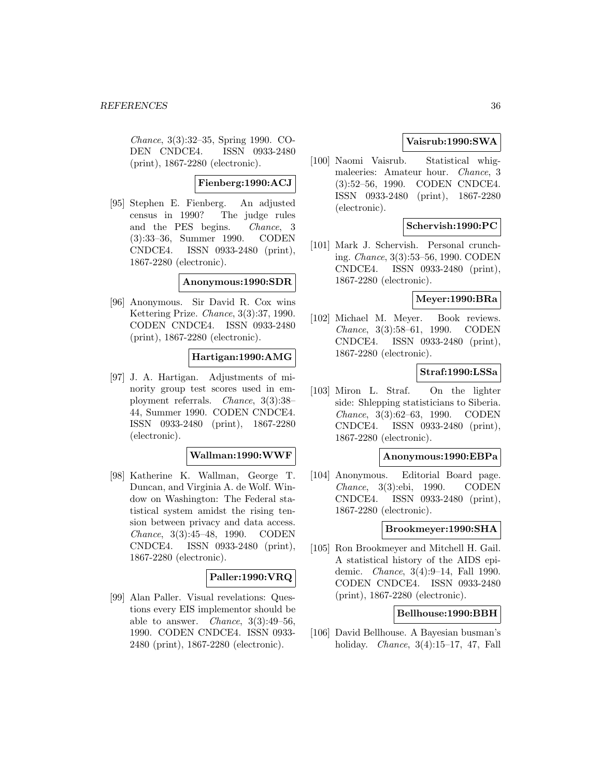Chance, 3(3):32–35, Spring 1990. CO-DEN CNDCE4. ISSN 0933-2480 (print), 1867-2280 (electronic).

### **Fienberg:1990:ACJ**

[95] Stephen E. Fienberg. An adjusted census in 1990? The judge rules and the PES begins. Chance, 3 (3):33–36, Summer 1990. CODEN CNDCE4. ISSN 0933-2480 (print), 1867-2280 (electronic).

#### **Anonymous:1990:SDR**

[96] Anonymous. Sir David R. Cox wins Kettering Prize. Chance, 3(3):37, 1990. CODEN CNDCE4. ISSN 0933-2480 (print), 1867-2280 (electronic).

## **Hartigan:1990:AMG**

[97] J. A. Hartigan. Adjustments of minority group test scores used in employment referrals. Chance, 3(3):38– 44, Summer 1990. CODEN CNDCE4. ISSN 0933-2480 (print), 1867-2280 (electronic).

#### **Wallman:1990:WWF**

[98] Katherine K. Wallman, George T. Duncan, and Virginia A. de Wolf. Window on Washington: The Federal statistical system amidst the rising tension between privacy and data access. Chance, 3(3):45–48, 1990. CODEN CNDCE4. ISSN 0933-2480 (print), 1867-2280 (electronic).

## **Paller:1990:VRQ**

[99] Alan Paller. Visual revelations: Questions every EIS implementor should be able to answer. *Chance*,  $3(3):49-56$ , 1990. CODEN CNDCE4. ISSN 0933- 2480 (print), 1867-2280 (electronic).

## **Vaisrub:1990:SWA**

[100] Naomi Vaisrub. Statistical whigmaleeries: Amateur hour. Chance, 3 (3):52–56, 1990. CODEN CNDCE4. ISSN 0933-2480 (print), 1867-2280 (electronic).

## **Schervish:1990:PC**

[101] Mark J. Schervish. Personal crunching. Chance, 3(3):53–56, 1990. CODEN CNDCE4. ISSN 0933-2480 (print), 1867-2280 (electronic).

#### **Meyer:1990:BRa**

[102] Michael M. Meyer. Book reviews. Chance, 3(3):58–61, 1990. CODEN CNDCE4. ISSN 0933-2480 (print), 1867-2280 (electronic).

## **Straf:1990:LSSa**

[103] Miron L. Straf. On the lighter side: Shlepping statisticians to Siberia. Chance, 3(3):62–63, 1990. CODEN CNDCE4. ISSN 0933-2480 (print), 1867-2280 (electronic).

#### **Anonymous:1990:EBPa**

[104] Anonymous. Editorial Board page. Chance, 3(3):ebi, 1990. CODEN CNDCE4. ISSN 0933-2480 (print), 1867-2280 (electronic).

#### **Brookmeyer:1990:SHA**

[105] Ron Brookmeyer and Mitchell H. Gail. A statistical history of the AIDS epidemic. Chance, 3(4):9–14, Fall 1990. CODEN CNDCE4. ISSN 0933-2480 (print), 1867-2280 (electronic).

#### **Bellhouse:1990:BBH**

[106] David Bellhouse. A Bayesian busman's holiday. Chance, 3(4):15–17, 47, Fall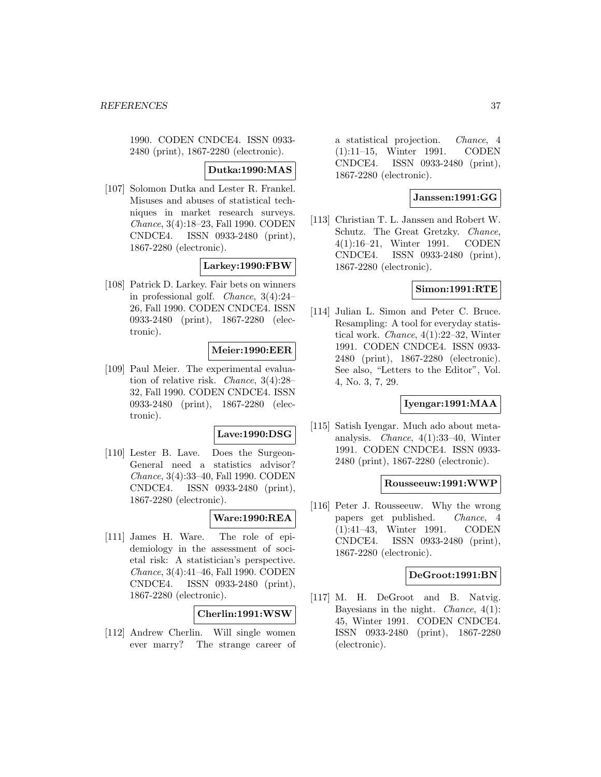1990. CODEN CNDCE4. ISSN 0933- 2480 (print), 1867-2280 (electronic).

## **Dutka:1990:MAS**

[107] Solomon Dutka and Lester R. Frankel. Misuses and abuses of statistical techniques in market research surveys. Chance, 3(4):18–23, Fall 1990. CODEN CNDCE4. ISSN 0933-2480 (print), 1867-2280 (electronic).

### **Larkey:1990:FBW**

[108] Patrick D. Larkey. Fair bets on winners in professional golf. Chance, 3(4):24– 26, Fall 1990. CODEN CNDCE4. ISSN 0933-2480 (print), 1867-2280 (electronic).

# **Meier:1990:EER**

[109] Paul Meier. The experimental evaluation of relative risk. Chance, 3(4):28– 32, Fall 1990. CODEN CNDCE4. ISSN 0933-2480 (print), 1867-2280 (electronic).

### **Lave:1990:DSG**

[110] Lester B. Lave. Does the Surgeon-General need a statistics advisor? Chance, 3(4):33–40, Fall 1990. CODEN CNDCE4. ISSN 0933-2480 (print), 1867-2280 (electronic).

## **Ware:1990:REA**

[111] James H. Ware. The role of epidemiology in the assessment of societal risk: A statistician's perspective. Chance, 3(4):41–46, Fall 1990. CODEN CNDCE4. ISSN 0933-2480 (print), 1867-2280 (electronic).

# **Cherlin:1991:WSW**

[112] Andrew Cherlin. Will single women ever marry? The strange career of

a statistical projection. Chance, 4 (1):11–15, Winter 1991. CODEN CNDCE4. ISSN 0933-2480 (print), 1867-2280 (electronic).

## **Janssen:1991:GG**

[113] Christian T. L. Janssen and Robert W. Schutz. The Great Gretzky. Chance, 4(1):16–21, Winter 1991. CODEN CNDCE4. ISSN 0933-2480 (print), 1867-2280 (electronic).

### **Simon:1991:RTE**

[114] Julian L. Simon and Peter C. Bruce. Resampling: A tool for everyday statistical work. Chance, 4(1):22–32, Winter 1991. CODEN CNDCE4. ISSN 0933- 2480 (print), 1867-2280 (electronic). See also, "Letters to the Editor", Vol. 4, No. 3, 7, 29.

# **Iyengar:1991:MAA**

[115] Satish Iyengar. Much ado about metaanalysis. Chance, 4(1):33–40, Winter 1991. CODEN CNDCE4. ISSN 0933- 2480 (print), 1867-2280 (electronic).

### **Rousseeuw:1991:WWP**

[116] Peter J. Rousseeuw. Why the wrong papers get published. Chance, 4 (1):41–43, Winter 1991. CODEN CNDCE4. ISSN 0933-2480 (print), 1867-2280 (electronic).

### **DeGroot:1991:BN**

[117] M. H. DeGroot and B. Natvig. Bayesians in the night. *Chance*,  $4(1)$ : 45, Winter 1991. CODEN CNDCE4. ISSN 0933-2480 (print), 1867-2280 (electronic).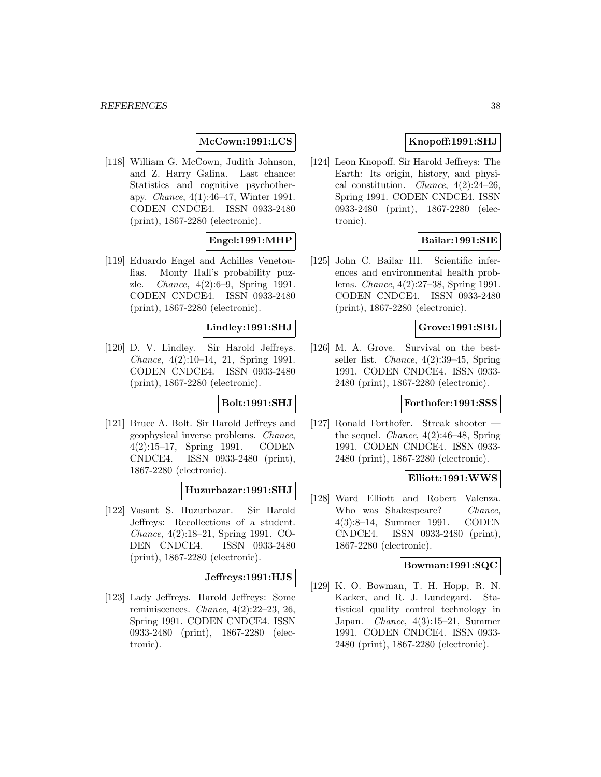# **McCown:1991:LCS**

[118] William G. McCown, Judith Johnson, and Z. Harry Galina. Last chance: Statistics and cognitive psychotherapy. Chance, 4(1):46–47, Winter 1991. CODEN CNDCE4. ISSN 0933-2480 (print), 1867-2280 (electronic).

# **Engel:1991:MHP**

[119] Eduardo Engel and Achilles Venetoulias. Monty Hall's probability puzzle. Chance, 4(2):6–9, Spring 1991. CODEN CNDCE4. ISSN 0933-2480 (print), 1867-2280 (electronic).

## **Lindley:1991:SHJ**

[120] D. V. Lindley. Sir Harold Jeffreys. Chance, 4(2):10–14, 21, Spring 1991. CODEN CNDCE4. ISSN 0933-2480 (print), 1867-2280 (electronic).

# **Bolt:1991:SHJ**

[121] Bruce A. Bolt. Sir Harold Jeffreys and geophysical inverse problems. Chance, 4(2):15–17, Spring 1991. CODEN CNDCE4. ISSN 0933-2480 (print), 1867-2280 (electronic).

## **Huzurbazar:1991:SHJ**

[122] Vasant S. Huzurbazar. Sir Harold Jeffreys: Recollections of a student. Chance, 4(2):18–21, Spring 1991. CO-DEN CNDCE4. ISSN 0933-2480 (print), 1867-2280 (electronic).

## **Jeffreys:1991:HJS**

[123] Lady Jeffreys. Harold Jeffreys: Some reminiscences. Chance, 4(2):22–23, 26, Spring 1991. CODEN CNDCE4. ISSN 0933-2480 (print), 1867-2280 (electronic).

# **Knopoff:1991:SHJ**

[124] Leon Knopoff. Sir Harold Jeffreys: The Earth: Its origin, history, and physical constitution. *Chance*,  $4(2):24-26$ , Spring 1991. CODEN CNDCE4. ISSN 0933-2480 (print), 1867-2280 (electronic).

# **Bailar:1991:SIE**

[125] John C. Bailar III. Scientific inferences and environmental health problems. Chance, 4(2):27–38, Spring 1991. CODEN CNDCE4. ISSN 0933-2480 (print), 1867-2280 (electronic).

# **Grove:1991:SBL**

[126] M. A. Grove. Survival on the bestseller list. Chance, 4(2):39–45, Spring 1991. CODEN CNDCE4. ISSN 0933- 2480 (print), 1867-2280 (electronic).

### **Forthofer:1991:SSS**

[127] Ronald Forthofer. Streak shooter the sequel. Chance, 4(2):46–48, Spring 1991. CODEN CNDCE4. ISSN 0933- 2480 (print), 1867-2280 (electronic).

### **Elliott:1991:WWS**

[128] Ward Elliott and Robert Valenza. Who was Shakespeare? Chance, 4(3):8–14, Summer 1991. CODEN CNDCE4. ISSN 0933-2480 (print), 1867-2280 (electronic).

## **Bowman:1991:SQC**

[129] K. O. Bowman, T. H. Hopp, R. N. Kacker, and R. J. Lundegard. Statistical quality control technology in Japan. Chance, 4(3):15–21, Summer 1991. CODEN CNDCE4. ISSN 0933- 2480 (print), 1867-2280 (electronic).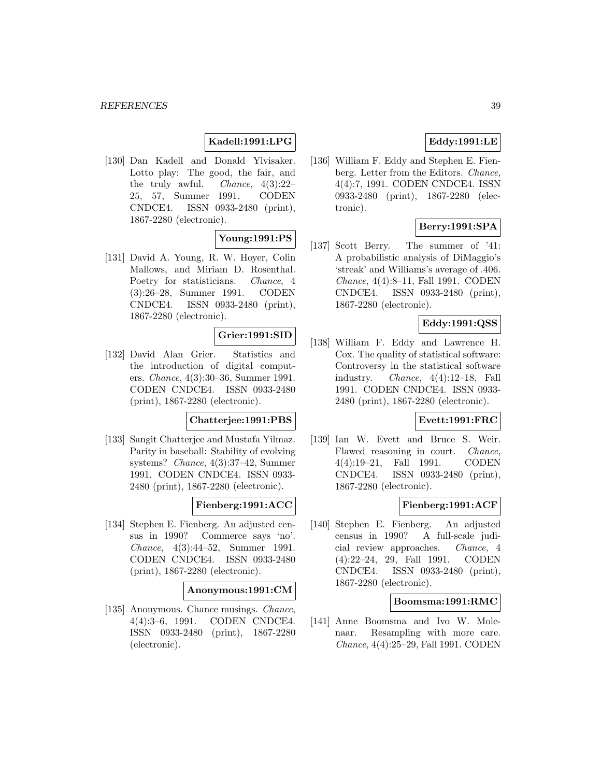# **Kadell:1991:LPG**

[130] Dan Kadell and Donald Ylvisaker. Lotto play: The good, the fair, and the truly awful. *Chance*,  $4(3):22-$ 25, 57, Summer 1991. CODEN CNDCE4. ISSN 0933-2480 (print), 1867-2280 (electronic).

# **Young:1991:PS**

[131] David A. Young, R. W. Hoyer, Colin Mallows, and Miriam D. Rosenthal. Poetry for statisticians. Chance, 4 (3):26–28, Summer 1991. CODEN CNDCE4. ISSN 0933-2480 (print), 1867-2280 (electronic).

# **Grier:1991:SID**

[132] David Alan Grier. Statistics and the introduction of digital computers. Chance, 4(3):30–36, Summer 1991. CODEN CNDCE4. ISSN 0933-2480 (print), 1867-2280 (electronic).

# **Chatterjee:1991:PBS**

[133] Sangit Chatterjee and Mustafa Yilmaz. Parity in baseball: Stability of evolving systems? Chance, 4(3):37–42, Summer 1991. CODEN CNDCE4. ISSN 0933- 2480 (print), 1867-2280 (electronic).

# **Fienberg:1991:ACC**

[134] Stephen E. Fienberg. An adjusted census in 1990? Commerce says 'no'. Chance, 4(3):44–52, Summer 1991. CODEN CNDCE4. ISSN 0933-2480 (print), 1867-2280 (electronic).

### **Anonymous:1991:CM**

[135] Anonymous. Chance musings. Chance, 4(4):3–6, 1991. CODEN CNDCE4. ISSN 0933-2480 (print), 1867-2280 (electronic).

# **Eddy:1991:LE**

[136] William F. Eddy and Stephen E. Fienberg. Letter from the Editors. Chance, 4(4):7, 1991. CODEN CNDCE4. ISSN 0933-2480 (print), 1867-2280 (electronic).

# **Berry:1991:SPA**

[137] Scott Berry. The summer of '41: A probabilistic analysis of DiMaggio's 'streak' and Williams's average of .406. Chance, 4(4):8–11, Fall 1991. CODEN CNDCE4. ISSN 0933-2480 (print), 1867-2280 (electronic).

# **Eddy:1991:QSS**

[138] William F. Eddy and Lawrence H. Cox. The quality of statistical software: Controversy in the statistical software industry. Chance, 4(4):12–18, Fall 1991. CODEN CNDCE4. ISSN 0933- 2480 (print), 1867-2280 (electronic).

# **Evett:1991:FRC**

[139] Ian W. Evett and Bruce S. Weir. Flawed reasoning in court. Chance, 4(4):19–21, Fall 1991. CODEN CNDCE4. ISSN 0933-2480 (print), 1867-2280 (electronic).

# **Fienberg:1991:ACF**

[140] Stephen E. Fienberg. An adjusted census in 1990? A full-scale judicial review approaches. Chance, 4 (4):22–24, 29, Fall 1991. CODEN CNDCE4. ISSN 0933-2480 (print), 1867-2280 (electronic).

### **Boomsma:1991:RMC**

[141] Anne Boomsma and Ivo W. Molenaar. Resampling with more care. Chance, 4(4):25–29, Fall 1991. CODEN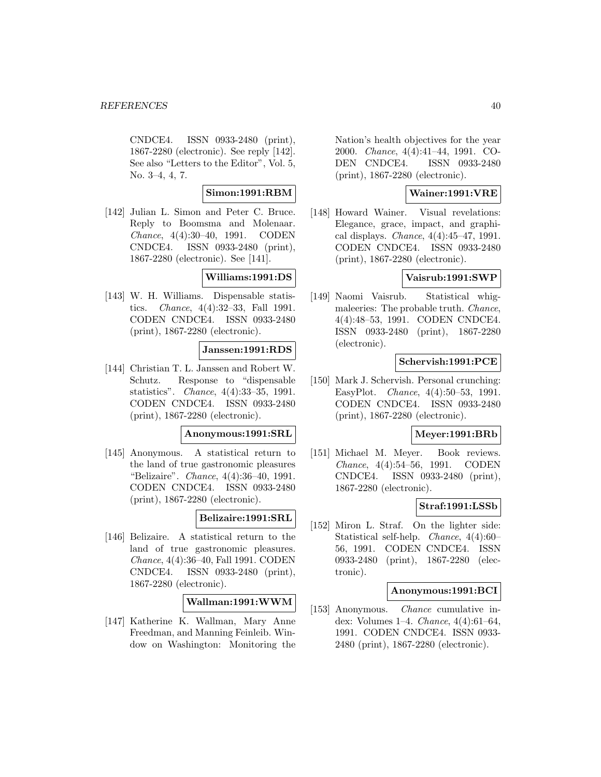CNDCE4. ISSN 0933-2480 (print), 1867-2280 (electronic). See reply [142]. See also "Letters to the Editor", Vol. 5, No. 3–4, 4, 7.

## **Simon:1991:RBM**

[142] Julian L. Simon and Peter C. Bruce. Reply to Boomsma and Molenaar. Chance, 4(4):30–40, 1991. CODEN CNDCE4. ISSN 0933-2480 (print), 1867-2280 (electronic). See [141].

## **Williams:1991:DS**

[143] W. H. Williams. Dispensable statistics. Chance, 4(4):32–33, Fall 1991. CODEN CNDCE4. ISSN 0933-2480 (print), 1867-2280 (electronic).

## **Janssen:1991:RDS**

[144] Christian T. L. Janssen and Robert W. Schutz. Response to "dispensable statistics". Chance, 4(4):33–35, 1991. CODEN CNDCE4. ISSN 0933-2480 (print), 1867-2280 (electronic).

### **Anonymous:1991:SRL**

[145] Anonymous. A statistical return to the land of true gastronomic pleasures "Belizaire". Chance, 4(4):36–40, 1991. CODEN CNDCE4. ISSN 0933-2480 (print), 1867-2280 (electronic).

### **Belizaire:1991:SRL**

[146] Belizaire. A statistical return to the land of true gastronomic pleasures. Chance, 4(4):36–40, Fall 1991. CODEN CNDCE4. ISSN 0933-2480 (print), 1867-2280 (electronic).

# **Wallman:1991:WWM**

[147] Katherine K. Wallman, Mary Anne Freedman, and Manning Feinleib. Window on Washington: Monitoring the Nation's health objectives for the year 2000. Chance, 4(4):41–44, 1991. CO-DEN CNDCE4. ISSN 0933-2480 (print), 1867-2280 (electronic).

# **Wainer:1991:VRE**

[148] Howard Wainer. Visual revelations: Elegance, grace, impact, and graphical displays. Chance, 4(4):45–47, 1991. CODEN CNDCE4. ISSN 0933-2480 (print), 1867-2280 (electronic).

## **Vaisrub:1991:SWP**

[149] Naomi Vaisrub. Statistical whigmaleeries: The probable truth. Chance, 4(4):48–53, 1991. CODEN CNDCE4. ISSN 0933-2480 (print), 1867-2280 (electronic).

## **Schervish:1991:PCE**

[150] Mark J. Schervish. Personal crunching: EasyPlot. Chance, 4(4):50–53, 1991. CODEN CNDCE4. ISSN 0933-2480 (print), 1867-2280 (electronic).

### **Meyer:1991:BRb**

[151] Michael M. Meyer. Book reviews. Chance, 4(4):54–56, 1991. CODEN CNDCE4. ISSN 0933-2480 (print), 1867-2280 (electronic).

## **Straf:1991:LSSb**

[152] Miron L. Straf. On the lighter side: Statistical self-help. Chance, 4(4):60– 56, 1991. CODEN CNDCE4. ISSN 0933-2480 (print), 1867-2280 (electronic).

### **Anonymous:1991:BCI**

[153] Anonymous. Chance cumulative index: Volumes 1–4. Chance, 4(4):61–64, 1991. CODEN CNDCE4. ISSN 0933- 2480 (print), 1867-2280 (electronic).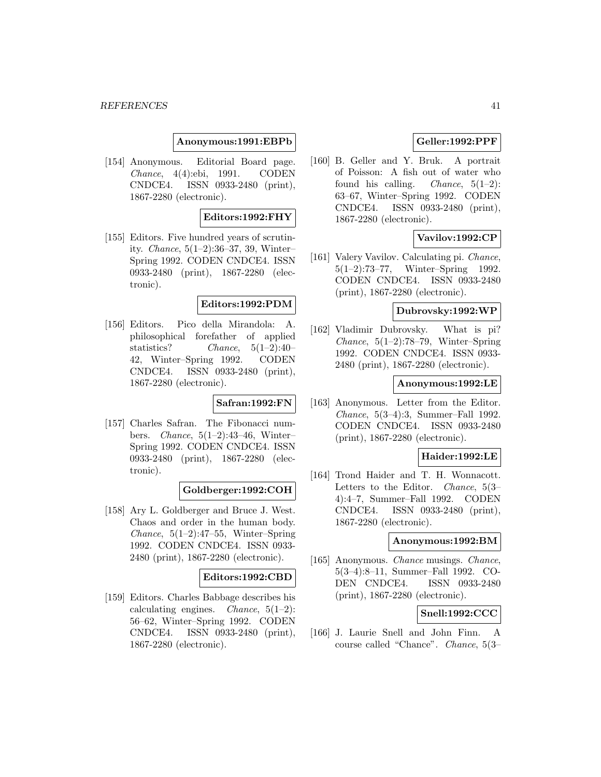### **Anonymous:1991:EBPb**

[154] Anonymous. Editorial Board page. Chance, 4(4):ebi, 1991. CODEN CNDCE4. ISSN 0933-2480 (print), 1867-2280 (electronic).

### **Editors:1992:FHY**

[155] Editors. Five hundred years of scrutinity. Chance, 5(1–2):36–37, 39, Winter– Spring 1992. CODEN CNDCE4. ISSN 0933-2480 (print), 1867-2280 (electronic).

### **Editors:1992:PDM**

[156] Editors. Pico della Mirandola: A. philosophical forefather of applied statistics? Chance, 5(1–2):40– 42, Winter–Spring 1992. CODEN CNDCE4. ISSN 0933-2480 (print), 1867-2280 (electronic).

# **Safran:1992:FN**

[157] Charles Safran. The Fibonacci numbers. Chance, 5(1–2):43–46, Winter– Spring 1992. CODEN CNDCE4. ISSN 0933-2480 (print), 1867-2280 (electronic).

## **Goldberger:1992:COH**

[158] Ary L. Goldberger and Bruce J. West. Chaos and order in the human body. Chance,  $5(1-2):47-55$ , Winter–Spring 1992. CODEN CNDCE4. ISSN 0933- 2480 (print), 1867-2280 (electronic).

### **Editors:1992:CBD**

[159] Editors. Charles Babbage describes his calculating engines. *Chance*,  $5(1-2)$ : 56–62, Winter–Spring 1992. CODEN CNDCE4. ISSN 0933-2480 (print), 1867-2280 (electronic).

# **Geller:1992:PPF**

[160] B. Geller and Y. Bruk. A portrait of Poisson: A fish out of water who found his calling. *Chance*,  $5(1-2)$ : 63–67, Winter–Spring 1992. CODEN CNDCE4. ISSN 0933-2480 (print), 1867-2280 (electronic).

# **Vavilov:1992:CP**

[161] Valery Vavilov. Calculating pi. Chance, 5(1–2):73–77, Winter–Spring 1992. CODEN CNDCE4. ISSN 0933-2480 (print), 1867-2280 (electronic).

### **Dubrovsky:1992:WP**

[162] Vladimir Dubrovsky. What is pi? *Chance*,  $5(1-2)$ :78-79, Winter–Spring 1992. CODEN CNDCE4. ISSN 0933- 2480 (print), 1867-2280 (electronic).

## **Anonymous:1992:LE**

[163] Anonymous. Letter from the Editor. Chance, 5(3–4):3, Summer–Fall 1992. CODEN CNDCE4. ISSN 0933-2480 (print), 1867-2280 (electronic).

# **Haider:1992:LE**

[164] Trond Haider and T. H. Wonnacott. Letters to the Editor. Chance, 5(3– 4):4–7, Summer–Fall 1992. CODEN CNDCE4. ISSN 0933-2480 (print), 1867-2280 (electronic).

## **Anonymous:1992:BM**

[165] Anonymous. Chance musings. Chance, 5(3–4):8–11, Summer–Fall 1992. CO-DEN CNDCE4. ISSN 0933-2480 (print), 1867-2280 (electronic).

## **Snell:1992:CCC**

[166] J. Laurie Snell and John Finn. A course called "Chance". Chance, 5(3–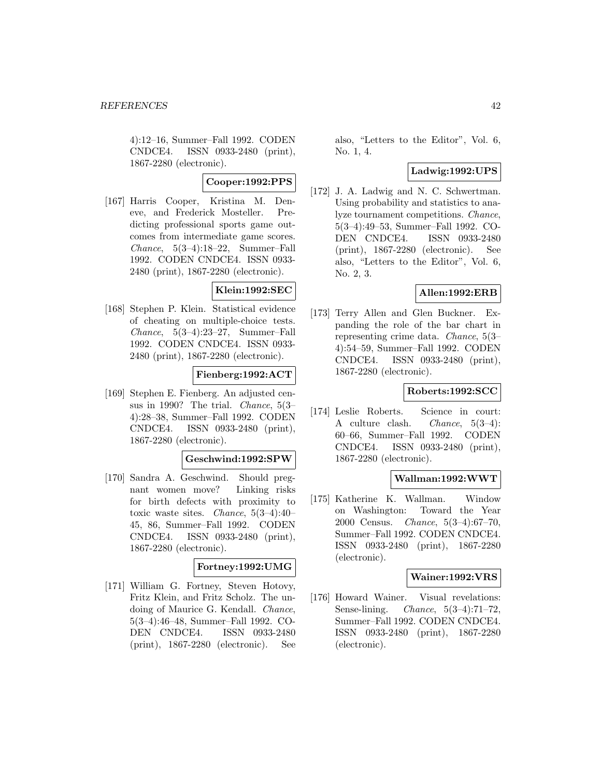4):12–16, Summer–Fall 1992. CODEN CNDCE4. ISSN 0933-2480 (print), 1867-2280 (electronic).

# **Cooper:1992:PPS**

[167] Harris Cooper, Kristina M. Deneve, and Frederick Mosteller. Predicting professional sports game outcomes from intermediate game scores. Chance, 5(3–4):18–22, Summer–Fall 1992. CODEN CNDCE4. ISSN 0933- 2480 (print), 1867-2280 (electronic).

# **Klein:1992:SEC**

[168] Stephen P. Klein. Statistical evidence of cheating on multiple-choice tests. Chance, 5(3–4):23–27, Summer–Fall 1992. CODEN CNDCE4. ISSN 0933- 2480 (print), 1867-2280 (electronic).

# **Fienberg:1992:ACT**

[169] Stephen E. Fienberg. An adjusted census in 1990? The trial. Chance, 5(3– 4):28–38, Summer–Fall 1992. CODEN CNDCE4. ISSN 0933-2480 (print), 1867-2280 (electronic).

## **Geschwind:1992:SPW**

[170] Sandra A. Geschwind. Should pregnant women move? Linking risks for birth defects with proximity to toxic waste sites. Chance, 5(3–4):40– 45, 86, Summer–Fall 1992. CODEN CNDCE4. ISSN 0933-2480 (print), 1867-2280 (electronic).

# **Fortney:1992:UMG**

[171] William G. Fortney, Steven Hotovy, Fritz Klein, and Fritz Scholz. The undoing of Maurice G. Kendall. Chance, 5(3–4):46–48, Summer–Fall 1992. CO-DEN CNDCE4. ISSN 0933-2480 (print), 1867-2280 (electronic). See

also, "Letters to the Editor", Vol. 6, No. 1, 4.

## **Ladwig:1992:UPS**

[172] J. A. Ladwig and N. C. Schwertman. Using probability and statistics to analyze tournament competitions. Chance, 5(3–4):49–53, Summer–Fall 1992. CO-DEN CNDCE4. ISSN 0933-2480 (print), 1867-2280 (electronic). See also, "Letters to the Editor", Vol. 6, No. 2, 3.

# **Allen:1992:ERB**

[173] Terry Allen and Glen Buckner. Expanding the role of the bar chart in representing crime data. Chance, 5(3– 4):54–59, Summer–Fall 1992. CODEN CNDCE4. ISSN 0933-2480 (print), 1867-2280 (electronic).

# **Roberts:1992:SCC**

[174] Leslie Roberts. Science in court: A culture clash. Chance, 5(3–4): 60–66, Summer–Fall 1992. CODEN CNDCE4. ISSN 0933-2480 (print), 1867-2280 (electronic).

## **Wallman:1992:WWT**

[175] Katherine K. Wallman. Window on Washington: Toward the Year 2000 Census. Chance, 5(3–4):67–70, Summer–Fall 1992. CODEN CNDCE4. ISSN 0933-2480 (print), 1867-2280 (electronic).

## **Wainer:1992:VRS**

[176] Howard Wainer. Visual revelations: Sense-lining. Chance, 5(3–4):71–72, Summer–Fall 1992. CODEN CNDCE4. ISSN 0933-2480 (print), 1867-2280 (electronic).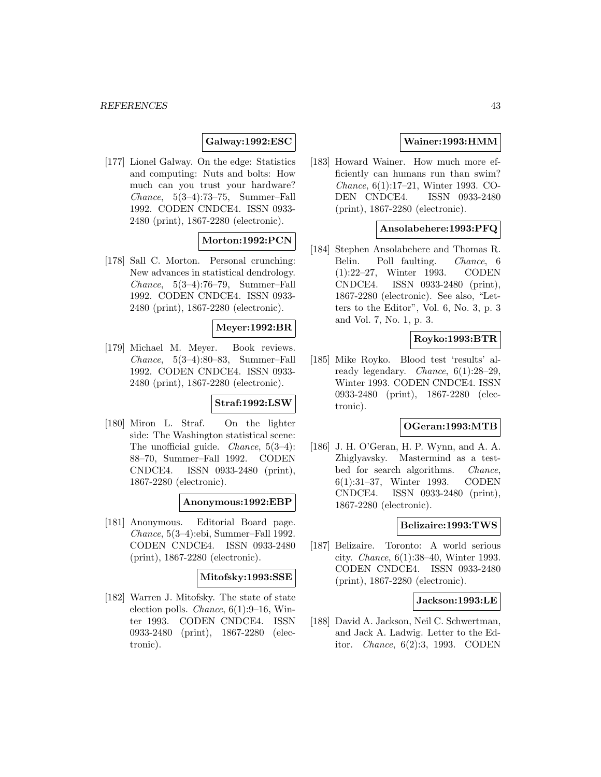# **Galway:1992:ESC**

[177] Lionel Galway. On the edge: Statistics and computing: Nuts and bolts: How much can you trust your hardware? Chance, 5(3–4):73–75, Summer–Fall 1992. CODEN CNDCE4. ISSN 0933- 2480 (print), 1867-2280 (electronic).

# **Morton:1992:PCN**

[178] Sall C. Morton. Personal crunching: New advances in statistical dendrology. Chance, 5(3–4):76–79, Summer–Fall 1992. CODEN CNDCE4. ISSN 0933- 2480 (print), 1867-2280 (electronic).

## **Meyer:1992:BR**

[179] Michael M. Meyer. Book reviews. Chance, 5(3–4):80–83, Summer–Fall 1992. CODEN CNDCE4. ISSN 0933- 2480 (print), 1867-2280 (electronic).

## **Straf:1992:LSW**

[180] Miron L. Straf. On the lighter side: The Washington statistical scene: The unofficial guide. *Chance*,  $5(3-4)$ : 88–70, Summer–Fall 1992. CODEN CNDCE4. ISSN 0933-2480 (print), 1867-2280 (electronic).

**Anonymous:1992:EBP**

[181] Anonymous. Editorial Board page. Chance, 5(3–4):ebi, Summer–Fall 1992. CODEN CNDCE4. ISSN 0933-2480 (print), 1867-2280 (electronic).

## **Mitofsky:1993:SSE**

[182] Warren J. Mitofsky. The state of state election polls. Chance, 6(1):9–16, Winter 1993. CODEN CNDCE4. ISSN 0933-2480 (print), 1867-2280 (electronic).

## **Wainer:1993:HMM**

[183] Howard Wainer. How much more efficiently can humans run than swim? Chance, 6(1):17–21, Winter 1993. CO-DEN CNDCE4. ISSN 0933-2480 (print), 1867-2280 (electronic).

# **Ansolabehere:1993:PFQ**

[184] Stephen Ansolabehere and Thomas R. Belin. Poll faulting. Chance, 6 (1):22–27, Winter 1993. CODEN CNDCE4. ISSN 0933-2480 (print), 1867-2280 (electronic). See also, "Letters to the Editor", Vol. 6, No. 3, p. 3 and Vol. 7, No. 1, p. 3.

## **Royko:1993:BTR**

[185] Mike Royko. Blood test 'results' already legendary. Chance, 6(1):28–29, Winter 1993. CODEN CNDCE4. ISSN 0933-2480 (print), 1867-2280 (electronic).

### **OGeran:1993:MTB**

[186] J. H. O'Geran, H. P. Wynn, and A. A. Zhiglyavsky. Mastermind as a testbed for search algorithms. Chance, 6(1):31–37, Winter 1993. CODEN CNDCE4. ISSN 0933-2480 (print), 1867-2280 (electronic).

### **Belizaire:1993:TWS**

[187] Belizaire. Toronto: A world serious city. Chance, 6(1):38–40, Winter 1993. CODEN CNDCE4. ISSN 0933-2480 (print), 1867-2280 (electronic).

## **Jackson:1993:LE**

[188] David A. Jackson, Neil C. Schwertman, and Jack A. Ladwig. Letter to the Editor. Chance, 6(2):3, 1993. CODEN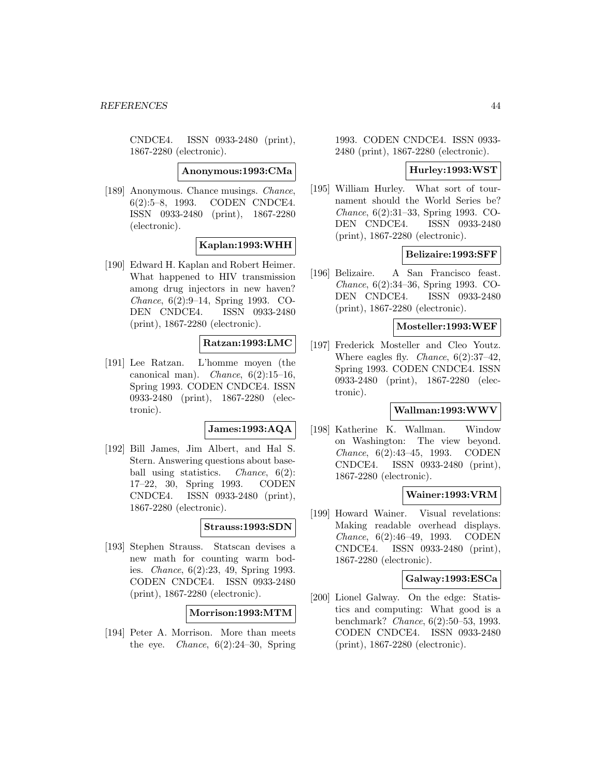CNDCE4. ISSN 0933-2480 (print), 1867-2280 (electronic).

**Anonymous:1993:CMa**

[189] Anonymous. Chance musings. Chance, 6(2):5–8, 1993. CODEN CNDCE4. ISSN 0933-2480 (print), 1867-2280 (electronic).

## **Kaplan:1993:WHH**

[190] Edward H. Kaplan and Robert Heimer. What happened to HIV transmission among drug injectors in new haven? Chance, 6(2):9–14, Spring 1993. CO-DEN CNDCE4. ISSN 0933-2480 (print), 1867-2280 (electronic).

# **Ratzan:1993:LMC**

[191] Lee Ratzan. L'homme moyen (the canonical man). *Chance*,  $6(2):15-16$ , Spring 1993. CODEN CNDCE4. ISSN 0933-2480 (print), 1867-2280 (electronic).

### **James:1993:AQA**

[192] Bill James, Jim Albert, and Hal S. Stern. Answering questions about baseball using statistics. *Chance*, 6(2): 17–22, 30, Spring 1993. CODEN CNDCE4. ISSN 0933-2480 (print), 1867-2280 (electronic).

## **Strauss:1993:SDN**

[193] Stephen Strauss. Statscan devises a new math for counting warm bodies. Chance, 6(2):23, 49, Spring 1993. CODEN CNDCE4. ISSN 0933-2480 (print), 1867-2280 (electronic).

## **Morrison:1993:MTM**

[194] Peter A. Morrison. More than meets the eye. *Chance*,  $6(2):24-30$ , Spring

1993. CODEN CNDCE4. ISSN 0933- 2480 (print), 1867-2280 (electronic).

### **Hurley:1993:WST**

[195] William Hurley. What sort of tournament should the World Series be? Chance, 6(2):31–33, Spring 1993. CO-DEN CNDCE4. ISSN 0933-2480 (print), 1867-2280 (electronic).

## **Belizaire:1993:SFF**

[196] Belizaire. A San Francisco feast. Chance, 6(2):34–36, Spring 1993. CO-DEN CNDCE4. ISSN 0933-2480 (print), 1867-2280 (electronic).

## **Mosteller:1993:WEF**

[197] Frederick Mosteller and Cleo Youtz. Where eagles fly. *Chance*,  $6(2):37-42$ , Spring 1993. CODEN CNDCE4. ISSN 0933-2480 (print), 1867-2280 (electronic).

## **Wallman:1993:WWV**

[198] Katherine K. Wallman. Window on Washington: The view beyond. Chance, 6(2):43–45, 1993. CODEN CNDCE4. ISSN 0933-2480 (print), 1867-2280 (electronic).

### **Wainer:1993:VRM**

[199] Howard Wainer. Visual revelations: Making readable overhead displays. Chance, 6(2):46–49, 1993. CODEN CNDCE4. ISSN 0933-2480 (print), 1867-2280 (electronic).

## **Galway:1993:ESCa**

[200] Lionel Galway. On the edge: Statistics and computing: What good is a benchmark? Chance, 6(2):50–53, 1993. CODEN CNDCE4. ISSN 0933-2480 (print), 1867-2280 (electronic).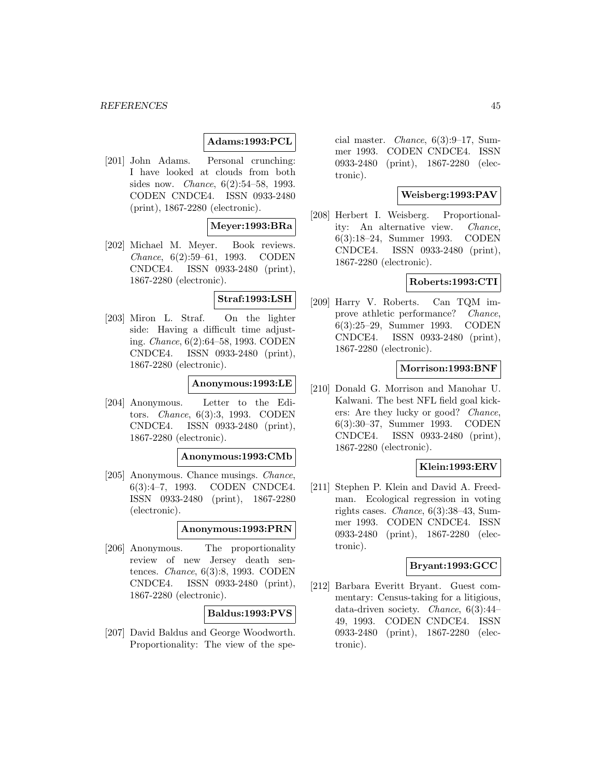# **Adams:1993:PCL**

[201] John Adams. Personal crunching: I have looked at clouds from both sides now. Chance, 6(2):54–58, 1993. CODEN CNDCE4. ISSN 0933-2480 (print), 1867-2280 (electronic).

## **Meyer:1993:BRa**

[202] Michael M. Meyer. Book reviews. Chance, 6(2):59–61, 1993. CODEN CNDCE4. ISSN 0933-2480 (print), 1867-2280 (electronic).

## **Straf:1993:LSH**

[203] Miron L. Straf. On the lighter side: Having a difficult time adjusting. Chance, 6(2):64–58, 1993. CODEN CNDCE4. ISSN 0933-2480 (print), 1867-2280 (electronic).

## **Anonymous:1993:LE**

[204] Anonymous. Letter to the Editors. Chance, 6(3):3, 1993. CODEN CNDCE4. ISSN 0933-2480 (print), 1867-2280 (electronic).

### **Anonymous:1993:CMb**

[205] Anonymous. Chance musings. Chance, 6(3):4–7, 1993. CODEN CNDCE4. ISSN 0933-2480 (print), 1867-2280 (electronic).

# **Anonymous:1993:PRN**

[206] Anonymous. The proportionality review of new Jersey death sentences. Chance, 6(3):8, 1993. CODEN CNDCE4. ISSN 0933-2480 (print), 1867-2280 (electronic).

## **Baldus:1993:PVS**

[207] David Baldus and George Woodworth. Proportionality: The view of the spe-

cial master. Chance, 6(3):9–17, Summer 1993. CODEN CNDCE4. ISSN 0933-2480 (print), 1867-2280 (electronic).

# **Weisberg:1993:PAV**

[208] Herbert I. Weisberg. Proportionality: An alternative view. Chance, 6(3):18–24, Summer 1993. CODEN CNDCE4. ISSN 0933-2480 (print), 1867-2280 (electronic).

## **Roberts:1993:CTI**

[209] Harry V. Roberts. Can TQM improve athletic performance? *Chance*, 6(3):25–29, Summer 1993. CODEN CNDCE4. ISSN 0933-2480 (print), 1867-2280 (electronic).

## **Morrison:1993:BNF**

[210] Donald G. Morrison and Manohar U. Kalwani. The best NFL field goal kickers: Are they lucky or good? Chance, 6(3):30–37, Summer 1993. CODEN CNDCE4. ISSN 0933-2480 (print), 1867-2280 (electronic).

## **Klein:1993:ERV**

[211] Stephen P. Klein and David A. Freedman. Ecological regression in voting rights cases. Chance, 6(3):38–43, Summer 1993. CODEN CNDCE4. ISSN 0933-2480 (print), 1867-2280 (electronic).

# **Bryant:1993:GCC**

[212] Barbara Everitt Bryant. Guest commentary: Census-taking for a litigious, data-driven society. Chance, 6(3):44– 49, 1993. CODEN CNDCE4. ISSN 0933-2480 (print), 1867-2280 (electronic).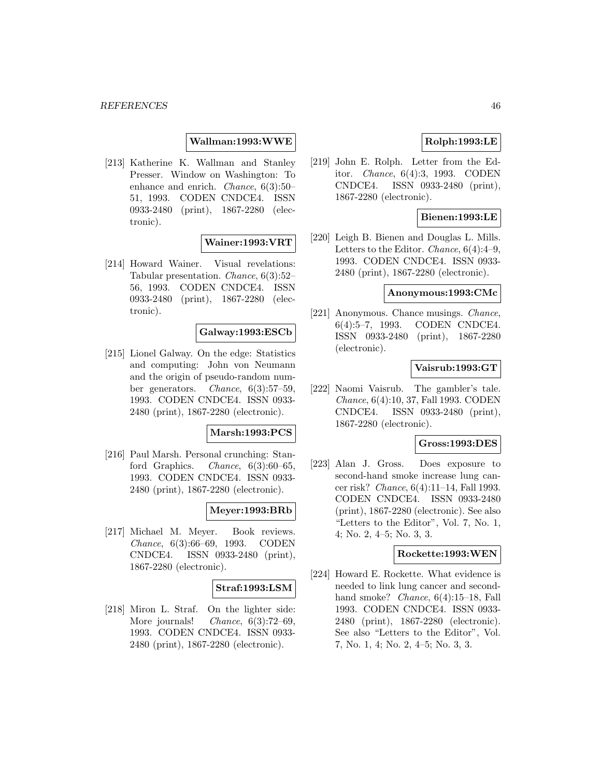**Wallman:1993:WWE**

[213] Katherine K. Wallman and Stanley Presser. Window on Washington: To enhance and enrich. Chance, 6(3):50– 51, 1993. CODEN CNDCE4. ISSN 0933-2480 (print), 1867-2280 (electronic).

## **Wainer:1993:VRT**

[214] Howard Wainer. Visual revelations: Tabular presentation. Chance, 6(3):52– 56, 1993. CODEN CNDCE4. ISSN 0933-2480 (print), 1867-2280 (electronic).

### **Galway:1993:ESCb**

[215] Lionel Galway. On the edge: Statistics and computing: John von Neumann and the origin of pseudo-random number generators. Chance, 6(3):57–59, 1993. CODEN CNDCE4. ISSN 0933- 2480 (print), 1867-2280 (electronic).

### **Marsh:1993:PCS**

[216] Paul Marsh. Personal crunching: Stanford Graphics. *Chance*,  $6(3):60-65$ , 1993. CODEN CNDCE4. ISSN 0933- 2480 (print), 1867-2280 (electronic).

## **Meyer:1993:BRb**

[217] Michael M. Meyer. Book reviews. Chance, 6(3):66–69, 1993. CODEN CNDCE4. ISSN 0933-2480 (print), 1867-2280 (electronic).

### **Straf:1993:LSM**

[218] Miron L. Straf. On the lighter side: More journals! *Chance*, 6(3):72–69, 1993. CODEN CNDCE4. ISSN 0933- 2480 (print), 1867-2280 (electronic).

# **Rolph:1993:LE**

[219] John E. Rolph. Letter from the Editor. Chance, 6(4):3, 1993. CODEN CNDCE4. ISSN 0933-2480 (print), 1867-2280 (electronic).

## **Bienen:1993:LE**

[220] Leigh B. Bienen and Douglas L. Mills. Letters to the Editor. Chance, 6(4):4–9, 1993. CODEN CNDCE4. ISSN 0933- 2480 (print), 1867-2280 (electronic).

# **Anonymous:1993:CMc**

[221] Anonymous. Chance musings. *Chance*, 6(4):5–7, 1993. CODEN CNDCE4. ISSN 0933-2480 (print), 1867-2280 (electronic).

## **Vaisrub:1993:GT**

[222] Naomi Vaisrub. The gambler's tale. Chance, 6(4):10, 37, Fall 1993. CODEN CNDCE4. ISSN 0933-2480 (print), 1867-2280 (electronic).

## **Gross:1993:DES**

[223] Alan J. Gross. Does exposure to second-hand smoke increase lung cancer risk? Chance, 6(4):11–14, Fall 1993. CODEN CNDCE4. ISSN 0933-2480 (print), 1867-2280 (electronic). See also "Letters to the Editor", Vol. 7, No. 1, 4; No. 2, 4–5; No. 3, 3.

### **Rockette:1993:WEN**

[224] Howard E. Rockette. What evidence is needed to link lung cancer and secondhand smoke? *Chance*, 6(4):15–18, Fall 1993. CODEN CNDCE4. ISSN 0933- 2480 (print), 1867-2280 (electronic). See also "Letters to the Editor", Vol. 7, No. 1, 4; No. 2, 4–5; No. 3, 3.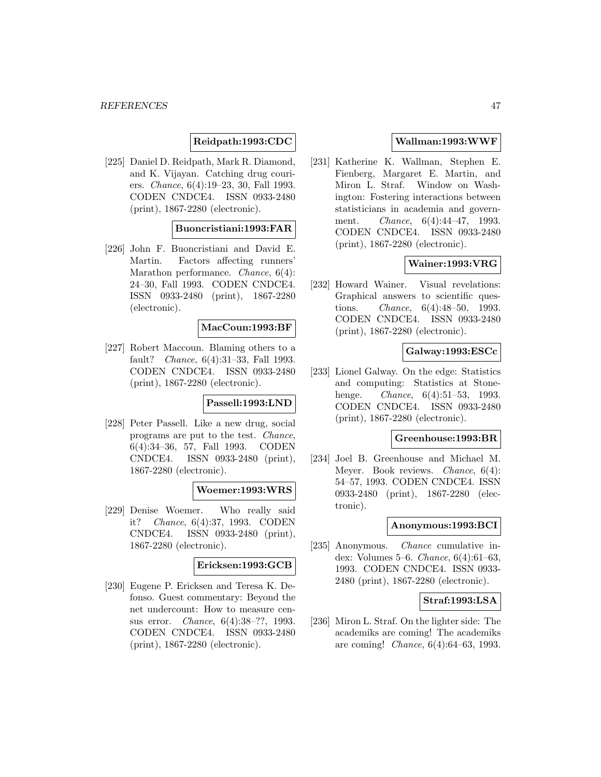# **Reidpath:1993:CDC**

[225] Daniel D. Reidpath, Mark R. Diamond, and K. Vijayan. Catching drug couriers. Chance, 6(4):19–23, 30, Fall 1993. CODEN CNDCE4. ISSN 0933-2480 (print), 1867-2280 (electronic).

# **Buoncristiani:1993:FAR**

[226] John F. Buoncristiani and David E. Martin. Factors affecting runners' Marathon performance. Chance, 6(4): 24–30, Fall 1993. CODEN CNDCE4. ISSN 0933-2480 (print), 1867-2280 (electronic).

### **MacCoun:1993:BF**

[227] Robert Maccoun. Blaming others to a fault? Chance, 6(4):31–33, Fall 1993. CODEN CNDCE4. ISSN 0933-2480 (print), 1867-2280 (electronic).

### **Passell:1993:LND**

[228] Peter Passell. Like a new drug, social programs are put to the test. Chance, 6(4):34–36, 57, Fall 1993. CODEN CNDCE4. ISSN 0933-2480 (print), 1867-2280 (electronic).

### **Woemer:1993:WRS**

[229] Denise Woemer. Who really said it? Chance, 6(4):37, 1993. CODEN CNDCE4. ISSN 0933-2480 (print), 1867-2280 (electronic).

# **Ericksen:1993:GCB**

[230] Eugene P. Ericksen and Teresa K. Defonso. Guest commentary: Beyond the net undercount: How to measure census error. Chance, 6(4):38–??, 1993. CODEN CNDCE4. ISSN 0933-2480 (print), 1867-2280 (electronic).

## **Wallman:1993:WWF**

[231] Katherine K. Wallman, Stephen E. Fienberg, Margaret E. Martin, and Miron L. Straf. Window on Washington: Fostering interactions between statisticians in academia and government. Chance, 6(4):44–47, 1993. CODEN CNDCE4. ISSN 0933-2480 (print), 1867-2280 (electronic).

# **Wainer:1993:VRG**

[232] Howard Wainer. Visual revelations: Graphical answers to scientific questions. Chance, 6(4):48–50, 1993. CODEN CNDCE4. ISSN 0933-2480 (print), 1867-2280 (electronic).

## **Galway:1993:ESCc**

[233] Lionel Galway. On the edge: Statistics and computing: Statistics at Stonehenge. *Chance*, 6(4):51–53, 1993. CODEN CNDCE4. ISSN 0933-2480 (print), 1867-2280 (electronic).

# **Greenhouse:1993:BR**

[234] Joel B. Greenhouse and Michael M. Meyer. Book reviews. Chance, 6(4): 54–57, 1993. CODEN CNDCE4. ISSN 0933-2480 (print), 1867-2280 (electronic).

#### **Anonymous:1993:BCI**

[235] Anonymous. Chance cumulative index: Volumes 5–6. Chance, 6(4):61–63, 1993. CODEN CNDCE4. ISSN 0933- 2480 (print), 1867-2280 (electronic).

## **Straf:1993:LSA**

[236] Miron L. Straf. On the lighter side: The academiks are coming! The academiks are coming! Chance, 6(4):64–63, 1993.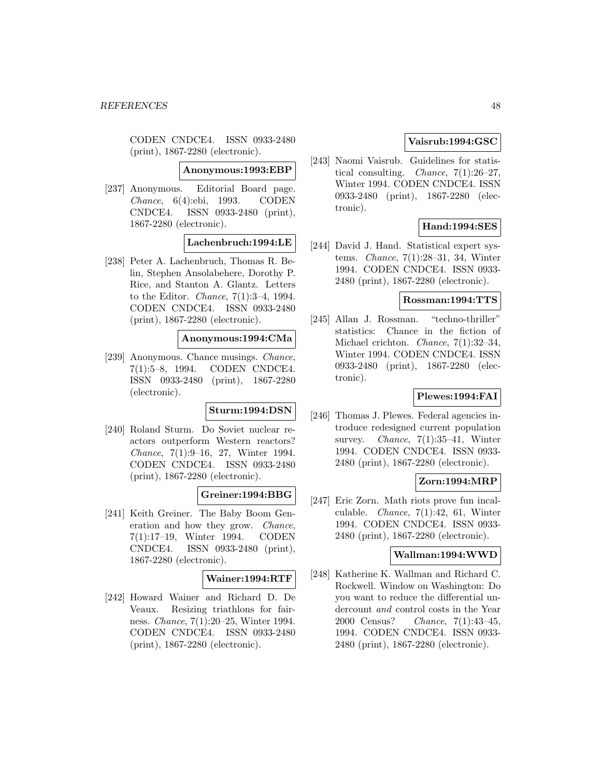CODEN CNDCE4. ISSN 0933-2480 (print), 1867-2280 (electronic).

**Anonymous:1993:EBP**

[237] Anonymous. Editorial Board page. Chance, 6(4):ebi, 1993. CODEN CNDCE4. ISSN 0933-2480 (print), 1867-2280 (electronic).

**Lachenbruch:1994:LE**

[238] Peter A. Lachenbruch, Thomas R. Belin, Stephen Ansolabehere, Dorothy P. Rice, and Stanton A. Glantz. Letters to the Editor. Chance, 7(1):3–4, 1994. CODEN CNDCE4. ISSN 0933-2480 (print), 1867-2280 (electronic).

# **Anonymous:1994:CMa**

[239] Anonymous. Chance musings. Chance, 7(1):5–8, 1994. CODEN CNDCE4. ISSN 0933-2480 (print), 1867-2280 (electronic).

# **Sturm:1994:DSN**

[240] Roland Sturm. Do Soviet nuclear reactors outperform Western reactors? Chance, 7(1):9–16, 27, Winter 1994. CODEN CNDCE4. ISSN 0933-2480 (print), 1867-2280 (electronic).

## **Greiner:1994:BBG**

[241] Keith Greiner. The Baby Boom Generation and how they grow. Chance, 7(1):17–19, Winter 1994. CODEN CNDCE4. ISSN 0933-2480 (print), 1867-2280 (electronic).

# **Wainer:1994:RTF**

[242] Howard Wainer and Richard D. De Veaux. Resizing triathlons for fairness. Chance, 7(1):20–25, Winter 1994. CODEN CNDCE4. ISSN 0933-2480 (print), 1867-2280 (electronic).

# **Vaisrub:1994:GSC**

[243] Naomi Vaisrub. Guidelines for statistical consulting. *Chance*,  $7(1):26-27$ , Winter 1994. CODEN CNDCE4. ISSN 0933-2480 (print), 1867-2280 (electronic).

# **Hand:1994:SES**

[244] David J. Hand. Statistical expert systems. Chance, 7(1):28–31, 34, Winter 1994. CODEN CNDCE4. ISSN 0933- 2480 (print), 1867-2280 (electronic).

### **Rossman:1994:TTS**

[245] Allan J. Rossman. "techno-thriller" statistics: Chance in the fiction of Michael crichton. Chance, 7(1):32–34, Winter 1994. CODEN CNDCE4. ISSN 0933-2480 (print), 1867-2280 (electronic).

## **Plewes:1994:FAI**

[246] Thomas J. Plewes. Federal agencies introduce redesigned current population survey. *Chance*,  $7(1):35-41$ , Winter 1994. CODEN CNDCE4. ISSN 0933- 2480 (print), 1867-2280 (electronic).

## **Zorn:1994:MRP**

[247] Eric Zorn. Math riots prove fun incalculable. Chance, 7(1):42, 61, Winter 1994. CODEN CNDCE4. ISSN 0933- 2480 (print), 1867-2280 (electronic).

# **Wallman:1994:WWD**

[248] Katherine K. Wallman and Richard C. Rockwell. Window on Washington: Do you want to reduce the differential undercount and control costs in the Year 2000 Census? Chance, 7(1):43–45, 1994. CODEN CNDCE4. ISSN 0933- 2480 (print), 1867-2280 (electronic).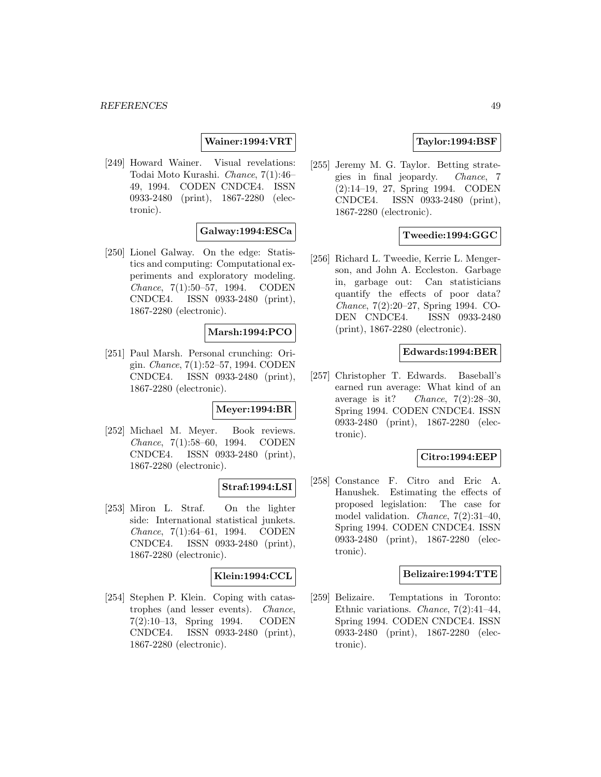# **Wainer:1994:VRT**

[249] Howard Wainer. Visual revelations: Todai Moto Kurashi. Chance, 7(1):46– 49, 1994. CODEN CNDCE4. ISSN 0933-2480 (print), 1867-2280 (electronic).

## **Galway:1994:ESCa**

[250] Lionel Galway. On the edge: Statistics and computing: Computational experiments and exploratory modeling. Chance, 7(1):50–57, 1994. CODEN CNDCE4. ISSN 0933-2480 (print), 1867-2280 (electronic).

## **Marsh:1994:PCO**

[251] Paul Marsh. Personal crunching: Origin. Chance, 7(1):52–57, 1994. CODEN CNDCE4. ISSN 0933-2480 (print), 1867-2280 (electronic).

## **Meyer:1994:BR**

[252] Michael M. Meyer. Book reviews. Chance, 7(1):58–60, 1994. CODEN CNDCE4. ISSN 0933-2480 (print), 1867-2280 (electronic).

### **Straf:1994:LSI**

[253] Miron L. Straf. On the lighter side: International statistical junkets. Chance, 7(1):64–61, 1994. CODEN CNDCE4. ISSN 0933-2480 (print), 1867-2280 (electronic).

## **Klein:1994:CCL**

[254] Stephen P. Klein. Coping with catastrophes (and lesser events). Chance, 7(2):10–13, Spring 1994. CODEN CNDCE4. ISSN 0933-2480 (print), 1867-2280 (electronic).

## **Taylor:1994:BSF**

[255] Jeremy M. G. Taylor. Betting strategies in final jeopardy. Chance, 7 (2):14–19, 27, Spring 1994. CODEN CNDCE4. ISSN 0933-2480 (print), 1867-2280 (electronic).

## **Tweedie:1994:GGC**

[256] Richard L. Tweedie, Kerrie L. Mengerson, and John A. Eccleston. Garbage in, garbage out: Can statisticians quantify the effects of poor data? Chance, 7(2):20–27, Spring 1994. CO-DEN CNDCE4. ISSN 0933-2480 (print), 1867-2280 (electronic).

### **Edwards:1994:BER**

[257] Christopher T. Edwards. Baseball's earned run average: What kind of an average is it? Chance,  $7(2):28-30$ , Spring 1994. CODEN CNDCE4. ISSN 0933-2480 (print), 1867-2280 (electronic).

# **Citro:1994:EEP**

[258] Constance F. Citro and Eric A. Hanushek. Estimating the effects of proposed legislation: The case for model validation. Chance, 7(2):31–40, Spring 1994. CODEN CNDCE4. ISSN 0933-2480 (print), 1867-2280 (electronic).

### **Belizaire:1994:TTE**

[259] Belizaire. Temptations in Toronto: Ethnic variations. Chance, 7(2):41–44, Spring 1994. CODEN CNDCE4. ISSN 0933-2480 (print), 1867-2280 (electronic).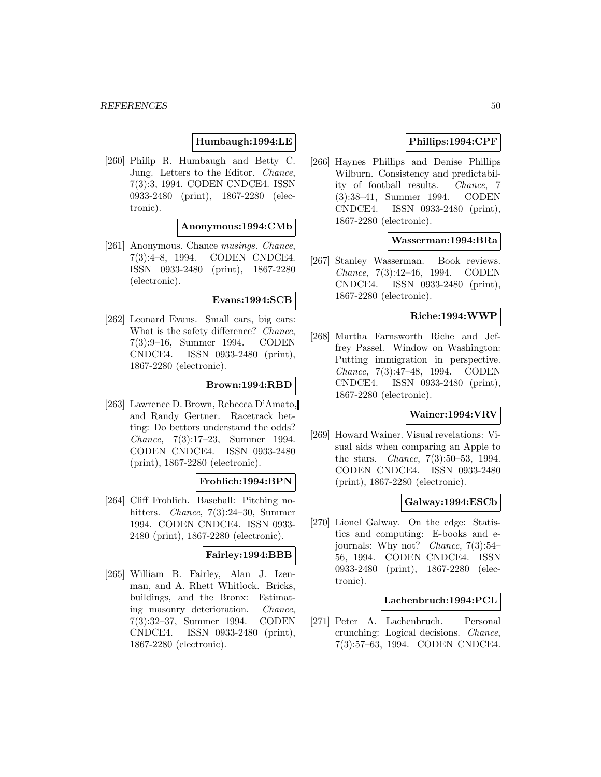# **Humbaugh:1994:LE**

[260] Philip R. Humbaugh and Betty C. Jung. Letters to the Editor. Chance, 7(3):3, 1994. CODEN CNDCE4. ISSN 0933-2480 (print), 1867-2280 (electronic).

## **Anonymous:1994:CMb**

[261] Anonymous. Chance *musings*. *Chance*, 7(3):4–8, 1994. CODEN CNDCE4. ISSN 0933-2480 (print), 1867-2280 (electronic).

### **Evans:1994:SCB**

[262] Leonard Evans. Small cars, big cars: What is the safety difference? *Chance*, 7(3):9–16, Summer 1994. CODEN CNDCE4. ISSN 0933-2480 (print), 1867-2280 (electronic).

## **Brown:1994:RBD**

[263] Lawrence D. Brown, Rebecca D'Amato, and Randy Gertner. Racetrack betting: Do bettors understand the odds? Chance, 7(3):17–23, Summer 1994. CODEN CNDCE4. ISSN 0933-2480 (print), 1867-2280 (electronic).

### **Frohlich:1994:BPN**

[264] Cliff Frohlich. Baseball: Pitching nohitters. *Chance*, 7(3):24–30, Summer 1994. CODEN CNDCE4. ISSN 0933- 2480 (print), 1867-2280 (electronic).

### **Fairley:1994:BBB**

[265] William B. Fairley, Alan J. Izenman, and A. Rhett Whitlock. Bricks, buildings, and the Bronx: Estimating masonry deterioration. Chance, 7(3):32–37, Summer 1994. CODEN CNDCE4. ISSN 0933-2480 (print), 1867-2280 (electronic).

# **Phillips:1994:CPF**

[266] Haynes Phillips and Denise Phillips Wilburn. Consistency and predictability of football results. Chance, 7 (3):38–41, Summer 1994. CODEN CNDCE4. ISSN 0933-2480 (print), 1867-2280 (electronic).

### **Wasserman:1994:BRa**

[267] Stanley Wasserman. Book reviews. Chance, 7(3):42–46, 1994. CODEN CNDCE4. ISSN 0933-2480 (print), 1867-2280 (electronic).

## **Riche:1994:WWP**

[268] Martha Farnsworth Riche and Jeffrey Passel. Window on Washington: Putting immigration in perspective. Chance, 7(3):47–48, 1994. CODEN CNDCE4. ISSN 0933-2480 (print), 1867-2280 (electronic).

# **Wainer:1994:VRV**

[269] Howard Wainer. Visual revelations: Visual aids when comparing an Apple to the stars. Chance, 7(3):50–53, 1994. CODEN CNDCE4. ISSN 0933-2480 (print), 1867-2280 (electronic).

## **Galway:1994:ESCb**

[270] Lionel Galway. On the edge: Statistics and computing: E-books and ejournals: Why not? Chance, 7(3):54– 56, 1994. CODEN CNDCE4. ISSN 0933-2480 (print), 1867-2280 (electronic).

## **Lachenbruch:1994:PCL**

[271] Peter A. Lachenbruch. Personal crunching: Logical decisions. Chance, 7(3):57–63, 1994. CODEN CNDCE4.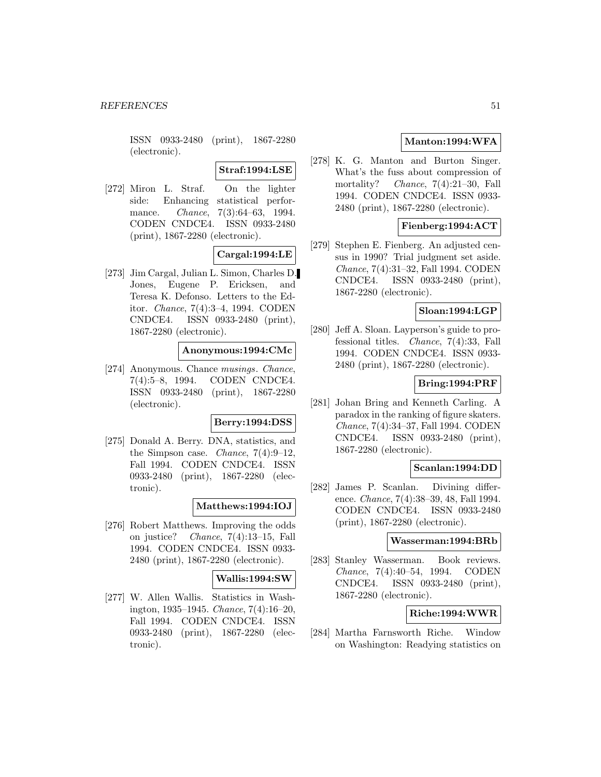ISSN 0933-2480 (print), 1867-2280 (electronic).

**Straf:1994:LSE**

[272] Miron L. Straf. On the lighter side: Enhancing statistical performance. *Chance*, 7(3):64–63, 1994. CODEN CNDCE4. ISSN 0933-2480 (print), 1867-2280 (electronic).

**Cargal:1994:LE**

[273] Jim Cargal, Julian L. Simon, Charles D. Jones, Eugene P. Ericksen, and Teresa K. Defonso. Letters to the Editor. Chance, 7(4):3–4, 1994. CODEN CNDCE4. ISSN 0933-2480 (print), 1867-2280 (electronic).

## **Anonymous:1994:CMc**

[274] Anonymous. Chance musings. Chance, 7(4):5–8, 1994. CODEN CNDCE4. ISSN 0933-2480 (print), 1867-2280 (electronic).

### **Berry:1994:DSS**

[275] Donald A. Berry. DNA, statistics, and the Simpson case. *Chance*,  $7(4):9-12$ , Fall 1994. CODEN CNDCE4. ISSN 0933-2480 (print), 1867-2280 (electronic).

### **Matthews:1994:IOJ**

[276] Robert Matthews. Improving the odds on justice? *Chance*,  $7(4):13-15$ , Fall 1994. CODEN CNDCE4. ISSN 0933- 2480 (print), 1867-2280 (electronic).

### **Wallis:1994:SW**

[277] W. Allen Wallis. Statistics in Washington, 1935–1945. Chance, 7(4):16–20, Fall 1994. CODEN CNDCE4. ISSN 0933-2480 (print), 1867-2280 (electronic).

# **Manton:1994:WFA**

[278] K. G. Manton and Burton Singer. What's the fuss about compression of mortality? Chance, 7(4):21–30, Fall 1994. CODEN CNDCE4. ISSN 0933- 2480 (print), 1867-2280 (electronic).

## **Fienberg:1994:ACT**

[279] Stephen E. Fienberg. An adjusted census in 1990? Trial judgment set aside. Chance, 7(4):31–32, Fall 1994. CODEN CNDCE4. ISSN 0933-2480 (print), 1867-2280 (electronic).

## **Sloan:1994:LGP**

[280] Jeff A. Sloan. Layperson's guide to professional titles. Chance, 7(4):33, Fall 1994. CODEN CNDCE4. ISSN 0933- 2480 (print), 1867-2280 (electronic).

# **Bring:1994:PRF**

[281] Johan Bring and Kenneth Carling. A paradox in the ranking of figure skaters. Chance, 7(4):34–37, Fall 1994. CODEN CNDCE4. ISSN 0933-2480 (print), 1867-2280 (electronic).

## **Scanlan:1994:DD**

[282] James P. Scanlan. Divining difference. Chance, 7(4):38–39, 48, Fall 1994. CODEN CNDCE4. ISSN 0933-2480 (print), 1867-2280 (electronic).

## **Wasserman:1994:BRb**

[283] Stanley Wasserman. Book reviews. Chance, 7(4):40–54, 1994. CODEN CNDCE4. ISSN 0933-2480 (print), 1867-2280 (electronic).

# **Riche:1994:WWR**

[284] Martha Farnsworth Riche. Window on Washington: Readying statistics on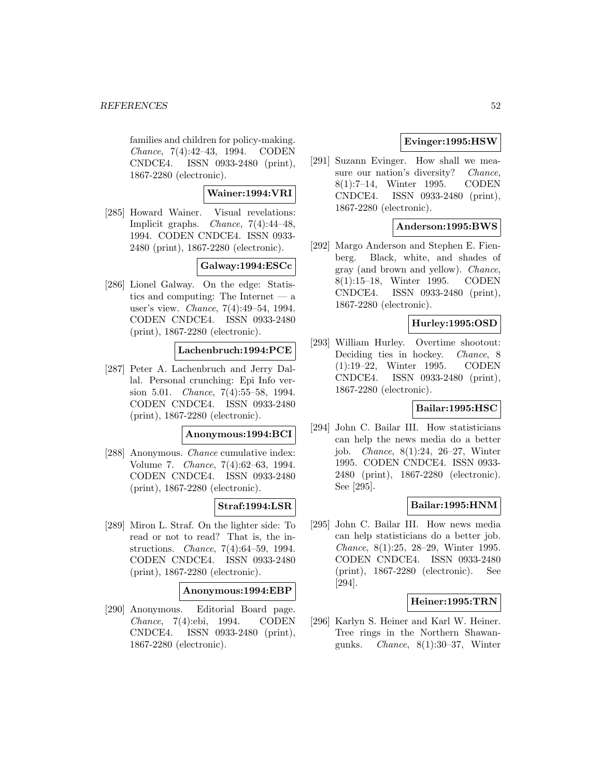families and children for policy-making. Chance, 7(4):42–43, 1994. CODEN CNDCE4. ISSN 0933-2480 (print), 1867-2280 (electronic).

# **Wainer:1994:VRI**

[285] Howard Wainer. Visual revelations: Implicit graphs. Chance, 7(4):44–48, 1994. CODEN CNDCE4. ISSN 0933- 2480 (print), 1867-2280 (electronic).

## **Galway:1994:ESCc**

[286] Lionel Galway. On the edge: Statistics and computing: The Internet — a user's view. Chance, 7(4):49–54, 1994. CODEN CNDCE4. ISSN 0933-2480 (print), 1867-2280 (electronic).

## **Lachenbruch:1994:PCE**

[287] Peter A. Lachenbruch and Jerry Dallal. Personal crunching: Epi Info version 5.01. Chance, 7(4):55–58, 1994. CODEN CNDCE4. ISSN 0933-2480 (print), 1867-2280 (electronic).

### **Anonymous:1994:BCI**

[288] Anonymous. Chance cumulative index: Volume 7. Chance, 7(4):62–63, 1994. CODEN CNDCE4. ISSN 0933-2480 (print), 1867-2280 (electronic).

# **Straf:1994:LSR**

[289] Miron L. Straf. On the lighter side: To read or not to read? That is, the instructions. Chance, 7(4):64–59, 1994. CODEN CNDCE4. ISSN 0933-2480 (print), 1867-2280 (electronic).

### **Anonymous:1994:EBP**

[290] Anonymous. Editorial Board page. Chance, 7(4):ebi, 1994. CODEN CNDCE4. ISSN 0933-2480 (print), 1867-2280 (electronic).

# **Evinger:1995:HSW**

[291] Suzann Evinger. How shall we measure our nation's diversity? Chance, 8(1):7–14, Winter 1995. CODEN CNDCE4. ISSN 0933-2480 (print), 1867-2280 (electronic).

# **Anderson:1995:BWS**

[292] Margo Anderson and Stephen E. Fienberg. Black, white, and shades of gray (and brown and yellow). Chance, 8(1):15–18, Winter 1995. CODEN CNDCE4. ISSN 0933-2480 (print), 1867-2280 (electronic).

## **Hurley:1995:OSD**

[293] William Hurley. Overtime shootout: Deciding ties in hockey. Chance, 8 (1):19–22, Winter 1995. CODEN CNDCE4. ISSN 0933-2480 (print), 1867-2280 (electronic).

# **Bailar:1995:HSC**

[294] John C. Bailar III. How statisticians can help the news media do a better job. Chance, 8(1):24, 26–27, Winter 1995. CODEN CNDCE4. ISSN 0933- 2480 (print), 1867-2280 (electronic). See [295].

# **Bailar:1995:HNM**

[295] John C. Bailar III. How news media can help statisticians do a better job. Chance, 8(1):25, 28–29, Winter 1995. CODEN CNDCE4. ISSN 0933-2480 (print), 1867-2280 (electronic). See [294].

## **Heiner:1995:TRN**

[296] Karlyn S. Heiner and Karl W. Heiner. Tree rings in the Northern Shawangunks. Chance, 8(1):30–37, Winter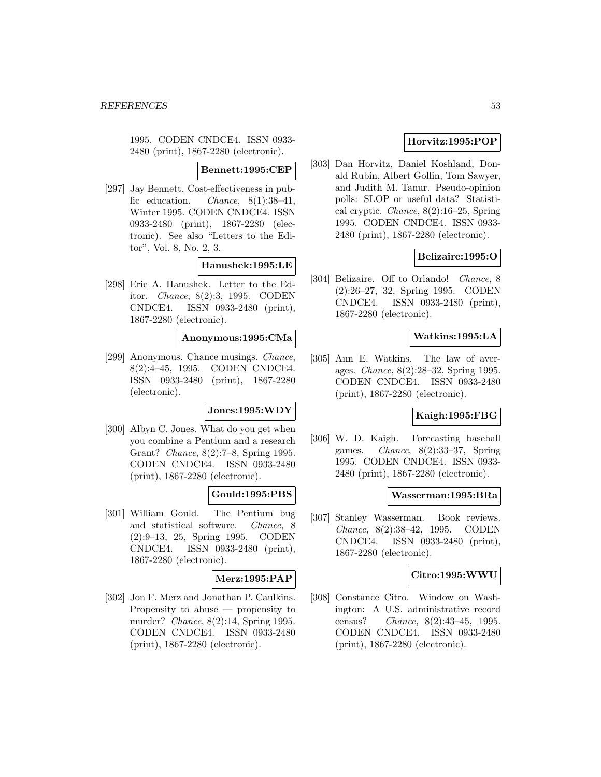1995. CODEN CNDCE4. ISSN 0933- 2480 (print), 1867-2280 (electronic).

#### **Bennett:1995:CEP**

[297] Jay Bennett. Cost-effectiveness in public education. Chance, 8(1):38–41, Winter 1995. CODEN CNDCE4. ISSN 0933-2480 (print), 1867-2280 (electronic). See also "Letters to the Editor", Vol. 8, No. 2, 3.

## **Hanushek:1995:LE**

[298] Eric A. Hanushek. Letter to the Editor. Chance, 8(2):3, 1995. CODEN CNDCE4. ISSN 0933-2480 (print), 1867-2280 (electronic).

### **Anonymous:1995:CMa**

[299] Anonymous. Chance musings. Chance, 8(2):4–45, 1995. CODEN CNDCE4. ISSN 0933-2480 (print), 1867-2280 (electronic).

## **Jones:1995:WDY**

[300] Albyn C. Jones. What do you get when you combine a Pentium and a research Grant? Chance, 8(2):7–8, Spring 1995. CODEN CNDCE4. ISSN 0933-2480 (print), 1867-2280 (electronic).

## **Gould:1995:PBS**

[301] William Gould. The Pentium bug and statistical software. Chance, 8 (2):9–13, 25, Spring 1995. CODEN CNDCE4. ISSN 0933-2480 (print), 1867-2280 (electronic).

## **Merz:1995:PAP**

[302] Jon F. Merz and Jonathan P. Caulkins. Propensity to abuse — propensity to murder? Chance, 8(2):14, Spring 1995. CODEN CNDCE4. ISSN 0933-2480 (print), 1867-2280 (electronic).

# **Horvitz:1995:POP**

[303] Dan Horvitz, Daniel Koshland, Donald Rubin, Albert Gollin, Tom Sawyer, and Judith M. Tanur. Pseudo-opinion polls: SLOP or useful data? Statistical cryptic. Chance, 8(2):16–25, Spring 1995. CODEN CNDCE4. ISSN 0933- 2480 (print), 1867-2280 (electronic).

## **Belizaire:1995:O**

[304] Belizaire. Off to Orlando! Chance, 8 (2):26–27, 32, Spring 1995. CODEN CNDCE4. ISSN 0933-2480 (print), 1867-2280 (electronic).

## **Watkins:1995:LA**

[305] Ann E. Watkins. The law of averages. Chance, 8(2):28–32, Spring 1995. CODEN CNDCE4. ISSN 0933-2480 (print), 1867-2280 (electronic).

## **Kaigh:1995:FBG**

[306] W. D. Kaigh. Forecasting baseball games. *Chance*,  $8(2):33-37$ , Spring 1995. CODEN CNDCE4. ISSN 0933- 2480 (print), 1867-2280 (electronic).

### **Wasserman:1995:BRa**

[307] Stanley Wasserman. Book reviews. Chance, 8(2):38–42, 1995. CODEN CNDCE4. ISSN 0933-2480 (print), 1867-2280 (electronic).

### **Citro:1995:WWU**

[308] Constance Citro. Window on Washington: A U.S. administrative record census? Chance, 8(2):43–45, 1995. CODEN CNDCE4. ISSN 0933-2480 (print), 1867-2280 (electronic).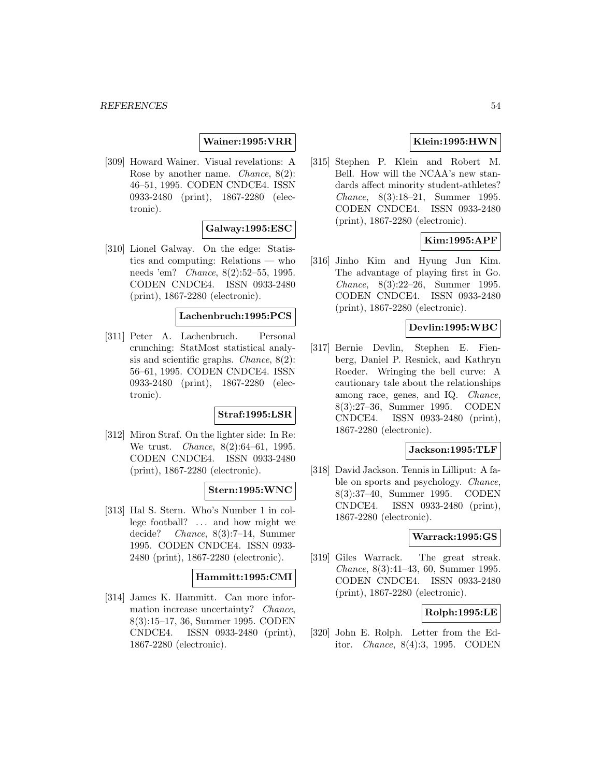## **Wainer:1995:VRR**

[309] Howard Wainer. Visual revelations: A Rose by another name. Chance, 8(2): 46–51, 1995. CODEN CNDCE4. ISSN 0933-2480 (print), 1867-2280 (electronic).

## **Galway:1995:ESC**

[310] Lionel Galway. On the edge: Statistics and computing: Relations — who needs 'em? Chance, 8(2):52–55, 1995. CODEN CNDCE4. ISSN 0933-2480 (print), 1867-2280 (electronic).

### **Lachenbruch:1995:PCS**

[311] Peter A. Lachenbruch. Personal crunching: StatMost statistical analysis and scientific graphs. Chance, 8(2): 56–61, 1995. CODEN CNDCE4. ISSN 0933-2480 (print), 1867-2280 (electronic).

## **Straf:1995:LSR**

[312] Miron Straf. On the lighter side: In Re: We trust. Chance, 8(2):64–61, 1995. CODEN CNDCE4. ISSN 0933-2480 (print), 1867-2280 (electronic).

# **Stern:1995:WNC**

[313] Hal S. Stern. Who's Number 1 in college football? ... and how might we decide? Chance, 8(3):7–14, Summer 1995. CODEN CNDCE4. ISSN 0933- 2480 (print), 1867-2280 (electronic).

### **Hammitt:1995:CMI**

[314] James K. Hammitt. Can more information increase uncertainty? Chance, 8(3):15–17, 36, Summer 1995. CODEN CNDCE4. ISSN 0933-2480 (print), 1867-2280 (electronic).

# **Klein:1995:HWN**

[315] Stephen P. Klein and Robert M. Bell. How will the NCAA's new standards affect minority student-athletes? Chance, 8(3):18–21, Summer 1995. CODEN CNDCE4. ISSN 0933-2480 (print), 1867-2280 (electronic).

# **Kim:1995:APF**

[316] Jinho Kim and Hyung Jun Kim. The advantage of playing first in Go. Chance, 8(3):22–26, Summer 1995. CODEN CNDCE4. ISSN 0933-2480 (print), 1867-2280 (electronic).

# **Devlin:1995:WBC**

[317] Bernie Devlin, Stephen E. Fienberg, Daniel P. Resnick, and Kathryn Roeder. Wringing the bell curve: A cautionary tale about the relationships among race, genes, and IQ. Chance, 8(3):27–36, Summer 1995. CODEN CNDCE4. ISSN 0933-2480 (print), 1867-2280 (electronic).

### **Jackson:1995:TLF**

[318] David Jackson. Tennis in Lilliput: A fable on sports and psychology. Chance, 8(3):37–40, Summer 1995. CODEN CNDCE4. ISSN 0933-2480 (print), 1867-2280 (electronic).

### **Warrack:1995:GS**

[319] Giles Warrack. The great streak. Chance, 8(3):41–43, 60, Summer 1995. CODEN CNDCE4. ISSN 0933-2480 (print), 1867-2280 (electronic).

## **Rolph:1995:LE**

[320] John E. Rolph. Letter from the Editor. Chance, 8(4):3, 1995. CODEN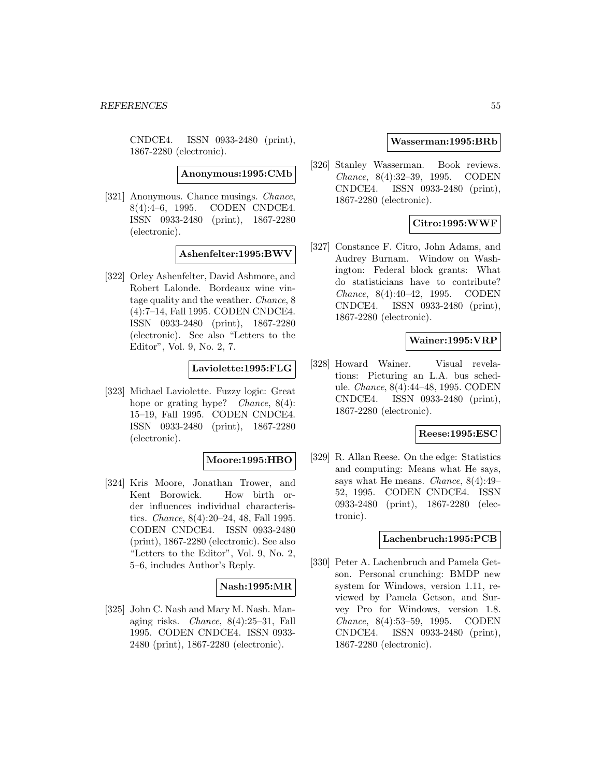CNDCE4. ISSN 0933-2480 (print), 1867-2280 (electronic).

**Anonymous:1995:CMb**

[321] Anonymous. Chance musings. Chance, 8(4):4–6, 1995. CODEN CNDCE4. ISSN 0933-2480 (print), 1867-2280 (electronic).

**Ashenfelter:1995:BWV**

[322] Orley Ashenfelter, David Ashmore, and Robert Lalonde. Bordeaux wine vintage quality and the weather. Chance, 8 (4):7–14, Fall 1995. CODEN CNDCE4. ISSN 0933-2480 (print), 1867-2280 (electronic). See also "Letters to the Editor", Vol. 9, No. 2, 7.

## **Laviolette:1995:FLG**

[323] Michael Laviolette. Fuzzy logic: Great hope or grating hype? *Chance*,  $8(4)$ : 15–19, Fall 1995. CODEN CNDCE4. ISSN 0933-2480 (print), 1867-2280 (electronic).

## **Moore:1995:HBO**

[324] Kris Moore, Jonathan Trower, and Kent Borowick. How birth order influences individual characteristics. *Chance*,  $8(4):20-24$ , 48, Fall 1995. CODEN CNDCE4. ISSN 0933-2480 (print), 1867-2280 (electronic). See also "Letters to the Editor", Vol. 9, No. 2, 5–6, includes Author's Reply.

# **Nash:1995:MR**

[325] John C. Nash and Mary M. Nash. Managing risks. Chance, 8(4):25–31, Fall 1995. CODEN CNDCE4. ISSN 0933- 2480 (print), 1867-2280 (electronic).

### **Wasserman:1995:BRb**

[326] Stanley Wasserman. Book reviews. Chance, 8(4):32–39, 1995. CODEN CNDCE4. ISSN 0933-2480 (print), 1867-2280 (electronic).

# **Citro:1995:WWF**

[327] Constance F. Citro, John Adams, and Audrey Burnam. Window on Washington: Federal block grants: What do statisticians have to contribute? Chance, 8(4):40–42, 1995. CODEN CNDCE4. ISSN 0933-2480 (print), 1867-2280 (electronic).

## **Wainer:1995:VRP**

[328] Howard Wainer. Visual revelations: Picturing an L.A. bus schedule. Chance, 8(4):44–48, 1995. CODEN CNDCE4. ISSN 0933-2480 (print), 1867-2280 (electronic).

### **Reese:1995:ESC**

[329] R. Allan Reese. On the edge: Statistics and computing: Means what He says, says what He means. Chance, 8(4):49– 52, 1995. CODEN CNDCE4. ISSN 0933-2480 (print), 1867-2280 (electronic).

# **Lachenbruch:1995:PCB**

[330] Peter A. Lachenbruch and Pamela Getson. Personal crunching: BMDP new system for Windows, version 1.11, reviewed by Pamela Getson, and Survey Pro for Windows, version 1.8. Chance, 8(4):53–59, 1995. CODEN CNDCE4. ISSN 0933-2480 (print), 1867-2280 (electronic).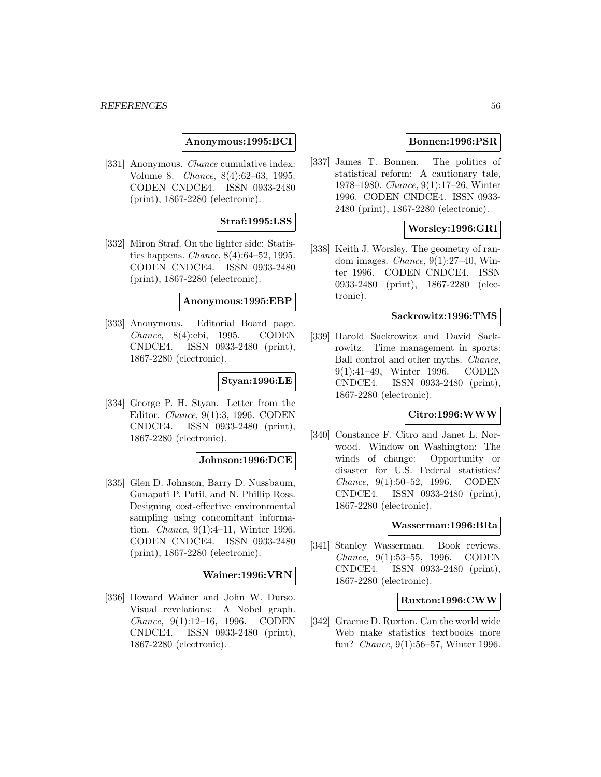## **Anonymous:1995:BCI**

[331] Anonymous. *Chance* cumulative index: Volume 8. Chance, 8(4):62–63, 1995. CODEN CNDCE4. ISSN 0933-2480 (print), 1867-2280 (electronic).

# **Straf:1995:LSS**

[332] Miron Straf. On the lighter side: Statistics happens. *Chance*,  $8(4):64-52$ , 1995. CODEN CNDCE4. ISSN 0933-2480 (print), 1867-2280 (electronic).

### **Anonymous:1995:EBP**

[333] Anonymous. Editorial Board page. Chance, 8(4):ebi, 1995. CODEN CNDCE4. ISSN 0933-2480 (print), 1867-2280 (electronic).

### **Styan:1996:LE**

[334] George P. H. Styan. Letter from the Editor. Chance, 9(1):3, 1996. CODEN CNDCE4. ISSN 0933-2480 (print), 1867-2280 (electronic).

### **Johnson:1996:DCE**

[335] Glen D. Johnson, Barry D. Nussbaum, Ganapati P. Patil, and N. Phillip Ross. Designing cost-effective environmental sampling using concomitant information. Chance, 9(1):4–11, Winter 1996. CODEN CNDCE4. ISSN 0933-2480 (print), 1867-2280 (electronic).

### **Wainer:1996:VRN**

[336] Howard Wainer and John W. Durso. Visual revelations: A Nobel graph. Chance, 9(1):12–16, 1996. CODEN CNDCE4. ISSN 0933-2480 (print), 1867-2280 (electronic).

## **Bonnen:1996:PSR**

[337] James T. Bonnen. The politics of statistical reform: A cautionary tale, 1978–1980. Chance, 9(1):17–26, Winter 1996. CODEN CNDCE4. ISSN 0933- 2480 (print), 1867-2280 (electronic).

# **Worsley:1996:GRI**

[338] Keith J. Worsley. The geometry of random images. *Chance*,  $9(1):27-40$ , Winter 1996. CODEN CNDCE4. ISSN 0933-2480 (print), 1867-2280 (electronic).

### **Sackrowitz:1996:TMS**

[339] Harold Sackrowitz and David Sackrowitz. Time management in sports: Ball control and other myths. Chance, 9(1):41–49, Winter 1996. CODEN CNDCE4. ISSN 0933-2480 (print), 1867-2280 (electronic).

# **Citro:1996:WWW**

[340] Constance F. Citro and Janet L. Norwood. Window on Washington: The winds of change: Opportunity or disaster for U.S. Federal statistics? Chance, 9(1):50–52, 1996. CODEN CNDCE4. ISSN 0933-2480 (print), 1867-2280 (electronic).

#### **Wasserman:1996:BRa**

[341] Stanley Wasserman. Book reviews. Chance, 9(1):53–55, 1996. CODEN CNDCE4. ISSN 0933-2480 (print), 1867-2280 (electronic).

## **Ruxton:1996:CWW**

[342] Graeme D. Ruxton. Can the world wide Web make statistics textbooks more fun? Chance, 9(1):56–57, Winter 1996.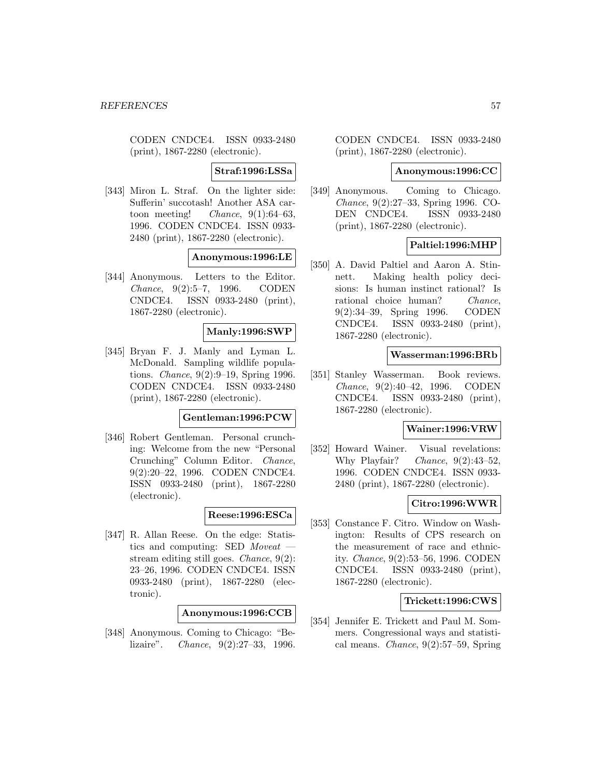CODEN CNDCE4. ISSN 0933-2480 (print), 1867-2280 (electronic).

**Straf:1996:LSSa**

[343] Miron L. Straf. On the lighter side: Sufferin' succotash! Another ASA cartoon meeting! *Chance*,  $9(1):64-63$ , 1996. CODEN CNDCE4. ISSN 0933- 2480 (print), 1867-2280 (electronic).

**Anonymous:1996:LE**

[344] Anonymous. Letters to the Editor. Chance, 9(2):5–7, 1996. CODEN CNDCE4. ISSN 0933-2480 (print), 1867-2280 (electronic).

## **Manly:1996:SWP**

[345] Bryan F. J. Manly and Lyman L. McDonald. Sampling wildlife populations. Chance, 9(2):9–19, Spring 1996. CODEN CNDCE4. ISSN 0933-2480 (print), 1867-2280 (electronic).

### **Gentleman:1996:PCW**

[346] Robert Gentleman. Personal crunching: Welcome from the new "Personal Crunching" Column Editor. Chance, 9(2):20–22, 1996. CODEN CNDCE4. ISSN 0933-2480 (print), 1867-2280 (electronic).

## **Reese:1996:ESCa**

[347] R. Allan Reese. On the edge: Statistics and computing: SED Moveat stream editing still goes. Chance, 9(2): 23–26, 1996. CODEN CNDCE4. ISSN 0933-2480 (print), 1867-2280 (electronic).

# **Anonymous:1996:CCB**

[348] Anonymous. Coming to Chicago: "Belizaire". Chance, 9(2):27–33, 1996. CODEN CNDCE4. ISSN 0933-2480 (print), 1867-2280 (electronic).

#### **Anonymous:1996:CC**

[349] Anonymous. Coming to Chicago. Chance, 9(2):27–33, Spring 1996. CO-DEN CNDCE4. ISSN 0933-2480 (print), 1867-2280 (electronic).

# **Paltiel:1996:MHP**

[350] A. David Paltiel and Aaron A. Stinnett. Making health policy decisions: Is human instinct rational? Is rational choice human? Chance, 9(2):34–39, Spring 1996. CODEN CNDCE4. ISSN 0933-2480 (print), 1867-2280 (electronic).

### **Wasserman:1996:BRb**

[351] Stanley Wasserman. Book reviews. Chance, 9(2):40–42, 1996. CODEN CNDCE4. ISSN 0933-2480 (print), 1867-2280 (electronic).

#### **Wainer:1996:VRW**

[352] Howard Wainer. Visual revelations: Why Playfair? Chance, 9(2):43–52, 1996. CODEN CNDCE4. ISSN 0933- 2480 (print), 1867-2280 (electronic).

## **Citro:1996:WWR**

[353] Constance F. Citro. Window on Washington: Results of CPS research on the measurement of race and ethnicity. Chance, 9(2):53–56, 1996. CODEN CNDCE4. ISSN 0933-2480 (print), 1867-2280 (electronic).

## **Trickett:1996:CWS**

[354] Jennifer E. Trickett and Paul M. Sommers. Congressional ways and statistical means. Chance, 9(2):57–59, Spring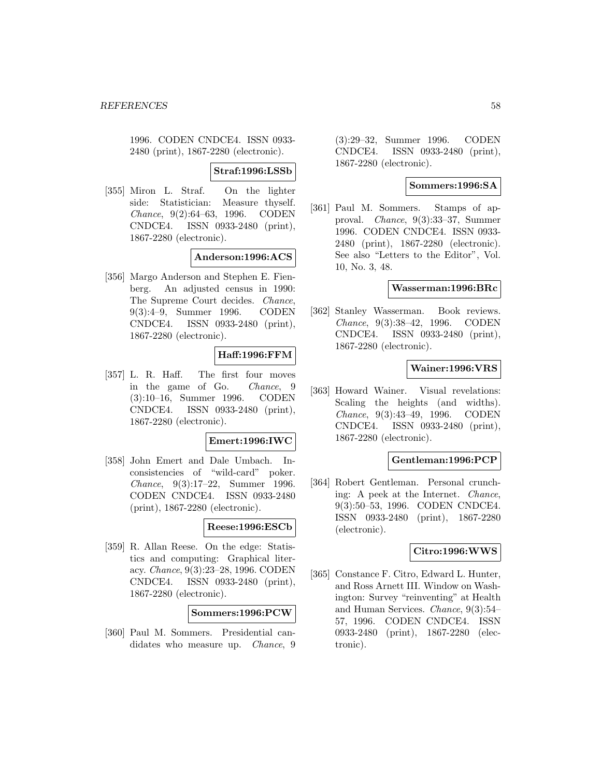1996. CODEN CNDCE4. ISSN 0933- 2480 (print), 1867-2280 (electronic).

**Straf:1996:LSSb**

[355] Miron L. Straf. On the lighter side: Statistician: Measure thyself. Chance, 9(2):64–63, 1996. CODEN CNDCE4. ISSN 0933-2480 (print), 1867-2280 (electronic).

## **Anderson:1996:ACS**

[356] Margo Anderson and Stephen E. Fienberg. An adjusted census in 1990: The Supreme Court decides. Chance, 9(3):4–9, Summer 1996. CODEN CNDCE4. ISSN 0933-2480 (print), 1867-2280 (electronic).

# **Haff:1996:FFM**

[357] L. R. Haff. The first four moves in the game of Go. Chance, 9 (3):10–16, Summer 1996. CODEN CNDCE4. ISSN 0933-2480 (print), 1867-2280 (electronic).

### **Emert:1996:IWC**

[358] John Emert and Dale Umbach. Inconsistencies of "wild-card" poker. Chance, 9(3):17–22, Summer 1996. CODEN CNDCE4. ISSN 0933-2480 (print), 1867-2280 (electronic).

## **Reese:1996:ESCb**

[359] R. Allan Reese. On the edge: Statistics and computing: Graphical literacy. Chance, 9(3):23–28, 1996. CODEN CNDCE4. ISSN 0933-2480 (print), 1867-2280 (electronic).

### **Sommers:1996:PCW**

[360] Paul M. Sommers. Presidential candidates who measure up. *Chance*, 9 (3):29–32, Summer 1996. CODEN CNDCE4. ISSN 0933-2480 (print), 1867-2280 (electronic).

### **Sommers:1996:SA**

[361] Paul M. Sommers. Stamps of approval. Chance, 9(3):33–37, Summer 1996. CODEN CNDCE4. ISSN 0933- 2480 (print), 1867-2280 (electronic). See also "Letters to the Editor", Vol. 10, No. 3, 48.

## **Wasserman:1996:BRc**

[362] Stanley Wasserman. Book reviews. Chance, 9(3):38–42, 1996. CODEN CNDCE4. ISSN 0933-2480 (print), 1867-2280 (electronic).

# **Wainer:1996:VRS**

[363] Howard Wainer. Visual revelations: Scaling the heights (and widths). Chance, 9(3):43–49, 1996. CODEN CNDCE4. ISSN 0933-2480 (print), 1867-2280 (electronic).

## **Gentleman:1996:PCP**

[364] Robert Gentleman. Personal crunching: A peek at the Internet. Chance, 9(3):50–53, 1996. CODEN CNDCE4. ISSN 0933-2480 (print), 1867-2280 (electronic).

## **Citro:1996:WWS**

[365] Constance F. Citro, Edward L. Hunter, and Ross Arnett III. Window on Washington: Survey "reinventing" at Health and Human Services. Chance, 9(3):54– 57, 1996. CODEN CNDCE4. ISSN 0933-2480 (print), 1867-2280 (electronic).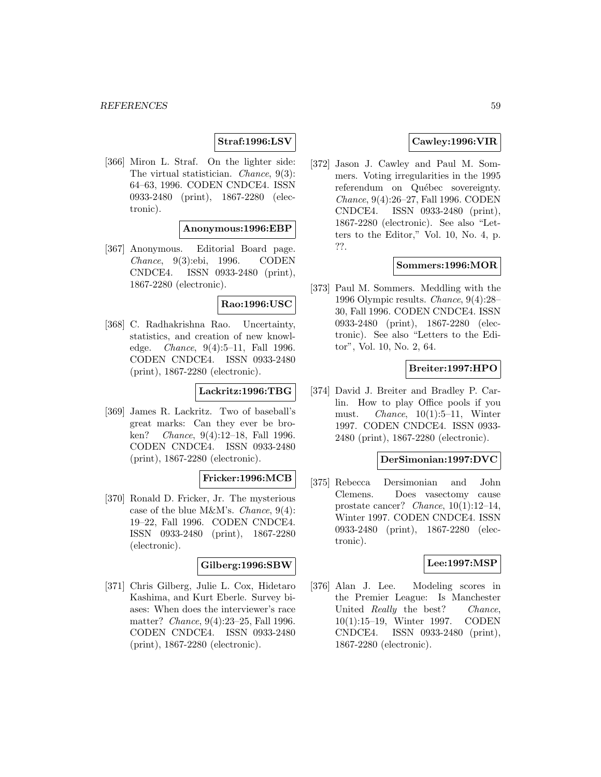# **Straf:1996:LSV**

[366] Miron L. Straf. On the lighter side: The virtual statistician. Chance, 9(3): 64–63, 1996. CODEN CNDCE4. ISSN 0933-2480 (print), 1867-2280 (electronic).

# **Anonymous:1996:EBP**

[367] Anonymous. Editorial Board page. Chance, 9(3):ebi, 1996. CODEN CNDCE4. ISSN 0933-2480 (print), 1867-2280 (electronic).

## **Rao:1996:USC**

[368] C. Radhakrishna Rao. Uncertainty, statistics, and creation of new knowledge. Chance, 9(4):5–11, Fall 1996. CODEN CNDCE4. ISSN 0933-2480 (print), 1867-2280 (electronic).

# **Lackritz:1996:TBG**

[369] James R. Lackritz. Two of baseball's great marks: Can they ever be broken? *Chance*, 9(4):12–18, Fall 1996. CODEN CNDCE4. ISSN 0933-2480 (print), 1867-2280 (electronic).

## **Fricker:1996:MCB**

[370] Ronald D. Fricker, Jr. The mysterious case of the blue M&M's. Chance, 9(4): 19–22, Fall 1996. CODEN CNDCE4. ISSN 0933-2480 (print), 1867-2280 (electronic).

## **Gilberg:1996:SBW**

[371] Chris Gilberg, Julie L. Cox, Hidetaro Kashima, and Kurt Eberle. Survey biases: When does the interviewer's race matter? Chance, 9(4):23–25, Fall 1996. CODEN CNDCE4. ISSN 0933-2480 (print), 1867-2280 (electronic).

# **Cawley:1996:VIR**

[372] Jason J. Cawley and Paul M. Sommers. Voting irregularities in the 1995 referendum on Québec sovereignty. Chance, 9(4):26–27, Fall 1996. CODEN CNDCE4. ISSN 0933-2480 (print), 1867-2280 (electronic). See also "Letters to the Editor," Vol. 10, No. 4, p. ??.

### **Sommers:1996:MOR**

[373] Paul M. Sommers. Meddling with the 1996 Olympic results. Chance, 9(4):28– 30, Fall 1996. CODEN CNDCE4. ISSN 0933-2480 (print), 1867-2280 (electronic). See also "Letters to the Editor", Vol. 10, No. 2, 64.

## **Breiter:1997:HPO**

[374] David J. Breiter and Bradley P. Carlin. How to play Office pools if you must. *Chance*,  $10(1):5-11$ , Winter 1997. CODEN CNDCE4. ISSN 0933- 2480 (print), 1867-2280 (electronic).

### **DerSimonian:1997:DVC**

[375] Rebecca Dersimonian and John Clemens. Does vasectomy cause prostate cancer? Chance, 10(1):12–14, Winter 1997. CODEN CNDCE4. ISSN 0933-2480 (print), 1867-2280 (electronic).

### **Lee:1997:MSP**

[376] Alan J. Lee. Modeling scores in the Premier League: Is Manchester United Really the best? Chance, 10(1):15–19, Winter 1997. CODEN CNDCE4. ISSN 0933-2480 (print), 1867-2280 (electronic).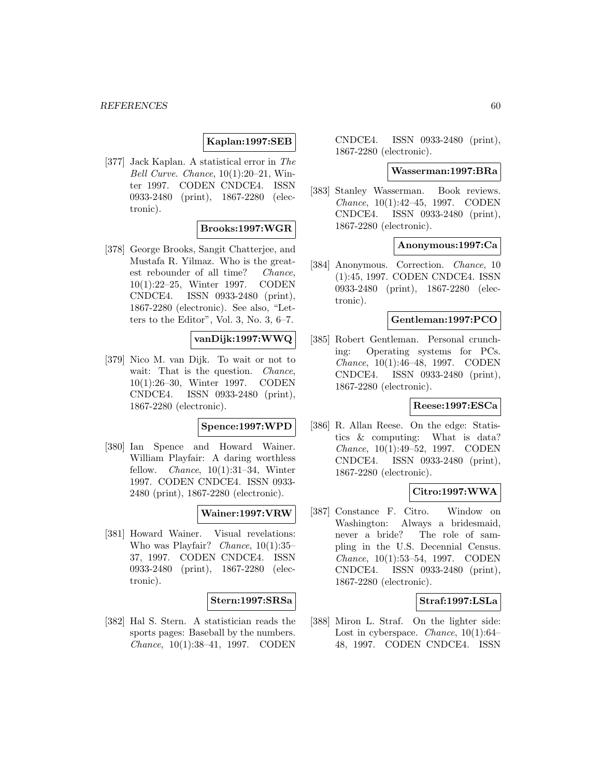# **Kaplan:1997:SEB**

[377] Jack Kaplan. A statistical error in The Bell Curve. Chance, 10(1):20–21, Winter 1997. CODEN CNDCE4. ISSN 0933-2480 (print), 1867-2280 (electronic).

## **Brooks:1997:WGR**

[378] George Brooks, Sangit Chatterjee, and Mustafa R. Yilmaz. Who is the greatest rebounder of all time? Chance, 10(1):22–25, Winter 1997. CODEN CNDCE4. ISSN 0933-2480 (print), 1867-2280 (electronic). See also, "Letters to the Editor", Vol. 3, No. 3, 6–7.

# **vanDijk:1997:WWQ**

[379] Nico M. van Dijk. To wait or not to wait: That is the question. *Chance*, 10(1):26–30, Winter 1997. CODEN CNDCE4. ISSN 0933-2480 (print), 1867-2280 (electronic).

### **Spence:1997:WPD**

[380] Ian Spence and Howard Wainer. William Playfair: A daring worthless fellow. *Chance*,  $10(1):31-34$ , Winter 1997. CODEN CNDCE4. ISSN 0933- 2480 (print), 1867-2280 (electronic).

## **Wainer:1997:VRW**

[381] Howard Wainer. Visual revelations: Who was Playfair? Chance, 10(1):35– 37, 1997. CODEN CNDCE4. ISSN 0933-2480 (print), 1867-2280 (electronic).

### **Stern:1997:SRSa**

[382] Hal S. Stern. A statistician reads the sports pages: Baseball by the numbers. Chance, 10(1):38–41, 1997. CODEN

CNDCE4. ISSN 0933-2480 (print), 1867-2280 (electronic).

#### **Wasserman:1997:BRa**

[383] Stanley Wasserman. Book reviews. Chance, 10(1):42–45, 1997. CODEN CNDCE4. ISSN 0933-2480 (print), 1867-2280 (electronic).

### **Anonymous:1997:Ca**

[384] Anonymous. Correction. Chance, 10 (1):45, 1997. CODEN CNDCE4. ISSN 0933-2480 (print), 1867-2280 (electronic).

### **Gentleman:1997:PCO**

[385] Robert Gentleman. Personal crunching: Operating systems for PCs. Chance, 10(1):46–48, 1997. CODEN CNDCE4. ISSN 0933-2480 (print), 1867-2280 (electronic).

## **Reese:1997:ESCa**

[386] R. Allan Reese. On the edge: Statistics & computing: What is data? Chance, 10(1):49–52, 1997. CODEN CNDCE4. ISSN 0933-2480 (print), 1867-2280 (electronic).

## **Citro:1997:WWA**

[387] Constance F. Citro. Window on Washington: Always a bridesmaid, never a bride? The role of sampling in the U.S. Decennial Census. Chance, 10(1):53–54, 1997. CODEN CNDCE4. ISSN 0933-2480 (print), 1867-2280 (electronic).

## **Straf:1997:LSLa**

[388] Miron L. Straf. On the lighter side: Lost in cyberspace. Chance, 10(1):64– 48, 1997. CODEN CNDCE4. ISSN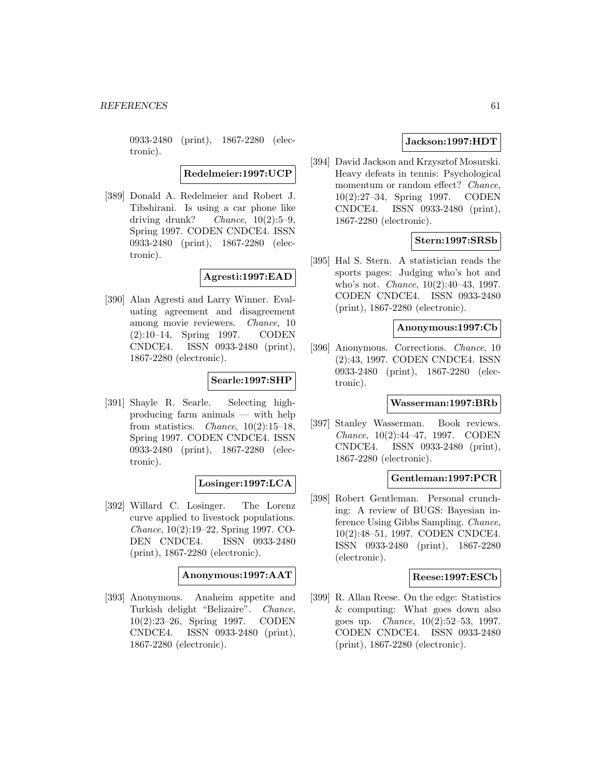0933-2480 (print), 1867-2280 (electronic).

**Redelmeier:1997:UCP**

[389] Donald A. Redelmeier and Robert J. Tibshirani. Is using a car phone like driving drunk? Chance,  $10(2):5-9$ , Spring 1997. CODEN CNDCE4. ISSN 0933-2480 (print), 1867-2280 (electronic).

**Agresti:1997:EAD**

[390] Alan Agresti and Larry Winner. Evaluating agreement and disagreement among movie reviewers. Chance, 10 (2):10–14, Spring 1997. CODEN CNDCE4. ISSN 0933-2480 (print), 1867-2280 (electronic).

# **Searle:1997:SHP**

[391] Shayle R. Searle. Selecting highproducing farm animals — with help from statistics. *Chance*,  $10(2):15-18$ , Spring 1997. CODEN CNDCE4. ISSN 0933-2480 (print), 1867-2280 (electronic).

## **Losinger:1997:LCA**

[392] Willard C. Losinger. The Lorenz curve applied to livestock populations. Chance, 10(2):19–22, Spring 1997. CO-DEN CNDCE4. ISSN 0933-2480 (print), 1867-2280 (electronic).

**Anonymous:1997:AAT**

[393] Anonymous. Anaheim appetite and Turkish delight "Belizaire". Chance, 10(2):23–26, Spring 1997. CODEN CNDCE4. ISSN 0933-2480 (print), 1867-2280 (electronic).

# **Jackson:1997:HDT**

[394] David Jackson and Krzysztof Mosurski. Heavy defeats in tennis: Psychological momentum or random effect? Chance, 10(2):27–34, Spring 1997. CODEN CNDCE4. ISSN 0933-2480 (print), 1867-2280 (electronic).

# **Stern:1997:SRSb**

[395] Hal S. Stern. A statistician reads the sports pages: Judging who's hot and who's not. Chance, 10(2):40–43, 1997. CODEN CNDCE4. ISSN 0933-2480 (print), 1867-2280 (electronic).

## **Anonymous:1997:Cb**

[396] Anonymous. Corrections. Chance, 10 (2):43, 1997. CODEN CNDCE4. ISSN 0933-2480 (print), 1867-2280 (electronic).

### **Wasserman:1997:BRb**

[397] Stanley Wasserman. Book reviews. Chance, 10(2):44–47, 1997. CODEN CNDCE4. ISSN 0933-2480 (print), 1867-2280 (electronic).

## **Gentleman:1997:PCR**

[398] Robert Gentleman. Personal crunching: A review of BUGS: Bayesian inference Using Gibbs Sampling. Chance, 10(2):48–51, 1997. CODEN CNDCE4. ISSN 0933-2480 (print), 1867-2280 (electronic).

### **Reese:1997:ESCb**

[399] R. Allan Reese. On the edge: Statistics & computing: What goes down also goes up. Chance, 10(2):52–53, 1997. CODEN CNDCE4. ISSN 0933-2480 (print), 1867-2280 (electronic).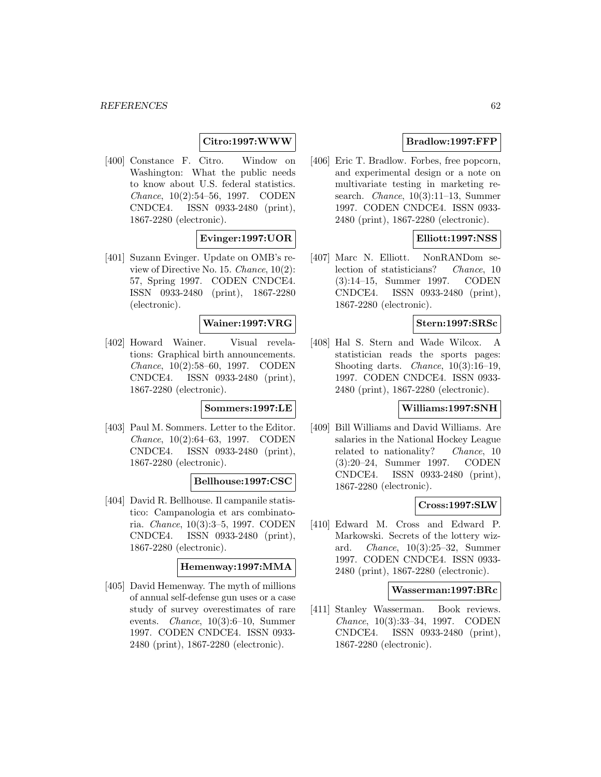## **Citro:1997:WWW**

[400] Constance F. Citro. Window on Washington: What the public needs to know about U.S. federal statistics. Chance, 10(2):54–56, 1997. CODEN CNDCE4. ISSN 0933-2480 (print), 1867-2280 (electronic).

# **Evinger:1997:UOR**

[401] Suzann Evinger. Update on OMB's review of Directive No. 15. Chance, 10(2): 57, Spring 1997. CODEN CNDCE4. ISSN 0933-2480 (print), 1867-2280 (electronic).

## **Wainer:1997:VRG**

[402] Howard Wainer. Visual revelations: Graphical birth announcements. Chance, 10(2):58–60, 1997. CODEN CNDCE4. ISSN 0933-2480 (print), 1867-2280 (electronic).

### **Sommers:1997:LE**

[403] Paul M. Sommers. Letter to the Editor. Chance, 10(2):64–63, 1997. CODEN CNDCE4. ISSN 0933-2480 (print), 1867-2280 (electronic).

### **Bellhouse:1997:CSC**

[404] David R. Bellhouse. Il campanile statistico: Campanologia et ars combinatoria. Chance, 10(3):3–5, 1997. CODEN CNDCE4. ISSN 0933-2480 (print), 1867-2280 (electronic).

## **Hemenway:1997:MMA**

[405] David Hemenway. The myth of millions of annual self-defense gun uses or a case study of survey overestimates of rare events. Chance, 10(3):6–10, Summer 1997. CODEN CNDCE4. ISSN 0933- 2480 (print), 1867-2280 (electronic).

# **Bradlow:1997:FFP**

[406] Eric T. Bradlow. Forbes, free popcorn, and experimental design or a note on multivariate testing in marketing research. Chance, 10(3):11–13, Summer 1997. CODEN CNDCE4. ISSN 0933- 2480 (print), 1867-2280 (electronic).

## **Elliott:1997:NSS**

[407] Marc N. Elliott. NonRANDom selection of statisticians? Chance, 10 (3):14–15, Summer 1997. CODEN CNDCE4. ISSN 0933-2480 (print), 1867-2280 (electronic).

# **Stern:1997:SRSc**

[408] Hal S. Stern and Wade Wilcox. A statistician reads the sports pages: Shooting darts. Chance, 10(3):16–19, 1997. CODEN CNDCE4. ISSN 0933- 2480 (print), 1867-2280 (electronic).

# **Williams:1997:SNH**

[409] Bill Williams and David Williams. Are salaries in the National Hockey League related to nationality? Chance, 10 (3):20–24, Summer 1997. CODEN CNDCE4. ISSN 0933-2480 (print), 1867-2280 (electronic).

## **Cross:1997:SLW**

[410] Edward M. Cross and Edward P. Markowski. Secrets of the lottery wizard. Chance, 10(3):25–32, Summer 1997. CODEN CNDCE4. ISSN 0933- 2480 (print), 1867-2280 (electronic).

#### **Wasserman:1997:BRc**

[411] Stanley Wasserman. Book reviews. Chance, 10(3):33–34, 1997. CODEN CNDCE4. ISSN 0933-2480 (print), 1867-2280 (electronic).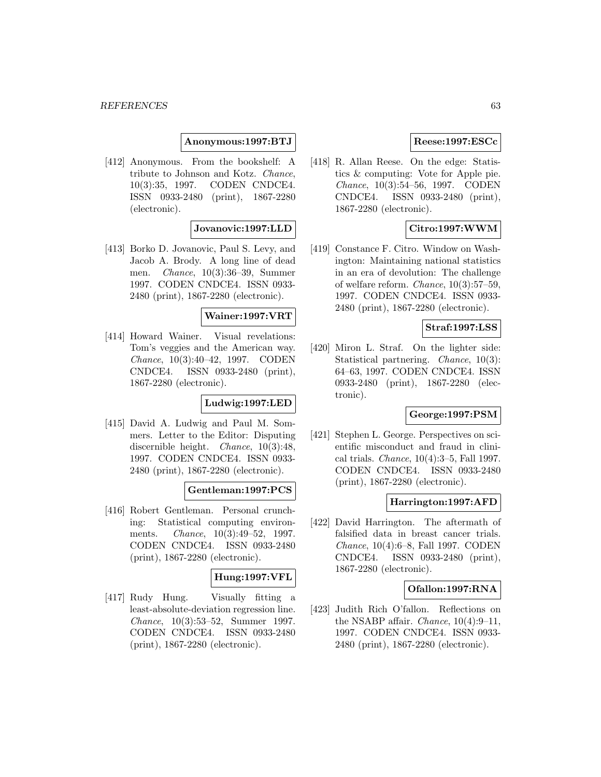## **Anonymous:1997:BTJ**

[412] Anonymous. From the bookshelf: A tribute to Johnson and Kotz. Chance, 10(3):35, 1997. CODEN CNDCE4. ISSN 0933-2480 (print), 1867-2280 (electronic).

## **Jovanovic:1997:LLD**

[413] Borko D. Jovanovic, Paul S. Levy, and Jacob A. Brody. A long line of dead men. Chance, 10(3):36–39, Summer 1997. CODEN CNDCE4. ISSN 0933- 2480 (print), 1867-2280 (electronic).

## **Wainer:1997:VRT**

[414] Howard Wainer. Visual revelations: Tom's veggies and the American way. Chance, 10(3):40–42, 1997. CODEN CNDCE4. ISSN 0933-2480 (print), 1867-2280 (electronic).

# **Ludwig:1997:LED**

[415] David A. Ludwig and Paul M. Sommers. Letter to the Editor: Disputing discernible height. *Chance*, 10(3):48, 1997. CODEN CNDCE4. ISSN 0933- 2480 (print), 1867-2280 (electronic).

## **Gentleman:1997:PCS**

[416] Robert Gentleman. Personal crunching: Statistical computing environments. *Chance*, 10(3):49-52, 1997. CODEN CNDCE4. ISSN 0933-2480 (print), 1867-2280 (electronic).

# **Hung:1997:VFL**

[417] Rudy Hung. Visually fitting a least-absolute-deviation regression line. Chance, 10(3):53–52, Summer 1997. CODEN CNDCE4. ISSN 0933-2480 (print), 1867-2280 (electronic).

# **Reese:1997:ESCc**

[418] R. Allan Reese. On the edge: Statistics & computing: Vote for Apple pie. Chance, 10(3):54–56, 1997. CODEN CNDCE4. ISSN 0933-2480 (print), 1867-2280 (electronic).

# **Citro:1997:WWM**

[419] Constance F. Citro. Window on Washington: Maintaining national statistics in an era of devolution: The challenge of welfare reform. Chance, 10(3):57–59, 1997. CODEN CNDCE4. ISSN 0933- 2480 (print), 1867-2280 (electronic).

## **Straf:1997:LSS**

[420] Miron L. Straf. On the lighter side: Statistical partnering. Chance, 10(3): 64–63, 1997. CODEN CNDCE4. ISSN 0933-2480 (print), 1867-2280 (electronic).

# **George:1997:PSM**

[421] Stephen L. George. Perspectives on scientific misconduct and fraud in clinical trials. Chance, 10(4):3–5, Fall 1997. CODEN CNDCE4. ISSN 0933-2480 (print), 1867-2280 (electronic).

## **Harrington:1997:AFD**

[422] David Harrington. The aftermath of falsified data in breast cancer trials. Chance, 10(4):6–8, Fall 1997. CODEN CNDCE4. ISSN 0933-2480 (print), 1867-2280 (electronic).

## **Ofallon:1997:RNA**

[423] Judith Rich O'fallon. Reflections on the NSABP affair. *Chance*,  $10(4):9-11$ , 1997. CODEN CNDCE4. ISSN 0933- 2480 (print), 1867-2280 (electronic).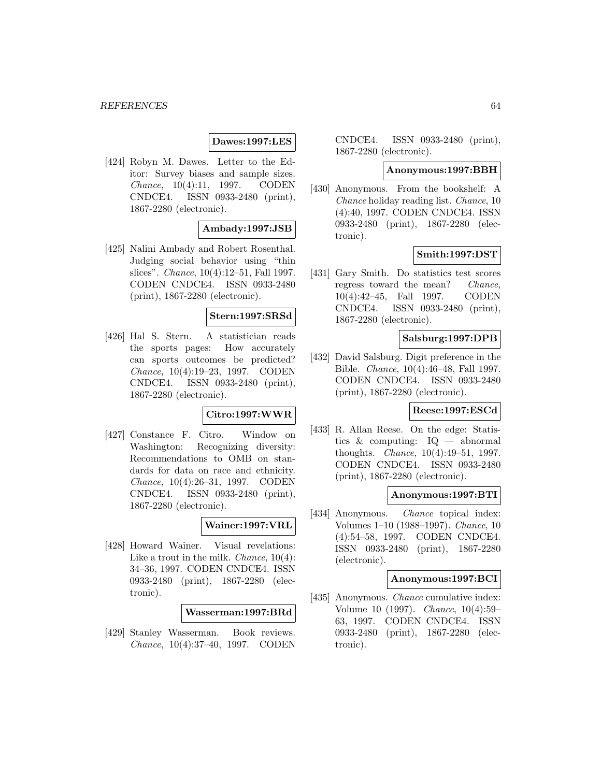## **Dawes:1997:LES**

[424] Robyn M. Dawes. Letter to the Editor: Survey biases and sample sizes. Chance, 10(4):11, 1997. CODEN CNDCE4. ISSN 0933-2480 (print), 1867-2280 (electronic).

## **Ambady:1997:JSB**

[425] Nalini Ambady and Robert Rosenthal. Judging social behavior using "thin slices". Chance, 10(4):12–51, Fall 1997. CODEN CNDCE4. ISSN 0933-2480 (print), 1867-2280 (electronic).

## **Stern:1997:SRSd**

[426] Hal S. Stern. A statistician reads the sports pages: How accurately can sports outcomes be predicted? Chance, 10(4):19–23, 1997. CODEN CNDCE4. ISSN 0933-2480 (print), 1867-2280 (electronic).

# **Citro:1997:WWR**

[427] Constance F. Citro. Window on Washington: Recognizing diversity: Recommendations to OMB on standards for data on race and ethnicity. Chance, 10(4):26–31, 1997. CODEN CNDCE4. ISSN 0933-2480 (print), 1867-2280 (electronic).

## **Wainer:1997:VRL**

[428] Howard Wainer. Visual revelations: Like a trout in the milk. *Chance*,  $10(4)$ : 34–36, 1997. CODEN CNDCE4. ISSN 0933-2480 (print), 1867-2280 (electronic).

### **Wasserman:1997:BRd**

[429] Stanley Wasserman. Book reviews. Chance, 10(4):37–40, 1997. CODEN

CNDCE4. ISSN 0933-2480 (print), 1867-2280 (electronic).

#### **Anonymous:1997:BBH**

[430] Anonymous. From the bookshelf: A Chance holiday reading list. Chance, 10 (4):40, 1997. CODEN CNDCE4. ISSN 0933-2480 (print), 1867-2280 (electronic).

## **Smith:1997:DST**

[431] Gary Smith. Do statistics test scores regress toward the mean? Chance, 10(4):42–45, Fall 1997. CODEN CNDCE4. ISSN 0933-2480 (print), 1867-2280 (electronic).

## **Salsburg:1997:DPB**

[432] David Salsburg. Digit preference in the Bible. Chance, 10(4):46–48, Fall 1997. CODEN CNDCE4. ISSN 0933-2480 (print), 1867-2280 (electronic).

### **Reese:1997:ESCd**

[433] R. Allan Reese. On the edge: Statistics & computing: IQ — abnormal thoughts. Chance, 10(4):49–51, 1997. CODEN CNDCE4. ISSN 0933-2480 (print), 1867-2280 (electronic).

### **Anonymous:1997:BTI**

[434] Anonymous. *Chance* topical index: Volumes 1–10 (1988–1997). Chance, 10 (4):54–58, 1997. CODEN CNDCE4. ISSN 0933-2480 (print), 1867-2280 (electronic).

### **Anonymous:1997:BCI**

[435] Anonymous. *Chance* cumulative index: Volume 10 (1997). Chance, 10(4):59– 63, 1997. CODEN CNDCE4. ISSN 0933-2480 (print), 1867-2280 (electronic).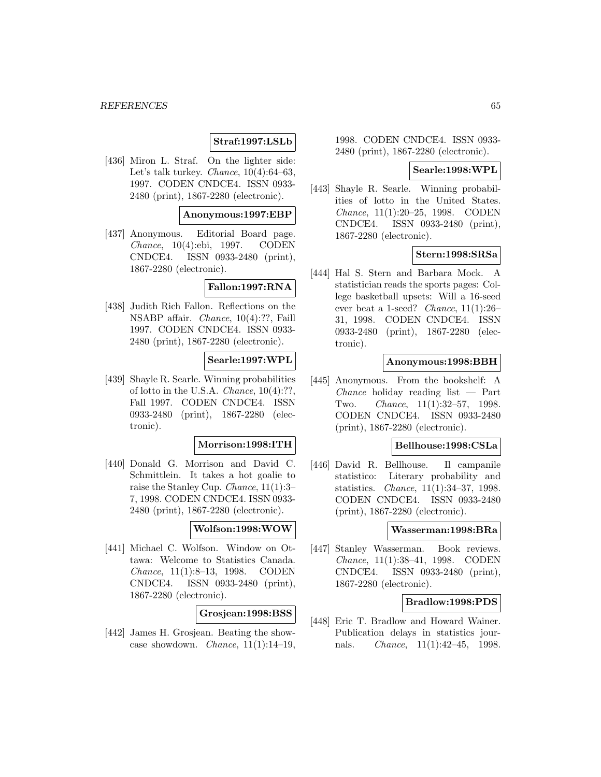# **Straf:1997:LSLb**

[436] Miron L. Straf. On the lighter side: Let's talk turkey. Chance,  $10(4):64-63$ , 1997. CODEN CNDCE4. ISSN 0933- 2480 (print), 1867-2280 (electronic).

## **Anonymous:1997:EBP**

[437] Anonymous. Editorial Board page. Chance, 10(4):ebi, 1997. CODEN CNDCE4. ISSN 0933-2480 (print), 1867-2280 (electronic).

## **Fallon:1997:RNA**

[438] Judith Rich Fallon. Reflections on the NSABP affair. Chance, 10(4):??, Faill 1997. CODEN CNDCE4. ISSN 0933- 2480 (print), 1867-2280 (electronic).

## **Searle:1997:WPL**

[439] Shayle R. Searle. Winning probabilities of lotto in the U.S.A. Chance, 10(4):??, Fall 1997. CODEN CNDCE4. ISSN 0933-2480 (print), 1867-2280 (electronic).

### **Morrison:1998:ITH**

[440] Donald G. Morrison and David C. Schmittlein. It takes a hot goalie to raise the Stanley Cup. Chance, 11(1):3– 7, 1998. CODEN CNDCE4. ISSN 0933- 2480 (print), 1867-2280 (electronic).

## **Wolfson:1998:WOW**

[441] Michael C. Wolfson. Window on Ottawa: Welcome to Statistics Canada. Chance, 11(1):8–13, 1998. CODEN CNDCE4. ISSN 0933-2480 (print), 1867-2280 (electronic).

### **Grosjean:1998:BSS**

[442] James H. Grosjean. Beating the showcase showdown. *Chance*,  $11(1):14-19$ ,

1998. CODEN CNDCE4. ISSN 0933- 2480 (print), 1867-2280 (electronic).

### **Searle:1998:WPL**

[443] Shayle R. Searle. Winning probabilities of lotto in the United States. Chance, 11(1):20–25, 1998. CODEN CNDCE4. ISSN 0933-2480 (print), 1867-2280 (electronic).

### **Stern:1998:SRSa**

[444] Hal S. Stern and Barbara Mock. A statistician reads the sports pages: College basketball upsets: Will a 16-seed ever beat a 1-seed? Chance, 11(1):26– 31, 1998. CODEN CNDCE4. ISSN 0933-2480 (print), 1867-2280 (electronic).

### **Anonymous:1998:BBH**

[445] Anonymous. From the bookshelf: A  $Change$  holiday reading list  $-$  Part Two. Chance, 11(1):32–57, 1998. CODEN CNDCE4. ISSN 0933-2480 (print), 1867-2280 (electronic).

## **Bellhouse:1998:CSLa**

[446] David R. Bellhouse. Il campanile statistico: Literary probability and statistics. Chance, 11(1):34–37, 1998. CODEN CNDCE4. ISSN 0933-2480 (print), 1867-2280 (electronic).

#### **Wasserman:1998:BRa**

[447] Stanley Wasserman. Book reviews. Chance, 11(1):38–41, 1998. CODEN CNDCE4. ISSN 0933-2480 (print), 1867-2280 (electronic).

### **Bradlow:1998:PDS**

[448] Eric T. Bradlow and Howard Wainer. Publication delays in statistics journals. Chance, 11(1):42–45, 1998.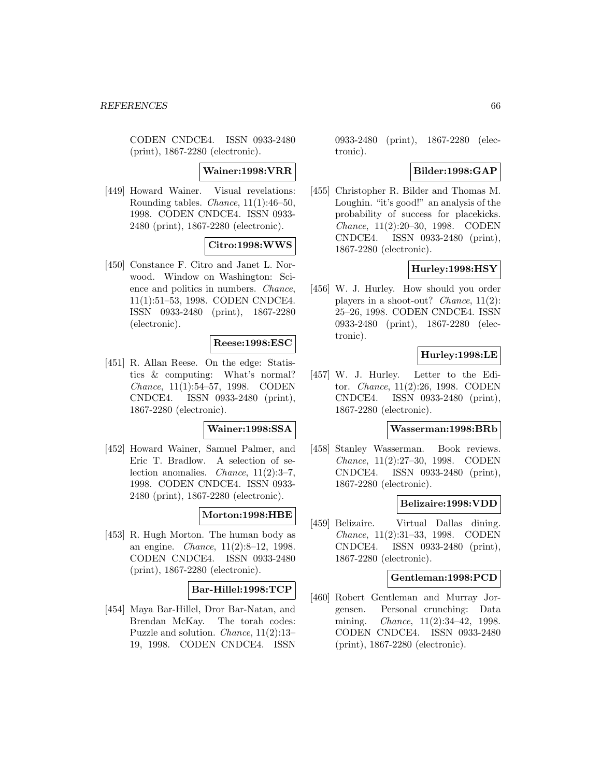CODEN CNDCE4. ISSN 0933-2480 (print), 1867-2280 (electronic).

#### **Wainer:1998:VRR**

[449] Howard Wainer. Visual revelations: Rounding tables. *Chance*,  $11(1):46-50$ , 1998. CODEN CNDCE4. ISSN 0933- 2480 (print), 1867-2280 (electronic).

# **Citro:1998:WWS**

[450] Constance F. Citro and Janet L. Norwood. Window on Washington: Science and politics in numbers. Chance, 11(1):51–53, 1998. CODEN CNDCE4. ISSN 0933-2480 (print), 1867-2280 (electronic).

## **Reese:1998:ESC**

[451] R. Allan Reese. On the edge: Statistics & computing: What's normal? Chance, 11(1):54–57, 1998. CODEN CNDCE4. ISSN 0933-2480 (print), 1867-2280 (electronic).

### **Wainer:1998:SSA**

[452] Howard Wainer, Samuel Palmer, and Eric T. Bradlow. A selection of selection anomalies. Chance, 11(2):3–7, 1998. CODEN CNDCE4. ISSN 0933- 2480 (print), 1867-2280 (electronic).

### **Morton:1998:HBE**

[453] R. Hugh Morton. The human body as an engine. Chance, 11(2):8–12, 1998. CODEN CNDCE4. ISSN 0933-2480 (print), 1867-2280 (electronic).

## **Bar-Hillel:1998:TCP**

[454] Maya Bar-Hillel, Dror Bar-Natan, and Brendan McKay. The torah codes: Puzzle and solution. Chance, 11(2):13– 19, 1998. CODEN CNDCE4. ISSN 0933-2480 (print), 1867-2280 (electronic).

## **Bilder:1998:GAP**

[455] Christopher R. Bilder and Thomas M. Loughin. "it's good!" an analysis of the probability of success for placekicks. Chance, 11(2):20–30, 1998. CODEN CNDCE4. ISSN 0933-2480 (print), 1867-2280 (electronic).

## **Hurley:1998:HSY**

[456] W. J. Hurley. How should you order players in a shoot-out? *Chance*,  $11(2)$ : 25–26, 1998. CODEN CNDCE4. ISSN 0933-2480 (print), 1867-2280 (electronic).

# **Hurley:1998:LE**

[457] W. J. Hurley. Letter to the Editor. Chance, 11(2):26, 1998. CODEN CNDCE4. ISSN 0933-2480 (print), 1867-2280 (electronic).

#### **Wasserman:1998:BRb**

[458] Stanley Wasserman. Book reviews. Chance, 11(2):27–30, 1998. CODEN CNDCE4. ISSN 0933-2480 (print), 1867-2280 (electronic).

## **Belizaire:1998:VDD**

[459] Belizaire. Virtual Dallas dining. Chance, 11(2):31–33, 1998. CODEN CNDCE4. ISSN 0933-2480 (print), 1867-2280 (electronic).

#### **Gentleman:1998:PCD**

[460] Robert Gentleman and Murray Jorgensen. Personal crunching: Data mining. Chance, 11(2):34–42, 1998. CODEN CNDCE4. ISSN 0933-2480 (print), 1867-2280 (electronic).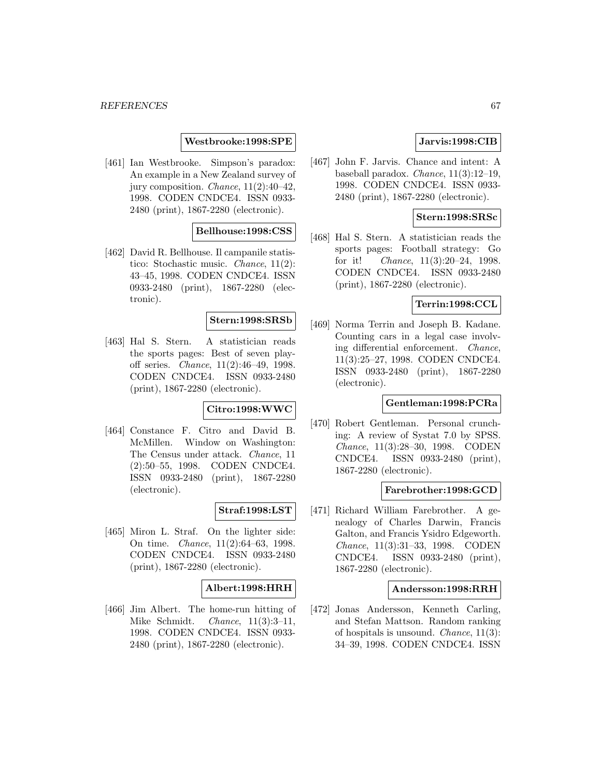## **Westbrooke:1998:SPE**

[461] Ian Westbrooke. Simpson's paradox: An example in a New Zealand survey of jury composition. Chance, 11(2):40–42, 1998. CODEN CNDCE4. ISSN 0933- 2480 (print), 1867-2280 (electronic).

# **Bellhouse:1998:CSS**

[462] David R. Bellhouse. Il campanile statistico: Stochastic music. Chance, 11(2): 43–45, 1998. CODEN CNDCE4. ISSN 0933-2480 (print), 1867-2280 (electronic).

## **Stern:1998:SRSb**

[463] Hal S. Stern. A statistician reads the sports pages: Best of seven playoff series. Chance, 11(2):46–49, 1998. CODEN CNDCE4. ISSN 0933-2480 (print), 1867-2280 (electronic).

# **Citro:1998:WWC**

[464] Constance F. Citro and David B. McMillen. Window on Washington: The Census under attack. Chance, 11 (2):50–55, 1998. CODEN CNDCE4. ISSN 0933-2480 (print), 1867-2280 (electronic).

### **Straf:1998:LST**

[465] Miron L. Straf. On the lighter side: On time. Chance, 11(2):64–63, 1998. CODEN CNDCE4. ISSN 0933-2480 (print), 1867-2280 (electronic).

### **Albert:1998:HRH**

[466] Jim Albert. The home-run hitting of Mike Schmidt. *Chance*, 11(3):3-11, 1998. CODEN CNDCE4. ISSN 0933- 2480 (print), 1867-2280 (electronic).

# **Jarvis:1998:CIB**

[467] John F. Jarvis. Chance and intent: A baseball paradox. Chance, 11(3):12–19, 1998. CODEN CNDCE4. ISSN 0933- 2480 (print), 1867-2280 (electronic).

## **Stern:1998:SRSc**

[468] Hal S. Stern. A statistician reads the sports pages: Football strategy: Go for it! Chance, 11(3):20–24, 1998. CODEN CNDCE4. ISSN 0933-2480 (print), 1867-2280 (electronic).

## **Terrin:1998:CCL**

[469] Norma Terrin and Joseph B. Kadane. Counting cars in a legal case involving differential enforcement. Chance, 11(3):25–27, 1998. CODEN CNDCE4. ISSN 0933-2480 (print), 1867-2280 (electronic).

## **Gentleman:1998:PCRa**

[470] Robert Gentleman. Personal crunching: A review of Systat 7.0 by SPSS. Chance, 11(3):28–30, 1998. CODEN CNDCE4. ISSN 0933-2480 (print), 1867-2280 (electronic).

## **Farebrother:1998:GCD**

[471] Richard William Farebrother. A genealogy of Charles Darwin, Francis Galton, and Francis Ysidro Edgeworth. Chance, 11(3):31–33, 1998. CODEN CNDCE4. ISSN 0933-2480 (print), 1867-2280 (electronic).

## **Andersson:1998:RRH**

[472] Jonas Andersson, Kenneth Carling, and Stefan Mattson. Random ranking of hospitals is unsound. Chance, 11(3): 34–39, 1998. CODEN CNDCE4. ISSN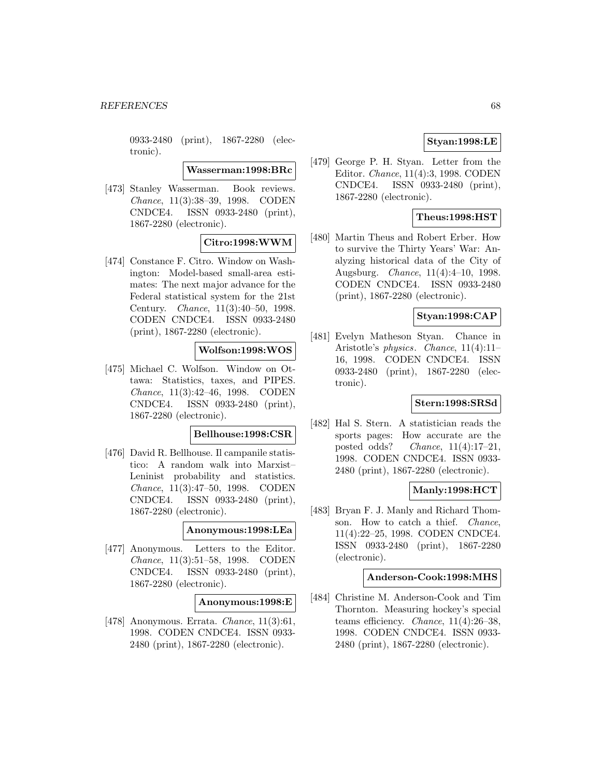0933-2480 (print), 1867-2280 (electronic).

**Wasserman:1998:BRc**

[473] Stanley Wasserman. Book reviews. Chance, 11(3):38–39, 1998. CODEN CNDCE4. ISSN 0933-2480 (print), 1867-2280 (electronic).

# **Citro:1998:WWM**

[474] Constance F. Citro. Window on Washington: Model-based small-area estimates: The next major advance for the Federal statistical system for the 21st Century. Chance, 11(3):40–50, 1998. CODEN CNDCE4. ISSN 0933-2480 (print), 1867-2280 (electronic).

# **Wolfson:1998:WOS**

[475] Michael C. Wolfson. Window on Ottawa: Statistics, taxes, and PIPES. Chance, 11(3):42–46, 1998. CODEN CNDCE4. ISSN 0933-2480 (print), 1867-2280 (electronic).

### **Bellhouse:1998:CSR**

[476] David R. Bellhouse. Il campanile statistico: A random walk into Marxist– Leninist probability and statistics. Chance, 11(3):47–50, 1998. CODEN CNDCE4. ISSN 0933-2480 (print), 1867-2280 (electronic).

## **Anonymous:1998:LEa**

[477] Anonymous. Letters to the Editor. Chance, 11(3):51–58, 1998. CODEN CNDCE4. ISSN 0933-2480 (print), 1867-2280 (electronic).

## **Anonymous:1998:E**

[478] Anonymous. Errata. Chance, 11(3):61, 1998. CODEN CNDCE4. ISSN 0933- 2480 (print), 1867-2280 (electronic).

## **Styan:1998:LE**

[479] George P. H. Styan. Letter from the Editor. Chance, 11(4):3, 1998. CODEN CNDCE4. ISSN 0933-2480 (print), 1867-2280 (electronic).

## **Theus:1998:HST**

[480] Martin Theus and Robert Erber. How to survive the Thirty Years' War: Analyzing historical data of the City of Augsburg. Chance, 11(4):4–10, 1998. CODEN CNDCE4. ISSN 0933-2480 (print), 1867-2280 (electronic).

## **Styan:1998:CAP**

[481] Evelyn Matheson Styan. Chance in Aristotle's physics. Chance, 11(4):11– 16, 1998. CODEN CNDCE4. ISSN 0933-2480 (print), 1867-2280 (electronic).

# **Stern:1998:SRSd**

[482] Hal S. Stern. A statistician reads the sports pages: How accurate are the posted odds? Chance,  $11(4):17-21$ , 1998. CODEN CNDCE4. ISSN 0933- 2480 (print), 1867-2280 (electronic).

## **Manly:1998:HCT**

[483] Bryan F. J. Manly and Richard Thomson. How to catch a thief. Chance, 11(4):22–25, 1998. CODEN CNDCE4. ISSN 0933-2480 (print), 1867-2280 (electronic).

### **Anderson-Cook:1998:MHS**

[484] Christine M. Anderson-Cook and Tim Thornton. Measuring hockey's special teams efficiency. Chance, 11(4):26–38, 1998. CODEN CNDCE4. ISSN 0933- 2480 (print), 1867-2280 (electronic).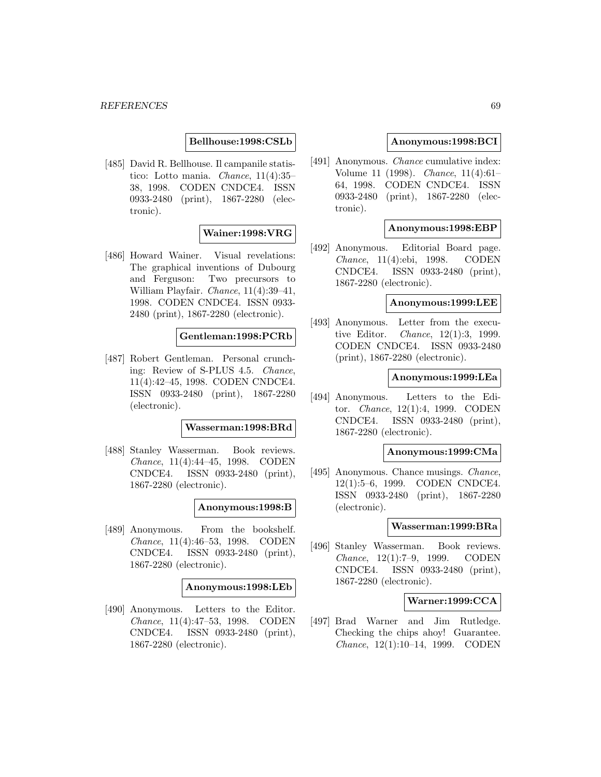## **Bellhouse:1998:CSLb**

[485] David R. Bellhouse. Il campanile statistico: Lotto mania. Chance, 11(4):35– 38, 1998. CODEN CNDCE4. ISSN 0933-2480 (print), 1867-2280 (electronic).

### **Wainer:1998:VRG**

[486] Howard Wainer. Visual revelations: The graphical inventions of Dubourg and Ferguson: Two precursors to William Playfair. Chance, 11(4):39-41, 1998. CODEN CNDCE4. ISSN 0933- 2480 (print), 1867-2280 (electronic).

### **Gentleman:1998:PCRb**

[487] Robert Gentleman. Personal crunching: Review of S-PLUS 4.5. Chance, 11(4):42–45, 1998. CODEN CNDCE4. ISSN 0933-2480 (print), 1867-2280 (electronic).

## **Wasserman:1998:BRd**

[488] Stanley Wasserman. Book reviews. Chance, 11(4):44–45, 1998. CODEN CNDCE4. ISSN 0933-2480 (print), 1867-2280 (electronic).

### **Anonymous:1998:B**

[489] Anonymous. From the bookshelf. Chance, 11(4):46–53, 1998. CODEN CNDCE4. ISSN 0933-2480 (print), 1867-2280 (electronic).

### **Anonymous:1998:LEb**

[490] Anonymous. Letters to the Editor. Chance, 11(4):47–53, 1998. CODEN CNDCE4. ISSN 0933-2480 (print), 1867-2280 (electronic).

### **Anonymous:1998:BCI**

[491] Anonymous. Chance cumulative index: Volume 11 (1998). Chance, 11(4):61– 64, 1998. CODEN CNDCE4. ISSN 0933-2480 (print), 1867-2280 (electronic).

# **Anonymous:1998:EBP**

[492] Anonymous. Editorial Board page. Chance, 11(4):ebi, 1998. CODEN CNDCE4. ISSN 0933-2480 (print), 1867-2280 (electronic).

### **Anonymous:1999:LEE**

[493] Anonymous. Letter from the executive Editor. Chance, 12(1):3, 1999. CODEN CNDCE4. ISSN 0933-2480 (print), 1867-2280 (electronic).

## **Anonymous:1999:LEa**

[494] Anonymous. Letters to the Editor. Chance, 12(1):4, 1999. CODEN CNDCE4. ISSN 0933-2480 (print), 1867-2280 (electronic).

### **Anonymous:1999:CMa**

[495] Anonymous. Chance musings. Chance, 12(1):5–6, 1999. CODEN CNDCE4. ISSN 0933-2480 (print), 1867-2280 (electronic).

#### **Wasserman:1999:BRa**

[496] Stanley Wasserman. Book reviews. Chance, 12(1):7–9, 1999. CODEN CNDCE4. ISSN 0933-2480 (print), 1867-2280 (electronic).

## **Warner:1999:CCA**

[497] Brad Warner and Jim Rutledge. Checking the chips ahoy! Guarantee. Chance, 12(1):10–14, 1999. CODEN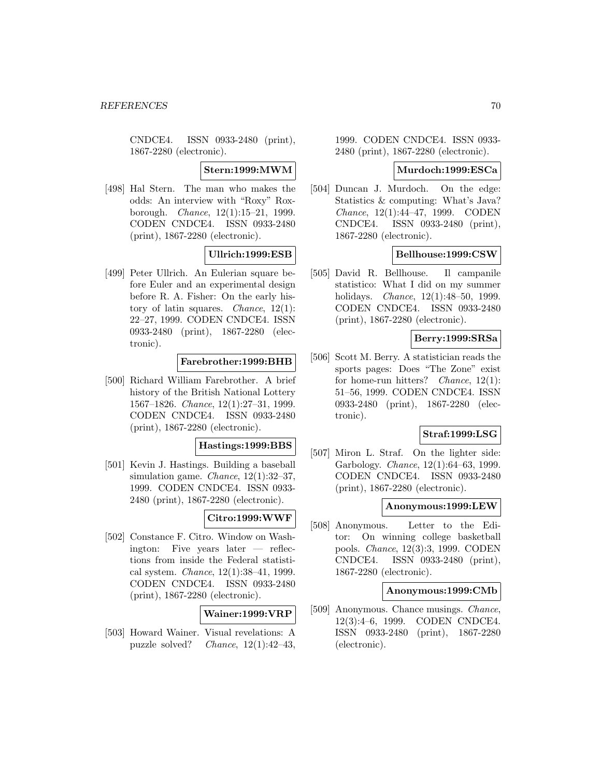CNDCE4. ISSN 0933-2480 (print), 1867-2280 (electronic).

### **Stern:1999:MWM**

[498] Hal Stern. The man who makes the odds: An interview with "Roxy" Roxborough. Chance, 12(1):15–21, 1999. CODEN CNDCE4. ISSN 0933-2480 (print), 1867-2280 (electronic).

# **Ullrich:1999:ESB**

[499] Peter Ullrich. An Eulerian square before Euler and an experimental design before R. A. Fisher: On the early history of latin squares. *Chance*,  $12(1)$ : 22–27, 1999. CODEN CNDCE4. ISSN 0933-2480 (print), 1867-2280 (electronic).

## **Farebrother:1999:BHB**

[500] Richard William Farebrother. A brief history of the British National Lottery 1567–1826. Chance, 12(1):27–31, 1999. CODEN CNDCE4. ISSN 0933-2480 (print), 1867-2280 (electronic).

## **Hastings:1999:BBS**

[501] Kevin J. Hastings. Building a baseball simulation game. Chance, 12(1):32–37, 1999. CODEN CNDCE4. ISSN 0933- 2480 (print), 1867-2280 (electronic).

## **Citro:1999:WWF**

[502] Constance F. Citro. Window on Washington: Five years later — reflections from inside the Federal statistical system. Chance, 12(1):38–41, 1999. CODEN CNDCE4. ISSN 0933-2480 (print), 1867-2280 (electronic).

## **Wainer:1999:VRP**

[503] Howard Wainer. Visual revelations: A puzzle solved? Chance,  $12(1):42-43$ ,

1999. CODEN CNDCE4. ISSN 0933- 2480 (print), 1867-2280 (electronic).

#### **Murdoch:1999:ESCa**

[504] Duncan J. Murdoch. On the edge: Statistics & computing: What's Java? Chance, 12(1):44–47, 1999. CODEN CNDCE4. ISSN 0933-2480 (print), 1867-2280 (electronic).

## **Bellhouse:1999:CSW**

[505] David R. Bellhouse. Il campanile statistico: What I did on my summer holidays. *Chance*, 12(1):48-50, 1999. CODEN CNDCE4. ISSN 0933-2480 (print), 1867-2280 (electronic).

# **Berry:1999:SRSa**

[506] Scott M. Berry. A statistician reads the sports pages: Does "The Zone" exist for home-run hitters? Chance, 12(1): 51–56, 1999. CODEN CNDCE4. ISSN 0933-2480 (print), 1867-2280 (electronic).

### **Straf:1999:LSG**

[507] Miron L. Straf. On the lighter side: Garbology. Chance, 12(1):64–63, 1999. CODEN CNDCE4. ISSN 0933-2480 (print), 1867-2280 (electronic).

## **Anonymous:1999:LEW**

[508] Anonymous. Letter to the Editor: On winning college basketball pools. Chance, 12(3):3, 1999. CODEN CNDCE4. ISSN 0933-2480 (print), 1867-2280 (electronic).

### **Anonymous:1999:CMb**

[509] Anonymous. Chance musings. Chance, 12(3):4–6, 1999. CODEN CNDCE4. ISSN 0933-2480 (print), 1867-2280 (electronic).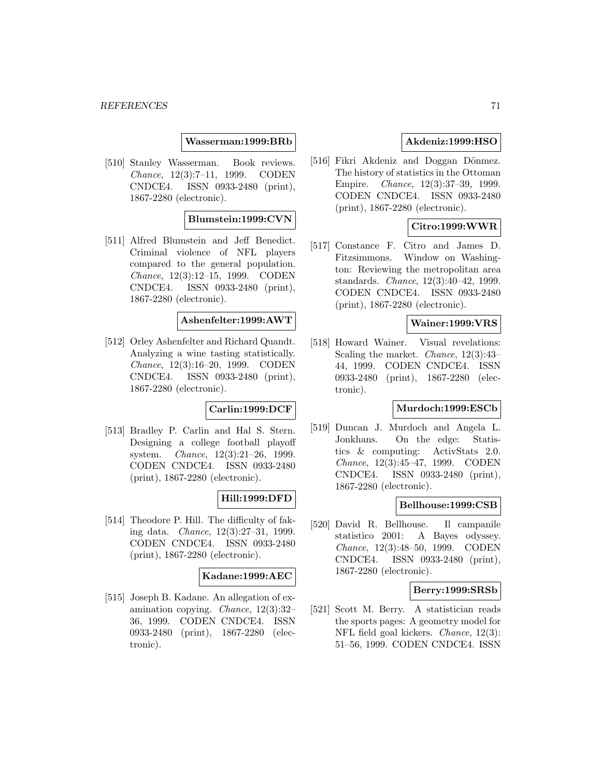## **Wasserman:1999:BRb**

[510] Stanley Wasserman. Book reviews. Chance, 12(3):7–11, 1999. CODEN CNDCE4. ISSN 0933-2480 (print), 1867-2280 (electronic).

## **Blumstein:1999:CVN**

[511] Alfred Blumstein and Jeff Benedict. Criminal violence of NFL players compared to the general population. Chance, 12(3):12–15, 1999. CODEN CNDCE4. ISSN 0933-2480 (print), 1867-2280 (electronic).

### **Ashenfelter:1999:AWT**

[512] Orley Ashenfelter and Richard Quandt. Analyzing a wine tasting statistically. Chance, 12(3):16–20, 1999. CODEN CNDCE4. ISSN 0933-2480 (print), 1867-2280 (electronic).

# **Carlin:1999:DCF**

[513] Bradley P. Carlin and Hal S. Stern. Designing a college football playoff system. Chance, 12(3):21–26, 1999. CODEN CNDCE4. ISSN 0933-2480 (print), 1867-2280 (electronic).

## **Hill:1999:DFD**

[514] Theodore P. Hill. The difficulty of faking data. Chance, 12(3):27–31, 1999. CODEN CNDCE4. ISSN 0933-2480 (print), 1867-2280 (electronic).

## **Kadane:1999:AEC**

[515] Joseph B. Kadane. An allegation of examination copying. Chance, 12(3):32– 36, 1999. CODEN CNDCE4. ISSN 0933-2480 (print), 1867-2280 (electronic).

# **Akdeniz:1999:HSO**

[516] Fikri Akdeniz and Doggan Dönmez. The history of statistics in the Ottoman Empire. Chance, 12(3):37–39, 1999. CODEN CNDCE4. ISSN 0933-2480 (print), 1867-2280 (electronic).

# **Citro:1999:WWR**

[517] Constance F. Citro and James D. Fitzsimmons. Window on Washington: Reviewing the metropolitan area standards. Chance, 12(3):40–42, 1999. CODEN CNDCE4. ISSN 0933-2480 (print), 1867-2280 (electronic).

## **Wainer:1999:VRS**

[518] Howard Wainer. Visual revelations: Scaling the market. Chance, 12(3):43– 44, 1999. CODEN CNDCE4. ISSN 0933-2480 (print), 1867-2280 (electronic).

### **Murdoch:1999:ESCb**

[519] Duncan J. Murdoch and Angela L. Jonkhans. On the edge: Statistics & computing: ActivStats 2.0. Chance, 12(3):45–47, 1999. CODEN CNDCE4. ISSN 0933-2480 (print), 1867-2280 (electronic).

## **Bellhouse:1999:CSB**

[520] David R. Bellhouse. Il campanile statistico 2001: A Bayes odyssey. Chance, 12(3):48–50, 1999. CODEN CNDCE4. ISSN 0933-2480 (print), 1867-2280 (electronic).

#### **Berry:1999:SRSb**

[521] Scott M. Berry. A statistician reads the sports pages: A geometry model for NFL field goal kickers. Chance, 12(3): 51–56, 1999. CODEN CNDCE4. ISSN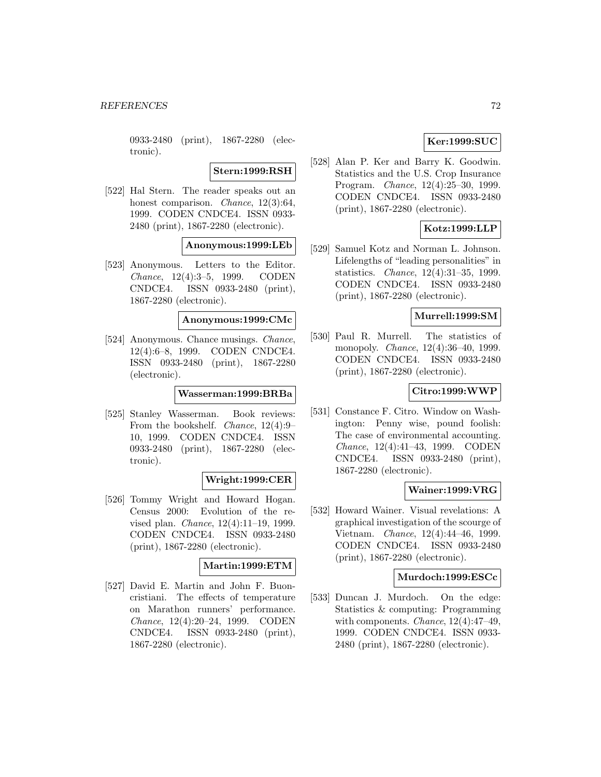0933-2480 (print), 1867-2280 (electronic).

**Stern:1999:RSH**

[522] Hal Stern. The reader speaks out an honest comparison. *Chance*, 12(3):64, 1999. CODEN CNDCE4. ISSN 0933- 2480 (print), 1867-2280 (electronic).

## **Anonymous:1999:LEb**

[523] Anonymous. Letters to the Editor. Chance, 12(4):3–5, 1999. CODEN CNDCE4. ISSN 0933-2480 (print), 1867-2280 (electronic).

**Anonymous:1999:CMc**

[524] Anonymous. Chance musings. Chance, 12(4):6–8, 1999. CODEN CNDCE4. ISSN 0933-2480 (print), 1867-2280 (electronic).

### **Wasserman:1999:BRBa**

[525] Stanley Wasserman. Book reviews: From the bookshelf. Chance, 12(4):9– 10, 1999. CODEN CNDCE4. ISSN 0933-2480 (print), 1867-2280 (electronic).

# **Wright:1999:CER**

[526] Tommy Wright and Howard Hogan. Census 2000: Evolution of the revised plan. Chance, 12(4):11–19, 1999. CODEN CNDCE4. ISSN 0933-2480 (print), 1867-2280 (electronic).

## **Martin:1999:ETM**

[527] David E. Martin and John F. Buoncristiani. The effects of temperature on Marathon runners' performance. Chance, 12(4):20–24, 1999. CODEN CNDCE4. ISSN 0933-2480 (print), 1867-2280 (electronic).

# **Ker:1999:SUC**

[528] Alan P. Ker and Barry K. Goodwin. Statistics and the U.S. Crop Insurance Program. Chance, 12(4):25–30, 1999. CODEN CNDCE4. ISSN 0933-2480 (print), 1867-2280 (electronic).

# **Kotz:1999:LLP**

[529] Samuel Kotz and Norman L. Johnson. Lifelengths of "leading personalities" in statistics. Chance, 12(4):31–35, 1999. CODEN CNDCE4. ISSN 0933-2480 (print), 1867-2280 (electronic).

## **Murrell:1999:SM**

[530] Paul R. Murrell. The statistics of monopoly. Chance, 12(4):36–40, 1999. CODEN CNDCE4. ISSN 0933-2480 (print), 1867-2280 (electronic).

# **Citro:1999:WWP**

[531] Constance F. Citro. Window on Washington: Penny wise, pound foolish: The case of environmental accounting. Chance, 12(4):41–43, 1999. CODEN CNDCE4. ISSN 0933-2480 (print), 1867-2280 (electronic).

# **Wainer:1999:VRG**

[532] Howard Wainer. Visual revelations: A graphical investigation of the scourge of Vietnam. Chance, 12(4):44–46, 1999. CODEN CNDCE4. ISSN 0933-2480 (print), 1867-2280 (electronic).

### **Murdoch:1999:ESCc**

[533] Duncan J. Murdoch. On the edge: Statistics & computing: Programming with components. Chance, 12(4):47–49, 1999. CODEN CNDCE4. ISSN 0933- 2480 (print), 1867-2280 (electronic).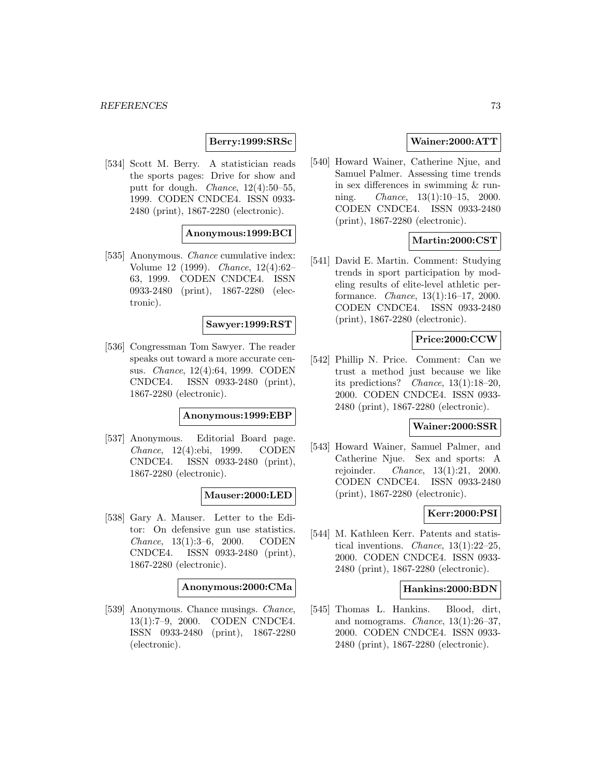## **Berry:1999:SRSc**

[534] Scott M. Berry. A statistician reads the sports pages: Drive for show and putt for dough. Chance, 12(4):50–55, 1999. CODEN CNDCE4. ISSN 0933- 2480 (print), 1867-2280 (electronic).

# **Anonymous:1999:BCI**

[535] Anonymous. *Chance* cumulative index: Volume 12 (1999). Chance, 12(4):62– 63, 1999. CODEN CNDCE4. ISSN 0933-2480 (print), 1867-2280 (electronic).

### **Sawyer:1999:RST**

[536] Congressman Tom Sawyer. The reader speaks out toward a more accurate census. Chance, 12(4):64, 1999. CODEN CNDCE4. ISSN 0933-2480 (print), 1867-2280 (electronic).

#### **Anonymous:1999:EBP**

[537] Anonymous. Editorial Board page. Chance, 12(4):ebi, 1999. CODEN CNDCE4. ISSN 0933-2480 (print), 1867-2280 (electronic).

# **Mauser:2000:LED**

[538] Gary A. Mauser. Letter to the Editor: On defensive gun use statistics. Chance, 13(1):3–6, 2000. CODEN CNDCE4. ISSN 0933-2480 (print), 1867-2280 (electronic).

#### **Anonymous:2000:CMa**

[539] Anonymous. Chance musings. Chance, 13(1):7–9, 2000. CODEN CNDCE4. ISSN 0933-2480 (print), 1867-2280 (electronic).

# **Wainer:2000:ATT**

[540] Howard Wainer, Catherine Njue, and Samuel Palmer. Assessing time trends in sex differences in swimming & running. Chance, 13(1):10–15, 2000. CODEN CNDCE4. ISSN 0933-2480 (print), 1867-2280 (electronic).

# **Martin:2000:CST**

[541] David E. Martin. Comment: Studying trends in sport participation by modeling results of elite-level athletic performance. Chance, 13(1):16–17, 2000. CODEN CNDCE4. ISSN 0933-2480 (print), 1867-2280 (electronic).

# **Price:2000:CCW**

[542] Phillip N. Price. Comment: Can we trust a method just because we like its predictions? Chance, 13(1):18–20, 2000. CODEN CNDCE4. ISSN 0933- 2480 (print), 1867-2280 (electronic).

#### **Wainer:2000:SSR**

[543] Howard Wainer, Samuel Palmer, and Catherine Njue. Sex and sports: A rejoinder. Chance, 13(1):21, 2000. CODEN CNDCE4. ISSN 0933-2480 (print), 1867-2280 (electronic).

## **Kerr:2000:PSI**

[544] M. Kathleen Kerr. Patents and statistical inventions. *Chance*,  $13(1):22-25$ , 2000. CODEN CNDCE4. ISSN 0933- 2480 (print), 1867-2280 (electronic).

### **Hankins:2000:BDN**

[545] Thomas L. Hankins. Blood, dirt, and nomograms. *Chance*,  $13(1):26-37$ , 2000. CODEN CNDCE4. ISSN 0933- 2480 (print), 1867-2280 (electronic).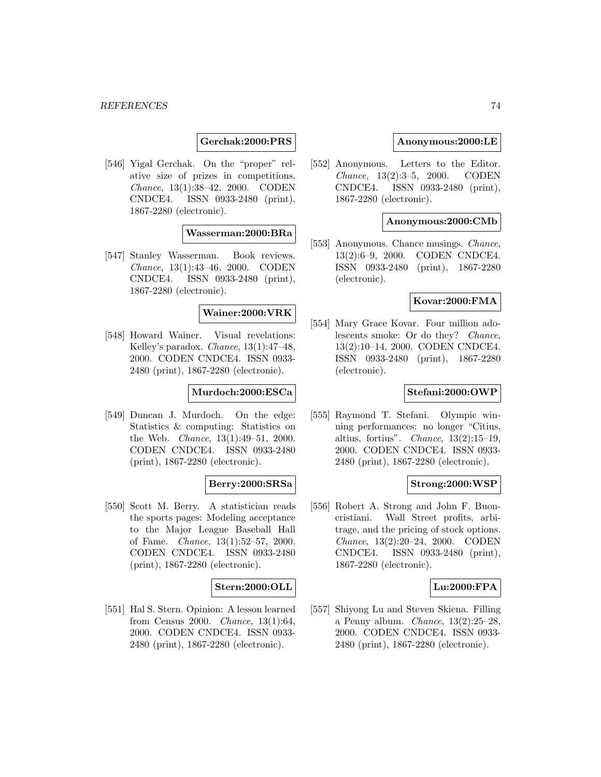## **Gerchak:2000:PRS**

[546] Yigal Gerchak. On the "proper" relative size of prizes in competitions. Chance, 13(1):38–42, 2000. CODEN CNDCE4. ISSN 0933-2480 (print), 1867-2280 (electronic).

## **Wasserman:2000:BRa**

[547] Stanley Wasserman. Book reviews. Chance, 13(1):43–46, 2000. CODEN CNDCE4. ISSN 0933-2480 (print), 1867-2280 (electronic).

# **Wainer:2000:VRK**

[548] Howard Wainer. Visual revelations: Kelley's paradox. Chance, 13(1):47–48, 2000. CODEN CNDCE4. ISSN 0933- 2480 (print), 1867-2280 (electronic).

### **Murdoch:2000:ESCa**

[549] Duncan J. Murdoch. On the edge: Statistics & computing: Statistics on the Web. Chance, 13(1):49–51, 2000. CODEN CNDCE4. ISSN 0933-2480 (print), 1867-2280 (electronic).

## **Berry:2000:SRSa**

[550] Scott M. Berry. A statistician reads the sports pages: Modeling acceptance to the Major League Baseball Hall of Fame. Chance, 13(1):52–57, 2000. CODEN CNDCE4. ISSN 0933-2480 (print), 1867-2280 (electronic).

#### **Stern:2000:OLL**

[551] Hal S. Stern. Opinion: A lesson learned from Census 2000. Chance, 13(1):64, 2000. CODEN CNDCE4. ISSN 0933- 2480 (print), 1867-2280 (electronic).

### **Anonymous:2000:LE**

[552] Anonymous. Letters to the Editor. Chance, 13(2):3–5, 2000. CODEN CNDCE4. ISSN 0933-2480 (print), 1867-2280 (electronic).

### **Anonymous:2000:CMb**

[553] Anonymous. Chance musings. Chance, 13(2):6–9, 2000. CODEN CNDCE4. ISSN 0933-2480 (print), 1867-2280 (electronic).

### **Kovar:2000:FMA**

[554] Mary Grace Kovar. Four million adolescents smoke: Or do they? Chance, 13(2):10–14, 2000. CODEN CNDCE4. ISSN 0933-2480 (print), 1867-2280 (electronic).

## **Stefani:2000:OWP**

[555] Raymond T. Stefani. Olympic winning performances: no longer "Citius, altius, fortius". Chance, 13(2):15–19, 2000. CODEN CNDCE4. ISSN 0933- 2480 (print), 1867-2280 (electronic).

#### **Strong:2000:WSP**

[556] Robert A. Strong and John F. Buoncristiani. Wall Street profits, arbitrage, and the pricing of stock options. Chance, 13(2):20–24, 2000. CODEN CNDCE4. ISSN 0933-2480 (print), 1867-2280 (electronic).

## **Lu:2000:FPA**

[557] Shiyong Lu and Steven Skiena. Filling a Penny album. Chance, 13(2):25–28, 2000. CODEN CNDCE4. ISSN 0933- 2480 (print), 1867-2280 (electronic).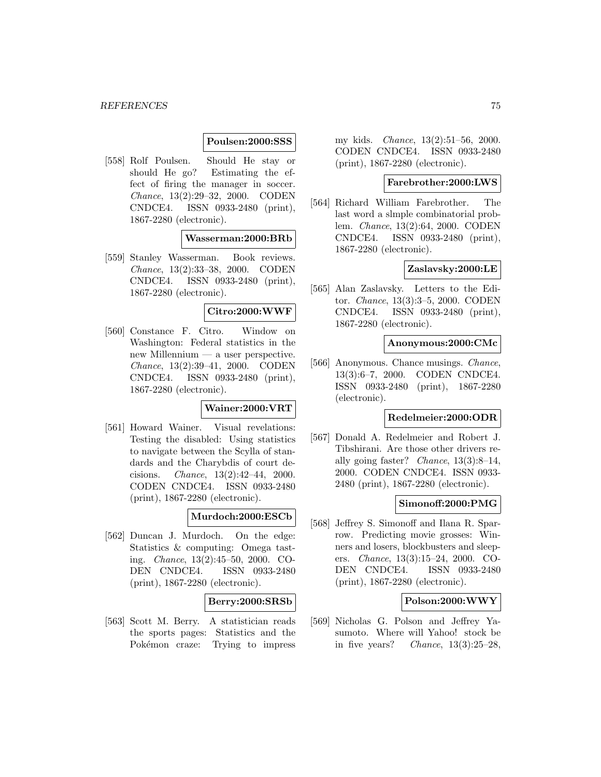# **Poulsen:2000:SSS**

[558] Rolf Poulsen. Should He stay or should He go? Estimating the effect of firing the manager in soccer. Chance, 13(2):29–32, 2000. CODEN CNDCE4. ISSN 0933-2480 (print), 1867-2280 (electronic).

### **Wasserman:2000:BRb**

[559] Stanley Wasserman. Book reviews. Chance, 13(2):33–38, 2000. CODEN CNDCE4. ISSN 0933-2480 (print), 1867-2280 (electronic).

## **Citro:2000:WWF**

[560] Constance F. Citro. Window on Washington: Federal statistics in the new Millennium — a user perspective. Chance, 13(2):39–41, 2000. CODEN CNDCE4. ISSN 0933-2480 (print), 1867-2280 (electronic).

#### **Wainer:2000:VRT**

[561] Howard Wainer. Visual revelations: Testing the disabled: Using statistics to navigate between the Scylla of standards and the Charybdis of court decisions. Chance, 13(2):42–44, 2000. CODEN CNDCE4. ISSN 0933-2480 (print), 1867-2280 (electronic).

# **Murdoch:2000:ESCb**

[562] Duncan J. Murdoch. On the edge: Statistics & computing: Omega tasting. Chance, 13(2):45–50, 2000. CO-DEN CNDCE4. ISSN 0933-2480 (print), 1867-2280 (electronic).

## **Berry:2000:SRSb**

[563] Scott M. Berry. A statistician reads the sports pages: Statistics and the Pokémon craze: Trying to impress

my kids. Chance, 13(2):51–56, 2000. CODEN CNDCE4. ISSN 0933-2480 (print), 1867-2280 (electronic).

#### **Farebrother:2000:LWS**

[564] Richard William Farebrother. The last word a slmple combinatorial problem. Chance, 13(2):64, 2000. CODEN CNDCE4. ISSN 0933-2480 (print), 1867-2280 (electronic).

### **Zaslavsky:2000:LE**

[565] Alan Zaslavsky. Letters to the Editor. Chance, 13(3):3–5, 2000. CODEN CNDCE4. ISSN 0933-2480 (print), 1867-2280 (electronic).

#### **Anonymous:2000:CMc**

[566] Anonymous. Chance musings. Chance, 13(3):6–7, 2000. CODEN CNDCE4. ISSN 0933-2480 (print), 1867-2280 (electronic).

#### **Redelmeier:2000:ODR**

[567] Donald A. Redelmeier and Robert J. Tibshirani. Are those other drivers really going faster? *Chance*,  $13(3):8-14$ . 2000. CODEN CNDCE4. ISSN 0933- 2480 (print), 1867-2280 (electronic).

### **Simonoff:2000:PMG**

[568] Jeffrey S. Simonoff and Ilana R. Sparrow. Predicting movie grosses: Winners and losers, blockbusters and sleepers. Chance, 13(3):15–24, 2000. CO-DEN CNDCE4. ISSN 0933-2480 (print), 1867-2280 (electronic).

# **Polson:2000:WWY**

[569] Nicholas G. Polson and Jeffrey Yasumoto. Where will Yahoo! stock be in five years? Chance,  $13(3):25-28$ ,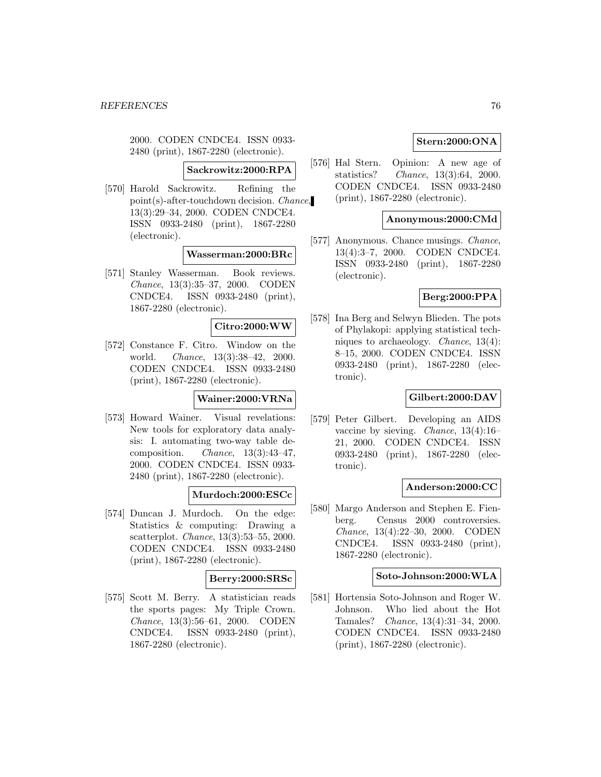2000. CODEN CNDCE4. ISSN 0933- 2480 (print), 1867-2280 (electronic).

**Sackrowitz:2000:RPA**

[570] Harold Sackrowitz. Refining the point(s)-after-touchdown decision. Chance, 13(3):29–34, 2000. CODEN CNDCE4. ISSN 0933-2480 (print), 1867-2280 (electronic).

# **Wasserman:2000:BRc**

[571] Stanley Wasserman. Book reviews. Chance, 13(3):35–37, 2000. CODEN CNDCE4. ISSN 0933-2480 (print), 1867-2280 (electronic).

### **Citro:2000:WW**

[572] Constance F. Citro. Window on the world. Chance, 13(3):38–42, 2000. CODEN CNDCE4. ISSN 0933-2480 (print), 1867-2280 (electronic).

# **Wainer:2000:VRNa**

[573] Howard Wainer. Visual revelations: New tools for exploratory data analysis: I. automating two-way table decomposition. Chance, 13(3):43–47, 2000. CODEN CNDCE4. ISSN 0933- 2480 (print), 1867-2280 (electronic).

## **Murdoch:2000:ESCc**

[574] Duncan J. Murdoch. On the edge: Statistics & computing: Drawing a scatterplot. Chance, 13(3):53–55, 2000. CODEN CNDCE4. ISSN 0933-2480 (print), 1867-2280 (electronic).

## **Berry:2000:SRSc**

[575] Scott M. Berry. A statistician reads the sports pages: My Triple Crown. Chance, 13(3):56–61, 2000. CODEN CNDCE4. ISSN 0933-2480 (print), 1867-2280 (electronic).

# **Stern:2000:ONA**

[576] Hal Stern. Opinion: A new age of statistics? Chance, 13(3):64, 2000. CODEN CNDCE4. ISSN 0933-2480 (print), 1867-2280 (electronic).

### **Anonymous:2000:CMd**

[577] Anonymous. Chance musings. *Chance*, 13(4):3–7, 2000. CODEN CNDCE4. ISSN 0933-2480 (print), 1867-2280 (electronic).

### **Berg:2000:PPA**

[578] Ina Berg and Selwyn Blieden. The pots of Phylakopi: applying statistical techniques to archaeology. Chance, 13(4): 8–15, 2000. CODEN CNDCE4. ISSN 0933-2480 (print), 1867-2280 (electronic).

# **Gilbert:2000:DAV**

[579] Peter Gilbert. Developing an AIDS vaccine by sieving. Chance, 13(4):16– 21, 2000. CODEN CNDCE4. ISSN 0933-2480 (print), 1867-2280 (electronic).

## **Anderson:2000:CC**

[580] Margo Anderson and Stephen E. Fienberg. Census 2000 controversies. Chance, 13(4):22–30, 2000. CODEN CNDCE4. ISSN 0933-2480 (print), 1867-2280 (electronic).

### **Soto-Johnson:2000:WLA**

[581] Hortensia Soto-Johnson and Roger W. Johnson. Who lied about the Hot Tamales? Chance, 13(4):31–34, 2000. CODEN CNDCE4. ISSN 0933-2480 (print), 1867-2280 (electronic).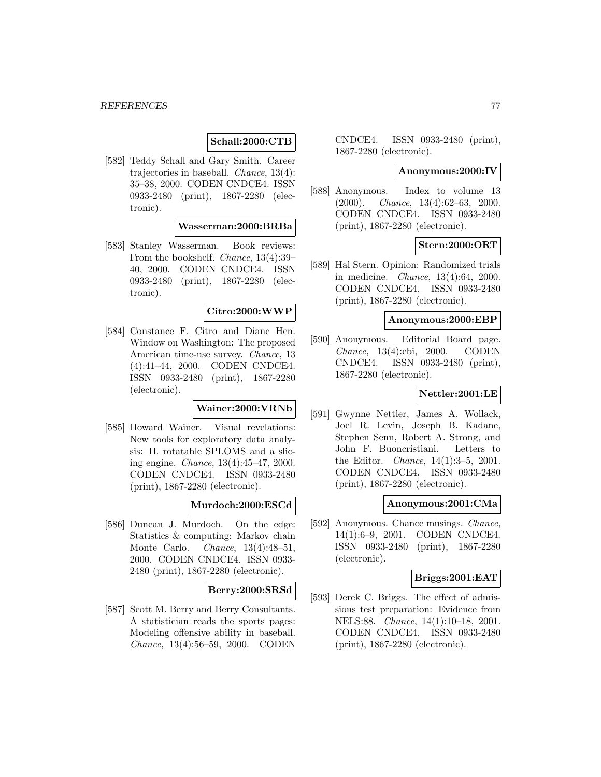# **Schall:2000:CTB**

[582] Teddy Schall and Gary Smith. Career trajectories in baseball. Chance, 13(4): 35–38, 2000. CODEN CNDCE4. ISSN 0933-2480 (print), 1867-2280 (electronic).

# **Wasserman:2000:BRBa**

[583] Stanley Wasserman. Book reviews: From the bookshelf. Chance, 13(4):39– 40, 2000. CODEN CNDCE4. ISSN 0933-2480 (print), 1867-2280 (electronic).

### **Citro:2000:WWP**

[584] Constance F. Citro and Diane Hen. Window on Washington: The proposed American time-use survey. Chance, 13 (4):41–44, 2000. CODEN CNDCE4. ISSN 0933-2480 (print), 1867-2280 (electronic).

# **Wainer:2000:VRNb**

[585] Howard Wainer. Visual revelations: New tools for exploratory data analysis: II. rotatable SPLOMS and a slicing engine. Chance, 13(4):45–47, 2000. CODEN CNDCE4. ISSN 0933-2480 (print), 1867-2280 (electronic).

# **Murdoch:2000:ESCd**

[586] Duncan J. Murdoch. On the edge: Statistics & computing: Markov chain Monte Carlo. Chance, 13(4):48–51, 2000. CODEN CNDCE4. ISSN 0933- 2480 (print), 1867-2280 (electronic).

#### **Berry:2000:SRSd**

[587] Scott M. Berry and Berry Consultants. A statistician reads the sports pages: Modeling offensive ability in baseball. Chance, 13(4):56–59, 2000. CODEN

CNDCE4. ISSN 0933-2480 (print), 1867-2280 (electronic).

### **Anonymous:2000:IV**

[588] Anonymous. Index to volume 13  $(2000)$ . *Chance*, 13(4):62–63, 2000. CODEN CNDCE4. ISSN 0933-2480 (print), 1867-2280 (electronic).

# **Stern:2000:ORT**

[589] Hal Stern. Opinion: Randomized trials in medicine. Chance, 13(4):64, 2000. CODEN CNDCE4. ISSN 0933-2480 (print), 1867-2280 (electronic).

#### **Anonymous:2000:EBP**

[590] Anonymous. Editorial Board page. Chance, 13(4):ebi, 2000. CODEN CNDCE4. ISSN 0933-2480 (print), 1867-2280 (electronic).

# **Nettler:2001:LE**

[591] Gwynne Nettler, James A. Wollack, Joel R. Levin, Joseph B. Kadane, Stephen Senn, Robert A. Strong, and John F. Buoncristiani. Letters to the Editor. Chance, 14(1):3–5, 2001. CODEN CNDCE4. ISSN 0933-2480 (print), 1867-2280 (electronic).

#### **Anonymous:2001:CMa**

[592] Anonymous. Chance musings. *Chance*, 14(1):6–9, 2001. CODEN CNDCE4. ISSN 0933-2480 (print), 1867-2280 (electronic).

### **Briggs:2001:EAT**

[593] Derek C. Briggs. The effect of admissions test preparation: Evidence from NELS:88. Chance, 14(1):10–18, 2001. CODEN CNDCE4. ISSN 0933-2480 (print), 1867-2280 (electronic).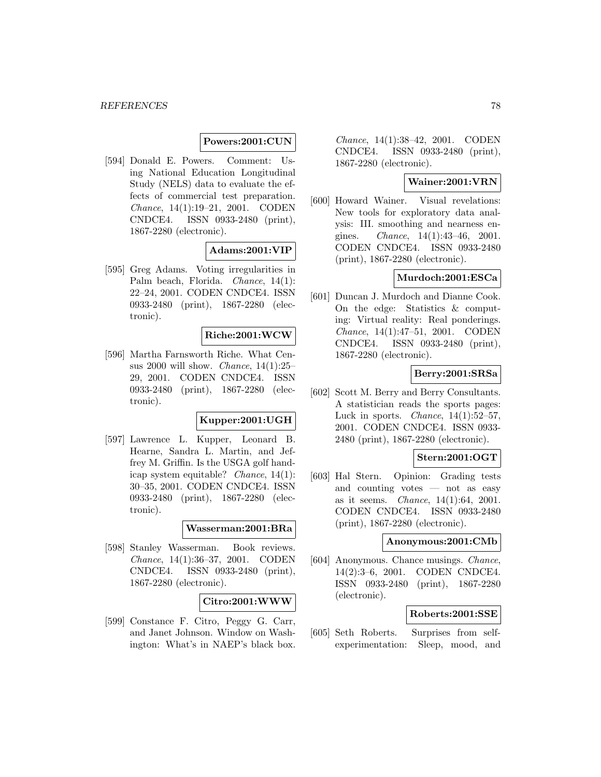### **Powers:2001:CUN**

[594] Donald E. Powers. Comment: Using National Education Longitudinal Study (NELS) data to evaluate the effects of commercial test preparation. Chance, 14(1):19–21, 2001. CODEN CNDCE4. ISSN 0933-2480 (print), 1867-2280 (electronic).

## **Adams:2001:VIP**

[595] Greg Adams. Voting irregularities in Palm beach, Florida. Chance, 14(1): 22–24, 2001. CODEN CNDCE4. ISSN 0933-2480 (print), 1867-2280 (electronic).

### **Riche:2001:WCW**

[596] Martha Farnsworth Riche. What Census 2000 will show. Chance, 14(1):25– 29, 2001. CODEN CNDCE4. ISSN 0933-2480 (print), 1867-2280 (electronic).

# **Kupper:2001:UGH**

[597] Lawrence L. Kupper, Leonard B. Hearne, Sandra L. Martin, and Jeffrey M. Griffin. Is the USGA golf handicap system equitable? Chance, 14(1): 30–35, 2001. CODEN CNDCE4. ISSN 0933-2480 (print), 1867-2280 (electronic).

# **Wasserman:2001:BRa**

[598] Stanley Wasserman. Book reviews. Chance, 14(1):36–37, 2001. CODEN CNDCE4. ISSN 0933-2480 (print), 1867-2280 (electronic).

## **Citro:2001:WWW**

[599] Constance F. Citro, Peggy G. Carr, and Janet Johnson. Window on Washington: What's in NAEP's black box.

Chance, 14(1):38–42, 2001. CODEN CNDCE4. ISSN 0933-2480 (print), 1867-2280 (electronic).

# **Wainer:2001:VRN**

[600] Howard Wainer. Visual revelations: New tools for exploratory data analysis: III. smoothing and nearness engines. Chance, 14(1):43–46, 2001. CODEN CNDCE4. ISSN 0933-2480 (print), 1867-2280 (electronic).

# **Murdoch:2001:ESCa**

[601] Duncan J. Murdoch and Dianne Cook. On the edge: Statistics & computing: Virtual reality: Real ponderings. Chance, 14(1):47–51, 2001. CODEN CNDCE4. ISSN 0933-2480 (print), 1867-2280 (electronic).

# **Berry:2001:SRSa**

[602] Scott M. Berry and Berry Consultants. A statistician reads the sports pages: Luck in sports. *Chance*,  $14(1):52-57$ , 2001. CODEN CNDCE4. ISSN 0933- 2480 (print), 1867-2280 (electronic).

# **Stern:2001:OGT**

[603] Hal Stern. Opinion: Grading tests and counting votes — not as easy as it seems. Chance, 14(1):64, 2001. CODEN CNDCE4. ISSN 0933-2480 (print), 1867-2280 (electronic).

### **Anonymous:2001:CMb**

[604] Anonymous. Chance musings. Chance, 14(2):3–6, 2001. CODEN CNDCE4. ISSN 0933-2480 (print), 1867-2280 (electronic).

# **Roberts:2001:SSE**

[605] Seth Roberts. Surprises from selfexperimentation: Sleep, mood, and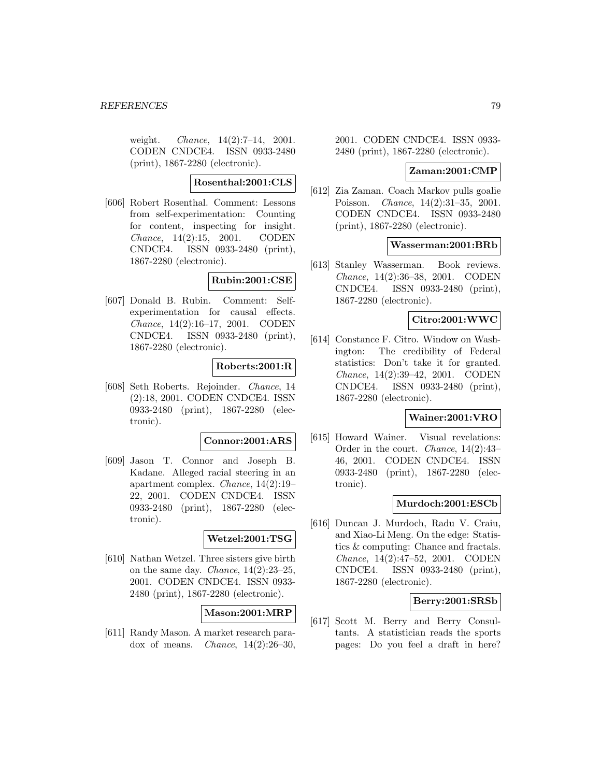weight. *Chance*,  $14(2):7-14$ ,  $2001$ . CODEN CNDCE4. ISSN 0933-2480 (print), 1867-2280 (electronic).

# **Rosenthal:2001:CLS**

[606] Robert Rosenthal. Comment: Lessons from self-experimentation: Counting for content, inspecting for insight. Chance, 14(2):15, 2001. CODEN CNDCE4. ISSN 0933-2480 (print), 1867-2280 (electronic).

# **Rubin:2001:CSE**

[607] Donald B. Rubin. Comment: Selfexperimentation for causal effects. Chance, 14(2):16–17, 2001. CODEN CNDCE4. ISSN 0933-2480 (print), 1867-2280 (electronic).

## **Roberts:2001:R**

[608] Seth Roberts. Rejoinder. Chance, 14 (2):18, 2001. CODEN CNDCE4. ISSN 0933-2480 (print), 1867-2280 (electronic).

#### **Connor:2001:ARS**

[609] Jason T. Connor and Joseph B. Kadane. Alleged racial steering in an apartment complex. Chance, 14(2):19– 22, 2001. CODEN CNDCE4. ISSN 0933-2480 (print), 1867-2280 (electronic).

# **Wetzel:2001:TSG**

[610] Nathan Wetzel. Three sisters give birth on the same day. *Chance*,  $14(2):23-25$ , 2001. CODEN CNDCE4. ISSN 0933- 2480 (print), 1867-2280 (electronic).

## **Mason:2001:MRP**

[611] Randy Mason. A market research paradox of means. *Chance*,  $14(2):26-30$ ,

2001. CODEN CNDCE4. ISSN 0933- 2480 (print), 1867-2280 (electronic).

### **Zaman:2001:CMP**

[612] Zia Zaman. Coach Markov pulls goalie Poisson. Chance, 14(2):31–35, 2001. CODEN CNDCE4. ISSN 0933-2480 (print), 1867-2280 (electronic).

#### **Wasserman:2001:BRb**

[613] Stanley Wasserman. Book reviews. Chance, 14(2):36–38, 2001. CODEN CNDCE4. ISSN 0933-2480 (print), 1867-2280 (electronic).

### **Citro:2001:WWC**

[614] Constance F. Citro. Window on Washington: The credibility of Federal statistics: Don't take it for granted. Chance, 14(2):39–42, 2001. CODEN CNDCE4. ISSN 0933-2480 (print), 1867-2280 (electronic).

## **Wainer:2001:VRO**

[615] Howard Wainer. Visual revelations: Order in the court. Chance, 14(2):43– 46, 2001. CODEN CNDCE4. ISSN 0933-2480 (print), 1867-2280 (electronic).

### **Murdoch:2001:ESCb**

[616] Duncan J. Murdoch, Radu V. Craiu, and Xiao-Li Meng. On the edge: Statistics & computing: Chance and fractals. Chance, 14(2):47–52, 2001. CODEN CNDCE4. ISSN 0933-2480 (print), 1867-2280 (electronic).

### **Berry:2001:SRSb**

[617] Scott M. Berry and Berry Consultants. A statistician reads the sports pages: Do you feel a draft in here?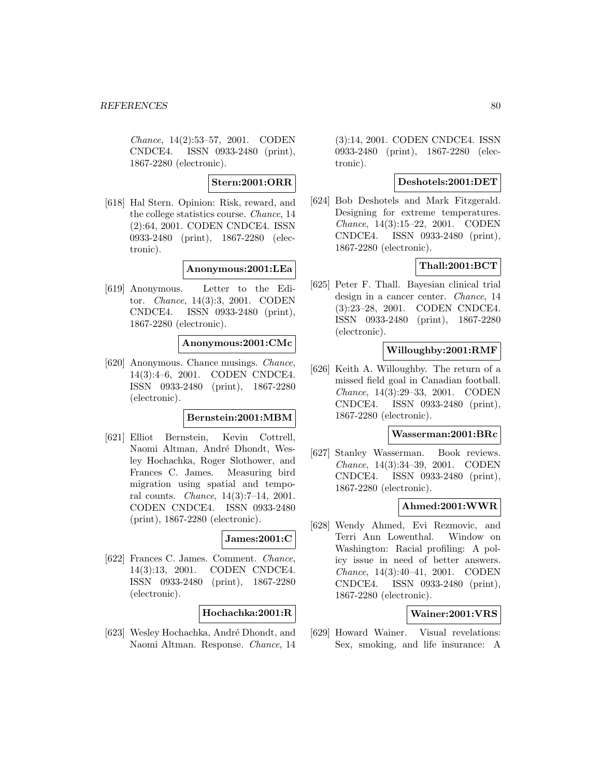Chance, 14(2):53–57, 2001. CODEN CNDCE4. ISSN 0933-2480 (print), 1867-2280 (electronic).

**Stern:2001:ORR**

[618] Hal Stern. Opinion: Risk, reward, and the college statistics course. Chance, 14 (2):64, 2001. CODEN CNDCE4. ISSN 0933-2480 (print), 1867-2280 (electronic).

#### **Anonymous:2001:LEa**

[619] Anonymous. Letter to the Editor. Chance, 14(3):3, 2001. CODEN CNDCE4. ISSN 0933-2480 (print), 1867-2280 (electronic).

### **Anonymous:2001:CMc**

[620] Anonymous. Chance musings. Chance, 14(3):4–6, 2001. CODEN CNDCE4. ISSN 0933-2480 (print), 1867-2280 (electronic).

### **Bernstein:2001:MBM**

[621] Elliot Bernstein, Kevin Cottrell, Naomi Altman, André Dhondt, Wesley Hochachka, Roger Slothower, and Frances C. James. Measuring bird migration using spatial and temporal counts. Chance, 14(3):7–14, 2001. CODEN CNDCE4. ISSN 0933-2480 (print), 1867-2280 (electronic).

#### **James:2001:C**

[622] Frances C. James. Comment. Chance, 14(3):13, 2001. CODEN CNDCE4. ISSN 0933-2480 (print), 1867-2280 (electronic).

#### **Hochachka:2001:R**

[623] Wesley Hochachka, André Dhondt, and Naomi Altman. Response. Chance, 14

(3):14, 2001. CODEN CNDCE4. ISSN 0933-2480 (print), 1867-2280 (electronic).

# **Deshotels:2001:DET**

[624] Bob Deshotels and Mark Fitzgerald. Designing for extreme temperatures. Chance, 14(3):15–22, 2001. CODEN CNDCE4. ISSN 0933-2480 (print), 1867-2280 (electronic).

## **Thall:2001:BCT**

[625] Peter F. Thall. Bayesian clinical trial design in a cancer center. Chance, 14 (3):23–28, 2001. CODEN CNDCE4. ISSN 0933-2480 (print), 1867-2280 (electronic).

# **Willoughby:2001:RMF**

[626] Keith A. Willoughby. The return of a missed field goal in Canadian football. Chance, 14(3):29–33, 2001. CODEN CNDCE4. ISSN 0933-2480 (print), 1867-2280 (electronic).

#### **Wasserman:2001:BRc**

[627] Stanley Wasserman. Book reviews. Chance, 14(3):34–39, 2001. CODEN CNDCE4. ISSN 0933-2480 (print), 1867-2280 (electronic).

#### **Ahmed:2001:WWR**

[628] Wendy Ahmed, Evi Rezmovic, and Terri Ann Lowenthal. Window on Washington: Racial profiling: A policy issue in need of better answers. Chance, 14(3):40–41, 2001. CODEN CNDCE4. ISSN 0933-2480 (print), 1867-2280 (electronic).

# **Wainer:2001:VRS**

[629] Howard Wainer. Visual revelations: Sex, smoking, and life insurance: A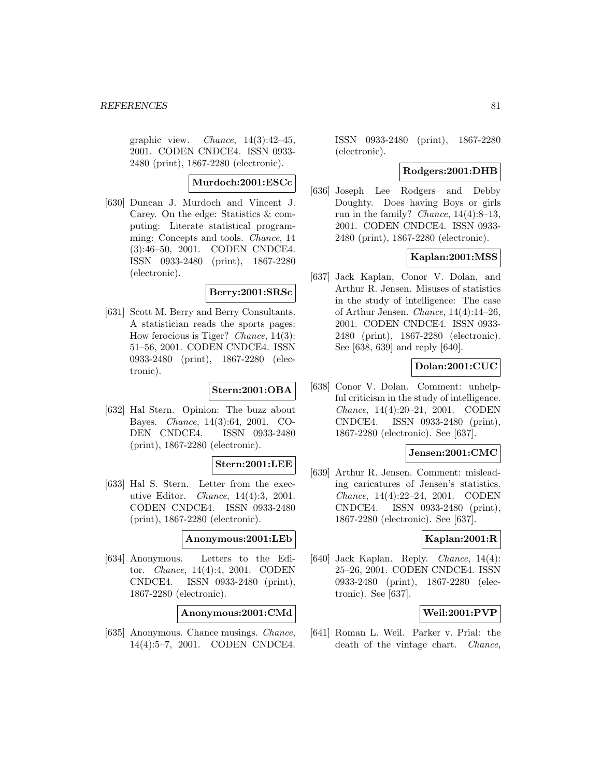graphic view. *Chance*,  $14(3):42-45$ , 2001. CODEN CNDCE4. ISSN 0933- 2480 (print), 1867-2280 (electronic).

# **Murdoch:2001:ESCc**

[630] Duncan J. Murdoch and Vincent J. Carey. On the edge: Statistics & computing: Literate statistical programming: Concepts and tools. Chance, 14 (3):46–50, 2001. CODEN CNDCE4. ISSN 0933-2480 (print), 1867-2280 (electronic).

## **Berry:2001:SRSc**

[631] Scott M. Berry and Berry Consultants. A statistician reads the sports pages: How ferocious is Tiger? Chance, 14(3): 51–56, 2001. CODEN CNDCE4. ISSN 0933-2480 (print), 1867-2280 (electronic).

### **Stern:2001:OBA**

[632] Hal Stern. Opinion: The buzz about Bayes. Chance, 14(3):64, 2001. CO-DEN CNDCE4. ISSN 0933-2480 (print), 1867-2280 (electronic).

### **Stern:2001:LEE**

[633] Hal S. Stern. Letter from the executive Editor. Chance, 14(4):3, 2001. CODEN CNDCE4. ISSN 0933-2480 (print), 1867-2280 (electronic).

### **Anonymous:2001:LEb**

[634] Anonymous. Letters to the Editor. Chance, 14(4):4, 2001. CODEN CNDCE4. ISSN 0933-2480 (print), 1867-2280 (electronic).

# **Anonymous:2001:CMd**

[635] Anonymous. Chance musings. Chance, 14(4):5–7, 2001. CODEN CNDCE4.

ISSN 0933-2480 (print), 1867-2280 (electronic).

### **Rodgers:2001:DHB**

[636] Joseph Lee Rodgers and Debby Doughty. Does having Boys or girls run in the family? *Chance*,  $14(4):8-13$ , 2001. CODEN CNDCE4. ISSN 0933- 2480 (print), 1867-2280 (electronic).

# **Kaplan:2001:MSS**

[637] Jack Kaplan, Conor V. Dolan, and Arthur R. Jensen. Misuses of statistics in the study of intelligence: The case of Arthur Jensen. Chance, 14(4):14–26, 2001. CODEN CNDCE4. ISSN 0933- 2480 (print), 1867-2280 (electronic). See [638, 639] and reply [640].

# **Dolan:2001:CUC**

[638] Conor V. Dolan. Comment: unhelpful criticism in the study of intelligence. Chance, 14(4):20–21, 2001. CODEN CNDCE4. ISSN 0933-2480 (print), 1867-2280 (electronic). See [637].

## **Jensen:2001:CMC**

[639] Arthur R. Jensen. Comment: misleading caricatures of Jensen's statistics. Chance, 14(4):22–24, 2001. CODEN CNDCE4. ISSN 0933-2480 (print), 1867-2280 (electronic). See [637].

# **Kaplan:2001:R**

[640] Jack Kaplan. Reply. *Chance*, 14(4): 25–26, 2001. CODEN CNDCE4. ISSN 0933-2480 (print), 1867-2280 (electronic). See [637].

# **Weil:2001:PVP**

[641] Roman L. Weil. Parker v. Prial: the death of the vintage chart. Chance,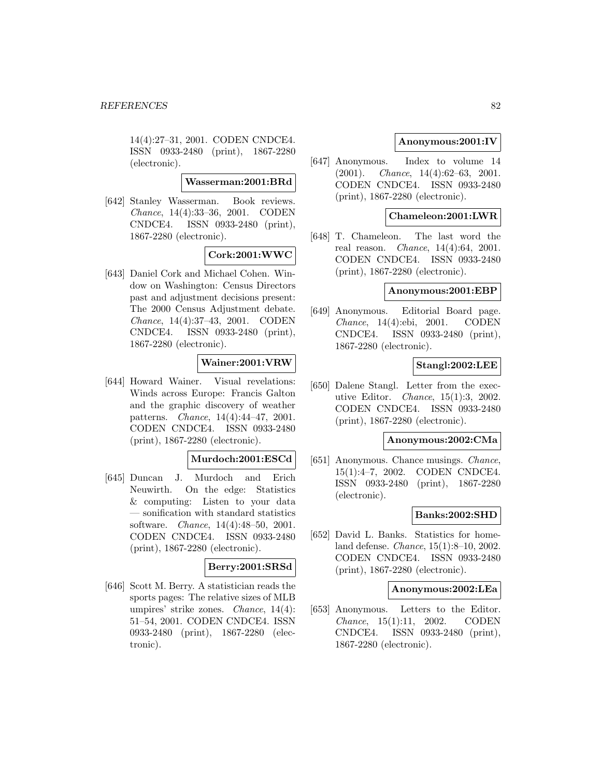14(4):27–31, 2001. CODEN CNDCE4. ISSN 0933-2480 (print), 1867-2280 (electronic).

### **Wasserman:2001:BRd**

[642] Stanley Wasserman. Book reviews. Chance, 14(4):33–36, 2001. CODEN CNDCE4. ISSN 0933-2480 (print), 1867-2280 (electronic).

# **Cork:2001:WWC**

[643] Daniel Cork and Michael Cohen. Window on Washington: Census Directors past and adjustment decisions present: The 2000 Census Adjustment debate. Chance, 14(4):37–43, 2001. CODEN CNDCE4. ISSN 0933-2480 (print), 1867-2280 (electronic).

## **Wainer:2001:VRW**

[644] Howard Wainer. Visual revelations: Winds across Europe: Francis Galton and the graphic discovery of weather patterns. Chance, 14(4):44–47, 2001. CODEN CNDCE4. ISSN 0933-2480 (print), 1867-2280 (electronic).

# **Murdoch:2001:ESCd**

[645] Duncan J. Murdoch and Erich Neuwirth. On the edge: Statistics & computing: Listen to your data — sonification with standard statistics software. Chance, 14(4):48–50, 2001. CODEN CNDCE4. ISSN 0933-2480 (print), 1867-2280 (electronic).

# **Berry:2001:SRSd**

[646] Scott M. Berry. A statistician reads the sports pages: The relative sizes of MLB umpires' strike zones. Chance, 14(4): 51–54, 2001. CODEN CNDCE4. ISSN 0933-2480 (print), 1867-2280 (electronic).

# **Anonymous:2001:IV**

[647] Anonymous. Index to volume 14 (2001). Chance, 14(4):62–63, 2001. CODEN CNDCE4. ISSN 0933-2480 (print), 1867-2280 (electronic).

## **Chameleon:2001:LWR**

[648] T. Chameleon. The last word the real reason. Chance, 14(4):64, 2001. CODEN CNDCE4. ISSN 0933-2480 (print), 1867-2280 (electronic).

### **Anonymous:2001:EBP**

[649] Anonymous. Editorial Board page. Chance, 14(4):ebi, 2001. CODEN CNDCE4. ISSN 0933-2480 (print), 1867-2280 (electronic).

## **Stangl:2002:LEE**

[650] Dalene Stangl. Letter from the executive Editor. Chance, 15(1):3, 2002. CODEN CNDCE4. ISSN 0933-2480 (print), 1867-2280 (electronic).

### **Anonymous:2002:CMa**

[651] Anonymous. Chance musings. Chance, 15(1):4–7, 2002. CODEN CNDCE4. ISSN 0933-2480 (print), 1867-2280 (electronic).

## **Banks:2002:SHD**

[652] David L. Banks. Statistics for homeland defense. Chance, 15(1):8–10, 2002. CODEN CNDCE4. ISSN 0933-2480 (print), 1867-2280 (electronic).

### **Anonymous:2002:LEa**

[653] Anonymous. Letters to the Editor. Chance, 15(1):11, 2002. CODEN CNDCE4. ISSN 0933-2480 (print), 1867-2280 (electronic).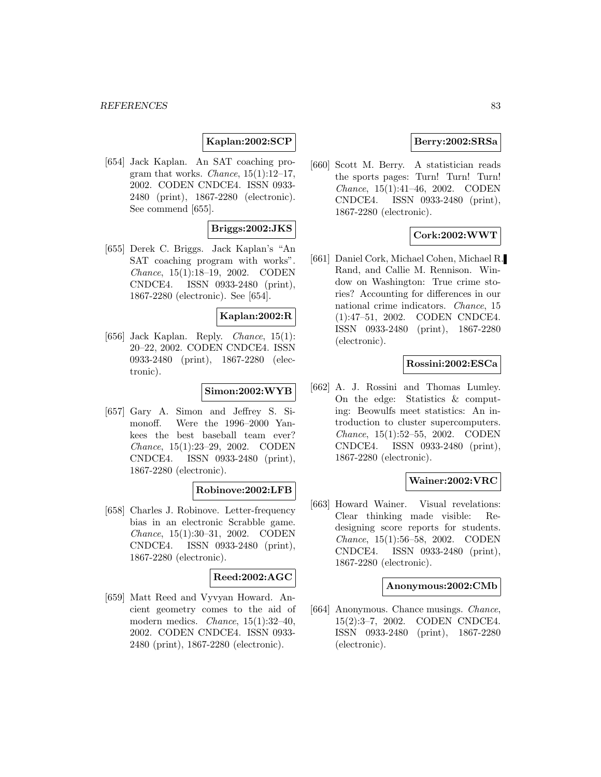# **Kaplan:2002:SCP**

[654] Jack Kaplan. An SAT coaching program that works. *Chance*,  $15(1):12-17$ , 2002. CODEN CNDCE4. ISSN 0933- 2480 (print), 1867-2280 (electronic). See commend [655].

## **Briggs:2002:JKS**

[655] Derek C. Briggs. Jack Kaplan's "An SAT coaching program with works". Chance, 15(1):18–19, 2002. CODEN CNDCE4. ISSN 0933-2480 (print), 1867-2280 (electronic). See [654].

### **Kaplan:2002:R**

[656] Jack Kaplan. Reply. Chance, 15(1): 20–22, 2002. CODEN CNDCE4. ISSN 0933-2480 (print), 1867-2280 (electronic).

## **Simon:2002:WYB**

[657] Gary A. Simon and Jeffrey S. Simonoff. Were the 1996–2000 Yankees the best baseball team ever? Chance, 15(1):23–29, 2002. CODEN CNDCE4. ISSN 0933-2480 (print), 1867-2280 (electronic).

# **Robinove:2002:LFB**

[658] Charles J. Robinove. Letter-frequency bias in an electronic Scrabble game. Chance, 15(1):30–31, 2002. CODEN CNDCE4. ISSN 0933-2480 (print), 1867-2280 (electronic).

# **Reed:2002:AGC**

[659] Matt Reed and Vyvyan Howard. Ancient geometry comes to the aid of modern medics. *Chance*, 15(1):32-40, 2002. CODEN CNDCE4. ISSN 0933- 2480 (print), 1867-2280 (electronic).

# **Berry:2002:SRSa**

[660] Scott M. Berry. A statistician reads the sports pages: Turn! Turn! Turn! Chance, 15(1):41–46, 2002. CODEN CNDCE4. ISSN 0933-2480 (print), 1867-2280 (electronic).

## **Cork:2002:WWT**

[661] Daniel Cork, Michael Cohen, Michael R. Rand, and Callie M. Rennison. Window on Washington: True crime stories? Accounting for differences in our national crime indicators. Chance, 15 (1):47–51, 2002. CODEN CNDCE4. ISSN 0933-2480 (print), 1867-2280 (electronic).

## **Rossini:2002:ESCa**

[662] A. J. Rossini and Thomas Lumley. On the edge: Statistics & computing: Beowulfs meet statistics: An introduction to cluster supercomputers. Chance, 15(1):52–55, 2002. CODEN CNDCE4. ISSN 0933-2480 (print), 1867-2280 (electronic).

## **Wainer:2002:VRC**

[663] Howard Wainer. Visual revelations: Clear thinking made visible: Redesigning score reports for students. Chance, 15(1):56–58, 2002. CODEN CNDCE4. ISSN 0933-2480 (print), 1867-2280 (electronic).

## **Anonymous:2002:CMb**

[664] Anonymous. Chance musings. Chance, 15(2):3–7, 2002. CODEN CNDCE4. ISSN 0933-2480 (print), 1867-2280 (electronic).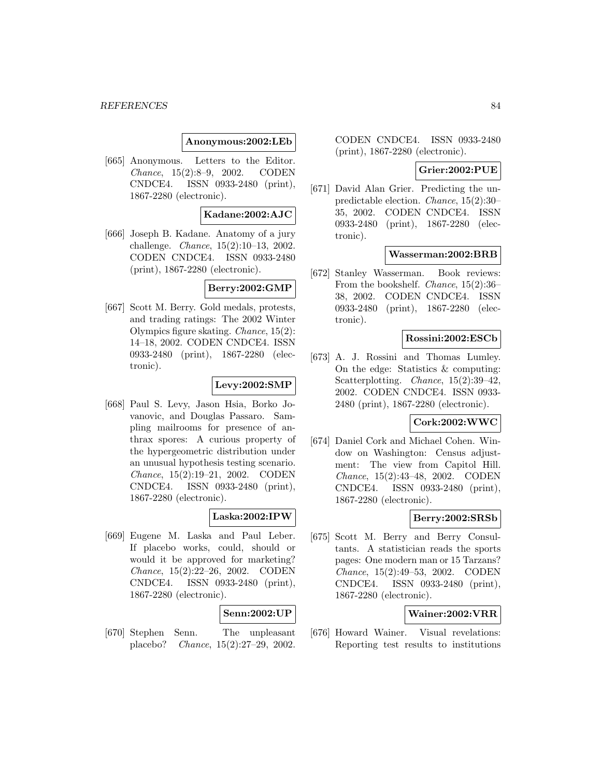### **Anonymous:2002:LEb**

[665] Anonymous. Letters to the Editor. Chance, 15(2):8–9, 2002. CODEN CNDCE4. ISSN 0933-2480 (print), 1867-2280 (electronic).

#### **Kadane:2002:AJC**

[666] Joseph B. Kadane. Anatomy of a jury challenge. Chance, 15(2):10–13, 2002. CODEN CNDCE4. ISSN 0933-2480 (print), 1867-2280 (electronic).

### **Berry:2002:GMP**

[667] Scott M. Berry. Gold medals, protests, and trading ratings: The 2002 Winter Olympics figure skating. Chance, 15(2): 14–18, 2002. CODEN CNDCE4. ISSN 0933-2480 (print), 1867-2280 (electronic).

#### **Levy:2002:SMP**

[668] Paul S. Levy, Jason Hsia, Borko Jovanovic, and Douglas Passaro. Sampling mailrooms for presence of anthrax spores: A curious property of the hypergeometric distribution under an unusual hypothesis testing scenario. Chance, 15(2):19–21, 2002. CODEN CNDCE4. ISSN 0933-2480 (print), 1867-2280 (electronic).

## **Laska:2002:IPW**

[669] Eugene M. Laska and Paul Leber. If placebo works, could, should or would it be approved for marketing? Chance, 15(2):22–26, 2002. CODEN CNDCE4. ISSN 0933-2480 (print), 1867-2280 (electronic).

## **Senn:2002:UP**

[670] Stephen Senn. The unpleasant placebo? Chance, 15(2):27–29, 2002.

CODEN CNDCE4. ISSN 0933-2480 (print), 1867-2280 (electronic).

### **Grier:2002:PUE**

[671] David Alan Grier. Predicting the unpredictable election. Chance, 15(2):30– 35, 2002. CODEN CNDCE4. ISSN 0933-2480 (print), 1867-2280 (electronic).

### **Wasserman:2002:BRB**

[672] Stanley Wasserman. Book reviews: From the bookshelf. Chance, 15(2):36– 38, 2002. CODEN CNDCE4. ISSN 0933-2480 (print), 1867-2280 (electronic).

## **Rossini:2002:ESCb**

[673] A. J. Rossini and Thomas Lumley. On the edge: Statistics & computing: Scatterplotting. Chance, 15(2):39–42, 2002. CODEN CNDCE4. ISSN 0933- 2480 (print), 1867-2280 (electronic).

### **Cork:2002:WWC**

[674] Daniel Cork and Michael Cohen. Window on Washington: Census adjustment: The view from Capitol Hill. Chance, 15(2):43–48, 2002. CODEN CNDCE4. ISSN 0933-2480 (print), 1867-2280 (electronic).

# **Berry:2002:SRSb**

[675] Scott M. Berry and Berry Consultants. A statistician reads the sports pages: One modern man or 15 Tarzans? Chance, 15(2):49–53, 2002. CODEN CNDCE4. ISSN 0933-2480 (print), 1867-2280 (electronic).

# **Wainer:2002:VRR**

[676] Howard Wainer. Visual revelations: Reporting test results to institutions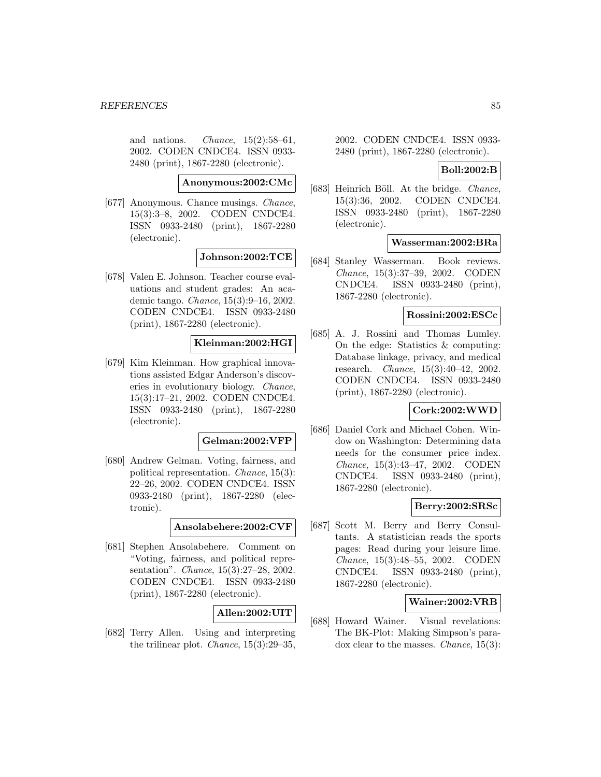and nations. *Chance*,  $15(2):58-61$ , 2002. CODEN CNDCE4. ISSN 0933- 2480 (print), 1867-2280 (electronic).

**Anonymous:2002:CMc**

[677] Anonymous. Chance musings. Chance, 15(3):3–8, 2002. CODEN CNDCE4. ISSN 0933-2480 (print), 1867-2280 (electronic).

# **Johnson:2002:TCE**

[678] Valen E. Johnson. Teacher course evaluations and student grades: An academic tango. Chance, 15(3):9–16, 2002. CODEN CNDCE4. ISSN 0933-2480 (print), 1867-2280 (electronic).

# **Kleinman:2002:HGI**

[679] Kim Kleinman. How graphical innovations assisted Edgar Anderson's discoveries in evolutionary biology. Chance, 15(3):17–21, 2002. CODEN CNDCE4. ISSN 0933-2480 (print), 1867-2280 (electronic).

## **Gelman:2002:VFP**

[680] Andrew Gelman. Voting, fairness, and political representation. Chance, 15(3): 22–26, 2002. CODEN CNDCE4. ISSN 0933-2480 (print), 1867-2280 (electronic).

#### **Ansolabehere:2002:CVF**

[681] Stephen Ansolabehere. Comment on "Voting, fairness, and political representation". Chance, 15(3):27–28, 2002. CODEN CNDCE4. ISSN 0933-2480 (print), 1867-2280 (electronic).

## **Allen:2002:UIT**

[682] Terry Allen. Using and interpreting the trilinear plot. Chance, 15(3):29–35,

2002. CODEN CNDCE4. ISSN 0933- 2480 (print), 1867-2280 (electronic).

#### **Boll:2002:B**

[683] Heinrich Böll. At the bridge. *Chance*, 15(3):36, 2002. CODEN CNDCE4. ISSN 0933-2480 (print), 1867-2280 (electronic).

# **Wasserman:2002:BRa**

[684] Stanley Wasserman. Book reviews. Chance, 15(3):37–39, 2002. CODEN CNDCE4. ISSN 0933-2480 (print), 1867-2280 (electronic).

#### **Rossini:2002:ESCc**

[685] A. J. Rossini and Thomas Lumley. On the edge: Statistics & computing: Database linkage, privacy, and medical research. Chance, 15(3):40–42, 2002. CODEN CNDCE4. ISSN 0933-2480 (print), 1867-2280 (electronic).

### **Cork:2002:WWD**

[686] Daniel Cork and Michael Cohen. Window on Washington: Determining data needs for the consumer price index. Chance, 15(3):43–47, 2002. CODEN CNDCE4. ISSN 0933-2480 (print), 1867-2280 (electronic).

#### **Berry:2002:SRSc**

[687] Scott M. Berry and Berry Consultants. A statistician reads the sports pages: Read during your leisure lime. Chance, 15(3):48–55, 2002. CODEN CNDCE4. ISSN 0933-2480 (print), 1867-2280 (electronic).

# **Wainer:2002:VRB**

[688] Howard Wainer. Visual revelations: The BK-Plot: Making Simpson's paradox clear to the masses. Chance, 15(3):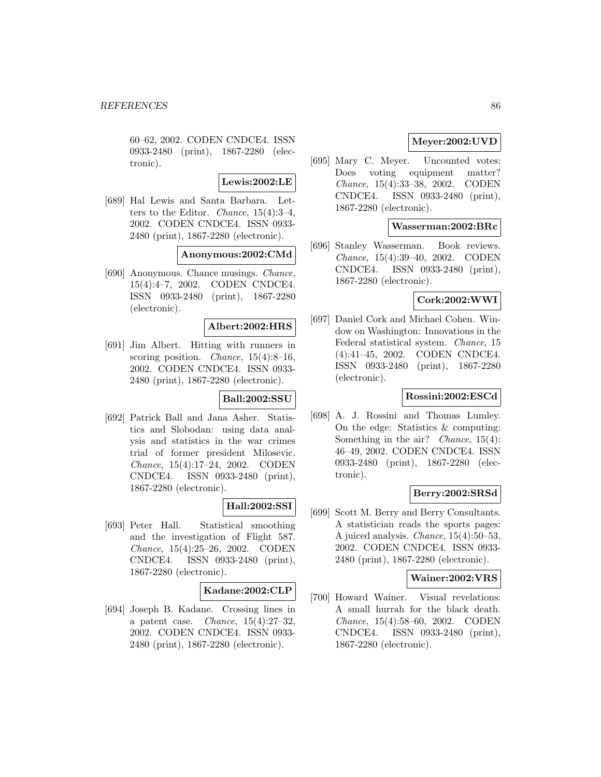60–62, 2002. CODEN CNDCE4. ISSN 0933-2480 (print), 1867-2280 (electronic).

**Lewis:2002:LE**

[689] Hal Lewis and Santa Barbara. Letters to the Editor. Chance, 15(4):3–4, 2002. CODEN CNDCE4. ISSN 0933- 2480 (print), 1867-2280 (electronic).

## **Anonymous:2002:CMd**

[690] Anonymous. Chance musings. Chance, 15(4):4–7, 2002. CODEN CNDCE4. ISSN 0933-2480 (print), 1867-2280 (electronic).

## **Albert:2002:HRS**

[691] Jim Albert. Hitting with runners in scoring position. *Chance*,  $15(4):8-16$ , 2002. CODEN CNDCE4. ISSN 0933- 2480 (print), 1867-2280 (electronic).

# **Ball:2002:SSU**

[692] Patrick Ball and Jana Asher. Statistics and Slobodan: using data analysis and statistics in the war crimes trial of former president Milosevic. Chance, 15(4):17–24, 2002. CODEN CNDCE4. ISSN 0933-2480 (print), 1867-2280 (electronic).

# **Hall:2002:SSI**

[693] Peter Hall. Statistical smoothing and the investigation of Flight 587. Chance, 15(4):25–26, 2002. CODEN CNDCE4. ISSN 0933-2480 (print), 1867-2280 (electronic).

## **Kadane:2002:CLP**

[694] Joseph B. Kadane. Crossing lines in a patent case. *Chance*,  $15(4):27-32$ , 2002. CODEN CNDCE4. ISSN 0933- 2480 (print), 1867-2280 (electronic).

# **Meyer:2002:UVD**

[695] Mary C. Meyer. Uncounted votes: Does voting equipment matter? Chance, 15(4):33–38, 2002. CODEN CNDCE4. ISSN 0933-2480 (print), 1867-2280 (electronic).

# **Wasserman:2002:BRc**

[696] Stanley Wasserman. Book reviews. Chance, 15(4):39–40, 2002. CODEN CNDCE4. ISSN 0933-2480 (print), 1867-2280 (electronic).

### **Cork:2002:WWI**

[697] Daniel Cork and Michael Cohen. Window on Washington: Innovations in the Federal statistical system. Chance, 15 (4):41–45, 2002. CODEN CNDCE4. ISSN 0933-2480 (print), 1867-2280 (electronic).

## **Rossini:2002:ESCd**

[698] A. J. Rossini and Thomas Lumley. On the edge: Statistics & computing: Something in the air? *Chance*, 15(4): 46–49, 2002. CODEN CNDCE4. ISSN 0933-2480 (print), 1867-2280 (electronic).

## **Berry:2002:SRSd**

[699] Scott M. Berry and Berry Consultants. A statistician reads the sports pages: A juiced analysis. Chance, 15(4):50–53, 2002. CODEN CNDCE4. ISSN 0933- 2480 (print), 1867-2280 (electronic).

#### **Wainer:2002:VRS**

[700] Howard Wainer. Visual revelations: A small hurrah for the black death. Chance, 15(4):58–60, 2002. CODEN CNDCE4. ISSN 0933-2480 (print), 1867-2280 (electronic).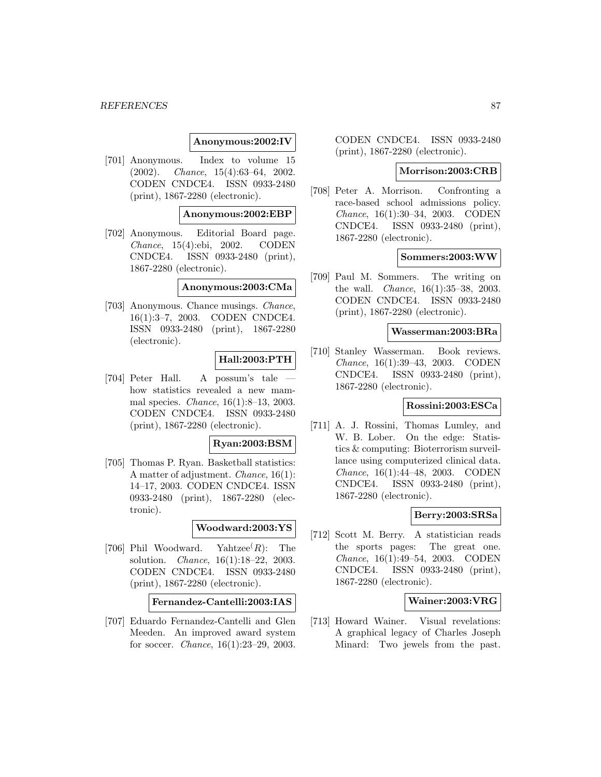### **Anonymous:2002:IV**

[701] Anonymous. Index to volume 15 (2002). Chance, 15(4):63–64, 2002. CODEN CNDCE4. ISSN 0933-2480 (print), 1867-2280 (electronic).

## **Anonymous:2002:EBP**

[702] Anonymous. Editorial Board page. Chance, 15(4):ebi, 2002. CODEN CNDCE4. ISSN 0933-2480 (print), 1867-2280 (electronic).

#### **Anonymous:2003:CMa**

[703] Anonymous. Chance musings. Chance, 16(1):3–7, 2003. CODEN CNDCE4. ISSN 0933-2480 (print), 1867-2280 (electronic).

# **Hall:2003:PTH**

[704] Peter Hall. A possum's tale how statistics revealed a new mammal species. Chance, 16(1):8–13, 2003. CODEN CNDCE4. ISSN 0933-2480 (print), 1867-2280 (electronic).

#### **Ryan:2003:BSM**

[705] Thomas P. Ryan. Basketball statistics: A matter of adjustment. Chance, 16(1): 14–17, 2003. CODEN CNDCE4. ISSN 0933-2480 (print), 1867-2280 (electronic).

# **Woodward:2003:YS**

[706] Phil Woodward. Yahtzee $(R)$ : The solution. Chance, 16(1):18–22, 2003. CODEN CNDCE4. ISSN 0933-2480 (print), 1867-2280 (electronic).

# **Fernandez-Cantelli:2003:IAS**

[707] Eduardo Fernandez-Cantelli and Glen Meeden. An improved award system for soccer. Chance, 16(1):23–29, 2003.

CODEN CNDCE4. ISSN 0933-2480 (print), 1867-2280 (electronic).

#### **Morrison:2003:CRB**

[708] Peter A. Morrison. Confronting a race-based school admissions policy. Chance, 16(1):30–34, 2003. CODEN CNDCE4. ISSN 0933-2480 (print), 1867-2280 (electronic).

# **Sommers:2003:WW**

[709] Paul M. Sommers. The writing on the wall. Chance, 16(1):35–38, 2003. CODEN CNDCE4. ISSN 0933-2480 (print), 1867-2280 (electronic).

#### **Wasserman:2003:BRa**

[710] Stanley Wasserman. Book reviews. Chance, 16(1):39–43, 2003. CODEN CNDCE4. ISSN 0933-2480 (print), 1867-2280 (electronic).

# **Rossini:2003:ESCa**

[711] A. J. Rossini, Thomas Lumley, and W. B. Lober. On the edge: Statistics & computing: Bioterrorism surveillance using computerized clinical data. Chance, 16(1):44–48, 2003. CODEN CNDCE4. ISSN 0933-2480 (print), 1867-2280 (electronic).

### **Berry:2003:SRSa**

[712] Scott M. Berry. A statistician reads the sports pages: The great one. Chance, 16(1):49–54, 2003. CODEN CNDCE4. ISSN 0933-2480 (print), 1867-2280 (electronic).

# **Wainer:2003:VRG**

[713] Howard Wainer. Visual revelations: A graphical legacy of Charles Joseph Minard: Two jewels from the past.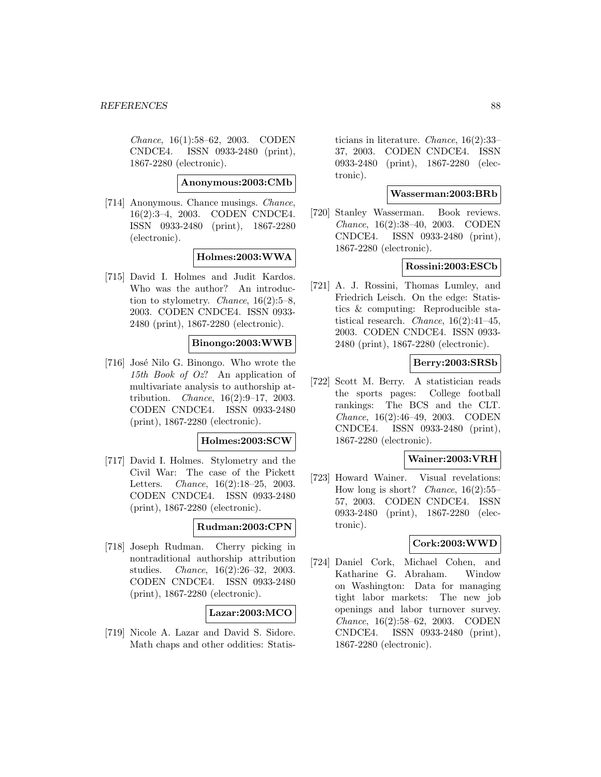Chance, 16(1):58–62, 2003. CODEN CNDCE4. ISSN 0933-2480 (print), 1867-2280 (electronic).

#### **Anonymous:2003:CMb**

[714] Anonymous. Chance musings. Chance, 16(2):3–4, 2003. CODEN CNDCE4. ISSN 0933-2480 (print), 1867-2280 (electronic).

### **Holmes:2003:WWA**

[715] David I. Holmes and Judit Kardos. Who was the author? An introduction to stylometry. *Chance*,  $16(2):5-8$ , 2003. CODEN CNDCE4. ISSN 0933- 2480 (print), 1867-2280 (electronic).

## **Binongo:2003:WWB**

[716] José Nilo G. Binongo. Who wrote the 15th Book of Oz? An application of multivariate analysis to authorship attribution. Chance, 16(2):9–17, 2003. CODEN CNDCE4. ISSN 0933-2480 (print), 1867-2280 (electronic).

# **Holmes:2003:SCW**

[717] David I. Holmes. Stylometry and the Civil War: The case of the Pickett Letters. Chance, 16(2):18–25, 2003. CODEN CNDCE4. ISSN 0933-2480 (print), 1867-2280 (electronic).

## **Rudman:2003:CPN**

[718] Joseph Rudman. Cherry picking in nontraditional authorship attribution studies. Chance, 16(2):26–32, 2003. CODEN CNDCE4. ISSN 0933-2480 (print), 1867-2280 (electronic).

## **Lazar:2003:MCO**

[719] Nicole A. Lazar and David S. Sidore. Math chaps and other oddities: Statis-

ticians in literature. Chance, 16(2):33– 37, 2003. CODEN CNDCE4. ISSN 0933-2480 (print), 1867-2280 (electronic).

# **Wasserman:2003:BRb**

[720] Stanley Wasserman. Book reviews. Chance, 16(2):38–40, 2003. CODEN CNDCE4. ISSN 0933-2480 (print), 1867-2280 (electronic).

# **Rossini:2003:ESCb**

[721] A. J. Rossini, Thomas Lumley, and Friedrich Leisch. On the edge: Statistics & computing: Reproducible statistical research. Chance, 16(2):41–45, 2003. CODEN CNDCE4. ISSN 0933- 2480 (print), 1867-2280 (electronic).

## **Berry:2003:SRSb**

[722] Scott M. Berry. A statistician reads the sports pages: College football rankings: The BCS and the CLT. Chance, 16(2):46–49, 2003. CODEN CNDCE4. ISSN 0933-2480 (print), 1867-2280 (electronic).

# **Wainer:2003:VRH**

[723] Howard Wainer. Visual revelations: How long is short? *Chance*,  $16(2):55-$ 57, 2003. CODEN CNDCE4. ISSN 0933-2480 (print), 1867-2280 (electronic).

## **Cork:2003:WWD**

[724] Daniel Cork, Michael Cohen, and Katharine G. Abraham. Window on Washington: Data for managing tight labor markets: The new job openings and labor turnover survey. Chance, 16(2):58–62, 2003. CODEN CNDCE4. ISSN 0933-2480 (print), 1867-2280 (electronic).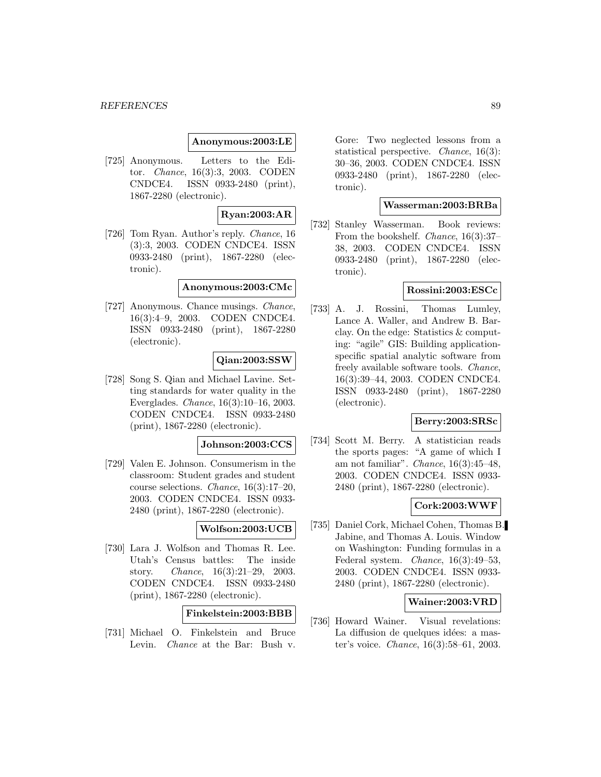#### **Anonymous:2003:LE**

[725] Anonymous. Letters to the Editor. Chance, 16(3):3, 2003. CODEN CNDCE4. ISSN 0933-2480 (print), 1867-2280 (electronic).

# **Ryan:2003:AR**

[726] Tom Ryan. Author's reply. Chance, 16 (3):3, 2003. CODEN CNDCE4. ISSN 0933-2480 (print), 1867-2280 (electronic).

### **Anonymous:2003:CMc**

[727] Anonymous. Chance musings. Chance, 16(3):4–9, 2003. CODEN CNDCE4. ISSN 0933-2480 (print), 1867-2280 (electronic).

## **Qian:2003:SSW**

[728] Song S. Qian and Michael Lavine. Setting standards for water quality in the Everglades. Chance, 16(3):10–16, 2003. CODEN CNDCE4. ISSN 0933-2480 (print), 1867-2280 (electronic).

#### **Johnson:2003:CCS**

[729] Valen E. Johnson. Consumerism in the classroom: Student grades and student course selections. Chance, 16(3):17–20, 2003. CODEN CNDCE4. ISSN 0933- 2480 (print), 1867-2280 (electronic).

# **Wolfson:2003:UCB**

[730] Lara J. Wolfson and Thomas R. Lee. Utah's Census battles: The inside story. Chance, 16(3):21–29, 2003. CODEN CNDCE4. ISSN 0933-2480 (print), 1867-2280 (electronic).

## **Finkelstein:2003:BBB**

[731] Michael O. Finkelstein and Bruce Levin. Chance at the Bar: Bush v.

Gore: Two neglected lessons from a statistical perspective. Chance, 16(3): 30–36, 2003. CODEN CNDCE4. ISSN 0933-2480 (print), 1867-2280 (electronic).

### **Wasserman:2003:BRBa**

[732] Stanley Wasserman. Book reviews: From the bookshelf. Chance, 16(3):37– 38, 2003. CODEN CNDCE4. ISSN 0933-2480 (print), 1867-2280 (electronic).

# **Rossini:2003:ESCc**

[733] A. J. Rossini, Thomas Lumley, Lance A. Waller, and Andrew B. Barclay. On the edge: Statistics & computing: "agile" GIS: Building applicationspecific spatial analytic software from freely available software tools. Chance, 16(3):39–44, 2003. CODEN CNDCE4. ISSN 0933-2480 (print), 1867-2280 (electronic).

#### **Berry:2003:SRSc**

[734] Scott M. Berry. A statistician reads the sports pages: "A game of which I am not familiar". Chance,  $16(3):45-48$ , 2003. CODEN CNDCE4. ISSN 0933- 2480 (print), 1867-2280 (electronic).

### **Cork:2003:WWF**

[735] Daniel Cork, Michael Cohen, Thomas B. Jabine, and Thomas A. Louis. Window on Washington: Funding formulas in a Federal system. Chance, 16(3):49–53, 2003. CODEN CNDCE4. ISSN 0933- 2480 (print), 1867-2280 (electronic).

# **Wainer:2003:VRD**

[736] Howard Wainer. Visual revelations: La diffusion de quelques idées: a master's voice. Chance, 16(3):58–61, 2003.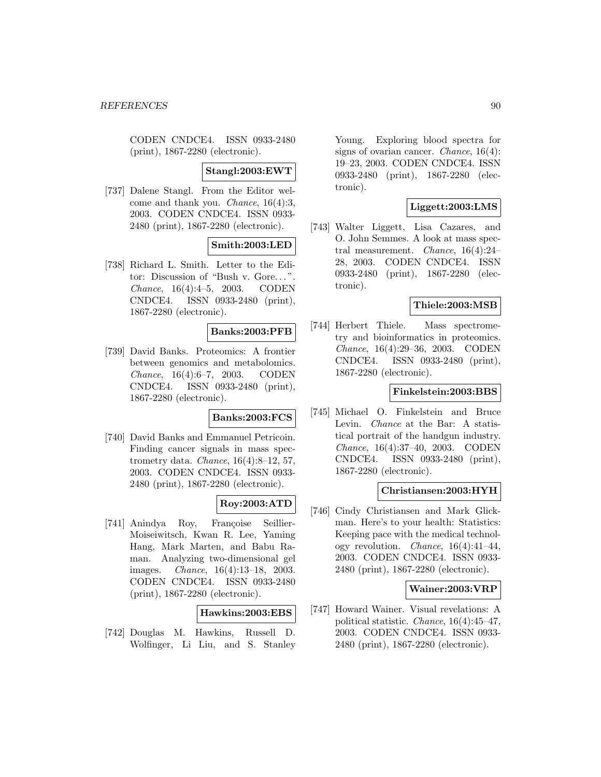CODEN CNDCE4. ISSN 0933-2480 (print), 1867-2280 (electronic).

### **Stangl:2003:EWT**

[737] Dalene Stangl. From the Editor welcome and thank you. Chance, 16(4):3, 2003. CODEN CNDCE4. ISSN 0933- 2480 (print), 1867-2280 (electronic).

# **Smith:2003:LED**

[738] Richard L. Smith. Letter to the Editor: Discussion of "Bush v. Gore... ". Chance, 16(4):4–5, 2003. CODEN CNDCE4. ISSN 0933-2480 (print), 1867-2280 (electronic).

## **Banks:2003:PFB**

[739] David Banks. Proteomics: A frontier between genomics and metabolomics. Chance, 16(4):6–7, 2003. CODEN CNDCE4. ISSN 0933-2480 (print), 1867-2280 (electronic).

#### **Banks:2003:FCS**

[740] David Banks and Emmanuel Petricoin. Finding cancer signals in mass spectrometry data. *Chance*,  $16(4):8-12$ , 57, 2003. CODEN CNDCE4. ISSN 0933- 2480 (print), 1867-2280 (electronic).

## **Roy:2003:ATD**

[741] Anindya Roy, Françoise Seillier-Moiseiwitsch, Kwan R. Lee, Yaming Hang, Mark Marten, and Babu Raman. Analyzing two-dimensional gel images. Chance, 16(4):13–18, 2003. CODEN CNDCE4. ISSN 0933-2480 (print), 1867-2280 (electronic).

## **Hawkins:2003:EBS**

[742] Douglas M. Hawkins, Russell D. Wolfinger, Li Liu, and S. Stanley

Young. Exploring blood spectra for signs of ovarian cancer. Chance, 16(4): 19–23, 2003. CODEN CNDCE4. ISSN 0933-2480 (print), 1867-2280 (electronic).

# **Liggett:2003:LMS**

[743] Walter Liggett, Lisa Cazares, and O. John Semmes. A look at mass spectral measurement. Chance, 16(4):24– 28, 2003. CODEN CNDCE4. ISSN 0933-2480 (print), 1867-2280 (electronic).

### **Thiele:2003:MSB**

[744] Herbert Thiele. Mass spectrometry and bioinformatics in proteomics. Chance, 16(4):29–36, 2003. CODEN CNDCE4. ISSN 0933-2480 (print), 1867-2280 (electronic).

## **Finkelstein:2003:BBS**

[745] Michael O. Finkelstein and Bruce Levin. Chance at the Bar: A statistical portrait of the handgun industry. Chance, 16(4):37–40, 2003. CODEN CNDCE4. ISSN 0933-2480 (print), 1867-2280 (electronic).

### **Christiansen:2003:HYH**

[746] Cindy Christiansen and Mark Glickman. Here's to your health: Statistics: Keeping pace with the medical technology revolution. Chance, 16(4):41–44, 2003. CODEN CNDCE4. ISSN 0933- 2480 (print), 1867-2280 (electronic).

#### **Wainer:2003:VRP**

[747] Howard Wainer. Visual revelations: A political statistic. Chance, 16(4):45–47, 2003. CODEN CNDCE4. ISSN 0933- 2480 (print), 1867-2280 (electronic).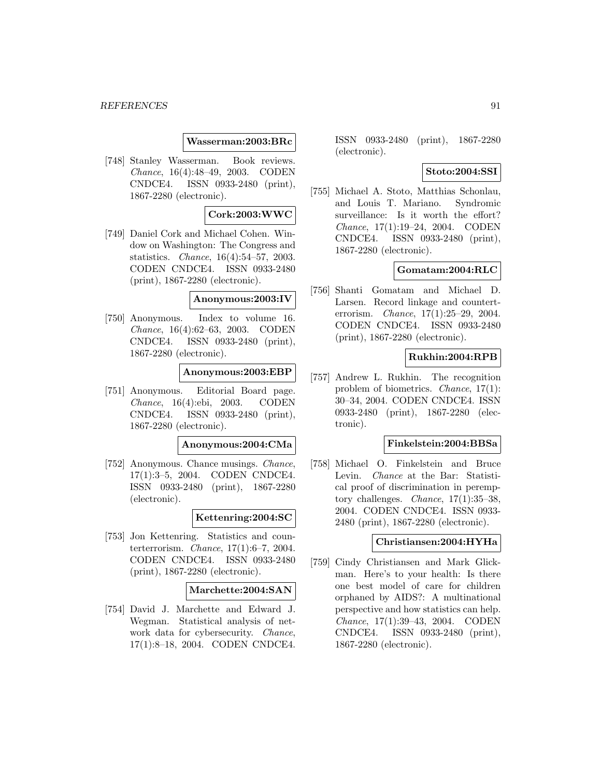### **Wasserman:2003:BRc**

[748] Stanley Wasserman. Book reviews. Chance, 16(4):48–49, 2003. CODEN CNDCE4. ISSN 0933-2480 (print), 1867-2280 (electronic).

### **Cork:2003:WWC**

[749] Daniel Cork and Michael Cohen. Window on Washington: The Congress and statistics. Chance, 16(4):54–57, 2003. CODEN CNDCE4. ISSN 0933-2480 (print), 1867-2280 (electronic).

#### **Anonymous:2003:IV**

[750] Anonymous. Index to volume 16. Chance, 16(4):62–63, 2003. CODEN CNDCE4. ISSN 0933-2480 (print), 1867-2280 (electronic).

#### **Anonymous:2003:EBP**

[751] Anonymous. Editorial Board page. Chance, 16(4):ebi, 2003. CODEN CNDCE4. ISSN 0933-2480 (print), 1867-2280 (electronic).

#### **Anonymous:2004:CMa**

[752] Anonymous. Chance musings. Chance, 17(1):3–5, 2004. CODEN CNDCE4. ISSN 0933-2480 (print), 1867-2280 (electronic).

### **Kettenring:2004:SC**

[753] Jon Kettenring. Statistics and counterterrorism. Chance, 17(1):6–7, 2004. CODEN CNDCE4. ISSN 0933-2480 (print), 1867-2280 (electronic).

## **Marchette:2004:SAN**

[754] David J. Marchette and Edward J. Wegman. Statistical analysis of network data for cybersecurity. Chance, 17(1):8–18, 2004. CODEN CNDCE4.

ISSN 0933-2480 (print), 1867-2280 (electronic).

# **Stoto:2004:SSI**

[755] Michael A. Stoto, Matthias Schonlau, and Louis T. Mariano. Syndromic surveillance: Is it worth the effort? Chance, 17(1):19–24, 2004. CODEN CNDCE4. ISSN 0933-2480 (print), 1867-2280 (electronic).

# **Gomatam:2004:RLC**

[756] Shanti Gomatam and Michael D. Larsen. Record linkage and counterterrorism. Chance, 17(1):25–29, 2004. CODEN CNDCE4. ISSN 0933-2480 (print), 1867-2280 (electronic).

# **Rukhin:2004:RPB**

[757] Andrew L. Rukhin. The recognition problem of biometrics. Chance, 17(1): 30–34, 2004. CODEN CNDCE4. ISSN 0933-2480 (print), 1867-2280 (electronic).

# **Finkelstein:2004:BBSa**

[758] Michael O. Finkelstein and Bruce Levin. Chance at the Bar: Statistical proof of discrimination in peremptory challenges. Chance, 17(1):35–38, 2004. CODEN CNDCE4. ISSN 0933- 2480 (print), 1867-2280 (electronic).

### **Christiansen:2004:HYHa**

[759] Cindy Christiansen and Mark Glickman. Here's to your health: Is there one best model of care for children orphaned by AIDS?: A multinational perspective and how statistics can help. Chance, 17(1):39–43, 2004. CODEN CNDCE4. ISSN 0933-2480 (print), 1867-2280 (electronic).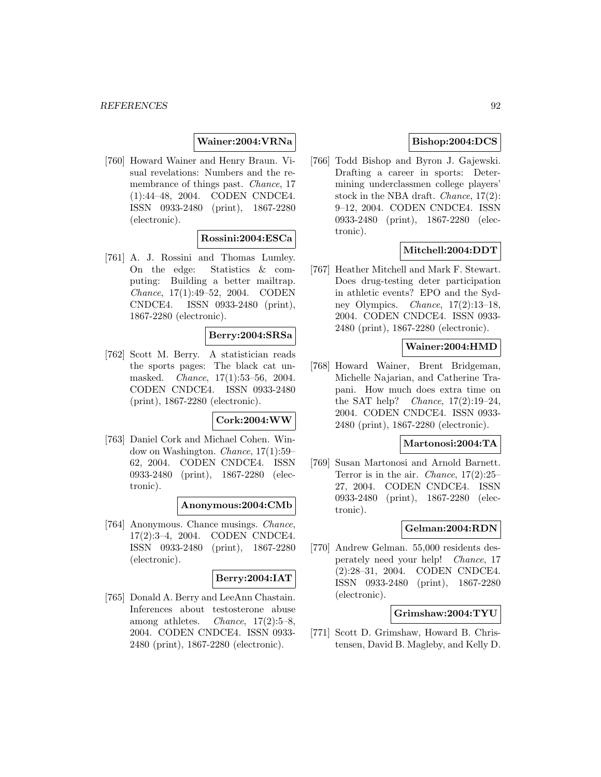# **Wainer:2004:VRNa**

[760] Howard Wainer and Henry Braun. Visual revelations: Numbers and the remembrance of things past. Chance, 17 (1):44–48, 2004. CODEN CNDCE4. ISSN 0933-2480 (print), 1867-2280 (electronic).

# **Rossini:2004:ESCa**

[761] A. J. Rossini and Thomas Lumley. On the edge: Statistics & computing: Building a better mailtrap. Chance, 17(1):49–52, 2004. CODEN CNDCE4. ISSN 0933-2480 (print), 1867-2280 (electronic).

## **Berry:2004:SRSa**

[762] Scott M. Berry. A statistician reads the sports pages: The black cat unmasked. Chance, 17(1):53–56, 2004. CODEN CNDCE4. ISSN 0933-2480 (print), 1867-2280 (electronic).

#### **Cork:2004:WW**

[763] Daniel Cork and Michael Cohen. Window on Washington. Chance, 17(1):59– 62, 2004. CODEN CNDCE4. ISSN 0933-2480 (print), 1867-2280 (electronic).

#### **Anonymous:2004:CMb**

[764] Anonymous. Chance musings. Chance, 17(2):3–4, 2004. CODEN CNDCE4. ISSN 0933-2480 (print), 1867-2280 (electronic).

#### **Berry:2004:IAT**

[765] Donald A. Berry and LeeAnn Chastain. Inferences about testosterone abuse among athletes. *Chance*,  $17(2):5-8$ , 2004. CODEN CNDCE4. ISSN 0933- 2480 (print), 1867-2280 (electronic).

# **Bishop:2004:DCS**

[766] Todd Bishop and Byron J. Gajewski. Drafting a career in sports: Determining underclassmen college players' stock in the NBA draft. Chance, 17(2): 9–12, 2004. CODEN CNDCE4. ISSN 0933-2480 (print), 1867-2280 (electronic).

### **Mitchell:2004:DDT**

[767] Heather Mitchell and Mark F. Stewart. Does drug-testing deter participation in athletic events? EPO and the Sydney Olympics. Chance, 17(2):13–18, 2004. CODEN CNDCE4. ISSN 0933- 2480 (print), 1867-2280 (electronic).

### **Wainer:2004:HMD**

[768] Howard Wainer, Brent Bridgeman, Michelle Najarian, and Catherine Trapani. How much does extra time on the SAT help? Chance,  $17(2):19-24$ , 2004. CODEN CNDCE4. ISSN 0933- 2480 (print), 1867-2280 (electronic).

#### **Martonosi:2004:TA**

[769] Susan Martonosi and Arnold Barnett. Terror is in the air. Chance, 17(2):25– 27, 2004. CODEN CNDCE4. ISSN 0933-2480 (print), 1867-2280 (electronic).

# **Gelman:2004:RDN**

[770] Andrew Gelman. 55,000 residents desperately need your help! Chance, 17 (2):28–31, 2004. CODEN CNDCE4. ISSN 0933-2480 (print), 1867-2280 (electronic).

### **Grimshaw:2004:TYU**

[771] Scott D. Grimshaw, Howard B. Christensen, David B. Magleby, and Kelly D.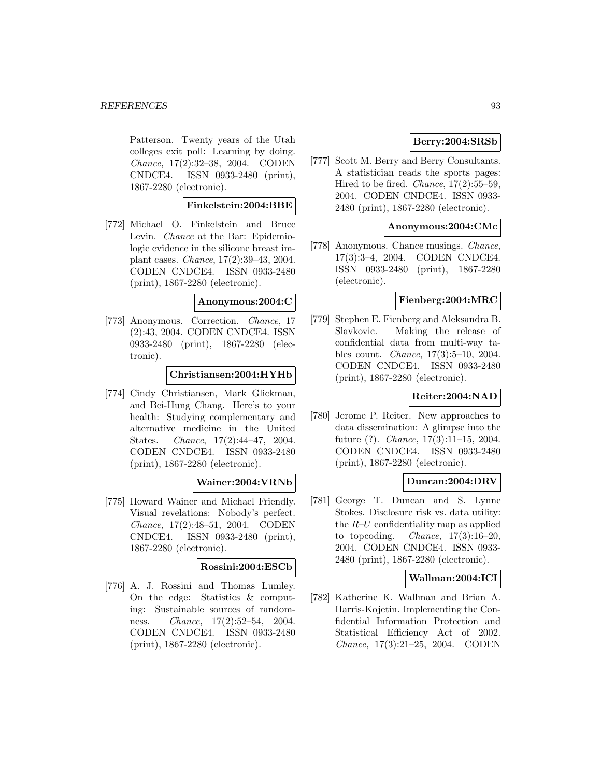#### *REFERENCES* 93

Patterson. Twenty years of the Utah colleges exit poll: Learning by doing. Chance, 17(2):32–38, 2004. CODEN CNDCE4. ISSN 0933-2480 (print), 1867-2280 (electronic).

## **Finkelstein:2004:BBE**

[772] Michael O. Finkelstein and Bruce Levin. Chance at the Bar: Epidemiologic evidence in the silicone breast implant cases. Chance, 17(2):39–43, 2004. CODEN CNDCE4. ISSN 0933-2480 (print), 1867-2280 (electronic).

#### **Anonymous:2004:C**

[773] Anonymous. Correction. Chance, 17 (2):43, 2004. CODEN CNDCE4. ISSN 0933-2480 (print), 1867-2280 (electronic).

#### **Christiansen:2004:HYHb**

[774] Cindy Christiansen, Mark Glickman, and Bei-Hung Chang. Here's to your health: Studying complementary and alternative medicine in the United States. Chance, 17(2):44–47, 2004. CODEN CNDCE4. ISSN 0933-2480 (print), 1867-2280 (electronic).

## **Wainer:2004:VRNb**

[775] Howard Wainer and Michael Friendly. Visual revelations: Nobody's perfect. Chance, 17(2):48–51, 2004. CODEN CNDCE4. ISSN 0933-2480 (print), 1867-2280 (electronic).

# **Rossini:2004:ESCb**

[776] A. J. Rossini and Thomas Lumley. On the edge: Statistics & computing: Sustainable sources of randomness. Chance, 17(2):52–54, 2004. CODEN CNDCE4. ISSN 0933-2480 (print), 1867-2280 (electronic).

# **Berry:2004:SRSb**

[777] Scott M. Berry and Berry Consultants. A statistician reads the sports pages: Hired to be fired. *Chance*,  $17(2):55-59$ , 2004. CODEN CNDCE4. ISSN 0933- 2480 (print), 1867-2280 (electronic).

# **Anonymous:2004:CMc**

[778] Anonymous. Chance musings. Chance, 17(3):3–4, 2004. CODEN CNDCE4. ISSN 0933-2480 (print), 1867-2280 (electronic).

#### **Fienberg:2004:MRC**

[779] Stephen E. Fienberg and Aleksandra B. Slavkovic. Making the release of confidential data from multi-way tables count. Chance, 17(3):5–10, 2004. CODEN CNDCE4. ISSN 0933-2480 (print), 1867-2280 (electronic).

## **Reiter:2004:NAD**

[780] Jerome P. Reiter. New approaches to data dissemination: A glimpse into the future (?). Chance, 17(3):11–15, 2004. CODEN CNDCE4. ISSN 0933-2480 (print), 1867-2280 (electronic).

# **Duncan:2004:DRV**

[781] George T. Duncan and S. Lynne Stokes. Disclosure risk vs. data utility: the  $R-U$  confidentiality map as applied to topcoding. *Chance*,  $17(3):16-20$ , 2004. CODEN CNDCE4. ISSN 0933- 2480 (print), 1867-2280 (electronic).

#### **Wallman:2004:ICI**

[782] Katherine K. Wallman and Brian A. Harris-Kojetin. Implementing the Confidential Information Protection and Statistical Efficiency Act of 2002. Chance, 17(3):21–25, 2004. CODEN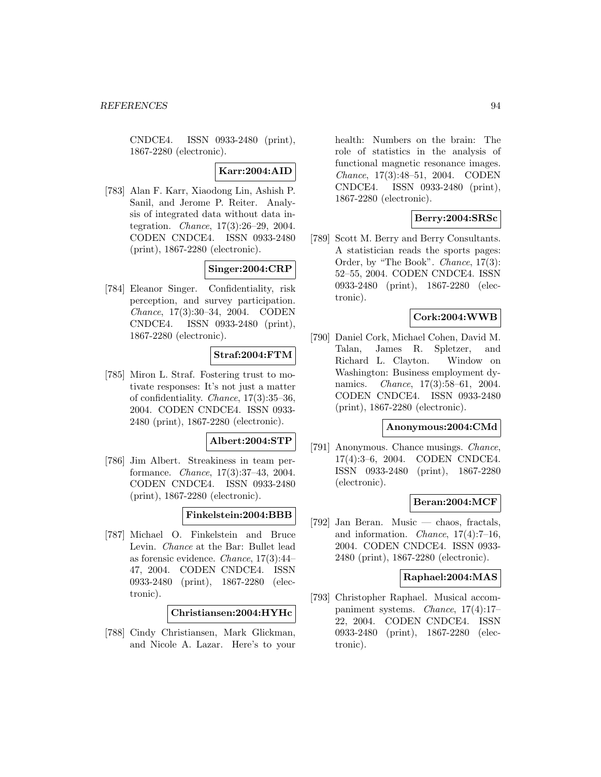CNDCE4. ISSN 0933-2480 (print), 1867-2280 (electronic).

# **Karr:2004:AID**

[783] Alan F. Karr, Xiaodong Lin, Ashish P. Sanil, and Jerome P. Reiter. Analysis of integrated data without data integration. Chance, 17(3):26–29, 2004. CODEN CNDCE4. ISSN 0933-2480 (print), 1867-2280 (electronic).

# **Singer:2004:CRP**

[784] Eleanor Singer. Confidentiality, risk perception, and survey participation. Chance, 17(3):30–34, 2004. CODEN CNDCE4. ISSN 0933-2480 (print), 1867-2280 (electronic).

# **Straf:2004:FTM**

[785] Miron L. Straf. Fostering trust to motivate responses: It's not just a matter of confidentiality. Chance, 17(3):35–36, 2004. CODEN CNDCE4. ISSN 0933- 2480 (print), 1867-2280 (electronic).

# **Albert:2004:STP**

[786] Jim Albert. Streakiness in team performance. Chance, 17(3):37–43, 2004. CODEN CNDCE4. ISSN 0933-2480 (print), 1867-2280 (electronic).

#### **Finkelstein:2004:BBB**

[787] Michael O. Finkelstein and Bruce Levin. Chance at the Bar: Bullet lead as forensic evidence. Chance, 17(3):44– 47, 2004. CODEN CNDCE4. ISSN 0933-2480 (print), 1867-2280 (electronic).

**Christiansen:2004:HYHc**

[788] Cindy Christiansen, Mark Glickman, and Nicole A. Lazar. Here's to your health: Numbers on the brain: The role of statistics in the analysis of functional magnetic resonance images. Chance, 17(3):48–51, 2004. CODEN CNDCE4. ISSN 0933-2480 (print), 1867-2280 (electronic).

# **Berry:2004:SRSc**

[789] Scott M. Berry and Berry Consultants. A statistician reads the sports pages: Order, by "The Book". Chance, 17(3): 52–55, 2004. CODEN CNDCE4. ISSN 0933-2480 (print), 1867-2280 (electronic).

## **Cork:2004:WWB**

[790] Daniel Cork, Michael Cohen, David M. Talan, James R. Spletzer, and Richard L. Clayton. Window on Washington: Business employment dynamics. Chance, 17(3):58–61, 2004. CODEN CNDCE4. ISSN 0933-2480 (print), 1867-2280 (electronic).

#### **Anonymous:2004:CMd**

[791] Anonymous. Chance musings. Chance, 17(4):3–6, 2004. CODEN CNDCE4. ISSN 0933-2480 (print), 1867-2280 (electronic).

# **Beran:2004:MCF**

[792] Jan Beran. Music — chaos, fractals, and information. Chance, 17(4):7–16, 2004. CODEN CNDCE4. ISSN 0933- 2480 (print), 1867-2280 (electronic).

#### **Raphael:2004:MAS**

[793] Christopher Raphael. Musical accompaniment systems. Chance, 17(4):17– 22, 2004. CODEN CNDCE4. ISSN 0933-2480 (print), 1867-2280 (electronic).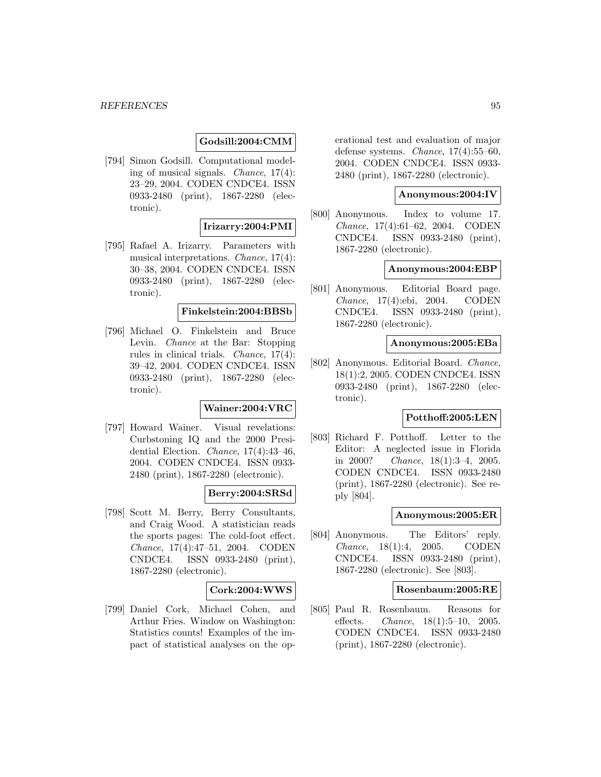## **Godsill:2004:CMM**

[794] Simon Godsill. Computational modeling of musical signals. Chance, 17(4): 23–29, 2004. CODEN CNDCE4. ISSN 0933-2480 (print), 1867-2280 (electronic).

### **Irizarry:2004:PMI**

[795] Rafael A. Irizarry. Parameters with musical interpretations. Chance, 17(4): 30–38, 2004. CODEN CNDCE4. ISSN 0933-2480 (print), 1867-2280 (electronic).

### **Finkelstein:2004:BBSb**

[796] Michael O. Finkelstein and Bruce Levin. Chance at the Bar: Stopping rules in clinical trials. Chance, 17(4): 39–42, 2004. CODEN CNDCE4. ISSN 0933-2480 (print), 1867-2280 (electronic).

# **Wainer:2004:VRC**

[797] Howard Wainer. Visual revelations: Curbstoning IQ and the 2000 Presidential Election. Chance, 17(4):43–46, 2004. CODEN CNDCE4. ISSN 0933- 2480 (print), 1867-2280 (electronic).

## **Berry:2004:SRSd**

[798] Scott M. Berry, Berry Consultants, and Craig Wood. A statistician reads the sports pages: The cold-foot effect. Chance, 17(4):47–51, 2004. CODEN CNDCE4. ISSN 0933-2480 (print), 1867-2280 (electronic).

#### **Cork:2004:WWS**

[799] Daniel Cork, Michael Cohen, and Arthur Fries. Window on Washington: Statistics counts! Examples of the impact of statistical analyses on the operational test and evaluation of major defense systems. Chance, 17(4):55–60, 2004. CODEN CNDCE4. ISSN 0933- 2480 (print), 1867-2280 (electronic).

# **Anonymous:2004:IV**

[800] Anonymous. Index to volume 17. Chance, 17(4):61–62, 2004. CODEN CNDCE4. ISSN 0933-2480 (print), 1867-2280 (electronic).

#### **Anonymous:2004:EBP**

[801] Anonymous. Editorial Board page. Chance, 17(4):ebi, 2004. CODEN CNDCE4. ISSN 0933-2480 (print), 1867-2280 (electronic).

#### **Anonymous:2005:EBa**

[802] Anonymous. Editorial Board. Chance, 18(1):2, 2005. CODEN CNDCE4. ISSN 0933-2480 (print), 1867-2280 (electronic).

## **Potthoff:2005:LEN**

[803] Richard F. Potthoff. Letter to the Editor: A neglected issue in Florida in 2000? Chance, 18(1):3–4, 2005. CODEN CNDCE4. ISSN 0933-2480 (print), 1867-2280 (electronic). See reply [804].

#### **Anonymous:2005:ER**

[804] Anonymous. The Editors' reply. Chance, 18(1):4, 2005. CODEN CNDCE4. ISSN 0933-2480 (print), 1867-2280 (electronic). See [803].

# **Rosenbaum:2005:RE**

[805] Paul R. Rosenbaum. Reasons for effects. Chance, 18(1):5–10, 2005. CODEN CNDCE4. ISSN 0933-2480 (print), 1867-2280 (electronic).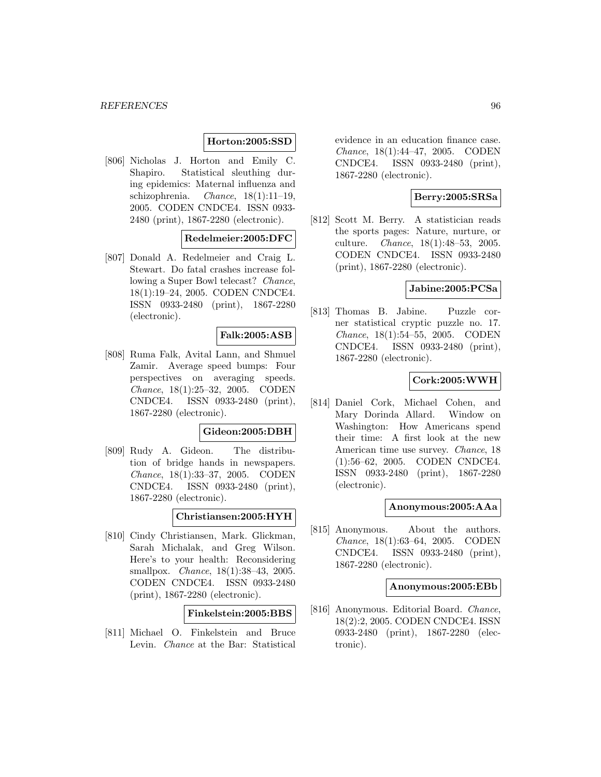### **Horton:2005:SSD**

[806] Nicholas J. Horton and Emily C. Shapiro. Statistical sleuthing during epidemics: Maternal influenza and schizophrenia. Chance,  $18(1):11-19$ , 2005. CODEN CNDCE4. ISSN 0933- 2480 (print), 1867-2280 (electronic).

# **Redelmeier:2005:DFC**

[807] Donald A. Redelmeier and Craig L. Stewart. Do fatal crashes increase following a Super Bowl telecast? Chance, 18(1):19–24, 2005. CODEN CNDCE4. ISSN 0933-2480 (print), 1867-2280 (electronic).

### **Falk:2005:ASB**

[808] Ruma Falk, Avital Lann, and Shmuel Zamir. Average speed bumps: Four perspectives on averaging speeds. Chance, 18(1):25–32, 2005. CODEN CNDCE4. ISSN 0933-2480 (print), 1867-2280 (electronic).

#### **Gideon:2005:DBH**

[809] Rudy A. Gideon. The distribution of bridge hands in newspapers. Chance, 18(1):33–37, 2005. CODEN CNDCE4. ISSN 0933-2480 (print), 1867-2280 (electronic).

#### **Christiansen:2005:HYH**

[810] Cindy Christiansen, Mark. Glickman, Sarah Michalak, and Greg Wilson. Here's to your health: Reconsidering smallpox. *Chance*, 18(1):38-43, 2005. CODEN CNDCE4. ISSN 0933-2480 (print), 1867-2280 (electronic).

## **Finkelstein:2005:BBS**

[811] Michael O. Finkelstein and Bruce Levin. Chance at the Bar: Statistical

evidence in an education finance case. Chance, 18(1):44–47, 2005. CODEN CNDCE4. ISSN 0933-2480 (print), 1867-2280 (electronic).

# **Berry:2005:SRSa**

[812] Scott M. Berry. A statistician reads the sports pages: Nature, nurture, or culture. Chance, 18(1):48–53, 2005. CODEN CNDCE4. ISSN 0933-2480 (print), 1867-2280 (electronic).

### **Jabine:2005:PCSa**

[813] Thomas B. Jabine. Puzzle corner statistical cryptic puzzle no. 17. Chance, 18(1):54–55, 2005. CODEN CNDCE4. ISSN 0933-2480 (print), 1867-2280 (electronic).

# **Cork:2005:WWH**

[814] Daniel Cork, Michael Cohen, and Mary Dorinda Allard. Window on Washington: How Americans spend their time: A first look at the new American time use survey. Chance, 18 (1):56–62, 2005. CODEN CNDCE4. ISSN 0933-2480 (print), 1867-2280 (electronic).

### **Anonymous:2005:AAa**

[815] Anonymous. About the authors. Chance, 18(1):63–64, 2005. CODEN CNDCE4. ISSN 0933-2480 (print), 1867-2280 (electronic).

### **Anonymous:2005:EBb**

[816] Anonymous. Editorial Board. Chance, 18(2):2, 2005. CODEN CNDCE4. ISSN 0933-2480 (print), 1867-2280 (electronic).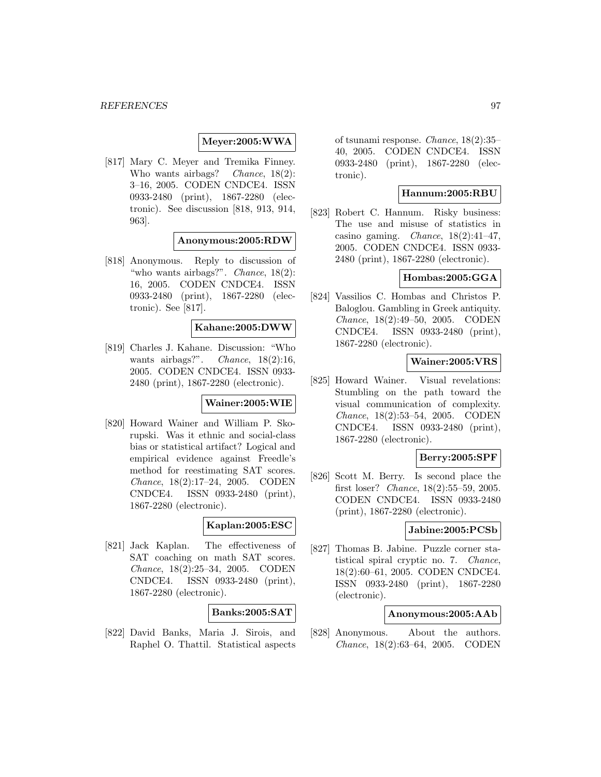### **Meyer:2005:WWA**

[817] Mary C. Meyer and Tremika Finney. Who wants airbags? Chance, 18(2): 3–16, 2005. CODEN CNDCE4. ISSN 0933-2480 (print), 1867-2280 (electronic). See discussion [818, 913, 914, 963].

#### **Anonymous:2005:RDW**

[818] Anonymous. Reply to discussion of "who wants airbags?". Chance, 18(2): 16, 2005. CODEN CNDCE4. ISSN 0933-2480 (print), 1867-2280 (electronic). See [817].

#### **Kahane:2005:DWW**

[819] Charles J. Kahane. Discussion: "Who wants airbags?". Chance, 18(2):16, 2005. CODEN CNDCE4. ISSN 0933- 2480 (print), 1867-2280 (electronic).

# **Wainer:2005:WIE**

[820] Howard Wainer and William P. Skorupski. Was it ethnic and social-class bias or statistical artifact? Logical and empirical evidence against Freedle's method for reestimating SAT scores. Chance, 18(2):17–24, 2005. CODEN CNDCE4. ISSN 0933-2480 (print), 1867-2280 (electronic).

## **Kaplan:2005:ESC**

[821] Jack Kaplan. The effectiveness of SAT coaching on math SAT scores. Chance, 18(2):25–34, 2005. CODEN CNDCE4. ISSN 0933-2480 (print), 1867-2280 (electronic).

# **Banks:2005:SAT**

[822] David Banks, Maria J. Sirois, and Raphel O. Thattil. Statistical aspects of tsunami response. Chance, 18(2):35– 40, 2005. CODEN CNDCE4. ISSN 0933-2480 (print), 1867-2280 (electronic).

## **Hannum:2005:RBU**

[823] Robert C. Hannum. Risky business: The use and misuse of statistics in casino gaming. *Chance*,  $18(2):41-47$ , 2005. CODEN CNDCE4. ISSN 0933- 2480 (print), 1867-2280 (electronic).

## **Hombas:2005:GGA**

[824] Vassilios C. Hombas and Christos P. Baloglou. Gambling in Greek antiquity. Chance, 18(2):49–50, 2005. CODEN CNDCE4. ISSN 0933-2480 (print), 1867-2280 (electronic).

# **Wainer:2005:VRS**

[825] Howard Wainer. Visual revelations: Stumbling on the path toward the visual communication of complexity. Chance, 18(2):53–54, 2005. CODEN CNDCE4. ISSN 0933-2480 (print), 1867-2280 (electronic).

# **Berry:2005:SPF**

[826] Scott M. Berry. Is second place the first loser? Chance, 18(2):55–59, 2005. CODEN CNDCE4. ISSN 0933-2480 (print), 1867-2280 (electronic).

## **Jabine:2005:PCSb**

[827] Thomas B. Jabine. Puzzle corner statistical spiral cryptic no. 7. Chance, 18(2):60–61, 2005. CODEN CNDCE4. ISSN 0933-2480 (print), 1867-2280 (electronic).

# **Anonymous:2005:AAb**

[828] Anonymous. About the authors. Chance, 18(2):63–64, 2005. CODEN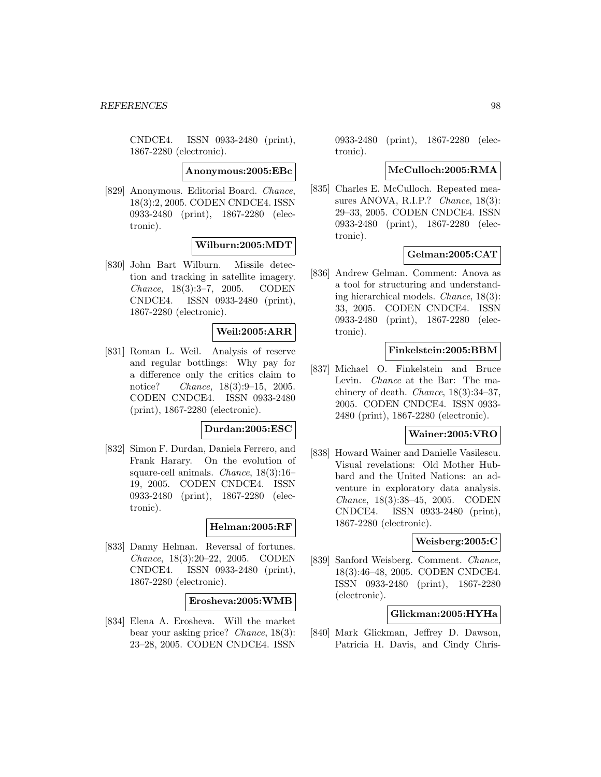CNDCE4. ISSN 0933-2480 (print), 1867-2280 (electronic).

**Anonymous:2005:EBc**

[829] Anonymous. Editorial Board. Chance, 18(3):2, 2005. CODEN CNDCE4. ISSN 0933-2480 (print), 1867-2280 (electronic).

## **Wilburn:2005:MDT**

[830] John Bart Wilburn. Missile detection and tracking in satellite imagery. Chance, 18(3):3–7, 2005. CODEN CNDCE4. ISSN 0933-2480 (print), 1867-2280 (electronic).

## **Weil:2005:ARR**

[831] Roman L. Weil. Analysis of reserve and regular bottlings: Why pay for a difference only the critics claim to notice? *Chance*, 18(3):9–15, 2005. CODEN CNDCE4. ISSN 0933-2480 (print), 1867-2280 (electronic).

#### **Durdan:2005:ESC**

[832] Simon F. Durdan, Daniela Ferrero, and Frank Harary. On the evolution of square-cell animals. Chance, 18(3):16– 19, 2005. CODEN CNDCE4. ISSN 0933-2480 (print), 1867-2280 (electronic).

# **Helman:2005:RF**

[833] Danny Helman. Reversal of fortunes. Chance, 18(3):20–22, 2005. CODEN CNDCE4. ISSN 0933-2480 (print), 1867-2280 (electronic).

### **Erosheva:2005:WMB**

[834] Elena A. Erosheva. Will the market bear your asking price? Chance, 18(3): 23–28, 2005. CODEN CNDCE4. ISSN

0933-2480 (print), 1867-2280 (electronic).

#### **McCulloch:2005:RMA**

[835] Charles E. McCulloch. Repeated measures ANOVA, R.I.P.? Chance, 18(3): 29–33, 2005. CODEN CNDCE4. ISSN 0933-2480 (print), 1867-2280 (electronic).

### **Gelman:2005:CAT**

[836] Andrew Gelman. Comment: Anova as a tool for structuring and understanding hierarchical models. Chance, 18(3): 33, 2005. CODEN CNDCE4. ISSN 0933-2480 (print), 1867-2280 (electronic).

### **Finkelstein:2005:BBM**

[837] Michael O. Finkelstein and Bruce Levin. Chance at the Bar: The machinery of death. Chance, 18(3):34–37, 2005. CODEN CNDCE4. ISSN 0933- 2480 (print), 1867-2280 (electronic).

#### **Wainer:2005:VRO**

[838] Howard Wainer and Danielle Vasilescu. Visual revelations: Old Mother Hubbard and the United Nations: an adventure in exploratory data analysis. Chance, 18(3):38–45, 2005. CODEN CNDCE4. ISSN 0933-2480 (print), 1867-2280 (electronic).

#### **Weisberg:2005:C**

[839] Sanford Weisberg. Comment. Chance, 18(3):46–48, 2005. CODEN CNDCE4. ISSN 0933-2480 (print), 1867-2280 (electronic).

# **Glickman:2005:HYHa**

[840] Mark Glickman, Jeffrey D. Dawson, Patricia H. Davis, and Cindy Chris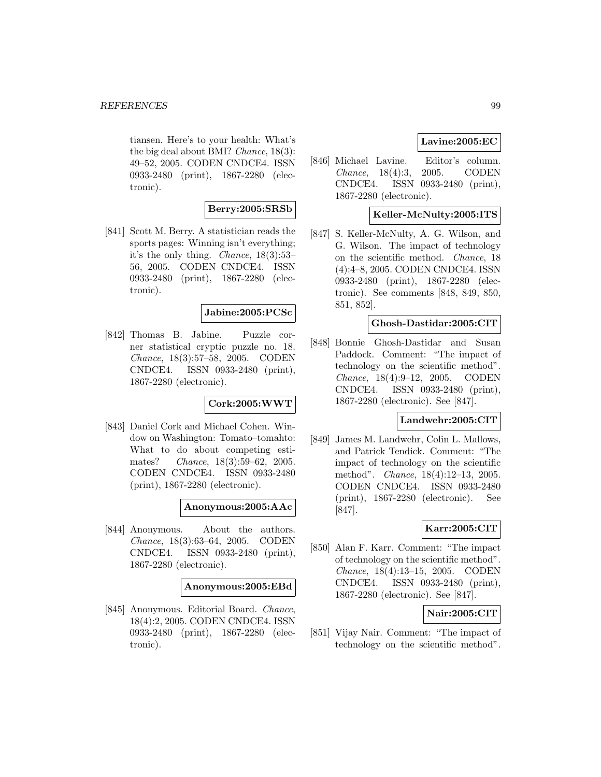tiansen. Here's to your health: What's the big deal about BMI? Chance, 18(3): 49–52, 2005. CODEN CNDCE4. ISSN 0933-2480 (print), 1867-2280 (electronic).

# **Berry:2005:SRSb**

[841] Scott M. Berry. A statistician reads the sports pages: Winning isn't everything; it's the only thing. Chance, 18(3):53– 56, 2005. CODEN CNDCE4. ISSN 0933-2480 (print), 1867-2280 (electronic).

# **Jabine:2005:PCSc**

[842] Thomas B. Jabine. Puzzle corner statistical cryptic puzzle no. 18. Chance, 18(3):57–58, 2005. CODEN CNDCE4. ISSN 0933-2480 (print), 1867-2280 (electronic).

# **Cork:2005:WWT**

[843] Daniel Cork and Michael Cohen. Window on Washington: Tomato–tomahto: What to do about competing estimates? Chance, 18(3):59–62, 2005. CODEN CNDCE4. ISSN 0933-2480 (print), 1867-2280 (electronic).

#### **Anonymous:2005:AAc**

[844] Anonymous. About the authors. Chance, 18(3):63–64, 2005. CODEN CNDCE4. ISSN 0933-2480 (print), 1867-2280 (electronic).

#### **Anonymous:2005:EBd**

[845] Anonymous. Editorial Board. Chance, 18(4):2, 2005. CODEN CNDCE4. ISSN 0933-2480 (print), 1867-2280 (electronic).

# **Lavine:2005:EC**

[846] Michael Lavine. Editor's column. Chance, 18(4):3, 2005. CODEN CNDCE4. ISSN 0933-2480 (print), 1867-2280 (electronic).

# **Keller-McNulty:2005:ITS**

[847] S. Keller-McNulty, A. G. Wilson, and G. Wilson. The impact of technology on the scientific method. Chance, 18 (4):4–8, 2005. CODEN CNDCE4. ISSN 0933-2480 (print), 1867-2280 (electronic). See comments [848, 849, 850, 851, 852].

### **Ghosh-Dastidar:2005:CIT**

[848] Bonnie Ghosh-Dastidar and Susan Paddock. Comment: "The impact of technology on the scientific method". Chance, 18(4):9–12, 2005. CODEN CNDCE4. ISSN 0933-2480 (print), 1867-2280 (electronic). See [847].

# **Landwehr:2005:CIT**

[849] James M. Landwehr, Colin L. Mallows, and Patrick Tendick. Comment: "The impact of technology on the scientific method". Chance, 18(4):12–13, 2005. CODEN CNDCE4. ISSN 0933-2480 (print), 1867-2280 (electronic). See [847].

# **Karr:2005:CIT**

[850] Alan F. Karr. Comment: "The impact of technology on the scientific method". Chance, 18(4):13–15, 2005. CODEN CNDCE4. ISSN 0933-2480 (print), 1867-2280 (electronic). See [847].

# **Nair:2005:CIT**

[851] Vijay Nair. Comment: "The impact of technology on the scientific method".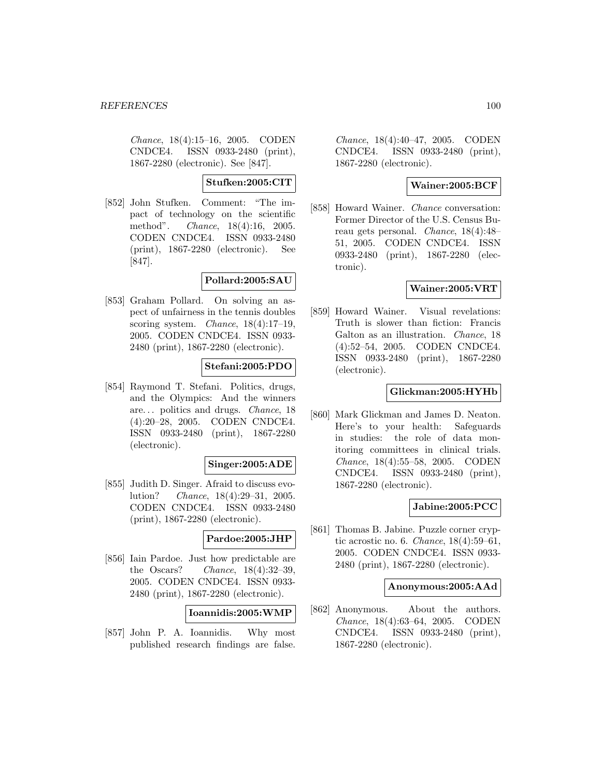Chance, 18(4):15–16, 2005. CODEN CNDCE4. ISSN 0933-2480 (print), 1867-2280 (electronic). See [847].

**Stufken:2005:CIT**

[852] John Stufken. Comment: "The impact of technology on the scientific method". Chance, 18(4):16, 2005. CODEN CNDCE4. ISSN 0933-2480 (print), 1867-2280 (electronic). See [847].

# **Pollard:2005:SAU**

[853] Graham Pollard. On solving an aspect of unfairness in the tennis doubles scoring system. Chance, 18(4):17–19, 2005. CODEN CNDCE4. ISSN 0933- 2480 (print), 1867-2280 (electronic).

# **Stefani:2005:PDO**

[854] Raymond T. Stefani. Politics, drugs, and the Olympics: And the winners are... politics and drugs. Chance, 18 (4):20–28, 2005. CODEN CNDCE4. ISSN 0933-2480 (print), 1867-2280 (electronic).

## **Singer:2005:ADE**

[855] Judith D. Singer. Afraid to discuss evolution? Chance, 18(4):29–31, 2005. CODEN CNDCE4. ISSN 0933-2480 (print), 1867-2280 (electronic).

# **Pardoe:2005:JHP**

[856] Iain Pardoe. Just how predictable are the Oscars? Chance,  $18(4):32-39$ , 2005. CODEN CNDCE4. ISSN 0933- 2480 (print), 1867-2280 (electronic).

**Ioannidis:2005:WMP**

[857] John P. A. Ioannidis. Why most published research findings are false.

Chance, 18(4):40–47, 2005. CODEN CNDCE4. ISSN 0933-2480 (print), 1867-2280 (electronic).

# **Wainer:2005:BCF**

[858] Howard Wainer. Chance conversation: Former Director of the U.S. Census Bureau gets personal. Chance, 18(4):48– 51, 2005. CODEN CNDCE4. ISSN 0933-2480 (print), 1867-2280 (electronic).

# **Wainer:2005:VRT**

[859] Howard Wainer. Visual revelations: Truth is slower than fiction: Francis Galton as an illustration. Chance, 18 (4):52–54, 2005. CODEN CNDCE4. ISSN 0933-2480 (print), 1867-2280 (electronic).

# **Glickman:2005:HYHb**

[860] Mark Glickman and James D. Neaton. Here's to your health: Safeguards in studies: the role of data monitoring committees in clinical trials. Chance, 18(4):55–58, 2005. CODEN CNDCE4. ISSN 0933-2480 (print), 1867-2280 (electronic).

## **Jabine:2005:PCC**

[861] Thomas B. Jabine. Puzzle corner cryptic acrostic no. 6. Chance, 18(4):59–61, 2005. CODEN CNDCE4. ISSN 0933- 2480 (print), 1867-2280 (electronic).

### **Anonymous:2005:AAd**

[862] Anonymous. About the authors. Chance, 18(4):63–64, 2005. CODEN CNDCE4. ISSN 0933-2480 (print), 1867-2280 (electronic).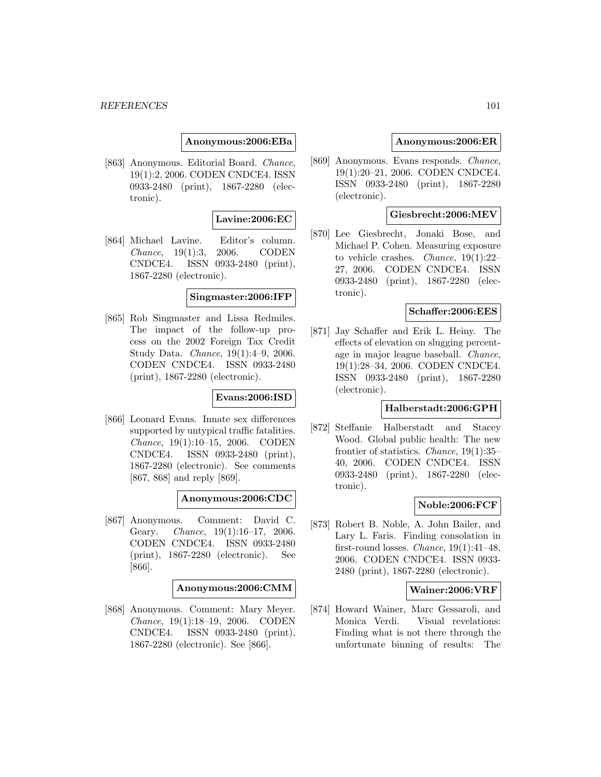### **Anonymous:2006:EBa**

[863] Anonymous. Editorial Board. Chance, 19(1):2, 2006. CODEN CNDCE4. ISSN 0933-2480 (print), 1867-2280 (electronic).

### **Lavine:2006:EC**

[864] Michael Lavine. Editor's column. Chance, 19(1):3, 2006. CODEN CNDCE4. ISSN 0933-2480 (print), 1867-2280 (electronic).

#### **Singmaster:2006:IFP**

[865] Rob Singmaster and Lissa Redmiles. The impact of the follow-up process on the 2002 Foreign Tax Credit Study Data. Chance, 19(1):4–9, 2006. CODEN CNDCE4. ISSN 0933-2480 (print), 1867-2280 (electronic).

#### **Evans:2006:ISD**

[866] Leonard Evans. Innate sex differences supported by untypical traffic fatalities. Chance, 19(1):10–15, 2006. CODEN CNDCE4. ISSN 0933-2480 (print), 1867-2280 (electronic). See comments [867, 868] and reply [869].

#### **Anonymous:2006:CDC**

[867] Anonymous. Comment: David C. Geary. Chance, 19(1):16-17, 2006. CODEN CNDCE4. ISSN 0933-2480 (print), 1867-2280 (electronic). See [866].

#### **Anonymous:2006:CMM**

[868] Anonymous. Comment: Mary Meyer. Chance, 19(1):18–19, 2006. CODEN CNDCE4. ISSN 0933-2480 (print), 1867-2280 (electronic). See [866].

#### **Anonymous:2006:ER**

[869] Anonymous. Evans responds. Chance, 19(1):20–21, 2006. CODEN CNDCE4. ISSN 0933-2480 (print), 1867-2280 (electronic).

# **Giesbrecht:2006:MEV**

[870] Lee Giesbrecht, Jonaki Bose, and Michael P. Cohen. Measuring exposure to vehicle crashes. Chance, 19(1):22– 27, 2006. CODEN CNDCE4. ISSN 0933-2480 (print), 1867-2280 (electronic).

#### **Schaffer:2006:EES**

[871] Jay Schaffer and Erik L. Heiny. The effects of elevation on slugging percentage in major league baseball. Chance, 19(1):28–34, 2006. CODEN CNDCE4. ISSN 0933-2480 (print), 1867-2280 (electronic).

# **Halberstadt:2006:GPH**

[872] Steffanie Halberstadt and Stacey Wood. Global public health: The new frontier of statistics. Chance, 19(1):35– 40, 2006. CODEN CNDCE4. ISSN 0933-2480 (print), 1867-2280 (electronic).

#### **Noble:2006:FCF**

[873] Robert B. Noble, A. John Bailer, and Lary L. Faris. Finding consolation in first-round losses. *Chance*,  $19(1):41-48$ , 2006. CODEN CNDCE4. ISSN 0933- 2480 (print), 1867-2280 (electronic).

#### **Wainer:2006:VRF**

[874] Howard Wainer, Marc Gessaroli, and Monica Verdi. Visual revelations: Finding what is not there through the unfortunate binning of results: The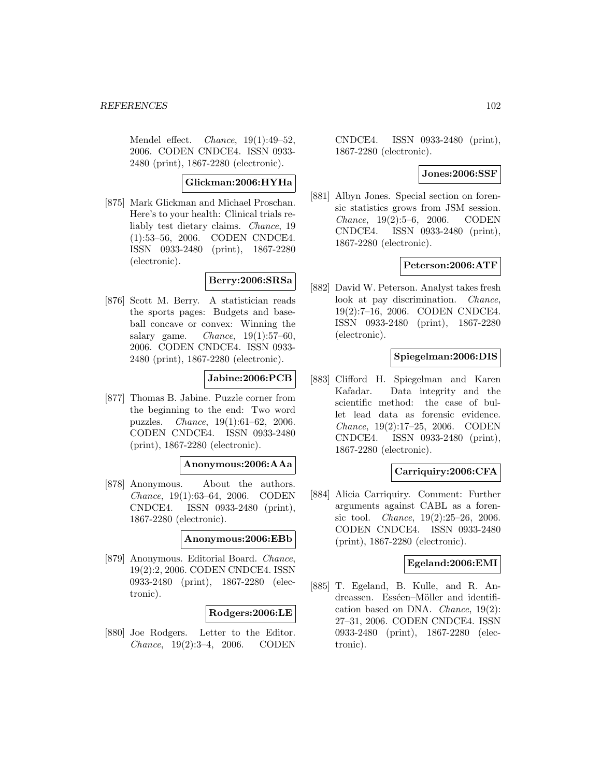Mendel effect. *Chance*,  $19(1):49-52$ , 2006. CODEN CNDCE4. ISSN 0933- 2480 (print), 1867-2280 (electronic).

# **Glickman:2006:HYHa**

[875] Mark Glickman and Michael Proschan. Here's to your health: Clinical trials reliably test dietary claims. Chance, 19 (1):53–56, 2006. CODEN CNDCE4. ISSN 0933-2480 (print), 1867-2280 (electronic).

# **Berry:2006:SRSa**

[876] Scott M. Berry. A statistician reads the sports pages: Budgets and baseball concave or convex: Winning the salary game. Chance,  $19(1):57-60$ , 2006. CODEN CNDCE4. ISSN 0933- 2480 (print), 1867-2280 (electronic).

## **Jabine:2006:PCB**

[877] Thomas B. Jabine. Puzzle corner from the beginning to the end: Two word puzzles. Chance, 19(1):61–62, 2006. CODEN CNDCE4. ISSN 0933-2480 (print), 1867-2280 (electronic).

## **Anonymous:2006:AAa**

[878] Anonymous. About the authors. Chance, 19(1):63–64, 2006. CODEN CNDCE4. ISSN 0933-2480 (print), 1867-2280 (electronic).

### **Anonymous:2006:EBb**

[879] Anonymous. Editorial Board. Chance, 19(2):2, 2006. CODEN CNDCE4. ISSN 0933-2480 (print), 1867-2280 (electronic).

#### **Rodgers:2006:LE**

[880] Joe Rodgers. Letter to the Editor. Chance, 19(2):3–4, 2006. CODEN

CNDCE4. ISSN 0933-2480 (print), 1867-2280 (electronic).

### **Jones:2006:SSF**

[881] Albyn Jones. Special section on forensic statistics grows from JSM session. Chance, 19(2):5–6, 2006. CODEN CNDCE4. ISSN 0933-2480 (print), 1867-2280 (electronic).

#### **Peterson:2006:ATF**

[882] David W. Peterson. Analyst takes fresh look at pay discrimination. *Chance*, 19(2):7–16, 2006. CODEN CNDCE4. ISSN 0933-2480 (print), 1867-2280 (electronic).

# **Spiegelman:2006:DIS**

[883] Clifford H. Spiegelman and Karen Kafadar. Data integrity and the scientific method: the case of bullet lead data as forensic evidence. Chance, 19(2):17–25, 2006. CODEN CNDCE4. ISSN 0933-2480 (print), 1867-2280 (electronic).

### **Carriquiry:2006:CFA**

[884] Alicia Carriquiry. Comment: Further arguments against CABL as a forensic tool. Chance, 19(2):25–26, 2006. CODEN CNDCE4. ISSN 0933-2480 (print), 1867-2280 (electronic).

#### **Egeland:2006:EMI**

[885] T. Egeland, B. Kulle, and R. Andreassen. Esséen–Möller and identification based on DNA. Chance, 19(2): 27–31, 2006. CODEN CNDCE4. ISSN 0933-2480 (print), 1867-2280 (electronic).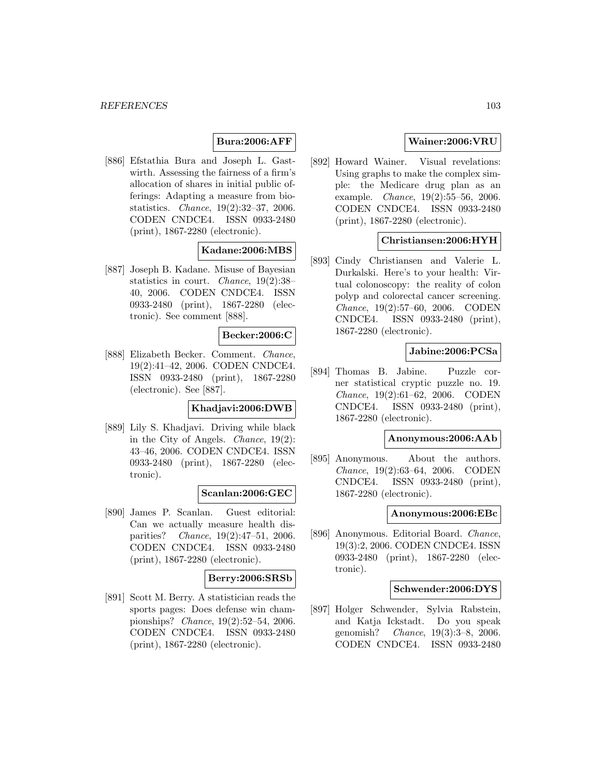# **Bura:2006:AFF**

[886] Efstathia Bura and Joseph L. Gastwirth. Assessing the fairness of a firm's allocation of shares in initial public offerings: Adapting a measure from biostatistics. Chance, 19(2):32–37, 2006. CODEN CNDCE4. ISSN 0933-2480 (print), 1867-2280 (electronic).

# **Kadane:2006:MBS**

[887] Joseph B. Kadane. Misuse of Bayesian statistics in court. Chance, 19(2):38– 40, 2006. CODEN CNDCE4. ISSN 0933-2480 (print), 1867-2280 (electronic). See comment [888].

### **Becker:2006:C**

[888] Elizabeth Becker. Comment. Chance, 19(2):41–42, 2006. CODEN CNDCE4. ISSN 0933-2480 (print), 1867-2280 (electronic). See [887].

### **Khadjavi:2006:DWB**

[889] Lily S. Khadjavi. Driving while black in the City of Angels. Chance, 19(2): 43–46, 2006. CODEN CNDCE4. ISSN 0933-2480 (print), 1867-2280 (electronic).

#### **Scanlan:2006:GEC**

[890] James P. Scanlan. Guest editorial: Can we actually measure health disparities? Chance, 19(2):47–51, 2006. CODEN CNDCE4. ISSN 0933-2480 (print), 1867-2280 (electronic).

## **Berry:2006:SRSb**

[891] Scott M. Berry. A statistician reads the sports pages: Does defense win championships? Chance, 19(2):52–54, 2006. CODEN CNDCE4. ISSN 0933-2480 (print), 1867-2280 (electronic).

# **Wainer:2006:VRU**

[892] Howard Wainer. Visual revelations: Using graphs to make the complex simple: the Medicare drug plan as an example. Chance, 19(2):55–56, 2006. CODEN CNDCE4. ISSN 0933-2480 (print), 1867-2280 (electronic).

### **Christiansen:2006:HYH**

[893] Cindy Christiansen and Valerie L. Durkalski. Here's to your health: Virtual colonoscopy: the reality of colon polyp and colorectal cancer screening. Chance, 19(2):57–60, 2006. CODEN CNDCE4. ISSN 0933-2480 (print), 1867-2280 (electronic).

### **Jabine:2006:PCSa**

[894] Thomas B. Jabine. Puzzle corner statistical cryptic puzzle no. 19. Chance, 19(2):61–62, 2006. CODEN CNDCE4. ISSN 0933-2480 (print), 1867-2280 (electronic).

# **Anonymous:2006:AAb**

[895] Anonymous. About the authors. Chance, 19(2):63–64, 2006. CODEN CNDCE4. ISSN 0933-2480 (print), 1867-2280 (electronic).

## **Anonymous:2006:EBc**

[896] Anonymous. Editorial Board. Chance, 19(3):2, 2006. CODEN CNDCE4. ISSN 0933-2480 (print), 1867-2280 (electronic).

### **Schwender:2006:DYS**

[897] Holger Schwender, Sylvia Rabstein, and Katja Ickstadt. Do you speak genomish? Chance, 19(3):3–8, 2006. CODEN CNDCE4. ISSN 0933-2480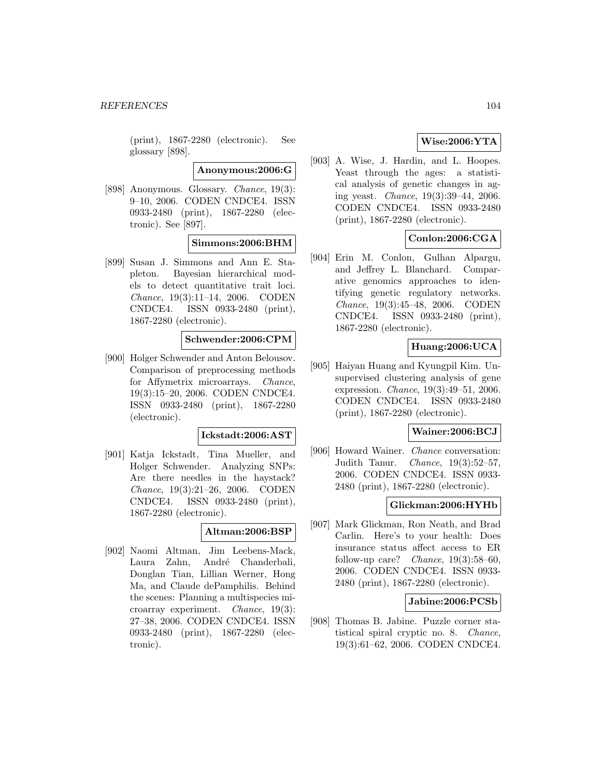(print), 1867-2280 (electronic). See glossary [898].

**Anonymous:2006:G**

[898] Anonymous. Glossary. Chance, 19(3): 9–10, 2006. CODEN CNDCE4. ISSN 0933-2480 (print), 1867-2280 (electronic). See [897].

### **Simmons:2006:BHM**

[899] Susan J. Simmons and Ann E. Stapleton. Bayesian hierarchical models to detect quantitative trait loci. Chance, 19(3):11–14, 2006. CODEN CNDCE4. ISSN 0933-2480 (print), 1867-2280 (electronic).

# **Schwender:2006:CPM**

[900] Holger Schwender and Anton Belousov. Comparison of preprocessing methods for Affymetrix microarrays. Chance, 19(3):15–20, 2006. CODEN CNDCE4. ISSN 0933-2480 (print), 1867-2280 (electronic).

#### **Ickstadt:2006:AST**

[901] Katja Ickstadt, Tina Mueller, and Holger Schwender. Analyzing SNPs: Are there needles in the haystack? Chance, 19(3):21–26, 2006. CODEN CNDCE4. ISSN 0933-2480 (print), 1867-2280 (electronic).

### **Altman:2006:BSP**

[902] Naomi Altman, Jim Leebens-Mack, Laura Zahn, André Chanderbali, Donglan Tian, Lillian Werner, Hong Ma, and Claude dePamphilis. Behind the scenes: Planning a multispecies microarray experiment. Chance, 19(3): 27–38, 2006. CODEN CNDCE4. ISSN 0933-2480 (print), 1867-2280 (electronic).

# **Wise:2006:YTA**

[903] A. Wise, J. Hardin, and L. Hoopes. Yeast through the ages: a statistical analysis of genetic changes in aging yeast. Chance, 19(3):39–44, 2006. CODEN CNDCE4. ISSN 0933-2480 (print), 1867-2280 (electronic).

# **Conlon:2006:CGA**

[904] Erin M. Conlon, Gulhan Alpargu, and Jeffrey L. Blanchard. Comparative genomics approaches to identifying genetic regulatory networks. Chance, 19(3):45–48, 2006. CODEN CNDCE4. ISSN 0933-2480 (print), 1867-2280 (electronic).

# **Huang:2006:UCA**

[905] Haiyan Huang and Kyungpil Kim. Unsupervised clustering analysis of gene expression. Chance, 19(3):49–51, 2006. CODEN CNDCE4. ISSN 0933-2480 (print), 1867-2280 (electronic).

#### **Wainer:2006:BCJ**

[906] Howard Wainer. Chance conversation: Judith Tanur. Chance, 19(3):52–57, 2006. CODEN CNDCE4. ISSN 0933- 2480 (print), 1867-2280 (electronic).

### **Glickman:2006:HYHb**

[907] Mark Glickman, Ron Neath, and Brad Carlin. Here's to your health: Does insurance status affect access to ER follow-up care? *Chance*,  $19(3):58-60$ , 2006. CODEN CNDCE4. ISSN 0933- 2480 (print), 1867-2280 (electronic).

### **Jabine:2006:PCSb**

[908] Thomas B. Jabine. Puzzle corner statistical spiral cryptic no. 8. Chance, 19(3):61–62, 2006. CODEN CNDCE4.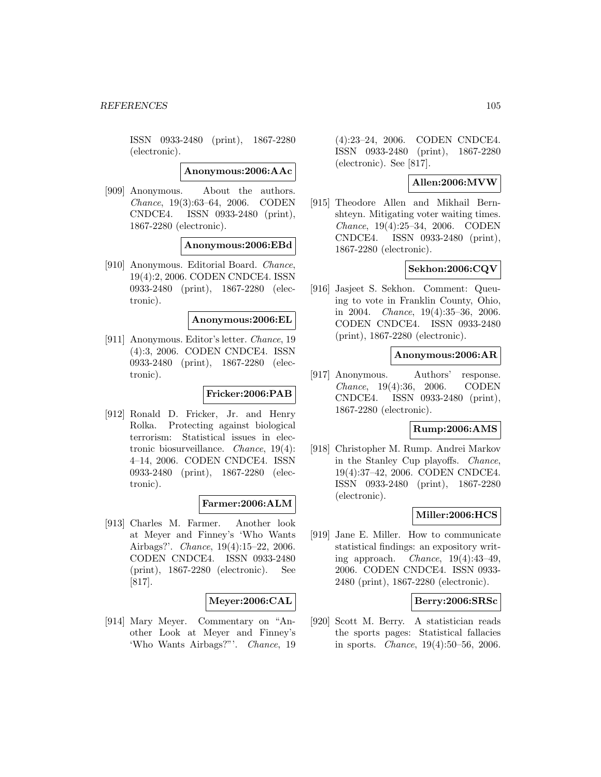ISSN 0933-2480 (print), 1867-2280 (electronic).

**Anonymous:2006:AAc**

[909] Anonymous. About the authors. Chance, 19(3):63–64, 2006. CODEN CNDCE4. ISSN 0933-2480 (print), 1867-2280 (electronic).

**Anonymous:2006:EBd**

[910] Anonymous. Editorial Board. Chance, 19(4):2, 2006. CODEN CNDCE4. ISSN 0933-2480 (print), 1867-2280 (electronic).

#### **Anonymous:2006:EL**

[911] Anonymous. Editor's letter. Chance, 19 (4):3, 2006. CODEN CNDCE4. ISSN 0933-2480 (print), 1867-2280 (electronic).

### **Fricker:2006:PAB**

[912] Ronald D. Fricker, Jr. and Henry Rolka. Protecting against biological terrorism: Statistical issues in electronic biosurveillance. Chance, 19(4): 4–14, 2006. CODEN CNDCE4. ISSN 0933-2480 (print), 1867-2280 (electronic).

## **Farmer:2006:ALM**

[913] Charles M. Farmer. Another look at Meyer and Finney's 'Who Wants Airbags?'. Chance, 19(4):15–22, 2006. CODEN CNDCE4. ISSN 0933-2480 (print), 1867-2280 (electronic). See [817].

#### **Meyer:2006:CAL**

[914] Mary Meyer. Commentary on "Another Look at Meyer and Finney's 'Who Wants Airbags?"'. Chance, 19

(4):23–24, 2006. CODEN CNDCE4. ISSN 0933-2480 (print), 1867-2280 (electronic). See [817].

## **Allen:2006:MVW**

[915] Theodore Allen and Mikhail Bernshteyn. Mitigating voter waiting times. Chance, 19(4):25–34, 2006. CODEN CNDCE4. ISSN 0933-2480 (print), 1867-2280 (electronic).

## **Sekhon:2006:CQV**

[916] Jasjeet S. Sekhon. Comment: Queuing to vote in Franklin County, Ohio, in 2004. Chance, 19(4):35–36, 2006. CODEN CNDCE4. ISSN 0933-2480 (print), 1867-2280 (electronic).

### **Anonymous:2006:AR**

[917] Anonymous. Authors' response. Chance, 19(4):36, 2006. CODEN CNDCE4. ISSN 0933-2480 (print), 1867-2280 (electronic).

#### **Rump:2006:AMS**

[918] Christopher M. Rump. Andrei Markov in the Stanley Cup playoffs. Chance, 19(4):37–42, 2006. CODEN CNDCE4. ISSN 0933-2480 (print), 1867-2280 (electronic).

#### **Miller:2006:HCS**

[919] Jane E. Miller. How to communicate statistical findings: an expository writing approach. Chance, 19(4):43–49, 2006. CODEN CNDCE4. ISSN 0933- 2480 (print), 1867-2280 (electronic).

### **Berry:2006:SRSc**

[920] Scott M. Berry. A statistician reads the sports pages: Statistical fallacies in sports. Chance, 19(4):50–56, 2006.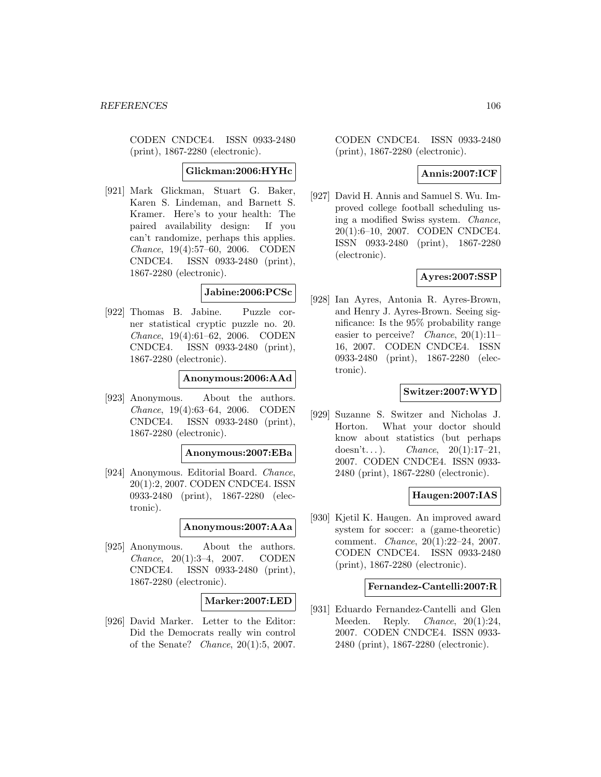CODEN CNDCE4. ISSN 0933-2480 (print), 1867-2280 (electronic).

### **Glickman:2006:HYHc**

[921] Mark Glickman, Stuart G. Baker, Karen S. Lindeman, and Barnett S. Kramer. Here's to your health: The paired availability design: If you can't randomize, perhaps this applies. Chance, 19(4):57–60, 2006. CODEN CNDCE4. ISSN 0933-2480 (print), 1867-2280 (electronic).

### **Jabine:2006:PCSc**

[922] Thomas B. Jabine. Puzzle corner statistical cryptic puzzle no. 20. Chance, 19(4):61–62, 2006. CODEN CNDCE4. ISSN 0933-2480 (print), 1867-2280 (electronic).

#### **Anonymous:2006:AAd**

[923] Anonymous. About the authors. Chance, 19(4):63–64, 2006. CODEN CNDCE4. ISSN 0933-2480 (print), 1867-2280 (electronic).

### **Anonymous:2007:EBa**

[924] Anonymous. Editorial Board. Chance, 20(1):2, 2007. CODEN CNDCE4. ISSN 0933-2480 (print), 1867-2280 (electronic).

#### **Anonymous:2007:AAa**

[925] Anonymous. About the authors. Chance, 20(1):3–4, 2007. CODEN CNDCE4. ISSN 0933-2480 (print), 1867-2280 (electronic).

# **Marker:2007:LED**

[926] David Marker. Letter to the Editor: Did the Democrats really win control of the Senate? Chance, 20(1):5, 2007.

CODEN CNDCE4. ISSN 0933-2480 (print), 1867-2280 (electronic).

# **Annis:2007:ICF**

[927] David H. Annis and Samuel S. Wu. Improved college football scheduling using a modified Swiss system. Chance, 20(1):6–10, 2007. CODEN CNDCE4. ISSN 0933-2480 (print), 1867-2280 (electronic).

## **Ayres:2007:SSP**

[928] Ian Ayres, Antonia R. Ayres-Brown, and Henry J. Ayres-Brown. Seeing significance: Is the 95% probability range easier to perceive? Chance,  $20(1):11-$ 16, 2007. CODEN CNDCE4. ISSN 0933-2480 (print), 1867-2280 (electronic).

### **Switzer:2007:WYD**

[929] Suzanne S. Switzer and Nicholas J. Horton. What your doctor should know about statistics (but perhaps doesn't...). *Chance*,  $20(1):17-21$ , 2007. CODEN CNDCE4. ISSN 0933- 2480 (print), 1867-2280 (electronic).

## **Haugen:2007:IAS**

[930] Kjetil K. Haugen. An improved award system for soccer: a (game-theoretic) comment. Chance, 20(1):22–24, 2007. CODEN CNDCE4. ISSN 0933-2480 (print), 1867-2280 (electronic).

### **Fernandez-Cantelli:2007:R**

[931] Eduardo Fernandez-Cantelli and Glen Meeden. Reply. *Chance*, 20(1):24, 2007. CODEN CNDCE4. ISSN 0933- 2480 (print), 1867-2280 (electronic).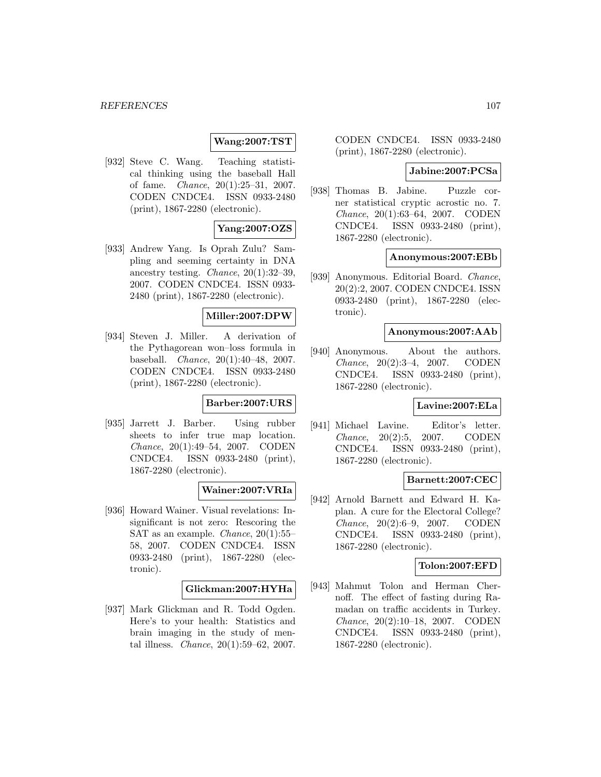## **Wang:2007:TST**

[932] Steve C. Wang. Teaching statistical thinking using the baseball Hall of fame. Chance, 20(1):25–31, 2007. CODEN CNDCE4. ISSN 0933-2480 (print), 1867-2280 (electronic).

## **Yang:2007:OZS**

[933] Andrew Yang. Is Oprah Zulu? Sampling and seeming certainty in DNA ancestry testing. Chance, 20(1):32–39, 2007. CODEN CNDCE4. ISSN 0933- 2480 (print), 1867-2280 (electronic).

### **Miller:2007:DPW**

[934] Steven J. Miller. A derivation of the Pythagorean won–loss formula in baseball. Chance, 20(1):40–48, 2007. CODEN CNDCE4. ISSN 0933-2480 (print), 1867-2280 (electronic).

# **Barber:2007:URS**

[935] Jarrett J. Barber. Using rubber sheets to infer true map location. Chance, 20(1):49–54, 2007. CODEN CNDCE4. ISSN 0933-2480 (print), 1867-2280 (electronic).

## **Wainer:2007:VRIa**

[936] Howard Wainer. Visual revelations: Insignificant is not zero: Rescoring the SAT as an example. Chance, 20(1):55– 58, 2007. CODEN CNDCE4. ISSN 0933-2480 (print), 1867-2280 (electronic).

#### **Glickman:2007:HYHa**

[937] Mark Glickman and R. Todd Ogden. Here's to your health: Statistics and brain imaging in the study of mental illness. Chance, 20(1):59–62, 2007. CODEN CNDCE4. ISSN 0933-2480 (print), 1867-2280 (electronic).

#### **Jabine:2007:PCSa**

[938] Thomas B. Jabine. Puzzle corner statistical cryptic acrostic no. 7. Chance, 20(1):63–64, 2007. CODEN CNDCE4. ISSN 0933-2480 (print), 1867-2280 (electronic).

### **Anonymous:2007:EBb**

[939] Anonymous. Editorial Board. Chance, 20(2):2, 2007. CODEN CNDCE4. ISSN 0933-2480 (print), 1867-2280 (electronic).

### **Anonymous:2007:AAb**

[940] Anonymous. About the authors. Chance, 20(2):3–4, 2007. CODEN CNDCE4. ISSN 0933-2480 (print), 1867-2280 (electronic).

# **Lavine:2007:ELa**

[941] Michael Lavine. Editor's letter. Chance, 20(2):5, 2007. CODEN CNDCE4. ISSN 0933-2480 (print), 1867-2280 (electronic).

# **Barnett:2007:CEC**

[942] Arnold Barnett and Edward H. Kaplan. A cure for the Electoral College? Chance, 20(2):6–9, 2007. CODEN CNDCE4. ISSN 0933-2480 (print), 1867-2280 (electronic).

# **Tolon:2007:EFD**

[943] Mahmut Tolon and Herman Chernoff. The effect of fasting during Ramadan on traffic accidents in Turkey. Chance, 20(2):10–18, 2007. CODEN CNDCE4. ISSN 0933-2480 (print), 1867-2280 (electronic).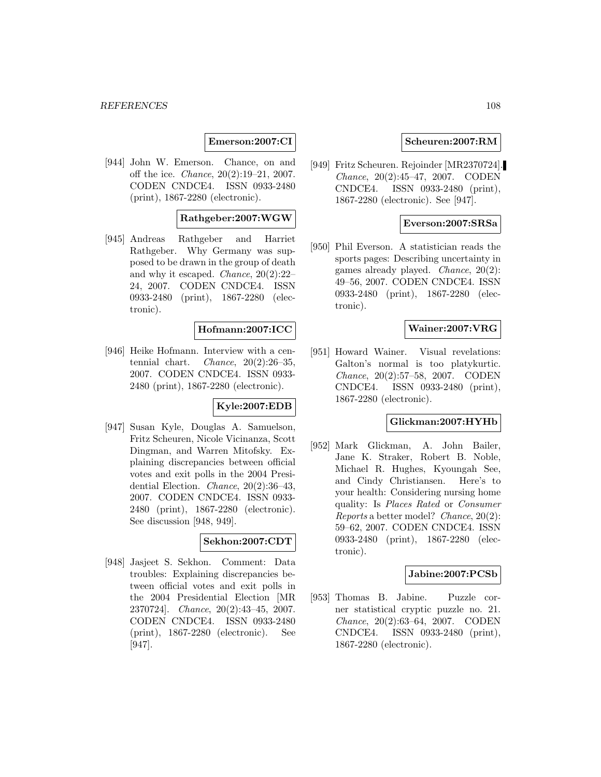**Emerson:2007:CI**

[944] John W. Emerson. Chance, on and off the ice. Chance, 20(2):19–21, 2007. CODEN CNDCE4. ISSN 0933-2480 (print), 1867-2280 (electronic).

## **Rathgeber:2007:WGW**

[945] Andreas Rathgeber and Harriet Rathgeber. Why Germany was supposed to be drawn in the group of death and why it escaped. Chance, 20(2):22– 24, 2007. CODEN CNDCE4. ISSN 0933-2480 (print), 1867-2280 (electronic).

### **Hofmann:2007:ICC**

[946] Heike Hofmann. Interview with a centennial chart. Chance,  $20(2):26-35$ , 2007. CODEN CNDCE4. ISSN 0933- 2480 (print), 1867-2280 (electronic).

# **Kyle:2007:EDB**

[947] Susan Kyle, Douglas A. Samuelson, Fritz Scheuren, Nicole Vicinanza, Scott Dingman, and Warren Mitofsky. Explaining discrepancies between official votes and exit polls in the 2004 Presidential Election. Chance, 20(2):36–43, 2007. CODEN CNDCE4. ISSN 0933- 2480 (print), 1867-2280 (electronic). See discussion [948, 949].

#### **Sekhon:2007:CDT**

[948] Jasjeet S. Sekhon. Comment: Data troubles: Explaining discrepancies between official votes and exit polls in the 2004 Presidential Election [MR 2370724]. Chance, 20(2):43–45, 2007. CODEN CNDCE4. ISSN 0933-2480 (print), 1867-2280 (electronic). See [947].

### **Scheuren:2007:RM**

[949] Fritz Scheuren. Rejoinder [MR2370724]. Chance, 20(2):45–47, 2007. CODEN CNDCE4. ISSN 0933-2480 (print), 1867-2280 (electronic). See [947].

#### **Everson:2007:SRSa**

[950] Phil Everson. A statistician reads the sports pages: Describing uncertainty in games already played. Chance, 20(2): 49–56, 2007. CODEN CNDCE4. ISSN 0933-2480 (print), 1867-2280 (electronic).

# **Wainer:2007:VRG**

[951] Howard Wainer. Visual revelations: Galton's normal is too platykurtic. Chance, 20(2):57–58, 2007. CODEN CNDCE4. ISSN 0933-2480 (print), 1867-2280 (electronic).

# **Glickman:2007:HYHb**

[952] Mark Glickman, A. John Bailer, Jane K. Straker, Robert B. Noble, Michael R. Hughes, Kyoungah See, and Cindy Christiansen. Here's to your health: Considering nursing home quality: Is Places Rated or Consumer Reports a better model? Chance, 20(2): 59–62, 2007. CODEN CNDCE4. ISSN 0933-2480 (print), 1867-2280 (electronic).

### **Jabine:2007:PCSb**

[953] Thomas B. Jabine. Puzzle corner statistical cryptic puzzle no. 21. Chance, 20(2):63–64, 2007. CODEN CNDCE4. ISSN 0933-2480 (print), 1867-2280 (electronic).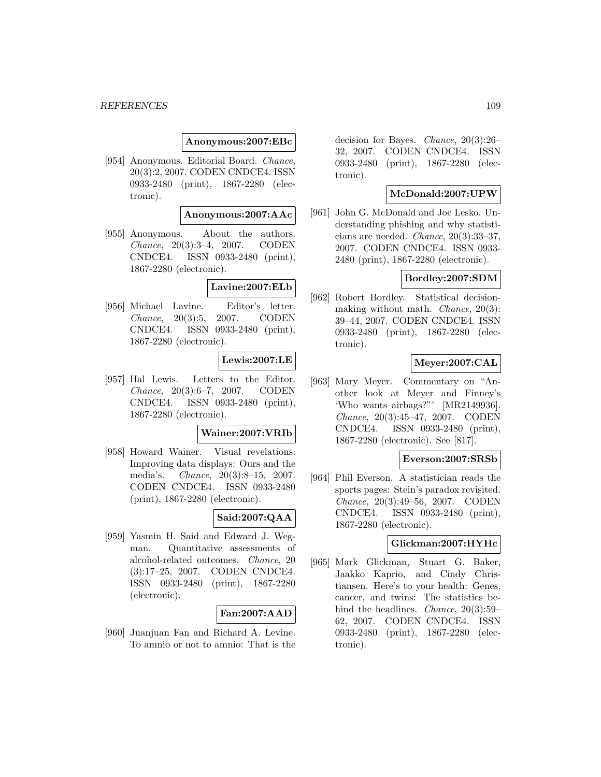### **Anonymous:2007:EBc**

[954] Anonymous. Editorial Board. Chance, 20(3):2, 2007. CODEN CNDCE4. ISSN 0933-2480 (print), 1867-2280 (electronic).

### **Anonymous:2007:AAc**

[955] Anonymous. About the authors. Chance, 20(3):3–4, 2007. CODEN CNDCE4. ISSN 0933-2480 (print), 1867-2280 (electronic).

### **Lavine:2007:ELb**

[956] Michael Lavine. Editor's letter. Chance, 20(3):5, 2007. CODEN CNDCE4. ISSN 0933-2480 (print), 1867-2280 (electronic).

#### **Lewis:2007:LE**

[957] Hal Lewis. Letters to the Editor. Chance, 20(3):6–7, 2007. CODEN CNDCE4. ISSN 0933-2480 (print), 1867-2280 (electronic).

#### **Wainer:2007:VRIb**

[958] Howard Wainer. Visual revelations: Improving data displays: Ours and the media's. Chance, 20(3):8–15, 2007. CODEN CNDCE4. ISSN 0933-2480 (print), 1867-2280 (electronic).

## **Said:2007:QAA**

[959] Yasmin H. Said and Edward J. Wegman. Quantitative assessments of alcohol-related outcomes. Chance, 20 (3):17–25, 2007. CODEN CNDCE4. ISSN 0933-2480 (print), 1867-2280 (electronic).

## **Fan:2007:AAD**

[960] Juanjuan Fan and Richard A. Levine. To amnio or not to amnio: That is the decision for Bayes. Chance, 20(3):26– 32, 2007. CODEN CNDCE4. ISSN 0933-2480 (print), 1867-2280 (electronic).

## **McDonald:2007:UPW**

[961] John G. McDonald and Joe Lesko. Understanding phishing and why statisticians are needed. Chance, 20(3):33–37, 2007. CODEN CNDCE4. ISSN 0933- 2480 (print), 1867-2280 (electronic).

### **Bordley:2007:SDM**

[962] Robert Bordley. Statistical decisionmaking without math. Chance, 20(3): 39–44, 2007. CODEN CNDCE4. ISSN 0933-2480 (print), 1867-2280 (electronic).

# **Meyer:2007:CAL**

[963] Mary Meyer. Commentary on "Another look at Meyer and Finney's 'Who wants airbags?"' [MR2149936]. Chance, 20(3):45–47, 2007. CODEN CNDCE4. ISSN 0933-2480 (print), 1867-2280 (electronic). See [817].

### **Everson:2007:SRSb**

[964] Phil Everson. A statistician reads the sports pages: Stein's paradox revisited. Chance, 20(3):49–56, 2007. CODEN CNDCE4. ISSN 0933-2480 (print), 1867-2280 (electronic).

# **Glickman:2007:HYHc**

[965] Mark Glickman, Stuart G. Baker, Jaakko Kaprio, and Cindy Christiansen. Here's to your health: Genes, cancer, and twins: The statistics behind the headlines. *Chance*, 20(3):59– 62, 2007. CODEN CNDCE4. ISSN 0933-2480 (print), 1867-2280 (electronic).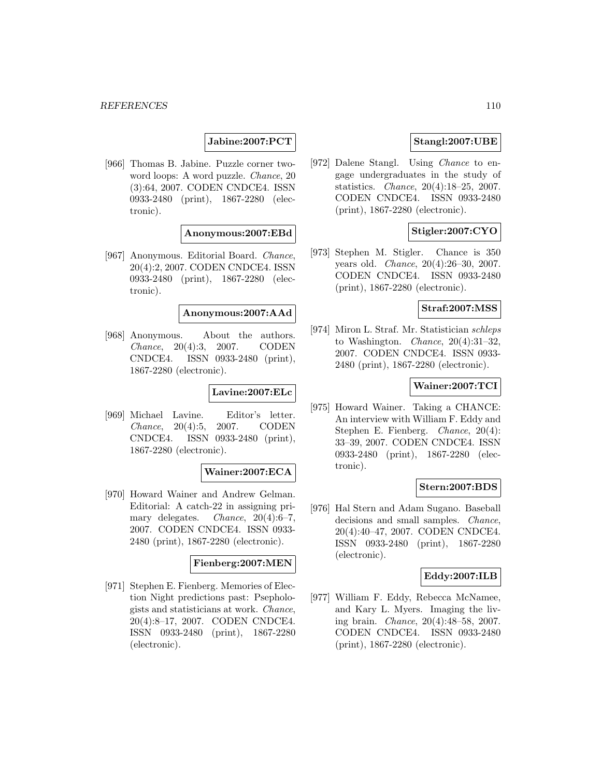# **Jabine:2007:PCT**

[966] Thomas B. Jabine. Puzzle corner twoword loops: A word puzzle. Chance, 20 (3):64, 2007. CODEN CNDCE4. ISSN 0933-2480 (print), 1867-2280 (electronic).

### **Anonymous:2007:EBd**

[967] Anonymous. Editorial Board. Chance, 20(4):2, 2007. CODEN CNDCE4. ISSN 0933-2480 (print), 1867-2280 (electronic).

### **Anonymous:2007:AAd**

[968] Anonymous. About the authors. Chance, 20(4):3, 2007. CODEN CNDCE4. ISSN 0933-2480 (print), 1867-2280 (electronic).

#### **Lavine:2007:ELc**

[969] Michael Lavine. Editor's letter. Chance, 20(4):5, 2007. CODEN CNDCE4. ISSN 0933-2480 (print), 1867-2280 (electronic).

## **Wainer:2007:ECA**

[970] Howard Wainer and Andrew Gelman. Editorial: A catch-22 in assigning primary delegates. *Chance*, 20(4):6-7, 2007. CODEN CNDCE4. ISSN 0933- 2480 (print), 1867-2280 (electronic).

#### **Fienberg:2007:MEN**

[971] Stephen E. Fienberg. Memories of Election Night predictions past: Psephologists and statisticians at work. Chance, 20(4):8–17, 2007. CODEN CNDCE4. ISSN 0933-2480 (print), 1867-2280 (electronic).

# **Stangl:2007:UBE**

[972] Dalene Stangl. Using Chance to engage undergraduates in the study of statistics. Chance, 20(4):18–25, 2007. CODEN CNDCE4. ISSN 0933-2480 (print), 1867-2280 (electronic).

# **Stigler:2007:CYO**

[973] Stephen M. Stigler. Chance is 350 years old. Chance, 20(4):26–30, 2007. CODEN CNDCE4. ISSN 0933-2480 (print), 1867-2280 (electronic).

# **Straf:2007:MSS**

[974] Miron L. Straf. Mr. Statistician schleps to Washington. Chance, 20(4):31–32, 2007. CODEN CNDCE4. ISSN 0933- 2480 (print), 1867-2280 (electronic).

### **Wainer:2007:TCI**

[975] Howard Wainer. Taking a CHANCE: An interview with William F. Eddy and Stephen E. Fienberg. Chance, 20(4): 33–39, 2007. CODEN CNDCE4. ISSN 0933-2480 (print), 1867-2280 (electronic).

## **Stern:2007:BDS**

[976] Hal Stern and Adam Sugano. Baseball decisions and small samples. Chance, 20(4):40–47, 2007. CODEN CNDCE4. ISSN 0933-2480 (print), 1867-2280 (electronic).

### **Eddy:2007:ILB**

[977] William F. Eddy, Rebecca McNamee, and Kary L. Myers. Imaging the living brain. Chance, 20(4):48–58, 2007. CODEN CNDCE4. ISSN 0933-2480 (print), 1867-2280 (electronic).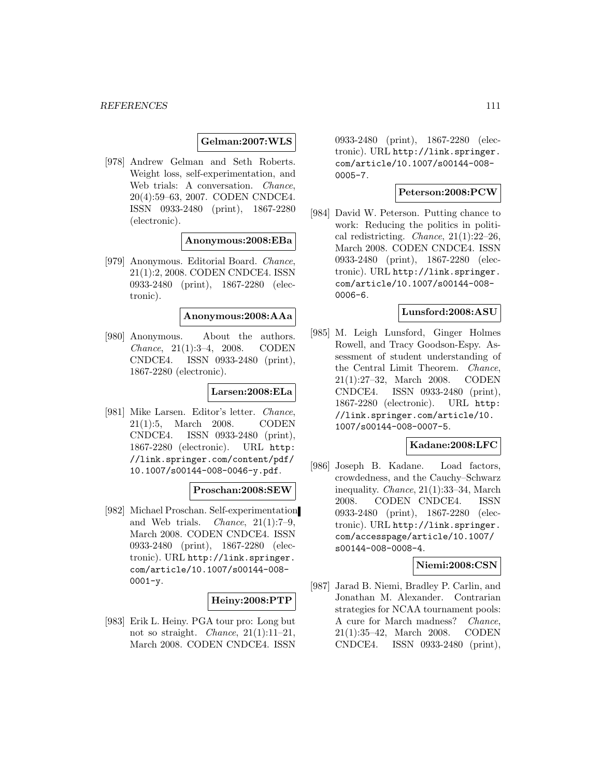### **Gelman:2007:WLS**

[978] Andrew Gelman and Seth Roberts. Weight loss, self-experimentation, and Web trials: A conversation. *Chance*, 20(4):59–63, 2007. CODEN CNDCE4. ISSN 0933-2480 (print), 1867-2280 (electronic).

### **Anonymous:2008:EBa**

[979] Anonymous. Editorial Board. Chance, 21(1):2, 2008. CODEN CNDCE4. ISSN 0933-2480 (print), 1867-2280 (electronic).

#### **Anonymous:2008:AAa**

[980] Anonymous. About the authors. Chance, 21(1):3–4, 2008. CODEN CNDCE4. ISSN 0933-2480 (print), 1867-2280 (electronic).

#### **Larsen:2008:ELa**

[981] Mike Larsen. Editor's letter. Chance, 21(1):5, March 2008. CODEN CNDCE4. ISSN 0933-2480 (print), 1867-2280 (electronic). URL http: //link.springer.com/content/pdf/ 10.1007/s00144-008-0046-y.pdf.

### **Proschan:2008:SEW**

[982] Michael Proschan. Self-experimentation and Web trials. *Chance*,  $21(1):7-9$ . March 2008. CODEN CNDCE4. ISSN 0933-2480 (print), 1867-2280 (electronic). URL http://link.springer. com/article/10.1007/s00144-008- 0001-y.

## **Heiny:2008:PTP**

[983] Erik L. Heiny. PGA tour pro: Long but not so straight. *Chance*,  $21(1):11-21$ , March 2008. CODEN CNDCE4. ISSN

0933-2480 (print), 1867-2280 (electronic). URL http://link.springer. com/article/10.1007/s00144-008- 0005-7.

### **Peterson:2008:PCW**

[984] David W. Peterson. Putting chance to work: Reducing the politics in political redistricting. Chance, 21(1):22–26, March 2008. CODEN CNDCE4. ISSN 0933-2480 (print), 1867-2280 (electronic). URL http://link.springer. com/article/10.1007/s00144-008- 0006-6.

### **Lunsford:2008:ASU**

[985] M. Leigh Lunsford, Ginger Holmes Rowell, and Tracy Goodson-Espy. Assessment of student understanding of the Central Limit Theorem. Chance, 21(1):27–32, March 2008. CODEN CNDCE4. ISSN 0933-2480 (print), 1867-2280 (electronic). URL http: //link.springer.com/article/10. 1007/s00144-008-0007-5.

## **Kadane:2008:LFC**

[986] Joseph B. Kadane. Load factors, crowdedness, and the Cauchy–Schwarz inequality. Chance, 21(1):33–34, March 2008. CODEN CNDCE4. ISSN 0933-2480 (print), 1867-2280 (electronic). URL http://link.springer. com/accesspage/article/10.1007/ s00144-008-0008-4.

## **Niemi:2008:CSN**

[987] Jarad B. Niemi, Bradley P. Carlin, and Jonathan M. Alexander. Contrarian strategies for NCAA tournament pools: A cure for March madness? Chance, 21(1):35–42, March 2008. CODEN CNDCE4. ISSN 0933-2480 (print),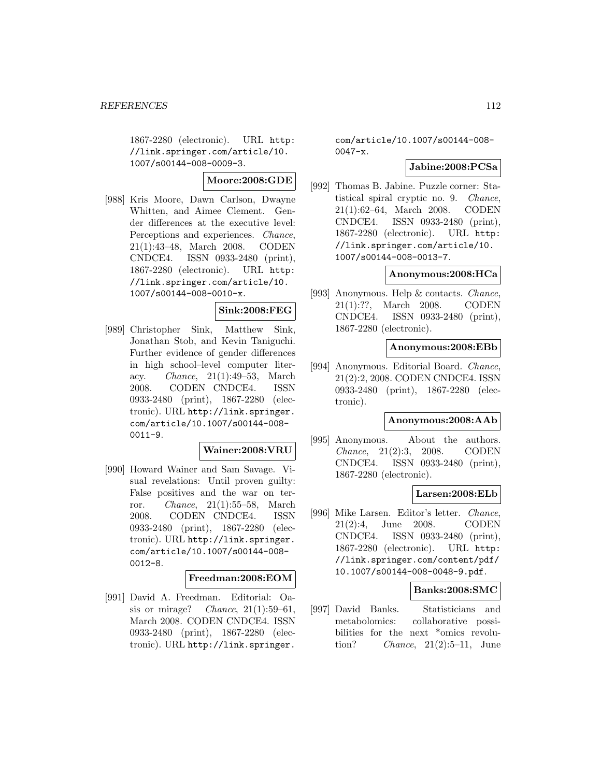1867-2280 (electronic). URL http: //link.springer.com/article/10. 1007/s00144-008-0009-3.

**Moore:2008:GDE**

[988] Kris Moore, Dawn Carlson, Dwayne Whitten, and Aimee Clement. Gender differences at the executive level: Perceptions and experiences. Chance, 21(1):43–48, March 2008. CODEN CNDCE4. ISSN 0933-2480 (print), 1867-2280 (electronic). URL http: //link.springer.com/article/10. 1007/s00144-008-0010-x.

## **Sink:2008:FEG**

[989] Christopher Sink, Matthew Sink, Jonathan Stob, and Kevin Taniguchi. Further evidence of gender differences in high school–level computer literacy. Chance, 21(1):49–53, March 2008. CODEN CNDCE4. ISSN 0933-2480 (print), 1867-2280 (electronic). URL http://link.springer. com/article/10.1007/s00144-008- 0011-9.

#### **Wainer:2008:VRU**

[990] Howard Wainer and Sam Savage. Visual revelations: Until proven guilty: False positives and the war on terror. Chance, 21(1):55–58, March 2008. CODEN CNDCE4. ISSN 0933-2480 (print), 1867-2280 (electronic). URL http://link.springer. com/article/10.1007/s00144-008- 0012-8.

#### **Freedman:2008:EOM**

[991] David A. Freedman. Editorial: Oasis or mirage? Chance,  $21(1):59-61$ , March 2008. CODEN CNDCE4. ISSN 0933-2480 (print), 1867-2280 (electronic). URL http://link.springer.

com/article/10.1007/s00144-008- 0047-x.

### **Jabine:2008:PCSa**

[992] Thomas B. Jabine. Puzzle corner: Statistical spiral cryptic no. 9. Chance, 21(1):62–64, March 2008. CODEN CNDCE4. ISSN 0933-2480 (print), 1867-2280 (electronic). URL http: //link.springer.com/article/10. 1007/s00144-008-0013-7.

### **Anonymous:2008:HCa**

[993] Anonymous. Help & contacts. Chance, 21(1):??, March 2008. CODEN CNDCE4. ISSN 0933-2480 (print), 1867-2280 (electronic).

#### **Anonymous:2008:EBb**

[994] Anonymous. Editorial Board. Chance, 21(2):2, 2008. CODEN CNDCE4. ISSN 0933-2480 (print), 1867-2280 (electronic).

## **Anonymous:2008:AAb**

[995] Anonymous. About the authors. Chance, 21(2):3, 2008. CODEN CNDCE4. ISSN 0933-2480 (print), 1867-2280 (electronic).

#### **Larsen:2008:ELb**

[996] Mike Larsen. Editor's letter. Chance, 21(2):4, June 2008. CODEN CNDCE4. ISSN 0933-2480 (print), 1867-2280 (electronic). URL http: //link.springer.com/content/pdf/ 10.1007/s00144-008-0048-9.pdf.

#### **Banks:2008:SMC**

[997] David Banks. Statisticians and metabolomics: collaborative possibilities for the next \*omics revolution? Chance, 21(2):5–11, June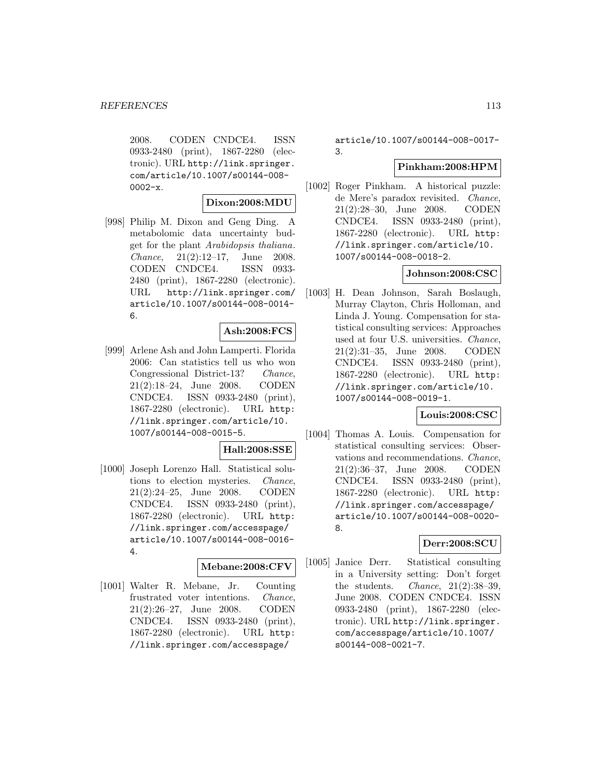2008. CODEN CNDCE4. ISSN 0933-2480 (print), 1867-2280 (electronic). URL http://link.springer. com/article/10.1007/s00144-008-  $0002-x.$ 

## **Dixon:2008:MDU**

[998] Philip M. Dixon and Geng Ding. A metabolomic data uncertainty budget for the plant Arabidopsis thaliana. Chance, 21(2):12–17, June 2008. CODEN CNDCE4. ISSN 0933- 2480 (print), 1867-2280 (electronic). URL http://link.springer.com/ article/10.1007/s00144-008-0014- 6.

### **Ash:2008:FCS**

[999] Arlene Ash and John Lamperti. Florida 2006: Can statistics tell us who won Congressional District-13? Chance, 21(2):18–24, June 2008. CODEN CNDCE4. ISSN 0933-2480 (print), 1867-2280 (electronic). URL http: //link.springer.com/article/10. 1007/s00144-008-0015-5.

### **Hall:2008:SSE**

[1000] Joseph Lorenzo Hall. Statistical solutions to election mysteries. Chance, 21(2):24–25, June 2008. CODEN CNDCE4. ISSN 0933-2480 (print), 1867-2280 (electronic). URL http: //link.springer.com/accesspage/ article/10.1007/s00144-008-0016- 4.

# **Mebane:2008:CFV**

[1001] Walter R. Mebane, Jr. Counting frustrated voter intentions. Chance, 21(2):26–27, June 2008. CODEN CNDCE4. ISSN 0933-2480 (print), 1867-2280 (electronic). URL http: //link.springer.com/accesspage/

article/10.1007/s00144-008-0017- 3.

# **Pinkham:2008:HPM**

[1002] Roger Pinkham. A historical puzzle: de Mere's paradox revisited. Chance, 21(2):28–30, June 2008. CODEN CNDCE4. ISSN 0933-2480 (print), 1867-2280 (electronic). URL http: //link.springer.com/article/10. 1007/s00144-008-0018-2.

# **Johnson:2008:CSC**

[1003] H. Dean Johnson, Sarah Boslaugh, Murray Clayton, Chris Holloman, and Linda J. Young. Compensation for statistical consulting services: Approaches used at four U.S. universities. Chance, 21(2):31–35, June 2008. CODEN CNDCE4. ISSN 0933-2480 (print), 1867-2280 (electronic). URL http: //link.springer.com/article/10. 1007/s00144-008-0019-1.

# **Louis:2008:CSC**

[1004] Thomas A. Louis. Compensation for statistical consulting services: Observations and recommendations. Chance, 21(2):36–37, June 2008. CODEN CNDCE4. ISSN 0933-2480 (print), 1867-2280 (electronic). URL http: //link.springer.com/accesspage/ article/10.1007/s00144-008-0020- 8.

## **Derr:2008:SCU**

[1005] Janice Derr. Statistical consulting in a University setting: Don't forget the students. *Chance*,  $21(2):38-39$ , June 2008. CODEN CNDCE4. ISSN 0933-2480 (print), 1867-2280 (electronic). URL http://link.springer. com/accesspage/article/10.1007/ s00144-008-0021-7.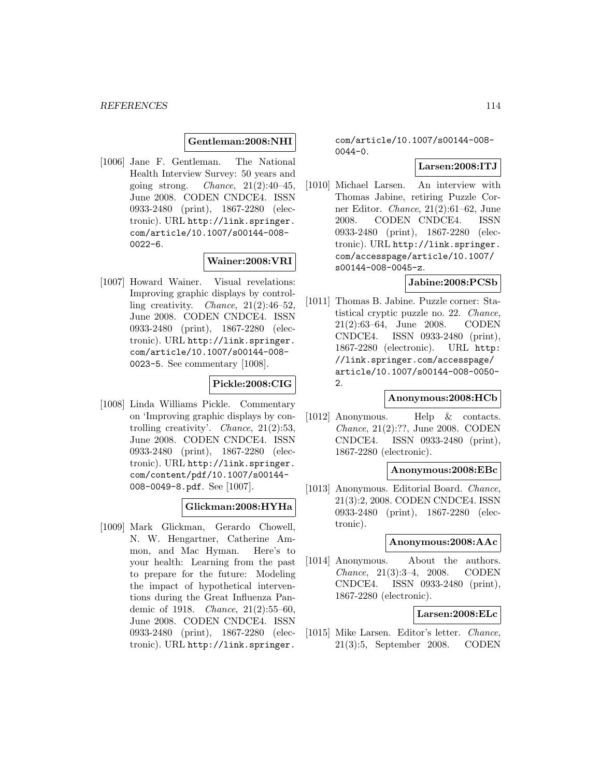**Gentleman:2008:NHI**

[1006] Jane F. Gentleman. The National Health Interview Survey: 50 years and going strong. *Chance*,  $21(2):40-45$ , June 2008. CODEN CNDCE4. ISSN 0933-2480 (print), 1867-2280 (electronic). URL http://link.springer. com/article/10.1007/s00144-008-  $0022 - 6.$ 

### **Wainer:2008:VRI**

[1007] Howard Wainer. Visual revelations: Improving graphic displays by controlling creativity. *Chance*,  $21(2):46-52$ , June 2008. CODEN CNDCE4. ISSN 0933-2480 (print), 1867-2280 (electronic). URL http://link.springer. com/article/10.1007/s00144-008- 0023-5. See commentary [1008].

# **Pickle:2008:CIG**

[1008] Linda Williams Pickle. Commentary on 'Improving graphic displays by controlling creativity'. Chance, 21(2):53, June 2008. CODEN CNDCE4. ISSN 0933-2480 (print), 1867-2280 (electronic). URL http://link.springer. com/content/pdf/10.1007/s00144- 008-0049-8.pdf. See [1007].

## **Glickman:2008:HYHa**

[1009] Mark Glickman, Gerardo Chowell, N. W. Hengartner, Catherine Ammon, and Mac Hyman. Here's to your health: Learning from the past to prepare for the future: Modeling the impact of hypothetical interventions during the Great Influenza Pandemic of 1918. Chance, 21(2):55–60, June 2008. CODEN CNDCE4. ISSN 0933-2480 (print), 1867-2280 (electronic). URL http://link.springer.

com/article/10.1007/s00144-008-  $0044 - 0.$ 

# **Larsen:2008:ITJ**

[1010] Michael Larsen. An interview with Thomas Jabine, retiring Puzzle Corner Editor. Chance, 21(2):61–62, June 2008. CODEN CNDCE4. ISSN 0933-2480 (print), 1867-2280 (electronic). URL http://link.springer. com/accesspage/article/10.1007/ s00144-008-0045-z.

### **Jabine:2008:PCSb**

[1011] Thomas B. Jabine. Puzzle corner: Statistical cryptic puzzle no. 22. Chance, 21(2):63–64, June 2008. CODEN CNDCE4. ISSN 0933-2480 (print), 1867-2280 (electronic). URL http: //link.springer.com/accesspage/ article/10.1007/s00144-008-0050- 2.

### **Anonymous:2008:HCb**

[1012] Anonymous. Help & contacts. Chance, 21(2):??, June 2008. CODEN CNDCE4. ISSN 0933-2480 (print), 1867-2280 (electronic).

# **Anonymous:2008:EBc**

[1013] Anonymous. Editorial Board. *Chance*, 21(3):2, 2008. CODEN CNDCE4. ISSN 0933-2480 (print), 1867-2280 (electronic).

#### **Anonymous:2008:AAc**

[1014] Anonymous. About the authors. Chance, 21(3):3–4, 2008. CODEN CNDCE4. ISSN 0933-2480 (print), 1867-2280 (electronic).

### **Larsen:2008:ELc**

[1015] Mike Larsen. Editor's letter. Chance, 21(3):5, September 2008. CODEN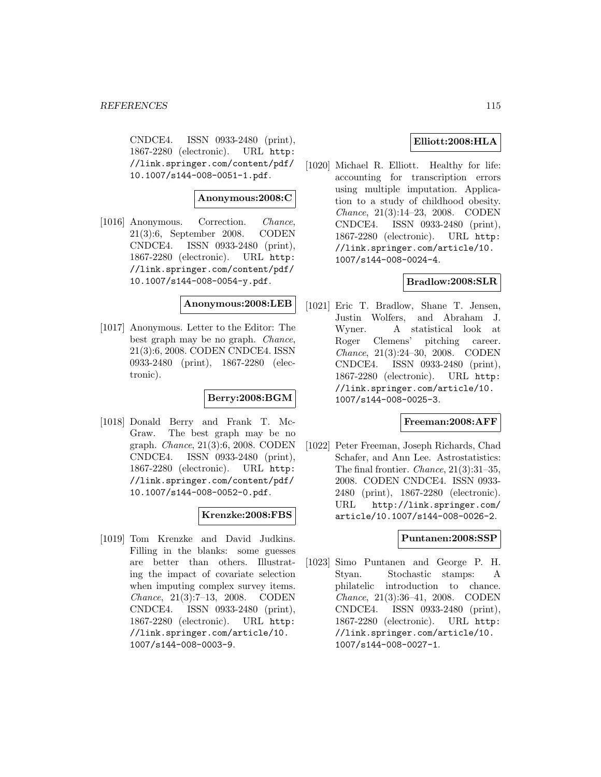CNDCE4. ISSN 0933-2480 (print), 1867-2280 (electronic). URL http: //link.springer.com/content/pdf/ 10.1007/s144-008-0051-1.pdf.

## **Anonymous:2008:C**

[1016] Anonymous. Correction. Chance, 21(3):6, September 2008. CODEN CNDCE4. ISSN 0933-2480 (print), 1867-2280 (electronic). URL http: //link.springer.com/content/pdf/ 10.1007/s144-008-0054-y.pdf.

## **Anonymous:2008:LEB**

[1017] Anonymous. Letter to the Editor: The best graph may be no graph. Chance, 21(3):6, 2008. CODEN CNDCE4. ISSN 0933-2480 (print), 1867-2280 (electronic).

## **Berry:2008:BGM**

[1018] Donald Berry and Frank T. Mc-Graw. The best graph may be no graph. Chance, 21(3):6, 2008. CODEN CNDCE4. ISSN 0933-2480 (print), 1867-2280 (electronic). URL http: //link.springer.com/content/pdf/ 10.1007/s144-008-0052-0.pdf.

## **Krenzke:2008:FBS**

[1019] Tom Krenzke and David Judkins. Filling in the blanks: some guesses are better than others. Illustrating the impact of covariate selection when imputing complex survey items. Chance, 21(3):7–13, 2008. CODEN CNDCE4. ISSN 0933-2480 (print), 1867-2280 (electronic). URL http: //link.springer.com/article/10. 1007/s144-008-0003-9.

# **Elliott:2008:HLA**

[1020] Michael R. Elliott. Healthy for life: accounting for transcription errors using multiple imputation. Application to a study of childhood obesity. Chance, 21(3):14–23, 2008. CODEN CNDCE4. ISSN 0933-2480 (print), 1867-2280 (electronic). URL http: //link.springer.com/article/10. 1007/s144-008-0024-4.

# **Bradlow:2008:SLR**

[1021] Eric T. Bradlow, Shane T. Jensen, Justin Wolfers, and Abraham J. Wyner. A statistical look at Roger Clemens' pitching career. Chance, 21(3):24–30, 2008. CODEN CNDCE4. ISSN 0933-2480 (print), 1867-2280 (electronic). URL http: //link.springer.com/article/10. 1007/s144-008-0025-3.

# **Freeman:2008:AFF**

[1022] Peter Freeman, Joseph Richards, Chad Schafer, and Ann Lee. Astrostatistics: The final frontier. Chance, 21(3):31–35, 2008. CODEN CNDCE4. ISSN 0933- 2480 (print), 1867-2280 (electronic). URL http://link.springer.com/ article/10.1007/s144-008-0026-2.

### **Puntanen:2008:SSP**

[1023] Simo Puntanen and George P. H. Styan. Stochastic stamps: A philatelic introduction to chance. Chance, 21(3):36–41, 2008. CODEN CNDCE4. ISSN 0933-2480 (print), 1867-2280 (electronic). URL http: //link.springer.com/article/10. 1007/s144-008-0027-1.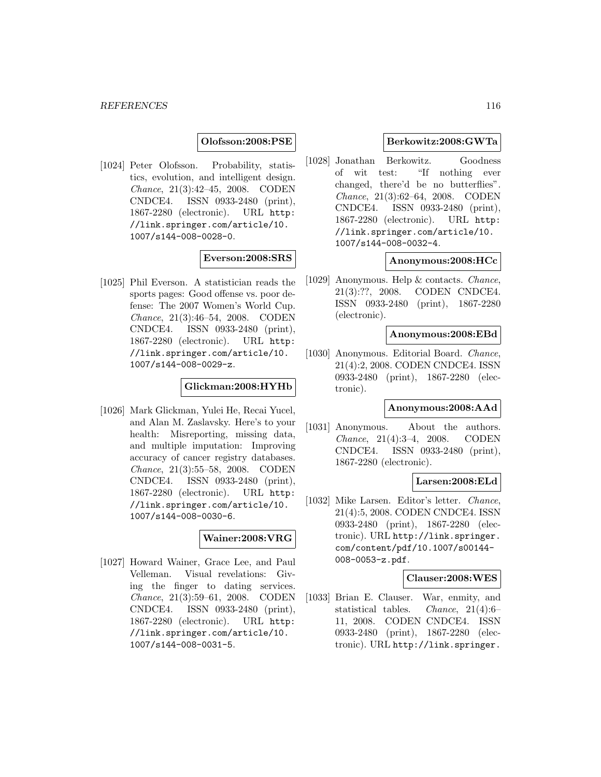**Olofsson:2008:PSE**

[1024] Peter Olofsson. Probability, statistics, evolution, and intelligent design. Chance, 21(3):42–45, 2008. CODEN CNDCE4. ISSN 0933-2480 (print), 1867-2280 (electronic). URL http: //link.springer.com/article/10. 1007/s144-008-0028-0.

# **Everson:2008:SRS**

[1025] Phil Everson. A statistician reads the sports pages: Good offense vs. poor defense: The 2007 Women's World Cup. Chance, 21(3):46–54, 2008. CODEN CNDCE4. ISSN 0933-2480 (print), 1867-2280 (electronic). URL http: //link.springer.com/article/10. 1007/s144-008-0029-z.

# **Glickman:2008:HYHb**

[1026] Mark Glickman, Yulei He, Recai Yucel, and Alan M. Zaslavsky. Here's to your health: Misreporting, missing data, and multiple imputation: Improving accuracy of cancer registry databases. Chance, 21(3):55–58, 2008. CODEN CNDCE4. ISSN 0933-2480 (print), 1867-2280 (electronic). URL http: //link.springer.com/article/10. 1007/s144-008-0030-6.

## **Wainer:2008:VRG**

[1027] Howard Wainer, Grace Lee, and Paul Velleman. Visual revelations: Giving the finger to dating services. Chance, 21(3):59–61, 2008. CODEN CNDCE4. ISSN 0933-2480 (print), 1867-2280 (electronic). URL http: //link.springer.com/article/10. 1007/s144-008-0031-5.

## **Berkowitz:2008:GWTa**

[1028] Jonathan Berkowitz. Goodness of wit test: "If nothing ever changed, there'd be no butterflies". Chance, 21(3):62–64, 2008. CODEN CNDCE4. ISSN 0933-2480 (print), 1867-2280 (electronic). URL http: //link.springer.com/article/10. 1007/s144-008-0032-4.

### **Anonymous:2008:HCc**

[1029] Anonymous. Help & contacts. Chance, 21(3):??, 2008. CODEN CNDCE4. ISSN 0933-2480 (print), 1867-2280 (electronic).

### **Anonymous:2008:EBd**

[1030] Anonymous. Editorial Board. Chance, 21(4):2, 2008. CODEN CNDCE4. ISSN 0933-2480 (print), 1867-2280 (electronic).

### **Anonymous:2008:AAd**

[1031] Anonymous. About the authors. Chance, 21(4):3–4, 2008. CODEN CNDCE4. ISSN 0933-2480 (print), 1867-2280 (electronic).

### **Larsen:2008:ELd**

[1032] Mike Larsen. Editor's letter. Chance, 21(4):5, 2008. CODEN CNDCE4. ISSN 0933-2480 (print), 1867-2280 (electronic). URL http://link.springer. com/content/pdf/10.1007/s00144- 008-0053-z.pdf.

## **Clauser:2008:WES**

[1033] Brian E. Clauser. War, enmity, and statistical tables. Chance, 21(4):6– 11, 2008. CODEN CNDCE4. ISSN 0933-2480 (print), 1867-2280 (electronic). URL http://link.springer.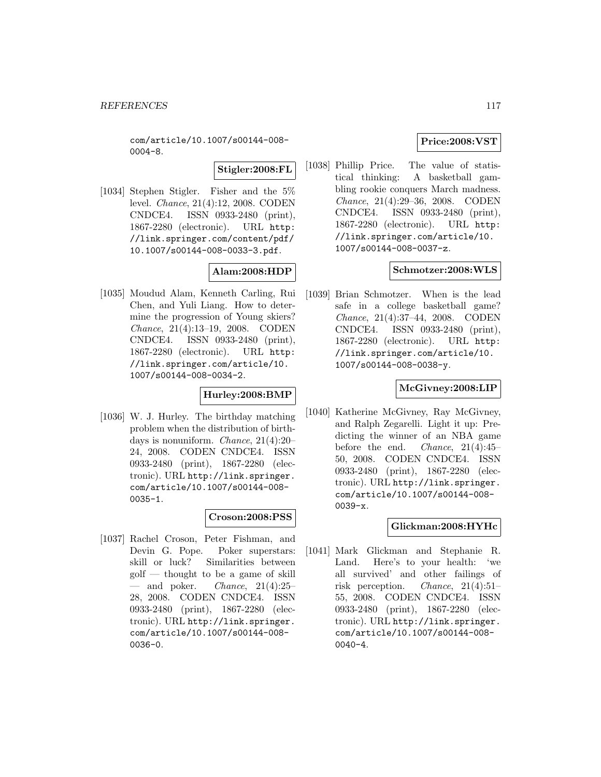com/article/10.1007/s00144-008- 0004-8.

**Stigler:2008:FL**

[1034] Stephen Stigler. Fisher and the 5% level. Chance, 21(4):12, 2008. CODEN CNDCE4. ISSN 0933-2480 (print), 1867-2280 (electronic). URL http: //link.springer.com/content/pdf/ 10.1007/s00144-008-0033-3.pdf.

# **Alam:2008:HDP**

[1035] Moudud Alam, Kenneth Carling, Rui Chen, and Yuli Liang. How to determine the progression of Young skiers? Chance, 21(4):13–19, 2008. CODEN CNDCE4. ISSN 0933-2480 (print), 1867-2280 (electronic). URL http: //link.springer.com/article/10. 1007/s00144-008-0034-2.

## **Hurley:2008:BMP**

[1036] W. J. Hurley. The birthday matching problem when the distribution of birthdays is nonuniform. Chance, 21(4):20– 24, 2008. CODEN CNDCE4. ISSN 0933-2480 (print), 1867-2280 (electronic). URL http://link.springer. com/article/10.1007/s00144-008- 0035-1.

## **Croson:2008:PSS**

[1037] Rachel Croson, Peter Fishman, and Devin G. Pope. Poker superstars: skill or luck? Similarities between golf — thought to be a game of skill  $-$  and poker. *Chance*, 21(4):25-28, 2008. CODEN CNDCE4. ISSN 0933-2480 (print), 1867-2280 (electronic). URL http://link.springer. com/article/10.1007/s00144-008- 0036-0.

# **Price:2008:VST**

[1038] Phillip Price. The value of statistical thinking: A basketball gambling rookie conquers March madness. Chance, 21(4):29–36, 2008. CODEN CNDCE4. ISSN 0933-2480 (print), 1867-2280 (electronic). URL http: //link.springer.com/article/10. 1007/s00144-008-0037-z.

# **Schmotzer:2008:WLS**

[1039] Brian Schmotzer. When is the lead safe in a college basketball game? Chance, 21(4):37–44, 2008. CODEN CNDCE4. ISSN 0933-2480 (print), 1867-2280 (electronic). URL http: //link.springer.com/article/10. 1007/s00144-008-0038-y.

# **McGivney:2008:LIP**

[1040] Katherine McGivney, Ray McGivney, and Ralph Zegarelli. Light it up: Predicting the winner of an NBA game before the end. Chance, 21(4):45– 50, 2008. CODEN CNDCE4. ISSN 0933-2480 (print), 1867-2280 (electronic). URL http://link.springer. com/article/10.1007/s00144-008- 0039-x.

## **Glickman:2008:HYHc**

[1041] Mark Glickman and Stephanie R. Land. Here's to your health: 'we all survived' and other failings of risk perception. Chance, 21(4):51– 55, 2008. CODEN CNDCE4. ISSN 0933-2480 (print), 1867-2280 (electronic). URL http://link.springer. com/article/10.1007/s00144-008- 0040-4.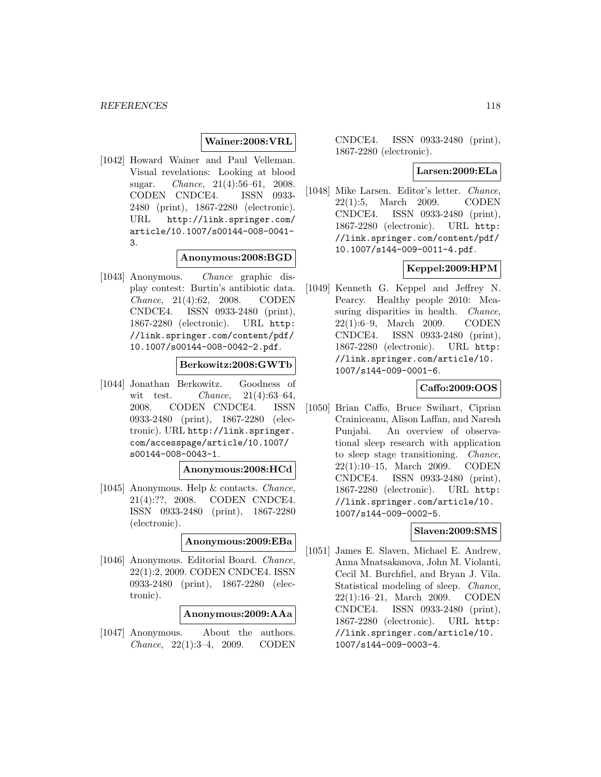# **Wainer:2008:VRL**

[1042] Howard Wainer and Paul Velleman. Visual revelations: Looking at blood sugar. Chance, 21(4):56–61, 2008. CODEN CNDCE4. ISSN 0933- 2480 (print), 1867-2280 (electronic). URL http://link.springer.com/ article/10.1007/s00144-008-0041- 3.

# **Anonymous:2008:BGD**

[1043] Anonymous. Chance graphic display contest: Burtin's antibiotic data. Chance, 21(4):62, 2008. CODEN CNDCE4. ISSN 0933-2480 (print), 1867-2280 (electronic). URL http: //link.springer.com/content/pdf/ 10.1007/s00144-008-0042-2.pdf.

## **Berkowitz:2008:GWTb**

[1044] Jonathan Berkowitz. Goodness of wit test. *Chance*,  $21(4):63-64$ , 2008. CODEN CNDCE4. ISSN 0933-2480 (print), 1867-2280 (electronic). URL http://link.springer. com/accesspage/article/10.1007/ s00144-008-0043-1.

### **Anonymous:2008:HCd**

[1045] Anonymous. Help & contacts. Chance, 21(4):??, 2008. CODEN CNDCE4. ISSN 0933-2480 (print), 1867-2280 (electronic).

# **Anonymous:2009:EBa**

[1046] Anonymous. Editorial Board. Chance, 22(1):2, 2009. CODEN CNDCE4. ISSN 0933-2480 (print), 1867-2280 (electronic).

### **Anonymous:2009:AAa**

[1047] Anonymous. About the authors. Chance, 22(1):3–4, 2009. CODEN

CNDCE4. ISSN 0933-2480 (print), 1867-2280 (electronic).

#### **Larsen:2009:ELa**

[1048] Mike Larsen. Editor's letter. *Chance*, 22(1):5, March 2009. CODEN CNDCE4. ISSN 0933-2480 (print), 1867-2280 (electronic). URL http: //link.springer.com/content/pdf/ 10.1007/s144-009-0011-4.pdf.

## **Keppel:2009:HPM**

[1049] Kenneth G. Keppel and Jeffrey N. Pearcy. Healthy people 2010: Measuring disparities in health. *Chance*, 22(1):6–9, March 2009. CODEN CNDCE4. ISSN 0933-2480 (print), 1867-2280 (electronic). URL http: //link.springer.com/article/10. 1007/s144-009-0001-6.

# **Caffo:2009:OOS**

[1050] Brian Caffo, Bruce Swihart, Ciprian Crainiceanu, Alison Laffan, and Naresh Punjabi. An overview of observational sleep research with application to sleep stage transitioning. Chance, 22(1):10–15, March 2009. CODEN CNDCE4. ISSN 0933-2480 (print), 1867-2280 (electronic). URL http: //link.springer.com/article/10. 1007/s144-009-0002-5.

#### **Slaven:2009:SMS**

[1051] James E. Slaven, Michael E. Andrew, Anna Mnatsakanova, John M. Violanti, Cecil M. Burchfiel, and Bryan J. Vila. Statistical modeling of sleep. Chance, 22(1):16–21, March 2009. CODEN CNDCE4. ISSN 0933-2480 (print), 1867-2280 (electronic). URL http: //link.springer.com/article/10. 1007/s144-009-0003-4.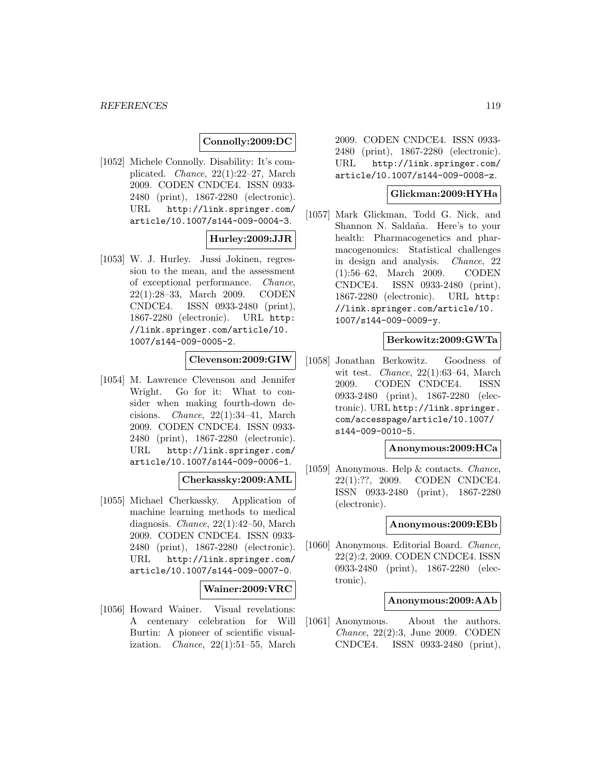### **Connolly:2009:DC**

[1052] Michele Connolly. Disability: It's complicated. Chance, 22(1):22–27, March 2009. CODEN CNDCE4. ISSN 0933- 2480 (print), 1867-2280 (electronic). URL http://link.springer.com/ article/10.1007/s144-009-0004-3.

## **Hurley:2009:JJR**

[1053] W. J. Hurley. Jussi Jokinen, regression to the mean, and the assessment of exceptional performance. Chance, 22(1):28–33, March 2009. CODEN CNDCE4. ISSN 0933-2480 (print), 1867-2280 (electronic). URL http: //link.springer.com/article/10. 1007/s144-009-0005-2.

## **Clevenson:2009:GIW**

[1054] M. Lawrence Clevenson and Jennifer Wright. Go for it: What to consider when making fourth-down decisions. Chance, 22(1):34–41, March 2009. CODEN CNDCE4. ISSN 0933- 2480 (print), 1867-2280 (electronic). URL http://link.springer.com/ article/10.1007/s144-009-0006-1.

#### **Cherkassky:2009:AML**

[1055] Michael Cherkassky. Application of machine learning methods to medical diagnosis. Chance, 22(1):42–50, March 2009. CODEN CNDCE4. ISSN 0933- 2480 (print), 1867-2280 (electronic). URL http://link.springer.com/ article/10.1007/s144-009-0007-0.

#### **Wainer:2009:VRC**

[1056] Howard Wainer. Visual revelations: A centenary celebration for Will Burtin: A pioneer of scientific visualization. Chance, 22(1):51–55, March

2009. CODEN CNDCE4. ISSN 0933- 2480 (print), 1867-2280 (electronic). URL http://link.springer.com/ article/10.1007/s144-009-0008-z.

### **Glickman:2009:HYHa**

[1057] Mark Glickman, Todd G. Nick, and Shannon N. Saldaña. Here's to your health: Pharmacogenetics and pharmacogenomics: Statistical challenges in design and analysis. Chance, 22 (1):56–62, March 2009. CODEN CNDCE4. ISSN 0933-2480 (print), 1867-2280 (electronic). URL http: //link.springer.com/article/10. 1007/s144-009-0009-y.

# **Berkowitz:2009:GWTa**

[1058] Jonathan Berkowitz. Goodness of wit test. *Chance*,  $22(1):63-64$ , March 2009. CODEN CNDCE4. ISSN 0933-2480 (print), 1867-2280 (electronic). URL http://link.springer. com/accesspage/article/10.1007/ s144-009-0010-5.

### **Anonymous:2009:HCa**

[1059] Anonymous. Help & contacts. *Chance*,  $22(1)$ :??, 2009. CODEN CNDCE4. CODEN CNDCE4. ISSN 0933-2480 (print), 1867-2280 (electronic).

#### **Anonymous:2009:EBb**

[1060] Anonymous. Editorial Board. Chance, 22(2):2, 2009. CODEN CNDCE4. ISSN 0933-2480 (print), 1867-2280 (electronic).

### **Anonymous:2009:AAb**

[1061] Anonymous. About the authors. Chance, 22(2):3, June 2009. CODEN CNDCE4. ISSN 0933-2480 (print),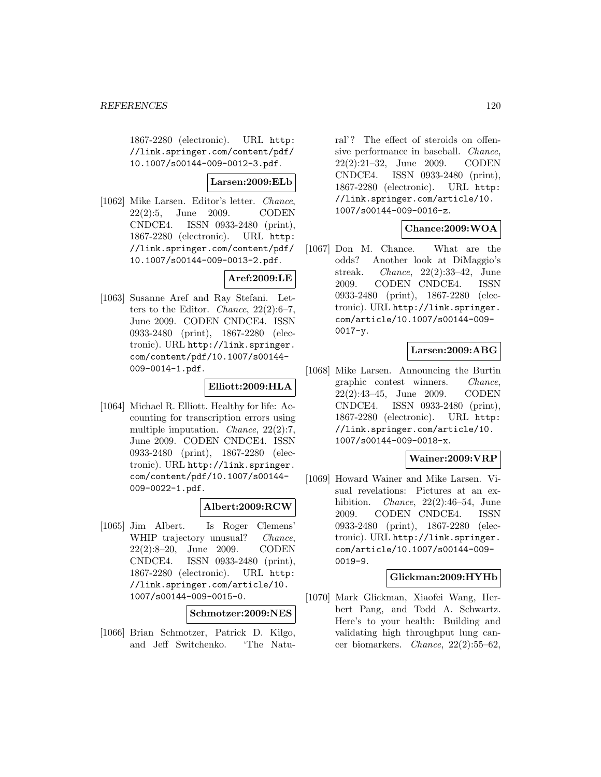1867-2280 (electronic). URL http: //link.springer.com/content/pdf/ 10.1007/s00144-009-0012-3.pdf.

### **Larsen:2009:ELb**

[1062] Mike Larsen. Editor's letter. Chance, 22(2):5, June 2009. CODEN CNDCE4. ISSN 0933-2480 (print), 1867-2280 (electronic). URL http: //link.springer.com/content/pdf/ 10.1007/s00144-009-0013-2.pdf.

# **Aref:2009:LE**

[1063] Susanne Aref and Ray Stefani. Letters to the Editor. Chance,  $22(2):6-7$ , June 2009. CODEN CNDCE4. ISSN 0933-2480 (print), 1867-2280 (electronic). URL http://link.springer. com/content/pdf/10.1007/s00144- 009-0014-1.pdf.

### **Elliott:2009:HLA**

[1064] Michael R. Elliott. Healthy for life: Accounting for transcription errors using multiple imputation. *Chance*, 22(2):7, June 2009. CODEN CNDCE4. ISSN 0933-2480 (print), 1867-2280 (electronic). URL http://link.springer. com/content/pdf/10.1007/s00144- 009-0022-1.pdf.

### **Albert:2009:RCW**

[1065] Jim Albert. Is Roger Clemens' WHIP trajectory unusual? *Chance*, 22(2):8–20, June 2009. CODEN CNDCE4. ISSN 0933-2480 (print), 1867-2280 (electronic). URL http: //link.springer.com/article/10. 1007/s00144-009-0015-0.

#### **Schmotzer:2009:NES**

[1066] Brian Schmotzer, Patrick D. Kilgo, and Jeff Switchenko. 'The Natural'? The effect of steroids on offensive performance in baseball. Chance, 22(2):21–32, June 2009. CODEN CNDCE4. ISSN 0933-2480 (print), 1867-2280 (electronic). URL http: //link.springer.com/article/10. 1007/s00144-009-0016-z.

# **Chance:2009:WOA**

[1067] Don M. Chance. What are the odds? Another look at DiMaggio's streak. Chance, 22(2):33–42, June 2009. CODEN CNDCE4. ISSN 0933-2480 (print), 1867-2280 (electronic). URL http://link.springer. com/article/10.1007/s00144-009-  $0017 - y$ .

# **Larsen:2009:ABG**

[1068] Mike Larsen. Announcing the Burtin graphic contest winners. Chance, 22(2):43–45, June 2009. CODEN CNDCE4. ISSN 0933-2480 (print), 1867-2280 (electronic). URL http: //link.springer.com/article/10. 1007/s00144-009-0018-x.

# **Wainer:2009:VRP**

[1069] Howard Wainer and Mike Larsen. Visual revelations: Pictures at an exhibition. *Chance*,  $22(2):46-54$ , June 2009. CODEN CNDCE4. ISSN 0933-2480 (print), 1867-2280 (electronic). URL http://link.springer. com/article/10.1007/s00144-009- 0019-9.

## **Glickman:2009:HYHb**

[1070] Mark Glickman, Xiaofei Wang, Herbert Pang, and Todd A. Schwartz. Here's to your health: Building and validating high throughput lung cancer biomarkers. Chance, 22(2):55–62,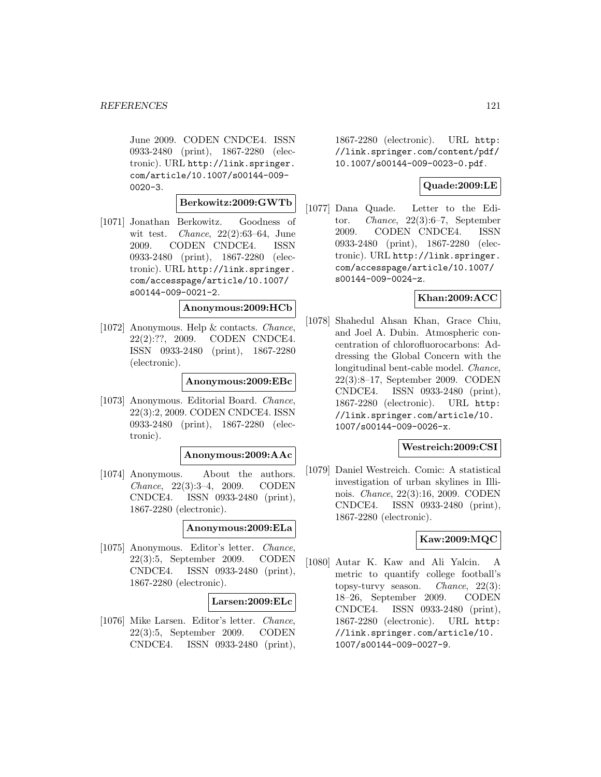June 2009. CODEN CNDCE4. ISSN 0933-2480 (print), 1867-2280 (electronic). URL http://link.springer. com/article/10.1007/s00144-009-  $0020 - 3.$ 

## **Berkowitz:2009:GWTb**

[1071] Jonathan Berkowitz. Goodness of wit test. *Chance*,  $22(2):63-64$ , June 2009. CODEN CNDCE4. ISSN 0933-2480 (print), 1867-2280 (electronic). URL http://link.springer. com/accesspage/article/10.1007/ s00144-009-0021-2.

# **Anonymous:2009:HCb**

[1072] Anonymous. Help & contacts. Chance, 22(2):??, 2009. CODEN CNDCE4. ISSN 0933-2480 (print), 1867-2280 (electronic).

#### **Anonymous:2009:EBc**

[1073] Anonymous. Editorial Board. Chance, 22(3):2, 2009. CODEN CNDCE4. ISSN 0933-2480 (print), 1867-2280 (electronic).

#### **Anonymous:2009:AAc**

[1074] Anonymous. About the authors. Chance, 22(3):3–4, 2009. CODEN CNDCE4. ISSN 0933-2480 (print), 1867-2280 (electronic).

#### **Anonymous:2009:ELa**

[1075] Anonymous. Editor's letter. Chance, 22(3):5, September 2009. CODEN CNDCE4. ISSN 0933-2480 (print), 1867-2280 (electronic).

#### **Larsen:2009:ELc**

[1076] Mike Larsen. Editor's letter. Chance, 22(3):5, September 2009. CODEN CNDCE4. ISSN 0933-2480 (print),

1867-2280 (electronic). URL http: //link.springer.com/content/pdf/ 10.1007/s00144-009-0023-0.pdf.

# **Quade:2009:LE**

[1077] Dana Quade. Letter to the Editor. Chance, 22(3):6–7, September 2009. CODEN CNDCE4. ISSN 0933-2480 (print), 1867-2280 (electronic). URL http://link.springer. com/accesspage/article/10.1007/ s00144-009-0024-z.

## **Khan:2009:ACC**

[1078] Shahedul Ahsan Khan, Grace Chiu, and Joel A. Dubin. Atmospheric concentration of chlorofluorocarbons: Addressing the Global Concern with the longitudinal bent-cable model. Chance, 22(3):8–17, September 2009. CODEN CNDCE4. ISSN 0933-2480 (print), 1867-2280 (electronic). URL http: //link.springer.com/article/10. 1007/s00144-009-0026-x.

# **Westreich:2009:CSI**

[1079] Daniel Westreich. Comic: A statistical investigation of urban skylines in Illinois. Chance, 22(3):16, 2009. CODEN CNDCE4. ISSN 0933-2480 (print), 1867-2280 (electronic).

# **Kaw:2009:MQC**

[1080] Autar K. Kaw and Ali Yalcin. metric to quantify college football's topsy-turvy season. Chance, 22(3): 18–26, September 2009. CODEN CNDCE4. ISSN 0933-2480 (print), 1867-2280 (electronic). URL http: //link.springer.com/article/10. 1007/s00144-009-0027-9.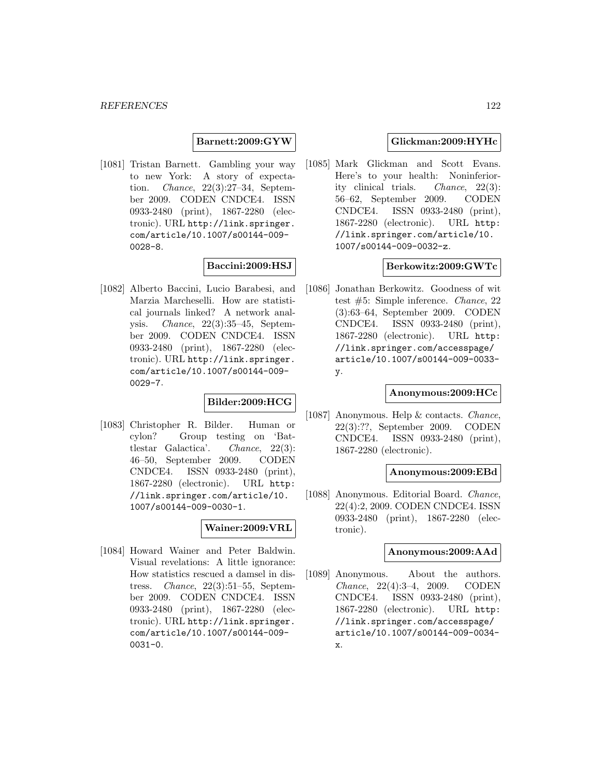**Barnett:2009:GYW**

[1081] Tristan Barnett. Gambling your way to new York: A story of expectation. Chance, 22(3):27–34, September 2009. CODEN CNDCE4. ISSN 0933-2480 (print), 1867-2280 (electronic). URL http://link.springer. com/article/10.1007/s00144-009- 0028-8.

## **Baccini:2009:HSJ**

[1082] Alberto Baccini, Lucio Barabesi, and Marzia Marcheselli. How are statistical journals linked? A network analysis. Chance, 22(3):35–45, September 2009. CODEN CNDCE4. ISSN 0933-2480 (print), 1867-2280 (electronic). URL http://link.springer. com/article/10.1007/s00144-009- 0029-7.

## **Bilder:2009:HCG**

[1083] Christopher R. Bilder. Human or cylon? Group testing on 'Battlestar Galactica'. Chance, 22(3): 46–50, September 2009. CODEN CNDCE4. ISSN 0933-2480 (print), 1867-2280 (electronic). URL http: //link.springer.com/article/10. 1007/s00144-009-0030-1.

# **Wainer:2009:VRL**

[1084] Howard Wainer and Peter Baldwin. Visual revelations: A little ignorance: How statistics rescued a damsel in distress. Chance, 22(3):51–55, September 2009. CODEN CNDCE4. ISSN 0933-2480 (print), 1867-2280 (electronic). URL http://link.springer. com/article/10.1007/s00144-009- 0031-0.

### **Glickman:2009:HYHc**

[1085] Mark Glickman and Scott Evans. Here's to your health: Noninferiority clinical trials. Chance, 22(3): 56–62, September 2009. CODEN CNDCE4. ISSN 0933-2480 (print), 1867-2280 (electronic). URL http: //link.springer.com/article/10. 1007/s00144-009-0032-z.

### **Berkowitz:2009:GWTc**

[1086] Jonathan Berkowitz. Goodness of wit test #5: Simple inference. Chance, 22 (3):63–64, September 2009. CODEN CNDCE4. ISSN 0933-2480 (print), 1867-2280 (electronic). URL http: //link.springer.com/accesspage/ article/10.1007/s00144-009-0033 y.

## **Anonymous:2009:HCc**

[1087] Anonymous. Help & contacts. Chance, 22(3):??, September 2009. CODEN CNDCE4. ISSN 0933-2480 (print), 1867-2280 (electronic).

# **Anonymous:2009:EBd**

[1088] Anonymous. Editorial Board. Chance, 22(4):2, 2009. CODEN CNDCE4. ISSN 0933-2480 (print), 1867-2280 (electronic).

## **Anonymous:2009:AAd**

[1089] Anonymous. About the authors. Chance, 22(4):3–4, 2009. CODEN CNDCE4. ISSN 0933-2480 (print), 1867-2280 (electronic). URL http: //link.springer.com/accesspage/ article/10.1007/s00144-009-0034 x.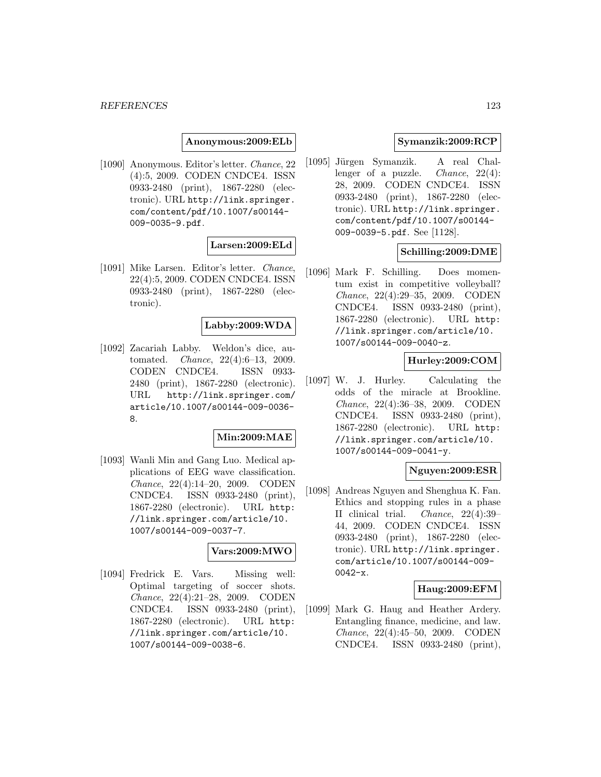**Anonymous:2009:ELb**

[1090] Anonymous. Editor's letter. Chance, 22 (4):5, 2009. CODEN CNDCE4. ISSN 0933-2480 (print), 1867-2280 (electronic). URL http://link.springer. com/content/pdf/10.1007/s00144- 009-0035-9.pdf.

### **Larsen:2009:ELd**

[1091] Mike Larsen. Editor's letter. Chance, 22(4):5, 2009. CODEN CNDCE4. ISSN 0933-2480 (print), 1867-2280 (electronic).

## **Labby:2009:WDA**

[1092] Zacariah Labby. Weldon's dice, automated. Chance, 22(4):6–13, 2009. CODEN CNDCE4. ISSN 0933- 2480 (print), 1867-2280 (electronic). URL http://link.springer.com/ article/10.1007/s00144-009-0036- 8.

# **Min:2009:MAE**

[1093] Wanli Min and Gang Luo. Medical applications of EEG wave classification. Chance, 22(4):14–20, 2009. CODEN CNDCE4. ISSN 0933-2480 (print), 1867-2280 (electronic). URL http: //link.springer.com/article/10. 1007/s00144-009-0037-7.

### **Vars:2009:MWO**

[1094] Fredrick E. Vars. Missing well: Optimal targeting of soccer shots. Chance, 22(4):21–28, 2009. CODEN CNDCE4. ISSN 0933-2480 (print), 1867-2280 (electronic). URL http: //link.springer.com/article/10. 1007/s00144-009-0038-6.

## **Symanzik:2009:RCP**

[1095] Jürgen Symanzik. A real Challenger of a puzzle. *Chance*,  $22(4)$ : 28, 2009. CODEN CNDCE4. ISSN 0933-2480 (print), 1867-2280 (electronic). URL http://link.springer. com/content/pdf/10.1007/s00144- 009-0039-5.pdf. See [1128].

### **Schilling:2009:DME**

[1096] Mark F. Schilling. Does momentum exist in competitive volleyball? Chance, 22(4):29–35, 2009. CODEN CNDCE4. ISSN 0933-2480 (print), 1867-2280 (electronic). URL http: //link.springer.com/article/10. 1007/s00144-009-0040-z.

# **Hurley:2009:COM**

[1097] W. J. Hurley. Calculating the odds of the miracle at Brookline. Chance, 22(4):36–38, 2009. CODEN CNDCE4. ISSN 0933-2480 (print), 1867-2280 (electronic). URL http: //link.springer.com/article/10. 1007/s00144-009-0041-y.

#### **Nguyen:2009:ESR**

[1098] Andreas Nguyen and Shenghua K. Fan. Ethics and stopping rules in a phase II clinical trial. Chance, 22(4):39– 44, 2009. CODEN CNDCE4. ISSN 0933-2480 (print), 1867-2280 (electronic). URL http://link.springer. com/article/10.1007/s00144-009- 0042-x.

### **Haug:2009:EFM**

[1099] Mark G. Haug and Heather Ardery. Entangling finance, medicine, and law. Chance, 22(4):45–50, 2009. CODEN CNDCE4. ISSN 0933-2480 (print),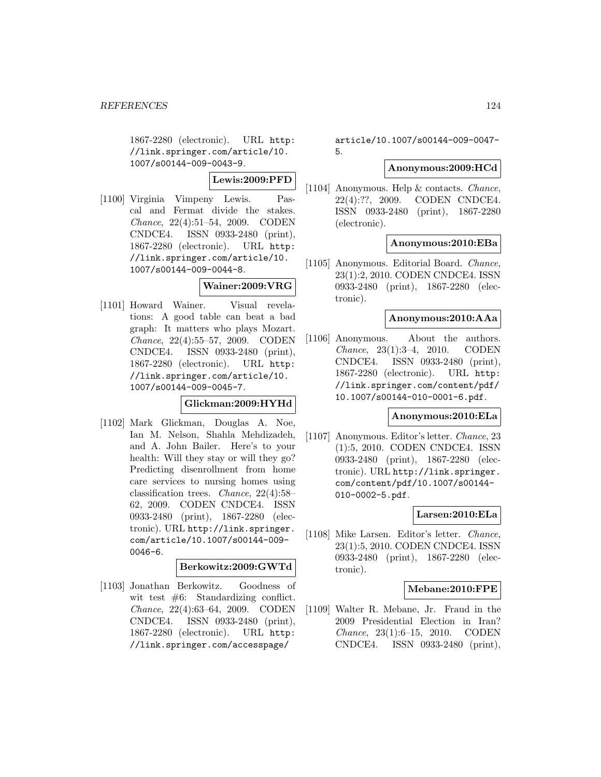1867-2280 (electronic). URL http: //link.springer.com/article/10. 1007/s00144-009-0043-9.

**Lewis:2009:PFD**

[1100] Virginia Vimpeny Lewis. Pascal and Fermat divide the stakes. Chance, 22(4):51–54, 2009. CODEN CNDCE4. ISSN 0933-2480 (print), 1867-2280 (electronic). URL http: //link.springer.com/article/10. 1007/s00144-009-0044-8.

# **Wainer:2009:VRG**

[1101] Howard Wainer. Visual revelations: A good table can beat a bad graph: It matters who plays Mozart. Chance, 22(4):55–57, 2009. CODEN CNDCE4. ISSN 0933-2480 (print), 1867-2280 (electronic). URL http: //link.springer.com/article/10. 1007/s00144-009-0045-7.

# **Glickman:2009:HYHd**

[1102] Mark Glickman, Douglas A. Noe, Ian M. Nelson, Shahla Mehdizadeh, and A. John Bailer. Here's to your health: Will they stay or will they go? Predicting disenrollment from home care services to nursing homes using classification trees. Chance, 22(4):58– 62, 2009. CODEN CNDCE4. ISSN 0933-2480 (print), 1867-2280 (electronic). URL http://link.springer. com/article/10.1007/s00144-009- 0046-6.

# **Berkowitz:2009:GWTd**

[1103] Jonathan Berkowitz. Goodness of wit test  $#6$ : Standardizing conflict. Chance, 22(4):63–64, 2009. CODEN CNDCE4. ISSN 0933-2480 (print), 1867-2280 (electronic). URL http: //link.springer.com/accesspage/

article/10.1007/s00144-009-0047- 5.

### **Anonymous:2009:HCd**

[1104] Anonymous. Help & contacts. Chance, 22(4):??, 2009. CODEN CNDCE4. ISSN 0933-2480 (print), 1867-2280 (electronic).

## **Anonymous:2010:EBa**

[1105] Anonymous. Editorial Board. Chance, 23(1):2, 2010. CODEN CNDCE4. ISSN 0933-2480 (print), 1867-2280 (electronic).

### **Anonymous:2010:AAa**

[1106] Anonymous. About the authors. Chance, 23(1):3–4, 2010. CODEN CNDCE4. ISSN 0933-2480 (print), 1867-2280 (electronic). URL http: //link.springer.com/content/pdf/ 10.1007/s00144-010-0001-6.pdf.

#### **Anonymous:2010:ELa**

[1107] Anonymous. Editor's letter. Chance, 23 (1):5, 2010. CODEN CNDCE4. ISSN 0933-2480 (print), 1867-2280 (electronic). URL http://link.springer. com/content/pdf/10.1007/s00144- 010-0002-5.pdf.

## **Larsen:2010:ELa**

[1108] Mike Larsen. Editor's letter. Chance, 23(1):5, 2010. CODEN CNDCE4. ISSN 0933-2480 (print), 1867-2280 (electronic).

### **Mebane:2010:FPE**

[1109] Walter R. Mebane, Jr. Fraud in the 2009 Presidential Election in Iran? Chance, 23(1):6–15, 2010. CODEN CNDCE4. ISSN 0933-2480 (print),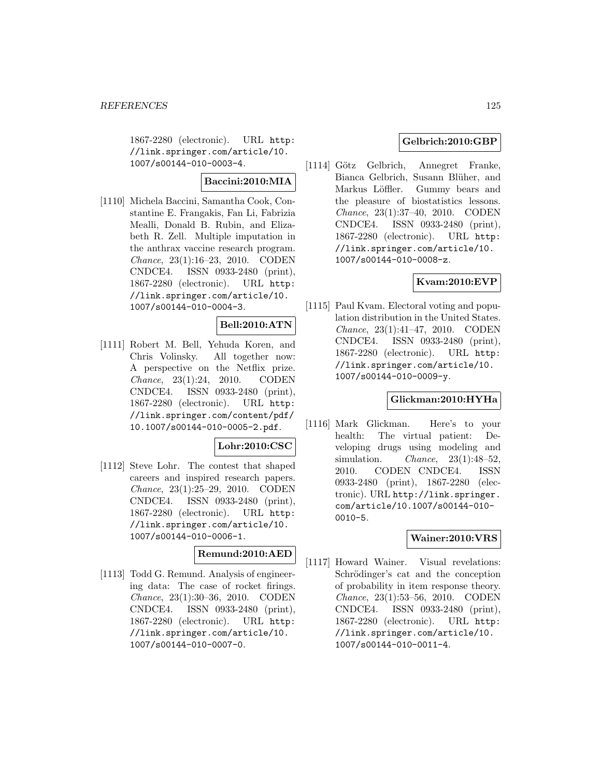1867-2280 (electronic). URL http: //link.springer.com/article/10. 1007/s00144-010-0003-4.

# **Baccini:2010:MIA**

[1110] Michela Baccini, Samantha Cook, Constantine E. Frangakis, Fan Li, Fabrizia Mealli, Donald B. Rubin, and Elizabeth R. Zell. Multiple imputation in the anthrax vaccine research program. Chance, 23(1):16–23, 2010. CODEN CNDCE4. ISSN 0933-2480 (print), 1867-2280 (electronic). URL http: //link.springer.com/article/10. 1007/s00144-010-0004-3.

# **Bell:2010:ATN**

[1111] Robert M. Bell, Yehuda Koren, and Chris Volinsky. All together now: A perspective on the Netflix prize. Chance, 23(1):24, 2010. CODEN CNDCE4. ISSN 0933-2480 (print), 1867-2280 (electronic). URL http: //link.springer.com/content/pdf/ 10.1007/s00144-010-0005-2.pdf.

## **Lohr:2010:CSC**

[1112] Steve Lohr. The contest that shaped careers and inspired research papers. Chance, 23(1):25–29, 2010. CODEN CNDCE4. ISSN 0933-2480 (print), 1867-2280 (electronic). URL http: //link.springer.com/article/10. 1007/s00144-010-0006-1.

#### **Remund:2010:AED**

[1113] Todd G. Remund. Analysis of engineering data: The case of rocket firings. Chance, 23(1):30–36, 2010. CODEN CNDCE4. ISSN 0933-2480 (print), 1867-2280 (electronic). URL http: //link.springer.com/article/10. 1007/s00144-010-0007-0.

## **Gelbrich:2010:GBP**

[1114] Götz Gelbrich, Annegret Franke, Bianca Gelbrich, Susann Blüher, and Markus Löffler. Gummy bears and the pleasure of biostatistics lessons. Chance, 23(1):37–40, 2010. CODEN CNDCE4. ISSN 0933-2480 (print), 1867-2280 (electronic). URL http: //link.springer.com/article/10. 1007/s00144-010-0008-z.

# **Kvam:2010:EVP**

[1115] Paul Kvam. Electoral voting and population distribution in the United States. Chance, 23(1):41–47, 2010. CODEN CNDCE4. ISSN 0933-2480 (print), 1867-2280 (electronic). URL http: //link.springer.com/article/10. 1007/s00144-010-0009-y.

## **Glickman:2010:HYHa**

[1116] Mark Glickman. Here's to your health: The virtual patient: Developing drugs using modeling and simulation. Chance, 23(1):48–52, 2010. CODEN CNDCE4. ISSN 0933-2480 (print), 1867-2280 (electronic). URL http://link.springer. com/article/10.1007/s00144-010- 0010-5.

## **Wainer:2010:VRS**

[1117] Howard Wainer. Visual revelations: Schrödinger's cat and the conception of probability in item response theory. Chance, 23(1):53–56, 2010. CODEN CNDCE4. ISSN 0933-2480 (print), 1867-2280 (electronic). URL http: //link.springer.com/article/10. 1007/s00144-010-0011-4.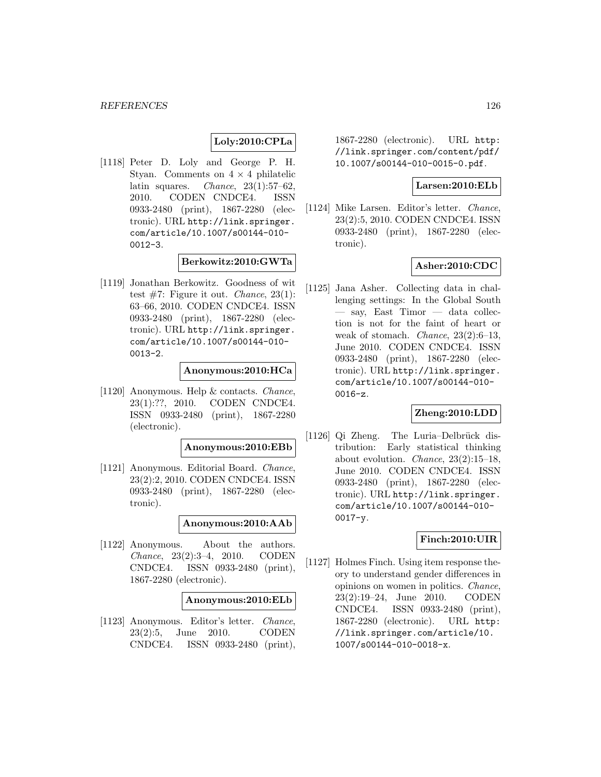# **Loly:2010:CPLa**

[1118] Peter D. Loly and George P. H. Styan. Comments on  $4 \times 4$  philatelic latin squares. *Chance*,  $23(1):57-62$ , 2010. CODEN CNDCE4. ISSN 0933-2480 (print), 1867-2280 (electronic). URL http://link.springer. com/article/10.1007/s00144-010- 0012-3.

#### **Berkowitz:2010:GWTa**

[1119] Jonathan Berkowitz. Goodness of wit test  $\#7$ : Figure it out. *Chance*, 23(1): 63–66, 2010. CODEN CNDCE4. ISSN 0933-2480 (print), 1867-2280 (electronic). URL http://link.springer. com/article/10.1007/s00144-010- 0013-2.

### **Anonymous:2010:HCa**

[1120] Anonymous. Help & contacts. Chance, 23(1):??, 2010. CODEN CNDCE4. ISSN 0933-2480 (print), 1867-2280 (electronic).

**Anonymous:2010:EBb**

[1121] Anonymous. Editorial Board. Chance, 23(2):2, 2010. CODEN CNDCE4. ISSN 0933-2480 (print), 1867-2280 (electronic).

### **Anonymous:2010:AAb**

[1122] Anonymous. About the authors. Chance, 23(2):3–4, 2010. CODEN CNDCE4. ISSN 0933-2480 (print), 1867-2280 (electronic).

**Anonymous:2010:ELb**

[1123] Anonymous. Editor's letter. Chance, 23(2):5, June 2010. CODEN CNDCE4. ISSN 0933-2480 (print), 1867-2280 (electronic). URL http: //link.springer.com/content/pdf/ 10.1007/s00144-010-0015-0.pdf.

#### **Larsen:2010:ELb**

[1124] Mike Larsen. Editor's letter. Chance, 23(2):5, 2010. CODEN CNDCE4. ISSN 0933-2480 (print), 1867-2280 (electronic).

### **Asher:2010:CDC**

[1125] Jana Asher. Collecting data in challenging settings: In the Global South — say, East Timor — data collection is not for the faint of heart or weak of stomach. Chance, 23(2):6–13, June 2010. CODEN CNDCE4. ISSN 0933-2480 (print), 1867-2280 (electronic). URL http://link.springer. com/article/10.1007/s00144-010- 0016-z.

#### **Zheng:2010:LDD**

 $[1126]$  Qi Zheng. The Luria–Delbrück distribution: Early statistical thinking about evolution. Chance, 23(2):15–18, June 2010. CODEN CNDCE4. ISSN 0933-2480 (print), 1867-2280 (electronic). URL http://link.springer. com/article/10.1007/s00144-010- 0017-y.

# **Finch:2010:UIR**

[1127] Holmes Finch. Using item response theory to understand gender differences in opinions on women in politics. Chance, 23(2):19–24, June 2010. CODEN CNDCE4. ISSN 0933-2480 (print), 1867-2280 (electronic). URL http: //link.springer.com/article/10. 1007/s00144-010-0018-x.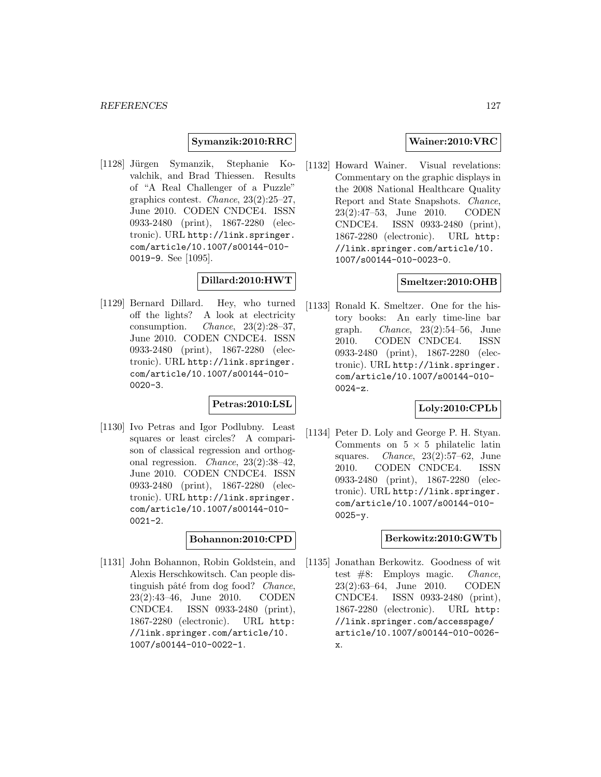**Symanzik:2010:RRC**

[1128] Jürgen Symanzik, Stephanie Kovalchik, and Brad Thiessen. Results of "A Real Challenger of a Puzzle" graphics contest. Chance, 23(2):25–27, June 2010. CODEN CNDCE4. ISSN 0933-2480 (print), 1867-2280 (electronic). URL http://link.springer. com/article/10.1007/s00144-010- 0019-9. See [1095].

# **Dillard:2010:HWT**

[1129] Bernard Dillard. Hey, who turned off the lights? A look at electricity consumption. Chance, 23(2):28–37, June 2010. CODEN CNDCE4. ISSN 0933-2480 (print), 1867-2280 (electronic). URL http://link.springer. com/article/10.1007/s00144-010- 0020-3.

# **Petras:2010:LSL**

[1130] Ivo Petras and Igor Podlubny. Least squares or least circles? A comparison of classical regression and orthogonal regression. Chance, 23(2):38–42, June 2010. CODEN CNDCE4. ISSN 0933-2480 (print), 1867-2280 (electronic). URL http://link.springer. com/article/10.1007/s00144-010- 0021-2.

# **Bohannon:2010:CPD**

[1131] John Bohannon, Robin Goldstein, and Alexis Herschkowitsch. Can people distinguish pâté from dog food? Chance, 23(2):43–46, June 2010. CODEN CNDCE4. ISSN 0933-2480 (print), 1867-2280 (electronic). URL http: //link.springer.com/article/10. 1007/s00144-010-0022-1.

# **Wainer:2010:VRC**

[1132] Howard Wainer. Visual revelations: Commentary on the graphic displays in the 2008 National Healthcare Quality Report and State Snapshots. Chance, 23(2):47–53, June 2010. CODEN CNDCE4. ISSN 0933-2480 (print), 1867-2280 (electronic). URL http: //link.springer.com/article/10. 1007/s00144-010-0023-0.

# **Smeltzer:2010:OHB**

[1133] Ronald K. Smeltzer. One for the history books: An early time-line bar graph. Chance, 23(2):54–56, June 2010. CODEN CNDCE4. ISSN 0933-2480 (print), 1867-2280 (electronic). URL http://link.springer. com/article/10.1007/s00144-010- 0024-z.

## **Loly:2010:CPLb**

[1134] Peter D. Loly and George P. H. Styan. Comments on  $5 \times 5$  philatelic latin squares. Chance, 23(2):57–62, June 2010. CODEN CNDCE4. ISSN 0933-2480 (print), 1867-2280 (electronic). URL http://link.springer. com/article/10.1007/s00144-010-  $0025 - y.$ 

### **Berkowitz:2010:GWTb**

[1135] Jonathan Berkowitz. Goodness of wit test #8: Employs magic. Chance, 23(2):63–64, June 2010. CODEN CNDCE4. ISSN 0933-2480 (print), 1867-2280 (electronic). URL http: //link.springer.com/accesspage/ article/10.1007/s00144-010-0026 x.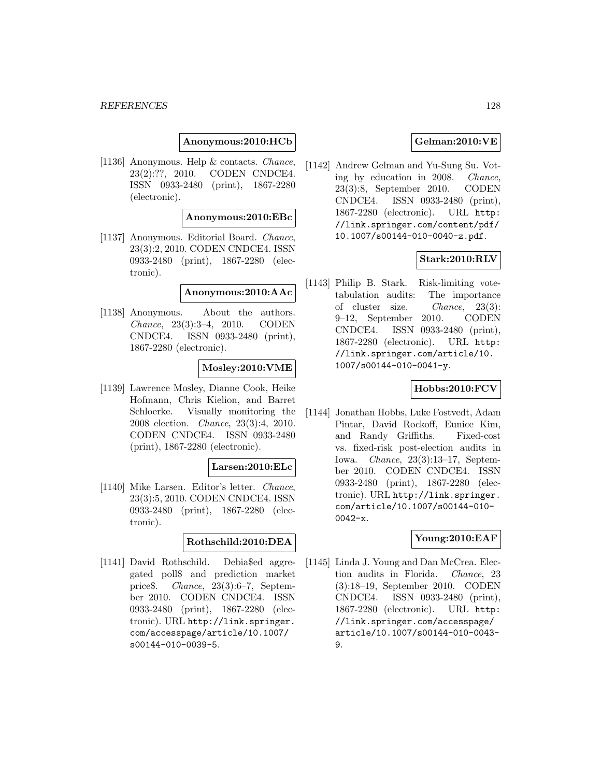**Anonymous:2010:HCb**

[1136] Anonymous. Help & contacts. Chance, 23(2):??, 2010. CODEN CNDCE4. ISSN 0933-2480 (print), 1867-2280 (electronic).

#### **Anonymous:2010:EBc**

[1137] Anonymous. Editorial Board. Chance, 23(3):2, 2010. CODEN CNDCE4. ISSN 0933-2480 (print), 1867-2280 (electronic).

### **Anonymous:2010:AAc**

[1138] Anonymous. About the authors. Chance, 23(3):3–4, 2010. CODEN CNDCE4. ISSN 0933-2480 (print), 1867-2280 (electronic).

### **Mosley:2010:VME**

[1139] Lawrence Mosley, Dianne Cook, Heike Hofmann, Chris Kielion, and Barret Schloerke. Visually monitoring the 2008 election. Chance, 23(3):4, 2010. CODEN CNDCE4. ISSN 0933-2480 (print), 1867-2280 (electronic).

# **Larsen:2010:ELc**

[1140] Mike Larsen. Editor's letter. Chance, 23(3):5, 2010. CODEN CNDCE4. ISSN 0933-2480 (print), 1867-2280 (electronic).

# **Rothschild:2010:DEA**

[1141] David Rothschild. Debia\$ed aggregated poll\$ and prediction market price\$. Chance, 23(3):6–7, September 2010. CODEN CNDCE4. ISSN 0933-2480 (print), 1867-2280 (electronic). URL http://link.springer. com/accesspage/article/10.1007/ s00144-010-0039-5.

## **Gelman:2010:VE**

[1142] Andrew Gelman and Yu-Sung Su. Voting by education in 2008. Chance, 23(3):8, September 2010. CODEN CNDCE4. ISSN 0933-2480 (print), 1867-2280 (electronic). URL http: //link.springer.com/content/pdf/ 10.1007/s00144-010-0040-z.pdf.

## **Stark:2010:RLV**

[1143] Philip B. Stark. Risk-limiting votetabulation audits: The importance of cluster size. Chance, 23(3): 9–12, September 2010. CODEN CNDCE4. ISSN 0933-2480 (print), 1867-2280 (electronic). URL http: //link.springer.com/article/10. 1007/s00144-010-0041-y.

### **Hobbs:2010:FCV**

[1144] Jonathan Hobbs, Luke Fostvedt, Adam Pintar, David Rockoff, Eunice Kim, and Randy Griffiths. Fixed-cost vs. fixed-risk post-election audits in Iowa. Chance, 23(3):13–17, September 2010. CODEN CNDCE4. ISSN 0933-2480 (print), 1867-2280 (electronic). URL http://link.springer. com/article/10.1007/s00144-010- 0042-x.

## **Young:2010:EAF**

[1145] Linda J. Young and Dan McCrea. Election audits in Florida. Chance, 23 (3):18–19, September 2010. CODEN CNDCE4. ISSN 0933-2480 (print), 1867-2280 (electronic). URL http: //link.springer.com/accesspage/ article/10.1007/s00144-010-0043- 9.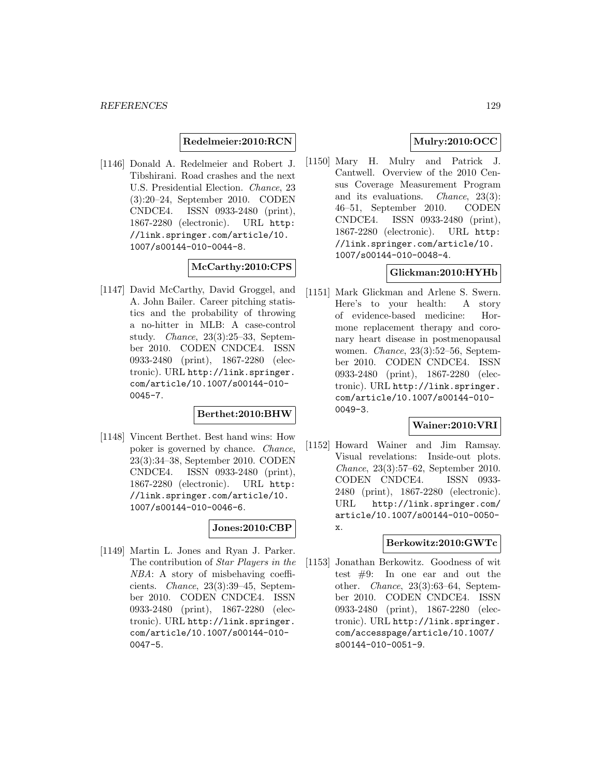### **Redelmeier:2010:RCN**

[1146] Donald A. Redelmeier and Robert J. Tibshirani. Road crashes and the next U.S. Presidential Election. Chance, 23 (3):20–24, September 2010. CODEN CNDCE4. ISSN 0933-2480 (print), 1867-2280 (electronic). URL http: //link.springer.com/article/10. 1007/s00144-010-0044-8.

## **McCarthy:2010:CPS**

[1147] David McCarthy, David Groggel, and A. John Bailer. Career pitching statistics and the probability of throwing a no-hitter in MLB: A case-control study. Chance, 23(3):25–33, September 2010. CODEN CNDCE4. ISSN 0933-2480 (print), 1867-2280 (electronic). URL http://link.springer. com/article/10.1007/s00144-010- 0045-7.

## **Berthet:2010:BHW**

[1148] Vincent Berthet. Best hand wins: How poker is governed by chance. Chance, 23(3):34–38, September 2010. CODEN CNDCE4. ISSN 0933-2480 (print), 1867-2280 (electronic). URL http: //link.springer.com/article/10. 1007/s00144-010-0046-6.

## **Jones:2010:CBP**

[1149] Martin L. Jones and Ryan J. Parker. The contribution of Star Players in the NBA: A story of misbehaving coefficients. Chance, 23(3):39–45, September 2010. CODEN CNDCE4. ISSN 0933-2480 (print), 1867-2280 (electronic). URL http://link.springer. com/article/10.1007/s00144-010- 0047-5.

# **Mulry:2010:OCC**

[1150] Mary H. Mulry and Patrick J. Cantwell. Overview of the 2010 Census Coverage Measurement Program and its evaluations. Chance, 23(3): 46–51, September 2010. CODEN CNDCE4. ISSN 0933-2480 (print), 1867-2280 (electronic). URL http: //link.springer.com/article/10. 1007/s00144-010-0048-4.

# **Glickman:2010:HYHb**

[1151] Mark Glickman and Arlene S. Swern. Here's to your health: A story of evidence-based medicine: Hormone replacement therapy and coronary heart disease in postmenopausal women. Chance, 23(3):52–56, September 2010. CODEN CNDCE4. ISSN 0933-2480 (print), 1867-2280 (electronic). URL http://link.springer. com/article/10.1007/s00144-010- 0049-3.

# **Wainer:2010:VRI**

[1152] Howard Wainer and Jim Ramsay. Visual revelations: Inside-out plots. Chance, 23(3):57–62, September 2010. CODEN CNDCE4. ISSN 0933- 2480 (print), 1867-2280 (electronic). URL http://link.springer.com/ article/10.1007/s00144-010-0050 x.

#### **Berkowitz:2010:GWTc**

[1153] Jonathan Berkowitz. Goodness of wit test #9: In one ear and out the other. Chance, 23(3):63–64, September 2010. CODEN CNDCE4. ISSN 0933-2480 (print), 1867-2280 (electronic). URL http://link.springer. com/accesspage/article/10.1007/ s00144-010-0051-9.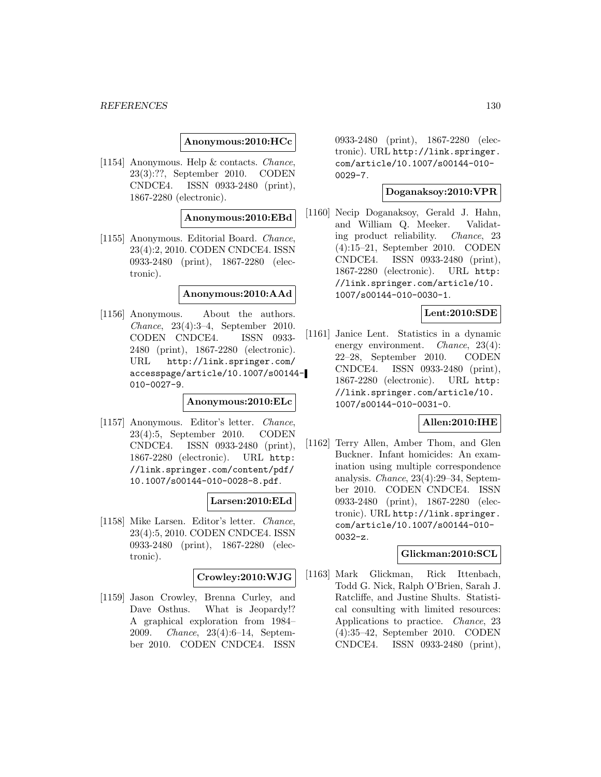### **Anonymous:2010:HCc**

[1154] Anonymous. Help & contacts. Chance, 23(3):??, September 2010. CODEN CNDCE4. ISSN 0933-2480 (print), 1867-2280 (electronic).

### **Anonymous:2010:EBd**

[1155] Anonymous. Editorial Board. Chance, 23(4):2, 2010. CODEN CNDCE4. ISSN 0933-2480 (print), 1867-2280 (electronic).

### **Anonymous:2010:AAd**

[1156] Anonymous. About the authors. Chance, 23(4):3–4, September 2010. CODEN CNDCE4. ISSN 0933- 2480 (print), 1867-2280 (electronic). URL http://link.springer.com/ accesspage/article/10.1007/s00144- 010-0027-9.

### **Anonymous:2010:ELc**

[1157] Anonymous. Editor's letter. Chance, 23(4):5, September 2010. CODEN CNDCE4. ISSN 0933-2480 (print), 1867-2280 (electronic). URL http: //link.springer.com/content/pdf/ 10.1007/s00144-010-0028-8.pdf.

#### **Larsen:2010:ELd**

[1158] Mike Larsen. Editor's letter. Chance, 23(4):5, 2010. CODEN CNDCE4. ISSN 0933-2480 (print), 1867-2280 (electronic).

### **Crowley:2010:WJG**

[1159] Jason Crowley, Brenna Curley, and Dave Osthus. What is Jeopardy!? A graphical exploration from 1984– 2009. Chance, 23(4):6–14, September 2010. CODEN CNDCE4. ISSN

0933-2480 (print), 1867-2280 (electronic). URL http://link.springer. com/article/10.1007/s00144-010- 0029-7.

## **Doganaksoy:2010:VPR**

[1160] Necip Doganaksoy, Gerald J. Hahn, and William Q. Meeker. Validating product reliability. Chance, 23 (4):15–21, September 2010. CODEN CNDCE4. ISSN 0933-2480 (print), 1867-2280 (electronic). URL http: //link.springer.com/article/10. 1007/s00144-010-0030-1.

# **Lent:2010:SDE**

[1161] Janice Lent. Statistics in a dynamic energy environment. *Chance*, 23(4): 22–28, September 2010. CODEN CNDCE4. ISSN 0933-2480 (print), 1867-2280 (electronic). URL http: //link.springer.com/article/10. 1007/s00144-010-0031-0.

# **Allen:2010:IHE**

[1162] Terry Allen, Amber Thom, and Glen Buckner. Infant homicides: An examination using multiple correspondence analysis. Chance, 23(4):29–34, September 2010. CODEN CNDCE4. ISSN 0933-2480 (print), 1867-2280 (electronic). URL http://link.springer. com/article/10.1007/s00144-010- 0032-z.

#### **Glickman:2010:SCL**

[1163] Mark Glickman, Rick Ittenbach, Todd G. Nick, Ralph O'Brien, Sarah J. Ratcliffe, and Justine Shults. Statistical consulting with limited resources: Applications to practice. Chance, 23 (4):35–42, September 2010. CODEN CNDCE4. ISSN 0933-2480 (print),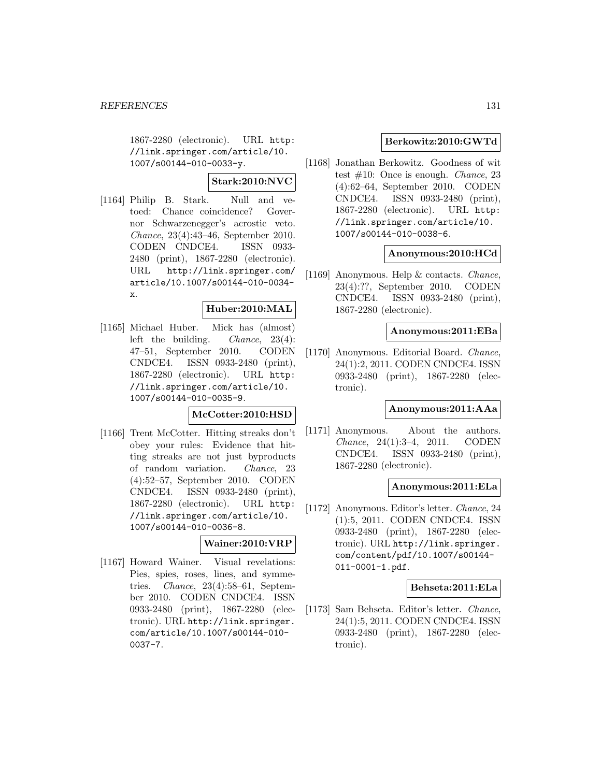1867-2280 (electronic). URL http: //link.springer.com/article/10. 1007/s00144-010-0033-y.

# **Stark:2010:NVC**

[1164] Philip B. Stark. Null and vetoed: Chance coincidence? Governor Schwarzenegger's acrostic veto. Chance, 23(4):43–46, September 2010. CODEN CNDCE4. ISSN 0933- 2480 (print), 1867-2280 (electronic). URL http://link.springer.com/ article/10.1007/s00144-010-0034 x.

# **Huber:2010:MAL**

[1165] Michael Huber. Mick has (almost) left the building. Chance, 23(4): 47–51, September 2010. CODEN CNDCE4. ISSN 0933-2480 (print), 1867-2280 (electronic). URL http: //link.springer.com/article/10. 1007/s00144-010-0035-9.

# **McCotter:2010:HSD**

[1166] Trent McCotter. Hitting streaks don't obey your rules: Evidence that hitting streaks are not just byproducts of random variation. Chance, 23 (4):52–57, September 2010. CODEN CNDCE4. ISSN 0933-2480 (print), 1867-2280 (electronic). URL http: //link.springer.com/article/10. 1007/s00144-010-0036-8.

## **Wainer:2010:VRP**

[1167] Howard Wainer. Visual revelations: Pies, spies, roses, lines, and symmetries. Chance, 23(4):58–61, September 2010. CODEN CNDCE4. ISSN 0933-2480 (print), 1867-2280 (electronic). URL http://link.springer. com/article/10.1007/s00144-010- 0037-7.

## **Berkowitz:2010:GWTd**

[1168] Jonathan Berkowitz. Goodness of wit test  $\#10$ : Once is enough. *Chance*, 23 (4):62–64, September 2010. CODEN CNDCE4. ISSN 0933-2480 (print), 1867-2280 (electronic). URL http: //link.springer.com/article/10. 1007/s00144-010-0038-6.

### **Anonymous:2010:HCd**

[1169] Anonymous. Help & contacts. Chance, 23(4):??, September 2010. CODEN CNDCE4. ISSN 0933-2480 (print), 1867-2280 (electronic).

#### **Anonymous:2011:EBa**

[1170] Anonymous. Editorial Board. Chance, 24(1):2, 2011. CODEN CNDCE4. ISSN 0933-2480 (print), 1867-2280 (electronic).

## **Anonymous:2011:AAa**

[1171] Anonymous. About the authors. Chance, 24(1):3–4, 2011. CODEN CNDCE4. ISSN 0933-2480 (print), 1867-2280 (electronic).

### **Anonymous:2011:ELa**

[1172] Anonymous. Editor's letter. Chance, 24 (1):5, 2011. CODEN CNDCE4. ISSN 0933-2480 (print), 1867-2280 (electronic). URL http://link.springer. com/content/pdf/10.1007/s00144- 011-0001-1.pdf.

## **Behseta:2011:ELa**

[1173] Sam Behseta. Editor's letter. Chance, 24(1):5, 2011. CODEN CNDCE4. ISSN 0933-2480 (print), 1867-2280 (electronic).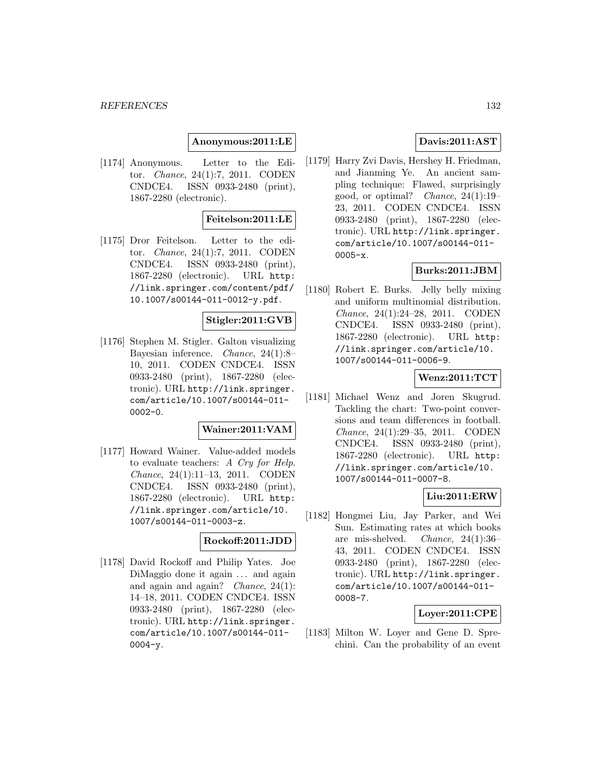## **Anonymous:2011:LE**

[1174] Anonymous. Letter to the Editor. Chance, 24(1):7, 2011. CODEN CNDCE4. ISSN 0933-2480 (print), 1867-2280 (electronic).

## **Feitelson:2011:LE**

[1175] Dror Feitelson. Letter to the editor. Chance, 24(1):7, 2011. CODEN CNDCE4. ISSN 0933-2480 (print), 1867-2280 (electronic). URL http: //link.springer.com/content/pdf/ 10.1007/s00144-011-0012-y.pdf.

### **Stigler:2011:GVB**

[1176] Stephen M. Stigler. Galton visualizing Bayesian inference. Chance, 24(1):8– 10, 2011. CODEN CNDCE4. ISSN 0933-2480 (print), 1867-2280 (electronic). URL http://link.springer. com/article/10.1007/s00144-011- 0002-0.

#### **Wainer:2011:VAM**

[1177] Howard Wainer. Value-added models to evaluate teachers: A Cry for Help. Chance, 24(1):11–13, 2011. CODEN CNDCE4. ISSN 0933-2480 (print), 1867-2280 (electronic). URL http: //link.springer.com/article/10. 1007/s00144-011-0003-z.

### **Rockoff:2011:JDD**

[1178] David Rockoff and Philip Yates. Joe DiMaggio done it again ... and again and again and again? *Chance*,  $24(1)$ : 14–18, 2011. CODEN CNDCE4. ISSN 0933-2480 (print), 1867-2280 (electronic). URL http://link.springer. com/article/10.1007/s00144-011-  $0004 - y$ .

# **Davis:2011:AST**

[1179] Harry Zvi Davis, Hershey H. Friedman, and Jianming Ye. An ancient sampling technique: Flawed, surprisingly good, or optimal? Chance, 24(1):19– 23, 2011. CODEN CNDCE4. ISSN 0933-2480 (print), 1867-2280 (electronic). URL http://link.springer. com/article/10.1007/s00144-011- 0005-x.

# **Burks:2011:JBM**

[1180] Robert E. Burks. Jelly belly mixing and uniform multinomial distribution. Chance, 24(1):24–28, 2011. CODEN CNDCE4. ISSN 0933-2480 (print), 1867-2280 (electronic). URL http: //link.springer.com/article/10. 1007/s00144-011-0006-9.

### **Wenz:2011:TCT**

[1181] Michael Wenz and Joren Skugrud. Tackling the chart: Two-point conversions and team differences in football. Chance, 24(1):29–35, 2011. CODEN CNDCE4. ISSN 0933-2480 (print), 1867-2280 (electronic). URL http: //link.springer.com/article/10. 1007/s00144-011-0007-8.

# **Liu:2011:ERW**

[1182] Hongmei Liu, Jay Parker, and Wei Sun. Estimating rates at which books are mis-shelved. Chance, 24(1):36– 43, 2011. CODEN CNDCE4. ISSN 0933-2480 (print), 1867-2280 (electronic). URL http://link.springer. com/article/10.1007/s00144-011- 0008-7.

## **Loyer:2011:CPE**

[1183] Milton W. Loyer and Gene D. Sprechini. Can the probability of an event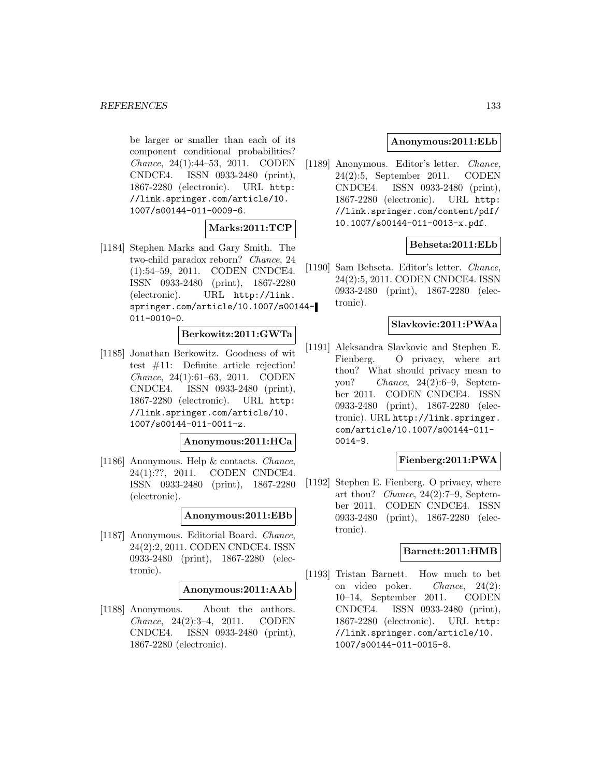be larger or smaller than each of its component conditional probabilities? Chance, 24(1):44–53, 2011. CODEN CNDCE4. ISSN 0933-2480 (print), 1867-2280 (electronic). URL http: //link.springer.com/article/10. 1007/s00144-011-0009-6.

## **Marks:2011:TCP**

[1184] Stephen Marks and Gary Smith. The two-child paradox reborn? Chance, 24 (1):54–59, 2011. CODEN CNDCE4. ISSN 0933-2480 (print), 1867-2280 (electronic). URL http://link. springer.com/article/10.1007/s00144- 011-0010-0.

## **Berkowitz:2011:GWTa**

[1185] Jonathan Berkowitz. Goodness of wit test #11: Definite article rejection! Chance, 24(1):61–63, 2011. CODEN CNDCE4. ISSN 0933-2480 (print), 1867-2280 (electronic). URL http: //link.springer.com/article/10. 1007/s00144-011-0011-z.

# **Anonymous:2011:HCa**

[1186] Anonymous. Help & contacts. Chance, 24(1):??, 2011. CODEN CNDCE4. ISSN 0933-2480 (print), 1867-2280 (electronic).

#### **Anonymous:2011:EBb**

[1187] Anonymous. Editorial Board. Chance, 24(2):2, 2011. CODEN CNDCE4. ISSN 0933-2480 (print), 1867-2280 (electronic).

#### **Anonymous:2011:AAb**

[1188] Anonymous. About the authors. Chance, 24(2):3–4, 2011. CODEN CNDCE4. ISSN 0933-2480 (print), 1867-2280 (electronic).

### **Anonymous:2011:ELb**

[1189] Anonymous. Editor's letter. Chance, 24(2):5, September 2011. CODEN CNDCE4. ISSN 0933-2480 (print), 1867-2280 (electronic). URL http: //link.springer.com/content/pdf/ 10.1007/s00144-011-0013-x.pdf.

# **Behseta:2011:ELb**

[1190] Sam Behseta. Editor's letter. Chance, 24(2):5, 2011. CODEN CNDCE4. ISSN 0933-2480 (print), 1867-2280 (electronic).

## **Slavkovic:2011:PWAa**

[1191] Aleksandra Slavkovic and Stephen E. Fienberg. O privacy, where art thou? What should privacy mean to you? Chance, 24(2):6–9, September 2011. CODEN CNDCE4. ISSN 0933-2480 (print), 1867-2280 (electronic). URL http://link.springer. com/article/10.1007/s00144-011- 0014-9.

### **Fienberg:2011:PWA**

[1192] Stephen E. Fienberg. O privacy, where art thou? Chance, 24(2):7–9, September 2011. CODEN CNDCE4. ISSN 0933-2480 (print), 1867-2280 (electronic).

### **Barnett:2011:HMB**

[1193] Tristan Barnett. How much to bet on video poker. Chance, 24(2): 10–14, September 2011. CODEN CNDCE4. ISSN 0933-2480 (print), 1867-2280 (electronic). URL http: //link.springer.com/article/10. 1007/s00144-011-0015-8.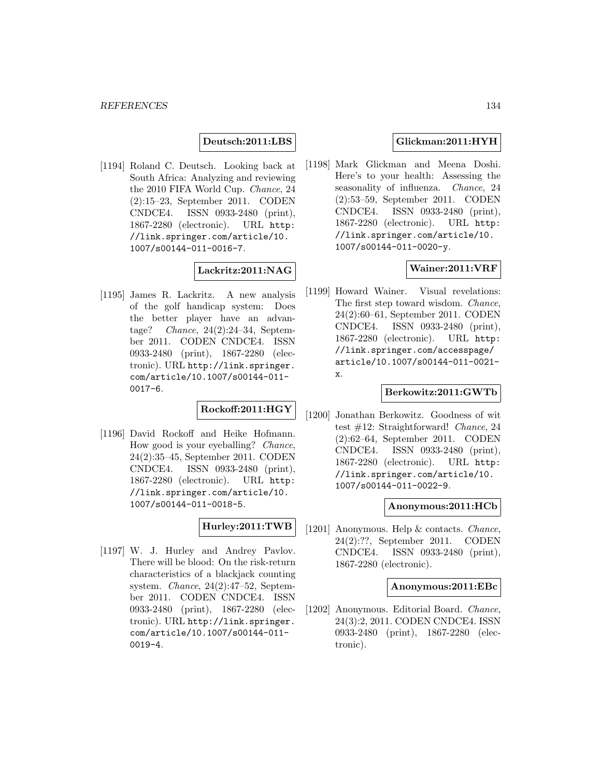### **Deutsch:2011:LBS**

[1194] Roland C. Deutsch. Looking back at South Africa: Analyzing and reviewing the 2010 FIFA World Cup. Chance, 24 (2):15–23, September 2011. CODEN CNDCE4. ISSN 0933-2480 (print), 1867-2280 (electronic). URL http: //link.springer.com/article/10. 1007/s00144-011-0016-7.

# **Lackritz:2011:NAG**

[1195] James R. Lackritz. A new analysis of the golf handicap system: Does the better player have an advantage? Chance, 24(2):24–34, September 2011. CODEN CNDCE4. ISSN 0933-2480 (print), 1867-2280 (electronic). URL http://link.springer. com/article/10.1007/s00144-011- 0017-6.

# **Rockoff:2011:HGY**

[1196] David Rockoff and Heike Hofmann. How good is your eyeballing? Chance, 24(2):35–45, September 2011. CODEN CNDCE4. ISSN 0933-2480 (print), 1867-2280 (electronic). URL http: //link.springer.com/article/10. 1007/s00144-011-0018-5.

#### **Hurley:2011:TWB**

[1197] W. J. Hurley and Andrey Pavlov. There will be blood: On the risk-return characteristics of a blackjack counting system. Chance, 24(2):47–52, September 2011. CODEN CNDCE4. ISSN 0933-2480 (print), 1867-2280 (electronic). URL http://link.springer. com/article/10.1007/s00144-011- 0019-4.

### **Glickman:2011:HYH**

[1198] Mark Glickman and Meena Doshi. Here's to your health: Assessing the seasonality of influenza. Chance, 24 (2):53–59, September 2011. CODEN CNDCE4. ISSN 0933-2480 (print), 1867-2280 (electronic). URL http: //link.springer.com/article/10. 1007/s00144-011-0020-y.

## **Wainer:2011:VRF**

[1199] Howard Wainer. Visual revelations: The first step toward wisdom. Chance, 24(2):60–61, September 2011. CODEN CNDCE4. ISSN 0933-2480 (print), 1867-2280 (electronic). URL http: //link.springer.com/accesspage/ article/10.1007/s00144-011-0021 x.

## **Berkowitz:2011:GWTb**

[1200] Jonathan Berkowitz. Goodness of wit test #12: Straightforward! Chance, 24 (2):62–64, September 2011. CODEN CNDCE4. ISSN 0933-2480 (print), 1867-2280 (electronic). URL http: //link.springer.com/article/10. 1007/s00144-011-0022-9.

## **Anonymous:2011:HCb**

[1201] Anonymous. Help & contacts. *Chance*, 24(2):??, September 2011. CODEN CNDCE4. ISSN 0933-2480 (print), 1867-2280 (electronic).

#### **Anonymous:2011:EBc**

[1202] Anonymous. Editorial Board. Chance, 24(3):2, 2011. CODEN CNDCE4. ISSN 0933-2480 (print), 1867-2280 (electronic).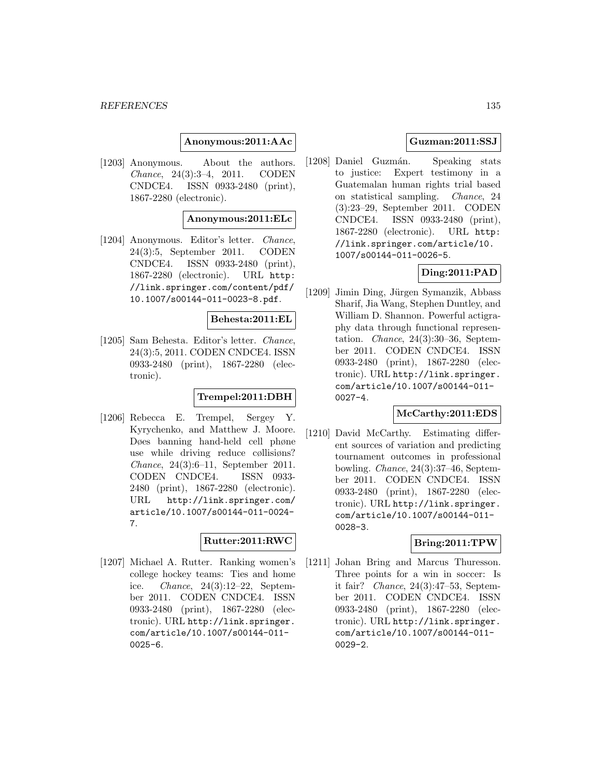## **Anonymous:2011:AAc**

[1203] Anonymous. About the authors. Chance, 24(3):3–4, 2011. CODEN CNDCE4. ISSN 0933-2480 (print), 1867-2280 (electronic).

### **Anonymous:2011:ELc**

[1204] Anonymous. Editor's letter. Chance, 24(3):5, September 2011. CODEN CNDCE4. ISSN 0933-2480 (print), 1867-2280 (electronic). URL http: //link.springer.com/content/pdf/ 10.1007/s00144-011-0023-8.pdf.

### **Behesta:2011:EL**

[1205] Sam Behesta. Editor's letter. Chance, 24(3):5, 2011. CODEN CNDCE4. ISSN 0933-2480 (print), 1867-2280 (electronic).

## **Trempel:2011:DBH**

[1206] Rebecca E. Trempel, Sergey Y. Kyrychenko, and Matthew J. Moore. Døes banning hand-held cell phøne use while driving reduce cøllisiøns? Chance, 24(3):6–11, September 2011. CODEN CNDCE4. ISSN 0933- 2480 (print), 1867-2280 (electronic). URL http://link.springer.com/ article/10.1007/s00144-011-0024- 7.

## **Rutter:2011:RWC**

[1207] Michael A. Rutter. Ranking women's college hockey teams: Ties and home ice. Chance, 24(3):12–22, September 2011. CODEN CNDCE4. ISSN 0933-2480 (print), 1867-2280 (electronic). URL http://link.springer. com/article/10.1007/s00144-011- 0025-6.

## **Guzman:2011:SSJ**

[1208] Daniel Guzmán. Speaking stats to justice: Expert testimony in a Guatemalan human rights trial based on statistical sampling. Chance, 24 (3):23–29, September 2011. CODEN CNDCE4. ISSN 0933-2480 (print), 1867-2280 (electronic). URL http: //link.springer.com/article/10. 1007/s00144-011-0026-5.

# **Ding:2011:PAD**

[1209] Jimin Ding, Jürgen Symanzik, Abbass Sharif, Jia Wang, Stephen Duntley, and William D. Shannon. Powerful actigraphy data through functional representation. Chance, 24(3):30–36, September 2011. CODEN CNDCE4. ISSN 0933-2480 (print), 1867-2280 (electronic). URL http://link.springer. com/article/10.1007/s00144-011- 0027-4.

#### **McCarthy:2011:EDS**

[1210] David McCarthy. Estimating different sources of variation and predicting tournament outcomes in professional bowling. Chance, 24(3):37–46, September 2011. CODEN CNDCE4. ISSN 0933-2480 (print), 1867-2280 (electronic). URL http://link.springer. com/article/10.1007/s00144-011- 0028-3.

#### **Bring:2011:TPW**

[1211] Johan Bring and Marcus Thuresson. Three points for a win in soccer: Is it fair? Chance, 24(3):47–53, September 2011. CODEN CNDCE4. ISSN 0933-2480 (print), 1867-2280 (electronic). URL http://link.springer. com/article/10.1007/s00144-011- 0029-2.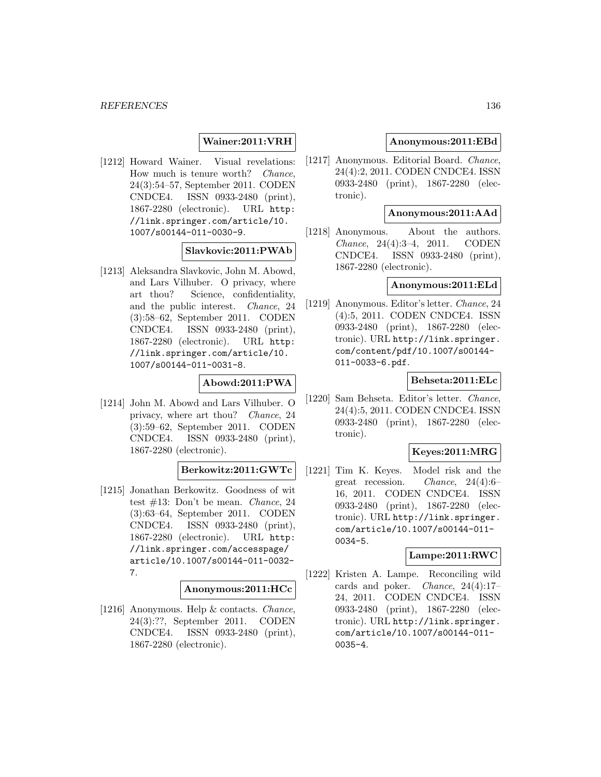## **Wainer:2011:VRH**

[1212] Howard Wainer. Visual revelations: How much is tenure worth? Chance, 24(3):54–57, September 2011. CODEN CNDCE4. ISSN 0933-2480 (print), 1867-2280 (electronic). URL http: //link.springer.com/article/10. 1007/s00144-011-0030-9.

# **Slavkovic:2011:PWAb**

[1213] Aleksandra Slavkovic, John M. Abowd, and Lars Vilhuber. O privacy, where art thou? Science, confidentiality, and the public interest. Chance, 24 (3):58–62, September 2011. CODEN CNDCE4. ISSN 0933-2480 (print), 1867-2280 (electronic). URL http: //link.springer.com/article/10. 1007/s00144-011-0031-8.

# **Abowd:2011:PWA**

[1214] John M. Abowd and Lars Vilhuber. O privacy, where art thou? Chance, 24 (3):59–62, September 2011. CODEN CNDCE4. ISSN 0933-2480 (print), 1867-2280 (electronic).

# **Berkowitz:2011:GWTc**

[1215] Jonathan Berkowitz. Goodness of wit test #13: Don't be mean. Chance, 24 (3):63–64, September 2011. CODEN CNDCE4. ISSN 0933-2480 (print), 1867-2280 (electronic). URL http: //link.springer.com/accesspage/ article/10.1007/s00144-011-0032- 7.

#### **Anonymous:2011:HCc**

[1216] Anonymous. Help & contacts. Chance, 24(3):??, September 2011. CODEN CNDCE4. ISSN 0933-2480 (print), 1867-2280 (electronic).

# **Anonymous:2011:EBd**

[1217] Anonymous. Editorial Board. Chance, 24(4):2, 2011. CODEN CNDCE4. ISSN 0933-2480 (print), 1867-2280 (electronic).

## **Anonymous:2011:AAd**

[1218] Anonymous. About the authors. Chance, 24(4):3–4, 2011. CODEN CNDCE4. ISSN 0933-2480 (print), 1867-2280 (electronic).

### **Anonymous:2011:ELd**

[1219] Anonymous. Editor's letter. Chance, 24 (4):5, 2011. CODEN CNDCE4. ISSN 0933-2480 (print), 1867-2280 (electronic). URL http://link.springer. com/content/pdf/10.1007/s00144- 011-0033-6.pdf.

### **Behseta:2011:ELc**

[1220] Sam Behseta. Editor's letter. Chance, 24(4):5, 2011. CODEN CNDCE4. ISSN 0933-2480 (print), 1867-2280 (electronic).

# **Keyes:2011:MRG**

[1221] Tim K. Keyes. Model risk and the great recession. Chance, 24(4):6– 16, 2011. CODEN CNDCE4. ISSN 0933-2480 (print), 1867-2280 (electronic). URL http://link.springer. com/article/10.1007/s00144-011- 0034-5.

#### **Lampe:2011:RWC**

[1222] Kristen A. Lampe. Reconciling wild cards and poker. Chance, 24(4):17– 24, 2011. CODEN CNDCE4. ISSN 0933-2480 (print), 1867-2280 (electronic). URL http://link.springer. com/article/10.1007/s00144-011- 0035-4.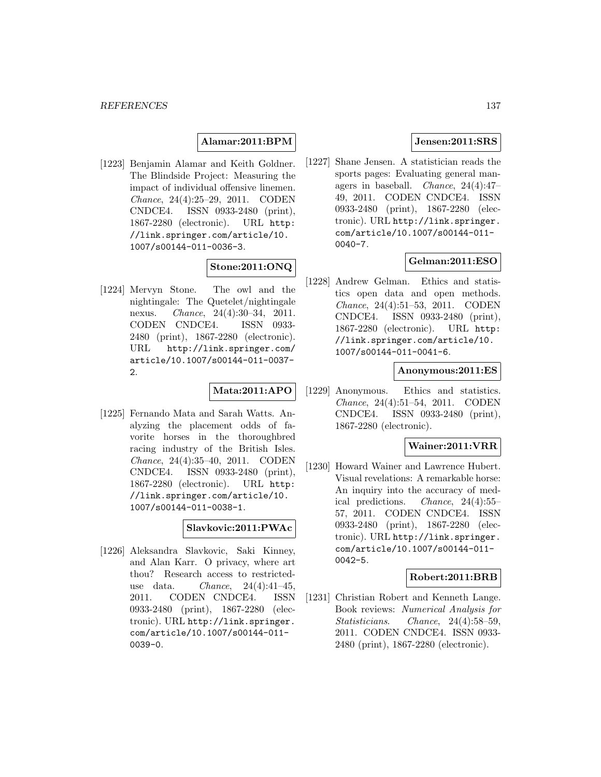# **Alamar:2011:BPM**

[1223] Benjamin Alamar and Keith Goldner. The Blindside Project: Measuring the impact of individual offensive linemen. Chance, 24(4):25–29, 2011. CODEN CNDCE4. ISSN 0933-2480 (print), 1867-2280 (electronic). URL http: //link.springer.com/article/10. 1007/s00144-011-0036-3.

# **Stone:2011:ONQ**

[1224] Mervyn Stone. The owl and the nightingale: The Quetelet/nightingale nexus. Chance, 24(4):30–34, 2011. CODEN CNDCE4. ISSN 0933- 2480 (print), 1867-2280 (electronic). URL http://link.springer.com/ article/10.1007/s00144-011-0037- 2.

# **Mata:2011:APO**

[1225] Fernando Mata and Sarah Watts. Analyzing the placement odds of favorite horses in the thoroughbred racing industry of the British Isles. Chance, 24(4):35–40, 2011. CODEN CNDCE4. ISSN 0933-2480 (print), 1867-2280 (electronic). URL http: //link.springer.com/article/10. 1007/s00144-011-0038-1.

# **Slavkovic:2011:PWAc**

[1226] Aleksandra Slavkovic, Saki Kinney, and Alan Karr. O privacy, where art thou? Research access to restricteduse data. *Chance*,  $24(4):41-45$ , 2011. CODEN CNDCE4. ISSN 0933-2480 (print), 1867-2280 (electronic). URL http://link.springer. com/article/10.1007/s00144-011- 0039-0.

# **Jensen:2011:SRS**

[1227] Shane Jensen. A statistician reads the sports pages: Evaluating general managers in baseball. Chance, 24(4):47– 49, 2011. CODEN CNDCE4. ISSN 0933-2480 (print), 1867-2280 (electronic). URL http://link.springer. com/article/10.1007/s00144-011- 0040-7.

# **Gelman:2011:ESO**

[1228] Andrew Gelman. Ethics and statistics open data and open methods. Chance, 24(4):51–53, 2011. CODEN CNDCE4. ISSN 0933-2480 (print), 1867-2280 (electronic). URL http: //link.springer.com/article/10. 1007/s00144-011-0041-6.

### **Anonymous:2011:ES**

[1229] Anonymous. Ethics and statistics. Chance, 24(4):51–54, 2011. CODEN CNDCE4. ISSN 0933-2480 (print), 1867-2280 (electronic).

# **Wainer:2011:VRR**

[1230] Howard Wainer and Lawrence Hubert. Visual revelations: A remarkable horse: An inquiry into the accuracy of medical predictions. Chance, 24(4):55– 57, 2011. CODEN CNDCE4. ISSN 0933-2480 (print), 1867-2280 (electronic). URL http://link.springer. com/article/10.1007/s00144-011- 0042-5.

## **Robert:2011:BRB**

[1231] Christian Robert and Kenneth Lange. Book reviews: Numerical Analysis for Statisticians. Chance, 24(4):58–59, 2011. CODEN CNDCE4. ISSN 0933- 2480 (print), 1867-2280 (electronic).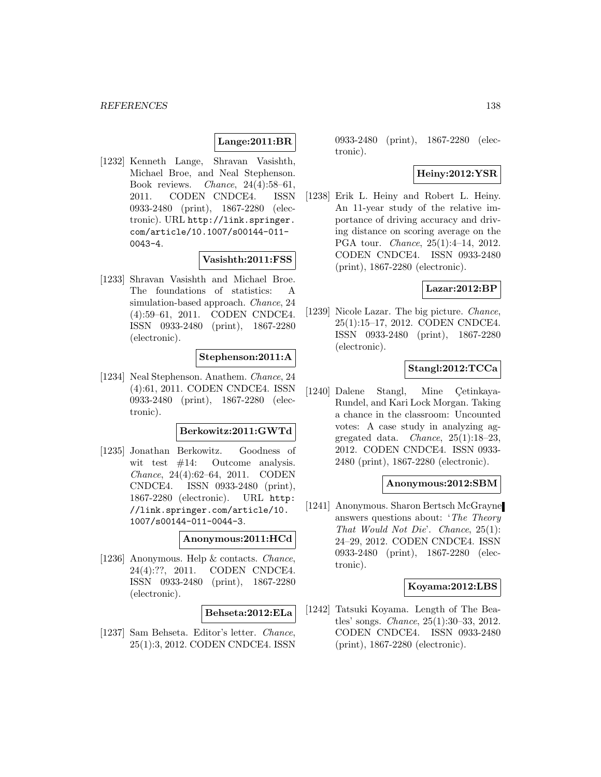# **Lange:2011:BR**

[1232] Kenneth Lange, Shravan Vasishth, Michael Broe, and Neal Stephenson. Book reviews. Chance, 24(4):58–61, 2011. CODEN CNDCE4. ISSN 0933-2480 (print), 1867-2280 (electronic). URL http://link.springer. com/article/10.1007/s00144-011- 0043-4.

#### **Vasishth:2011:FSS**

[1233] Shravan Vasishth and Michael Broe. The foundations of statistics: A simulation-based approach. *Chance*, 24 (4):59–61, 2011. CODEN CNDCE4. ISSN 0933-2480 (print), 1867-2280 (electronic).

## **Stephenson:2011:A**

[1234] Neal Stephenson. Anathem. Chance, 24 (4):61, 2011. CODEN CNDCE4. ISSN 0933-2480 (print), 1867-2280 (electronic).

## **Berkowitz:2011:GWTd**

[1235] Jonathan Berkowitz. Goodness of wit test  $#14$ : Outcome analysis. Chance, 24(4):62–64, 2011. CODEN CNDCE4. ISSN 0933-2480 (print), 1867-2280 (electronic). URL http: //link.springer.com/article/10. 1007/s00144-011-0044-3.

### **Anonymous:2011:HCd**

[1236] Anonymous. Help & contacts. Chance, 24(4):??, 2011. CODEN CNDCE4. ISSN 0933-2480 (print), 1867-2280 (electronic).

#### **Behseta:2012:ELa**

[1237] Sam Behseta. Editor's letter. Chance, 25(1):3, 2012. CODEN CNDCE4. ISSN 0933-2480 (print), 1867-2280 (electronic).

# **Heiny:2012:YSR**

[1238] Erik L. Heiny and Robert L. Heiny. An 11-year study of the relative importance of driving accuracy and driving distance on scoring average on the PGA tour. Chance, 25(1):4–14, 2012. CODEN CNDCE4. ISSN 0933-2480 (print), 1867-2280 (electronic).

### **Lazar:2012:BP**

[1239] Nicole Lazar. The big picture. Chance, 25(1):15–17, 2012. CODEN CNDCE4. ISSN 0933-2480 (print), 1867-2280 (electronic).

## **Stangl:2012:TCCa**

[1240] Dalene Stangl, Mine Cetinkaya-Rundel, and Kari Lock Morgan. Taking a chance in the classroom: Uncounted votes: A case study in analyzing aggregated data. *Chance*,  $25(1):18-23$ , 2012. CODEN CNDCE4. ISSN 0933- 2480 (print), 1867-2280 (electronic).

#### **Anonymous:2012:SBM**

[1241] Anonymous. Sharon Bertsch McGrayne answers questions about: 'The Theory That Would Not Die'. Chance, 25(1): 24–29, 2012. CODEN CNDCE4. ISSN 0933-2480 (print), 1867-2280 (electronic).

### **Koyama:2012:LBS**

[1242] Tatsuki Koyama. Length of The Beatles' songs. Chance, 25(1):30–33, 2012. CODEN CNDCE4. ISSN 0933-2480 (print), 1867-2280 (electronic).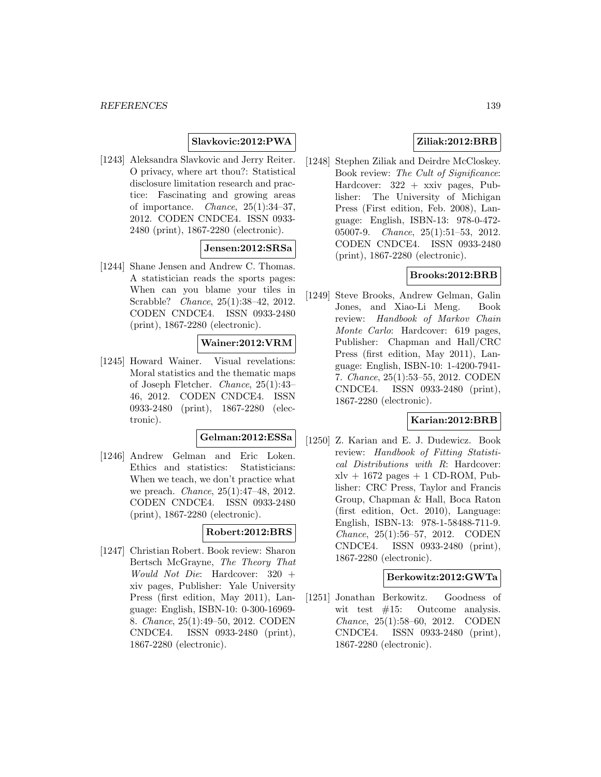# **Slavkovic:2012:PWA**

[1243] Aleksandra Slavkovic and Jerry Reiter. O privacy, where art thou?: Statistical disclosure limitation research and practice: Fascinating and growing areas of importance. *Chance*,  $25(1):34-37$ , 2012. CODEN CNDCE4. ISSN 0933- 2480 (print), 1867-2280 (electronic).

# **Jensen:2012:SRSa**

[1244] Shane Jensen and Andrew C. Thomas. A statistician reads the sports pages: When can you blame your tiles in Scrabble? Chance, 25(1):38–42, 2012. CODEN CNDCE4. ISSN 0933-2480 (print), 1867-2280 (electronic).

# **Wainer:2012:VRM**

[1245] Howard Wainer. Visual revelations: Moral statistics and the thematic maps of Joseph Fletcher. Chance, 25(1):43– 46, 2012. CODEN CNDCE4. ISSN 0933-2480 (print), 1867-2280 (electronic).

# **Gelman:2012:ESSa**

[1246] Andrew Gelman and Eric Loken. Ethics and statistics: Statisticians: When we teach, we don't practice what we preach. *Chance*, 25(1):47-48, 2012. CODEN CNDCE4. ISSN 0933-2480 (print), 1867-2280 (electronic).

## **Robert:2012:BRS**

[1247] Christian Robert. Book review: Sharon Bertsch McGrayne, The Theory That Would Not Die: Hardcover: 320 + xiv pages, Publisher: Yale University Press (first edition, May 2011), Language: English, ISBN-10: 0-300-16969- 8. Chance, 25(1):49–50, 2012. CODEN CNDCE4. ISSN 0933-2480 (print), 1867-2280 (electronic).

# **Ziliak:2012:BRB**

[1248] Stephen Ziliak and Deirdre McCloskey. Book review: The Cult of Significance: Hardcover: 322 + xxiv pages, Publisher: The University of Michigan Press (First edition, Feb. 2008), Language: English, ISBN-13: 978-0-472- 05007-9. Chance, 25(1):51–53, 2012. CODEN CNDCE4. ISSN 0933-2480 (print), 1867-2280 (electronic).

# **Brooks:2012:BRB**

[1249] Steve Brooks, Andrew Gelman, Galin Jones, and Xiao-Li Meng. Book review: Handbook of Markov Chain Monte Carlo: Hardcover: 619 pages, Publisher: Chapman and Hall/CRC Press (first edition, May 2011), Language: English, ISBN-10: 1-4200-7941- 7. Chance, 25(1):53–55, 2012. CODEN CNDCE4. ISSN 0933-2480 (print), 1867-2280 (electronic).

## **Karian:2012:BRB**

[1250] Z. Karian and E. J. Dudewicz. Book review: Handbook of Fitting Statistical Distributions with R: Hardcover:  $xlv + 1672$  pages  $+ 1$  CD-ROM, Publisher: CRC Press, Taylor and Francis Group, Chapman & Hall, Boca Raton (first edition, Oct. 2010), Language: English, ISBN-13: 978-1-58488-711-9. Chance, 25(1):56–57, 2012. CODEN CNDCE4. ISSN 0933-2480 (print), 1867-2280 (electronic).

#### **Berkowitz:2012:GWTa**

[1251] Jonathan Berkowitz. Goodness of wit test  $#15$ : Outcome analysis. Chance, 25(1):58–60, 2012. CODEN CNDCE4. ISSN 0933-2480 (print), 1867-2280 (electronic).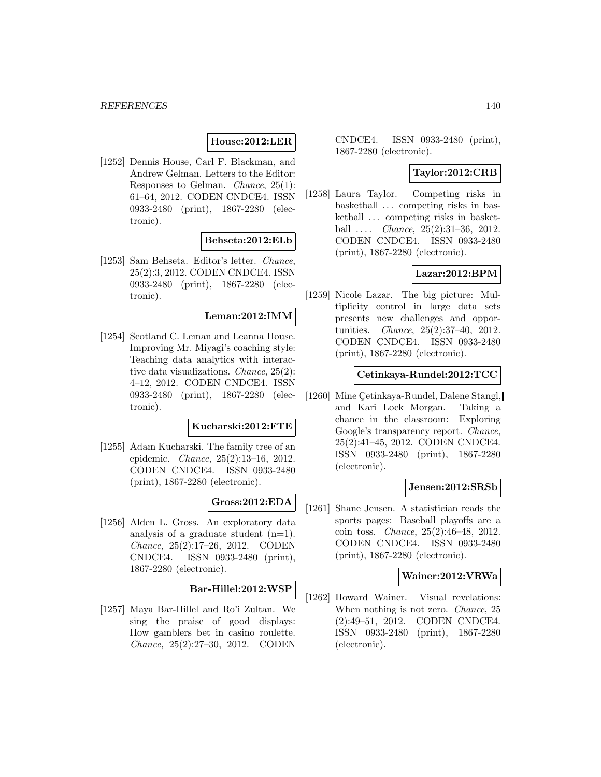# **House:2012:LER**

[1252] Dennis House, Carl F. Blackman, and Andrew Gelman. Letters to the Editor: Responses to Gelman. Chance, 25(1): 61–64, 2012. CODEN CNDCE4. ISSN 0933-2480 (print), 1867-2280 (electronic).

### **Behseta:2012:ELb**

[1253] Sam Behseta. Editor's letter. Chance, 25(2):3, 2012. CODEN CNDCE4. ISSN 0933-2480 (print), 1867-2280 (electronic).

### **Leman:2012:IMM**

[1254] Scotland C. Leman and Leanna House. Improving Mr. Miyagi's coaching style: Teaching data analytics with interactive data visualizations. Chance, 25(2): 4–12, 2012. CODEN CNDCE4. ISSN 0933-2480 (print), 1867-2280 (electronic).

#### **Kucharski:2012:FTE**

[1255] Adam Kucharski. The family tree of an epidemic. Chance, 25(2):13–16, 2012. CODEN CNDCE4. ISSN 0933-2480 (print), 1867-2280 (electronic).

# **Gross:2012:EDA**

[1256] Alden L. Gross. An exploratory data analysis of a graduate student  $(n=1)$ . Chance, 25(2):17–26, 2012. CODEN CNDCE4. ISSN 0933-2480 (print), 1867-2280 (electronic).

## **Bar-Hillel:2012:WSP**

[1257] Maya Bar-Hillel and Ro'i Zultan. We sing the praise of good displays: How gamblers bet in casino roulette. Chance, 25(2):27–30, 2012. CODEN

CNDCE4. ISSN 0933-2480 (print), 1867-2280 (electronic).

# **Taylor:2012:CRB**

[1258] Laura Taylor. Competing risks in basketball ... competing risks in basketball ... competing risks in basketball  $\ldots$  *Chance*,  $25(2):31-36$ ,  $2012$ . CODEN CNDCE4. ISSN 0933-2480 (print), 1867-2280 (electronic).

# **Lazar:2012:BPM**

[1259] Nicole Lazar. The big picture: Multiplicity control in large data sets presents new challenges and opportunities. Chance, 25(2):37–40, 2012. CODEN CNDCE4. ISSN 0933-2480 (print), 1867-2280 (electronic).

### **Cetinkaya-Rundel:2012:TCC**

[1260] Mine Cetinkaya-Rundel, Dalene Stangl, and Kari Lock Morgan. Taking a chance in the classroom: Exploring Google's transparency report. Chance, 25(2):41–45, 2012. CODEN CNDCE4. ISSN 0933-2480 (print), 1867-2280 (electronic).

## **Jensen:2012:SRSb**

[1261] Shane Jensen. A statistician reads the sports pages: Baseball playoffs are a coin toss. Chance, 25(2):46–48, 2012. CODEN CNDCE4. ISSN 0933-2480 (print), 1867-2280 (electronic).

### **Wainer:2012:VRWa**

[1262] Howard Wainer. Visual revelations: When nothing is not zero. *Chance*, 25 (2):49–51, 2012. CODEN CNDCE4. ISSN 0933-2480 (print), 1867-2280 (electronic).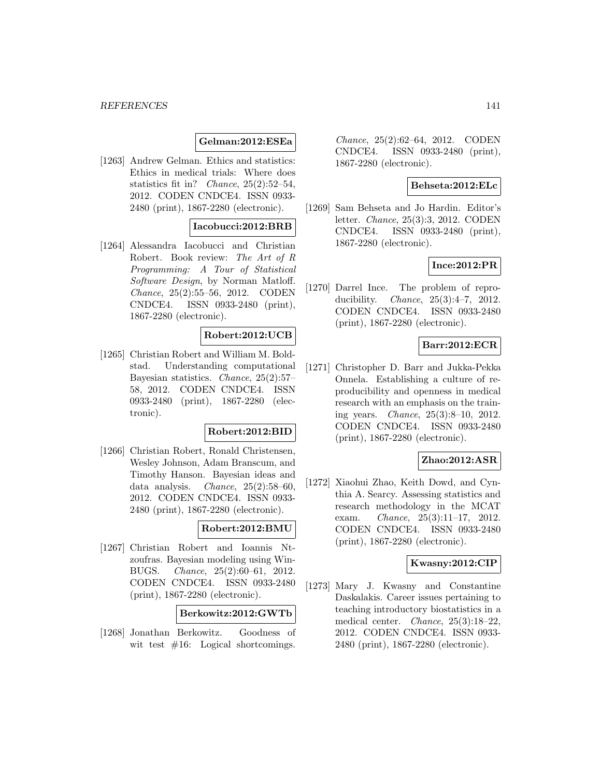### **Gelman:2012:ESEa**

[1263] Andrew Gelman. Ethics and statistics: Ethics in medical trials: Where does statistics fit in? Chance, 25(2):52–54, 2012. CODEN CNDCE4. ISSN 0933- 2480 (print), 1867-2280 (electronic).

## **Iacobucci:2012:BRB**

[1264] Alessandra Iacobucci and Christian Robert. Book review: The Art of R Programming: A Tour of Statistical Software Design, by Norman Matloff. Chance, 25(2):55–56, 2012. CODEN CNDCE4. ISSN 0933-2480 (print), 1867-2280 (electronic).

## **Robert:2012:UCB**

[1265] Christian Robert and William M. Boldstad. Understanding computational Bayesian statistics. Chance, 25(2):57– 58, 2012. CODEN CNDCE4. ISSN 0933-2480 (print), 1867-2280 (electronic).

### **Robert:2012:BID**

[1266] Christian Robert, Ronald Christensen, Wesley Johnson, Adam Branscum, and Timothy Hanson. Bayesian ideas and data analysis. Chance, 25(2):58–60, 2012. CODEN CNDCE4. ISSN 0933- 2480 (print), 1867-2280 (electronic).

# **Robert:2012:BMU**

[1267] Christian Robert and Ioannis Ntzoufras. Bayesian modeling using Win-BUGS. Chance, 25(2):60–61, 2012. CODEN CNDCE4. ISSN 0933-2480 (print), 1867-2280 (electronic).

## **Berkowitz:2012:GWTb**

[1268] Jonathan Berkowitz. Goodness of wit test  $#16$ : Logical shortcomings.

Chance, 25(2):62–64, 2012. CODEN CNDCE4. ISSN 0933-2480 (print), 1867-2280 (electronic).

#### **Behseta:2012:ELc**

[1269] Sam Behseta and Jo Hardin. Editor's letter. Chance, 25(3):3, 2012. CODEN CNDCE4. ISSN 0933-2480 (print), 1867-2280 (electronic).

### **Ince:2012:PR**

[1270] Darrel Ince. The problem of reproducibility. Chance, 25(3):4–7, 2012. CODEN CNDCE4. ISSN 0933-2480 (print), 1867-2280 (electronic).

# **Barr:2012:ECR**

[1271] Christopher D. Barr and Jukka-Pekka Onnela. Establishing a culture of reproducibility and openness in medical research with an emphasis on the training years. Chance, 25(3):8–10, 2012. CODEN CNDCE4. ISSN 0933-2480 (print), 1867-2280 (electronic).

### **Zhao:2012:ASR**

[1272] Xiaohui Zhao, Keith Dowd, and Cynthia A. Searcy. Assessing statistics and research methodology in the MCAT exam. Chance, 25(3):11–17, 2012. CODEN CNDCE4. ISSN 0933-2480 (print), 1867-2280 (electronic).

## **Kwasny:2012:CIP**

[1273] Mary J. Kwasny and Constantine Daskalakis. Career issues pertaining to teaching introductory biostatistics in a medical center. Chance, 25(3):18–22, 2012. CODEN CNDCE4. ISSN 0933- 2480 (print), 1867-2280 (electronic).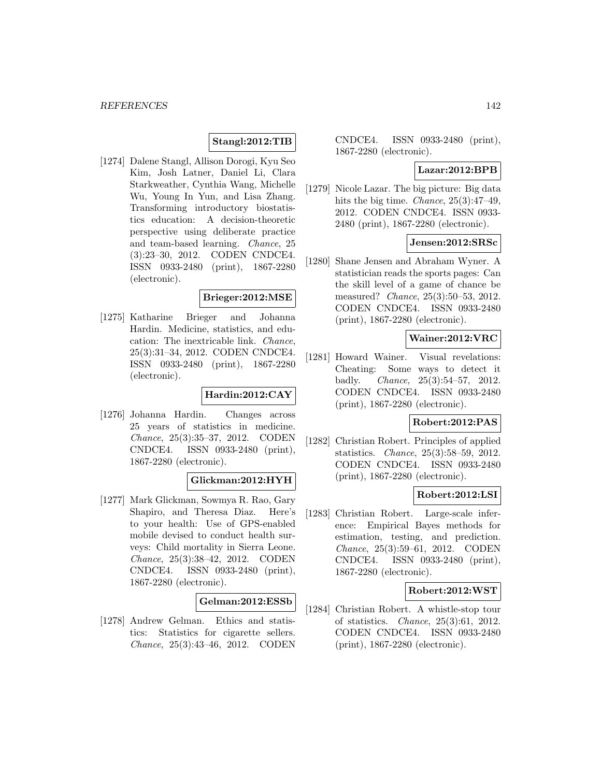# **Stangl:2012:TIB**

[1274] Dalene Stangl, Allison Dorogi, Kyu Seo Kim, Josh Latner, Daniel Li, Clara Starkweather, Cynthia Wang, Michelle Wu, Young In Yun, and Lisa Zhang. Transforming introductory biostatistics education: A decision-theoretic perspective using deliberate practice and team-based learning. Chance, 25 (3):23–30, 2012. CODEN CNDCE4. ISSN 0933-2480 (print), 1867-2280 (electronic).

#### **Brieger:2012:MSE**

[1275] Katharine Brieger and Johanna Hardin. Medicine, statistics, and education: The inextricable link. Chance, 25(3):31–34, 2012. CODEN CNDCE4. ISSN 0933-2480 (print), 1867-2280 (electronic).

## **Hardin:2012:CAY**

[1276] Johanna Hardin. Changes across 25 years of statistics in medicine. Chance, 25(3):35–37, 2012. CODEN CNDCE4. ISSN 0933-2480 (print), 1867-2280 (electronic).

#### **Glickman:2012:HYH**

[1277] Mark Glickman, Sowmya R. Rao, Gary Shapiro, and Theresa Diaz. Here's to your health: Use of GPS-enabled mobile devised to conduct health surveys: Child mortality in Sierra Leone. Chance, 25(3):38–42, 2012. CODEN CNDCE4. ISSN 0933-2480 (print), 1867-2280 (electronic).

## **Gelman:2012:ESSb**

[1278] Andrew Gelman. Ethics and statistics: Statistics for cigarette sellers. Chance, 25(3):43–46, 2012. CODEN

CNDCE4. ISSN 0933-2480 (print), 1867-2280 (electronic).

#### **Lazar:2012:BPB**

[1279] Nicole Lazar. The big picture: Big data hits the big time. *Chance*, 25(3):47–49, 2012. CODEN CNDCE4. ISSN 0933- 2480 (print), 1867-2280 (electronic).

# **Jensen:2012:SRSc**

[1280] Shane Jensen and Abraham Wyner. A statistician reads the sports pages: Can the skill level of a game of chance be measured? Chance, 25(3):50–53, 2012. CODEN CNDCE4. ISSN 0933-2480 (print), 1867-2280 (electronic).

### **Wainer:2012:VRC**

[1281] Howard Wainer. Visual revelations: Cheating: Some ways to detect it badly. Chance, 25(3):54–57, 2012. CODEN CNDCE4. ISSN 0933-2480 (print), 1867-2280 (electronic).

### **Robert:2012:PAS**

[1282] Christian Robert. Principles of applied statistics. Chance, 25(3):58–59, 2012. CODEN CNDCE4. ISSN 0933-2480 (print), 1867-2280 (electronic).

### **Robert:2012:LSI**

[1283] Christian Robert. Large-scale inference: Empirical Bayes methods for estimation, testing, and prediction. Chance, 25(3):59–61, 2012. CODEN CNDCE4. ISSN 0933-2480 (print), 1867-2280 (electronic).

## **Robert:2012:WST**

[1284] Christian Robert. A whistle-stop tour of statistics. Chance, 25(3):61, 2012. CODEN CNDCE4. ISSN 0933-2480 (print), 1867-2280 (electronic).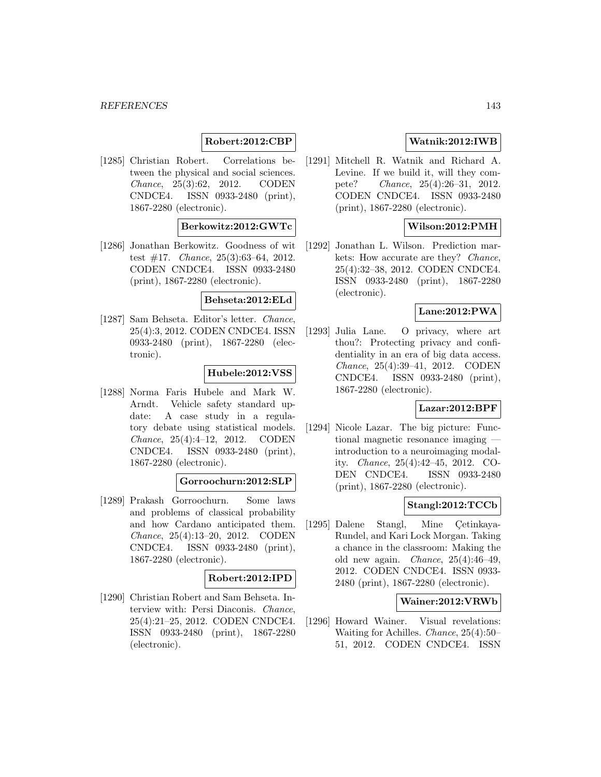# **Robert:2012:CBP**

[1285] Christian Robert. Correlations between the physical and social sciences. Chance, 25(3):62, 2012. CODEN CNDCE4. ISSN 0933-2480 (print), 1867-2280 (electronic).

## **Berkowitz:2012:GWTc**

[1286] Jonathan Berkowitz. Goodness of wit test #17. Chance, 25(3):63–64, 2012. CODEN CNDCE4. ISSN 0933-2480 (print), 1867-2280 (electronic).

#### **Behseta:2012:ELd**

[1287] Sam Behseta. Editor's letter. Chance, 25(4):3, 2012. CODEN CNDCE4. ISSN 0933-2480 (print), 1867-2280 (electronic).

### **Hubele:2012:VSS**

[1288] Norma Faris Hubele and Mark W. Arndt. Vehicle safety standard update: A case study in a regulatory debate using statistical models. Chance, 25(4):4–12, 2012. CODEN CNDCE4. ISSN 0933-2480 (print), 1867-2280 (electronic).

#### **Gorroochurn:2012:SLP**

[1289] Prakash Gorroochurn. Some laws and problems of classical probability and how Cardano anticipated them. Chance, 25(4):13–20, 2012. CODEN CNDCE4. ISSN 0933-2480 (print), 1867-2280 (electronic).

# **Robert:2012:IPD**

[1290] Christian Robert and Sam Behseta. Interview with: Persi Diaconis. Chance, 25(4):21–25, 2012. CODEN CNDCE4. ISSN 0933-2480 (print), 1867-2280 (electronic).

# **Watnik:2012:IWB**

[1291] Mitchell R. Watnik and Richard A. Levine. If we build it, will they compete? Chance, 25(4):26–31, 2012. CODEN CNDCE4. ISSN 0933-2480 (print), 1867-2280 (electronic).

# **Wilson:2012:PMH**

[1292] Jonathan L. Wilson. Prediction markets: How accurate are they? Chance, 25(4):32–38, 2012. CODEN CNDCE4. ISSN 0933-2480 (print), 1867-2280 (electronic).

## **Lane:2012:PWA**

[1293] Julia Lane. O privacy, where art thou?: Protecting privacy and confidentiality in an era of big data access. Chance, 25(4):39–41, 2012. CODEN CNDCE4. ISSN 0933-2480 (print), 1867-2280 (electronic).

#### **Lazar:2012:BPF**

[1294] Nicole Lazar. The big picture: Functional magnetic resonance imaging introduction to a neuroimaging modality. Chance, 25(4):42–45, 2012. CO-DEN CNDCE4. ISSN 0933-2480 (print), 1867-2280 (electronic).

## **Stangl:2012:TCCb**

[1295] Dalene Stangl, Mine Cetinkaya-Rundel, and Kari Lock Morgan. Taking a chance in the classroom: Making the old new again. Chance, 25(4):46–49, 2012. CODEN CNDCE4. ISSN 0933- 2480 (print), 1867-2280 (electronic).

### **Wainer:2012:VRWb**

[1296] Howard Wainer. Visual revelations: Waiting for Achilles. Chance, 25(4):50– 51, 2012. CODEN CNDCE4. ISSN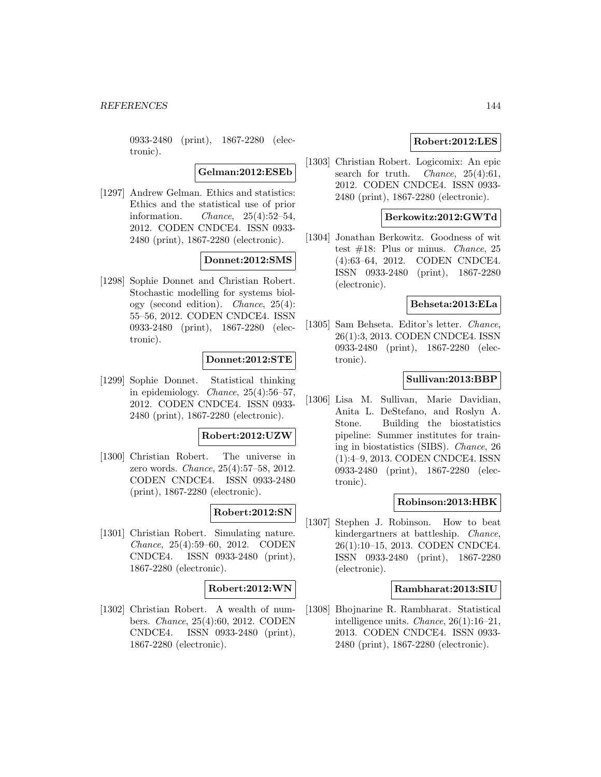0933-2480 (print), 1867-2280 (electronic).

**Gelman:2012:ESEb**

[1297] Andrew Gelman. Ethics and statistics: Ethics and the statistical use of prior information. Chance,  $25(4):52-54$ , 2012. CODEN CNDCE4. ISSN 0933- 2480 (print), 1867-2280 (electronic).

# **Donnet:2012:SMS**

[1298] Sophie Donnet and Christian Robert. Stochastic modelling for systems biology (second edition). Chance, 25(4): 55–56, 2012. CODEN CNDCE4. ISSN 0933-2480 (print), 1867-2280 (electronic).

## **Donnet:2012:STE**

[1299] Sophie Donnet. Statistical thinking in epidemiology. Chance, 25(4):56–57, 2012. CODEN CNDCE4. ISSN 0933- 2480 (print), 1867-2280 (electronic).

# **Robert:2012:UZW**

[1300] Christian Robert. The universe in zero words. Chance, 25(4):57–58, 2012. CODEN CNDCE4. ISSN 0933-2480 (print), 1867-2280 (electronic).

# **Robert:2012:SN**

[1301] Christian Robert. Simulating nature. Chance, 25(4):59–60, 2012. CODEN CNDCE4. ISSN 0933-2480 (print), 1867-2280 (electronic).

## **Robert:2012:WN**

[1302] Christian Robert. A wealth of numbers. Chance, 25(4):60, 2012. CODEN CNDCE4. ISSN 0933-2480 (print), 1867-2280 (electronic).

# **Robert:2012:LES**

[1303] Christian Robert. Logicomix: An epic search for truth. *Chance*,  $25(4):61$ , 2012. CODEN CNDCE4. ISSN 0933- 2480 (print), 1867-2280 (electronic).

### **Berkowitz:2012:GWTd**

[1304] Jonathan Berkowitz. Goodness of wit test  $#18$ : Plus or minus. *Chance*, 25 (4):63–64, 2012. CODEN CNDCE4. ISSN 0933-2480 (print), 1867-2280 (electronic).

### **Behseta:2013:ELa**

[1305] Sam Behseta. Editor's letter. Chance, 26(1):3, 2013. CODEN CNDCE4. ISSN 0933-2480 (print), 1867-2280 (electronic).

## **Sullivan:2013:BBP**

[1306] Lisa M. Sullivan, Marie Davidian, Anita L. DeStefano, and Roslyn A. Stone. Building the biostatistics pipeline: Summer institutes for training in biostatistics (SIBS). Chance, 26 (1):4–9, 2013. CODEN CNDCE4. ISSN 0933-2480 (print), 1867-2280 (electronic).

## **Robinson:2013:HBK**

[1307] Stephen J. Robinson. How to beat kindergartners at battleship. Chance, 26(1):10–15, 2013. CODEN CNDCE4. ISSN 0933-2480 (print), 1867-2280 (electronic).

### **Rambharat:2013:SIU**

[1308] Bhojnarine R. Rambharat. Statistical intelligence units. Chance, 26(1):16–21, 2013. CODEN CNDCE4. ISSN 0933- 2480 (print), 1867-2280 (electronic).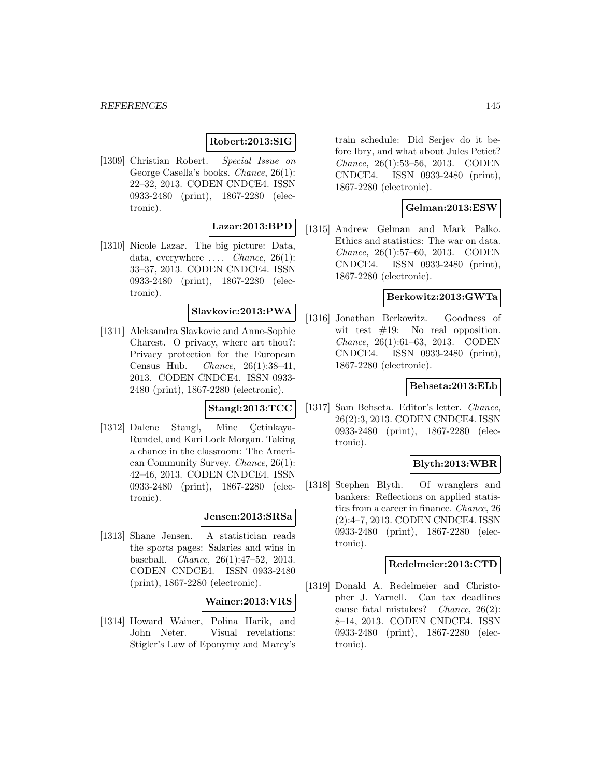## **Robert:2013:SIG**

[1309] Christian Robert. Special Issue on George Casella's books. Chance, 26(1): 22–32, 2013. CODEN CNDCE4. ISSN 0933-2480 (print), 1867-2280 (electronic).

# **Lazar:2013:BPD**

[1310] Nicole Lazar. The big picture: Data, data, everywhere  $\ldots$  *Chance*, 26(1): 33–37, 2013. CODEN CNDCE4. ISSN 0933-2480 (print), 1867-2280 (electronic).

# **Slavkovic:2013:PWA**

[1311] Aleksandra Slavkovic and Anne-Sophie Charest. O privacy, where art thou?: Privacy protection for the European Census Hub. Chance, 26(1):38–41, 2013. CODEN CNDCE4. ISSN 0933- 2480 (print), 1867-2280 (electronic).

## **Stangl:2013:TCC**

[1312] Dalene Stangl, Mine Cetinkaya-Rundel, and Kari Lock Morgan. Taking a chance in the classroom: The American Community Survey. Chance, 26(1): 42–46, 2013. CODEN CNDCE4. ISSN 0933-2480 (print), 1867-2280 (electronic).

## **Jensen:2013:SRSa**

[1313] Shane Jensen. A statistician reads the sports pages: Salaries and wins in baseball. Chance, 26(1):47–52, 2013. CODEN CNDCE4. ISSN 0933-2480 (print), 1867-2280 (electronic).

### **Wainer:2013:VRS**

[1314] Howard Wainer, Polina Harik, and John Neter. Visual revelations: Stigler's Law of Eponymy and Marey's

train schedule: Did Serjev do it before Ibry, and what about Jules Petiet? Chance, 26(1):53–56, 2013. CODEN CNDCE4. ISSN 0933-2480 (print), 1867-2280 (electronic).

### **Gelman:2013:ESW**

[1315] Andrew Gelman and Mark Palko. Ethics and statistics: The war on data. Chance, 26(1):57–60, 2013. CODEN CNDCE4. ISSN 0933-2480 (print), 1867-2280 (electronic).

### **Berkowitz:2013:GWTa**

[1316] Jonathan Berkowitz. Goodness of wit test  $#19$ : No real opposition. Chance, 26(1):61–63, 2013. CODEN CNDCE4. ISSN 0933-2480 (print), 1867-2280 (electronic).

### **Behseta:2013:ELb**

[1317] Sam Behseta. Editor's letter. Chance, 26(2):3, 2013. CODEN CNDCE4. ISSN 0933-2480 (print), 1867-2280 (electronic).

### **Blyth:2013:WBR**

[1318] Stephen Blyth. Of wranglers and bankers: Reflections on applied statistics from a career in finance. Chance, 26 (2):4–7, 2013. CODEN CNDCE4. ISSN 0933-2480 (print), 1867-2280 (electronic).

#### **Redelmeier:2013:CTD**

[1319] Donald A. Redelmeier and Christopher J. Yarnell. Can tax deadlines cause fatal mistakes? Chance, 26(2): 8–14, 2013. CODEN CNDCE4. ISSN 0933-2480 (print), 1867-2280 (electronic).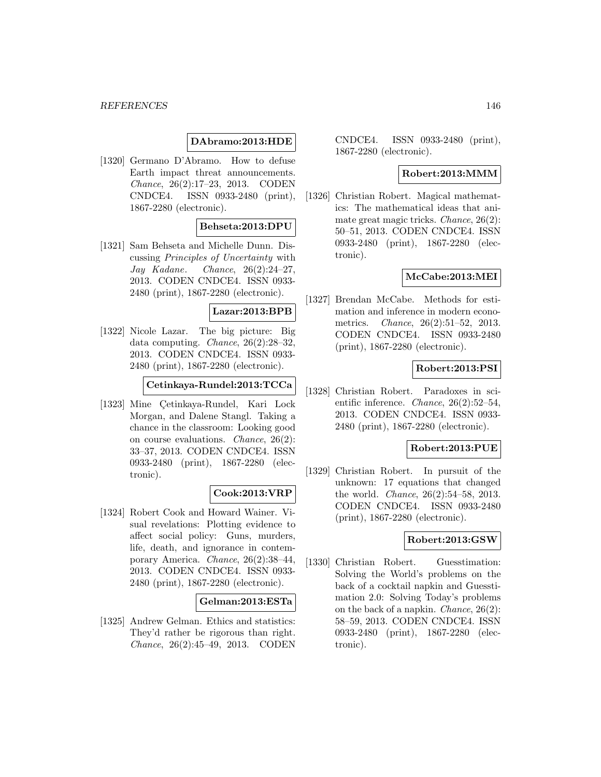#### *REFERENCES* 146

### **DAbramo:2013:HDE**

[1320] Germano D'Abramo. How to defuse Earth impact threat announcements. Chance, 26(2):17–23, 2013. CODEN CNDCE4. ISSN 0933-2480 (print), 1867-2280 (electronic).

## **Behseta:2013:DPU**

[1321] Sam Behseta and Michelle Dunn. Discussing Principles of Uncertainty with Jay Kadane. Chance, 26(2):24–27, 2013. CODEN CNDCE4. ISSN 0933- 2480 (print), 1867-2280 (electronic).

#### **Lazar:2013:BPB**

[1322] Nicole Lazar. The big picture: Big data computing. Chance, 26(2):28–32, 2013. CODEN CNDCE4. ISSN 0933- 2480 (print), 1867-2280 (electronic).

#### **Cetinkaya-Rundel:2013:TCCa**

[1323] Mine Çetinkaya-Rundel, Kari Lock Morgan, and Dalene Stangl. Taking a chance in the classroom: Looking good on course evaluations. Chance, 26(2): 33–37, 2013. CODEN CNDCE4. ISSN 0933-2480 (print), 1867-2280 (electronic).

# **Cook:2013:VRP**

[1324] Robert Cook and Howard Wainer. Visual revelations: Plotting evidence to affect social policy: Guns, murders, life, death, and ignorance in contemporary America. Chance, 26(2):38–44, 2013. CODEN CNDCE4. ISSN 0933- 2480 (print), 1867-2280 (electronic).

#### **Gelman:2013:ESTa**

[1325] Andrew Gelman. Ethics and statistics: They'd rather be rigorous than right. Chance, 26(2):45–49, 2013. CODEN

CNDCE4. ISSN 0933-2480 (print), 1867-2280 (electronic).

#### **Robert:2013:MMM**

[1326] Christian Robert. Magical mathematics: The mathematical ideas that animate great magic tricks. Chance, 26(2): 50–51, 2013. CODEN CNDCE4. ISSN 0933-2480 (print), 1867-2280 (electronic).

### **McCabe:2013:MEI**

[1327] Brendan McCabe. Methods for estimation and inference in modern econometrics. Chance, 26(2):51–52, 2013. CODEN CNDCE4. ISSN 0933-2480 (print), 1867-2280 (electronic).

#### **Robert:2013:PSI**

[1328] Christian Robert. Paradoxes in scientific inference. Chance, 26(2):52–54, 2013. CODEN CNDCE4. ISSN 0933- 2480 (print), 1867-2280 (electronic).

### **Robert:2013:PUE**

[1329] Christian Robert. In pursuit of the unknown: 17 equations that changed the world. Chance, 26(2):54–58, 2013. CODEN CNDCE4. ISSN 0933-2480 (print), 1867-2280 (electronic).

## **Robert:2013:GSW**

[1330] Christian Robert. Guesstimation: Solving the World's problems on the back of a cocktail napkin and Guesstimation 2.0: Solving Today's problems on the back of a napkin. Chance, 26(2): 58–59, 2013. CODEN CNDCE4. ISSN 0933-2480 (print), 1867-2280 (electronic).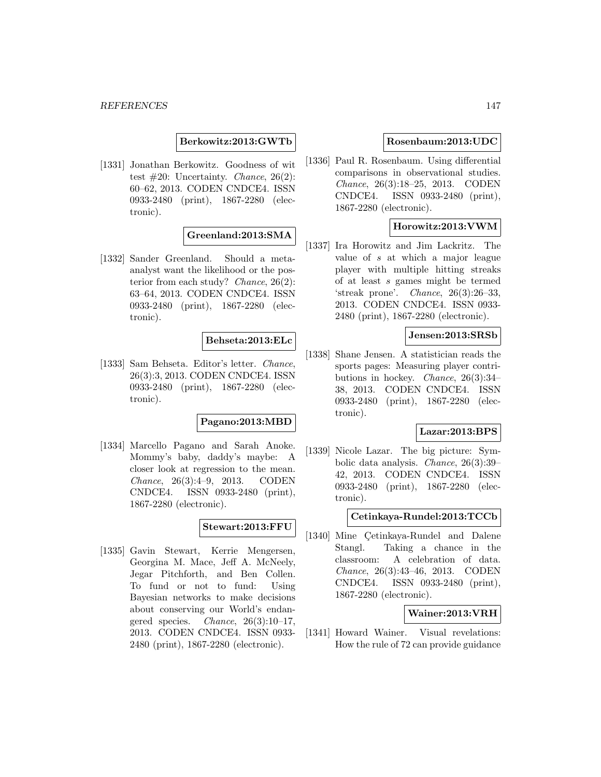**Berkowitz:2013:GWTb**

[1331] Jonathan Berkowitz. Goodness of wit test  $\#20$ : Uncertainty. *Chance*, 26(2): 60–62, 2013. CODEN CNDCE4. ISSN 0933-2480 (print), 1867-2280 (electronic).

**Greenland:2013:SMA**

[1332] Sander Greenland. Should a metaanalyst want the likelihood or the posterior from each study? Chance, 26(2): 63–64, 2013. CODEN CNDCE4. ISSN 0933-2480 (print), 1867-2280 (electronic).

## **Behseta:2013:ELc**

[1333] Sam Behseta. Editor's letter. Chance, 26(3):3, 2013. CODEN CNDCE4. ISSN 0933-2480 (print), 1867-2280 (electronic).

#### **Pagano:2013:MBD**

[1334] Marcello Pagano and Sarah Anoke. Mommy's baby, daddy's maybe: A closer look at regression to the mean. Chance, 26(3):4–9, 2013. CODEN CNDCE4. ISSN 0933-2480 (print), 1867-2280 (electronic).

### **Stewart:2013:FFU**

[1335] Gavin Stewart, Kerrie Mengersen, Georgina M. Mace, Jeff A. McNeely, Jegar Pitchforth, and Ben Collen. To fund or not to fund: Using Bayesian networks to make decisions about conserving our World's endangered species. Chance,  $26(3):10-17$ , 2013. CODEN CNDCE4. ISSN 0933- 2480 (print), 1867-2280 (electronic).

#### **Rosenbaum:2013:UDC**

[1336] Paul R. Rosenbaum. Using differential comparisons in observational studies. Chance, 26(3):18–25, 2013. CODEN CNDCE4. ISSN 0933-2480 (print), 1867-2280 (electronic).

## **Horowitz:2013:VWM**

[1337] Ira Horowitz and Jim Lackritz. The value of s at which a major league player with multiple hitting streaks of at least s games might be termed 'streak prone'. Chance, 26(3):26–33, 2013. CODEN CNDCE4. ISSN 0933- 2480 (print), 1867-2280 (electronic).

## **Jensen:2013:SRSb**

[1338] Shane Jensen. A statistician reads the sports pages: Measuring player contributions in hockey. Chance, 26(3):34– 38, 2013. CODEN CNDCE4. ISSN 0933-2480 (print), 1867-2280 (electronic).

#### **Lazar:2013:BPS**

[1339] Nicole Lazar. The big picture: Symbolic data analysis. Chance, 26(3):39– 42, 2013. CODEN CNDCE4. ISSN 0933-2480 (print), 1867-2280 (electronic).

#### **Cetinkaya-Rundel:2013:TCCb**

[1340] Mine Cetinkaya-Rundel and Dalene Stangl. Taking a chance in the classroom: A celebration of data. Chance, 26(3):43–46, 2013. CODEN CNDCE4. ISSN 0933-2480 (print), 1867-2280 (electronic).

## **Wainer:2013:VRH**

[1341] Howard Wainer. Visual revelations: How the rule of 72 can provide guidance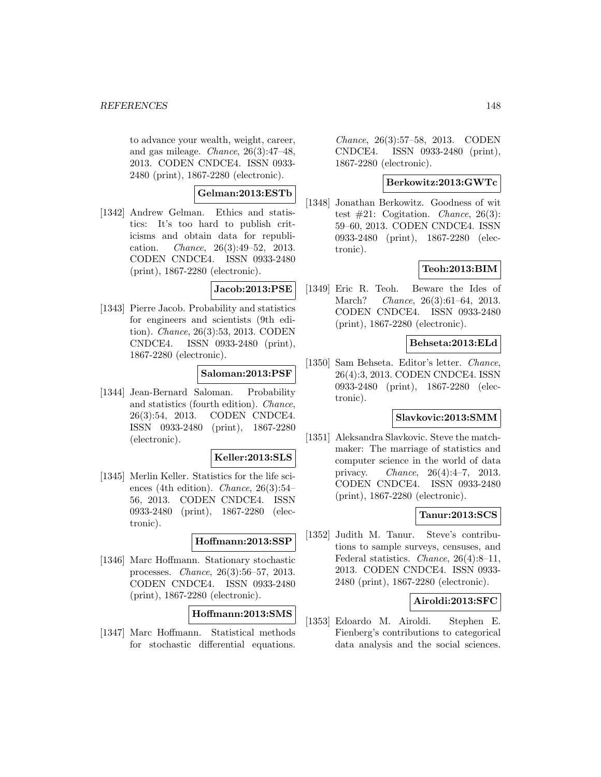to advance your wealth, weight, career, and gas mileage. Chance, 26(3):47–48, 2013. CODEN CNDCE4. ISSN 0933- 2480 (print), 1867-2280 (electronic).

#### **Gelman:2013:ESTb**

[1342] Andrew Gelman. Ethics and statistics: It's too hard to publish criticisms and obtain data for republication. Chance, 26(3):49–52, 2013. CODEN CNDCE4. ISSN 0933-2480 (print), 1867-2280 (electronic).

#### **Jacob:2013:PSE**

[1343] Pierre Jacob. Probability and statistics for engineers and scientists (9th edition). Chance, 26(3):53, 2013. CODEN CNDCE4. ISSN 0933-2480 (print), 1867-2280 (electronic).

### **Saloman:2013:PSF**

[1344] Jean-Bernard Saloman. Probability and statistics (fourth edition). Chance, 26(3):54, 2013. CODEN CNDCE4. ISSN 0933-2480 (print), 1867-2280 (electronic).

#### **Keller:2013:SLS**

[1345] Merlin Keller. Statistics for the life sciences (4th edition). Chance, 26(3):54– 56, 2013. CODEN CNDCE4. ISSN 0933-2480 (print), 1867-2280 (electronic).

#### **Hoffmann:2013:SSP**

[1346] Marc Hoffmann. Stationary stochastic processes. Chance, 26(3):56–57, 2013. CODEN CNDCE4. ISSN 0933-2480 (print), 1867-2280 (electronic).

## **Hoffmann:2013:SMS**

[1347] Marc Hoffmann. Statistical methods for stochastic differential equations.

Chance, 26(3):57–58, 2013. CODEN CNDCE4. ISSN 0933-2480 (print), 1867-2280 (electronic).

#### **Berkowitz:2013:GWTc**

[1348] Jonathan Berkowitz. Goodness of wit test  $#21$ : Cogitation. *Chance*, 26(3): 59–60, 2013. CODEN CNDCE4. ISSN 0933-2480 (print), 1867-2280 (electronic).

### **Teoh:2013:BIM**

[1349] Eric R. Teoh. Beware the Ides of March? Chance, 26(3):61–64, 2013. CODEN CNDCE4. ISSN 0933-2480 (print), 1867-2280 (electronic).

### **Behseta:2013:ELd**

[1350] Sam Behseta. Editor's letter. Chance, 26(4):3, 2013. CODEN CNDCE4. ISSN 0933-2480 (print), 1867-2280 (electronic).

#### **Slavkovic:2013:SMM**

[1351] Aleksandra Slavkovic. Steve the matchmaker: The marriage of statistics and computer science in the world of data privacy. Chance, 26(4):4–7, 2013. CODEN CNDCE4. ISSN 0933-2480 (print), 1867-2280 (electronic).

### **Tanur:2013:SCS**

[1352] Judith M. Tanur. Steve's contributions to sample surveys, censuses, and Federal statistics. Chance, 26(4):8–11, 2013. CODEN CNDCE4. ISSN 0933- 2480 (print), 1867-2280 (electronic).

## **Airoldi:2013:SFC**

[1353] Edoardo M. Airoldi. Stephen E. Fienberg's contributions to categorical data analysis and the social sciences.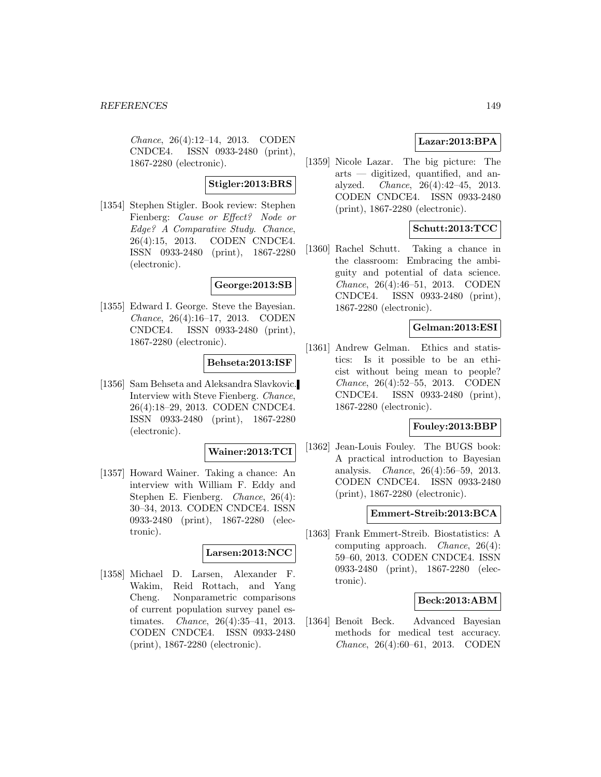Chance, 26(4):12–14, 2013. CODEN CNDCE4. ISSN 0933-2480 (print), 1867-2280 (electronic).

#### **Stigler:2013:BRS**

[1354] Stephen Stigler. Book review: Stephen Fienberg: Cause or Effect? Node or Edge? A Comparative Study. Chance, 26(4):15, 2013. CODEN CNDCE4. ISSN 0933-2480 (print), 1867-2280 (electronic).

#### **George:2013:SB**

[1355] Edward I. George. Steve the Bayesian. Chance, 26(4):16–17, 2013. CODEN CNDCE4. ISSN 0933-2480 (print), 1867-2280 (electronic).

#### **Behseta:2013:ISF**

[1356] Sam Behseta and Aleksandra Slavkovic. Interview with Steve Fienberg. Chance, 26(4):18–29, 2013. CODEN CNDCE4. ISSN 0933-2480 (print), 1867-2280 (electronic).

#### **Wainer:2013:TCI**

[1357] Howard Wainer. Taking a chance: An interview with William F. Eddy and Stephen E. Fienberg. Chance, 26(4): 30–34, 2013. CODEN CNDCE4. ISSN 0933-2480 (print), 1867-2280 (electronic).

#### **Larsen:2013:NCC**

[1358] Michael D. Larsen, Alexander F. Wakim, Reid Rottach, and Yang Cheng. Nonparametric comparisons of current population survey panel estimates. Chance, 26(4):35–41, 2013. CODEN CNDCE4. ISSN 0933-2480 (print), 1867-2280 (electronic).

## **Lazar:2013:BPA**

[1359] Nicole Lazar. The big picture: The arts — digitized, quantified, and analyzed. Chance, 26(4):42–45, 2013. CODEN CNDCE4. ISSN 0933-2480 (print), 1867-2280 (electronic).

## **Schutt:2013:TCC**

[1360] Rachel Schutt. Taking a chance in the classroom: Embracing the ambiguity and potential of data science. Chance, 26(4):46–51, 2013. CODEN CNDCE4. ISSN 0933-2480 (print), 1867-2280 (electronic).

## **Gelman:2013:ESI**

[1361] Andrew Gelman. Ethics and statistics: Is it possible to be an ethicist without being mean to people? Chance, 26(4):52–55, 2013. CODEN CNDCE4. ISSN 0933-2480 (print), 1867-2280 (electronic).

#### **Fouley:2013:BBP**

[1362] Jean-Louis Fouley. The BUGS book: A practical introduction to Bayesian analysis. Chance, 26(4):56–59, 2013. CODEN CNDCE4. ISSN 0933-2480 (print), 1867-2280 (electronic).

#### **Emmert-Streib:2013:BCA**

[1363] Frank Emmert-Streib. Biostatistics: A computing approach. Chance, 26(4): 59–60, 2013. CODEN CNDCE4. ISSN 0933-2480 (print), 1867-2280 (electronic).

#### **Beck:2013:ABM**

[1364] Benoît Beck. Advanced Bayesian methods for medical test accuracy. Chance, 26(4):60–61, 2013. CODEN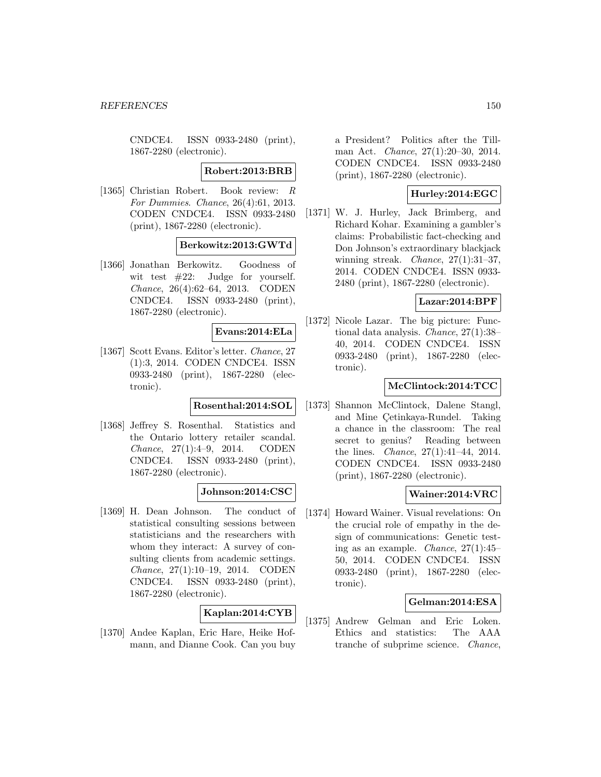CNDCE4. ISSN 0933-2480 (print), 1867-2280 (electronic).

#### **Robert:2013:BRB**

[1365] Christian Robert. Book review: R For Dummies. Chance, 26(4):61, 2013. CODEN CNDCE4. ISSN 0933-2480 (print), 1867-2280 (electronic).

#### **Berkowitz:2013:GWTd**

[1366] Jonathan Berkowitz. Goodness of wit test  $#22$ : Judge for yourself. Chance, 26(4):62–64, 2013. CODEN CNDCE4. ISSN 0933-2480 (print), 1867-2280 (electronic).

#### **Evans:2014:ELa**

[1367] Scott Evans. Editor's letter. Chance, 27 (1):3, 2014. CODEN CNDCE4. ISSN 0933-2480 (print), 1867-2280 (electronic).

### **Rosenthal:2014:SOL**

[1368] Jeffrey S. Rosenthal. Statistics and the Ontario lottery retailer scandal. Chance, 27(1):4–9, 2014. CODEN CNDCE4. ISSN 0933-2480 (print), 1867-2280 (electronic).

### **Johnson:2014:CSC**

[1369] H. Dean Johnson. The conduct of statistical consulting sessions between statisticians and the researchers with whom they interact: A survey of consulting clients from academic settings. Chance, 27(1):10–19, 2014. CODEN CNDCE4. ISSN 0933-2480 (print), 1867-2280 (electronic).

### **Kaplan:2014:CYB**

[1370] Andee Kaplan, Eric Hare, Heike Hofmann, and Dianne Cook. Can you buy a President? Politics after the Tillman Act. Chance, 27(1):20–30, 2014. CODEN CNDCE4. ISSN 0933-2480 (print), 1867-2280 (electronic).

## **Hurley:2014:EGC**

[1371] W. J. Hurley, Jack Brimberg, and Richard Kohar. Examining a gambler's claims: Probabilistic fact-checking and Don Johnson's extraordinary blackjack winning streak. *Chance*, 27(1):31-37, 2014. CODEN CNDCE4. ISSN 0933- 2480 (print), 1867-2280 (electronic).

## **Lazar:2014:BPF**

[1372] Nicole Lazar. The big picture: Functional data analysis. Chance, 27(1):38– 40, 2014. CODEN CNDCE4. ISSN 0933-2480 (print), 1867-2280 (electronic).

## **McClintock:2014:TCC**

[1373] Shannon McClintock, Dalene Stangl, and Mine Cetinkaya-Rundel. Taking a chance in the classroom: The real secret to genius? Reading between the lines. Chance, 27(1):41–44, 2014. CODEN CNDCE4. ISSN 0933-2480 (print), 1867-2280 (electronic).

### **Wainer:2014:VRC**

[1374] Howard Wainer. Visual revelations: On the crucial role of empathy in the design of communications: Genetic testing as an example. Chance, 27(1):45– 50, 2014. CODEN CNDCE4. ISSN 0933-2480 (print), 1867-2280 (electronic).

### **Gelman:2014:ESA**

[1375] Andrew Gelman and Eric Loken. Ethics and statistics: The AAA tranche of subprime science. Chance,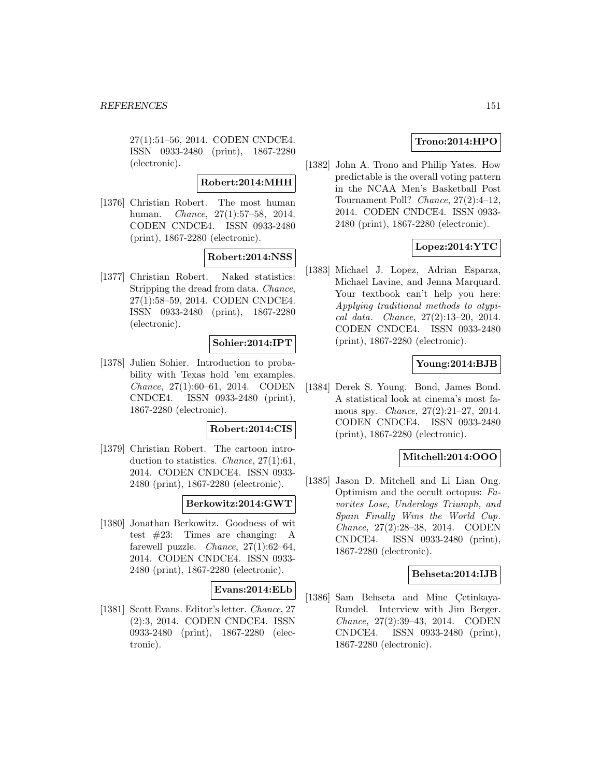27(1):51–56, 2014. CODEN CNDCE4. ISSN 0933-2480 (print), 1867-2280 (electronic).

#### **Robert:2014:MHH**

[1376] Christian Robert. The most human human. Chance, 27(1):57–58, 2014. CODEN CNDCE4. ISSN 0933-2480 (print), 1867-2280 (electronic).

### **Robert:2014:NSS**

[1377] Christian Robert. Naked statistics: Stripping the dread from data. Chance, 27(1):58–59, 2014. CODEN CNDCE4. ISSN 0933-2480 (print), 1867-2280 (electronic).

### **Sohier:2014:IPT**

[1378] Julien Sohier. Introduction to probability with Texas hold 'em examples. Chance, 27(1):60–61, 2014. CODEN CNDCE4. ISSN 0933-2480 (print), 1867-2280 (electronic).

### **Robert:2014:CIS**

[1379] Christian Robert. The cartoon introduction to statistics. Chance, 27(1):61, 2014. CODEN CNDCE4. ISSN 0933- 2480 (print), 1867-2280 (electronic).

#### **Berkowitz:2014:GWT**

[1380] Jonathan Berkowitz. Goodness of wit test #23: Times are changing: A farewell puzzle. *Chance*,  $27(1):62-64$ , 2014. CODEN CNDCE4. ISSN 0933- 2480 (print), 1867-2280 (electronic).

#### **Evans:2014:ELb**

[1381] Scott Evans. Editor's letter. Chance, 27 (2):3, 2014. CODEN CNDCE4. ISSN 0933-2480 (print), 1867-2280 (electronic).

## **Trono:2014:HPO**

[1382] John A. Trono and Philip Yates. How predictable is the overall voting pattern in the NCAA Men's Basketball Post Tournament Poll? Chance, 27(2):4–12, 2014. CODEN CNDCE4. ISSN 0933- 2480 (print), 1867-2280 (electronic).

## **Lopez:2014:YTC**

[1383] Michael J. Lopez, Adrian Esparza, Michael Lavine, and Jenna Marquard. Your textbook can't help you here: Applying traditional methods to atypical data. Chance, 27(2):13–20, 2014. CODEN CNDCE4. ISSN 0933-2480 (print), 1867-2280 (electronic).

#### **Young:2014:BJB**

[1384] Derek S. Young. Bond, James Bond. A statistical look at cinema's most famous spy. Chance, 27(2):21–27, 2014. CODEN CNDCE4. ISSN 0933-2480 (print), 1867-2280 (electronic).

#### **Mitchell:2014:OOO**

[1385] Jason D. Mitchell and Li Lian Ong. Optimism and the occult octopus: Favorites Lose, Underdogs Triumph, and Spain Finally Wins the World Cup. Chance, 27(2):28–38, 2014. CODEN CNDCE4. ISSN 0933-2480 (print), 1867-2280 (electronic).

#### **Behseta:2014:IJB**

[1386] Sam Behseta and Mine Çetinkaya-Rundel. Interview with Jim Berger. Chance, 27(2):39–43, 2014. CODEN CNDCE4. ISSN 0933-2480 (print), 1867-2280 (electronic).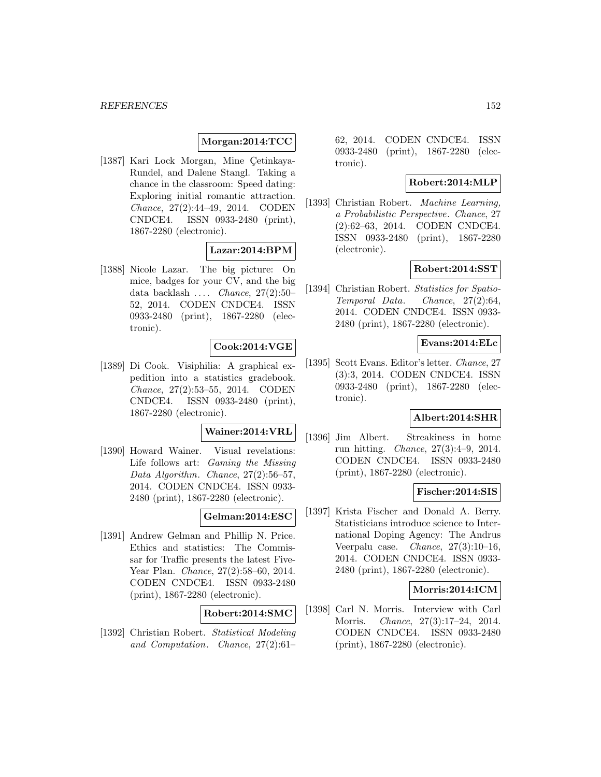#### **Morgan:2014:TCC**

[1387] Kari Lock Morgan, Mine Çetinkaya-Rundel, and Dalene Stangl. Taking a chance in the classroom: Speed dating: Exploring initial romantic attraction. Chance, 27(2):44–49, 2014. CODEN CNDCE4. ISSN 0933-2480 (print), 1867-2280 (electronic).

### **Lazar:2014:BPM**

[1388] Nicole Lazar. The big picture: On mice, badges for your CV, and the big data backlash ... Chance,  $27(2):50-$ 52, 2014. CODEN CNDCE4. ISSN 0933-2480 (print), 1867-2280 (electronic).

### **Cook:2014:VGE**

[1389] Di Cook. Visiphilia: A graphical expedition into a statistics gradebook. Chance, 27(2):53–55, 2014. CODEN CNDCE4. ISSN 0933-2480 (print), 1867-2280 (electronic).

## **Wainer:2014:VRL**

[1390] Howard Wainer. Visual revelations: Life follows art: Gaming the Missing Data Algorithm. Chance, 27(2):56–57, 2014. CODEN CNDCE4. ISSN 0933- 2480 (print), 1867-2280 (electronic).

## **Gelman:2014:ESC**

[1391] Andrew Gelman and Phillip N. Price. Ethics and statistics: The Commissar for Traffic presents the latest Five-Year Plan. Chance, 27(2):58–60, 2014. CODEN CNDCE4. ISSN 0933-2480 (print), 1867-2280 (electronic).

## **Robert:2014:SMC**

[1392] Christian Robert. Statistical Modeling and Computation. Chance, 27(2):61–

62, 2014. CODEN CNDCE4. ISSN 0933-2480 (print), 1867-2280 (electronic).

#### **Robert:2014:MLP**

[1393] Christian Robert. Machine Learning, a Probabilistic Perspective. Chance, 27 (2):62–63, 2014. CODEN CNDCE4. ISSN 0933-2480 (print), 1867-2280 (electronic).

#### **Robert:2014:SST**

[1394] Christian Robert. Statistics for Spatio-Temporal Data. Chance, 27(2):64, 2014. CODEN CNDCE4. ISSN 0933- 2480 (print), 1867-2280 (electronic).

#### **Evans:2014:ELc**

[1395] Scott Evans. Editor's letter. Chance, 27 (3):3, 2014. CODEN CNDCE4. ISSN 0933-2480 (print), 1867-2280 (electronic).

#### **Albert:2014:SHR**

[1396] Jim Albert. Streakiness in home run hitting. Chance, 27(3):4–9, 2014. CODEN CNDCE4. ISSN 0933-2480 (print), 1867-2280 (electronic).

#### **Fischer:2014:SIS**

[1397] Krista Fischer and Donald A. Berry. Statisticians introduce science to International Doping Agency: The Andrus Veerpalu case. *Chance*,  $27(3):10-16$ , 2014. CODEN CNDCE4. ISSN 0933- 2480 (print), 1867-2280 (electronic).

#### **Morris:2014:ICM**

[1398] Carl N. Morris. Interview with Carl Morris. Chance, 27(3):17–24, 2014. CODEN CNDCE4. ISSN 0933-2480 (print), 1867-2280 (electronic).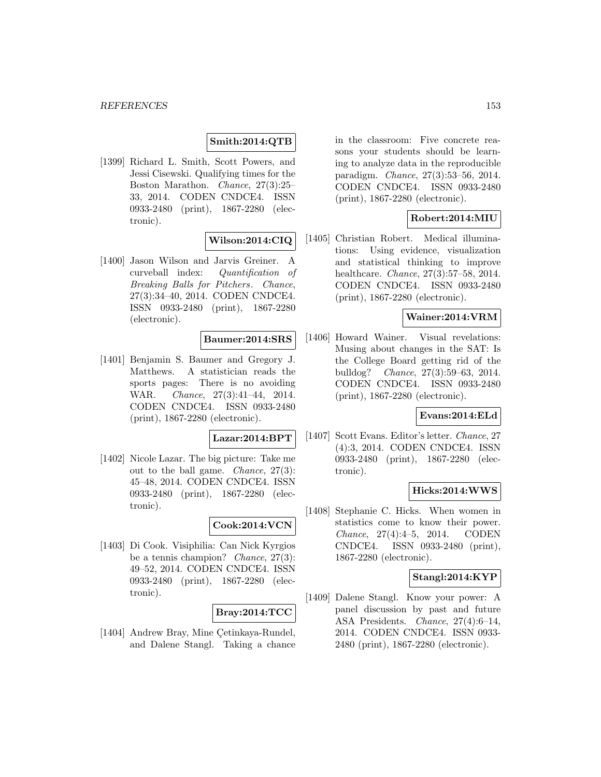## **Smith:2014:QTB**

[1399] Richard L. Smith, Scott Powers, and Jessi Cisewski. Qualifying times for the Boston Marathon. Chance, 27(3):25– 33, 2014. CODEN CNDCE4. ISSN 0933-2480 (print), 1867-2280 (electronic).

### **Wilson:2014:CIQ**

[1400] Jason Wilson and Jarvis Greiner. A curveball index: Quantification of Breaking Balls for Pitchers. Chance, 27(3):34–40, 2014. CODEN CNDCE4. ISSN 0933-2480 (print), 1867-2280 (electronic).

## **Baumer:2014:SRS**

[1401] Benjamin S. Baumer and Gregory J. Matthews. A statistician reads the sports pages: There is no avoiding WAR. Chance, 27(3):41–44, 2014. CODEN CNDCE4. ISSN 0933-2480 (print), 1867-2280 (electronic).

#### **Lazar:2014:BPT**

[1402] Nicole Lazar. The big picture: Take me out to the ball game. Chance, 27(3): 45–48, 2014. CODEN CNDCE4. ISSN 0933-2480 (print), 1867-2280 (electronic).

### **Cook:2014:VCN**

[1403] Di Cook. Visiphilia: Can Nick Kyrgios be a tennis champion? Chance, 27(3): 49–52, 2014. CODEN CNDCE4. ISSN 0933-2480 (print), 1867-2280 (electronic).

#### **Bray:2014:TCC**

[1404] Andrew Bray, Mine Çetinkaya-Rundel, and Dalene Stangl. Taking a chance in the classroom: Five concrete reasons your students should be learning to analyze data in the reproducible paradigm. Chance, 27(3):53–56, 2014. CODEN CNDCE4. ISSN 0933-2480 (print), 1867-2280 (electronic).

## **Robert:2014:MIU**

[1405] Christian Robert. Medical illuminations: Using evidence, visualization and statistical thinking to improve healthcare. Chance, 27(3):57–58, 2014. CODEN CNDCE4. ISSN 0933-2480 (print), 1867-2280 (electronic).

#### **Wainer:2014:VRM**

[1406] Howard Wainer. Visual revelations: Musing about changes in the SAT: Is the College Board getting rid of the bulldog? Chance, 27(3):59–63, 2014. CODEN CNDCE4. ISSN 0933-2480 (print), 1867-2280 (electronic).

## **Evans:2014:ELd**

[1407] Scott Evans. Editor's letter. Chance, 27 (4):3, 2014. CODEN CNDCE4. ISSN 0933-2480 (print), 1867-2280 (electronic).

## **Hicks:2014:WWS**

[1408] Stephanie C. Hicks. When women in statistics come to know their power. Chance, 27(4):4–5, 2014. CODEN CNDCE4. ISSN 0933-2480 (print), 1867-2280 (electronic).

### **Stangl:2014:KYP**

[1409] Dalene Stangl. Know your power: A panel discussion by past and future ASA Presidents. Chance, 27(4):6–14, 2014. CODEN CNDCE4. ISSN 0933- 2480 (print), 1867-2280 (electronic).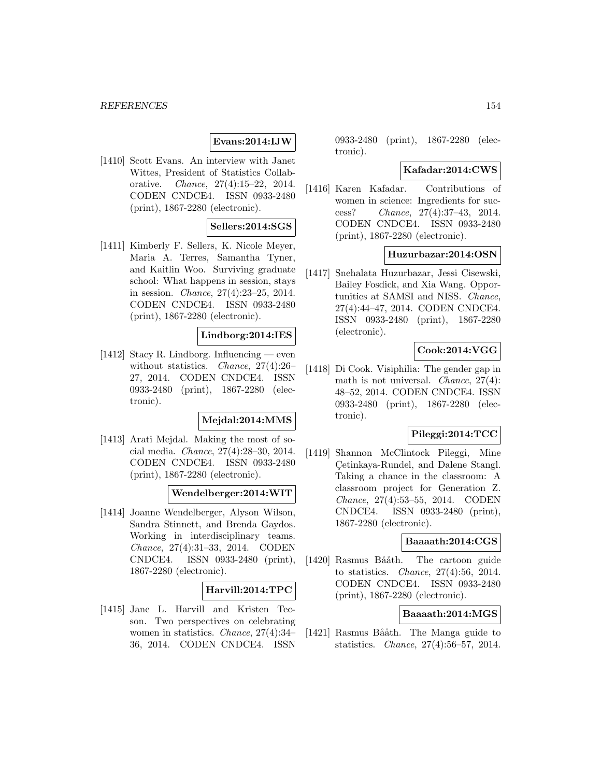## **Evans:2014:IJW**

[1410] Scott Evans. An interview with Janet Wittes, President of Statistics Collaborative. Chance, 27(4):15–22, 2014. CODEN CNDCE4. ISSN 0933-2480 (print), 1867-2280 (electronic).

## **Sellers:2014:SGS**

[1411] Kimberly F. Sellers, K. Nicole Meyer, Maria A. Terres, Samantha Tyner, and Kaitlin Woo. Surviving graduate school: What happens in session, stays in session. Chance, 27(4):23–25, 2014. CODEN CNDCE4. ISSN 0933-2480 (print), 1867-2280 (electronic).

## **Lindborg:2014:IES**

[1412] Stacy R. Lindborg. Influencing — even without statistics. Chance, 27(4):26– 27, 2014. CODEN CNDCE4. ISSN 0933-2480 (print), 1867-2280 (electronic).

#### **Mejdal:2014:MMS**

[1413] Arati Mejdal. Making the most of social media. Chance, 27(4):28–30, 2014. CODEN CNDCE4. ISSN 0933-2480 (print), 1867-2280 (electronic).

#### **Wendelberger:2014:WIT**

[1414] Joanne Wendelberger, Alyson Wilson, Sandra Stinnett, and Brenda Gaydos. Working in interdisciplinary teams. Chance, 27(4):31–33, 2014. CODEN CNDCE4. ISSN 0933-2480 (print), 1867-2280 (electronic).

### **Harvill:2014:TPC**

[1415] Jane L. Harvill and Kristen Tecson. Two perspectives on celebrating women in statistics. *Chance*, 27(4):34-36, 2014. CODEN CNDCE4. ISSN 0933-2480 (print), 1867-2280 (electronic).

#### **Kafadar:2014:CWS**

[1416] Karen Kafadar. Contributions of women in science: Ingredients for success? Chance, 27(4):37–43, 2014. CODEN CNDCE4. ISSN 0933-2480 (print), 1867-2280 (electronic).

#### **Huzurbazar:2014:OSN**

[1417] Snehalata Huzurbazar, Jessi Cisewski, Bailey Fosdick, and Xia Wang. Opportunities at SAMSI and NISS. Chance, 27(4):44–47, 2014. CODEN CNDCE4. ISSN 0933-2480 (print), 1867-2280 (electronic).

## **Cook:2014:VGG**

[1418] Di Cook. Visiphilia: The gender gap in math is not universal. *Chance*, 27(4): 48–52, 2014. CODEN CNDCE4. ISSN 0933-2480 (print), 1867-2280 (electronic).

### **Pileggi:2014:TCC**

[1419] Shannon McClintock Pileggi, Mine Cetinkaya-Rundel, and Dalene Stangl. ¸ Taking a chance in the classroom: A classroom project for Generation Z. Chance, 27(4):53–55, 2014. CODEN CNDCE4. ISSN 0933-2480 (print), 1867-2280 (electronic).

## **Baaaath:2014:CGS**

[1420] Rasmus Bååth. The cartoon guide to statistics. Chance, 27(4):56, 2014. CODEN CNDCE4. ISSN 0933-2480 (print), 1867-2280 (electronic).

#### **Baaaath:2014:MGS**

[1421] Rasmus Bååth. The Manga guide to statistics. Chance, 27(4):56–57, 2014.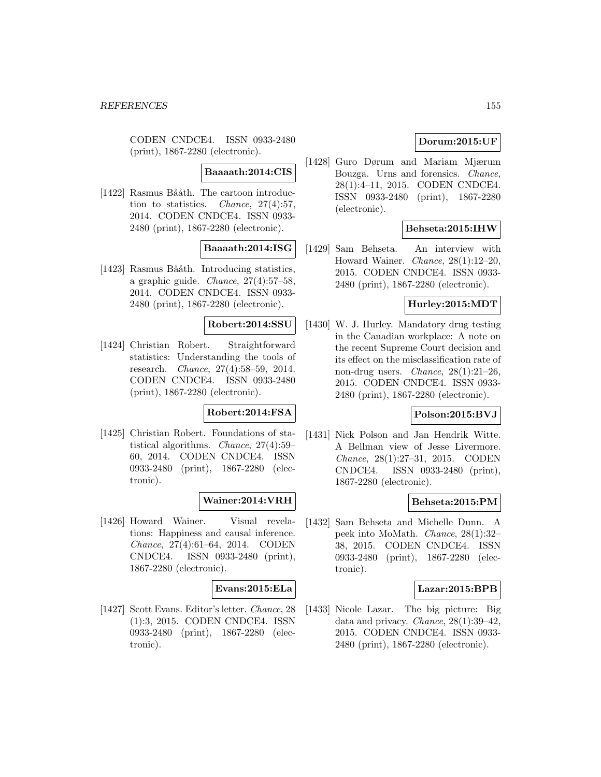CODEN CNDCE4. ISSN 0933-2480 (print), 1867-2280 (electronic).

## **Baaaath:2014:CIS**

[1422] Rasmus Bååth. The cartoon introduction to statistics. Chance, 27(4):57, 2014. CODEN CNDCE4. ISSN 0933- 2480 (print), 1867-2280 (electronic).

### **Baaaath:2014:ISG**

[1423] Rasmus Bååth. Introducing statistics, a graphic guide. Chance, 27(4):57–58, 2014. CODEN CNDCE4. ISSN 0933- 2480 (print), 1867-2280 (electronic).

#### **Robert:2014:SSU**

[1424] Christian Robert. Straightforward statistics: Understanding the tools of research. Chance, 27(4):58–59, 2014. CODEN CNDCE4. ISSN 0933-2480 (print), 1867-2280 (electronic).

### **Robert:2014:FSA**

[1425] Christian Robert. Foundations of statistical algorithms. Chance, 27(4):59– 60, 2014. CODEN CNDCE4. ISSN 0933-2480 (print), 1867-2280 (electronic).

### **Wainer:2014:VRH**

[1426] Howard Wainer. Visual revelations: Happiness and causal inference. Chance, 27(4):61–64, 2014. CODEN CNDCE4. ISSN 0933-2480 (print), 1867-2280 (electronic).

#### **Evans:2015:ELa**

[1427] Scott Evans. Editor's letter. Chance, 28 (1):3, 2015. CODEN CNDCE4. ISSN 0933-2480 (print), 1867-2280 (electronic).

## **Dorum:2015:UF**

[1428] Guro Dørum and Mariam Mjærum Bouzga. Urns and forensics. Chance, 28(1):4–11, 2015. CODEN CNDCE4. ISSN 0933-2480 (print), 1867-2280 (electronic).

### **Behseta:2015:IHW**

[1429] Sam Behseta. An interview with Howard Wainer. Chance, 28(1):12–20, 2015. CODEN CNDCE4. ISSN 0933- 2480 (print), 1867-2280 (electronic).

#### **Hurley:2015:MDT**

[1430] W. J. Hurley. Mandatory drug testing in the Canadian workplace: A note on the recent Supreme Court decision and its effect on the misclassification rate of non-drug users. Chance, 28(1):21–26, 2015. CODEN CNDCE4. ISSN 0933- 2480 (print), 1867-2280 (electronic).

## **Polson:2015:BVJ**

[1431] Nick Polson and Jan Hendrik Witte. A Bellman view of Jesse Livermore. Chance, 28(1):27–31, 2015. CODEN CNDCE4. ISSN 0933-2480 (print), 1867-2280 (electronic).

## **Behseta:2015:PM**

[1432] Sam Behseta and Michelle Dunn. A peek into MoMath. Chance, 28(1):32– 38, 2015. CODEN CNDCE4. ISSN 0933-2480 (print), 1867-2280 (electronic).

## **Lazar:2015:BPB**

[1433] Nicole Lazar. The big picture: Big data and privacy. Chance, 28(1):39–42, 2015. CODEN CNDCE4. ISSN 0933- 2480 (print), 1867-2280 (electronic).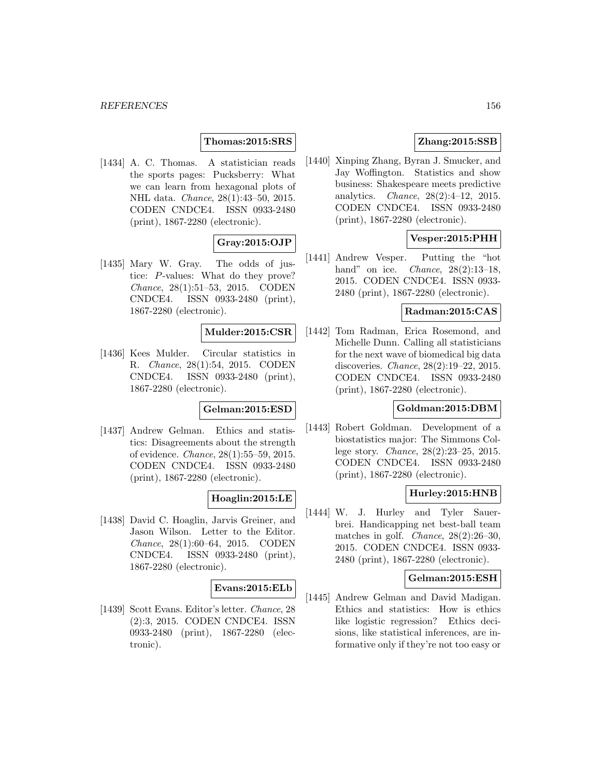## **Thomas:2015:SRS**

[1434] A. C. Thomas. A statistician reads the sports pages: Pucksberry: What we can learn from hexagonal plots of NHL data. Chance, 28(1):43–50, 2015. CODEN CNDCE4. ISSN 0933-2480 (print), 1867-2280 (electronic).

# **Gray:2015:OJP**

[1435] Mary W. Gray. The odds of justice: P-values: What do they prove? Chance, 28(1):51–53, 2015. CODEN CNDCE4. ISSN 0933-2480 (print), 1867-2280 (electronic).

#### **Mulder:2015:CSR**

[1436] Kees Mulder. Circular statistics in R. Chance, 28(1):54, 2015. CODEN CNDCE4. ISSN 0933-2480 (print), 1867-2280 (electronic).

## **Gelman:2015:ESD**

[1437] Andrew Gelman. Ethics and statistics: Disagreements about the strength of evidence. Chance, 28(1):55–59, 2015. CODEN CNDCE4. ISSN 0933-2480 (print), 1867-2280 (electronic).

### **Hoaglin:2015:LE**

[1438] David C. Hoaglin, Jarvis Greiner, and Jason Wilson. Letter to the Editor. Chance, 28(1):60–64, 2015. CODEN CNDCE4. ISSN 0933-2480 (print), 1867-2280 (electronic).

#### **Evans:2015:ELb**

[1439] Scott Evans. Editor's letter. Chance, 28 (2):3, 2015. CODEN CNDCE4. ISSN 0933-2480 (print), 1867-2280 (electronic).

## **Zhang:2015:SSB**

[1440] Xinping Zhang, Byran J. Smucker, and Jay Woffington. Statistics and show business: Shakespeare meets predictive analytics. Chance, 28(2):4–12, 2015. CODEN CNDCE4. ISSN 0933-2480 (print), 1867-2280 (electronic).

## **Vesper:2015:PHH**

[1441] Andrew Vesper. Putting the "hot hand" on ice. *Chance*, 28(2):13-18, 2015. CODEN CNDCE4. ISSN 0933- 2480 (print), 1867-2280 (electronic).

### **Radman:2015:CAS**

[1442] Tom Radman, Erica Rosemond, and Michelle Dunn. Calling all statisticians for the next wave of biomedical big data discoveries. Chance, 28(2):19–22, 2015. CODEN CNDCE4. ISSN 0933-2480 (print), 1867-2280 (electronic).

#### **Goldman:2015:DBM**

[1443] Robert Goldman. Development of a biostatistics major: The Simmons College story. Chance, 28(2):23–25, 2015. CODEN CNDCE4. ISSN 0933-2480 (print), 1867-2280 (electronic).

### **Hurley:2015:HNB**

[1444] W. J. Hurley and Tyler Sauerbrei. Handicapping net best-ball team matches in golf. *Chance*,  $28(2):26-30$ , 2015. CODEN CNDCE4. ISSN 0933- 2480 (print), 1867-2280 (electronic).

#### **Gelman:2015:ESH**

[1445] Andrew Gelman and David Madigan. Ethics and statistics: How is ethics like logistic regression? Ethics decisions, like statistical inferences, are informative only if they're not too easy or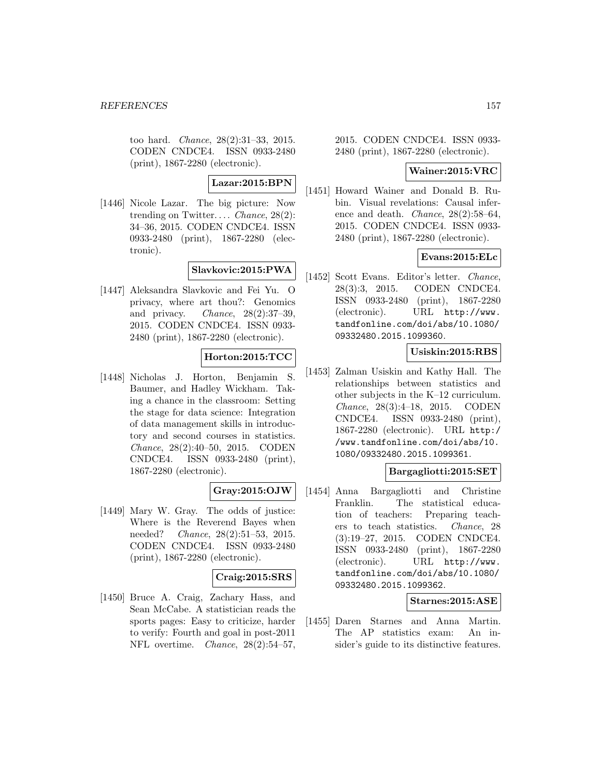too hard. Chance, 28(2):31–33, 2015. CODEN CNDCE4. ISSN 0933-2480 (print), 1867-2280 (electronic).

# **Lazar:2015:BPN**

[1446] Nicole Lazar. The big picture: Now trending on Twitter.... *Chance*,  $28(2)$ : 34–36, 2015. CODEN CNDCE4. ISSN 0933-2480 (print), 1867-2280 (electronic).

# **Slavkovic:2015:PWA**

[1447] Aleksandra Slavkovic and Fei Yu. O privacy, where art thou?: Genomics and privacy. *Chance*,  $28(2):37-39$ , 2015. CODEN CNDCE4. ISSN 0933- 2480 (print), 1867-2280 (electronic).

## **Horton:2015:TCC**

[1448] Nicholas J. Horton, Benjamin S. Baumer, and Hadley Wickham. Taking a chance in the classroom: Setting the stage for data science: Integration of data management skills in introductory and second courses in statistics. Chance, 28(2):40–50, 2015. CODEN CNDCE4. ISSN 0933-2480 (print), 1867-2280 (electronic).

### **Gray:2015:OJW**

[1449] Mary W. Gray. The odds of justice: Where is the Reverend Bayes when needed? Chance, 28(2):51–53, 2015. CODEN CNDCE4. ISSN 0933-2480 (print), 1867-2280 (electronic).

### **Craig:2015:SRS**

[1450] Bruce A. Craig, Zachary Hass, and Sean McCabe. A statistician reads the sports pages: Easy to criticize, harder to verify: Fourth and goal in post-2011 NFL overtime. Chance, 28(2):54–57,

2015. CODEN CNDCE4. ISSN 0933- 2480 (print), 1867-2280 (electronic).

#### **Wainer:2015:VRC**

[1451] Howard Wainer and Donald B. Rubin. Visual revelations: Causal inference and death. Chance, 28(2):58–64, 2015. CODEN CNDCE4. ISSN 0933- 2480 (print), 1867-2280 (electronic).

## **Evans:2015:ELc**

[1452] Scott Evans. Editor's letter. Chance, 28(3):3, 2015. CODEN CNDCE4. ISSN 0933-2480 (print), 1867-2280 (electronic). URL http://www. tandfonline.com/doi/abs/10.1080/ 09332480.2015.1099360.

### **Usiskin:2015:RBS**

[1453] Zalman Usiskin and Kathy Hall. The relationships between statistics and other subjects in the K–12 curriculum. Chance, 28(3):4–18, 2015. CODEN CNDCE4. ISSN 0933-2480 (print), 1867-2280 (electronic). URL http:/ /www.tandfonline.com/doi/abs/10. 1080/09332480.2015.1099361.

## **Bargagliotti:2015:SET**

[1454] Anna Bargagliotti and Christine Franklin. The statistical education of teachers: Preparing teachers to teach statistics. Chance, 28 (3):19–27, 2015. CODEN CNDCE4. ISSN 0933-2480 (print), 1867-2280 (electronic). URL http://www. tandfonline.com/doi/abs/10.1080/ 09332480.2015.1099362.

## **Starnes:2015:ASE**

[1455] Daren Starnes and Anna Martin. The AP statistics exam: An insider's guide to its distinctive features.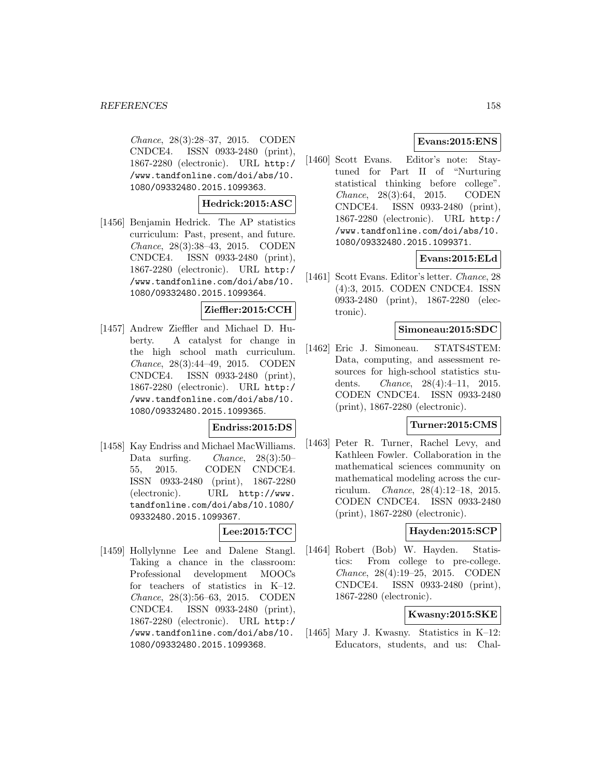Chance, 28(3):28–37, 2015. CODEN CNDCE4. ISSN 0933-2480 (print), 1867-2280 (electronic). URL http:/ /www.tandfonline.com/doi/abs/10. 1080/09332480.2015.1099363.

#### **Hedrick:2015:ASC**

[1456] Benjamin Hedrick. The AP statistics curriculum: Past, present, and future. Chance, 28(3):38–43, 2015. CODEN CNDCE4. ISSN 0933-2480 (print), 1867-2280 (electronic). URL http:/ /www.tandfonline.com/doi/abs/10. 1080/09332480.2015.1099364.

#### **Zieffler:2015:CCH**

[1457] Andrew Zieffler and Michael D. Huberty. A catalyst for change in the high school math curriculum. Chance, 28(3):44–49, 2015. CODEN CNDCE4. ISSN 0933-2480 (print), 1867-2280 (electronic). URL http:/ /www.tandfonline.com/doi/abs/10. 1080/09332480.2015.1099365.

#### **Endriss:2015:DS**

[1458] Kay Endriss and Michael MacWilliams. Data surfing. Chance, 28(3):50– 55, 2015. CODEN CNDCE4. ISSN 0933-2480 (print), 1867-2280 (electronic). URL http://www. tandfonline.com/doi/abs/10.1080/ 09332480.2015.1099367.

## **Lee:2015:TCC**

[1459] Hollylynne Lee and Dalene Stangl. Taking a chance in the classroom: Professional development MOOCs for teachers of statistics in K–12. Chance, 28(3):56–63, 2015. CODEN CNDCE4. ISSN 0933-2480 (print), 1867-2280 (electronic). URL http:/ /www.tandfonline.com/doi/abs/10. 1080/09332480.2015.1099368.

## **Evans:2015:ENS**

[1460] Scott Evans. Editor's note: Staytuned for Part II of "Nurturing statistical thinking before college". Chance, 28(3):64, 2015. CODEN CNDCE4. ISSN 0933-2480 (print), 1867-2280 (electronic). URL http:/ /www.tandfonline.com/doi/abs/10. 1080/09332480.2015.1099371.

## **Evans:2015:ELd**

[1461] Scott Evans. Editor's letter. Chance, 28 (4):3, 2015. CODEN CNDCE4. ISSN 0933-2480 (print), 1867-2280 (electronic).

## **Simoneau:2015:SDC**

[1462] Eric J. Simoneau. STATS4STEM: Data, computing, and assessment resources for high-school statistics students. Chance, 28(4):4–11, 2015. CODEN CNDCE4. ISSN 0933-2480 (print), 1867-2280 (electronic).

#### **Turner:2015:CMS**

[1463] Peter R. Turner, Rachel Levy, and Kathleen Fowler. Collaboration in the mathematical sciences community on mathematical modeling across the curriculum. Chance, 28(4):12–18, 2015. CODEN CNDCE4. ISSN 0933-2480 (print), 1867-2280 (electronic).

## **Hayden:2015:SCP**

[1464] Robert (Bob) W. Hayden. Statistics: From college to pre-college. Chance, 28(4):19–25, 2015. CODEN CNDCE4. ISSN 0933-2480 (print), 1867-2280 (electronic).

# **Kwasny:2015:SKE**

[1465] Mary J. Kwasny. Statistics in K–12: Educators, students, and us: Chal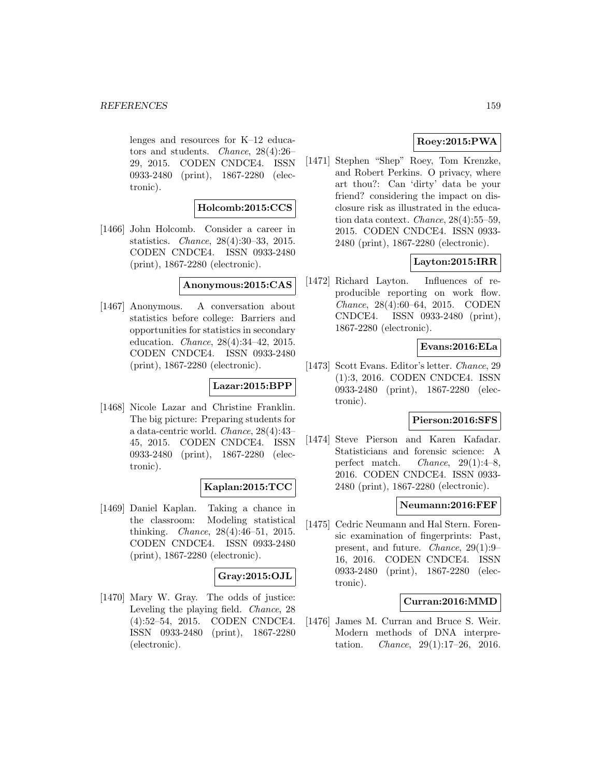lenges and resources for K–12 educators and students. Chance, 28(4):26– 29, 2015. CODEN CNDCE4. ISSN 0933-2480 (print), 1867-2280 (electronic).

#### **Holcomb:2015:CCS**

[1466] John Holcomb. Consider a career in statistics. Chance, 28(4):30–33, 2015. CODEN CNDCE4. ISSN 0933-2480 (print), 1867-2280 (electronic).

## **Anonymous:2015:CAS**

[1467] Anonymous. A conversation about statistics before college: Barriers and opportunities for statistics in secondary education. Chance, 28(4):34–42, 2015. CODEN CNDCE4. ISSN 0933-2480 (print), 1867-2280 (electronic).

#### **Lazar:2015:BPP**

[1468] Nicole Lazar and Christine Franklin. The big picture: Preparing students for a data-centric world. Chance, 28(4):43– 45, 2015. CODEN CNDCE4. ISSN 0933-2480 (print), 1867-2280 (electronic).

### **Kaplan:2015:TCC**

[1469] Daniel Kaplan. Taking a chance in the classroom: Modeling statistical thinking. Chance, 28(4):46–51, 2015. CODEN CNDCE4. ISSN 0933-2480 (print), 1867-2280 (electronic).

## **Gray:2015:OJL**

[1470] Mary W. Gray. The odds of justice: Leveling the playing field. Chance, 28 (4):52–54, 2015. CODEN CNDCE4. ISSN 0933-2480 (print), 1867-2280 (electronic).

# **Roey:2015:PWA**

[1471] Stephen "Shep" Roey, Tom Krenzke, and Robert Perkins. O privacy, where art thou?: Can 'dirty' data be your friend? considering the impact on disclosure risk as illustrated in the education data context. Chance, 28(4):55–59, 2015. CODEN CNDCE4. ISSN 0933- 2480 (print), 1867-2280 (electronic).

# **Layton:2015:IRR**

[1472] Richard Layton. Influences of reproducible reporting on work flow. Chance, 28(4):60–64, 2015. CODEN CNDCE4. ISSN 0933-2480 (print), 1867-2280 (electronic).

### **Evans:2016:ELa**

[1473] Scott Evans. Editor's letter. Chance, 29 (1):3, 2016. CODEN CNDCE4. ISSN 0933-2480 (print), 1867-2280 (electronic).

## **Pierson:2016:SFS**

[1474] Steve Pierson and Karen Kafadar. Statisticians and forensic science: A perfect match. Chance, 29(1):4–8, 2016. CODEN CNDCE4. ISSN 0933- 2480 (print), 1867-2280 (electronic).

## **Neumann:2016:FEF**

[1475] Cedric Neumann and Hal Stern. Forensic examination of fingerprints: Past, present, and future. Chance, 29(1):9– 16, 2016. CODEN CNDCE4. ISSN 0933-2480 (print), 1867-2280 (electronic).

#### **Curran:2016:MMD**

[1476] James M. Curran and Bruce S. Weir. Modern methods of DNA interpretation. Chance, 29(1):17–26, 2016.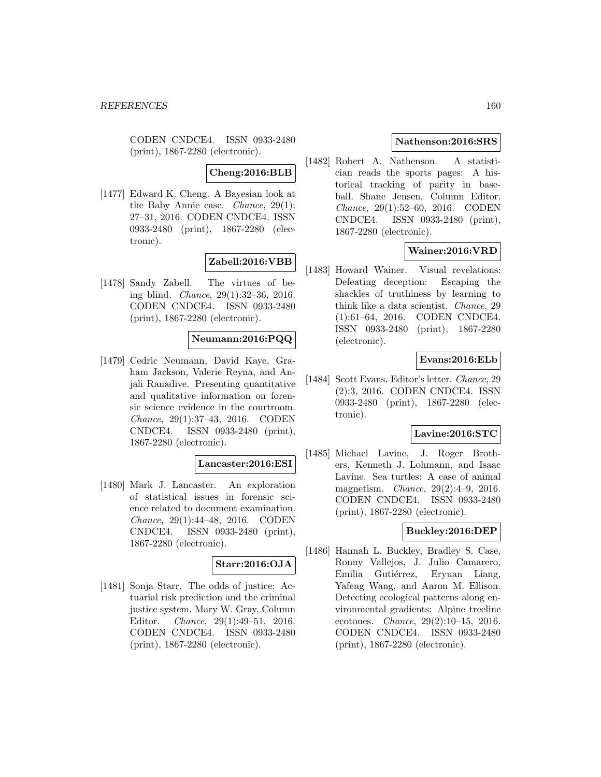CODEN CNDCE4. ISSN 0933-2480 (print), 1867-2280 (electronic).

**Cheng:2016:BLB**

[1477] Edward K. Cheng. A Bayesian look at the Baby Annie case. Chance, 29(1): 27–31, 2016. CODEN CNDCE4. ISSN 0933-2480 (print), 1867-2280 (electronic).

# **Zabell:2016:VBB**

[1478] Sandy Zabell. The virtues of being blind. Chance, 29(1):32–36, 2016. CODEN CNDCE4. ISSN 0933-2480 (print), 1867-2280 (electronic).

# **Neumann:2016:PQQ**

[1479] Cedric Neumann, David Kaye, Graham Jackson, Valerie Reyna, and Anjali Ranadive. Presenting quantitative and qualitative information on forensic science evidence in the courtroom. Chance, 29(1):37–43, 2016. CODEN CNDCE4. ISSN 0933-2480 (print), 1867-2280 (electronic).

### **Lancaster:2016:ESI**

[1480] Mark J. Lancaster. An exploration of statistical issues in forensic science related to document examination. Chance, 29(1):44–48, 2016. CODEN CNDCE4. ISSN 0933-2480 (print), 1867-2280 (electronic).

#### **Starr:2016:OJA**

[1481] Sonja Starr. The odds of justice: Actuarial risk prediction and the criminal justice system. Mary W. Gray, Column Editor. Chance, 29(1):49–51, 2016. CODEN CNDCE4. ISSN 0933-2480 (print), 1867-2280 (electronic).

## **Nathenson:2016:SRS**

[1482] Robert A. Nathenson. A statistician reads the sports pages: A historical tracking of parity in baseball. Shane Jensen, Column Editor. Chance, 29(1):52–60, 2016. CODEN CNDCE4. ISSN 0933-2480 (print), 1867-2280 (electronic).

# **Wainer:2016:VRD**

[1483] Howard Wainer. Visual revelations: Defeating deception: Escaping the shackles of truthiness by learning to think like a data scientist. Chance, 29 (1):61–64, 2016. CODEN CNDCE4. ISSN 0933-2480 (print), 1867-2280 (electronic).

## **Evans:2016:ELb**

[1484] Scott Evans. Editor's letter. Chance, 29 (2):3, 2016. CODEN CNDCE4. ISSN 0933-2480 (print), 1867-2280 (electronic).

#### **Lavine:2016:STC**

[1485] Michael Lavine, J. Roger Brothers, Kenneth J. Lohmann, and Isaac Lavine. Sea turtles: A case of animal magnetism. Chance, 29(2):4–9, 2016. CODEN CNDCE4. ISSN 0933-2480 (print), 1867-2280 (electronic).

### **Buckley:2016:DEP**

[1486] Hannah L. Buckley, Bradley S. Case, Ronny Vallejos, J. Julio Camarero, Emilia Gutiérrez, Eryuan Liang, Yafeng Wang, and Aaron M. Ellison. Detecting ecological patterns along environmental gradients: Alpine treeline ecotones. Chance, 29(2):10–15, 2016. CODEN CNDCE4. ISSN 0933-2480 (print), 1867-2280 (electronic).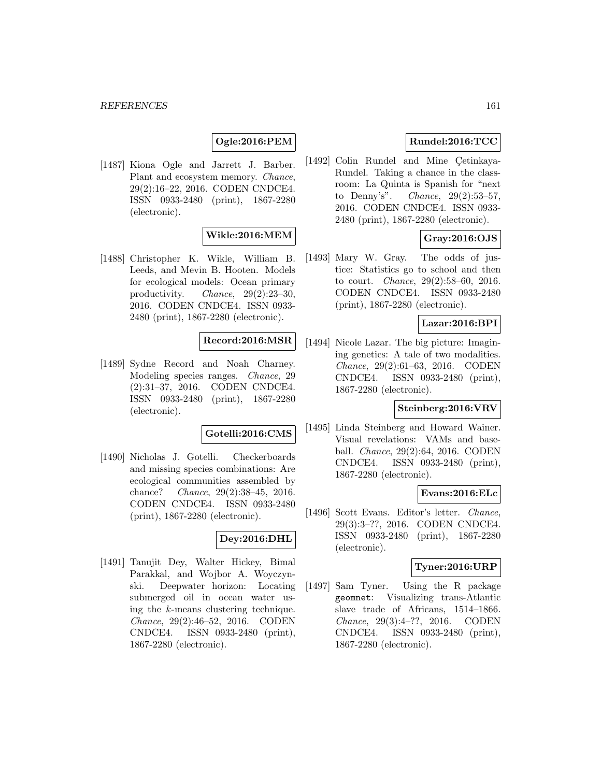## **Ogle:2016:PEM**

[1487] Kiona Ogle and Jarrett J. Barber. Plant and ecosystem memory. Chance, 29(2):16–22, 2016. CODEN CNDCE4. ISSN 0933-2480 (print), 1867-2280 (electronic).

## **Wikle:2016:MEM**

[1488] Christopher K. Wikle, William B. Leeds, and Mevin B. Hooten. Models for ecological models: Ocean primary productivity. Chance, 29(2):23–30, 2016. CODEN CNDCE4. ISSN 0933- 2480 (print), 1867-2280 (electronic).

## **Record:2016:MSR**

[1489] Sydne Record and Noah Charney. Modeling species ranges. Chance, 29 (2):31–37, 2016. CODEN CNDCE4. ISSN 0933-2480 (print), 1867-2280 (electronic).

#### **Gotelli:2016:CMS**

[1490] Nicholas J. Gotelli. Checkerboards and missing species combinations: Are ecological communities assembled by chance? Chance, 29(2):38–45, 2016. CODEN CNDCE4. ISSN 0933-2480 (print), 1867-2280 (electronic).

## **Dey:2016:DHL**

[1491] Tanujit Dey, Walter Hickey, Bimal Parakkal, and Wojbor A. Woyczynski. Deepwater horizon: Locating submerged oil in ocean water using the k-means clustering technique. Chance, 29(2):46–52, 2016. CODEN CNDCE4. ISSN 0933-2480 (print), 1867-2280 (electronic).

## **Rundel:2016:TCC**

[1492] Colin Rundel and Mine Çetinkaya-Rundel. Taking a chance in the classroom: La Quinta is Spanish for "next to Denny's". Chance, 29(2):53–57, 2016. CODEN CNDCE4. ISSN 0933- 2480 (print), 1867-2280 (electronic).

## **Gray:2016:OJS**

[1493] Mary W. Gray. The odds of justice: Statistics go to school and then to court. Chance, 29(2):58–60, 2016. CODEN CNDCE4. ISSN 0933-2480 (print), 1867-2280 (electronic).

## **Lazar:2016:BPI**

[1494] Nicole Lazar. The big picture: Imagining genetics: A tale of two modalities. Chance, 29(2):61–63, 2016. CODEN CNDCE4. ISSN 0933-2480 (print), 1867-2280 (electronic).

## **Steinberg:2016:VRV**

[1495] Linda Steinberg and Howard Wainer. Visual revelations: VAMs and baseball. Chance, 29(2):64, 2016. CODEN CNDCE4. ISSN 0933-2480 (print), 1867-2280 (electronic).

### **Evans:2016:ELc**

[1496] Scott Evans. Editor's letter. Chance, 29(3):3–??, 2016. CODEN CNDCE4. ISSN 0933-2480 (print), 1867-2280 (electronic).

#### **Tyner:2016:URP**

[1497] Sam Tyner. Using the R package geomnet: Visualizing trans-Atlantic slave trade of Africans, 1514–1866. Chance, 29(3):4–??, 2016. CODEN CNDCE4. ISSN 0933-2480 (print), 1867-2280 (electronic).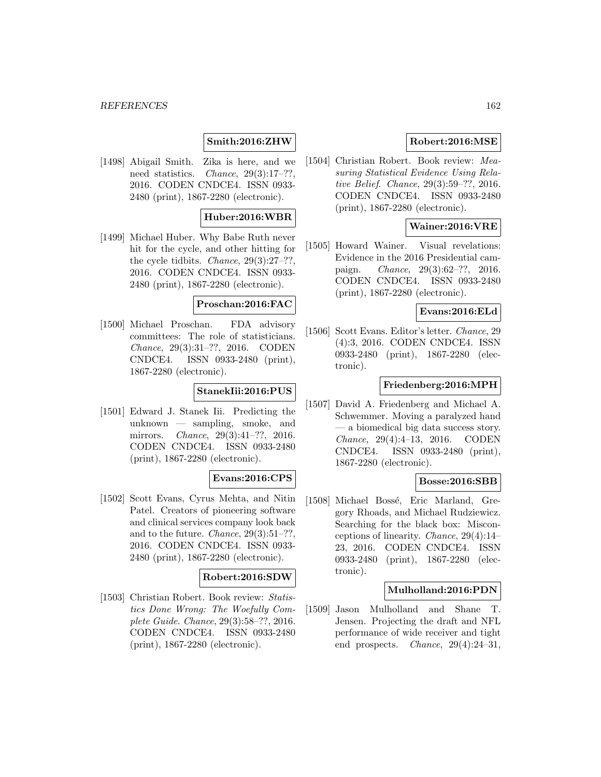#### *REFERENCES* 162

## **Smith:2016:ZHW**

[1498] Abigail Smith. Zika is here, and we need statistics. *Chance*, 29(3):17–??, 2016. CODEN CNDCE4. ISSN 0933- 2480 (print), 1867-2280 (electronic).

#### **Huber:2016:WBR**

[1499] Michael Huber. Why Babe Ruth never hit for the cycle, and other hitting for the cycle tidbits. Chance, 29(3):27–??, 2016. CODEN CNDCE4. ISSN 0933- 2480 (print), 1867-2280 (electronic).

#### **Proschan:2016:FAC**

[1500] Michael Proschan. FDA advisory committees: The role of statisticians. Chance, 29(3):31–??, 2016. CODEN CNDCE4. ISSN 0933-2480 (print), 1867-2280 (electronic).

### **StanekIii:2016:PUS**

[1501] Edward J. Stanek Iii. Predicting the unknown — sampling, smoke, and mirrors. Chance, 29(3):41–??, 2016. CODEN CNDCE4. ISSN 0933-2480 (print), 1867-2280 (electronic).

#### **Evans:2016:CPS**

[1502] Scott Evans, Cyrus Mehta, and Nitin Patel. Creators of pioneering software and clinical services company look back and to the future. Chance, 29(3):51–??, 2016. CODEN CNDCE4. ISSN 0933- 2480 (print), 1867-2280 (electronic).

#### **Robert:2016:SDW**

[1503] Christian Robert. Book review: Statistics Done Wrong: The Woefully Complete Guide. Chance, 29(3):58–??, 2016. CODEN CNDCE4. ISSN 0933-2480 (print), 1867-2280 (electronic).

## **Robert:2016:MSE**

[1504] Christian Robert. Book review: Measuring Statistical Evidence Using Relative Belief. Chance, 29(3):59–??, 2016. CODEN CNDCE4. ISSN 0933-2480 (print), 1867-2280 (electronic).

## **Wainer:2016:VRE**

[1505] Howard Wainer. Visual revelations: Evidence in the 2016 Presidential campaign. Chance, 29(3):62–??, 2016. CODEN CNDCE4. ISSN 0933-2480 (print), 1867-2280 (electronic).

### **Evans:2016:ELd**

[1506] Scott Evans. Editor's letter. Chance, 29 (4):3, 2016. CODEN CNDCE4. ISSN 0933-2480 (print), 1867-2280 (electronic).

#### **Friedenberg:2016:MPH**

[1507] David A. Friedenberg and Michael A. Schwemmer. Moving a paralyzed hand — a biomedical big data success story. Chance, 29(4):4–13, 2016. CODEN CNDCE4. ISSN 0933-2480 (print), 1867-2280 (electronic).

#### **Bosse:2016:SBB**

[1508] Michael Bossé, Eric Marland, Gregory Rhoads, and Michael Rudziewicz. Searching for the black box: Misconceptions of linearity. Chance, 29(4):14– 23, 2016. CODEN CNDCE4. ISSN 0933-2480 (print), 1867-2280 (electronic).

#### **Mulholland:2016:PDN**

[1509] Jason Mulholland and Shane T. Jensen. Projecting the draft and NFL performance of wide receiver and tight end prospects. *Chance*,  $29(4):24-31$ ,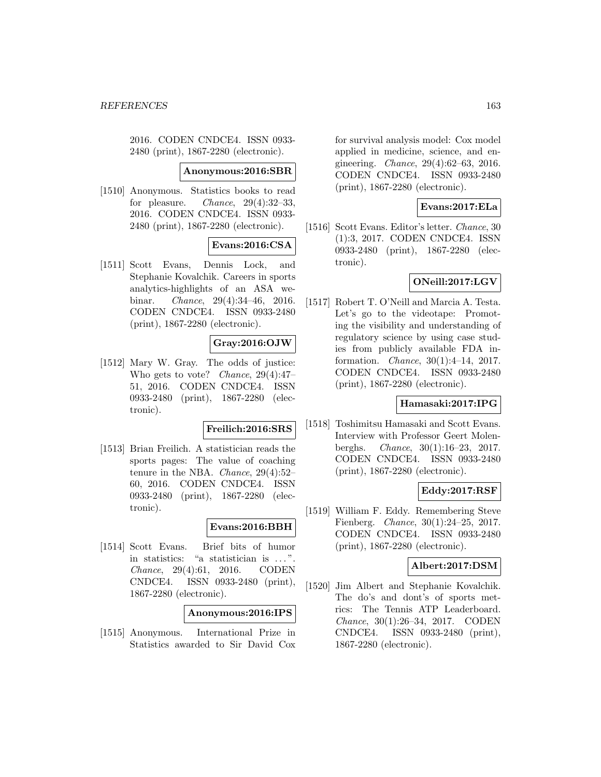2016. CODEN CNDCE4. ISSN 0933- 2480 (print), 1867-2280 (electronic).

#### **Anonymous:2016:SBR**

[1510] Anonymous. Statistics books to read for pleasure. *Chance*,  $29(4):32-33$ , 2016. CODEN CNDCE4. ISSN 0933- 2480 (print), 1867-2280 (electronic).

### **Evans:2016:CSA**

[1511] Scott Evans, Dennis Lock, and Stephanie Kovalchik. Careers in sports analytics-highlights of an ASA webinar. Chance, 29(4):34–46, 2016. CODEN CNDCE4. ISSN 0933-2480 (print), 1867-2280 (electronic).

### **Gray:2016:OJW**

[1512] Mary W. Gray. The odds of justice: Who gets to vote? Chance, 29(4):47– 51, 2016. CODEN CNDCE4. ISSN 0933-2480 (print), 1867-2280 (electronic).

#### **Freilich:2016:SRS**

[1513] Brian Freilich. A statistician reads the sports pages: The value of coaching tenure in the NBA. Chance, 29(4):52– 60, 2016. CODEN CNDCE4. ISSN 0933-2480 (print), 1867-2280 (electronic).

# **Evans:2016:BBH**

[1514] Scott Evans. Brief bits of humor in statistics: "a statistician is ... ". Chance, 29(4):61, 2016. CODEN CNDCE4. ISSN 0933-2480 (print), 1867-2280 (electronic).

## **Anonymous:2016:IPS**

[1515] Anonymous. International Prize in Statistics awarded to Sir David Cox

for survival analysis model: Cox model applied in medicine, science, and engineering. Chance, 29(4):62–63, 2016. CODEN CNDCE4. ISSN 0933-2480 (print), 1867-2280 (electronic).

#### **Evans:2017:ELa**

[1516] Scott Evans. Editor's letter. Chance, 30 (1):3, 2017. CODEN CNDCE4. ISSN 0933-2480 (print), 1867-2280 (electronic).

## **ONeill:2017:LGV**

[1517] Robert T. O'Neill and Marcia A. Testa. Let's go to the videotape: Promoting the visibility and understanding of regulatory science by using case studies from publicly available FDA information. Chance, 30(1):4–14, 2017. CODEN CNDCE4. ISSN 0933-2480 (print), 1867-2280 (electronic).

#### **Hamasaki:2017:IPG**

[1518] Toshimitsu Hamasaki and Scott Evans. Interview with Professor Geert Molenberghs. Chance, 30(1):16–23, 2017. CODEN CNDCE4. ISSN 0933-2480 (print), 1867-2280 (electronic).

### **Eddy:2017:RSF**

[1519] William F. Eddy. Remembering Steve Fienberg. Chance, 30(1):24–25, 2017. CODEN CNDCE4. ISSN 0933-2480 (print), 1867-2280 (electronic).

## **Albert:2017:DSM**

[1520] Jim Albert and Stephanie Kovalchik. The do's and dont's of sports metrics: The Tennis ATP Leaderboard. Chance, 30(1):26–34, 2017. CODEN CNDCE4. ISSN 0933-2480 (print), 1867-2280 (electronic).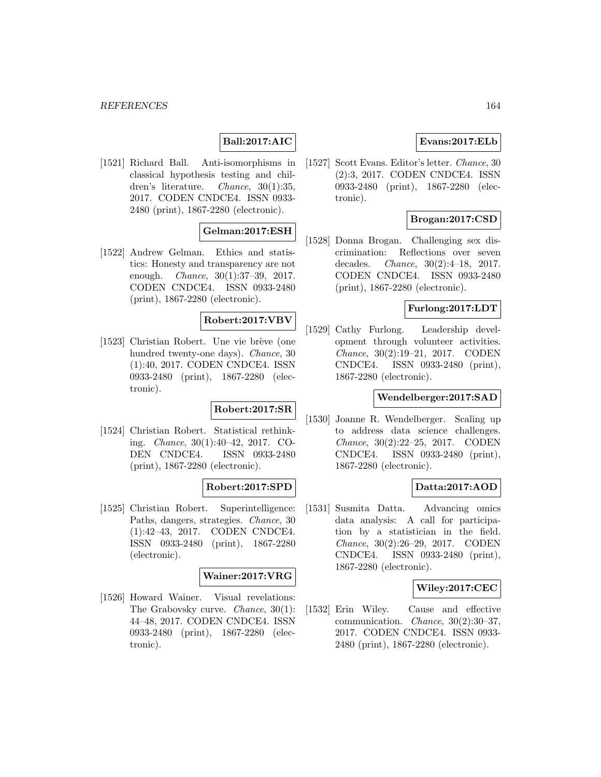#### *REFERENCES* 164

# **Ball:2017:AIC**

[1521] Richard Ball. Anti-isomorphisms in classical hypothesis testing and children's literature. Chance, 30(1):35, 2017. CODEN CNDCE4. ISSN 0933- 2480 (print), 1867-2280 (electronic).

## **Gelman:2017:ESH**

[1522] Andrew Gelman. Ethics and statistics: Honesty and transparency are not enough. Chance, 30(1):37–39, 2017. CODEN CNDCE4. ISSN 0933-2480 (print), 1867-2280 (electronic).

#### **Robert:2017:VBV**

[1523] Christian Robert. Une vie brève (one hundred twenty-one days). Chance, 30 (1):40, 2017. CODEN CNDCE4. ISSN 0933-2480 (print), 1867-2280 (electronic).

## **Robert:2017:SR**

[1524] Christian Robert. Statistical rethinking. Chance, 30(1):40–42, 2017. CO-DEN CNDCE4. ISSN 0933-2480 (print), 1867-2280 (electronic).

### **Robert:2017:SPD**

[1525] Christian Robert. Superintelligence: Paths, dangers, strategies. Chance, 30 (1):42–43, 2017. CODEN CNDCE4. ISSN 0933-2480 (print), 1867-2280 (electronic).

#### **Wainer:2017:VRG**

[1526] Howard Wainer. Visual revelations: The Grabovsky curve. *Chance*,  $30(1)$ : 44–48, 2017. CODEN CNDCE4. ISSN 0933-2480 (print), 1867-2280 (electronic).

## **Evans:2017:ELb**

[1527] Scott Evans. Editor's letter. Chance, 30 (2):3, 2017. CODEN CNDCE4. ISSN 0933-2480 (print), 1867-2280 (electronic).

### **Brogan:2017:CSD**

[1528] Donna Brogan. Challenging sex discrimination: Reflections over seven decades. Chance, 30(2):4–18, 2017. CODEN CNDCE4. ISSN 0933-2480 (print), 1867-2280 (electronic).

## **Furlong:2017:LDT**

[1529] Cathy Furlong. Leadership development through volunteer activities. Chance, 30(2):19–21, 2017. CODEN CNDCE4. ISSN 0933-2480 (print), 1867-2280 (electronic).

#### **Wendelberger:2017:SAD**

[1530] Joanne R. Wendelberger. Scaling up to address data science challenges. Chance, 30(2):22–25, 2017. CODEN CNDCE4. ISSN 0933-2480 (print), 1867-2280 (electronic).

#### **Datta:2017:AOD**

[1531] Susmita Datta. Advancing omics data analysis: A call for participation by a statistician in the field. Chance, 30(2):26–29, 2017. CODEN CNDCE4. ISSN 0933-2480 (print), 1867-2280 (electronic).

### **Wiley:2017:CEC**

[1532] Erin Wiley. Cause and effective communication. Chance, 30(2):30–37, 2017. CODEN CNDCE4. ISSN 0933- 2480 (print), 1867-2280 (electronic).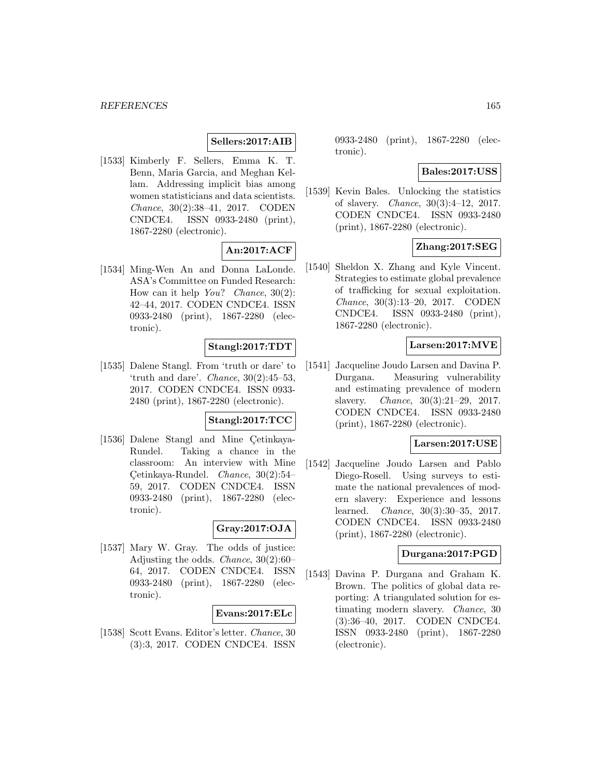## **Sellers:2017:AIB**

[1533] Kimberly F. Sellers, Emma K. T. Benn, Maria Garcia, and Meghan Kellam. Addressing implicit bias among women statisticians and data scientists. Chance, 30(2):38–41, 2017. CODEN CNDCE4. ISSN 0933-2480 (print), 1867-2280 (electronic).

## **An:2017:ACF**

[1534] Ming-Wen An and Donna LaLonde. ASA's Committee on Funded Research: How can it help  $You?$  Chance,  $30(2)$ : 42–44, 2017. CODEN CNDCE4. ISSN 0933-2480 (print), 1867-2280 (electronic).

### **Stangl:2017:TDT**

[1535] Dalene Stangl. From 'truth or dare' to 'truth and dare'. *Chance*,  $30(2):45-53$ , 2017. CODEN CNDCE4. ISSN 0933- 2480 (print), 1867-2280 (electronic).

# **Stangl:2017:TCC**

[1536] Dalene Stangl and Mine Cetinkaya-Rundel. Taking a chance in the classroom: An interview with Mine Cetinkaya-Rundel. *Chance*,  $30(2):54-$ 59, 2017. CODEN CNDCE4. ISSN 0933-2480 (print), 1867-2280 (electronic).

## **Gray:2017:OJA**

[1537] Mary W. Gray. The odds of justice: Adjusting the odds. Chance, 30(2):60– 64, 2017. CODEN CNDCE4. ISSN 0933-2480 (print), 1867-2280 (electronic).

#### **Evans:2017:ELc**

[1538] Scott Evans. Editor's letter. Chance, 30 (3):3, 2017. CODEN CNDCE4. ISSN 0933-2480 (print), 1867-2280 (electronic).

#### **Bales:2017:USS**

[1539] Kevin Bales. Unlocking the statistics of slavery. Chance, 30(3):4–12, 2017. CODEN CNDCE4. ISSN 0933-2480 (print), 1867-2280 (electronic).

# **Zhang:2017:SEG**

[1540] Sheldon X. Zhang and Kyle Vincent. Strategies to estimate global prevalence of trafficking for sexual exploitation. Chance, 30(3):13–20, 2017. CODEN CNDCE4. ISSN 0933-2480 (print), 1867-2280 (electronic).

## **Larsen:2017:MVE**

[1541] Jacqueline Joudo Larsen and Davina P. Durgana. Measuring vulnerability and estimating prevalence of modern slavery. Chance, 30(3):21–29, 2017. CODEN CNDCE4. ISSN 0933-2480 (print), 1867-2280 (electronic).

#### **Larsen:2017:USE**

[1542] Jacqueline Joudo Larsen and Pablo Diego-Rosell. Using surveys to estimate the national prevalences of modern slavery: Experience and lessons learned. Chance, 30(3):30–35, 2017. CODEN CNDCE4. ISSN 0933-2480 (print), 1867-2280 (electronic).

#### **Durgana:2017:PGD**

[1543] Davina P. Durgana and Graham K. Brown. The politics of global data reporting: A triangulated solution for estimating modern slavery. Chance, 30 (3):36–40, 2017. CODEN CNDCE4. ISSN 0933-2480 (print), 1867-2280 (electronic).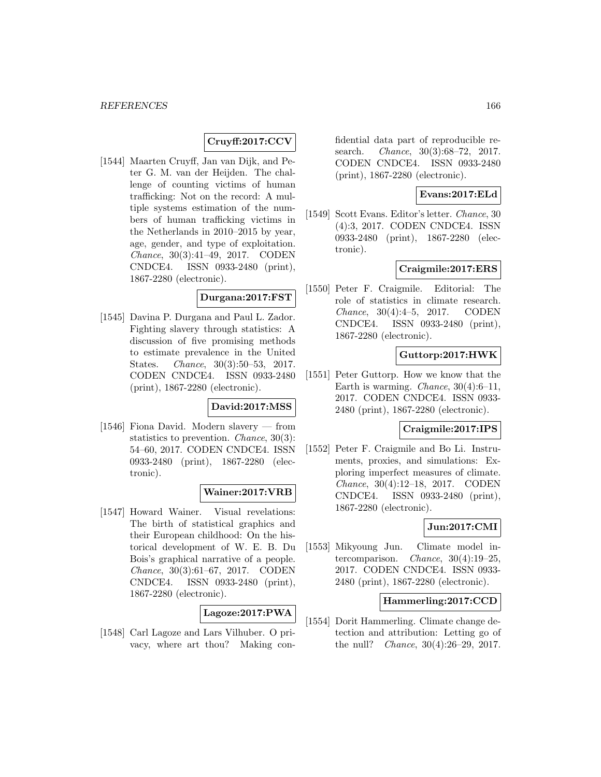# **Cruyff:2017:CCV**

[1544] Maarten Cruyff, Jan van Dijk, and Peter G. M. van der Heijden. The challenge of counting victims of human trafficking: Not on the record: A multiple systems estimation of the numbers of human trafficking victims in the Netherlands in 2010–2015 by year, age, gender, and type of exploitation. Chance, 30(3):41–49, 2017. CODEN CNDCE4. ISSN 0933-2480 (print), 1867-2280 (electronic).

#### **Durgana:2017:FST**

[1545] Davina P. Durgana and Paul L. Zador. Fighting slavery through statistics: A discussion of five promising methods to estimate prevalence in the United States. Chance, 30(3):50–53, 2017. CODEN CNDCE4. ISSN 0933-2480 (print), 1867-2280 (electronic).

## **David:2017:MSS**

[1546] Fiona David. Modern slavery — from statistics to prevention. Chance, 30(3): 54–60, 2017. CODEN CNDCE4. ISSN 0933-2480 (print), 1867-2280 (electronic).

#### **Wainer:2017:VRB**

[1547] Howard Wainer. Visual revelations: The birth of statistical graphics and their European childhood: On the historical development of W. E. B. Du Bois's graphical narrative of a people. Chance, 30(3):61–67, 2017. CODEN CNDCE4. ISSN 0933-2480 (print), 1867-2280 (electronic).

#### **Lagoze:2017:PWA**

[1548] Carl Lagoze and Lars Vilhuber. O privacy, where art thou? Making con-

fidential data part of reproducible research. *Chance*, 30(3):68-72, 2017. CODEN CNDCE4. ISSN 0933-2480 (print), 1867-2280 (electronic).

## **Evans:2017:ELd**

[1549] Scott Evans. Editor's letter. Chance, 30 (4):3, 2017. CODEN CNDCE4. ISSN 0933-2480 (print), 1867-2280 (electronic).

## **Craigmile:2017:ERS**

[1550] Peter F. Craigmile. Editorial: The role of statistics in climate research. Chance, 30(4):4–5, 2017. CODEN CNDCE4. ISSN 0933-2480 (print), 1867-2280 (electronic).

# **Guttorp:2017:HWK**

[1551] Peter Guttorp. How we know that the Earth is warming. *Chance*,  $30(4):6-11$ , 2017. CODEN CNDCE4. ISSN 0933- 2480 (print), 1867-2280 (electronic).

#### **Craigmile:2017:IPS**

[1552] Peter F. Craigmile and Bo Li. Instruments, proxies, and simulations: Exploring imperfect measures of climate. Chance, 30(4):12–18, 2017. CODEN CNDCE4. ISSN 0933-2480 (print), 1867-2280 (electronic).

### **Jun:2017:CMI**

[1553] Mikyoung Jun. Climate model intercomparison. Chance, 30(4):19–25, 2017. CODEN CNDCE4. ISSN 0933- 2480 (print), 1867-2280 (electronic).

## **Hammerling:2017:CCD**

[1554] Dorit Hammerling. Climate change detection and attribution: Letting go of the null? Chance, 30(4):26–29, 2017.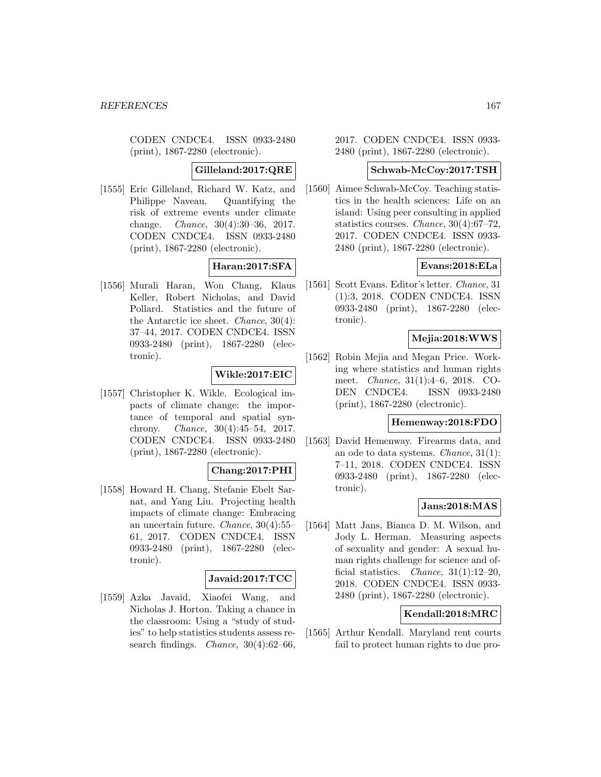CODEN CNDCE4. ISSN 0933-2480 (print), 1867-2280 (electronic).

#### **Gilleland:2017:QRE**

[1555] Eric Gilleland, Richard W. Katz, and Philippe Naveau. Quantifying the risk of extreme events under climate change. Chance, 30(4):30–36, 2017. CODEN CNDCE4. ISSN 0933-2480 (print), 1867-2280 (electronic).

### **Haran:2017:SFA**

[1556] Murali Haran, Won Chang, Klaus Keller, Robert Nicholas, and David Pollard. Statistics and the future of the Antarctic ice sheet. Chance, 30(4): 37–44, 2017. CODEN CNDCE4. ISSN 0933-2480 (print), 1867-2280 (electronic).

## **Wikle:2017:EIC**

[1557] Christopher K. Wikle. Ecological impacts of climate change: the importance of temporal and spatial synchrony. Chance, 30(4):45–54, 2017. CODEN CNDCE4. ISSN 0933-2480 (print), 1867-2280 (electronic).

## **Chang:2017:PHI**

[1558] Howard H. Chang, Stefanie Ebelt Sarnat, and Yang Liu. Projecting health impacts of climate change: Embracing an uncertain future. Chance, 30(4):55– 61, 2017. CODEN CNDCE4. ISSN 0933-2480 (print), 1867-2280 (electronic).

### **Javaid:2017:TCC**

[1559] Azka Javaid, Xiaofei Wang, and Nicholas J. Horton. Taking a chance in the classroom: Using a "study of studies" to help statistics students assess research findings. *Chance*,  $30(4):62-66$ ,

2017. CODEN CNDCE4. ISSN 0933- 2480 (print), 1867-2280 (electronic).

#### **Schwab-McCoy:2017:TSH**

[1560] Aimee Schwab-McCoy. Teaching statistics in the health sciences: Life on an island: Using peer consulting in applied statistics courses. Chance, 30(4):67–72, 2017. CODEN CNDCE4. ISSN 0933- 2480 (print), 1867-2280 (electronic).

#### **Evans:2018:ELa**

[1561] Scott Evans. Editor's letter. Chance, 31 (1):3, 2018. CODEN CNDCE4. ISSN 0933-2480 (print), 1867-2280 (electronic).

## **Mejia:2018:WWS**

[1562] Robin Mejia and Megan Price. Working where statistics and human rights meet. Chance, 31(1):4–6, 2018. CO-DEN CNDCE4. ISSN 0933-2480 (print), 1867-2280 (electronic).

## **Hemenway:2018:FDO**

[1563] David Hemenway. Firearms data, and an ode to data systems. Chance, 31(1): 7–11, 2018. CODEN CNDCE4. ISSN 0933-2480 (print), 1867-2280 (electronic).

#### **Jans:2018:MAS**

[1564] Matt Jans, Bianca D. M. Wilson, and Jody L. Herman. Measuring aspects of sexuality and gender: A sexual human rights challenge for science and official statistics. *Chance*,  $31(1):12-20$ , 2018. CODEN CNDCE4. ISSN 0933- 2480 (print), 1867-2280 (electronic).

## **Kendall:2018:MRC**

[1565] Arthur Kendall. Maryland rent courts fail to protect human rights to due pro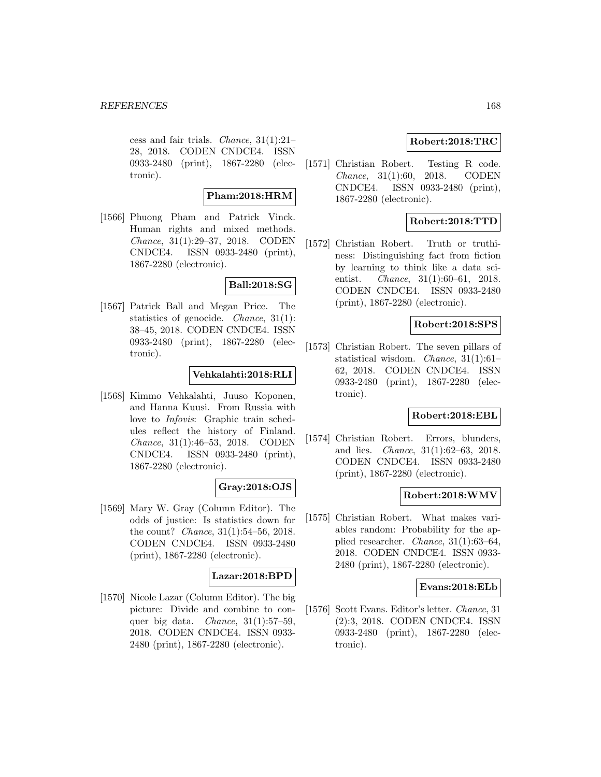cess and fair trials. *Chance*,  $31(1):21-$ 28, 2018. CODEN CNDCE4. ISSN 0933-2480 (print), 1867-2280 (electronic).

### **Pham:2018:HRM**

[1566] Phuong Pham and Patrick Vinck. Human rights and mixed methods. Chance, 31(1):29–37, 2018. CODEN CNDCE4. ISSN 0933-2480 (print), 1867-2280 (electronic).

## **Ball:2018:SG**

[1567] Patrick Ball and Megan Price. The statistics of genocide. Chance, 31(1): 38–45, 2018. CODEN CNDCE4. ISSN 0933-2480 (print), 1867-2280 (electronic).

#### **Vehkalahti:2018:RLI**

[1568] Kimmo Vehkalahti, Juuso Koponen, and Hanna Kuusi. From Russia with love to Infovis: Graphic train schedules reflect the history of Finland. Chance, 31(1):46–53, 2018. CODEN CNDCE4. ISSN 0933-2480 (print), 1867-2280 (electronic).

### **Gray:2018:OJS**

[1569] Mary W. Gray (Column Editor). The odds of justice: Is statistics down for the count? Chance, 31(1):54–56, 2018. CODEN CNDCE4. ISSN 0933-2480 (print), 1867-2280 (electronic).

### **Lazar:2018:BPD**

[1570] Nicole Lazar (Column Editor). The big picture: Divide and combine to conquer big data. *Chance*,  $31(1):57-59$ , 2018. CODEN CNDCE4. ISSN 0933- 2480 (print), 1867-2280 (electronic).

## **Robert:2018:TRC**

[1571] Christian Robert. Testing R code. Chance, 31(1):60, 2018. CODEN CNDCE4. ISSN 0933-2480 (print), 1867-2280 (electronic).

## **Robert:2018:TTD**

[1572] Christian Robert. Truth or truthiness: Distinguishing fact from fiction by learning to think like a data scientist. *Chance*, 31(1):60–61, 2018. CODEN CNDCE4. ISSN 0933-2480 (print), 1867-2280 (electronic).

### **Robert:2018:SPS**

[1573] Christian Robert. The seven pillars of statistical wisdom. Chance, 31(1):61– 62, 2018. CODEN CNDCE4. ISSN 0933-2480 (print), 1867-2280 (electronic).

### **Robert:2018:EBL**

[1574] Christian Robert. Errors, blunders, and lies. Chance, 31(1):62–63, 2018. CODEN CNDCE4. ISSN 0933-2480 (print), 1867-2280 (electronic).

#### **Robert:2018:WMV**

[1575] Christian Robert. What makes variables random: Probability for the applied researcher. Chance, 31(1):63–64, 2018. CODEN CNDCE4. ISSN 0933- 2480 (print), 1867-2280 (electronic).

#### **Evans:2018:ELb**

[1576] Scott Evans. Editor's letter. Chance, 31 (2):3, 2018. CODEN CNDCE4. ISSN 0933-2480 (print), 1867-2280 (electronic).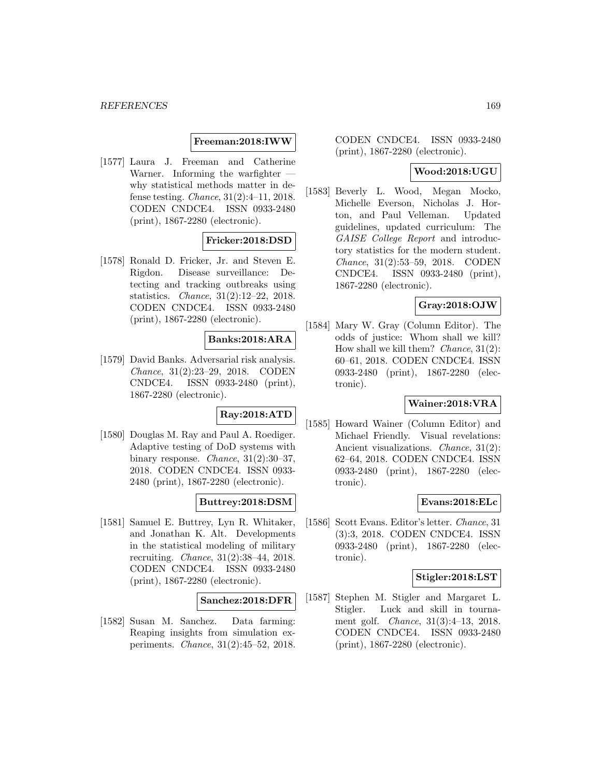#### **Freeman:2018:IWW**

[1577] Laura J. Freeman and Catherine Warner. Informing the warfighter why statistical methods matter in defense testing. Chance, 31(2):4–11, 2018. CODEN CNDCE4. ISSN 0933-2480 (print), 1867-2280 (electronic).

## **Fricker:2018:DSD**

[1578] Ronald D. Fricker, Jr. and Steven E. Rigdon. Disease surveillance: Detecting and tracking outbreaks using statistics. Chance, 31(2):12–22, 2018. CODEN CNDCE4. ISSN 0933-2480 (print), 1867-2280 (electronic).

## **Banks:2018:ARA**

[1579] David Banks. Adversarial risk analysis. Chance, 31(2):23–29, 2018. CODEN CNDCE4. ISSN 0933-2480 (print), 1867-2280 (electronic).

## **Ray:2018:ATD**

[1580] Douglas M. Ray and Paul A. Roediger. Adaptive testing of DoD systems with binary response. Chance,  $31(2):30-37$ , 2018. CODEN CNDCE4. ISSN 0933- 2480 (print), 1867-2280 (electronic).

# **Buttrey:2018:DSM**

[1581] Samuel E. Buttrey, Lyn R. Whitaker, and Jonathan K. Alt. Developments in the statistical modeling of military recruiting. Chance, 31(2):38–44, 2018. CODEN CNDCE4. ISSN 0933-2480 (print), 1867-2280 (electronic).

#### **Sanchez:2018:DFR**

[1582] Susan M. Sanchez. Data farming: Reaping insights from simulation experiments. Chance, 31(2):45–52, 2018.

CODEN CNDCE4. ISSN 0933-2480 (print), 1867-2280 (electronic).

## **Wood:2018:UGU**

[1583] Beverly L. Wood, Megan Mocko, Michelle Everson, Nicholas J. Horton, and Paul Velleman. Updated guidelines, updated curriculum: The GAISE College Report and introductory statistics for the modern student. Chance, 31(2):53–59, 2018. CODEN CNDCE4. ISSN 0933-2480 (print), 1867-2280 (electronic).

#### **Gray:2018:OJW**

[1584] Mary W. Gray (Column Editor). The odds of justice: Whom shall we kill? How shall we kill them? *Chance*,  $31(2)$ : 60–61, 2018. CODEN CNDCE4. ISSN 0933-2480 (print), 1867-2280 (electronic).

## **Wainer:2018:VRA**

[1585] Howard Wainer (Column Editor) and Michael Friendly. Visual revelations: Ancient visualizations. Chance, 31(2): 62–64, 2018. CODEN CNDCE4. ISSN 0933-2480 (print), 1867-2280 (electronic).

### **Evans:2018:ELc**

[1586] Scott Evans. Editor's letter. Chance, 31 (3):3, 2018. CODEN CNDCE4. ISSN 0933-2480 (print), 1867-2280 (electronic).

#### **Stigler:2018:LST**

[1587] Stephen M. Stigler and Margaret L. Stigler. Luck and skill in tournament golf. Chance, 31(3):4–13, 2018. CODEN CNDCE4. ISSN 0933-2480 (print), 1867-2280 (electronic).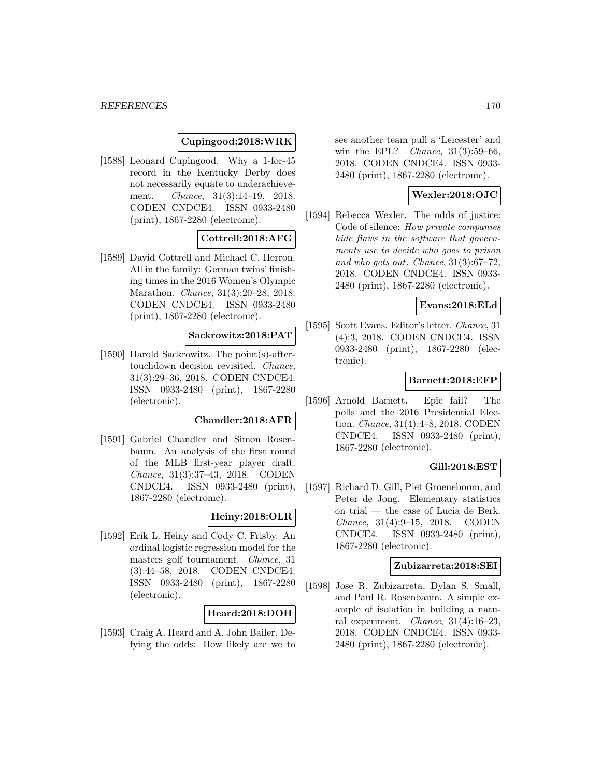#### **Cupingood:2018:WRK**

[1588] Leonard Cupingood. Why a 1-for-45 record in the Kentucky Derby does not necessarily equate to underachievement. Chance, 31(3):14–19, 2018. CODEN CNDCE4. ISSN 0933-2480 (print), 1867-2280 (electronic).

## **Cottrell:2018:AFG**

[1589] David Cottrell and Michael C. Herron. All in the family: German twins' finishing times in the 2016 Women's Olympic Marathon. Chance, 31(3):20–28, 2018. CODEN CNDCE4. ISSN 0933-2480 (print), 1867-2280 (electronic).

## **Sackrowitz:2018:PAT**

[1590] Harold Sackrowitz. The point(s)-aftertouchdown decision revisited. Chance, 31(3):29–36, 2018. CODEN CNDCE4. ISSN 0933-2480 (print), 1867-2280 (electronic).

# **Chandler:2018:AFR**

[1591] Gabriel Chandler and Simon Rosenbaum. An analysis of the first round of the MLB first-year player draft. Chance, 31(3):37–43, 2018. CODEN CNDCE4. ISSN 0933-2480 (print), 1867-2280 (electronic).

### **Heiny:2018:OLR**

[1592] Erik L. Heiny and Cody C. Frisby. An ordinal logistic regression model for the masters golf tournament. Chance, 31 (3):44–58, 2018. CODEN CNDCE4. ISSN 0933-2480 (print), 1867-2280 (electronic).

## **Heard:2018:DOH**

[1593] Craig A. Heard and A. John Bailer. Defying the odds: How likely are we to see another team pull a 'Leicester' and win the EPL? Chance, 31(3):59–66, 2018. CODEN CNDCE4. ISSN 0933- 2480 (print), 1867-2280 (electronic).

## **Wexler:2018:OJC**

[1594] Rebecca Wexler. The odds of justice: Code of silence: How private companies hide flaws in the software that governments use to decide who goes to prison and who gets out. Chance, 31(3):67–72, 2018. CODEN CNDCE4. ISSN 0933- 2480 (print), 1867-2280 (electronic).

#### **Evans:2018:ELd**

[1595] Scott Evans. Editor's letter. Chance, 31 (4):3, 2018. CODEN CNDCE4. ISSN 0933-2480 (print), 1867-2280 (electronic).

#### **Barnett:2018:EFP**

[1596] Arnold Barnett. Epic fail? The polls and the 2016 Presidential Election. Chance, 31(4):4–8, 2018. CODEN CNDCE4. ISSN 0933-2480 (print), 1867-2280 (electronic).

### **Gill:2018:EST**

[1597] Richard D. Gill, Piet Groeneboom, and Peter de Jong. Elementary statistics on trial — the case of Lucia de Berk. Chance, 31(4):9–15, 2018. CODEN CNDCE4. ISSN 0933-2480 (print), 1867-2280 (electronic).

# **Zubizarreta:2018:SEI**

[1598] Jose R. Zubizarreta, Dylan S. Small, and Paul R. Rosenbaum. A simple example of isolation in building a natural experiment. Chance, 31(4):16–23, 2018. CODEN CNDCE4. ISSN 0933- 2480 (print), 1867-2280 (electronic).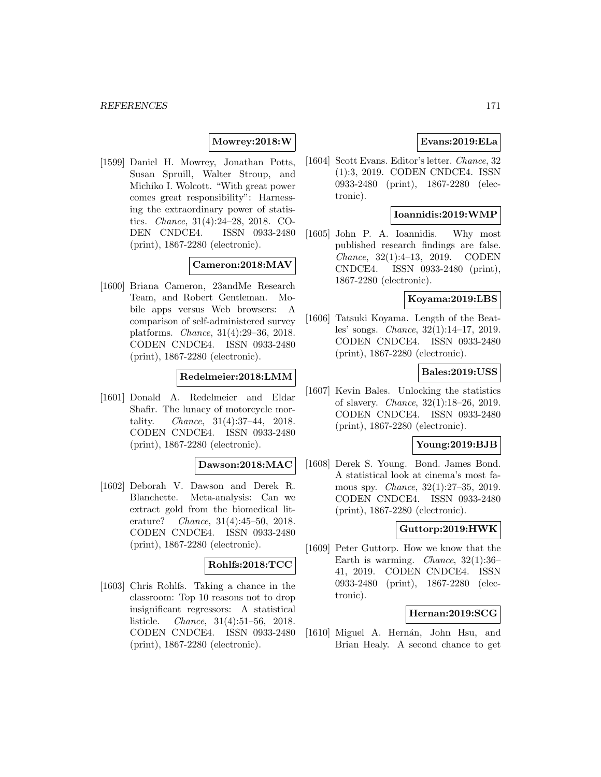## **Mowrey:2018:W**

[1599] Daniel H. Mowrey, Jonathan Potts, Susan Spruill, Walter Stroup, and Michiko I. Wolcott. "With great power comes great responsibility": Harnessing the extraordinary power of statistics. Chance, 31(4):24–28, 2018. CO-DEN CNDCE4. ISSN 0933-2480 (print), 1867-2280 (electronic).

#### **Cameron:2018:MAV**

[1600] Briana Cameron, 23andMe Research Team, and Robert Gentleman. Mobile apps versus Web browsers: A comparison of self-administered survey platforms. Chance, 31(4):29–36, 2018. CODEN CNDCE4. ISSN 0933-2480 (print), 1867-2280 (electronic).

## **Redelmeier:2018:LMM**

[1601] Donald A. Redelmeier and Eldar Shafir. The lunacy of motorcycle mortality. Chance, 31(4):37–44, 2018. CODEN CNDCE4. ISSN 0933-2480 (print), 1867-2280 (electronic).

## **Dawson:2018:MAC**

[1602] Deborah V. Dawson and Derek R. Blanchette. Meta-analysis: Can we extract gold from the biomedical literature? Chance, 31(4):45–50, 2018. CODEN CNDCE4. ISSN 0933-2480 (print), 1867-2280 (electronic).

## **Rohlfs:2018:TCC**

[1603] Chris Rohlfs. Taking a chance in the classroom: Top 10 reasons not to drop insignificant regressors: A statistical listicle. Chance, 31(4):51–56, 2018. CODEN CNDCE4. ISSN 0933-2480 (print), 1867-2280 (electronic).

## **Evans:2019:ELa**

[1604] Scott Evans. Editor's letter. Chance, 32 (1):3, 2019. CODEN CNDCE4. ISSN 0933-2480 (print), 1867-2280 (electronic).

#### **Ioannidis:2019:WMP**

[1605] John P. A. Ioannidis. Why most published research findings are false. Chance, 32(1):4–13, 2019. CODEN CNDCE4. ISSN 0933-2480 (print), 1867-2280 (electronic).

#### **Koyama:2019:LBS**

[1606] Tatsuki Koyama. Length of the Beatles' songs. Chance, 32(1):14–17, 2019. CODEN CNDCE4. ISSN 0933-2480 (print), 1867-2280 (electronic).

## **Bales:2019:USS**

[1607] Kevin Bales. Unlocking the statistics of slavery. Chance, 32(1):18–26, 2019. CODEN CNDCE4. ISSN 0933-2480 (print), 1867-2280 (electronic).

#### **Young:2019:BJB**

[1608] Derek S. Young. Bond. James Bond. A statistical look at cinema's most famous spy. Chance, 32(1):27–35, 2019. CODEN CNDCE4. ISSN 0933-2480 (print), 1867-2280 (electronic).

#### **Guttorp:2019:HWK**

[1609] Peter Guttorp. How we know that the Earth is warming. Chance, 32(1):36– 41, 2019. CODEN CNDCE4. ISSN 0933-2480 (print), 1867-2280 (electronic).

#### **Hernan:2019:SCG**

[1610] Miguel A. Hernán, John Hsu, and Brian Healy. A second chance to get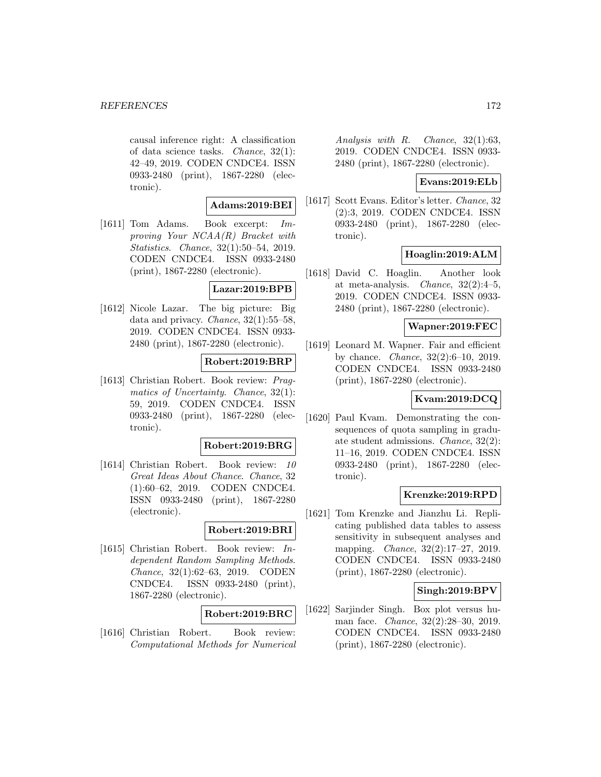causal inference right: A classification of data science tasks. Chance, 32(1): 42–49, 2019. CODEN CNDCE4. ISSN 0933-2480 (print), 1867-2280 (electronic).

### **Adams:2019:BEI**

[1611] Tom Adams. Book excerpt: Improving Your NCAA(R) Bracket with Statistics. Chance, 32(1):50–54, 2019. CODEN CNDCE4. ISSN 0933-2480 (print), 1867-2280 (electronic).

#### **Lazar:2019:BPB**

[1612] Nicole Lazar. The big picture: Big data and privacy. Chance, 32(1):55–58, 2019. CODEN CNDCE4. ISSN 0933- 2480 (print), 1867-2280 (electronic).

### **Robert:2019:BRP**

[1613] Christian Robert. Book review: Pragmatics of Uncertainty. Chance,  $32(1)$ : 59, 2019. CODEN CNDCE4. ISSN 0933-2480 (print), 1867-2280 (electronic).

#### **Robert:2019:BRG**

[1614] Christian Robert. Book review: 10 Great Ideas About Chance. Chance, 32 (1):60–62, 2019. CODEN CNDCE4. ISSN 0933-2480 (print), 1867-2280 (electronic).

## **Robert:2019:BRI**

[1615] Christian Robert. Book review: Independent Random Sampling Methods. Chance, 32(1):62–63, 2019. CODEN CNDCE4. ISSN 0933-2480 (print), 1867-2280 (electronic).

## **Robert:2019:BRC**

[1616] Christian Robert. Book review: Computational Methods for Numerical

Analysis with R. Chance, 32(1):63, 2019. CODEN CNDCE4. ISSN 0933- 2480 (print), 1867-2280 (electronic).

### **Evans:2019:ELb**

[1617] Scott Evans. Editor's letter. Chance, 32 (2):3, 2019. CODEN CNDCE4. ISSN 0933-2480 (print), 1867-2280 (electronic).

## **Hoaglin:2019:ALM**

[1618] David C. Hoaglin. Another look at meta-analysis. Chance, 32(2):4–5, 2019. CODEN CNDCE4. ISSN 0933- 2480 (print), 1867-2280 (electronic).

## **Wapner:2019:FEC**

[1619] Leonard M. Wapner. Fair and efficient by chance. Chance, 32(2):6–10, 2019. CODEN CNDCE4. ISSN 0933-2480 (print), 1867-2280 (electronic).

## **Kvam:2019:DCQ**

[1620] Paul Kvam. Demonstrating the consequences of quota sampling in graduate student admissions. Chance, 32(2): 11–16, 2019. CODEN CNDCE4. ISSN 0933-2480 (print), 1867-2280 (electronic).

### **Krenzke:2019:RPD**

[1621] Tom Krenzke and Jianzhu Li. Replicating published data tables to assess sensitivity in subsequent analyses and mapping. Chance, 32(2):17–27, 2019. CODEN CNDCE4. ISSN 0933-2480 (print), 1867-2280 (electronic).

### **Singh:2019:BPV**

[1622] Sarjinder Singh. Box plot versus human face. Chance, 32(2):28–30, 2019. CODEN CNDCE4. ISSN 0933-2480 (print), 1867-2280 (electronic).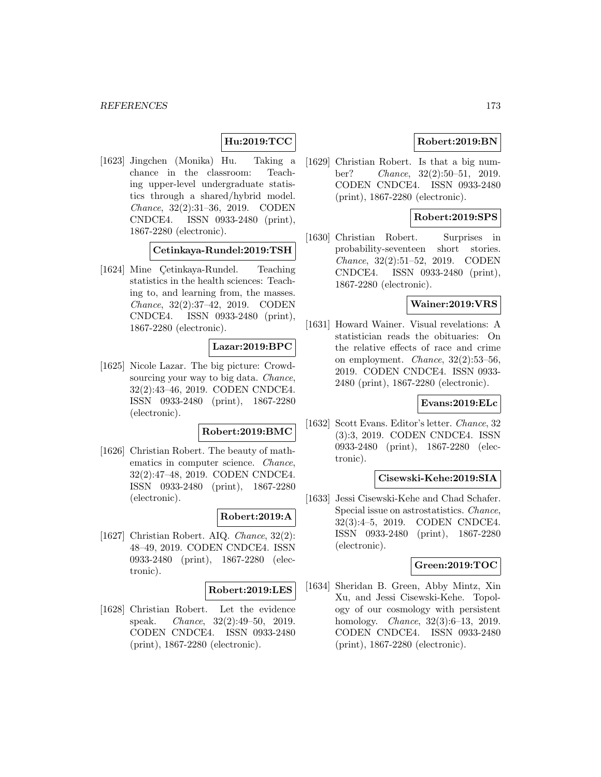## **Hu:2019:TCC**

[1623] Jingchen (Monika) Hu. Taking a chance in the classroom: Teaching upper-level undergraduate statistics through a shared/hybrid model. Chance, 32(2):31–36, 2019. CODEN CNDCE4. ISSN 0933-2480 (print), 1867-2280 (electronic).

#### **Cetinkaya-Rundel:2019:TSH**

[1624] Mine Cetinkaya-Rundel. Teaching statistics in the health sciences: Teaching to, and learning from, the masses. Chance, 32(2):37–42, 2019. CODEN CNDCE4. ISSN 0933-2480 (print), 1867-2280 (electronic).

### **Lazar:2019:BPC**

[1625] Nicole Lazar. The big picture: Crowdsourcing your way to big data. *Chance*, 32(2):43–46, 2019. CODEN CNDCE4. ISSN 0933-2480 (print), 1867-2280 (electronic).

#### **Robert:2019:BMC**

[1626] Christian Robert. The beauty of mathematics in computer science. Chance, 32(2):47–48, 2019. CODEN CNDCE4. ISSN 0933-2480 (print), 1867-2280 (electronic).

#### **Robert:2019:A**

[1627] Christian Robert. AIQ. Chance, 32(2): 48–49, 2019. CODEN CNDCE4. ISSN 0933-2480 (print), 1867-2280 (electronic).

#### **Robert:2019:LES**

[1628] Christian Robert. Let the evidence speak. Chance, 32(2):49–50, 2019. CODEN CNDCE4. ISSN 0933-2480 (print), 1867-2280 (electronic).

## **Robert:2019:BN**

[1629] Christian Robert. Is that a big number? Chance, 32(2):50–51, 2019. CODEN CNDCE4. ISSN 0933-2480 (print), 1867-2280 (electronic).

### **Robert:2019:SPS**

[1630] Christian Robert. Surprises in probability-seventeen short stories. Chance, 32(2):51–52, 2019. CODEN CNDCE4. ISSN 0933-2480 (print), 1867-2280 (electronic).

### **Wainer:2019:VRS**

[1631] Howard Wainer. Visual revelations: A statistician reads the obituaries: On the relative effects of race and crime on employment. Chance, 32(2):53–56, 2019. CODEN CNDCE4. ISSN 0933- 2480 (print), 1867-2280 (electronic).

#### **Evans:2019:ELc**

[1632] Scott Evans. Editor's letter. Chance, 32 (3):3, 2019. CODEN CNDCE4. ISSN 0933-2480 (print), 1867-2280 (electronic).

#### **Cisewski-Kehe:2019:SIA**

[1633] Jessi Cisewski-Kehe and Chad Schafer. Special issue on astrostatistics. Chance, 32(3):4–5, 2019. CODEN CNDCE4. ISSN 0933-2480 (print), 1867-2280 (electronic).

## **Green:2019:TOC**

[1634] Sheridan B. Green, Abby Mintz, Xin Xu, and Jessi Cisewski-Kehe. Topology of our cosmology with persistent homology. Chance, 32(3):6–13, 2019. CODEN CNDCE4. ISSN 0933-2480 (print), 1867-2280 (electronic).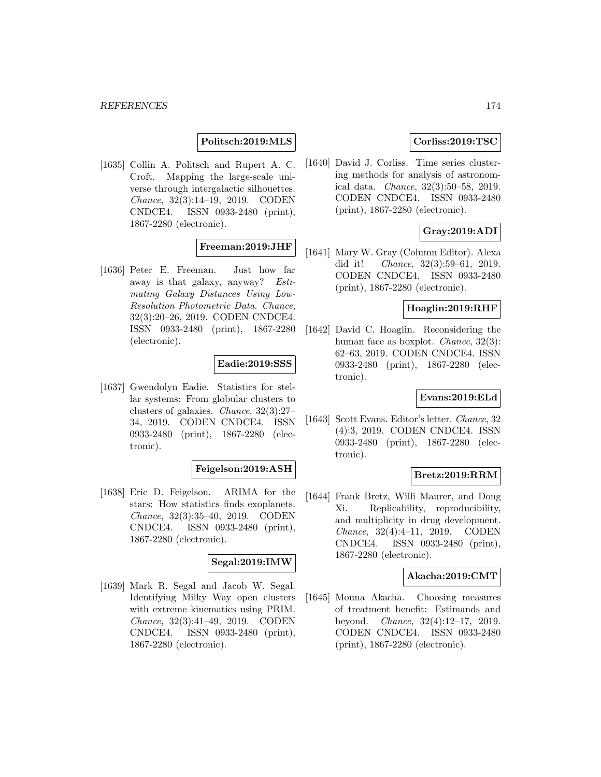## **Politsch:2019:MLS**

[1635] Collin A. Politsch and Rupert A. C. Croft. Mapping the large-scale universe through intergalactic silhouettes. Chance, 32(3):14–19, 2019. CODEN CNDCE4. ISSN 0933-2480 (print), 1867-2280 (electronic).

## **Freeman:2019:JHF**

[1636] Peter E. Freeman. Just how far away is that galaxy, anyway? Estimating Galaxy Distances Using Low-Resolution Photometric Data. Chance, 32(3):20–26, 2019. CODEN CNDCE4. ISSN 0933-2480 (print), 1867-2280 (electronic).

#### **Eadie:2019:SSS**

[1637] Gwendolyn Eadie. Statistics for stellar systems: From globular clusters to clusters of galaxies. Chance, 32(3):27– 34, 2019. CODEN CNDCE4. ISSN 0933-2480 (print), 1867-2280 (electronic).

## **Feigelson:2019:ASH**

[1638] Eric D. Feigelson. ARIMA for the stars: How statistics finds exoplanets. Chance, 32(3):35–40, 2019. CODEN CNDCE4. ISSN 0933-2480 (print), 1867-2280 (electronic).

## **Segal:2019:IMW**

[1639] Mark R. Segal and Jacob W. Segal. Identifying Milky Way open clusters with extreme kinematics using PRIM. Chance, 32(3):41–49, 2019. CODEN CNDCE4. ISSN 0933-2480 (print), 1867-2280 (electronic).

## **Corliss:2019:TSC**

[1640] David J. Corliss. Time series clustering methods for analysis of astronomical data. Chance, 32(3):50–58, 2019. CODEN CNDCE4. ISSN 0933-2480 (print), 1867-2280 (electronic).

## **Gray:2019:ADI**

[1641] Mary W. Gray (Column Editor). Alexa did it! Chance, 32(3):59–61, 2019. CODEN CNDCE4. ISSN 0933-2480 (print), 1867-2280 (electronic).

## **Hoaglin:2019:RHF**

[1642] David C. Hoaglin. Reconsidering the human face as boxplot. Chance, 32(3): 62–63, 2019. CODEN CNDCE4. ISSN 0933-2480 (print), 1867-2280 (electronic).

#### **Evans:2019:ELd**

[1643] Scott Evans. Editor's letter. Chance, 32 (4):3, 2019. CODEN CNDCE4. ISSN 0933-2480 (print), 1867-2280 (electronic).

## **Bretz:2019:RRM**

[1644] Frank Bretz, Willi Maurer, and Dong Xi. Replicability, reproducibility, and multiplicity in drug development. Chance, 32(4):4–11, 2019. CODEN CNDCE4. ISSN 0933-2480 (print), 1867-2280 (electronic).

## **Akacha:2019:CMT**

[1645] Mouna Akacha. Choosing measures of treatment benefit: Estimands and beyond. Chance, 32(4):12–17, 2019. CODEN CNDCE4. ISSN 0933-2480 (print), 1867-2280 (electronic).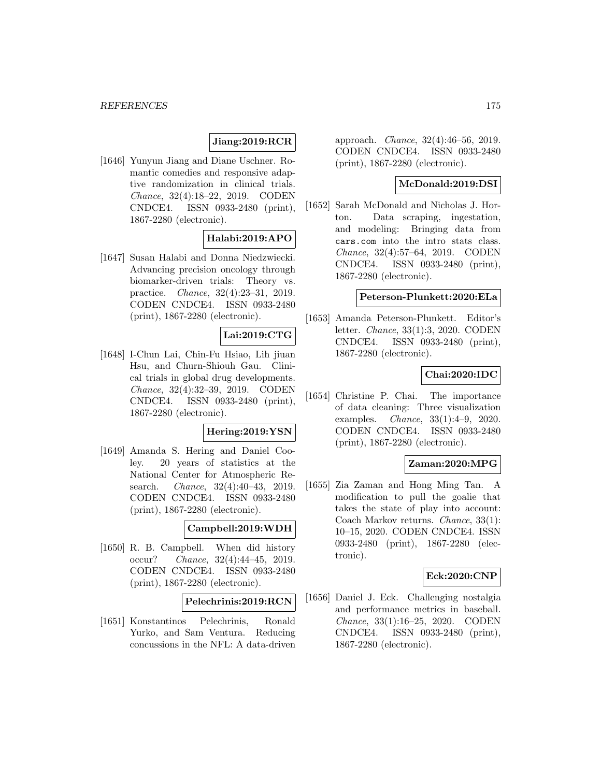## **Jiang:2019:RCR**

[1646] Yunyun Jiang and Diane Uschner. Romantic comedies and responsive adaptive randomization in clinical trials. Chance, 32(4):18–22, 2019. CODEN CNDCE4. ISSN 0933-2480 (print), 1867-2280 (electronic).

# **Halabi:2019:APO**

[1647] Susan Halabi and Donna Niedzwiecki. Advancing precision oncology through biomarker-driven trials: Theory vs. practice. Chance, 32(4):23–31, 2019. CODEN CNDCE4. ISSN 0933-2480 (print), 1867-2280 (electronic).

# **Lai:2019:CTG**

[1648] I-Chun Lai, Chin-Fu Hsiao, Lih jiuan Hsu, and Churn-Shiouh Gau. Clinical trials in global drug developments. Chance, 32(4):32–39, 2019. CODEN CNDCE4. ISSN 0933-2480 (print), 1867-2280 (electronic).

#### **Hering:2019:YSN**

[1649] Amanda S. Hering and Daniel Cooley. 20 years of statistics at the National Center for Atmospheric Research. Chance, 32(4):40–43, 2019. CODEN CNDCE4. ISSN 0933-2480 (print), 1867-2280 (electronic).

# **Campbell:2019:WDH**

[1650] R. B. Campbell. When did history occur? Chance, 32(4):44–45, 2019. CODEN CNDCE4. ISSN 0933-2480 (print), 1867-2280 (electronic).

#### **Pelechrinis:2019:RCN**

[1651] Konstantinos Pelechrinis, Ronald Yurko, and Sam Ventura. Reducing concussions in the NFL: A data-driven

approach. Chance, 32(4):46–56, 2019. CODEN CNDCE4. ISSN 0933-2480 (print), 1867-2280 (electronic).

#### **McDonald:2019:DSI**

[1652] Sarah McDonald and Nicholas J. Horton. Data scraping, ingestation, and modeling: Bringing data from cars.com into the intro stats class. Chance, 32(4):57–64, 2019. CODEN CNDCE4. ISSN 0933-2480 (print), 1867-2280 (electronic).

#### **Peterson-Plunkett:2020:ELa**

[1653] Amanda Peterson-Plunkett. Editor's letter. Chance, 33(1):3, 2020. CODEN CNDCE4. ISSN 0933-2480 (print), 1867-2280 (electronic).

## **Chai:2020:IDC**

[1654] Christine P. Chai. The importance of data cleaning: Three visualization examples. Chance, 33(1):4–9, 2020. CODEN CNDCE4. ISSN 0933-2480 (print), 1867-2280 (electronic).

### **Zaman:2020:MPG**

[1655] Zia Zaman and Hong Ming Tan. A modification to pull the goalie that takes the state of play into account: Coach Markov returns. Chance, 33(1): 10–15, 2020. CODEN CNDCE4. ISSN 0933-2480 (print), 1867-2280 (electronic).

#### **Eck:2020:CNP**

[1656] Daniel J. Eck. Challenging nostalgia and performance metrics in baseball. Chance, 33(1):16–25, 2020. CODEN CNDCE4. ISSN 0933-2480 (print), 1867-2280 (electronic).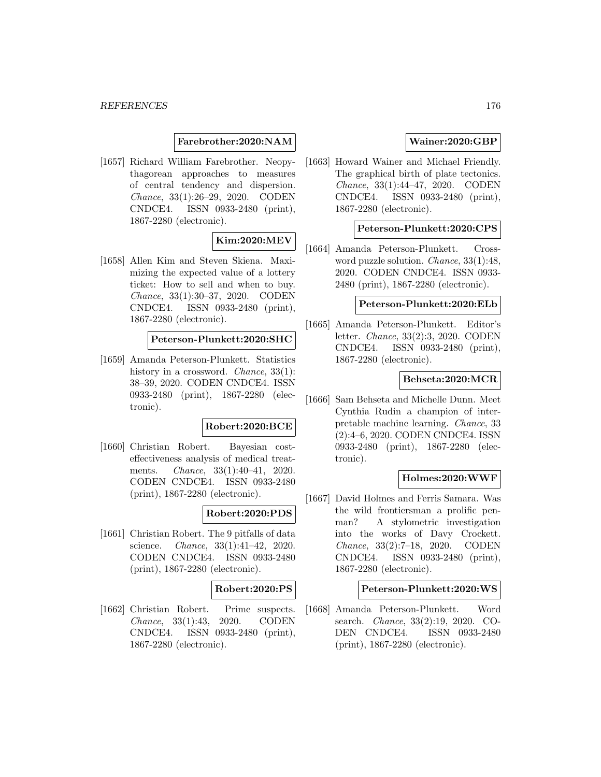#### **Farebrother:2020:NAM**

[1657] Richard William Farebrother. Neopythagorean approaches to measures of central tendency and dispersion. Chance, 33(1):26–29, 2020. CODEN CNDCE4. ISSN 0933-2480 (print), 1867-2280 (electronic).

### **Kim:2020:MEV**

[1658] Allen Kim and Steven Skiena. Maximizing the expected value of a lottery ticket: How to sell and when to buy. Chance, 33(1):30–37, 2020. CODEN CNDCE4. ISSN 0933-2480 (print), 1867-2280 (electronic).

## **Peterson-Plunkett:2020:SHC**

[1659] Amanda Peterson-Plunkett. Statistics history in a crossword. *Chance*, 33(1): 38–39, 2020. CODEN CNDCE4. ISSN 0933-2480 (print), 1867-2280 (electronic).

#### **Robert:2020:BCE**

[1660] Christian Robert. Bayesian costeffectiveness analysis of medical treatments. Chance, 33(1):40–41, 2020. CODEN CNDCE4. ISSN 0933-2480 (print), 1867-2280 (electronic).

## **Robert:2020:PDS**

[1661] Christian Robert. The 9 pitfalls of data science. Chance, 33(1):41–42, 2020. CODEN CNDCE4. ISSN 0933-2480 (print), 1867-2280 (electronic).

#### **Robert:2020:PS**

[1662] Christian Robert. Prime suspects. Chance, 33(1):43, 2020. CODEN CNDCE4. ISSN 0933-2480 (print), 1867-2280 (electronic).

## **Wainer:2020:GBP**

[1663] Howard Wainer and Michael Friendly. The graphical birth of plate tectonics. Chance, 33(1):44–47, 2020. CODEN CNDCE4. ISSN 0933-2480 (print), 1867-2280 (electronic).

### **Peterson-Plunkett:2020:CPS**

[1664] Amanda Peterson-Plunkett. Crossword puzzle solution. Chance, 33(1):48, 2020. CODEN CNDCE4. ISSN 0933- 2480 (print), 1867-2280 (electronic).

#### **Peterson-Plunkett:2020:ELb**

[1665] Amanda Peterson-Plunkett. Editor's letter. Chance, 33(2):3, 2020. CODEN CNDCE4. ISSN 0933-2480 (print), 1867-2280 (electronic).

#### **Behseta:2020:MCR**

[1666] Sam Behseta and Michelle Dunn. Meet Cynthia Rudin a champion of interpretable machine learning. Chance, 33 (2):4–6, 2020. CODEN CNDCE4. ISSN 0933-2480 (print), 1867-2280 (electronic).

#### **Holmes:2020:WWF**

[1667] David Holmes and Ferris Samara. Was the wild frontiersman a prolific penman? A stylometric investigation into the works of Davy Crockett. Chance, 33(2):7–18, 2020. CODEN CNDCE4. ISSN 0933-2480 (print), 1867-2280 (electronic).

#### **Peterson-Plunkett:2020:WS**

[1668] Amanda Peterson-Plunkett. Word search. Chance, 33(2):19, 2020. CO-DEN CNDCE4. ISSN 0933-2480 (print), 1867-2280 (electronic).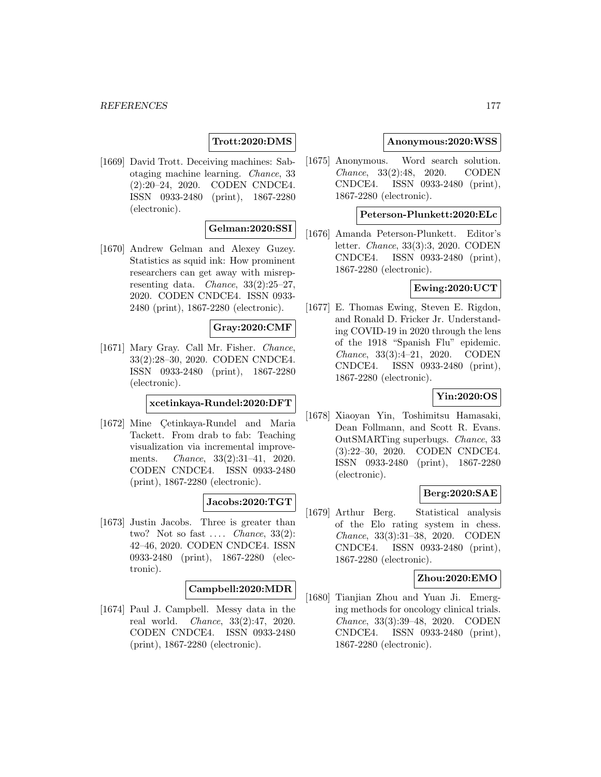## **Trott:2020:DMS**

[1669] David Trott. Deceiving machines: Sabotaging machine learning. Chance, 33 (2):20–24, 2020. CODEN CNDCE4. ISSN 0933-2480 (print), 1867-2280 (electronic).

## **Gelman:2020:SSI**

[1670] Andrew Gelman and Alexey Guzey. Statistics as squid ink: How prominent researchers can get away with misrepresenting data. *Chance*,  $33(2):25-27$ , 2020. CODEN CNDCE4. ISSN 0933- 2480 (print), 1867-2280 (electronic).

#### **Gray:2020:CMF**

[1671] Mary Gray. Call Mr. Fisher. Chance, 33(2):28–30, 2020. CODEN CNDCE4. ISSN 0933-2480 (print), 1867-2280 (electronic).

### **xcetinkaya-Rundel:2020:DFT**

[1672] Mine Çetinkaya-Rundel and Maria Tackett. From drab to fab: Teaching visualization via incremental improvements. Chance, 33(2):31–41, 2020. CODEN CNDCE4. ISSN 0933-2480 (print), 1867-2280 (electronic).

# **Jacobs:2020:TGT**

[1673] Justin Jacobs. Three is greater than two? Not so fast  $\dots$  *Chance*, 33(2): 42–46, 2020. CODEN CNDCE4. ISSN 0933-2480 (print), 1867-2280 (electronic).

#### **Campbell:2020:MDR**

[1674] Paul J. Campbell. Messy data in the real world. Chance, 33(2):47, 2020. CODEN CNDCE4. ISSN 0933-2480 (print), 1867-2280 (electronic).

#### **Anonymous:2020:WSS**

[1675] Anonymous. Word search solution. Chance, 33(2):48, 2020. CODEN CNDCE4. ISSN 0933-2480 (print), 1867-2280 (electronic).

#### **Peterson-Plunkett:2020:ELc**

[1676] Amanda Peterson-Plunkett. Editor's letter. Chance, 33(3):3, 2020. CODEN CNDCE4. ISSN 0933-2480 (print), 1867-2280 (electronic).

#### **Ewing:2020:UCT**

[1677] E. Thomas Ewing, Steven E. Rigdon, and Ronald D. Fricker Jr. Understanding COVID-19 in 2020 through the lens of the 1918 "Spanish Flu" epidemic. Chance, 33(3):4–21, 2020. CODEN CNDCE4. ISSN 0933-2480 (print), 1867-2280 (electronic).

### **Yin:2020:OS**

[1678] Xiaoyan Yin, Toshimitsu Hamasaki, Dean Follmann, and Scott R. Evans. OutSMARTing superbugs. Chance, 33 (3):22–30, 2020. CODEN CNDCE4. ISSN 0933-2480 (print), 1867-2280 (electronic).

### **Berg:2020:SAE**

[1679] Arthur Berg. Statistical analysis of the Elo rating system in chess. Chance, 33(3):31–38, 2020. CODEN CNDCE4. ISSN 0933-2480 (print), 1867-2280 (electronic).

#### **Zhou:2020:EMO**

[1680] Tianjian Zhou and Yuan Ji. Emerging methods for oncology clinical trials. Chance, 33(3):39–48, 2020. CODEN CNDCE4. ISSN 0933-2480 (print), 1867-2280 (electronic).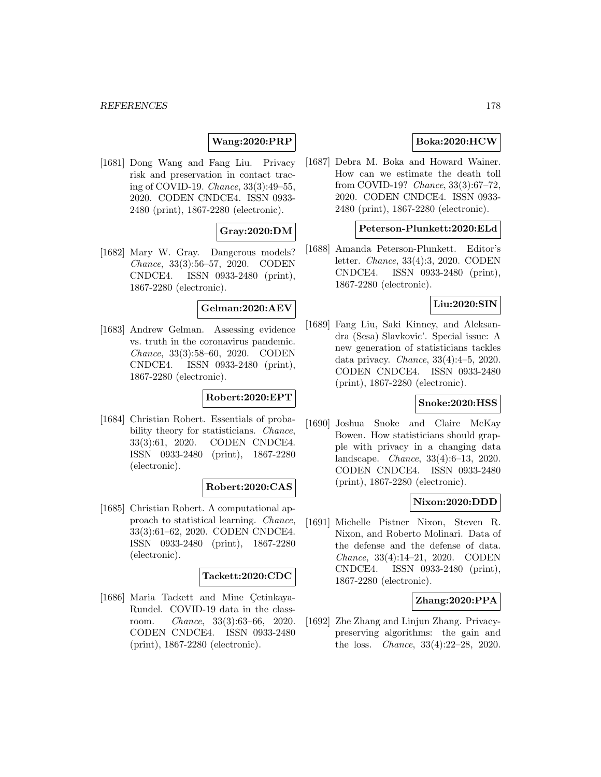## **Wang:2020:PRP**

[1681] Dong Wang and Fang Liu. Privacy risk and preservation in contact tracing of COVID-19. Chance, 33(3):49–55, 2020. CODEN CNDCE4. ISSN 0933- 2480 (print), 1867-2280 (electronic).

## **Gray:2020:DM**

[1682] Mary W. Gray. Dangerous models? Chance, 33(3):56–57, 2020. CODEN CNDCE4. ISSN 0933-2480 (print), 1867-2280 (electronic).

## **Gelman:2020:AEV**

[1683] Andrew Gelman. Assessing evidence vs. truth in the coronavirus pandemic. Chance, 33(3):58–60, 2020. CODEN CNDCE4. ISSN 0933-2480 (print), 1867-2280 (electronic).

### **Robert:2020:EPT**

[1684] Christian Robert. Essentials of probability theory for statisticians. Chance, 33(3):61, 2020. CODEN CNDCE4. ISSN 0933-2480 (print), 1867-2280 (electronic).

#### **Robert:2020:CAS**

[1685] Christian Robert. A computational approach to statistical learning. Chance, 33(3):61–62, 2020. CODEN CNDCE4. ISSN 0933-2480 (print), 1867-2280 (electronic).

#### **Tackett:2020:CDC**

[1686] Maria Tackett and Mine Çetinkaya-Rundel. COVID-19 data in the classroom. Chance, 33(3):63–66, 2020. CODEN CNDCE4. ISSN 0933-2480 (print), 1867-2280 (electronic).

#### **Boka:2020:HCW**

[1687] Debra M. Boka and Howard Wainer. How can we estimate the death toll from COVID-19? Chance, 33(3):67–72, 2020. CODEN CNDCE4. ISSN 0933- 2480 (print), 1867-2280 (electronic).

# **Peterson-Plunkett:2020:ELd**

[1688] Amanda Peterson-Plunkett. Editor's letter. Chance, 33(4):3, 2020. CODEN CNDCE4. ISSN 0933-2480 (print), 1867-2280 (electronic).

#### **Liu:2020:SIN**

[1689] Fang Liu, Saki Kinney, and Aleksandra (Sesa) Slavkovic'. Special issue: A new generation of statisticians tackles data privacy. Chance, 33(4):4–5, 2020. CODEN CNDCE4. ISSN 0933-2480 (print), 1867-2280 (electronic).

### **Snoke:2020:HSS**

[1690] Joshua Snoke and Claire McKay Bowen. How statisticians should grapple with privacy in a changing data landscape. Chance, 33(4):6–13, 2020. CODEN CNDCE4. ISSN 0933-2480 (print), 1867-2280 (electronic).

### **Nixon:2020:DDD**

[1691] Michelle Pistner Nixon, Steven R. Nixon, and Roberto Molinari. Data of the defense and the defense of data. Chance, 33(4):14–21, 2020. CODEN CNDCE4. ISSN 0933-2480 (print), 1867-2280 (electronic).

## **Zhang:2020:PPA**

[1692] Zhe Zhang and Linjun Zhang. Privacypreserving algorithms: the gain and the loss. Chance, 33(4):22–28, 2020.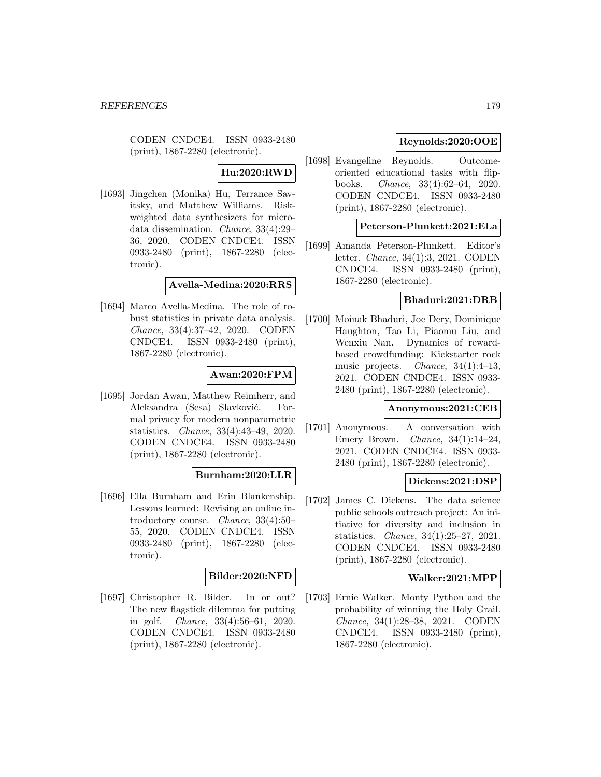CODEN CNDCE4. ISSN 0933-2480 (print), 1867-2280 (electronic).

# **Hu:2020:RWD**

[1693] Jingchen (Monika) Hu, Terrance Savitsky, and Matthew Williams. Riskweighted data synthesizers for microdata dissemination. Chance, 33(4):29– 36, 2020. CODEN CNDCE4. ISSN 0933-2480 (print), 1867-2280 (electronic).

#### **Avella-Medina:2020:RRS**

[1694] Marco Avella-Medina. The role of robust statistics in private data analysis. Chance, 33(4):37–42, 2020. CODEN CNDCE4. ISSN 0933-2480 (print), 1867-2280 (electronic).

### **Awan:2020:FPM**

[1695] Jordan Awan, Matthew Reimherr, and Aleksandra (Sesa) Slavković. Formal privacy for modern nonparametric statistics. Chance, 33(4):43–49, 2020. CODEN CNDCE4. ISSN 0933-2480 (print), 1867-2280 (electronic).

### **Burnham:2020:LLR**

[1696] Ella Burnham and Erin Blankenship. Lessons learned: Revising an online introductory course. Chance, 33(4):50– 55, 2020. CODEN CNDCE4. ISSN 0933-2480 (print), 1867-2280 (electronic).

## **Bilder:2020:NFD**

[1697] Christopher R. Bilder. In or out? The new flagstick dilemma for putting in golf. Chance, 33(4):56–61, 2020. CODEN CNDCE4. ISSN 0933-2480 (print), 1867-2280 (electronic).

## **Reynolds:2020:OOE**

[1698] Evangeline Reynolds. Outcomeoriented educational tasks with flipbooks. Chance, 33(4):62–64, 2020. CODEN CNDCE4. ISSN 0933-2480 (print), 1867-2280 (electronic).

## **Peterson-Plunkett:2021:ELa**

[1699] Amanda Peterson-Plunkett. Editor's letter. Chance, 34(1):3, 2021. CODEN CNDCE4. ISSN 0933-2480 (print), 1867-2280 (electronic).

### **Bhaduri:2021:DRB**

[1700] Moinak Bhaduri, Joe Dery, Dominique Haughton, Tao Li, Piaomu Liu, and Wenxiu Nan. Dynamics of rewardbased crowdfunding: Kickstarter rock music projects. Chance, 34(1):4–13, 2021. CODEN CNDCE4. ISSN 0933- 2480 (print), 1867-2280 (electronic).

#### **Anonymous:2021:CEB**

[1701] Anonymous. A conversation with Emery Brown. Chance, 34(1):14–24, 2021. CODEN CNDCE4. ISSN 0933- 2480 (print), 1867-2280 (electronic).

### **Dickens:2021:DSP**

[1702] James C. Dickens. The data science public schools outreach project: An initiative for diversity and inclusion in statistics. Chance, 34(1):25–27, 2021. CODEN CNDCE4. ISSN 0933-2480 (print), 1867-2280 (electronic).

### **Walker:2021:MPP**

[1703] Ernie Walker. Monty Python and the probability of winning the Holy Grail. Chance, 34(1):28–38, 2021. CODEN CNDCE4. ISSN 0933-2480 (print), 1867-2280 (electronic).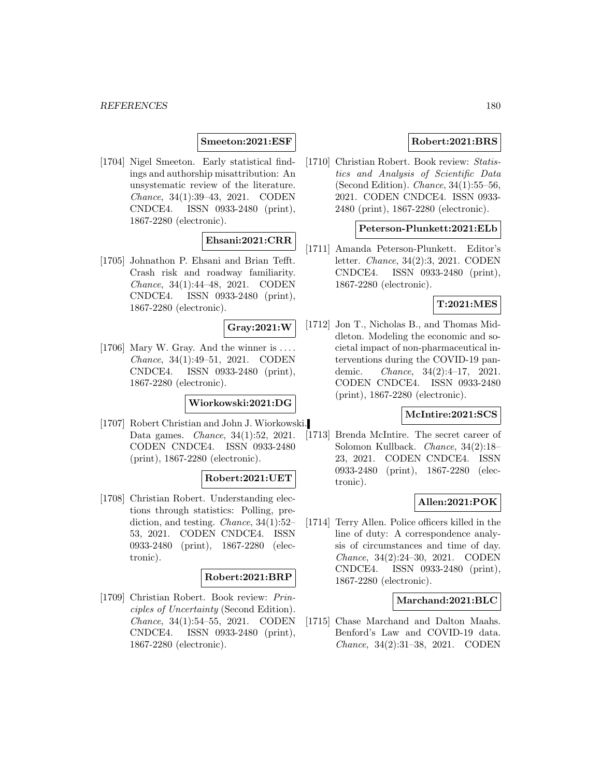#### **Smeeton:2021:ESF**

[1704] Nigel Smeeton. Early statistical findings and authorship misattribution: An unsystematic review of the literature. Chance, 34(1):39–43, 2021. CODEN CNDCE4. ISSN 0933-2480 (print), 1867-2280 (electronic).

### **Ehsani:2021:CRR**

[1705] Johnathon P. Ehsani and Brian Tefft. Crash risk and roadway familiarity. Chance, 34(1):44–48, 2021. CODEN CNDCE4. ISSN 0933-2480 (print), 1867-2280 (electronic).

#### **Gray:2021:W**

[1706] Mary W. Gray. And the winner is  $\dots$ Chance, 34(1):49–51, 2021. CODEN CNDCE4. ISSN 0933-2480 (print), 1867-2280 (electronic).

#### **Wiorkowski:2021:DG**

[1707] Robert Christian and John J. Wiorkowski. Data games. *Chance*, 34(1):52, 2021. CODEN CNDCE4. ISSN 0933-2480 (print), 1867-2280 (electronic).

#### **Robert:2021:UET**

[1708] Christian Robert. Understanding elections through statistics: Polling, prediction, and testing. Chance, 34(1):52– 53, 2021. CODEN CNDCE4. ISSN 0933-2480 (print), 1867-2280 (electronic).

## **Robert:2021:BRP**

[1709] Christian Robert. Book review: Principles of Uncertainty (Second Edition). Chance, 34(1):54–55, 2021. CODEN CNDCE4. ISSN 0933-2480 (print), 1867-2280 (electronic).

## **Robert:2021:BRS**

[1710] Christian Robert. Book review: Statistics and Analysis of Scientific Data (Second Edition). Chance, 34(1):55–56, 2021. CODEN CNDCE4. ISSN 0933- 2480 (print), 1867-2280 (electronic).

## **Peterson-Plunkett:2021:ELb**

[1711] Amanda Peterson-Plunkett. Editor's letter. Chance, 34(2):3, 2021. CODEN CNDCE4. ISSN 0933-2480 (print), 1867-2280 (electronic).

#### **T:2021:MES**

[1712] Jon T., Nicholas B., and Thomas Middleton. Modeling the economic and societal impact of non-pharmaceutical interventions during the COVID-19 pandemic. Chance, 34(2):4–17, 2021. CODEN CNDCE4. ISSN 0933-2480 (print), 1867-2280 (electronic).

## **McIntire:2021:SCS**

[1713] Brenda McIntire. The secret career of Solomon Kullback. Chance, 34(2):18– 23, 2021. CODEN CNDCE4. ISSN 0933-2480 (print), 1867-2280 (electronic).

## **Allen:2021:POK**

[1714] Terry Allen. Police officers killed in the line of duty: A correspondence analysis of circumstances and time of day. Chance, 34(2):24–30, 2021. CODEN CNDCE4. ISSN 0933-2480 (print), 1867-2280 (electronic).

## **Marchand:2021:BLC**

[1715] Chase Marchand and Dalton Maahs. Benford's Law and COVID-19 data. Chance, 34(2):31–38, 2021. CODEN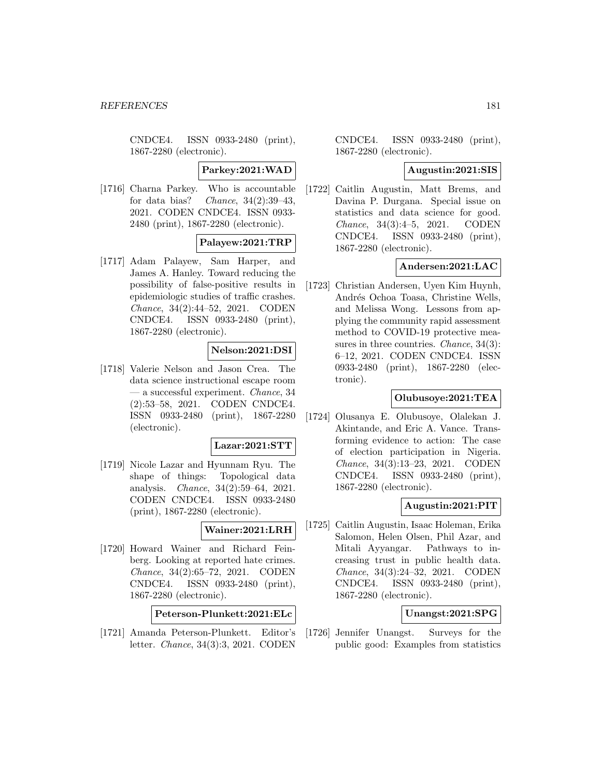CNDCE4. ISSN 0933-2480 (print), 1867-2280 (electronic).

**Parkey:2021:WAD**

[1716] Charna Parkey. Who is accountable for data bias? Chance,  $34(2):39-43$ , 2021. CODEN CNDCE4. ISSN 0933- 2480 (print), 1867-2280 (electronic).

### **Palayew:2021:TRP**

[1717] Adam Palayew, Sam Harper, and James A. Hanley. Toward reducing the possibility of false-positive results in epidemiologic studies of traffic crashes. Chance, 34(2):44–52, 2021. CODEN CNDCE4. ISSN 0933-2480 (print), 1867-2280 (electronic).

## **Nelson:2021:DSI**

[1718] Valerie Nelson and Jason Crea. The data science instructional escape room — a successful experiment. Chance, 34 (2):53–58, 2021. CODEN CNDCE4. ISSN 0933-2480 (print), 1867-2280 (electronic).

#### **Lazar:2021:STT**

[1719] Nicole Lazar and Hyunnam Ryu. The shape of things: Topological data analysis. Chance, 34(2):59–64, 2021. CODEN CNDCE4. ISSN 0933-2480 (print), 1867-2280 (electronic).

#### **Wainer:2021:LRH**

[1720] Howard Wainer and Richard Feinberg. Looking at reported hate crimes. Chance, 34(2):65–72, 2021. CODEN CNDCE4. ISSN 0933-2480 (print), 1867-2280 (electronic).

**Peterson-Plunkett:2021:ELc**

[1721] Amanda Peterson-Plunkett. Editor's letter. Chance, 34(3):3, 2021. CODEN

CNDCE4. ISSN 0933-2480 (print), 1867-2280 (electronic).

#### **Augustin:2021:SIS**

[1722] Caitlin Augustin, Matt Brems, and Davina P. Durgana. Special issue on statistics and data science for good. Chance, 34(3):4–5, 2021. CODEN CNDCE4. ISSN 0933-2480 (print), 1867-2280 (electronic).

### **Andersen:2021:LAC**

[1723] Christian Andersen, Uyen Kim Huynh, Andrés Ochoa Toasa, Christine Wells, and Melissa Wong. Lessons from applying the community rapid assessment method to COVID-19 protective measures in three countries. *Chance*, 34(3): 6–12, 2021. CODEN CNDCE4. ISSN 0933-2480 (print), 1867-2280 (electronic).

### **Olubusoye:2021:TEA**

[1724] Olusanya E. Olubusoye, Olalekan J. Akintande, and Eric A. Vance. Transforming evidence to action: The case of election participation in Nigeria. Chance, 34(3):13–23, 2021. CODEN CNDCE4. ISSN 0933-2480 (print), 1867-2280 (electronic).

### **Augustin:2021:PIT**

[1725] Caitlin Augustin, Isaac Holeman, Erika Salomon, Helen Olsen, Phil Azar, and Mitali Ayyangar. Pathways to increasing trust in public health data. Chance, 34(3):24–32, 2021. CODEN CNDCE4. ISSN 0933-2480 (print), 1867-2280 (electronic).

## **Unangst:2021:SPG**

[1726] Jennifer Unangst. Surveys for the public good: Examples from statistics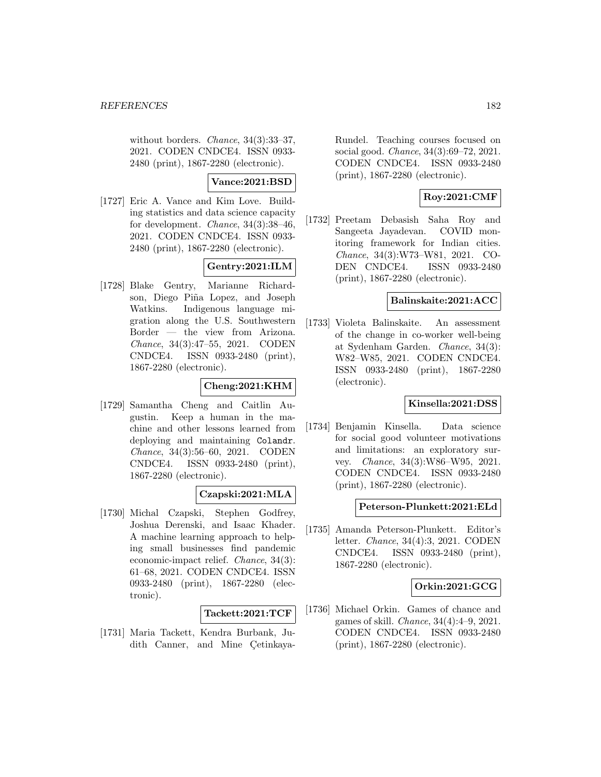without borders. *Chance*, 34(3):33-37, 2021. CODEN CNDCE4. ISSN 0933- 2480 (print), 1867-2280 (electronic).

### **Vance:2021:BSD**

[1727] Eric A. Vance and Kim Love. Building statistics and data science capacity for development. Chance, 34(3):38–46, 2021. CODEN CNDCE4. ISSN 0933- 2480 (print), 1867-2280 (electronic).

# **Gentry:2021:ILM**

[1728] Blake Gentry, Marianne Richardson, Diego Piña Lopez, and Joseph Watkins. Indigenous language migration along the U.S. Southwestern Border — the view from Arizona. Chance, 34(3):47–55, 2021. CODEN CNDCE4. ISSN 0933-2480 (print), 1867-2280 (electronic).

# **Cheng:2021:KHM**

[1729] Samantha Cheng and Caitlin Augustin. Keep a human in the machine and other lessons learned from deploying and maintaining Colandr. Chance, 34(3):56–60, 2021. CODEN CNDCE4. ISSN 0933-2480 (print), 1867-2280 (electronic).

## **Czapski:2021:MLA**

[1730] Michal Czapski, Stephen Godfrey, Joshua Derenski, and Isaac Khader. A machine learning approach to helping small businesses find pandemic economic-impact relief. Chance, 34(3): 61–68, 2021. CODEN CNDCE4. ISSN 0933-2480 (print), 1867-2280 (electronic).

### **Tackett:2021:TCF**

[1731] Maria Tackett, Kendra Burbank, Judith Canner, and Mine Cetinkaya-

Rundel. Teaching courses focused on social good. Chance, 34(3):69–72, 2021. CODEN CNDCE4. ISSN 0933-2480 (print), 1867-2280 (electronic).

## **Roy:2021:CMF**

[1732] Preetam Debasish Saha Roy and Sangeeta Jayadevan. COVID monitoring framework for Indian cities. Chance, 34(3):W73–W81, 2021. CO-DEN CNDCE4. ISSN 0933-2480 (print), 1867-2280 (electronic).

### **Balinskaite:2021:ACC**

[1733] Violeta Balinskaite. An assessment of the change in co-worker well-being at Sydenham Garden. Chance, 34(3): W82–W85, 2021. CODEN CNDCE4. ISSN 0933-2480 (print), 1867-2280 (electronic).

## **Kinsella:2021:DSS**

[1734] Benjamin Kinsella. Data science for social good volunteer motivations and limitations: an exploratory survey. Chance, 34(3):W86–W95, 2021. CODEN CNDCE4. ISSN 0933-2480 (print), 1867-2280 (electronic).

### **Peterson-Plunkett:2021:ELd**

[1735] Amanda Peterson-Plunkett. Editor's letter. Chance, 34(4):3, 2021. CODEN CNDCE4. ISSN 0933-2480 (print), 1867-2280 (electronic).

### **Orkin:2021:GCG**

[1736] Michael Orkin. Games of chance and games of skill. Chance, 34(4):4–9, 2021. CODEN CNDCE4. ISSN 0933-2480 (print), 1867-2280 (electronic).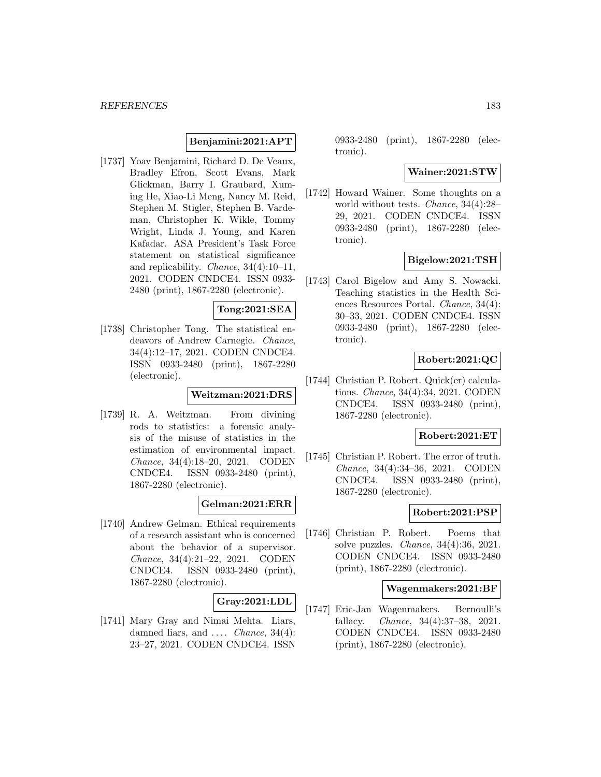### **Benjamini:2021:APT**

[1737] Yoav Benjamini, Richard D. De Veaux, Bradley Efron, Scott Evans, Mark Glickman, Barry I. Graubard, Xuming He, Xiao-Li Meng, Nancy M. Reid, Stephen M. Stigler, Stephen B. Vardeman, Christopher K. Wikle, Tommy Wright, Linda J. Young, and Karen Kafadar. ASA President's Task Force statement on statistical significance and replicability. Chance, 34(4):10–11, 2021. CODEN CNDCE4. ISSN 0933- 2480 (print), 1867-2280 (electronic).

### **Tong:2021:SEA**

[1738] Christopher Tong. The statistical endeavors of Andrew Carnegie. Chance, 34(4):12–17, 2021. CODEN CNDCE4. ISSN 0933-2480 (print), 1867-2280 (electronic).

#### **Weitzman:2021:DRS**

[1739] R. A. Weitzman. From divining rods to statistics: a forensic analysis of the misuse of statistics in the estimation of environmental impact. Chance, 34(4):18–20, 2021. CODEN CNDCE4. ISSN 0933-2480 (print), 1867-2280 (electronic).

### **Gelman:2021:ERR**

[1740] Andrew Gelman. Ethical requirements of a research assistant who is concerned about the behavior of a supervisor. Chance, 34(4):21–22, 2021. CODEN CNDCE4. ISSN 0933-2480 (print), 1867-2280 (electronic).

## **Gray:2021:LDL**

[1741] Mary Gray and Nimai Mehta. Liars, damned liars, and  $\ldots$  *Chance*, 34(4): 23–27, 2021. CODEN CNDCE4. ISSN

0933-2480 (print), 1867-2280 (electronic).

#### **Wainer:2021:STW**

[1742] Howard Wainer. Some thoughts on a world without tests. Chance, 34(4):28– 29, 2021. CODEN CNDCE4. ISSN 0933-2480 (print), 1867-2280 (electronic).

## **Bigelow:2021:TSH**

[1743] Carol Bigelow and Amy S. Nowacki. Teaching statistics in the Health Sciences Resources Portal. Chance, 34(4): 30–33, 2021. CODEN CNDCE4. ISSN 0933-2480 (print), 1867-2280 (electronic).

### **Robert:2021:QC**

[1744] Christian P. Robert. Quick(er) calculations. Chance, 34(4):34, 2021. CODEN CNDCE4. ISSN 0933-2480 (print), 1867-2280 (electronic).

## **Robert:2021:ET**

[1745] Christian P. Robert. The error of truth. Chance, 34(4):34–36, 2021. CODEN CNDCE4. ISSN 0933-2480 (print), 1867-2280 (electronic).

#### **Robert:2021:PSP**

[1746] Christian P. Robert. Poems that solve puzzles. Chance, 34(4):36, 2021. CODEN CNDCE4. ISSN 0933-2480 (print), 1867-2280 (electronic).

### **Wagenmakers:2021:BF**

[1747] Eric-Jan Wagenmakers. Bernoulli's fallacy. Chance, 34(4):37–38, 2021. CODEN CNDCE4. ISSN 0933-2480 (print), 1867-2280 (electronic).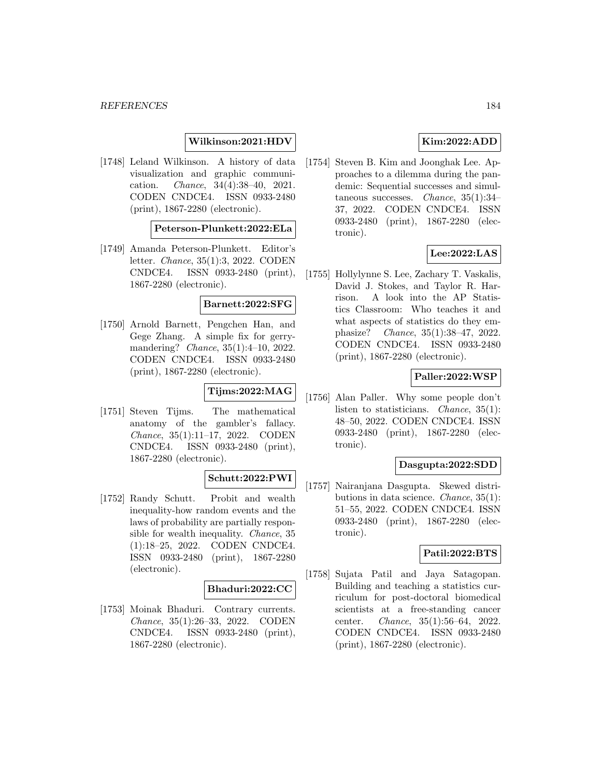### **Wilkinson:2021:HDV**

[1748] Leland Wilkinson. A history of data visualization and graphic communication. Chance, 34(4):38–40, 2021. CODEN CNDCE4. ISSN 0933-2480 (print), 1867-2280 (electronic).

#### **Peterson-Plunkett:2022:ELa**

[1749] Amanda Peterson-Plunkett. Editor's letter. Chance, 35(1):3, 2022. CODEN CNDCE4. ISSN 0933-2480 (print), 1867-2280 (electronic).

#### **Barnett:2022:SFG**

[1750] Arnold Barnett, Pengchen Han, and Gege Zhang. A simple fix for gerrymandering? Chance, 35(1):4–10, 2022. CODEN CNDCE4. ISSN 0933-2480 (print), 1867-2280 (electronic).

# **Tijms:2022:MAG**

[1751] Steven Tijms. The mathematical anatomy of the gambler's fallacy. Chance, 35(1):11–17, 2022. CODEN CNDCE4. ISSN 0933-2480 (print), 1867-2280 (electronic).

### **Schutt:2022:PWI**

[1752] Randy Schutt. Probit and wealth inequality-how random events and the laws of probability are partially responsible for wealth inequality. Chance, 35 (1):18–25, 2022. CODEN CNDCE4. ISSN 0933-2480 (print), 1867-2280 (electronic).

#### **Bhaduri:2022:CC**

[1753] Moinak Bhaduri. Contrary currents. Chance, 35(1):26–33, 2022. CODEN CNDCE4. ISSN 0933-2480 (print), 1867-2280 (electronic).

## **Kim:2022:ADD**

[1754] Steven B. Kim and Joonghak Lee. Approaches to a dilemma during the pandemic: Sequential successes and simultaneous successes. Chance, 35(1):34– 37, 2022. CODEN CNDCE4. ISSN 0933-2480 (print), 1867-2280 (electronic).

## **Lee:2022:LAS**

[1755] Hollylynne S. Lee, Zachary T. Vaskalis, David J. Stokes, and Taylor R. Harrison. A look into the AP Statistics Classroom: Who teaches it and what aspects of statistics do they emphasize? Chance, 35(1):38–47, 2022. CODEN CNDCE4. ISSN 0933-2480 (print), 1867-2280 (electronic).

### **Paller:2022:WSP**

[1756] Alan Paller. Why some people don't listen to statisticians. Chance, 35(1): 48–50, 2022. CODEN CNDCE4. ISSN 0933-2480 (print), 1867-2280 (electronic).

### **Dasgupta:2022:SDD**

[1757] Nairanjana Dasgupta. Skewed distributions in data science. Chance, 35(1): 51–55, 2022. CODEN CNDCE4. ISSN 0933-2480 (print), 1867-2280 (electronic).

### **Patil:2022:BTS**

[1758] Sujata Patil and Jaya Satagopan. Building and teaching a statistics curriculum for post-doctoral biomedical scientists at a free-standing cancer center. Chance, 35(1):56–64, 2022. CODEN CNDCE4. ISSN 0933-2480 (print), 1867-2280 (electronic).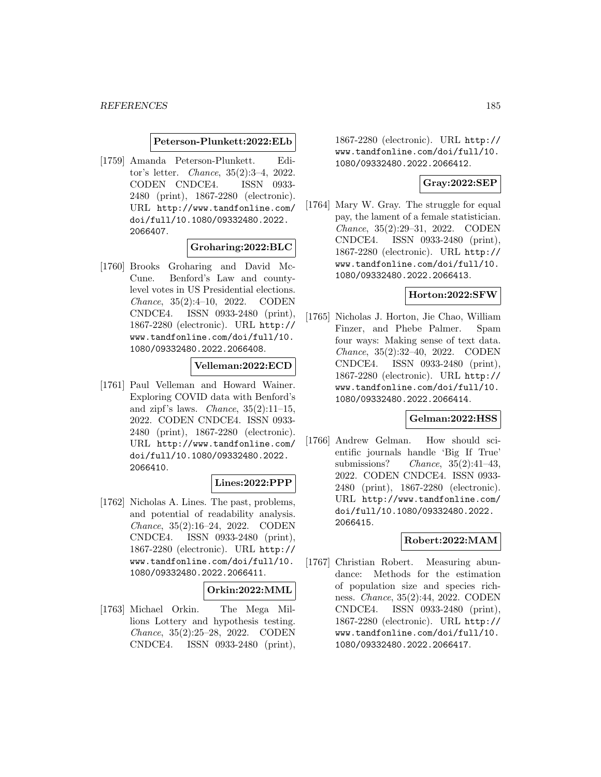#### **Peterson-Plunkett:2022:ELb**

[1759] Amanda Peterson-Plunkett. Editor's letter. Chance, 35(2):3–4, 2022. CODEN CNDCE4. ISSN 0933- 2480 (print), 1867-2280 (electronic). URL http://www.tandfonline.com/ doi/full/10.1080/09332480.2022. 2066407.

### **Groharing:2022:BLC**

[1760] Brooks Groharing and David Mc-Cune. Benford's Law and countylevel votes in US Presidential elections. Chance, 35(2):4–10, 2022. CODEN CNDCE4. ISSN 0933-2480 (print), 1867-2280 (electronic). URL http:// www.tandfonline.com/doi/full/10. 1080/09332480.2022.2066408.

### **Velleman:2022:ECD**

[1761] Paul Velleman and Howard Wainer. Exploring COVID data with Benford's and zipf's laws. *Chance*,  $35(2):11-15$ , 2022. CODEN CNDCE4. ISSN 0933- 2480 (print), 1867-2280 (electronic). URL http://www.tandfonline.com/ doi/full/10.1080/09332480.2022. 2066410.

#### **Lines:2022:PPP**

[1762] Nicholas A. Lines. The past, problems, and potential of readability analysis. Chance, 35(2):16–24, 2022. CODEN CNDCE4. ISSN 0933-2480 (print), 1867-2280 (electronic). URL http:// www.tandfonline.com/doi/full/10. 1080/09332480.2022.2066411.

#### **Orkin:2022:MML**

[1763] Michael Orkin. The Mega Millions Lottery and hypothesis testing. Chance, 35(2):25–28, 2022. CODEN CNDCE4. ISSN 0933-2480 (print),

1867-2280 (electronic). URL http:// www.tandfonline.com/doi/full/10. 1080/09332480.2022.2066412.

## **Gray:2022:SEP**

[1764] Mary W. Gray. The struggle for equal pay, the lament of a female statistician. Chance, 35(2):29–31, 2022. CODEN CNDCE4. ISSN 0933-2480 (print), 1867-2280 (electronic). URL http:// www.tandfonline.com/doi/full/10. 1080/09332480.2022.2066413.

### **Horton:2022:SFW**

[1765] Nicholas J. Horton, Jie Chao, William Finzer, and Phebe Palmer. Spam four ways: Making sense of text data. Chance, 35(2):32–40, 2022. CODEN CNDCE4. ISSN 0933-2480 (print), 1867-2280 (electronic). URL http:// www.tandfonline.com/doi/full/10. 1080/09332480.2022.2066414.

#### **Gelman:2022:HSS**

[1766] Andrew Gelman. How should scientific journals handle 'Big If True' submissions? Chance,  $35(2):41-43$ , 2022. CODEN CNDCE4. ISSN 0933- 2480 (print), 1867-2280 (electronic). URL http://www.tandfonline.com/ doi/full/10.1080/09332480.2022. 2066415.

### **Robert:2022:MAM**

[1767] Christian Robert. Measuring abundance: Methods for the estimation of population size and species richness. Chance, 35(2):44, 2022. CODEN CNDCE4. ISSN 0933-2480 (print), 1867-2280 (electronic). URL http:// www.tandfonline.com/doi/full/10. 1080/09332480.2022.2066417.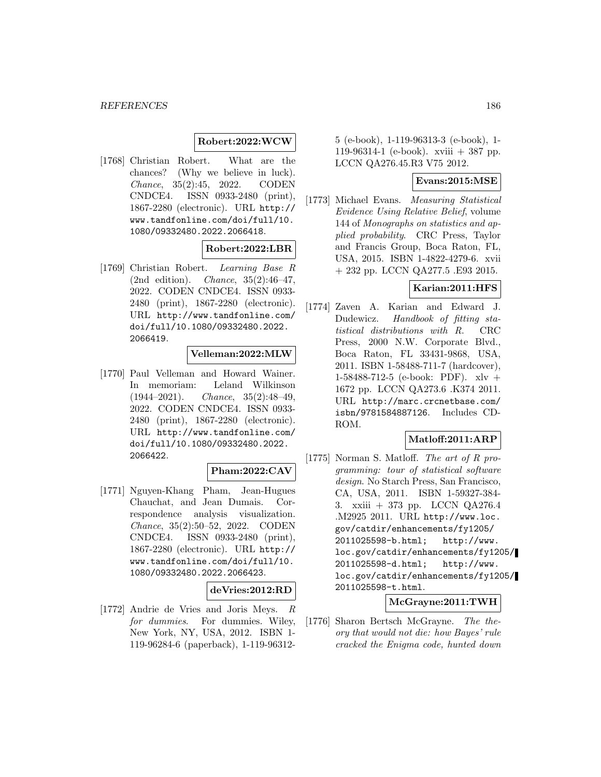### **Robert:2022:WCW**

[1768] Christian Robert. What are the chances? (Why we believe in luck). Chance, 35(2):45, 2022. CODEN CNDCE4. ISSN 0933-2480 (print), 1867-2280 (electronic). URL http:// www.tandfonline.com/doi/full/10. 1080/09332480.2022.2066418.

### **Robert:2022:LBR**

[1769] Christian Robert. Learning Base R (2nd edition). Chance, 35(2):46–47, 2022. CODEN CNDCE4. ISSN 0933- 2480 (print), 1867-2280 (electronic). URL http://www.tandfonline.com/ doi/full/10.1080/09332480.2022. 2066419.

#### **Velleman:2022:MLW**

[1770] Paul Velleman and Howard Wainer. In memoriam: Leland Wilkinson  $(1944-2021)$ . *Chance*,  $35(2):48-49$ , 2022. CODEN CNDCE4. ISSN 0933- 2480 (print), 1867-2280 (electronic). URL http://www.tandfonline.com/ doi/full/10.1080/09332480.2022. 2066422.

### **Pham:2022:CAV**

[1771] Nguyen-Khang Pham, Jean-Hugues Chauchat, and Jean Dumais. Correspondence analysis visualization. Chance, 35(2):50–52, 2022. CODEN CNDCE4. ISSN 0933-2480 (print), 1867-2280 (electronic). URL http:// www.tandfonline.com/doi/full/10. 1080/09332480.2022.2066423.

#### **deVries:2012:RD**

[1772] Andrie de Vries and Joris Meys. R for dummies. For dummies. Wiley, New York, NY, USA, 2012. ISBN 1- 119-96284-6 (paperback), 1-119-96312-

5 (e-book), 1-119-96313-3 (e-book), 1- 119-96314-1 (e-book). xviii + 387 pp. LCCN QA276.45.R3 V75 2012.

#### **Evans:2015:MSE**

[1773] Michael Evans. Measuring Statistical Evidence Using Relative Belief, volume 144 of Monographs on statistics and applied probability. CRC Press, Taylor and Francis Group, Boca Raton, FL, USA, 2015. ISBN 1-4822-4279-6. xvii + 232 pp. LCCN QA277.5 .E93 2015.

### **Karian:2011:HFS**

[1774] Zaven A. Karian and Edward J. Dudewicz. Handbook of fitting statistical distributions with R. CRC Press, 2000 N.W. Corporate Blvd., Boca Raton, FL 33431-9868, USA, 2011. ISBN 1-58488-711-7 (hardcover), 1-58488-712-5 (e-book: PDF). xlv + 1672 pp. LCCN QA273.6 .K374 2011. URL http://marc.crcnetbase.com/ isbn/9781584887126. Includes CD-ROM.

### **Matloff:2011:ARP**

[1775] Norman S. Matloff. The art of R programming: tour of statistical software design. No Starch Press, San Francisco, CA, USA, 2011. ISBN 1-59327-384- 3. xxiii + 373 pp. LCCN QA276.4 .M2925 2011. URL http://www.loc. gov/catdir/enhancements/fy1205/ 2011025598-b.html; http://www. loc.gov/catdir/enhancements/fy1205/ 2011025598-d.html; http://www. loc.gov/catdir/enhancements/fy1205/ 2011025598-t.html.

### **McGrayne:2011:TWH**

[1776] Sharon Bertsch McGrayne. The theory that would not die: how Bayes' rule cracked the Enigma code, hunted down